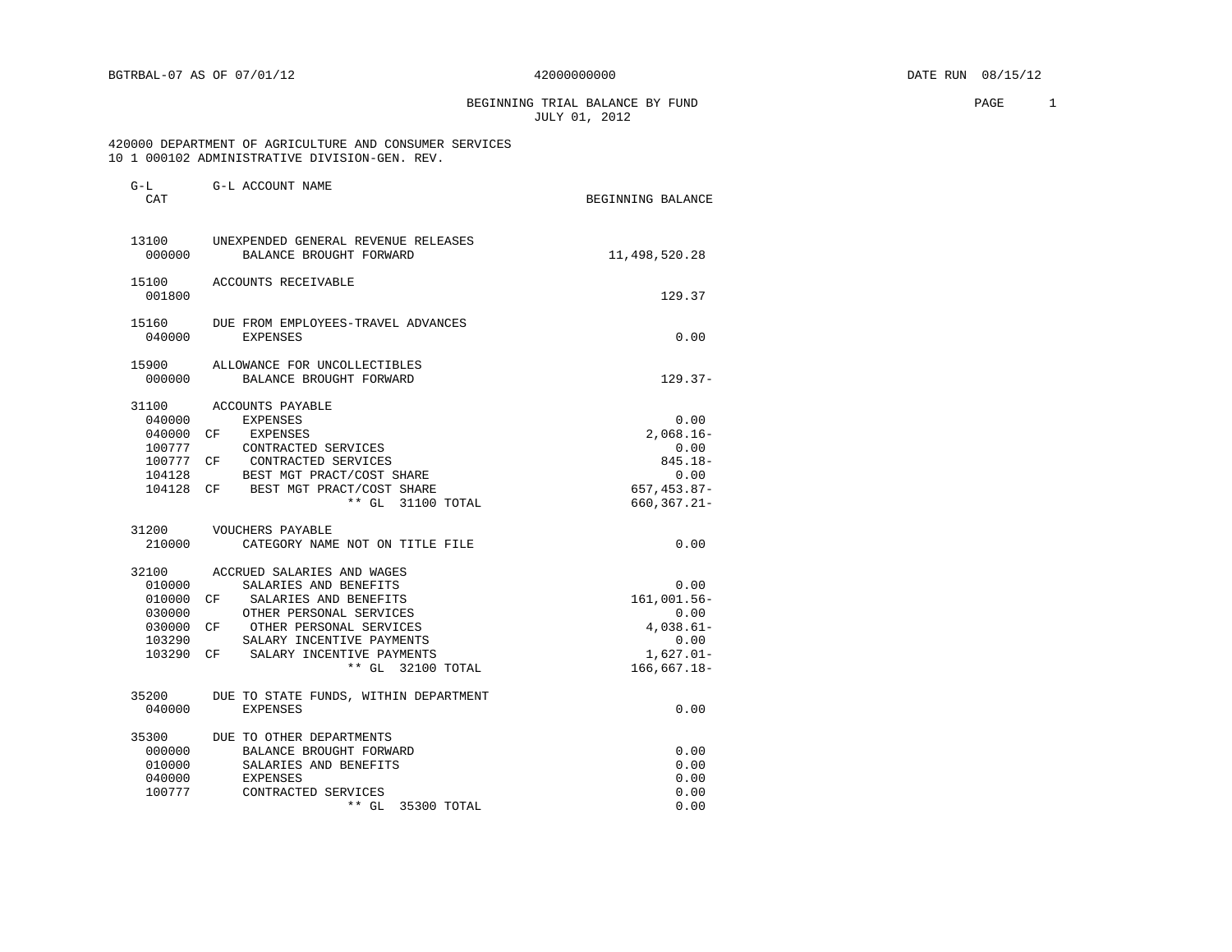BEGINNING TRIAL BALANCE BY FUND **PAGE** 2 JULY 01, 2012

# 420000 DEPARTMENT OF AGRICULTURE AND CONSUMER SERVICES 10 1 000102 ADMINISTRATIVE DIVISION-GEN. REV.

| G-L<br>CAT      | G-L ACCOUNT NAME                                               | BEGINNING BALANCE |
|-----------------|----------------------------------------------------------------|-------------------|
| 13100<br>000000 | UNEXPENDED GENERAL REVENUE RELEASES<br>BALANCE BROUGHT FORWARD | 11,498,520.28     |
| 15100<br>001800 | ACCOUNTS RECEIVABLE                                            | 129.37            |
| 15160<br>040000 | DUE FROM EMPLOYEES-TRAVEL ADVANCES<br><b>EXPENSES</b>          | 0.00              |
| 15900<br>000000 | ALLOWANCE FOR UNCOLLECTIBLES<br>BALANCE BROUGHT FORWARD        | $129.37-$         |
| 31100           | ACCOUNTS PAYABLE                                               |                   |
| 040000          | <b>EXPENSES</b>                                                | 0.00              |
| 040000          | CF<br>EXPENSES                                                 | $2,068.16-$       |
| 100777          | CONTRACTED SERVICES                                            | 0.00              |
| 100777 CF       | CONTRACTED SERVICES                                            | $845.18 -$        |
| 104128          | BEST MGT PRACT/COST SHARE                                      | 0.00              |
| 104128 CF       | BEST MGT PRACT/COST SHARE                                      | 657, 453.87-      |
|                 | ** GL 31100 TOTAL                                              | $660, 367.21 -$   |
| 31200           | VOUCHERS PAYABLE                                               |                   |
| 210000          | CATEGORY NAME NOT ON TITLE FILE                                | 0.00              |
| 32100           | ACCRUED SALARIES AND WAGES                                     |                   |
| 010000          | SALARIES AND BENEFITS                                          | 0.00              |
| 010000          | SALARIES AND BENEFITS<br>CF                                    | 161,001.56-       |
| 030000          | OTHER PERSONAL SERVICES                                        | 0.00              |
| 030000 CF       | OTHER PERSONAL SERVICES                                        | $4,038.61-$       |
| 103290          | SALARY INCENTIVE PAYMENTS                                      | 0.00              |
| 103290          | SALARY INCENTIVE PAYMENTS<br>CF                                | $1,627.01-$       |
|                 | ** GL 32100 TOTAL                                              | $166,667.18-$     |
| 35200           | DUE TO STATE FUNDS, WITHIN DEPARTMENT                          |                   |
| 040000          | <b>EXPENSES</b>                                                | 0.00              |
| 35300           | DUE TO OTHER DEPARTMENTS                                       |                   |
| 000000          | BALANCE BROUGHT FORWARD                                        | 0.00              |
| 010000          | SALARIES AND BENEFITS                                          | 0.00              |
| 040000          | <b>EXPENSES</b>                                                | 0.00              |
| 100777          | CONTRACTED SERVICES                                            | 0.00              |
|                 | $***$ GL<br>35300 TOTAL                                        | 0.00              |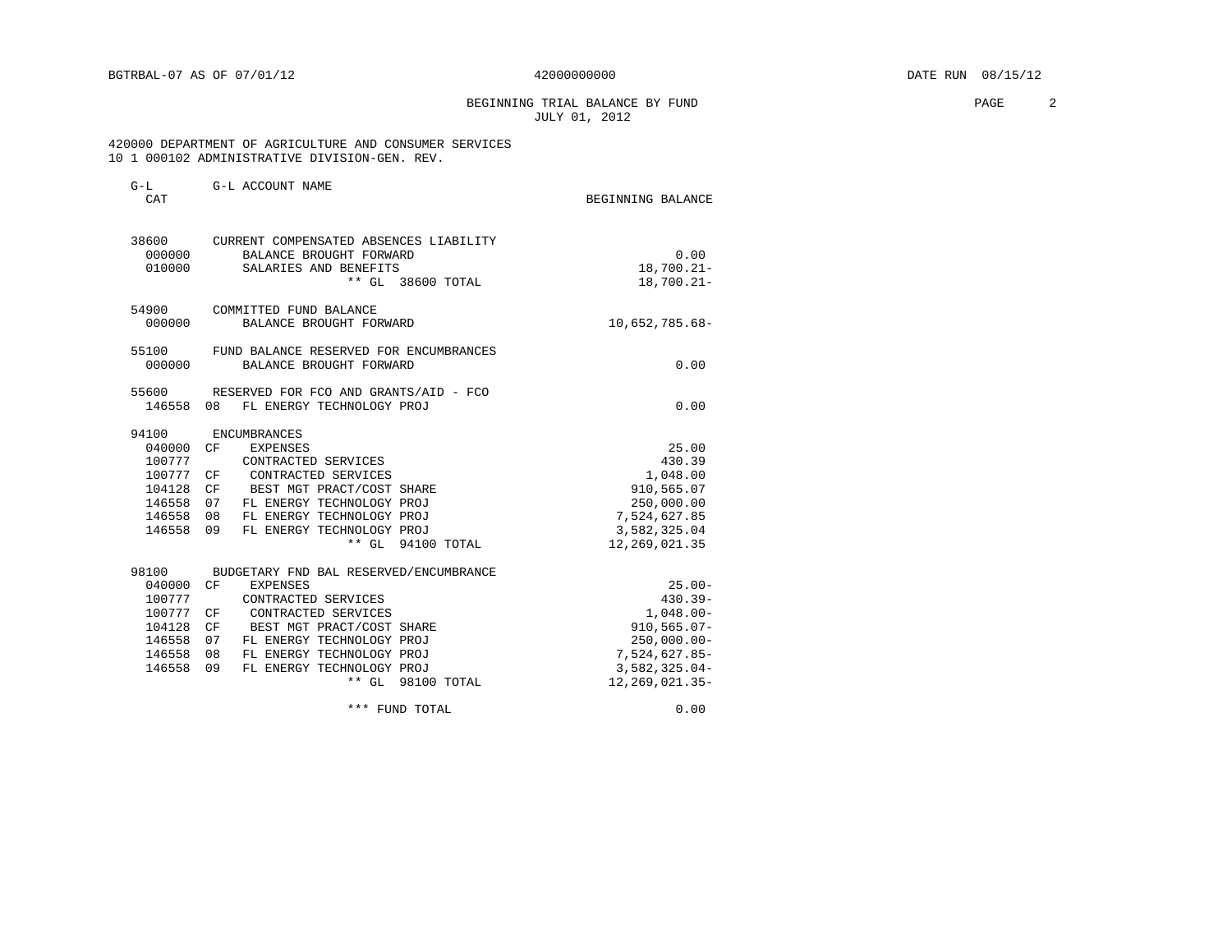BEGINNING TRIAL BALANCE BY FUND **EXAMPLE 2** JULY 01, 2012

### 420000 DEPARTMENT OF AGRICULTURE AND CONSUMER SERVICES 10 1 000102 ADMINISTRATIVE DIVISION-GEN. REV.

| $G-L$<br>CAT                                                                            | G-L ACCOUNT NAME                                                                                                                                                                                                                                                               | BEGINNING BALANCE                                                                                                                    |
|-----------------------------------------------------------------------------------------|--------------------------------------------------------------------------------------------------------------------------------------------------------------------------------------------------------------------------------------------------------------------------------|--------------------------------------------------------------------------------------------------------------------------------------|
| 38600<br>010000                                                                         | CURRENT COMPENSATED ABSENCES LIABILITY<br>000000 BALANCE BROUGHT FORWARD<br>SALARIES AND BENEFITS<br>** GL 38600 TOTAL                                                                                                                                                         | 0.00<br>$18,700.21 -$<br>$18,700.21 -$                                                                                               |
| 54900<br>000000                                                                         | COMMITTED FUND BALANCE<br>BALANCE BROUGHT FORWARD                                                                                                                                                                                                                              | 10,652,785.68-                                                                                                                       |
| 55100<br>000000                                                                         | FUND BALANCE RESERVED FOR ENCUMBRANCES<br>BALANCE BROUGHT FORWARD                                                                                                                                                                                                              | 0.00                                                                                                                                 |
| 146558 08                                                                               | 55600 RESERVED FOR FCO AND GRANTS/AID - FCO<br>FL ENERGY TECHNOLOGY PROJ                                                                                                                                                                                                       | 0.00                                                                                                                                 |
| 94100<br>040000 CF<br>100777<br>100777 CF<br>104128<br>146558<br>146558 08<br>146558 09 | ENCUMBRANCES<br>EXPENSES<br>CONTRACTED SERVICES<br>CONTRACTED SERVICES<br>BEST MGT PRACT/COST SHARE<br>CF<br>FL ENERGY TECHNOLOGY PROJ<br>07<br>FL ENERGY TECHNOLOGY PROJ<br>FL ENERGY TECHNOLOGY PROJ<br>** GL 94100 TOTAL                                                    | 25.00<br>430.39<br>1,048.00<br>910,565.07<br>250,000.00<br>7,524,627.85<br>3,582,325.04<br>12,269,021.35                             |
| 98100<br>040000 CF<br>100777<br>100777<br>104128<br>146558<br>146558<br>146558          | BUDGETARY FND BAL RESERVED/ENCUMBRANCE<br><b>EXPENSES</b><br>CONTRACTED SERVICES<br>CONTRACTED SERVICES<br>CF<br>BEST MGT PRACT/COST SHARE<br>CF<br>FL ENERGY TECHNOLOGY PROJ<br>07<br>08<br>FL ENERGY TECHNOLOGY PROJ<br>09<br>FL ENERGY TECHNOLOGY PROJ<br>** GL 98100 TOTAL | $25.00 -$<br>$430.39 -$<br>$1,048.00 -$<br>$910, 565.07 -$<br>$250,000.00 -$<br>7,524,627.85-<br>$3,582,325.04-$<br>12, 269, 021.35- |
|                                                                                         | *** FUND TOTAL                                                                                                                                                                                                                                                                 | 0.00                                                                                                                                 |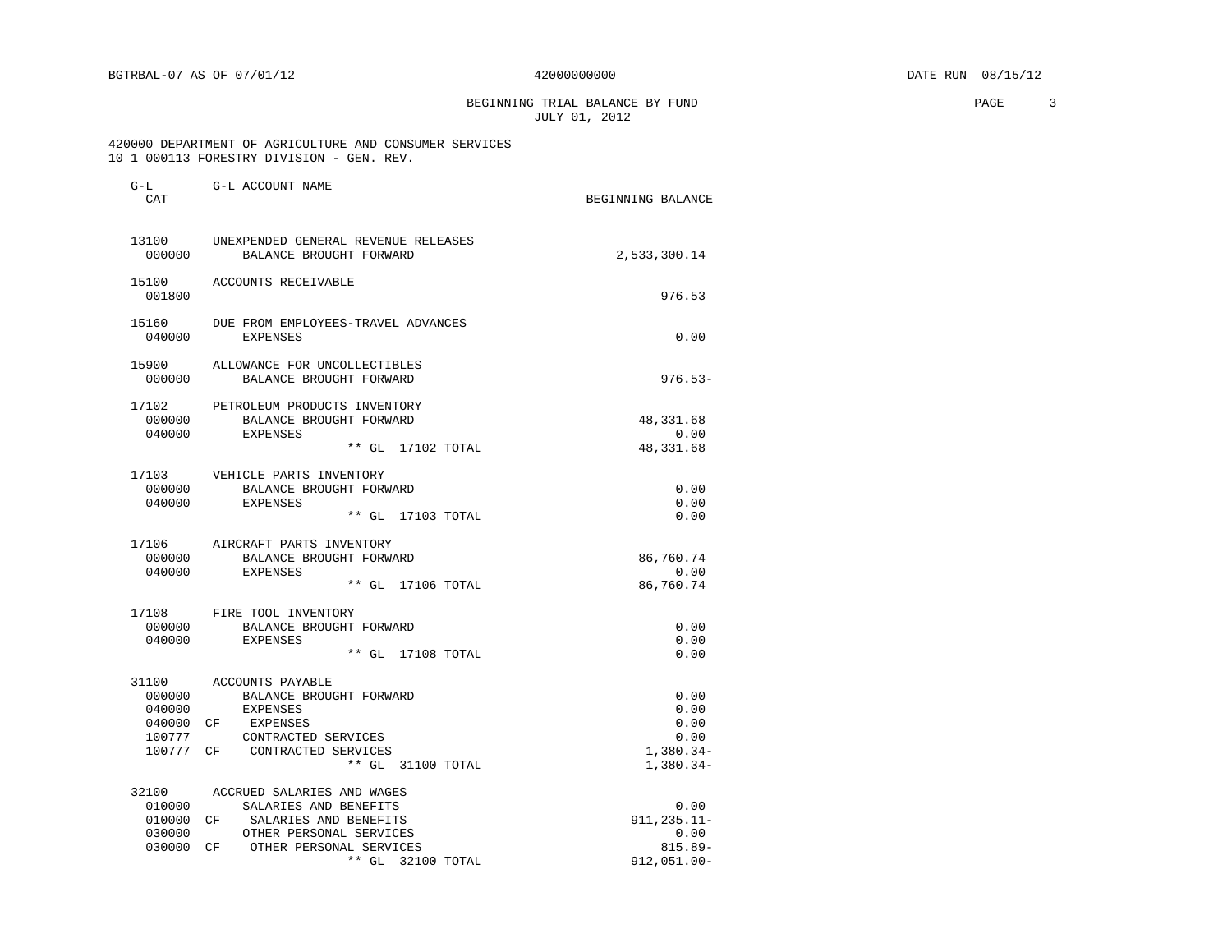BEGINNING TRIAL BALANCE BY FUND **EXAMPLE 2008** PAGE 3 JULY 01, 2012

### 420000 DEPARTMENT OF AGRICULTURE AND CONSUMER SERVICES 10 1 000113 FORESTRY DIVISION - GEN. REV.

| <b>CT LI</b><br>CAT                           | G-D UCCOONI INDUS                                                                                                                                      | BEGINNING BALANCE                                          |
|-----------------------------------------------|--------------------------------------------------------------------------------------------------------------------------------------------------------|------------------------------------------------------------|
| 13100<br>000000                               | UNEXPENDED GENERAL REVENUE RELEASES<br>BALANCE BROUGHT FORWARD                                                                                         | 2,533,300.14                                               |
| 001800                                        | 15100 ACCOUNTS RECEIVABLE                                                                                                                              | 976.53                                                     |
| 15160<br>040000                               | DUE FROM EMPLOYEES-TRAVEL ADVANCES<br>EXPENSES                                                                                                         | 0.00                                                       |
| 000000                                        | 15900 ALLOWANCE FOR UNCOLLECTIBLES<br>BALANCE BROUGHT FORWARD                                                                                          | $976.53-$                                                  |
| 17102<br>000000                               | PETROLEUM PRODUCTS INVENTORY<br>BALANCE BROUGHT FORWARD                                                                                                | 48, 331.68                                                 |
| 040000                                        | EXPENSES<br>** GL 17102 TOTAL                                                                                                                          | 0.00<br>48, 331.68                                         |
| 000000<br>040000                              | 17103 VEHICLE PARTS INVENTORY<br>BALANCE BROUGHT FORWARD<br>EXPENSES<br>$**$ GL<br>17103 TOTAL                                                         | 0.00<br>0.00<br>0.00                                       |
| 000000<br>040000                              | 17106 AIRCRAFT PARTS INVENTORY<br>BALANCE BROUGHT FORWARD<br>EXPENSES<br>** GL 17106 TOTAL                                                             | 86,760.74<br>0.00<br>86,760.74                             |
| 040000                                        | 17108 FIRE TOOL INVENTORY<br>000000 BALANCE BROUGHT FORWARD<br>EXPENSES<br>** GL 17108 TOTAL                                                           | 0.00<br>0.00<br>0.00                                       |
| 000000<br>040000<br>040000 CF<br>100777       | 31100 ACCOUNTS PAYABLE<br>BALANCE BROUGHT FORWARD<br>EXPENSES<br>EXPENSES<br>CONTRACTED SERVICES<br>100777 CF CONTRACTED SERVICES<br>** GL 31100 TOTAL | 0.00<br>0.00<br>0.00<br>0.00<br>$1,380.34-$<br>$1,380.34-$ |
| 32100<br>010000<br>010000<br>030000<br>030000 | ACCRUED SALARIES AND WAGES<br>SALARIES AND BENEFITS<br>CF SALARIES AND BENEFITS<br>OTHER PERSONAL SERVICES<br>CF OTHER PERSONAL SERVICES               | 0.00<br>$911, 235.11 -$<br>0.00<br>$815.89 -$              |
|                                               | ** GL 32100 TOTAL                                                                                                                                      | $912,051.00 -$                                             |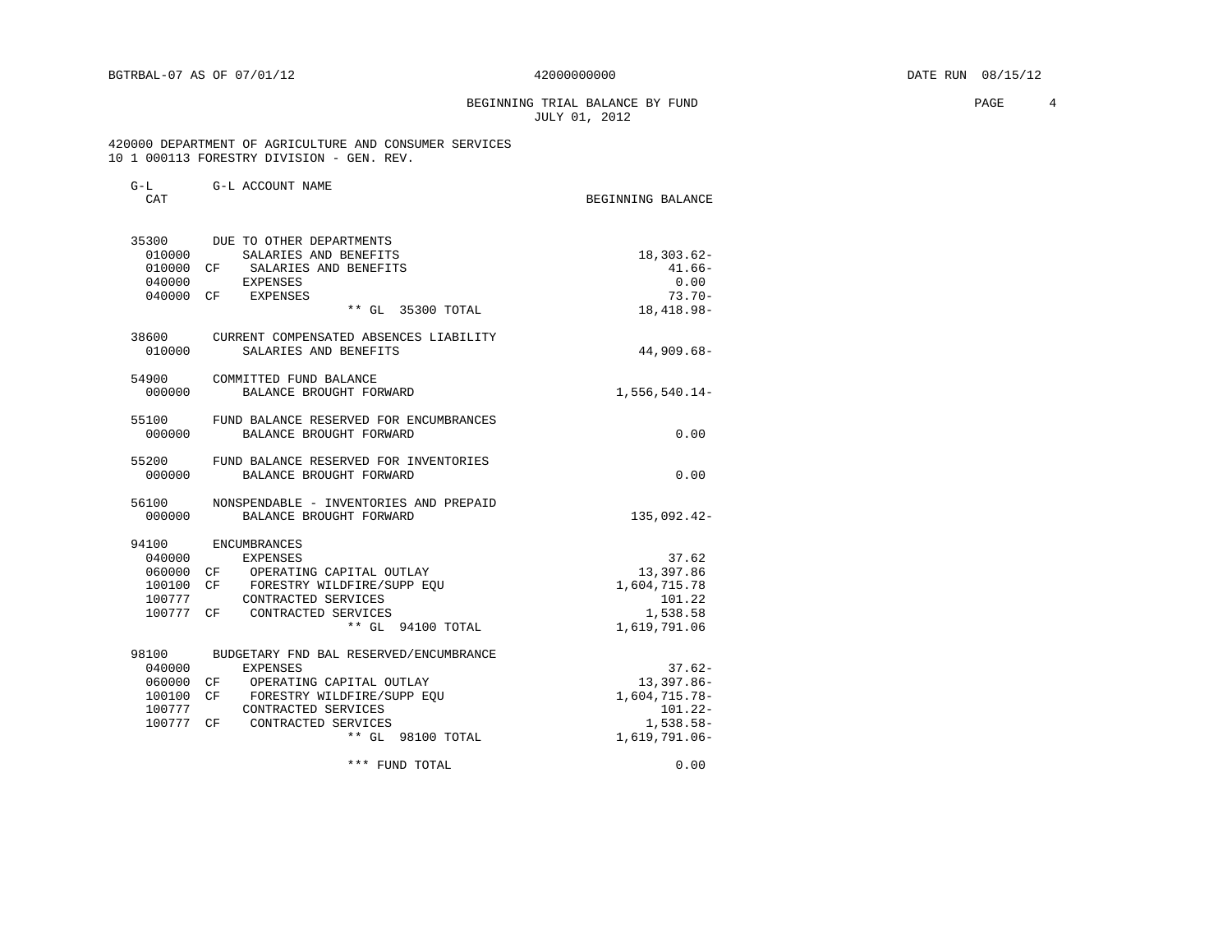BEGINNING TRIAL BALANCE BY FUND **EXAMPLE 1** PAGE 4 JULY 01, 2012

 420000 DEPARTMENT OF AGRICULTURE AND CONSUMER SERVICES 10 1 000113 FORESTRY DIVISION - GEN. REV.

| CAT                          |                                                                            | BEGINNING BALANCE            |
|------------------------------|----------------------------------------------------------------------------|------------------------------|
| 35300<br>010000<br>010000 CF | DUE TO OTHER DEPARTMENTS<br>SALARIES AND BENEFITS<br>SALARIES AND BENEFITS | $18,303.62-$<br>$41.66-$     |
| 040000                       | <b>EXPENSES</b>                                                            | 0.00                         |
|                              | 040000 CF EXPENSES<br>** GL 35300 TOTAL                                    | $73.70 -$<br>18, 418.98-     |
| 38600<br>010000              | CURRENT COMPENSATED ABSENCES LIABILITY<br>SALARIES AND BENEFITS            | 44,909.68-                   |
| 54900<br>000000              | COMMITTED FUND BALANCE<br>BALANCE BROUGHT FORWARD                          | $1,556,540.14-$              |
| 55100<br>000000              | FUND BALANCE RESERVED FOR ENCUMBRANCES<br>BALANCE BROUGHT FORWARD          | 0.00                         |
| 55200<br>000000              | FUND BALANCE RESERVED FOR INVENTORIES<br>BALANCE BROUGHT FORWARD           | 0.00                         |
| 56100<br>000000              | NONSPENDABLE - INVENTORIES AND PREPAID<br>BALANCE BROUGHT FORWARD          | 135,092.42-                  |
| 94100                        | ENCUMBRANCES                                                               |                              |
| 040000                       | EXPENSES                                                                   | 37.62                        |
|                              | 060000 CF OPERATING CAPITAL OUTLAY                                         | 13,397.86                    |
| 100100 CF                    | FORESTRY WILDFIRE/SUPP EOU                                                 | 1,604,715.78                 |
| 100777                       | CONTRACTED SERVICES<br>100777 CF CONTRACTED SERVICES                       | 101.22<br>1,538.58           |
|                              | ** GL 94100 TOTAL                                                          | 1,619,791.06                 |
| 98100                        | BUDGETARY FND BAL RESERVED/ENCUMBRANCE                                     |                              |
| 040000                       | EXPENSES                                                                   | $37.62-$                     |
| 060000                       | CF OPERATING CAPITAL OUTLAY                                                | 13,397.86-                   |
| 100100                       | CF<br>FORESTRY WILDFIRE/SUPP EOU                                           | 1,604,715.78-                |
| 100777                       | CONTRACTED SERVICES                                                        | $101.22 -$                   |
| 100777 CF                    | CONTRACTED SERVICES<br>** GL 98100 TOTAL                                   | $1,538.58-$<br>1,619,791.06- |
|                              | *** FUND TOTAL                                                             | 0.00                         |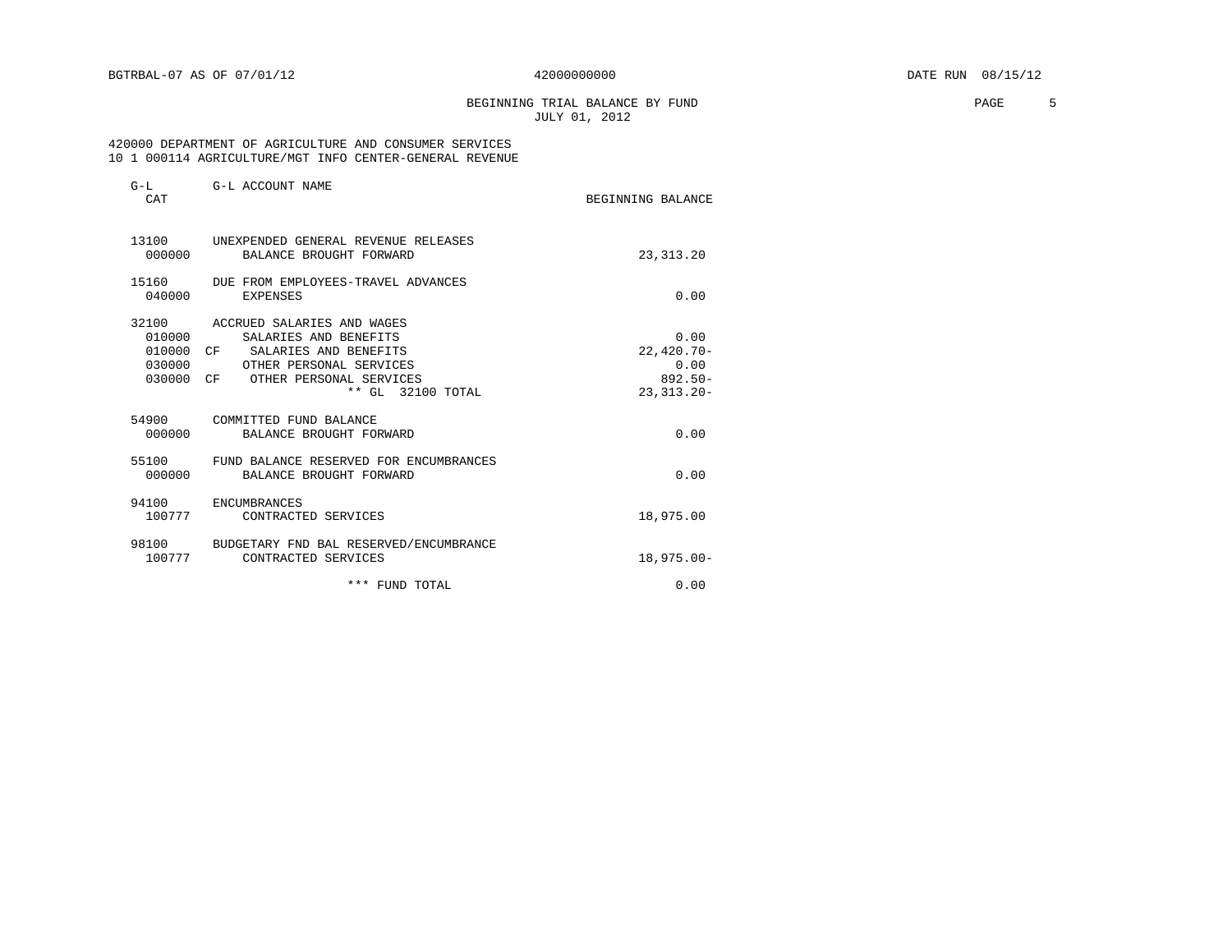# BEGINNING TRIAL BALANCE BY FUND **PAGE** 5 JULY 01, 2012

### 420000 DEPARTMENT OF AGRICULTURE AND CONSUMER SERVICES 10 1 000114 AGRICULTURE/MGT INFO CENTER-GENERAL REVENUE

| $G-L$<br><b>CAT</b>           | G-L ACCOUNT NAME                                                                                                                                                        | BEGINNING BALANCE                                             |
|-------------------------------|-------------------------------------------------------------------------------------------------------------------------------------------------------------------------|---------------------------------------------------------------|
| 000000                        | 13100 UNEXPENDED GENERAL REVENUE RELEASES<br>BALANCE BROUGHT FORWARD                                                                                                    | 23, 313. 20                                                   |
| 040000                        | 15160 DUE FROM EMPLOYEES-TRAVEL ADVANCES<br>EXPENSES                                                                                                                    | 0.00                                                          |
| 010000<br>030000<br>030000 CF | 32100 ACCRUED SALARIES AND WAGES<br>SALARIES AND BENEFITS<br>010000 CF SALARIES AND BENEFITS<br>OTHER PERSONAL SERVICES<br>OTHER PERSONAL SERVICES<br>** GL 32100 TOTAL | 0.00<br>$22,420.70-$<br>0.00<br>$892.50 -$<br>$23, 313, 20 -$ |
| 000000                        | 54900 COMMITTED FUND BALANCE<br>BALANCE BROUGHT FORWARD                                                                                                                 | 0.00                                                          |
| 55100<br>000000               | FUND BALANCE RESERVED FOR ENCUMBRANCES<br>BALANCE BROUGHT FORWARD                                                                                                       | 0.00                                                          |
| 94100<br>100777               | ENCUMBRANCES<br>CONTRACTED SERVICES                                                                                                                                     | 18,975.00                                                     |
| 100777                        | 98100 BUDGETARY FND BAL RESERVED/ENCUMBRANCE<br>CONTRACTED SERVICES                                                                                                     | $18,975.00 -$                                                 |
|                               | *** FUND TOTAL                                                                                                                                                          | 0.00                                                          |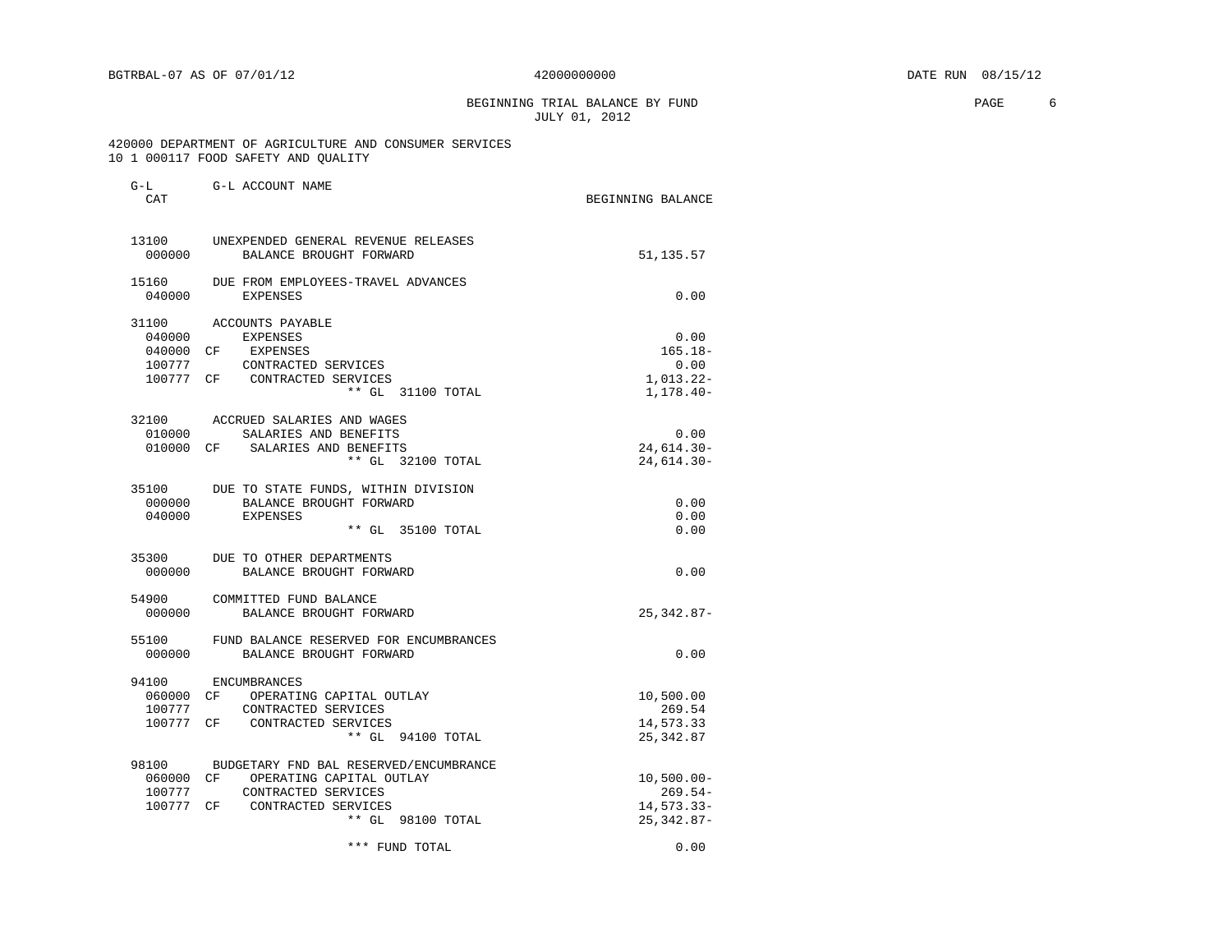# BEGINNING TRIAL BALANCE BY FUND **EXAMPLE 1999** PAGE 6 JULY 01, 2012

### 420000 DEPARTMENT OF AGRICULTURE AND CONSUMER SERVICES 10 1 000117 FOOD SAFETY AND QUALITY

| $G-L$<br>CAT    | G-L ACCOUNT NAME                                                     | BEGINNING BALANCE |
|-----------------|----------------------------------------------------------------------|-------------------|
|                 |                                                                      |                   |
| 000000          | 13100 UNEXPENDED GENERAL REVENUE RELEASES<br>BALANCE BROUGHT FORWARD | 51,135.57         |
| 15160<br>040000 | DUE FROM EMPLOYEES-TRAVEL ADVANCES<br>EXPENSES                       | 0.00              |
|                 | 31100 ACCOUNTS PAYABLE                                               |                   |
| 040000          | EXPENSES                                                             | 0.00              |
|                 | 040000 CF EXPENSES                                                   | $165.18 -$        |
| 100777          | CONTRACTED SERVICES                                                  | 0.00              |
|                 | 100777 CF CONTRACTED SERVICES                                        | 1,013.22-         |
|                 | ** GL 31100 TOTAL                                                    | 1,178.40-         |
|                 | 32100 ACCRUED SALARIES AND WAGES                                     |                   |
| 010000          | SALARIES AND BENEFITS                                                | 0.00              |
|                 | 010000 CF SALARIES AND BENEFITS                                      | 24,614.30-        |
|                 | ** GL 32100 TOTAL                                                    | 24,614.30-        |
| 35100           | DUE TO STATE FUNDS, WITHIN DIVISION                                  |                   |
| 000000          | BALANCE BROUGHT FORWARD                                              | 0.00              |
| 040000          | EXPENSES                                                             | 0.00              |
|                 | ** GL 35100 TOTAL                                                    | 0.00              |
| 35300           | DUE TO OTHER DEPARTMENTS                                             |                   |
| 000000          | BALANCE BROUGHT FORWARD                                              | 0.00              |
|                 | 54900 COMMITTED FUND BALANCE                                         |                   |
| 000000          | BALANCE BROUGHT FORWARD                                              | $25, 342.87 -$    |
| 55100           | FUND BALANCE RESERVED FOR ENCUMBRANCES                               |                   |
| 000000          | BALANCE BROUGHT FORWARD                                              | 0.00              |
| 94100           | ENCUMBRANCES                                                         |                   |
|                 | 060000 CF OPERATING CAPITAL OUTLAY                                   | 10,500.00         |
| 100777          | CONTRACTED SERVICES                                                  | 269.54            |
| 100777 CF       | CONTRACTED SERVICES                                                  | 14,573.33         |
|                 | ** GL 94100 TOTAL                                                    | 25, 342.87        |
|                 | 98100 BUDGETARY FND BAL RESERVED/ENCUMBRANCE                         |                   |
|                 | 060000 CF OPERATING CAPITAL OUTLAY                                   | $10,500.00 -$     |
| 100777          | CONTRACTED SERVICES                                                  | $269.54-$         |
|                 | 100777 CF CONTRACTED SERVICES                                        | 14,573.33-        |
|                 | ** GL 98100 TOTAL                                                    | $25,342.87-$      |
|                 | *** FUND TOTAL                                                       | 0.00              |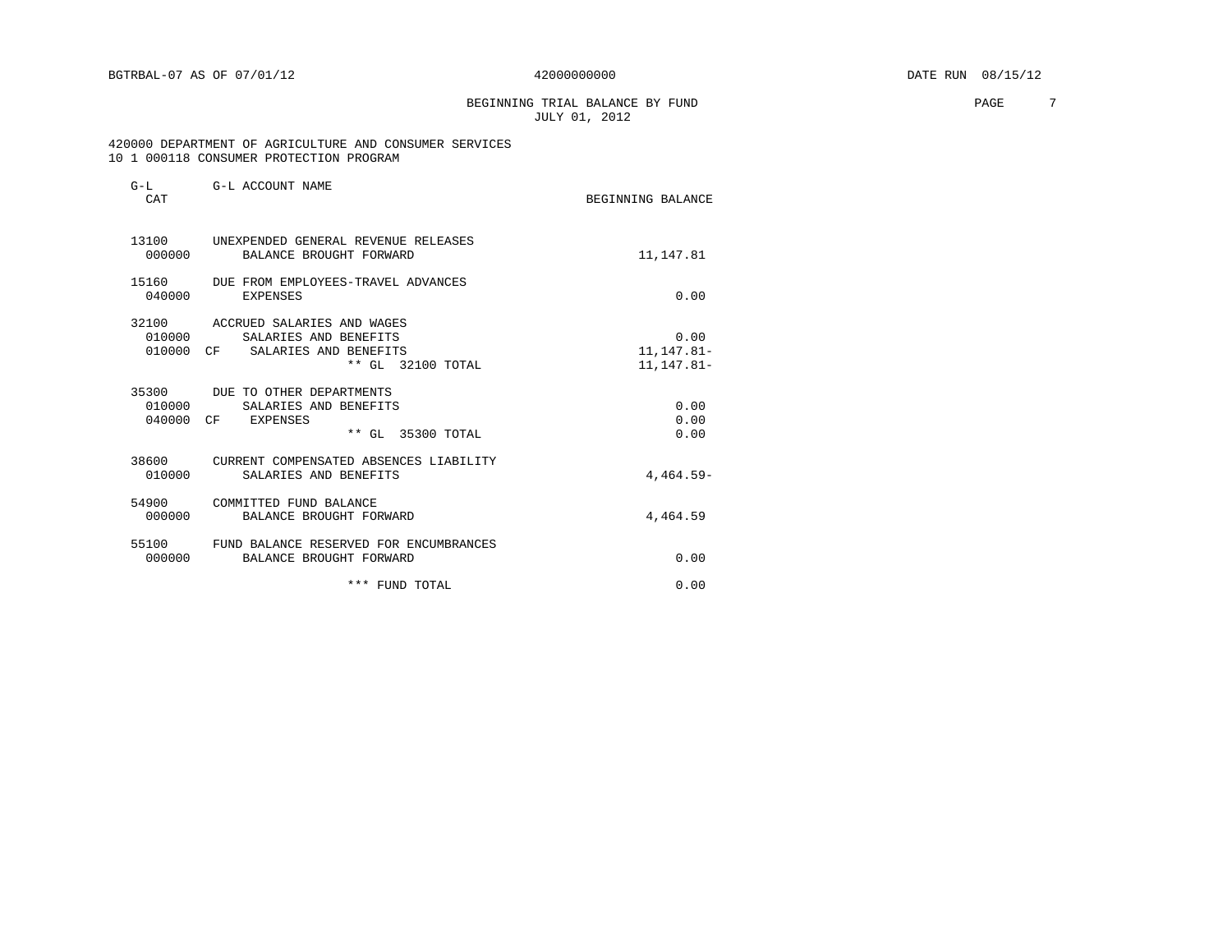# BEGINNING TRIAL BALANCE BY FUND **PAGE** 7 JULY 01, 2012

 420000 DEPARTMENT OF AGRICULTURE AND CONSUMER SERVICES 10 1 000118 CONSUMER PROTECTION PROGRAM

| $G-L$<br>CAT    | G-L ACCOUNT NAME                                                                                                  | BEGINNING BALANCE                  |
|-----------------|-------------------------------------------------------------------------------------------------------------------|------------------------------------|
| 000000          | 13100 UNEXPENDED GENERAL REVENUE RELEASES<br>BALANCE BROUGHT FORWARD                                              | 11,147.81                          |
| 15160<br>040000 | DUE FROM EMPLOYEES-TRAVEL ADVANCES<br>EXPENSES                                                                    | 0.00                               |
| 010000          | 32100 ACCRUED SALARIES AND WAGES<br>SALARIES AND BENEFITS<br>010000 CF SALARIES AND BENEFITS<br>** GL 32100 TOTAL | 0.00<br>11, 147.81-<br>11, 147.81- |
| 010000          | 35300 DUE TO OTHER DEPARTMENTS<br>SALARIES AND BENEFITS<br>040000 CF EXPENSES<br>** GL 35300 TOTAL                | 0.00<br>0.00<br>0.00               |
| 010000          | 38600 CURRENT COMPENSATED ABSENCES LIABILITY<br>SALARIES AND BENEFITS                                             | $4.464.59-$                        |
| 54900<br>000000 | COMMITTED FUND BALANCE<br>BALANCE BROUGHT FORWARD                                                                 | 4,464.59                           |
| 000000          | 55100 FUND BALANCE RESERVED FOR ENCUMBRANCES<br>BALANCE BROUGHT FORWARD                                           | 0.00                               |
|                 | *** FUND TOTAL                                                                                                    | 0.00                               |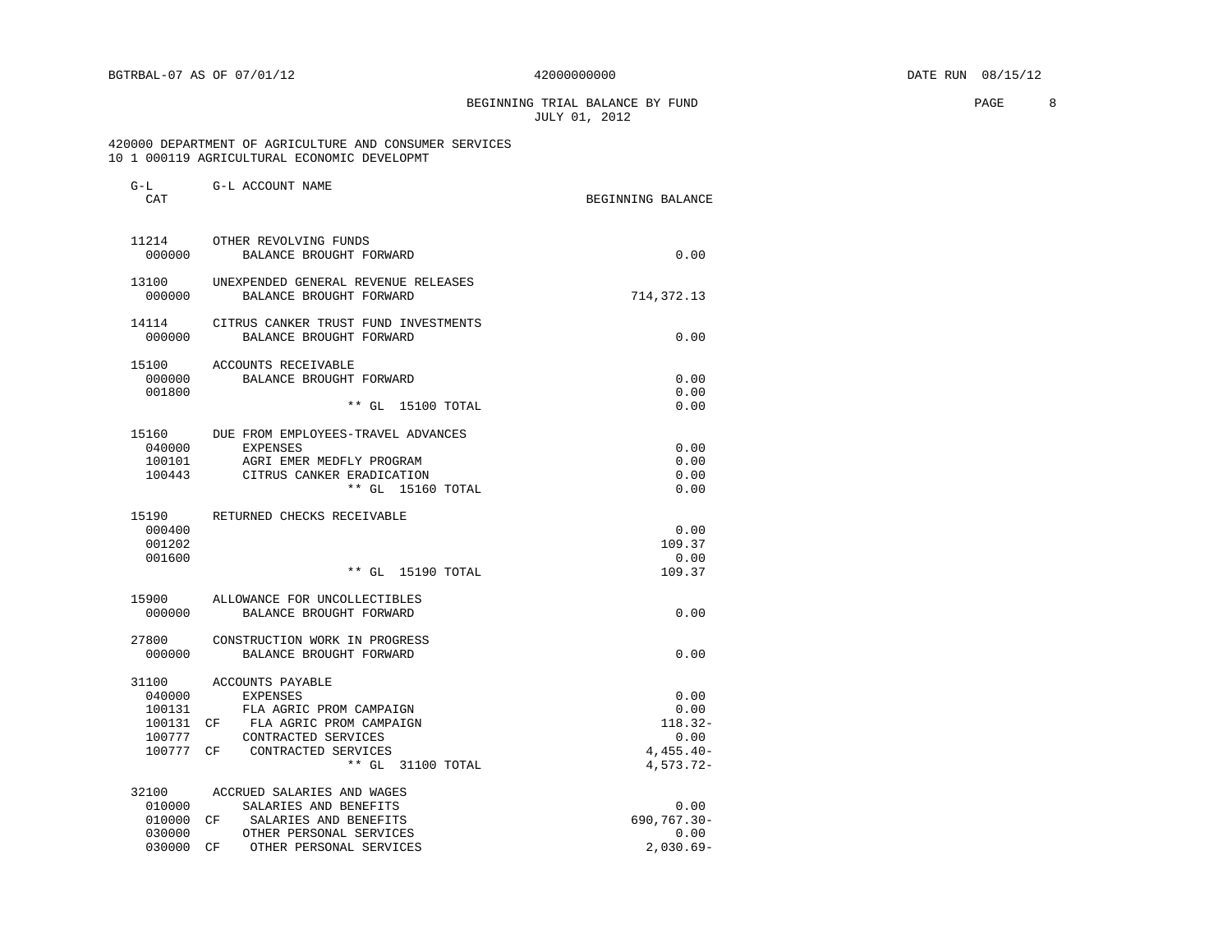# BEGINNING TRIAL BALANCE BY FUND **PAGE** 8 JULY 01, 2012

### 420000 DEPARTMENT OF AGRICULTURE AND CONSUMER SERVICES 10 1 000119 AGRICULTURAL ECONOMIC DEVELOPMT

| $G-L$<br>CAT    | G-L ACCOUNT NAME                                                | BEGINNING BALANCE |
|-----------------|-----------------------------------------------------------------|-------------------|
| 11214<br>000000 | OTHER REVOLVING FUNDS<br>BALANCE BROUGHT FORWARD                | 0.00              |
|                 |                                                                 |                   |
| 13100<br>000000 | UNEXPENDED GENERAL REVENUE RELEASES<br>BALANCE BROUGHT FORWARD  | 714, 372. 13      |
| 14114<br>000000 | CITRUS CANKER TRUST FUND INVESTMENTS<br>BALANCE BROUGHT FORWARD | 0.00              |
| 15100           | ACCOUNTS RECEIVABLE                                             |                   |
| 000000          | BALANCE BROUGHT FORWARD                                         | 0.00              |
| 001800          |                                                                 | 0.00              |
|                 | ** GL 15100 TOTAL                                               | 0.00              |
| 15160           | DUE FROM EMPLOYEES-TRAVEL ADVANCES                              |                   |
| 040000          | EXPENSES                                                        | 0.00              |
| 100101          | AGRI EMER MEDFLY PROGRAM                                        | 0.00              |
| 100443          | CITRUS CANKER ERADICATION                                       | 0.00              |
|                 | ** GL 15160 TOTAL                                               | 0.00              |
| 15190           | RETURNED CHECKS RECEIVABLE                                      |                   |
| 000400          |                                                                 | 0.00              |
| 001202          |                                                                 | 109.37            |
| 001600          |                                                                 | 0.00              |
|                 | ** GL 15190 TOTAL                                               | 109.37            |
| 15900           | ALLOWANCE FOR UNCOLLECTIBLES                                    |                   |
| 000000          | BALANCE BROUGHT FORWARD                                         | 0.00              |
| 27800           | CONSTRUCTION WORK IN PROGRESS                                   |                   |
| 000000          | BALANCE BROUGHT FORWARD                                         | 0.00              |
| 31100           | ACCOUNTS PAYABLE                                                |                   |
| 040000          | <b>EXPENSES</b>                                                 | 0.00              |
| 100131          | FLA AGRIC PROM CAMPAIGN                                         | 0.00              |
| 100131          | CF<br>FLA AGRIC PROM CAMPAIGN                                   | $118.32 -$        |
| 100777          | CONTRACTED SERVICES                                             | 0.00              |
| 100777 CF       | CONTRACTED SERVICES                                             | $4,455.40-$       |
|                 | ** GL 31100 TOTAL                                               | 4,573.72-         |
| 32100           | ACCRUED SALARIES AND WAGES                                      |                   |
| 010000          | SALARIES AND BENEFITS                                           | 0.00              |
| 010000 CF       | SALARIES AND BENEFITS                                           | 690,767.30-       |
| 030000          | OTHER PERSONAL SERVICES                                         | 0.00              |
| 030000          | OTHER PERSONAL SERVICES<br>CF                                   | $2,030.69-$       |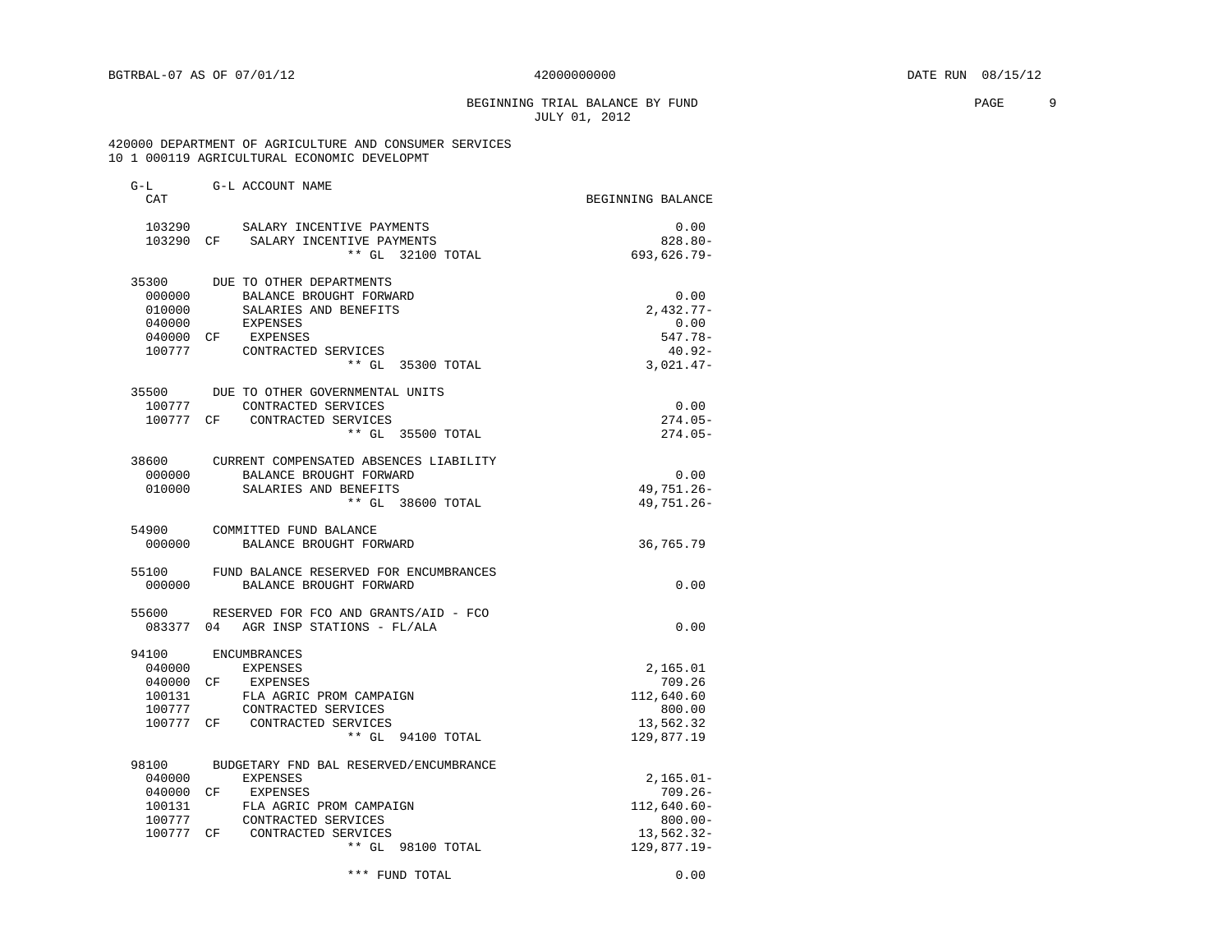# BEGINNING TRIAL BALANCE BY FUND **EXAMPLE 19** PAGE 9 JULY 01, 2012

### 420000 DEPARTMENT OF AGRICULTURE AND CONSUMER SERVICES 10 1 000119 AGRICULTURAL ECONOMIC DEVELOPMT

| $G-L$<br>CAT     | G-L ACCOUNT NAME                                     | BEGINNING BALANCE        |
|------------------|------------------------------------------------------|--------------------------|
|                  | 103290 SALARY INCENTIVE PAYMENTS                     | 0.00                     |
| 103290 CF        | SALARY INCENTIVE PAYMENTS                            | $828.80 -$               |
|                  | ** GL 32100 TOTAL                                    | 693,626.79-              |
| 35300            | DUE TO OTHER DEPARTMENTS                             |                          |
| 000000           | BALANCE BROUGHT FORWARD                              | 0.00                     |
| 010000           | SALARIES AND BENEFITS                                | $2,432.77-$              |
| 040000           | EXPENSES                                             | 0.00                     |
| 040000 CF        | EXPENSES                                             | $547.78-$                |
| 100777           | CONTRACTED SERVICES                                  | 40.92-                   |
|                  | ** GL 35300 TOTAL                                    | $3,021.47-$              |
| 35500            | DUE TO OTHER GOVERNMENTAL UNITS                      |                          |
| 100777           | CONTRACTED SERVICES                                  | 0.00                     |
| 100777 CF        | CONTRACTED SERVICES<br>** GL 35500 TOTAL             | $274.05-$<br>$274.05-$   |
|                  |                                                      |                          |
|                  | 38600 CURRENT COMPENSATED ABSENCES LIABILITY         |                          |
| 000000<br>010000 | BALANCE BROUGHT FORWARD<br>SALARIES AND BENEFITS     | 0.00<br>49,751.26-       |
|                  | ** GL 38600 TOTAL                                    | 49,751.26-               |
|                  |                                                      |                          |
| 54900            | COMMITTED FUND BALANCE                               |                          |
| 000000           | BALANCE BROUGHT FORWARD                              | 36,765.79                |
| 55100            | FUND BALANCE RESERVED FOR ENCUMBRANCES               |                          |
| 000000           | BALANCE BROUGHT FORWARD                              | 0.00                     |
|                  | 55600 RESERVED FOR FCO AND GRANTS/AID - FCO          |                          |
|                  | 083377 04 AGR INSP STATIONS - FL/ALA                 | 0.00                     |
|                  | 94100 ENCUMBRANCES                                   |                          |
| 040000           | <b>EXPENSES</b>                                      | 2,165.01                 |
| 040000 CF        | EXPENSES                                             | 709.26                   |
| 100131           | FLA AGRIC PROM CAMPAIGN                              | 112,640.60               |
| 100777           | CONTRACTED SERVICES                                  | 800.00                   |
|                  | 100777 CF CONTRACTED SERVICES<br>** GL 94100 TOTAL   | 13,562.32                |
|                  |                                                      | 129,877.19               |
|                  | 98100 BUDGETARY FND BAL RESERVED/ENCUMBRANCE         |                          |
| 040000           | <b>EXPENSES</b>                                      | $2,165.01-$              |
| 040000 CF        | EXPENSES                                             | $709.26 -$               |
| 100131<br>100777 | FLA AGRIC PROM CAMPAIGN                              | $112,640.60 -$           |
|                  | CONTRACTED SERVICES<br>100777 CF CONTRACTED SERVICES | $800.00 -$<br>13,562.32- |
|                  | ** GL 98100 TOTAL                                    | $129,877.19-$            |
|                  | *** FUND TOTAL                                       | 0.00                     |
|                  |                                                      |                          |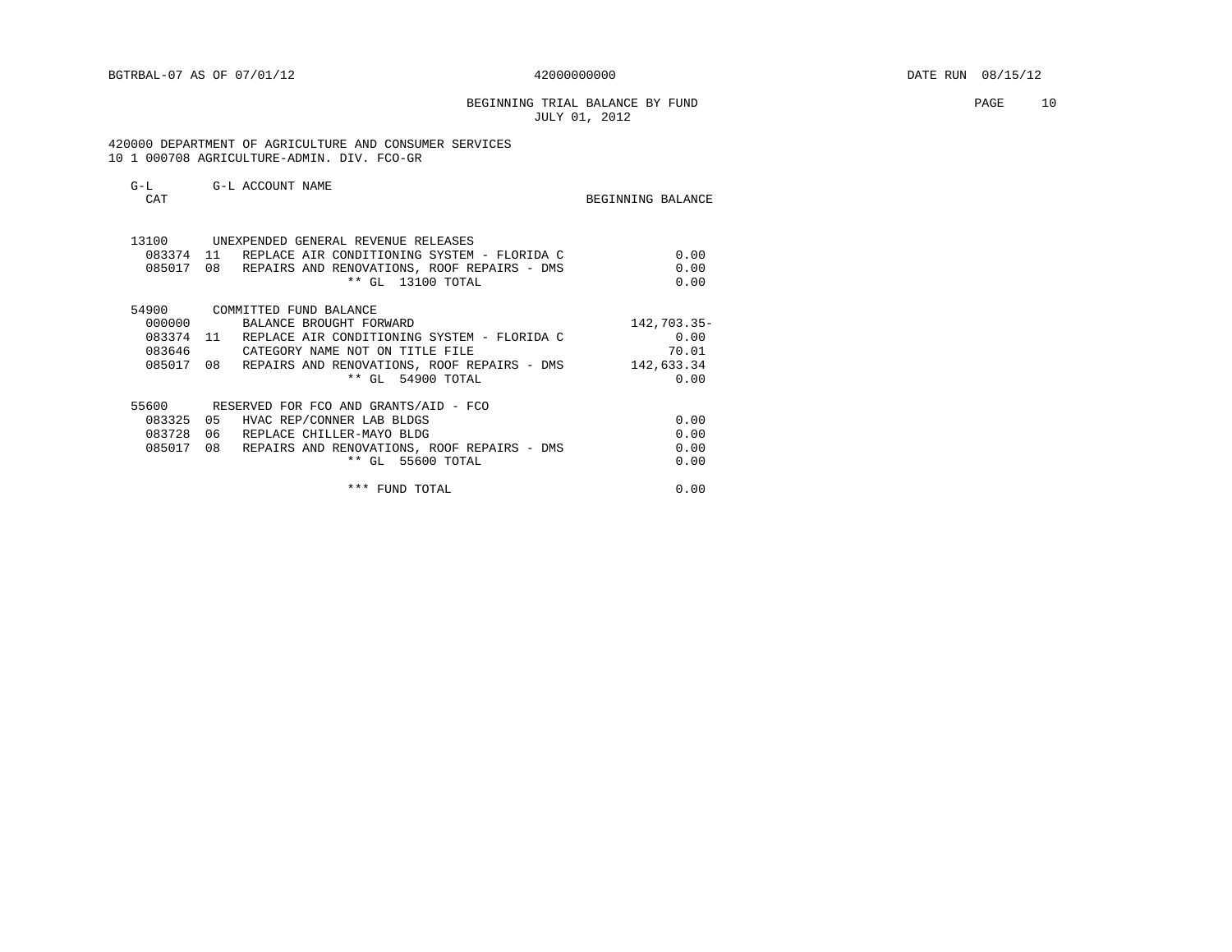BEGINNING TRIAL BALANCE BY FUND **PAGE** 10 JULY 01, 2012

 420000 DEPARTMENT OF AGRICULTURE AND CONSUMER SERVICES 10 1 000708 AGRICULTURE-ADMIN. DIV. FCO-GR

| G-L<br>CAT | G-L ACCOUNT NAME                                      | BEGINNING BALANCE |
|------------|-------------------------------------------------------|-------------------|
|            | 13100 UNEXPENDED GENERAL REVENUE RELEASES             |                   |
| 083374 11  | REPLACE AIR CONDITIONING SYSTEM - FLORIDA C           | 0.00              |
|            | 085017 08 REPAIRS AND RENOVATIONS, ROOF REPAIRS - DMS | 0.00              |
|            | ** GL 13100 TOTAL                                     | 0.00              |
| 54900      | COMMITTED FUND BALANCE                                |                   |
| 000000     | BALANCE BROUGHT FORWARD                               | 142,703.35-       |
|            | 083374 11 REPLACE AIR CONDITIONING SYSTEM - FLORIDA C | 0.00              |
| 083646     | CATEGORY NAME NOT ON TITLE FILE                       | 70.01             |
|            | 085017 08 REPAIRS AND RENOVATIONS, ROOF REPAIRS - DMS | 142,633.34        |
|            | ** GL 54900 TOTAL                                     | 0.00              |
|            | 55600 RESERVED FOR FCO AND GRANTS/AID - FCO           |                   |
| 083325     | 05<br>HVAC REP/CONNER LAB BLDGS                       | 0.00              |
| 083728     | 06<br>REPLACE CHILLER-MAYO BLDG                       | 0.00              |
| 085017     | 08 REPAIRS AND RENOVATIONS, ROOF REPAIRS - DMS        | 0.00              |
|            | ** GL 55600 TOTAL                                     | 0.00              |
|            |                                                       |                   |
|            | *** FUND TOTAL                                        | 0.00              |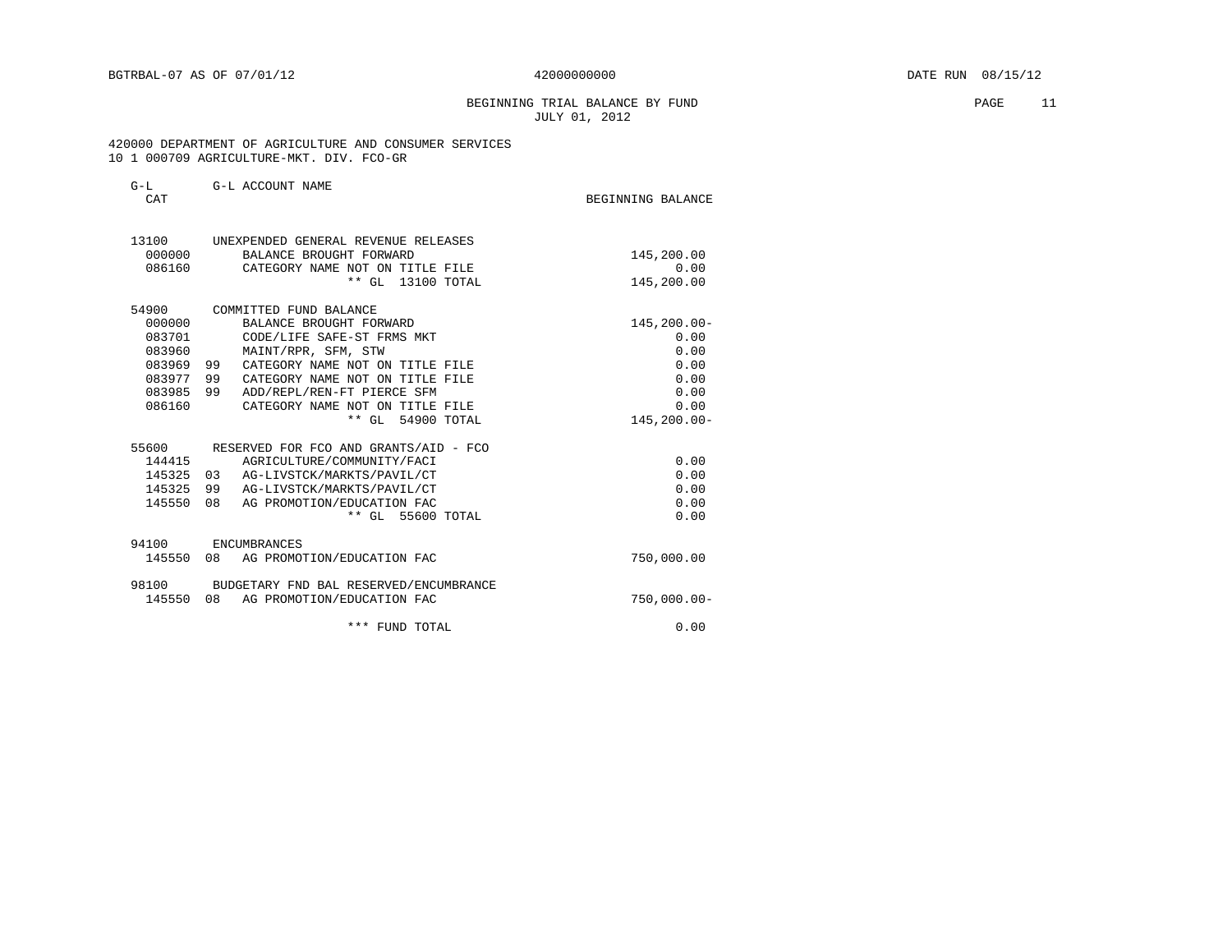# BEGINNING TRIAL BALANCE BY FUND PAGE 11 JULY 01, 2012

 420000 DEPARTMENT OF AGRICULTURE AND CONSUMER SERVICES 10 1 000709 AGRICULTURE-MKT. DIV. FCO-GR

| G-L<br><b>CAT</b> | G-L ACCOUNT NAME                                               | BEGINNING BALANCE |
|-------------------|----------------------------------------------------------------|-------------------|
| 13100<br>000000   | UNEXPENDED GENERAL REVENUE RELEASES<br>BALANCE BROUGHT FORWARD | 145,200.00        |
| 086160            | CATEGORY NAME NOT ON TITLE FILE                                | 0.00              |
|                   | ** GL 13100 TOTAL                                              | 145,200.00        |
| 54900             | COMMITTED FUND BALANCE                                         |                   |
| 000000            | BALANCE BROUGHT FORWARD                                        | 145,200.00-       |
| 083701            | CODE/LIFE SAFE-ST FRMS MKT                                     | 0.00              |
| 083960            | MAINT/RPR, SFM, STW                                            | 0.00              |
| 083969 99         | CATEGORY NAME NOT ON TITLE FILE                                | 0.00              |
| 083977 99         | CATEGORY NAME NOT ON TITLE FILE                                | 0.00              |
| 083985            | 99<br>ADD/REPL/REN-FT PIERCE SFM                               | 0.00              |
| 086160            | CATEGORY NAME NOT ON TITLE FILE                                | 0.00              |
|                   | ** GL 54900 TOTAL                                              | 145,200.00-       |
| 55600             | RESERVED FOR FCO AND GRANTS/AID - FCO                          |                   |
| 144415            | AGRICULTURE/COMMUNITY/FACI                                     | 0.00              |
| 145325 03         | AG-LIVSTCK/MARKTS/PAVIL/CT                                     | 0.00              |
| 145325            | 99<br>AG-LIVSTCK/MARKTS/PAVIL/CT                               | 0.00              |
| 145550            | 08<br>AG PROMOTION/EDUCATION FAC                               | 0.00              |
|                   | ** GL 55600 TOTAL                                              | 0.00              |
| 94100             | ENCUMBRANCES                                                   |                   |
|                   | 145550 08 AG PROMOTION/EDUCATION FAC                           | 750,000.00        |
|                   | 98100 BUDGETARY FND BAL RESERVED/ENCUMBRANCE                   |                   |
|                   | 145550 08 AG PROMOTION/EDUCATION FAC                           | $750,000.00 -$    |
|                   | *** FUND TOTAL                                                 | 0.00              |
|                   |                                                                |                   |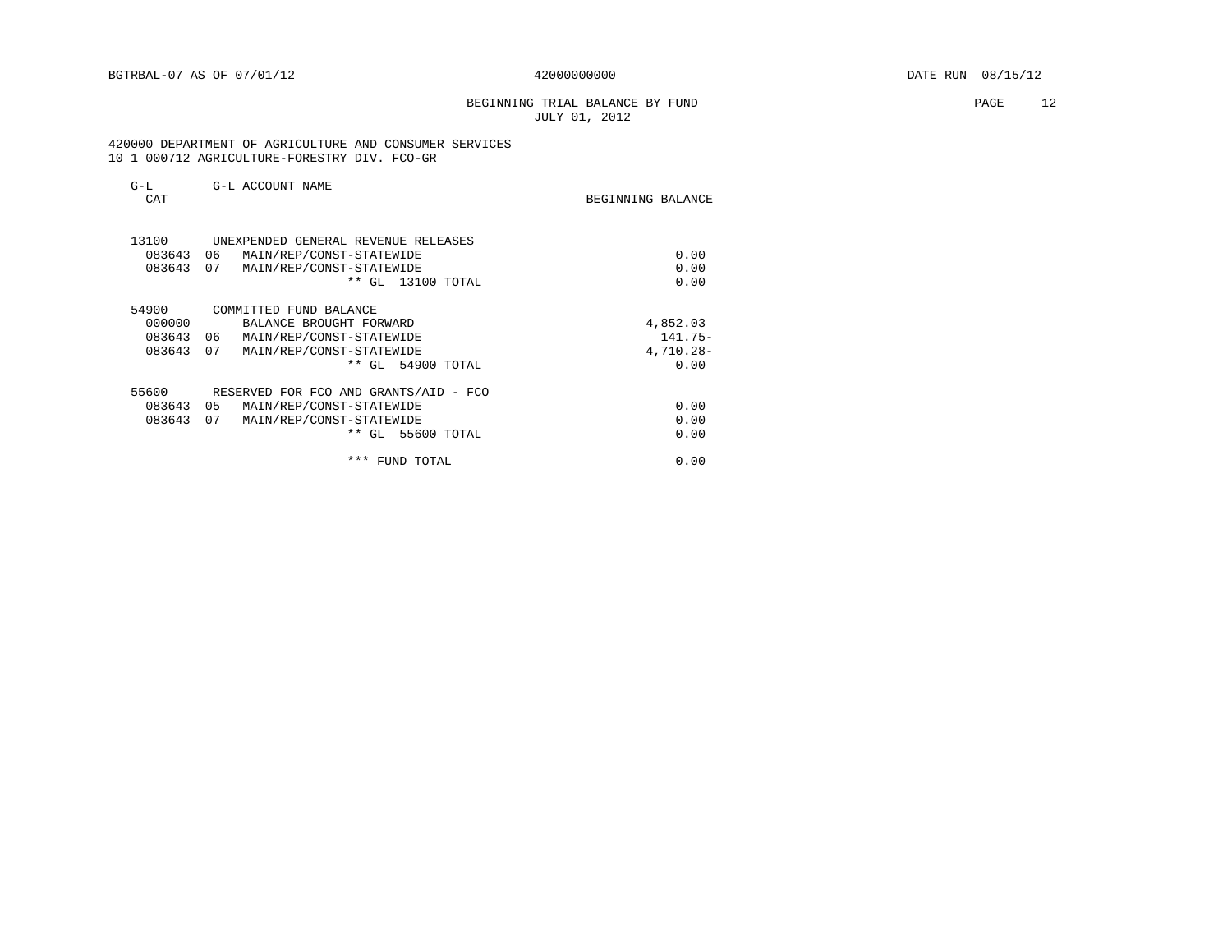# BEGINNING TRIAL BALANCE BY FUND **PAGE** 12 JULY 01, 2012

 420000 DEPARTMENT OF AGRICULTURE AND CONSUMER SERVICES 10 1 000712 AGRICULTURE-FORESTRY DIV. FCO-GR

| G-L<br>CAT | G-L ACCOUNT NAME                      | BEGINNING BALANCE |
|------------|---------------------------------------|-------------------|
| 13100      | UNEXPENDED GENERAL REVENUE RELEASES   |                   |
| 083643     | 06<br>MAIN/REP/CONST-STATEWIDE        | 0.00              |
| 083643     | 07<br>MAIN/REP/CONST-STATEWIDE        | 0.00              |
|            | $***$<br>GL 13100 TOTAL               | 0.00              |
| 54900      | COMMITTED FUND BALANCE                |                   |
| 000000     | BALANCE BROUGHT FORWARD               | 4,852.03          |
| 083643     | 06<br>MAIN/REP/CONST-STATEWIDE        | $141.75-$         |
| 083643     | 07<br>MAIN/REP/CONST-STATEWIDE        | 4,710.28-         |
|            | ** GL 54900 TOTAL                     | 0.00              |
| 55600      | RESERVED FOR FCO AND GRANTS/AID - FCO |                   |
| 083643     | 05<br>MAIN/REP/CONST-STATEWIDE        | 0.00              |
| 083643     | 07<br>MAIN/REP/CONST-STATEWIDE        | 0.00              |
|            | $***$<br>GL 55600 TOTAL               | 0.00              |
|            | $***$<br>FUND TOTAL                   | 0.00              |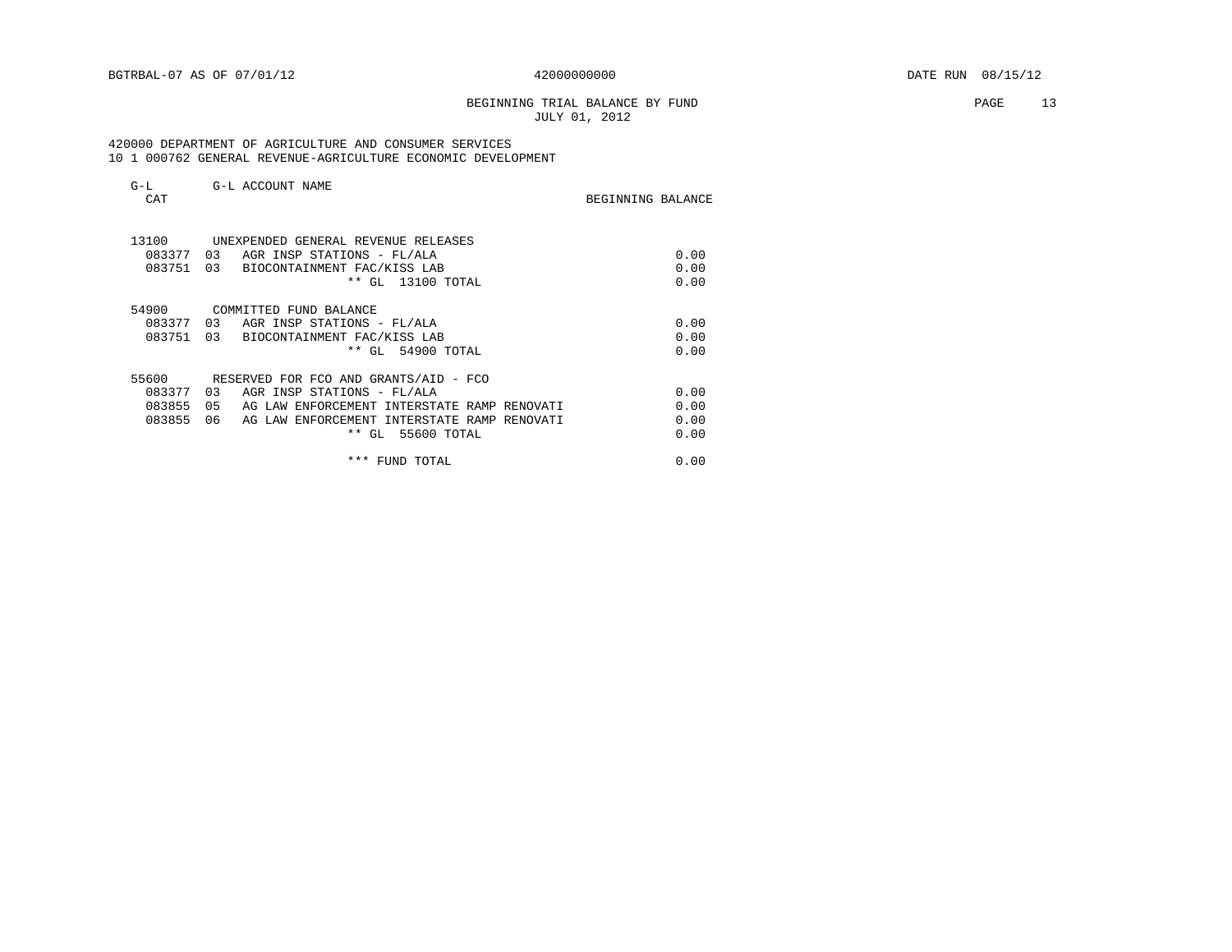# BEGINNING TRIAL BALANCE BY FUND **PAGE** 13 JULY 01, 2012

 420000 DEPARTMENT OF AGRICULTURE AND CONSUMER SERVICES 10 1 000762 GENERAL REVENUE-AGRICULTURE ECONOMIC DEVELOPMENT

| $G-L$<br>CAT | G-L ACCOUNT NAME                                   | BEGINNING BALANCE |
|--------------|----------------------------------------------------|-------------------|
| 13100        | UNEXPENDED GENERAL REVENUE RELEASES                |                   |
| 083377 03    | AGR INSP STATIONS - FL/ALA                         | 0.00              |
| 083751       | 03<br>BIOCONTAINMENT FAC/KISS LAB                  | 0.00              |
|              | ** GL 13100 TOTAL                                  | 0.00              |
| 54900        | COMMITTED FUND BALANCE                             |                   |
| 083377       | 0.3<br>AGR INSP STATIONS - FL/ALA                  | 0.00              |
| 083751       | 03<br>BIOCONTAINMENT FAC/KISS LAB                  | 0.00              |
|              | ** GL 54900 TOTAL                                  | 0.00              |
| 55600        | RESERVED FOR FCO AND GRANTS/AID - FCO              |                   |
| 083377       | 03<br>AGR INSP STATIONS - FL/ALA                   | 0.00              |
| 083855       | 0.5<br>AG LAW ENFORCEMENT INTERSTATE RAMP RENOVATI | 0.00              |
| 083855       | 06<br>AG LAW ENFORCEMENT INTERSTATE RAMP RENOVATI  | 0.00              |
|              | ** GL 55600 TOTAL                                  | 0.00              |
|              | * * *<br>FUND TOTAL                                | 0.00              |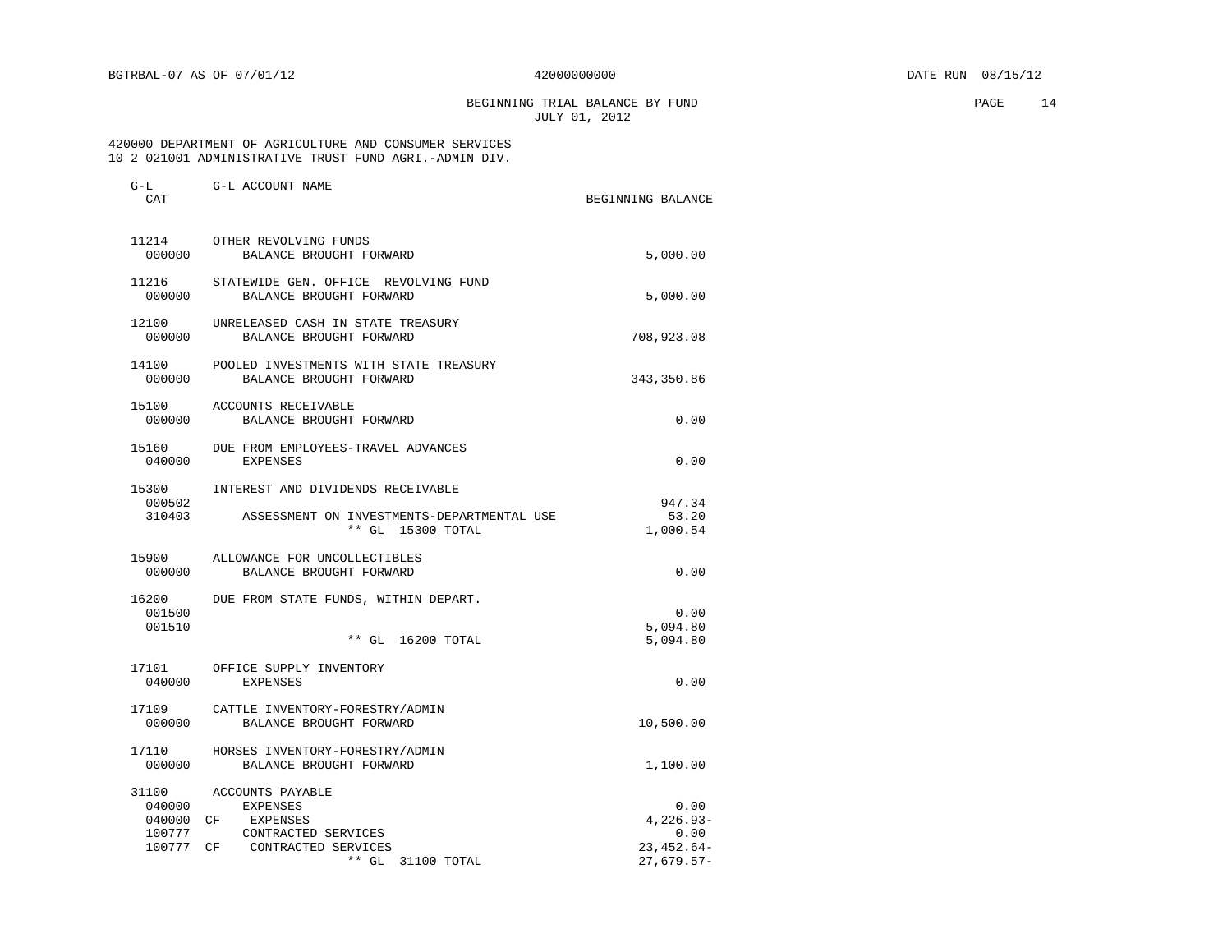BEGINNING TRIAL BALANCE BY FUND **PAGE** 14 JULY 01, 2012

 420000 DEPARTMENT OF AGRICULTURE AND CONSUMER SERVICES 10 2 021001 ADMINISTRATIVE TRUST FUND AGRI.-ADMIN DIV.

| CAT                       |                                                                                                                                       | BEGINNING BALANCE                                           |
|---------------------------|---------------------------------------------------------------------------------------------------------------------------------------|-------------------------------------------------------------|
| 000000                    | 11214 OTHER REVOLVING FUNDS<br>BALANCE BROUGHT FORWARD                                                                                | 5,000.00                                                    |
| 000000                    | 11216 STATEWIDE GEN. OFFICE REVOLVING FUND<br>BALANCE BROUGHT FORWARD                                                                 | 5,000.00                                                    |
| 12100<br>000000           | UNRELEASED CASH IN STATE TREASURY<br>BALANCE BROUGHT FORWARD                                                                          | 708,923.08                                                  |
| 14100<br>000000           | POOLED INVESTMENTS WITH STATE TREASURY<br>BALANCE BROUGHT FORWARD                                                                     | 343,350.86                                                  |
| 000000                    | 15100 ACCOUNTS RECEIVABLE<br>BALANCE BROUGHT FORWARD                                                                                  | 0.00                                                        |
| 15160<br>040000           | DUE FROM EMPLOYEES-TRAVEL ADVANCES<br><b>EXPENSES</b>                                                                                 | 0.00                                                        |
| 15300<br>000502<br>310403 | INTEREST AND DIVIDENDS RECEIVABLE<br>ASSESSMENT ON INVESTMENTS-DEPARTMENTAL USE<br>** GL 15300 TOTAL                                  | 947.34<br>53.20<br>1,000.54                                 |
| 000000                    | 15900 ALLOWANCE FOR UNCOLLECTIBLES<br>BALANCE BROUGHT FORWARD                                                                         | 0.00                                                        |
| 16200<br>001500<br>001510 | DUE FROM STATE FUNDS, WITHIN DEPART.<br>** GL 16200 TOTAL                                                                             | 0.00<br>5,094.80<br>5,094.80                                |
| 040000                    | 17101 OFFICE SUPPLY INVENTORY<br><b>EXPENSES</b>                                                                                      | 0.00                                                        |
| 17109<br>000000           | CATTLE INVENTORY-FORESTRY/ADMIN<br>BALANCE BROUGHT FORWARD                                                                            | 10,500.00                                                   |
| 17110<br>000000           | HORSES INVENTORY-FORESTRY/ADMIN<br>BALANCE BROUGHT FORWARD                                                                            | 1,100.00                                                    |
| 040000<br>100777          | 31100 ACCOUNTS PAYABLE<br>EXPENSES<br>040000 CF EXPENSES<br>CONTRACTED SERVICES<br>100777 CF CONTRACTED SERVICES<br>** GL 31100 TOTAL | 0.00<br>$4.226.93-$<br>0.00<br>$23,452.64-$<br>$27,679.57-$ |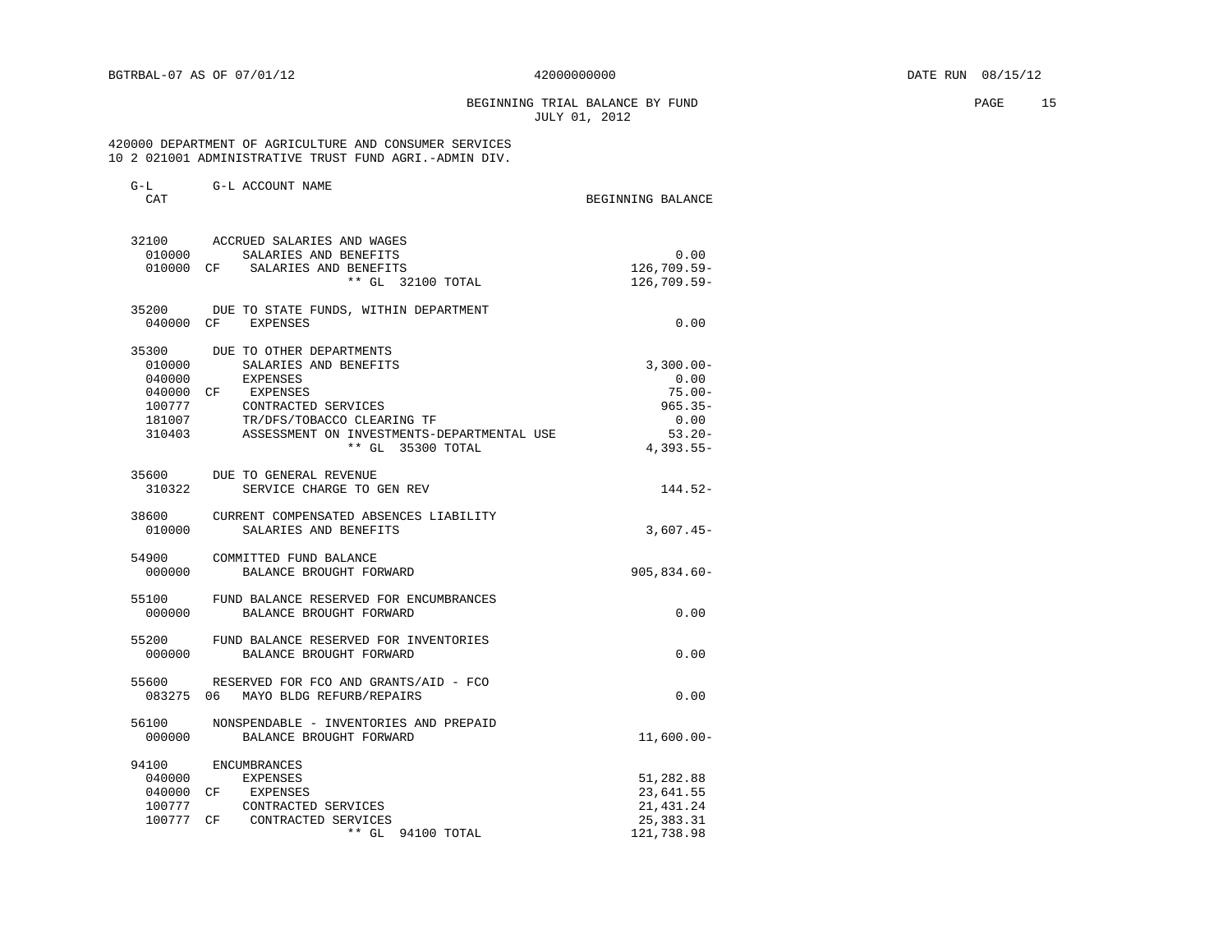BEGINNING TRIAL BALANCE BY FUND PAGE 15 JULY 01, 2012

### 420000 DEPARTMENT OF AGRICULTURE AND CONSUMER SERVICES 10 2 021001 ADMINISTRATIVE TRUST FUND AGRI.-ADMIN DIV.

| \ T _ _ L _I<br>CAT | G-D UCCOONI INAME                            | BEGINNING BALANCE |
|---------------------|----------------------------------------------|-------------------|
|                     | 32100 ACCRUED SALARIES AND WAGES             |                   |
|                     | 010000 SALARIES AND BENEFITS                 | 0.00              |
|                     | 010000 CF SALARIES AND BENEFITS              | $126,709.59 -$    |
|                     | ** GL 32100 TOTAL                            | 126,709.59-       |
|                     | 35200 DUE TO STATE FUNDS, WITHIN DEPARTMENT  |                   |
|                     | 040000 CF EXPENSES                           | 0.00              |
|                     | 35300 DUE TO OTHER DEPARTMENTS               |                   |
| 010000              | SALARIES AND BENEFITS                        | $3,300.00 -$      |
| 040000              | EXPENSES                                     | 0.00              |
|                     | 040000 CF EXPENSES                           | $75.00 -$         |
| 100777              | CONTRACTED SERVICES                          | $965.35 -$        |
| 181007              | TR/DFS/TOBACCO CLEARING TF                   | 0.00              |
| 310403              | ASSESSMENT ON INVESTMENTS-DEPARTMENTAL USE   | $53.20 -$         |
|                     | ** GL 35300 TOTAL                            | $4,393.55-$       |
| 35600               | DUE TO GENERAL REVENUE                       |                   |
| 310322              | SERVICE CHARGE TO GEN REV                    | 144.52-           |
|                     | 38600 CURRENT COMPENSATED ABSENCES LIABILITY |                   |
| 010000              | SALARIES AND BENEFITS                        | $3,607.45-$       |
|                     | 54900 COMMITTED FUND BALANCE                 |                   |
| 000000              | BALANCE BROUGHT FORWARD                      | $905,834.60 -$    |
| 55100               | FUND BALANCE RESERVED FOR ENCUMBRANCES       |                   |
| 000000              | BALANCE BROUGHT FORWARD                      | 0.00              |
| 55200               | FUND BALANCE RESERVED FOR INVENTORIES        |                   |
| 000000              | BALANCE BROUGHT FORWARD                      | 0.00              |
|                     | 55600 RESERVED FOR FCO AND GRANTS/AID - FCO  |                   |
|                     | 083275 06 MAYO BLDG REFURB/REPAIRS           | 0.00              |
| 56100               | NONSPENDABLE - INVENTORIES AND PREPAID       |                   |
| 000000              | BALANCE BROUGHT FORWARD                      | $11,600.00 -$     |
| 94100               | <b>ENCUMBRANCES</b>                          |                   |
| 040000              | <b>EXPENSES</b>                              | 51,282.88         |
|                     | 040000 CF EXPENSES                           | 23,641.55         |
| 100777              | CONTRACTED SERVICES                          | 21, 431. 24       |
| 100777 CF           | CONTRACTED SERVICES                          | 25, 383. 31       |
|                     | ** GL 94100 TOTAL                            | 121,738.98        |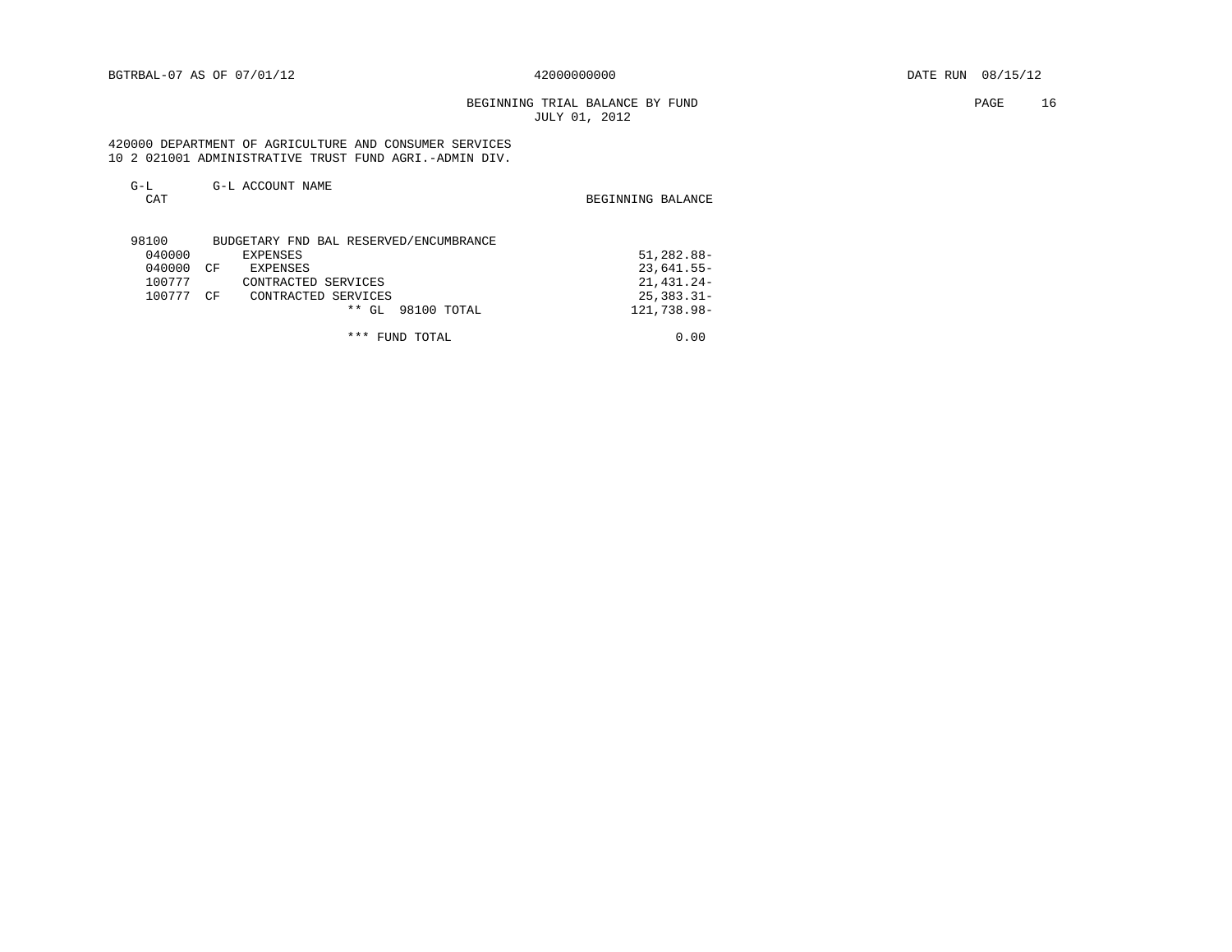# BEGINNING TRIAL BALANCE BY FUND **PAGE** 16 JULY 01, 2012

 420000 DEPARTMENT OF AGRICULTURE AND CONSUMER SERVICES 10 2 021001 ADMINISTRATIVE TRUST FUND AGRI.-ADMIN DIV.

| $G-L$<br>CAT | G-L ACCOUNT NAME                       | BEGINNING BALANCE |
|--------------|----------------------------------------|-------------------|
| 98100        | BUDGETARY FND BAL RESERVED/ENCUMBRANCE |                   |
| 040000       | <b>EXPENSES</b>                        | 51,282.88-        |
| 040000       | <b>EXPENSES</b><br>CF                  | $23,641.55 -$     |
| 100777       | CONTRACTED SERVICES                    | 21, 431. 24-      |
| 100777       | CF<br>CONTRACTED SERVICES              | $25, 383.31 -$    |
|              | $**$ GL<br>98100 TOTAL                 | 121,738.98-       |
|              | ***<br>TOTAL<br>FUND                   | 0.00              |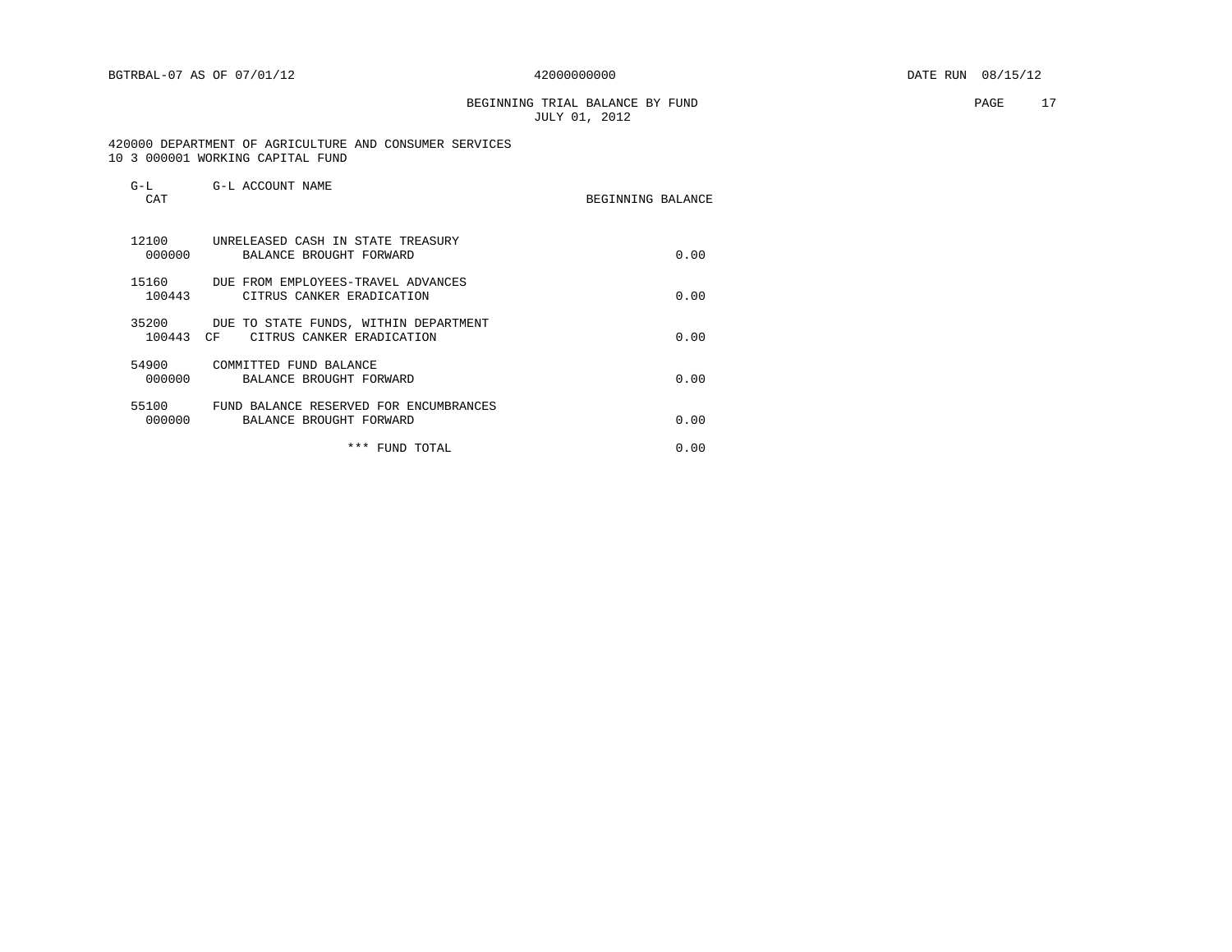BEGINNING TRIAL BALANCE BY FUND **PAGE** 17 JULY 01, 2012

 420000 DEPARTMENT OF AGRICULTURE AND CONSUMER SERVICES 10 3 000001 WORKING CAPITAL FUND

| $G-L$<br>CAT       | G-L ACCOUNT NAME                                                   | BEGINNING BALANCE |      |
|--------------------|--------------------------------------------------------------------|-------------------|------|
| 12100<br>000000    | UNRELEASED CASH IN STATE TREASURY<br>BALANCE BROUGHT FORWARD       |                   | 0.00 |
| 15160<br>100443    | DUE FROM EMPLOYEES-TRAVEL ADVANCES<br>CITRUS CANKER ERADICATION    |                   | 0.00 |
| 35200<br>100443 CF | DUE TO STATE FUNDS, WITHIN DEPARTMENT<br>CITRUS CANKER ERADICATION |                   | 0.00 |
| 54900<br>000000    | COMMITTED FUND BALANCE<br>BALANCE BROUGHT FORWARD                  |                   | 0.00 |
| 55100<br>000000    | FUND BALANCE RESERVED FOR ENCUMBRANCES<br>BALANCE BROUGHT FORWARD  |                   | 0.00 |
|                    | ***<br>FUND TOTAL                                                  |                   | 0.00 |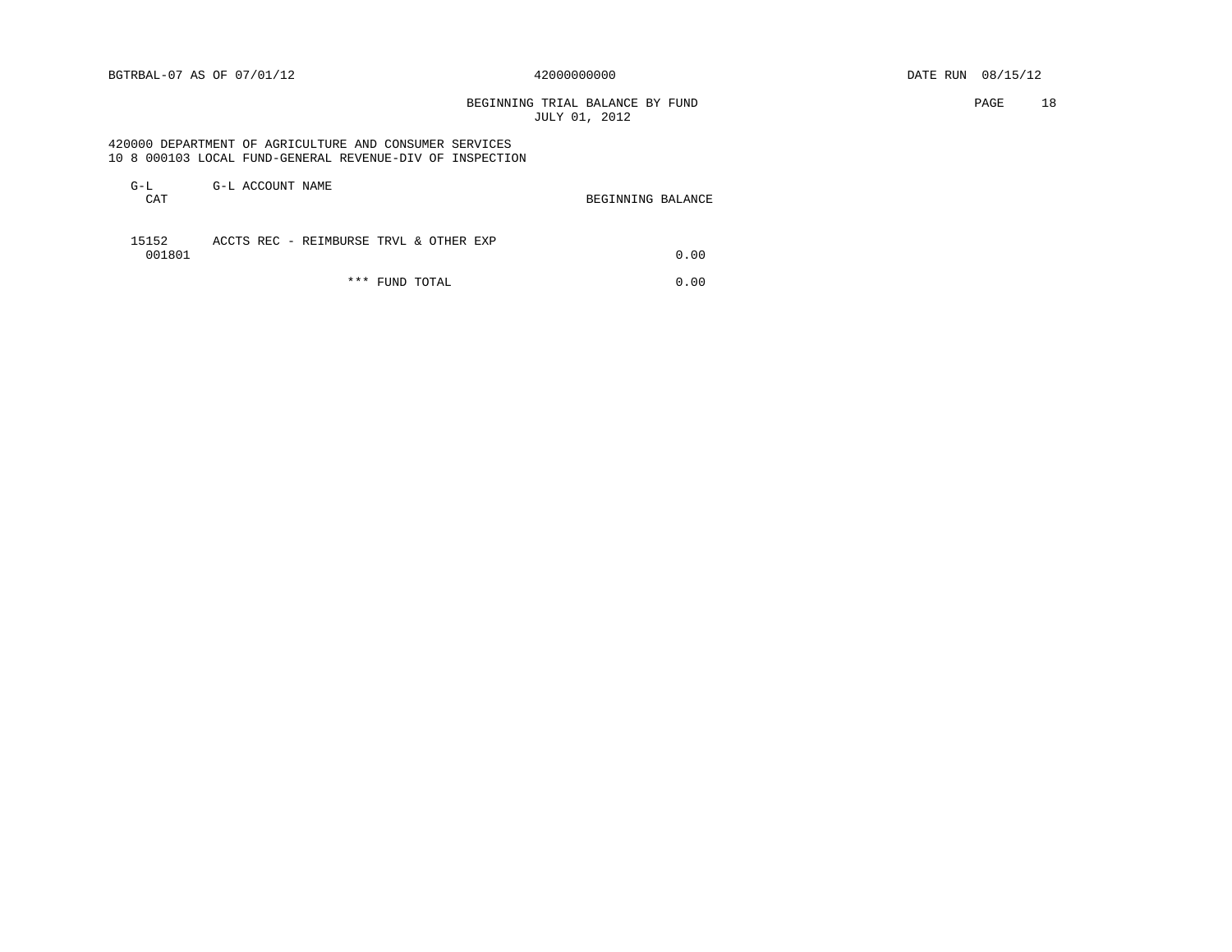BEGINNING TRIAL BALANCE BY FUND **PAGE** 18 JULY 01, 2012

### 420000 DEPARTMENT OF AGRICULTURE AND CONSUMER SERVICES 10 8 000103 LOCAL FUND-GENERAL REVENUE-DIV OF INSPECTION

| G-L<br>CAT      | G-L ACCOUNT NAME                       |     |            | BEGINNING BALANCE |      |
|-----------------|----------------------------------------|-----|------------|-------------------|------|
| 15152<br>001801 | ACCTS REC - REIMBURSE TRVL & OTHER EXP |     |            |                   | 0.00 |
|                 |                                        | *** | FUND TOTAL |                   | 0.00 |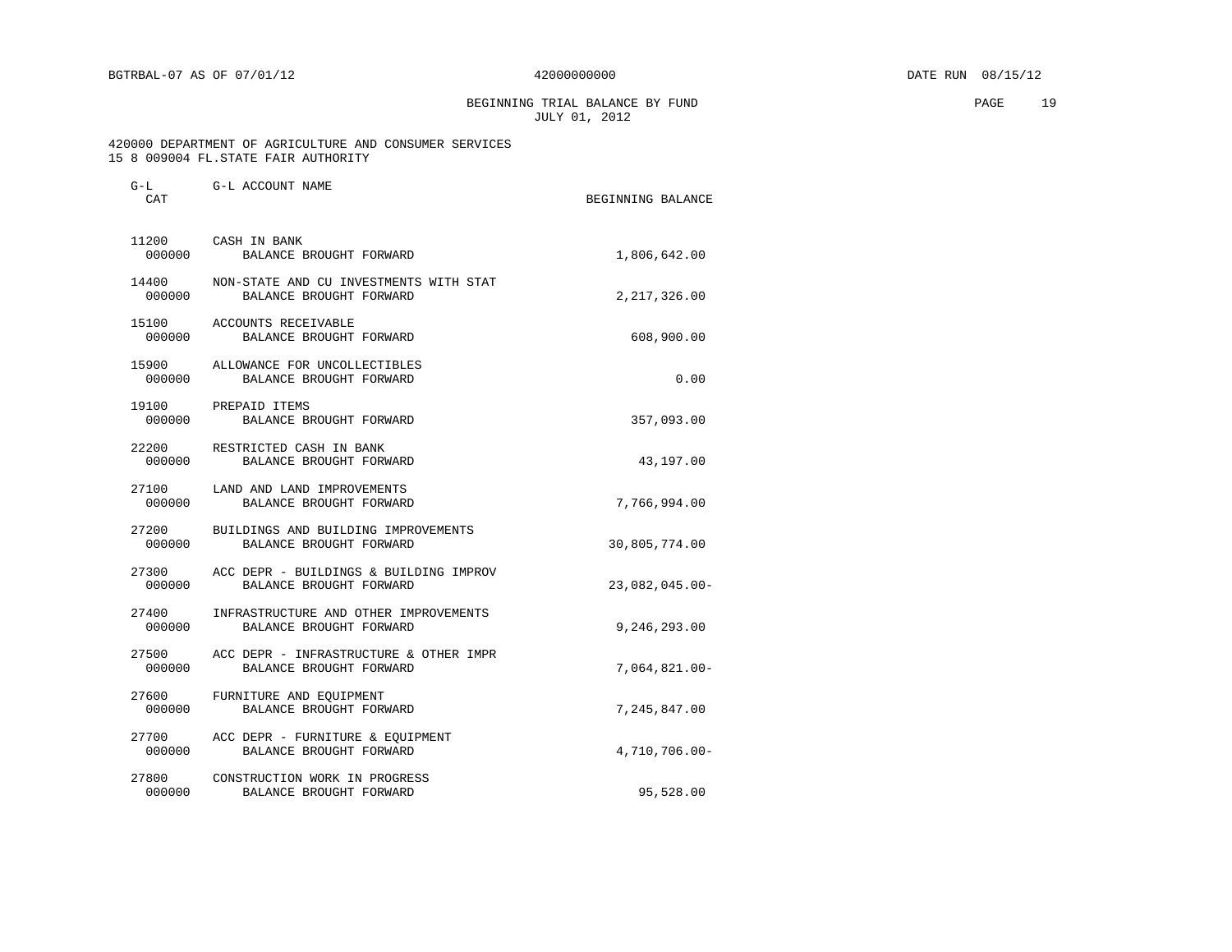BEGINNING TRIAL BALANCE BY FUND PAGE 19 JULY 01, 2012

### 420000 DEPARTMENT OF AGRICULTURE AND CONSUMER SERVICES 15 8 009004 FL.STATE FAIR AUTHORITY

| CAT                           |                                                                                | BEGINNING BALANCE |
|-------------------------------|--------------------------------------------------------------------------------|-------------------|
| 11200 CASH IN BANK<br>000000  | BALANCE BROUGHT FORWARD                                                        | 1,806,642.00      |
|                               | 14400 NON-STATE AND CU INVESTMENTS WITH STAT<br>000000 BALANCE BROUGHT FORWARD | 2, 217, 326.00    |
| 000000                        | 15100 ACCOUNTS RECEIVABLE<br>BALANCE BROUGHT FORWARD                           | 608,900.00        |
| 000000                        | 15900 ALLOWANCE FOR UNCOLLECTIBLES<br>BALANCE BROUGHT FORWARD                  | 0.00              |
| 19100 PREPAID ITEMS<br>000000 | BALANCE BROUGHT FORWARD                                                        | 357,093.00        |
|                               | 22200 RESTRICTED CASH IN BANK<br>000000 BALANCE BROUGHT FORWARD                | 43,197.00         |
|                               | 27100 LAND AND LAND IMPROVEMENTS<br>000000 BALANCE BROUGHT FORWARD             | 7,766,994.00      |
|                               | 27200 BUILDINGS AND BUILDING IMPROVEMENTS<br>000000 BALANCE BROUGHT FORWARD    | 30,805,774.00     |
| 000000                        | 27300 ACC DEPR - BUILDINGS & BUILDING IMPROV<br>BALANCE BROUGHT FORWARD        | $23,082,045.00-$  |
|                               | 27400 INFRASTRUCTURE AND OTHER IMPROVEMENTS<br>000000 BALANCE BROUGHT FORWARD  | 9,246,293.00      |
|                               | 27500 ACC DEPR - INFRASTRUCTURE & OTHER IMPR<br>000000 BALANCE BROUGHT FORWARD | 7,064,821.00-     |
| 000000                        | 27600 FURNITURE AND EQUIPMENT<br>BALANCE BROUGHT FORWARD                       | 7,245,847.00      |
| 000000                        | 27700 ACC DEPR - FURNITURE & EQUIPMENT<br>BALANCE BROUGHT FORWARD              | 4,710,706.00-     |
|                               | 27800 CONSTRUCTION WORK IN PROGRESS<br>000000 BALANCE BROUGHT FORWARD          | 95,528.00         |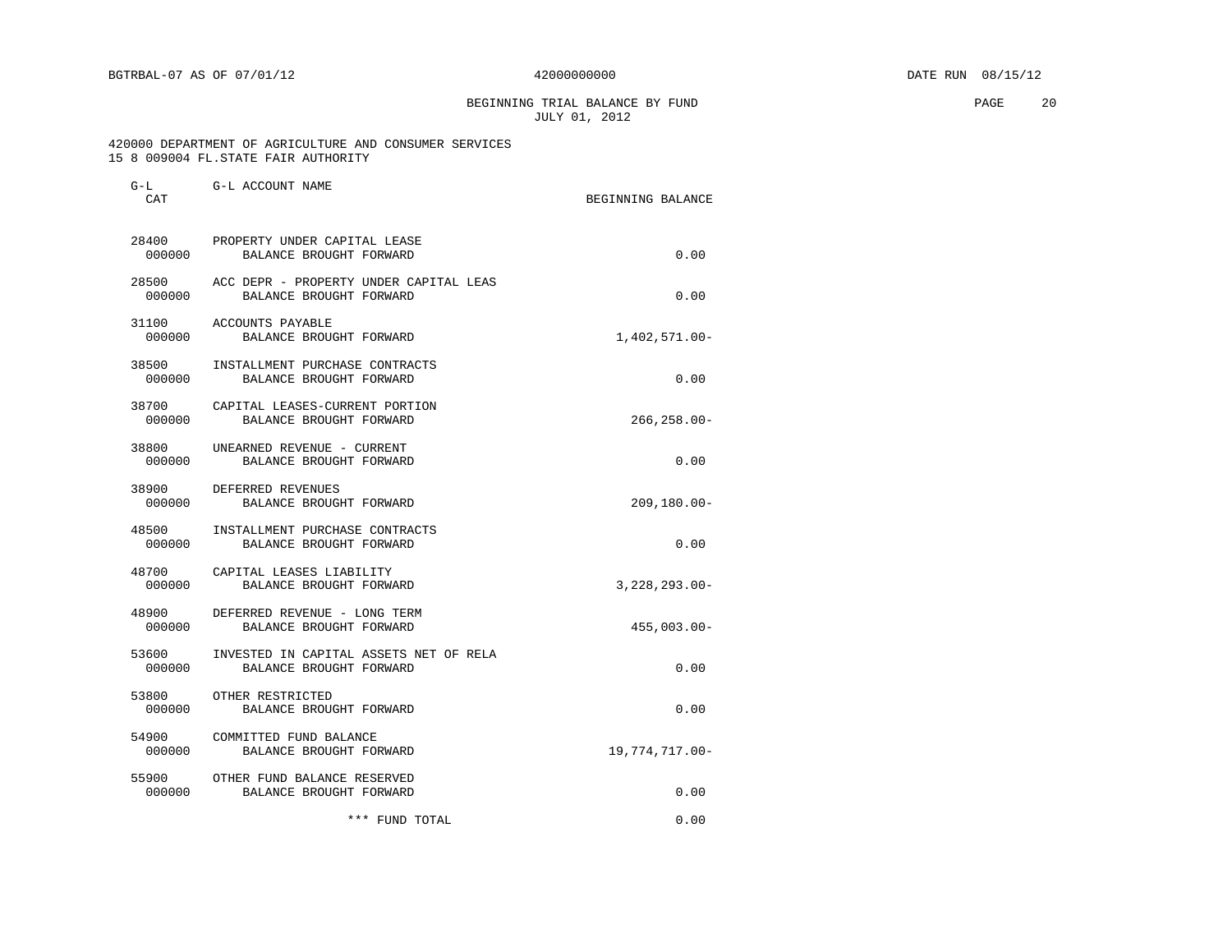BEGINNING TRIAL BALANCE BY FUND **EXAMPLE 20** PAGE 20 JULY 01, 2012

 420000 DEPARTMENT OF AGRICULTURE AND CONSUMER SERVICES 15 8 009004 FL.STATE FAIR AUTHORITY

| G-L<br>CAT      | G-L ACCOUNT NAME                                                        | BEGINNING BALANCE |
|-----------------|-------------------------------------------------------------------------|-------------------|
| 28400<br>000000 | PROPERTY UNDER CAPITAL LEASE<br>BALANCE BROUGHT FORWARD                 | 0.00              |
| 000000          | 28500 ACC DEPR - PROPERTY UNDER CAPITAL LEAS<br>BALANCE BROUGHT FORWARD | 0.00              |
| 31100<br>000000 | ACCOUNTS PAYABLE<br>BALANCE BROUGHT FORWARD                             | 1,402,571.00-     |
| 000000          | 38500 INSTALLMENT PURCHASE CONTRACTS<br>BALANCE BROUGHT FORWARD         | 0.00              |
| 000000          | 38700 CAPITAL LEASES-CURRENT PORTION<br>BALANCE BROUGHT FORWARD         | $266, 258.00 -$   |
| 38800<br>000000 | UNEARNED REVENUE - CURRENT<br>BALANCE BROUGHT FORWARD                   | 0.00              |
| 38900           | DEFERRED REVENUES<br>000000 BALANCE BROUGHT FORWARD                     | $209, 180.00 -$   |
| 000000          | 48500 INSTALLMENT PURCHASE CONTRACTS<br>BALANCE BROUGHT FORWARD         | 0.00              |
| 48700<br>000000 | CAPITAL LEASES LIABILITY<br>BALANCE BROUGHT FORWARD                     | $3,228,293.00 -$  |
| 000000          | 48900 DEFERRED REVENUE - LONG TERM<br>BALANCE BROUGHT FORWARD           | $455,003.00 -$    |
| 53600<br>000000 | INVESTED IN CAPITAL ASSETS NET OF RELA<br>BALANCE BROUGHT FORWARD       | 0.00              |
| 53800<br>000000 | OTHER RESTRICTED<br>BALANCE BROUGHT FORWARD                             | 0.00              |
| 000000          | 54900 COMMITTED FUND BALANCE<br>BALANCE BROUGHT FORWARD                 | 19,774,717.00-    |
| 000000          | 55900 OTHER FUND BALANCE RESERVED<br>BALANCE BROUGHT FORWARD            | 0.00              |
|                 | *** FUND TOTAL                                                          | 0.00              |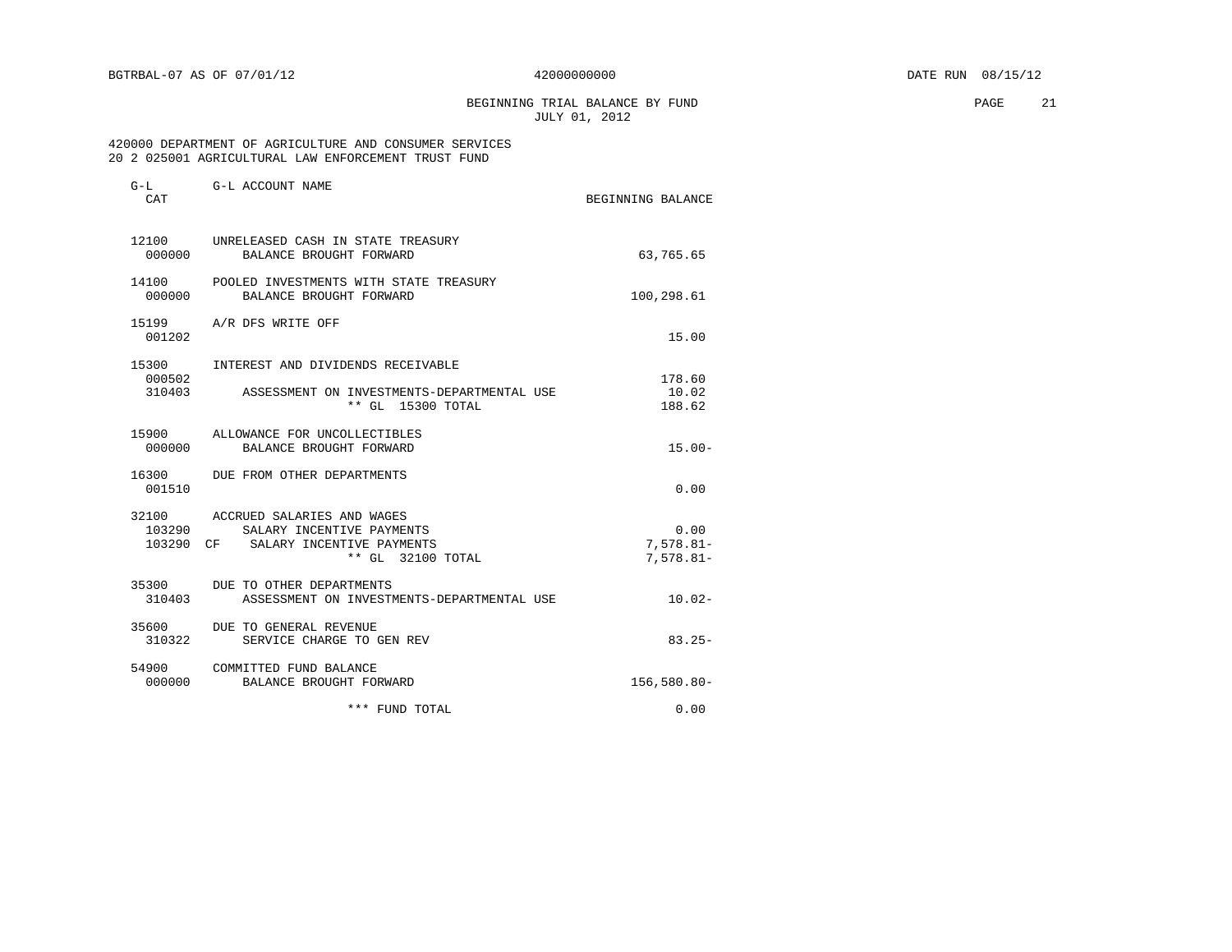BEGINNING TRIAL BALANCE BY FUND **PAGE** 21 JULY 01, 2012

### 420000 DEPARTMENT OF AGRICULTURE AND CONSUMER SERVICES 20 2 025001 AGRICULTURAL LAW ENFORCEMENT TRUST FUND

| G-L<br>CAT      | G-L ACCOUNT NAME                                                                                                    | BEGINNING BALANCE                    |
|-----------------|---------------------------------------------------------------------------------------------------------------------|--------------------------------------|
| 12100<br>000000 | UNRELEASED CASH IN STATE TREASURY<br>BALANCE BROUGHT FORWARD                                                        | 63,765.65                            |
| 14100<br>000000 | POOLED INVESTMENTS WITH STATE TREASURY<br>BALANCE BROUGHT FORWARD                                                   | 100,298.61                           |
| 001202          | 15199 A/R DFS WRITE OFF                                                                                             | 15.00                                |
| 15300<br>000502 | INTEREST AND DIVIDENDS RECEIVABLE<br>310403 ASSESSMENT ON INVESTMENTS-DEPARTMENTAL USE<br>** GL 15300 TOTAL         | 178.60<br>10.02<br>188.62            |
| 15900<br>000000 | ALLOWANCE FOR UNCOLLECTIBLES<br>BALANCE BROUGHT FORWARD                                                             | $15.00 -$                            |
| 16300<br>001510 | DUE FROM OTHER DEPARTMENTS                                                                                          | 0.00                                 |
| 32100<br>103290 | ACCRUED SALARIES AND WAGES<br>SALARY INCENTIVE PAYMENTS<br>103290 CF SALARY INCENTIVE PAYMENTS<br>** GL 32100 TOTAL | 0.00<br>$7,578.81 -$<br>$7,578.81 -$ |
| 310403          | 35300 DUE TO OTHER DEPARTMENTS<br>ASSESSMENT ON INVESTMENTS-DEPARTMENTAL USE                                        | $10.02 -$                            |
| 35600<br>310322 | DUE TO GENERAL REVENUE<br>SERVICE CHARGE TO GEN REV                                                                 | $83.25 -$                            |
| 000000          | 54900 COMMITTED FUND BALANCE<br>BALANCE BROUGHT FORWARD                                                             | $156.580.80 -$                       |
|                 | *** FUND TOTAL                                                                                                      | 0.00                                 |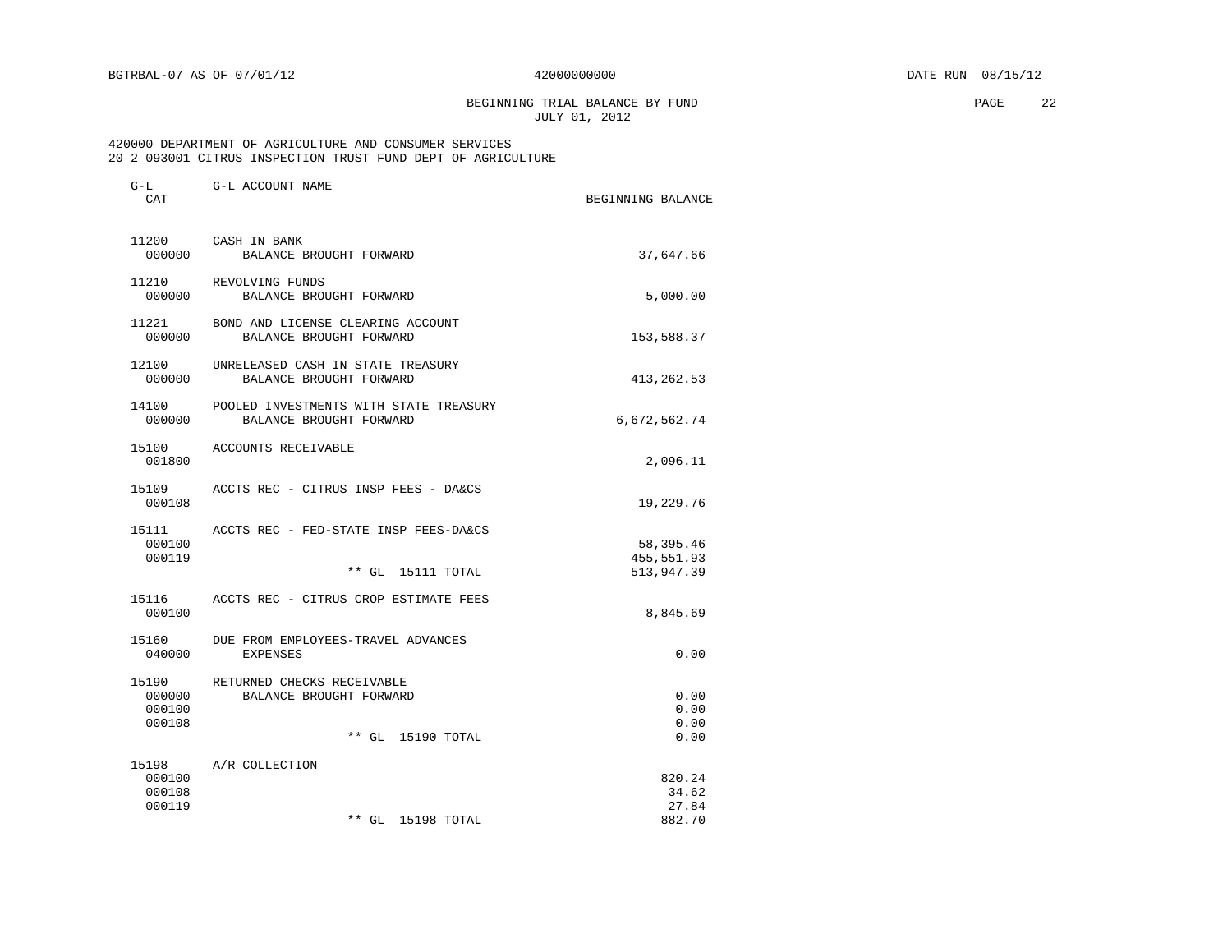BEGINNING TRIAL BALANCE BY FUND **PAGE** 22 JULY 01, 2012

### 420000 DEPARTMENT OF AGRICULTURE AND CONSUMER SERVICES 20 2 093001 CITRUS INSPECTION TRUST FUND DEPT OF AGRICULTURE

| $G-L$<br>CAT                        | G-L ACCOUNT NAME                                                                | BEGINNING BALANCE                  |
|-------------------------------------|---------------------------------------------------------------------------------|------------------------------------|
| 11200<br>000000                     | CASH IN BANK<br>BALANCE BROUGHT FORWARD                                         | 37,647.66                          |
| 11210<br>000000                     | REVOLVING FUNDS<br>BALANCE BROUGHT FORWARD                                      | 5,000.00                           |
| 11221<br>000000                     | BOND AND LICENSE CLEARING ACCOUNT<br>BALANCE BROUGHT FORWARD                    | 153,588.37                         |
| 12100<br>000000                     | UNRELEASED CASH IN STATE TREASURY<br>BALANCE BROUGHT FORWARD                    | 413,262.53                         |
| 14100<br>000000                     | POOLED INVESTMENTS WITH STATE TREASURY<br>BALANCE BROUGHT FORWARD               | 6,672,562.74                       |
| 15100<br>001800                     | ACCOUNTS RECEIVABLE                                                             | 2,096.11                           |
| 15109<br>000108                     | ACCTS REC - CITRUS INSP FEES - DA&CS                                            | 19,229.76                          |
| 15111<br>000100<br>000119           | ACCTS REC - FED-STATE INSP FEES-DA&CS                                           | 58,395.46<br>455, 551.93           |
| 15116<br>000100                     | $**$ GL<br>15111 TOTAL<br>ACCTS REC - CITRUS CROP ESTIMATE FEES                 | 513,947.39<br>8,845.69             |
| 15160<br>040000                     | DUE FROM EMPLOYEES-TRAVEL ADVANCES<br><b>EXPENSES</b>                           | 0.00                               |
| 15190<br>000000<br>000100<br>000108 | RETURNED CHECKS RECEIVABLE<br>BALANCE BROUGHT FORWARD<br>$**$ GL<br>15190 TOTAL | 0.00<br>0.00<br>0.00<br>0.00       |
| 15198<br>000100<br>000108<br>000119 | A/R COLLECTION<br>$***$ GL<br>15198 TOTAL                                       | 820.24<br>34.62<br>27.84<br>882.70 |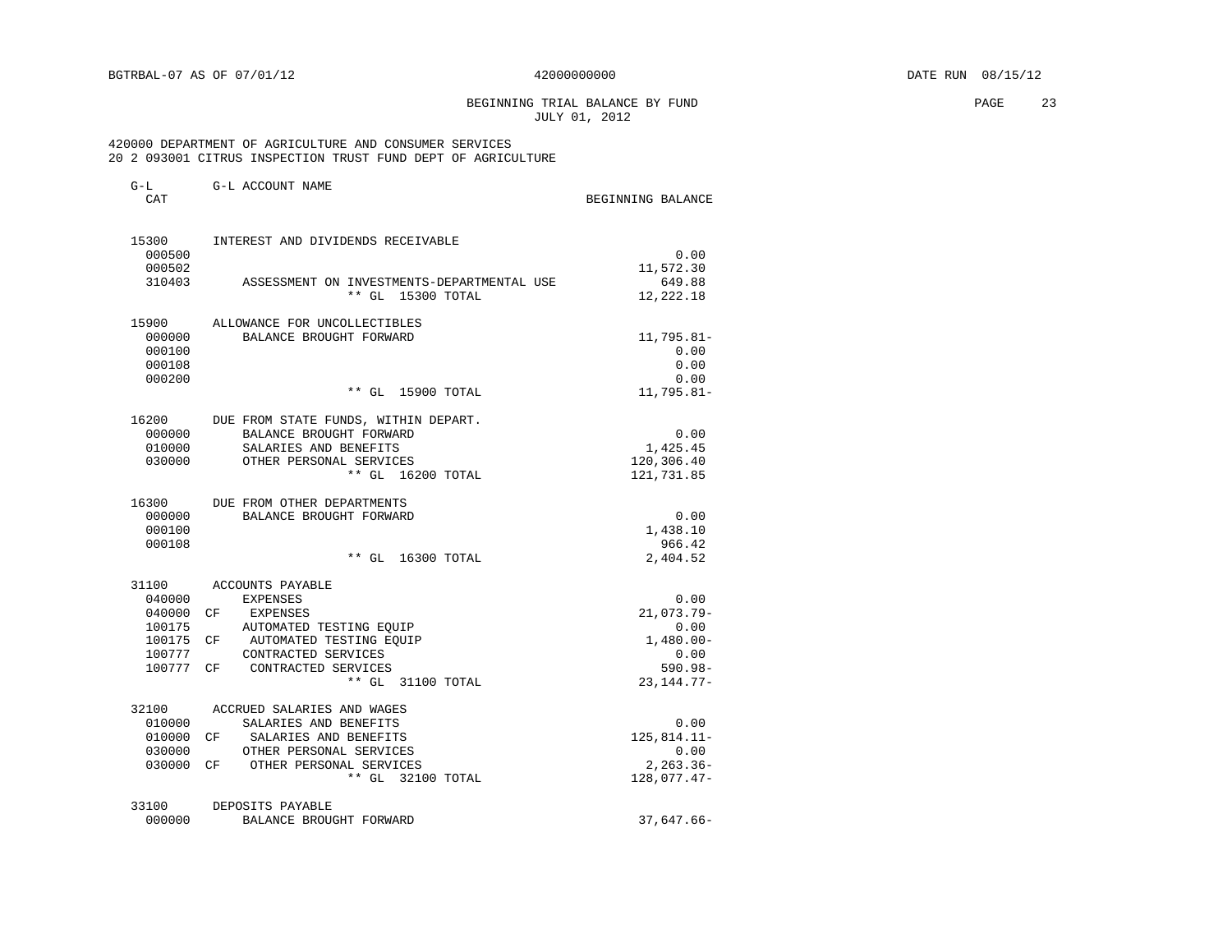BEGINNING TRIAL BALANCE BY FUND **PAGE** 23 JULY 01, 2012

### 420000 DEPARTMENT OF AGRICULTURE AND CONSUMER SERVICES 20 2 093001 CITRUS INSPECTION TRUST FUND DEPT OF AGRICULTURE

| $G-L$               | G-L ACCOUNT NAME                                                |                      |
|---------------------|-----------------------------------------------------------------|----------------------|
| CAT                 |                                                                 | BEGINNING BALANCE    |
| 15300               | INTEREST AND DIVIDENDS RECEIVABLE                               |                      |
| 000500              |                                                                 | 0.00                 |
| 000502              |                                                                 | 11,572.30            |
| 310403              | ASSESSMENT ON INVESTMENTS-DEPARTMENTAL USE<br>** GL 15300 TOTAL | 649.88<br>12,222.18  |
| 15900               | ALLOWANCE FOR UNCOLLECTIBLES                                    |                      |
| 000000              | BALANCE BROUGHT FORWARD                                         | 11,795.81-           |
| 000100              |                                                                 | 0.00                 |
| 000108              |                                                                 | 0.00                 |
| 000200              |                                                                 | 0.00                 |
|                     | $***$ GL<br>15900 TOTAL                                         | $11,795.81-$         |
| 16200               | DUE FROM STATE FUNDS, WITHIN DEPART.                            |                      |
| 000000              | BALANCE BROUGHT FORWARD                                         | 0.00                 |
| 010000              | SALARIES AND BENEFITS                                           | 1,425.45             |
| 030000              | OTHER PERSONAL SERVICES                                         | 120,306.40           |
|                     | ** GL 16200 TOTAL                                               | 121,731.85           |
| 16300               | DUE FROM OTHER DEPARTMENTS                                      |                      |
| 000000              | BALANCE BROUGHT FORWARD                                         | 0.00                 |
| 000100              |                                                                 | 1,438.10             |
| 000108              |                                                                 | 966.42               |
|                     | ** GL 16300 TOTAL                                               | 2,404.52             |
| 31100               | <b>ACCOUNTS PAYABLE</b>                                         |                      |
| 040000              | <b>EXPENSES</b>                                                 | 0.00                 |
| 040000 CF           | EXPENSES                                                        | 21,073.79-           |
| 100175<br>100175 CF | AUTOMATED TESTING EQUIP<br>AUTOMATED TESTING EOUIP              | 0.00<br>$1,480.00 -$ |
| 100777              | CONTRACTED SERVICES                                             | 0.00                 |
| 100777 CF           | CONTRACTED SERVICES                                             | $590.98 -$           |
|                     | ** GL 31100 TOTAL                                               | $23, 144.77 -$       |
| 32100               | ACCRUED SALARIES AND WAGES                                      |                      |
| 010000              | SALARIES AND BENEFITS                                           | 0.00                 |
| 010000 CF           | SALARIES AND BENEFITS                                           | $125,814.11-$        |
| 030000              | OTHER PERSONAL SERVICES                                         | 0.00                 |
| 030000 CF           | OTHER PERSONAL SERVICES                                         | $2, 263.36 -$        |
|                     | ** GL 32100 TOTAL                                               | $128,077.47-$        |
| 33100               | DEPOSITS PAYABLE                                                |                      |
| 000000              | BALANCE BROUGHT FORWARD                                         | $37,647.66 -$        |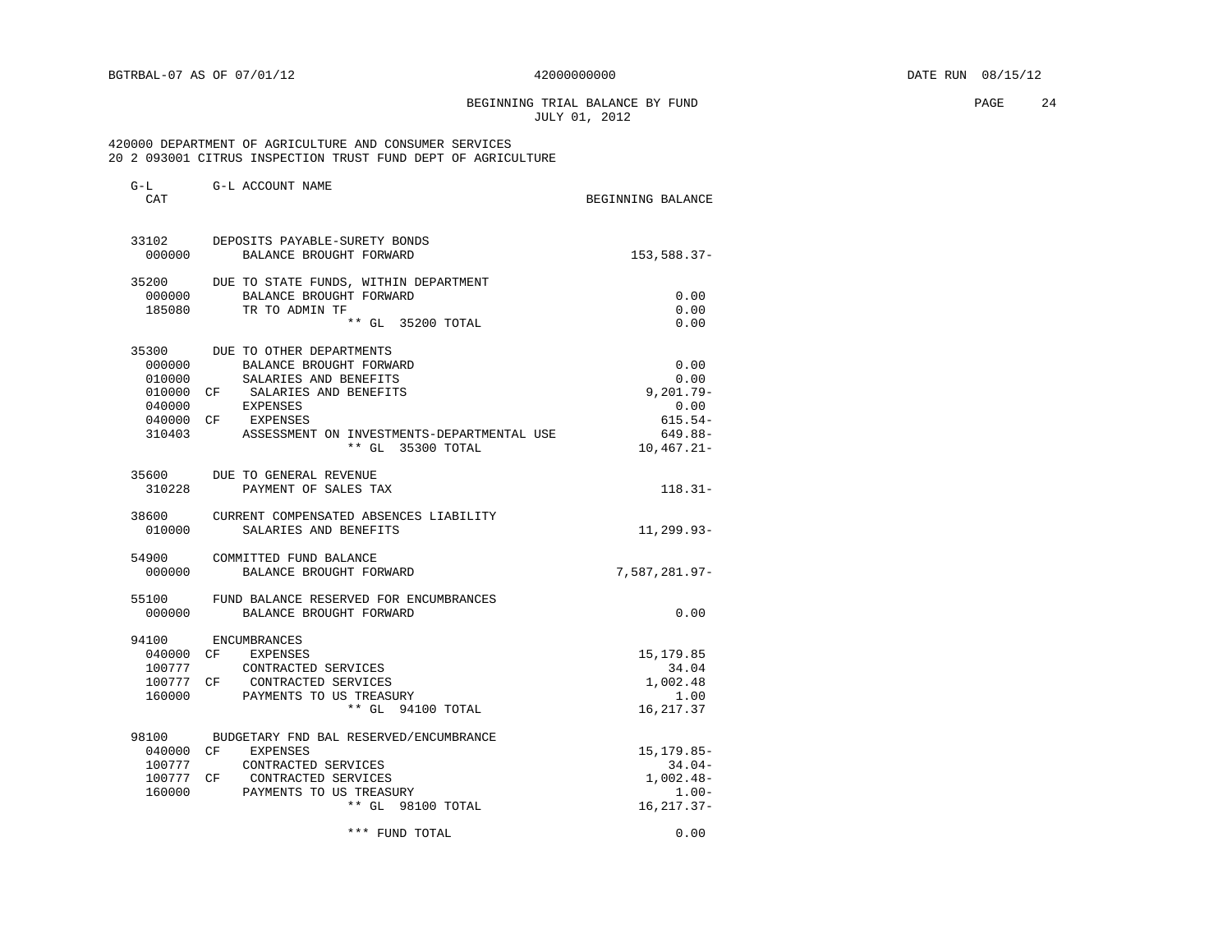BEGINNING TRIAL BALANCE BY FUND **EXAMPLE 24** PAGE 24 JULY 01, 2012

### 420000 DEPARTMENT OF AGRICULTURE AND CONSUMER SERVICES 20 2 093001 CITRUS INSPECTION TRUST FUND DEPT OF AGRICULTURE

| CAT       |                                              | BEGINNING BALANCE       |
|-----------|----------------------------------------------|-------------------------|
|           | 33102 DEPOSITS PAYABLE-SURETY BONDS          |                         |
| 000000    | BALANCE BROUGHT FORWARD                      | $153,588.37-$           |
| 35200     | DUE TO STATE FUNDS, WITHIN DEPARTMENT        |                         |
| 000000    | BALANCE BROUGHT FORWARD                      | 0.00                    |
| 185080    | TR TO ADMIN TF<br>** GL 35200 TOTAL          | 0.00<br>0.00            |
| 35300     | DUE TO OTHER DEPARTMENTS                     |                         |
| 000000    | BALANCE BROUGHT FORWARD                      | 0.00                    |
| 010000    | SALARIES AND BENEFITS                        | 0.00                    |
| 010000 CF | SALARIES AND BENEFITS                        | $9, 201.79 -$           |
| 040000    | <b>EXPENSES</b>                              | 0.00                    |
| 040000 CF | EXPENSES                                     | $615.54-$               |
| 310403    | ASSESSMENT ON INVESTMENTS-DEPARTMENTAL USE   | $649.88 -$              |
|           | ** GL 35300 TOTAL                            | $10,467.21-$            |
|           | 35600 DUE TO GENERAL REVENUE                 |                         |
| 310228    | PAYMENT OF SALES TAX                         | $118.31-$               |
| 38600     | CURRENT COMPENSATED ABSENCES LIABILITY       |                         |
| 010000    | SALARIES AND BENEFITS                        | 11,299.93-              |
| 54900     | COMMITTED FUND BALANCE                       |                         |
| 000000    | BALANCE BROUGHT FORWARD                      | $7,587,281.97-$         |
| 55100     | FUND BALANCE RESERVED FOR ENCUMBRANCES       |                         |
| 000000    | BALANCE BROUGHT FORWARD                      | 0.00                    |
| 94100     | ENCUMBRANCES                                 |                         |
| 040000 CF | EXPENSES                                     | 15, 179.85              |
| 100777    | CONTRACTED SERVICES                          | 34.04                   |
| 100777 CF | CONTRACTED SERVICES                          | 1,002.48                |
| 160000    | PAYMENTS TO US TREASURY                      | 1.00                    |
|           | ** GL 94100 TOTAL                            | 16, 217.37              |
| 98100     | BUDGETARY FND BAL RESERVED/ENCUMBRANCE       |                         |
| 040000 CF | EXPENSES                                     | 15, 179.85-             |
| 100777    | CONTRACTED SERVICES                          | $34.04-$                |
| 160000    | 100777 CF CONTRACTED SERVICES                | $1,002.48-$             |
|           | PAYMENTS TO US TREASURY<br>** GL 98100 TOTAL | $1.00 -$<br>16, 217.37- |
|           | *** FUND TOTAL                               | 0.00                    |
|           |                                              |                         |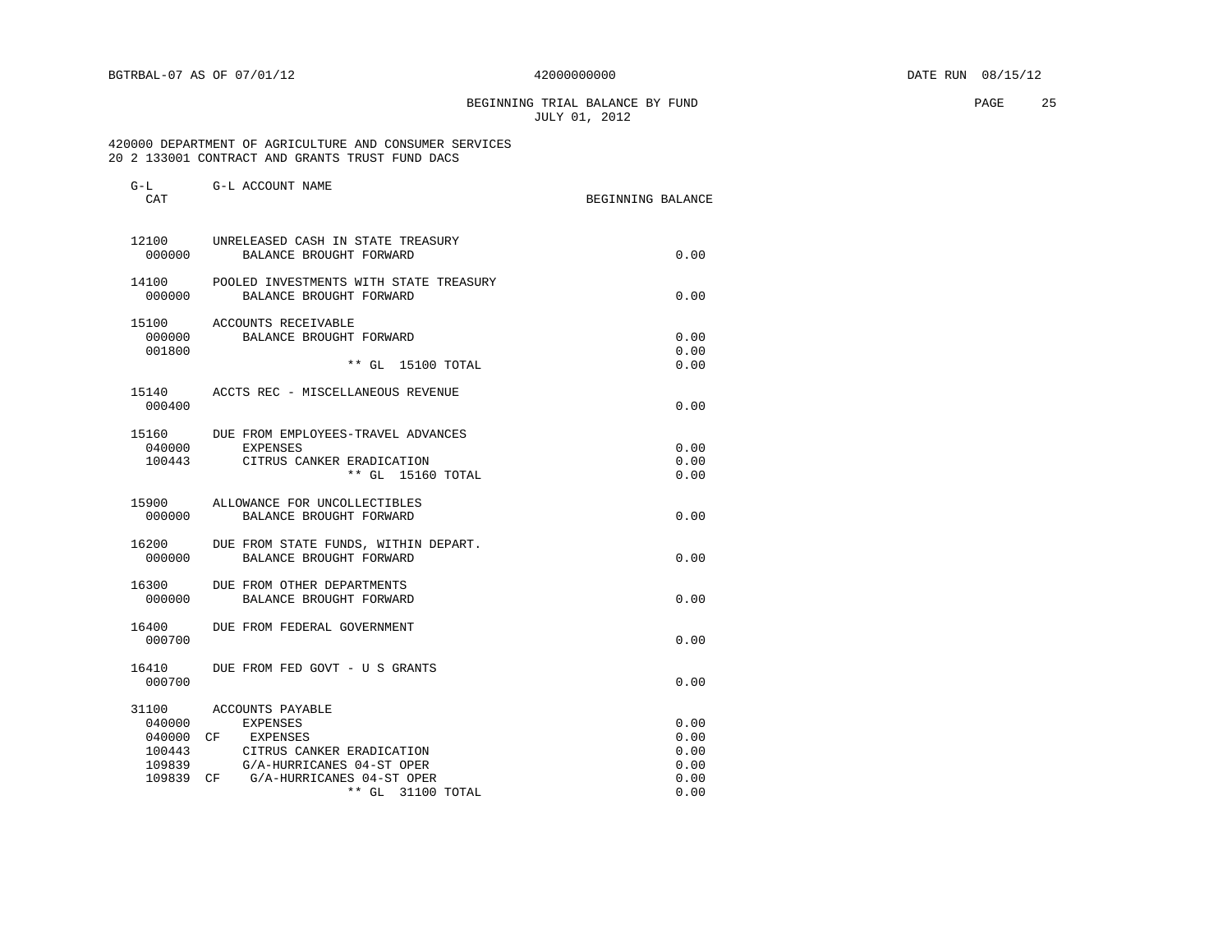BEGINNING TRIAL BALANCE BY FUND **EXAMPLE 25** PAGE 25 JULY 01, 2012

### 420000 DEPARTMENT OF AGRICULTURE AND CONSUMER SERVICES 20 2 133001 CONTRACT AND GRANTS TRUST FUND DACS

| G-L<br>CAT      | G-L ACCOUNT NAME                                                        | BEGINNING BALANCE |
|-----------------|-------------------------------------------------------------------------|-------------------|
| 12100<br>000000 | UNRELEASED CASH IN STATE TREASURY<br>BALANCE BROUGHT FORWARD            | 0.00              |
|                 |                                                                         |                   |
| 000000          | 14100 POOLED INVESTMENTS WITH STATE TREASURY<br>BALANCE BROUGHT FORWARD | 0.00              |
|                 | 15100 ACCOUNTS RECEIVABLE                                               |                   |
| 000000          | BALANCE BROUGHT FORWARD                                                 | 0.00              |
| 001800          |                                                                         | 0.00              |
|                 | ** GL 15100 TOTAL                                                       | 0.00              |
|                 | 15140 ACCTS REC - MISCELLANEOUS REVENUE                                 |                   |
| 000400          |                                                                         | 0.00              |
| 15160           | DUE FROM EMPLOYEES-TRAVEL ADVANCES                                      |                   |
| 040000          | <b>EXPENSES</b>                                                         | 0.00              |
| 100443          | CITRUS CANKER ERADICATION                                               | 0.00              |
|                 | ** GL 15160 TOTAL                                                       | 0.00              |
| 15900           | ALLOWANCE FOR UNCOLLECTIBLES                                            |                   |
| 000000          | BALANCE BROUGHT FORWARD                                                 | 0.00              |
| 16200           | DUE FROM STATE FUNDS, WITHIN DEPART.                                    |                   |
| 000000          | BALANCE BROUGHT FORWARD                                                 | 0.00              |
| 16300           | DUE FROM OTHER DEPARTMENTS                                              |                   |
| 000000          | BALANCE BROUGHT FORWARD                                                 | 0.00              |
| 16400           | DUE FROM FEDERAL GOVERNMENT                                             |                   |
| 000700          |                                                                         | 0.00              |
| 16410           | DUE FROM FED GOVT - U S GRANTS                                          |                   |
| 000700          |                                                                         | 0.00              |
| 31100           | ACCOUNTS PAYABLE                                                        |                   |
| 040000          | EXPENSES                                                                | 0.00              |
| 040000          | CF EXPENSES                                                             | 0.00              |
| 100443          | CITRUS CANKER ERADICATION                                               | 0.00              |
| 109839          | G/A-HURRICANES 04-ST OPER                                               | 0.00              |
| 109839          | G/A-HURRICANES 04-ST OPER<br>CF                                         | 0.00              |
|                 | ** GL 31100 TOTAL                                                       | 0.00              |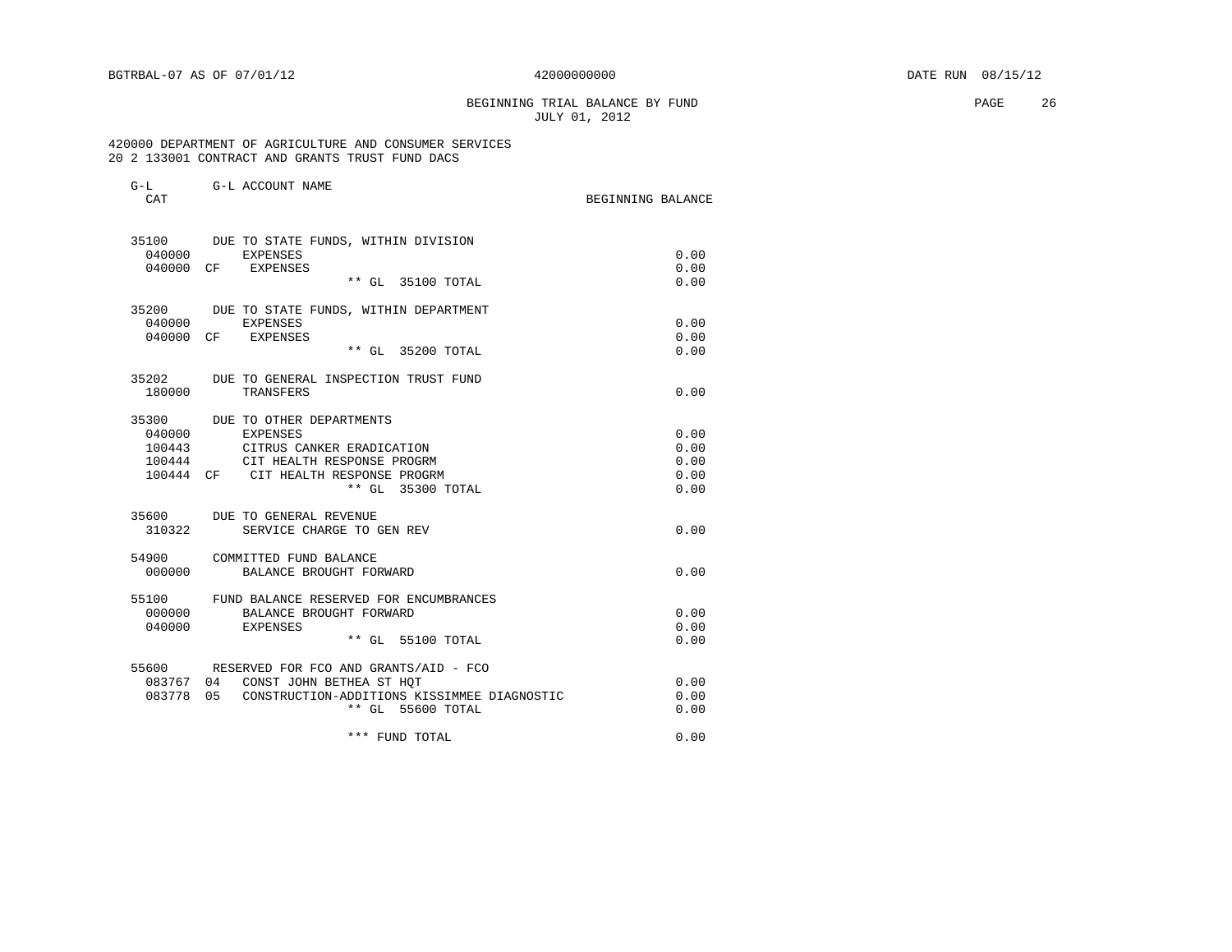# BEGINNING TRIAL BALANCE BY FUND **PAGE** 26 JULY 01, 2012

# 420000 DEPARTMENT OF AGRICULTURE AND CONSUMER SERVICES 20 2 133001 CONTRACT AND GRANTS TRUST FUND DACS

| CAT    | G-L G-L ACCOUNT NAME                                      | BEGINNING BALANCE |
|--------|-----------------------------------------------------------|-------------------|
|        | 35100 DUE TO STATE FUNDS, WITHIN DIVISION                 |                   |
|        | 040000 EXPENSES                                           | 0.00              |
|        | 040000 CF EXPENSES                                        | 0.00              |
|        | ** GL 35100 TOTAL                                         | 0.00              |
|        | 35200 DUE TO STATE FUNDS, WITHIN DEPARTMENT               |                   |
|        | 040000 EXPENSES                                           | 0.00              |
|        | 040000 CF EXPENSES                                        | 0.00              |
|        | ** GL 35200 TOTAL                                         | 0.00              |
|        | 35202 DUE TO GENERAL INSPECTION TRUST FUND                |                   |
| 180000 | TRANSFERS                                                 | 0.00              |
|        | 35300 DUE TO OTHER DEPARTMENTS                            |                   |
| 040000 | EXPENSES                                                  | 0.00              |
| 100443 | CITRUS CANKER ERADICATION                                 | 0.00              |
| 100444 | CIT HEALTH RESPONSE PROGRM                                | 0.00              |
|        | 100444 CF CIT HEALTH RESPONSE PROGRM<br>** GL 35300 TOTAL | 0.00<br>0.00      |
|        |                                                           |                   |
|        | 35600 DUE TO GENERAL REVENUE                              |                   |
| 310322 | SERVICE CHARGE TO GEN REV                                 | 0.00              |
|        | 54900 COMMITTED FUND BALANCE                              |                   |
|        | 000000 BALANCE BROUGHT FORWARD                            | 0.00              |
|        | 55100 FUND BALANCE RESERVED FOR ENCUMBRANCES              |                   |
|        | 000000 BALANCE BROUGHT FORWARD                            | 0.00              |
|        | 040000 EXPENSES                                           | 0.00              |
|        | ** GL 55100 TOTAL                                         | 0.00              |
|        | 55600 RESERVED FOR FCO AND GRANTS/AID - FCO               |                   |
|        | 083767 04 CONST JOHN BETHEA ST HOT                        | 0.00              |
|        | 083778 05 CONSTRUCTION-ADDITIONS KISSIMMEE DIAGNOSTIC     | 0.00              |
|        | ** GL 55600 TOTAL                                         | 0.00              |
|        | *** FUND TOTAL                                            | 0.00              |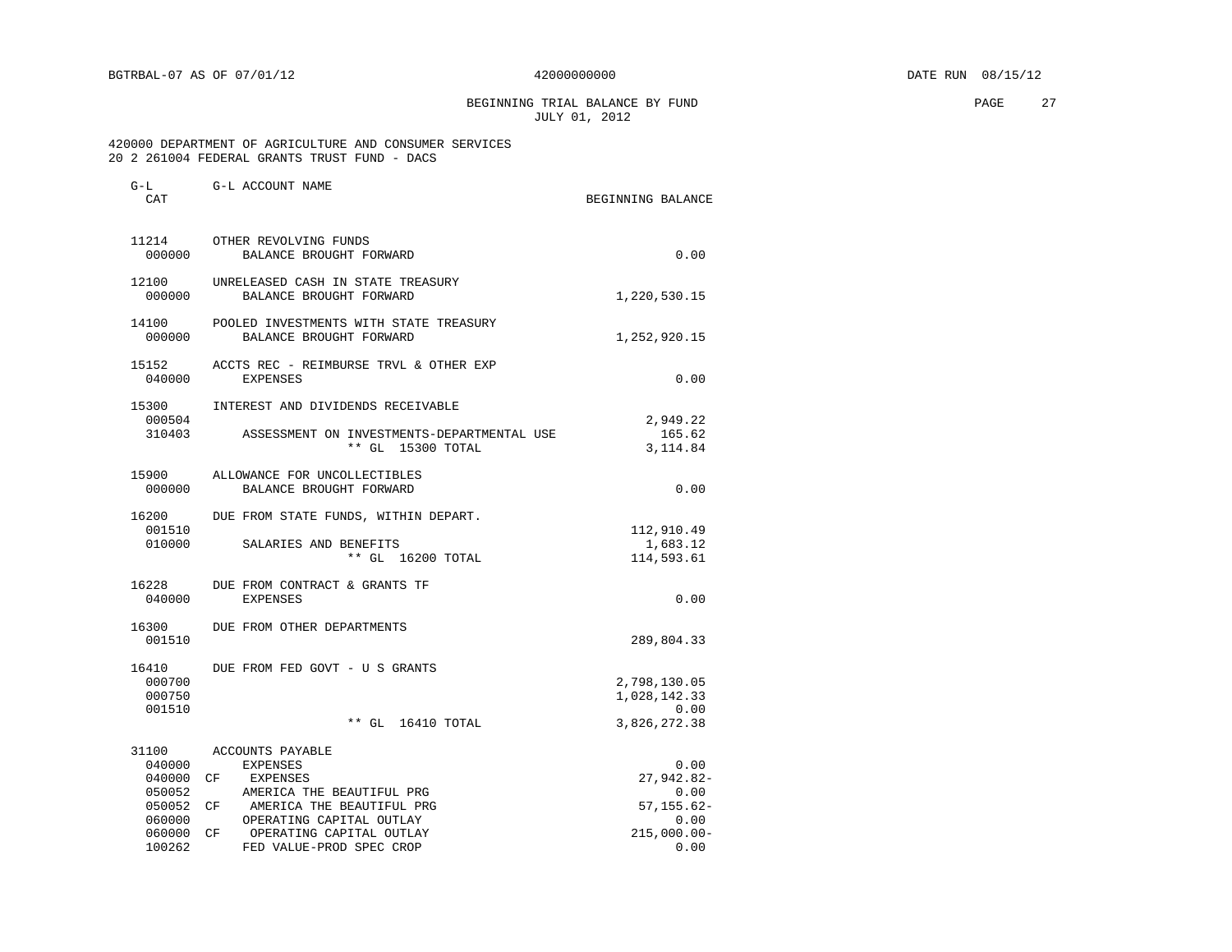BEGINNING TRIAL BALANCE BY FUND **PAGE** 27 JULY 01, 2012

 420000 DEPARTMENT OF AGRICULTURE AND CONSUMER SERVICES 20 2 261004 FEDERAL GRANTS TRUST FUND - DACS

|                                                                             | BEGINNING BALANCE                                                                                                                                                                          |
|-----------------------------------------------------------------------------|--------------------------------------------------------------------------------------------------------------------------------------------------------------------------------------------|
| OTHER REVOLVING FUNDS<br>BALANCE BROUGHT FORWARD                            | 0.00                                                                                                                                                                                       |
| UNRELEASED CASH IN STATE TREASURY<br>BALANCE BROUGHT FORWARD                | 1,220,530.15                                                                                                                                                                               |
| POOLED INVESTMENTS WITH STATE TREASURY<br>000000<br>BALANCE BROUGHT FORWARD | 1,252,920.15                                                                                                                                                                               |
| ACCTS REC - REIMBURSE TRVL & OTHER EXP<br>EXPENSES                          | 0.00                                                                                                                                                                                       |
| INTEREST AND DIVIDENDS RECEIVABLE                                           | 2,949.22                                                                                                                                                                                   |
| 310403<br>ASSESSMENT ON INVESTMENTS-DEPARTMENTAL USE<br>** GL 15300 TOTAL   | 165.62<br>3,114.84                                                                                                                                                                         |
| ALLOWANCE FOR UNCOLLECTIBLES<br>BALANCE BROUGHT FORWARD                     | 0.00                                                                                                                                                                                       |
| 16200<br>DUE FROM STATE FUNDS, WITHIN DEPART.                               | 112,910.49                                                                                                                                                                                 |
| ** GL 16200 TOTAL                                                           | 1,683.12<br>114,593.61                                                                                                                                                                     |
| 16228<br>DUE FROM CONTRACT & GRANTS TF<br><b>EXPENSES</b>                   | 0.00                                                                                                                                                                                       |
| DUE FROM OTHER DEPARTMENTS                                                  | 289,804.33                                                                                                                                                                                 |
| DUE FROM FED GOVT - U S GRANTS                                              |                                                                                                                                                                                            |
|                                                                             | 2,798,130.05<br>1,028,142.33<br>0.00                                                                                                                                                       |
| ** GL 16410 TOTAL                                                           | 3,826,272.38                                                                                                                                                                               |
| ACCOUNTS PAYABLE                                                            | 0.00                                                                                                                                                                                       |
|                                                                             | 27,942.82-                                                                                                                                                                                 |
|                                                                             | 0.00                                                                                                                                                                                       |
|                                                                             | $57, 155.62 -$                                                                                                                                                                             |
|                                                                             | 0.00                                                                                                                                                                                       |
|                                                                             | 215,000.00-                                                                                                                                                                                |
| FED VALUE-PROD SPEC CROP                                                    | 0.00                                                                                                                                                                                       |
|                                                                             | SALARIES AND BENEFITS<br><b>EXPENSES</b><br>CF EXPENSES<br>AMERICA THE BEAUTIFUL PRG<br>050052 CF AMERICA THE BEAUTIFUL PRG<br>OPERATING CAPITAL OUTLAY<br>OPERATING CAPITAL OUTLAY<br>CF. |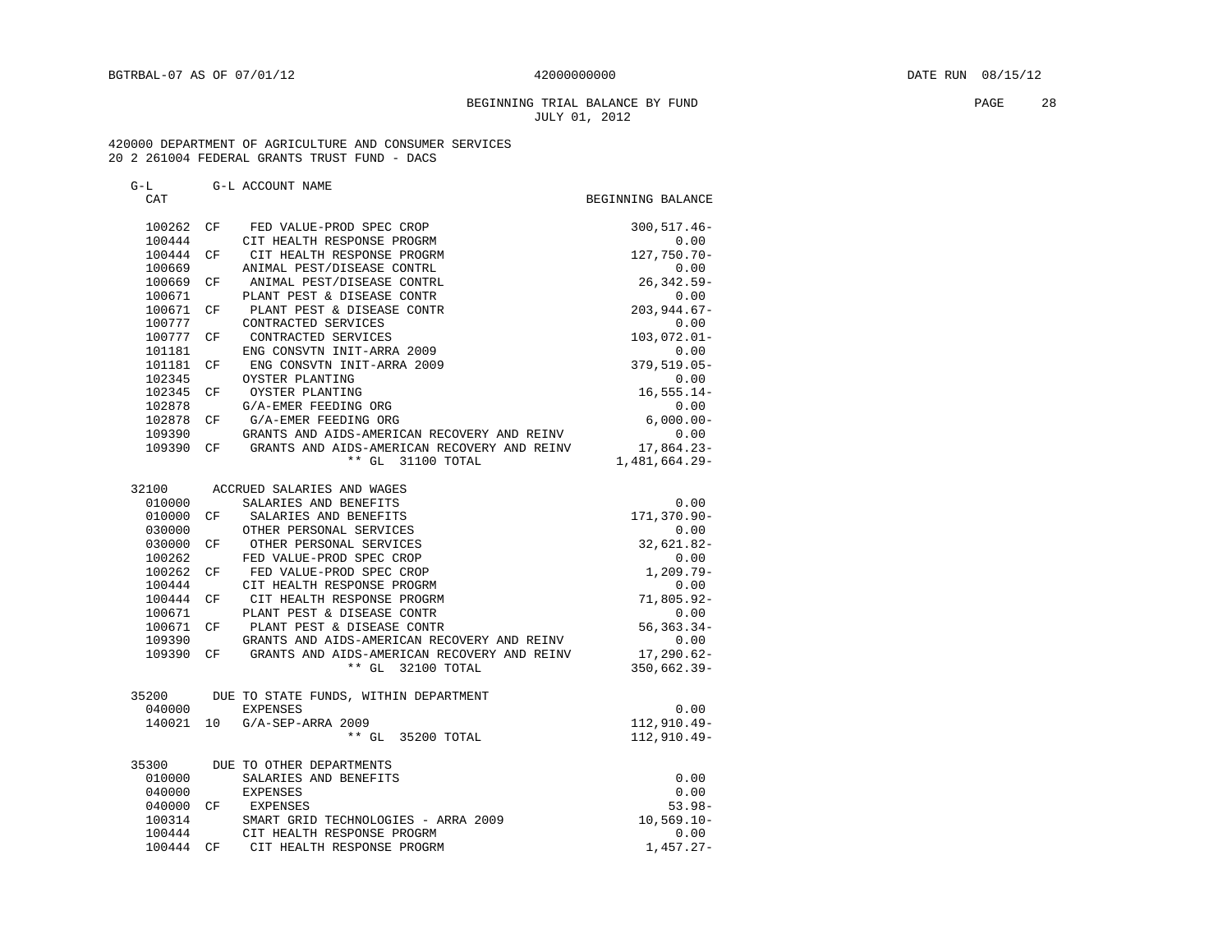### BEGINNING TRIAL BALANCE BY FUND **PAGE** 28 JULY 01, 2012

# 420000 DEPARTMENT OF AGRICULTURE AND CONSUMER SERVICES

# 20 2 261004 FEDERAL GRANTS TRUST FUND - DACS G-L G-L ACCOUNT NAME CAT CAT CAT SERVICE SERVICE SERVICE SERVICE SERVICE SERVICE SERVICE SERVICE SERVICE SERVICE SERVICE SERVICE SERVICE 100262 CF FED VALUE-PROD SPEC CROP 300,517.46- 100444 CIT HEALTH RESPONSE PROGRM 0.00<br>100444 CF CIT HEALTH RESPONSE PROGRM 127,750.70-100444 CF CIT HEALTH RESPONSE PROGRM 100669 ANIMAL PEST/DISEASE CONTRL 0.00 100669 CF ANIMAL PEST/DISEASE CONTRL 26,342.59<br>100671 PLANT PEST & DISEASE CONTR 100671 PLANT PEST & DISEASE CONTR<br>100671 CF PLANT PEST & DISEASE CONTR 203,944.67-100671 CF PLANT PEST & DISEASE CONTR 100777 CONTRACTED SERVICES 0.00<br>100777 CF CONTRACTED SERVICES 103,072.01-100777 CF CONTRACTED SERVICES 103,072.01-101181 ENG CONSVTN INIT-ARRA 2009 0.00 101181 CF ENG CONSVTN INIT-ARRA 2009 379,519.05-102345 OYSTER PLANTING  $0.00$ <br>102345 CF OYSTER PLANTING 102345 CF OYSTER PLANTING 102345 CF OYSTER PLANTING 102878 G/A-EMER FEEDING ORG 0.00 102878 CF G/A-EMER FEEDING ORG<br>109390 GRANTS AND AIDS-AMERICAN RECOVERY AND REINV 0.00 109390 GRANTS AND AIDS-AMERICAN RECOVERY AND REINV 0.00 109390 CF GRANTS AND AIDS-AMERICAN RECOVERY AND REINV 17,864.23-<br>109390 CF GRANTS AND AIDS-AMERICAN RECOVERY AND REINV 17,864.23-\*\* GL 31100 TOTAL 32100 ACCRUED SALARIES AND WAGES 010000 SALARIES AND BENEFITS 0.00 010000 CF SALARIES AND BENEFITS 030000 OTHER PERSONAL SERVICES 6 0.00

| 030000    |    | OTHER PERSONAL SERVICES                                | 0.00           |
|-----------|----|--------------------------------------------------------|----------------|
| 030000 CF |    | OTHER PERSONAL SERVICES                                | 32,621.82-     |
| 100262    |    | FED VALUE-PROD SPEC CROP                               | 0.00           |
| 100262    | CF | FED VALUE-PROD SPEC CROP                               | $1,209.79-$    |
| 100444    |    | CIT HEALTH RESPONSE PROGRM                             | 0.00           |
| 100444    | CF | CIT HEALTH RESPONSE PROGRM                             | 71,805.92-     |
| 100671    |    | PLANT PEST & DISEASE CONTR                             | 0.00           |
| 100671 CF |    | PLANT PEST & DISEASE CONTR                             | $56, 363.34 -$ |
| 109390    |    | GRANTS AND AIDS-AMERICAN RECOVERY AND REINV            | 0.00           |
| 109390 CF |    | GRANTS AND AIDS-AMERICAN RECOVERY AND REINV 17,290.62- |                |
|           |    | ** GL 32100 TOTAL                                      | $350,662.39 -$ |
| 35200     |    | DUE TO STATE FUNDS, WITHIN DEPARTMENT                  |                |
| 040000    |    | EXPENSES                                               | 0.00           |
|           |    | 140021 10 G/A-SEP-ARRA 2009                            | 112,910.49-    |
|           |    | ** GL 35200 TOTAL                                      | $112.910.49 -$ |
|           |    | 35300 DUE TO OTHER DEPARTMENTS                         |                |
| 010000    |    | SALARIES AND BENEFITS                                  | 0.00           |
| 040000    |    | EXPENSES                                               | 0.00           |
| 040000    | CF | EXPENSES                                               | $53.98-$       |
| 100314    |    | SMART GRID TECHNOLOGIES - ARRA 2009                    | $10,569.10 -$  |
| 100444    |    | CIT HEALTH RESPONSE PROGRM                             | 0.00           |
|           |    |                                                        |                |

100444 CF CIT HEALTH RESPONSE PROGRM 1,457.27-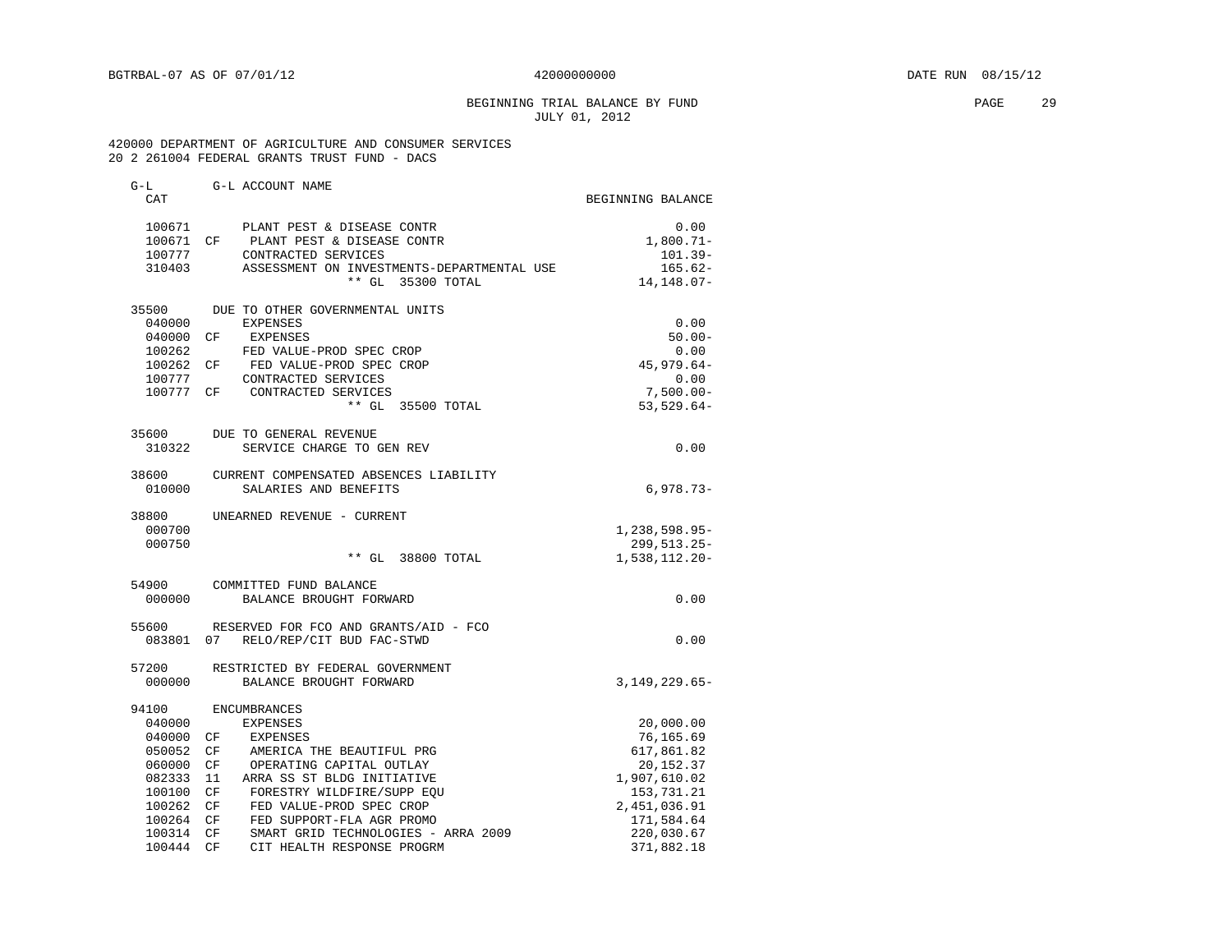# BEGINNING TRIAL BALANCE BY FUND PAGE 29 JULY 01, 2012

 420000 DEPARTMENT OF AGRICULTURE AND CONSUMER SERVICES 20 2 261004 FEDERAL GRANTS TRUST FUND - DACS

| G-L       | G-L ACCOUNT NAME                                                       |                   |
|-----------|------------------------------------------------------------------------|-------------------|
| CAT       |                                                                        | BEGINNING BALANCE |
| 100671    | PLANT PEST & DISEASE CONTR                                             | 0.00              |
|           | 100671 CF PLANT PEST & DISEASE CONTR                                   | $1,800.71-$       |
| 100777    | CONTRACTED SERVICES                                                    | $101.39 -$        |
| 310403    | ASSESSMENT ON INVESTMENTS-DEPARTMENTAL USE                             | $165.62-$         |
|           | ** GL 35300 TOTAL                                                      | 14, 148.07-       |
|           | 35500 DUE TO OTHER GOVERNMENTAL UNITS                                  |                   |
| 040000    | <b>EXPENSES</b>                                                        | 0.00              |
| 040000 CF | EXPENSES                                                               | $50.00 -$         |
| 100262    | FED VALUE-PROD SPEC CROP                                               | 0.00              |
| 100262 CF | FED VALUE-PROD SPEC CROP                                               | $45,979.64-$      |
| 100777    | CONTRACTED SERVICES                                                    | 0.00              |
| 100777 CF | CONTRACTED SERVICES                                                    | $7,500.00 -$      |
|           | ** GL 35500 TOTAL                                                      | $53,529.64-$      |
| 35600     | DUE TO GENERAL REVENUE                                                 |                   |
| 310322    | SERVICE CHARGE TO GEN REV                                              | 0.00              |
| 38600     | CURRENT COMPENSATED ABSENCES LIABILITY                                 |                   |
| 010000    | SALARIES AND BENEFITS                                                  | $6,978.73-$       |
| 38800     | UNEARNED REVENUE - CURRENT                                             |                   |
| 000700    |                                                                        | 1,238,598.95-     |
| 000750    |                                                                        | 299, 513. 25-     |
|           | $**$ GL<br>38800 TOTAL                                                 | $1,538,112.20 -$  |
| 54900     | COMMITTED FUND BALANCE                                                 |                   |
| 000000    | BALANCE BROUGHT FORWARD                                                | 0.00              |
| 55600     | RESERVED FOR FCO AND GRANTS/AID - FCO                                  |                   |
|           | 083801 07 RELO/REP/CIT BUD FAC-STWD                                    | 0.00              |
| 57200     | RESTRICTED BY FEDERAL GOVERNMENT                                       |                   |
| 000000    | BALANCE BROUGHT FORWARD                                                | $3,149,229.65-$   |
| 94100     | <b>ENCUMBRANCES</b>                                                    |                   |
| 040000    | <b>EXPENSES</b>                                                        | 20,000.00         |
| 040000    | CF<br>EXPENSES                                                         | 76,165.69         |
| 050052    | AMERICA THE BEAUTIFUL PRG<br>CF                                        | 617,861.82        |
| 060000    | CF<br>OPERATING CAPITAL OUTLAY                                         | 20,152.37         |
| 082333    | ARRA SS ST BLDG INITIATIVE<br>-11                                      | 1,907,610.02      |
| 100100    | CF FORESTRY WILDFIRE/SUPP EQU<br>CF FED VALUE-PROD SPEC CROP           | 153,731.21        |
| 100262    |                                                                        | 2,451,036.91      |
| 100264    | CF<br>FED SUPPORT-FLA AGR PROMO<br>SMART GRID TECHNOLOGIES - ARRA 2009 | 171,584.64        |
| 100314    | CF                                                                     | 220,030.67        |
| 100444    | CF<br>CIT HEALTH RESPONSE PROGRM                                       | 371,882.18        |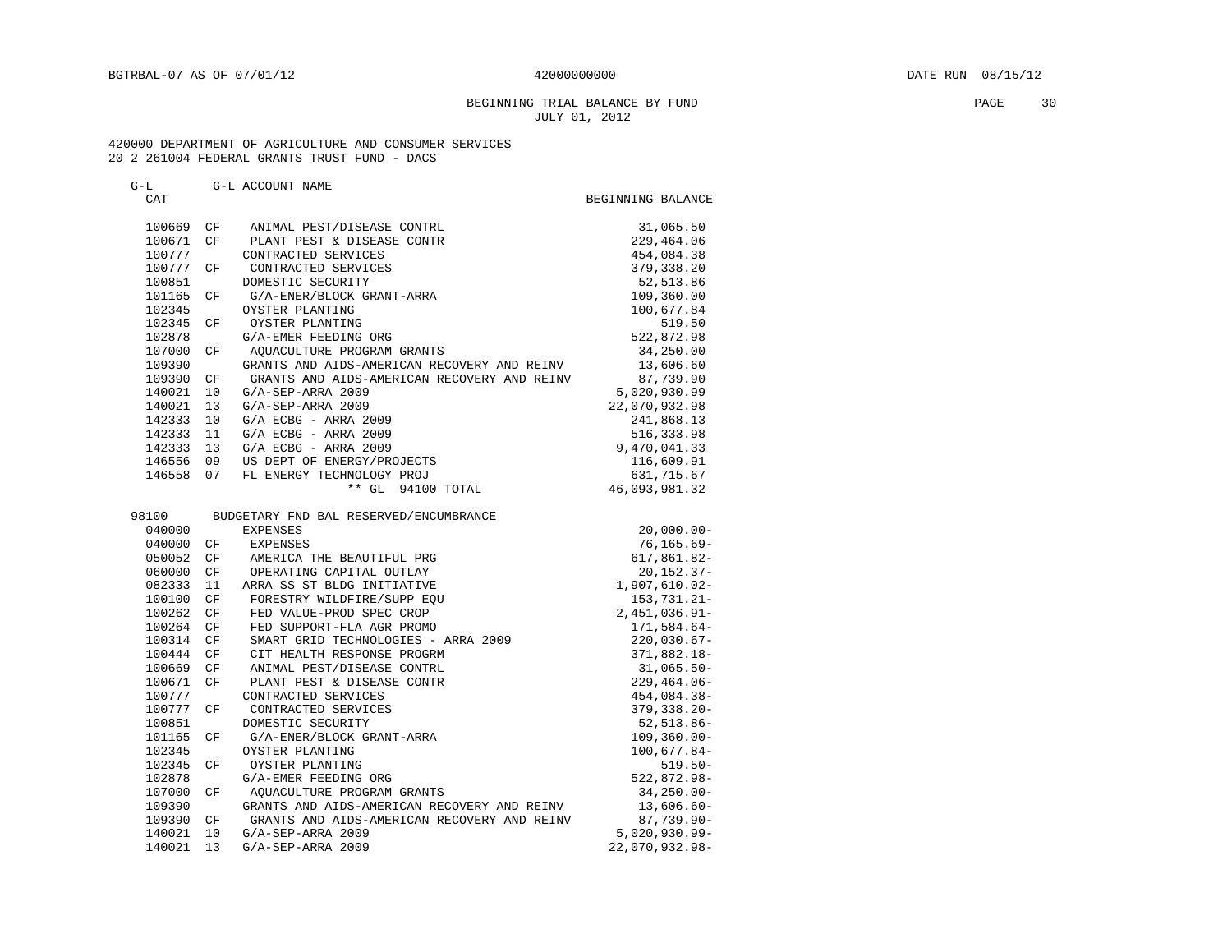# BEGINNING TRIAL BALANCE BY FUND **PAGE** 30 JULY 01, 2012

### 420000 DEPARTMENT OF AGRICULTURE AND CONSUMER SERVICES 20 2 261004 FEDERAL GRANTS TRUST FUND - DACS

# G-L G-L ACCOUNT NAME

| CAT    |    |                                             | BEGINNING BALANCE |
|--------|----|---------------------------------------------|-------------------|
| 100669 | CF | ANIMAL PEST/DISEASE CONTRL                  | 31,065.50         |
| 100671 | CF | PLANT PEST & DISEASE CONTR                  | 229,464.06        |
| 100777 |    | CONTRACTED SERVICES                         | 454,084.38        |
| 100777 | CF | CONTRACTED SERVICES                         | 379, 338.20       |
| 100851 |    | DOMESTIC SECURITY                           | 52, 513.86        |
| 101165 | СF | G/A-ENER/BLOCK GRANT-ARRA                   | 109,360.00        |
| 102345 |    | OYSTER PLANTING                             | 100,677.84        |
| 102345 | CF | OYSTER PLANTING                             | 519.50            |
| 102878 |    | G/A-EMER FEEDING ORG                        | 522,872.98        |
| 107000 | СF | AQUACULTURE PROGRAM GRANTS                  | 34,250.00         |
| 109390 |    | GRANTS AND AIDS-AMERICAN RECOVERY AND REINV | 13,606.60         |
| 109390 | СF | GRANTS AND AIDS-AMERICAN RECOVERY AND REINV | 87,739.90         |
| 140021 | 10 | G/A-SEP-ARRA 2009                           | 5,020,930.99      |
| 140021 | 13 | G/A-SEP-ARRA 2009                           | 22,070,932.98     |
| 142333 | 10 | $G/A$ ECBG - ARRA 2009                      | 241,868.13        |
| 142333 | 11 | $G/A$ ECBG - ARRA 2009                      | 516,333.98        |
| 142333 | 13 | $G/A$ ECBG - ARRA 2009                      | 9,470,041.33      |
| 146556 | 09 | US DEPT OF ENERGY/PROJECTS                  | 116,609.91        |
| 146558 | 07 | FL ENERGY TECHNOLOGY PROJ                   | 631,715.67        |
|        |    | ** GL 94100 TOTAL                           | 46,093,981.32     |
| 98100  |    | BUDGETARY FND BAL RESERVED/ENCUMBRANCE      |                   |
| 040000 |    | <b>EXPENSES</b>                             | $20,000.00 -$     |
| 040000 | СF | <b>EXPENSES</b>                             | 76,165.69-        |
| 050052 | СF | AMERICA THE BEAUTIFUL PRG                   | 617,861.82-       |
| 060000 | CF | OPERATING CAPITAL OUTLAY                    | $20, 152.37 -$    |
| 082333 | 11 | ARRA SS ST BLDG INITIATIVE                  | 1,907,610.02-     |
| 100100 | СF | FORESTRY WILDFIRE/SUPP EOU                  | $153,731.21 -$    |
| 100262 | CF | FED VALUE-PROD SPEC CROP                    | 2, 451, 036.91-   |
| 100264 | CF | FED SUPPORT-FLA AGR PROMO                   | 171,584.64-       |
| 100314 | СF | SMART GRID TECHNOLOGIES - ARRA 2009         | $220,030.67-$     |
| 100444 | CF | CIT HEALTH RESPONSE PROGRM                  | 371,882.18-       |
| 100669 | CF | ANIMAL PEST/DISEASE CONTRL                  | $31,065.50 -$     |
| 100671 | CF | PLANT PEST & DISEASE CONTR                  | $229, 464.06 -$   |
| 100777 |    | CONTRACTED SERVICES                         | 454,084.38-       |
| 100777 | CF | CONTRACTED SERVICES                         | $379, 338.20 -$   |
| 100851 |    | DOMESTIC SECURITY                           | 52,513.86-        |
| 101165 | СF | G/A-ENER/BLOCK GRANT-ARRA                   | $109, 360.00 -$   |
| 102345 |    | OYSTER PLANTING                             | 100,677.84-       |
| 102345 | СF | OYSTER PLANTING                             | $519.50 -$        |
| 102878 |    | G/A-EMER FEEDING ORG                        | $522,872.98 -$    |
| 107000 | CF | AQUACULTURE PROGRAM GRANTS                  | $34, 250.00 -$    |
| 109390 |    | GRANTS AND AIDS-AMERICAN RECOVERY AND REINV | $13,606.60 -$     |
| 109390 | CF | GRANTS AND AIDS-AMERICAN RECOVERY AND REINV | $87,739.90 -$     |
| 140021 | 10 | G/A-SEP-ARRA 2009                           | $5,020,930.99 -$  |
| 140021 | 13 | G/A-SEP-ARRA 2009                           | 22,070,932.98-    |
|        |    |                                             |                   |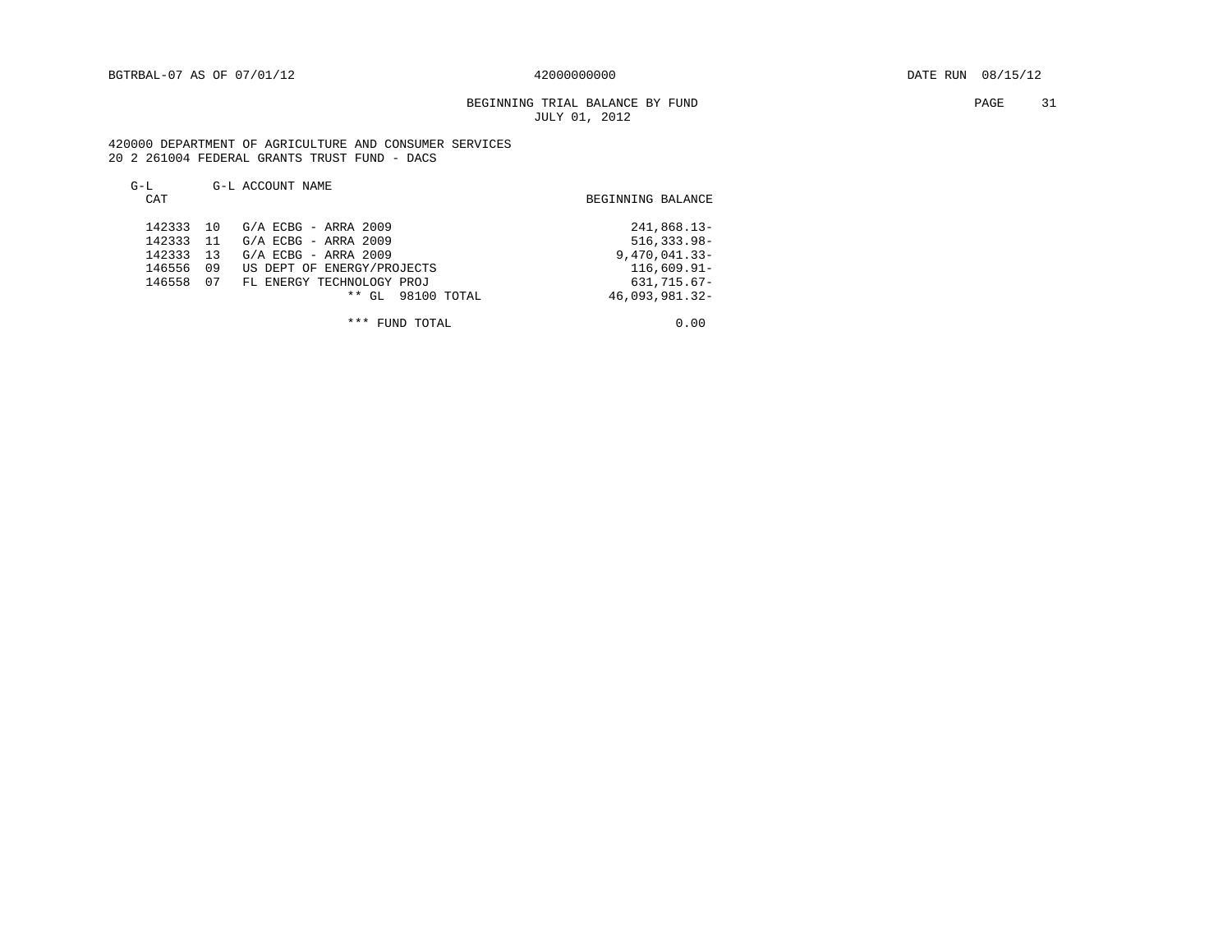# BEGINNING TRIAL BALANCE BY FUND **PAGE** 31 JULY 01, 2012

 420000 DEPARTMENT OF AGRICULTURE AND CONSUMER SERVICES 20 2 261004 FEDERAL GRANTS TRUST FUND - DACS

| $G-L$<br>CAT                                   |                             | G-L ACCOUNT NAME                                                                                                                                                 | BEGINNING BALANCE                                                                                     |
|------------------------------------------------|-----------------------------|------------------------------------------------------------------------------------------------------------------------------------------------------------------|-------------------------------------------------------------------------------------------------------|
| 142333<br>142333<br>142333<br>146556<br>146558 | 10<br>-11<br>13<br>09<br>07 | G/A ECBG - ARRA 2009<br>G/A ECBG - ARRA 2009<br>$G/A$ ECBG - ARRA 2009<br>US DEPT OF ENERGY/PROJECTS<br>FL ENERGY TECHNOLOGY PROJ<br>98100 TOTAL<br>$***$<br>GL. | 241,868.13-<br>$516, 333.98 -$<br>$9,470,041.33 -$<br>$116,609.91 -$<br>631,715.67-<br>46,093,981.32- |

\*\*\* FUND TOTAL 0.00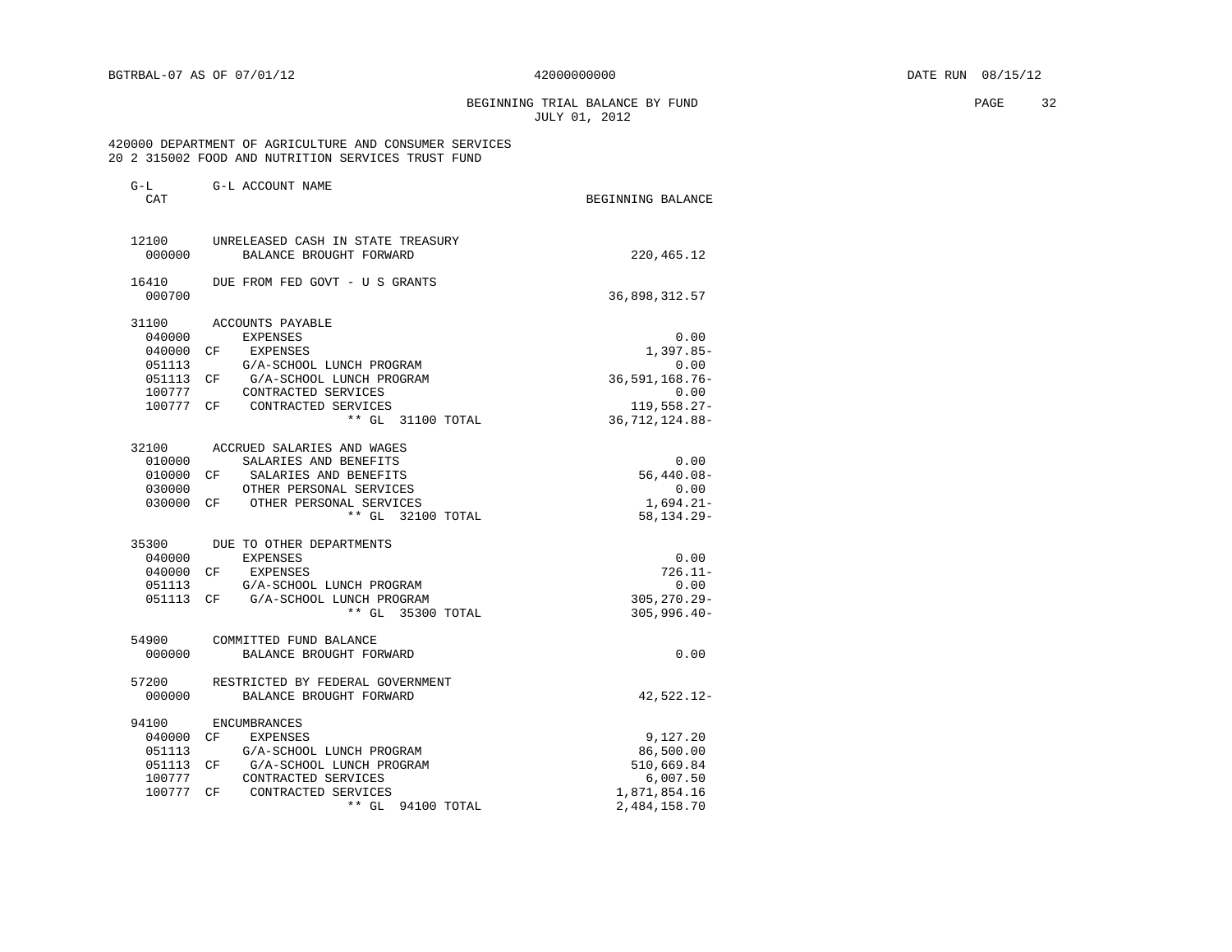BEGINNING TRIAL BALANCE BY FUND **EXAMPLE 2018** PAGE 32 JULY 01, 2012

### 420000 DEPARTMENT OF AGRICULTURE AND CONSUMER SERVICES 20 2 315002 FOOD AND NUTRITION SERVICES TRUST FUND

| CAT       |                                    | BEGINNING BALANCE |
|-----------|------------------------------------|-------------------|
| 12100     | UNRELEASED CASH IN STATE TREASURY  |                   |
| 000000    | BALANCE BROUGHT FORWARD            | 220,465.12        |
| 16410     | DUE FROM FED GOVT - U S GRANTS     |                   |
| 000700    |                                    | 36,898,312.57     |
| 31100     | ACCOUNTS PAYABLE                   |                   |
| 040000    | <b>EXPENSES</b>                    | 0.00              |
| 040000    | CF<br>EXPENSES                     | $1,397.85-$       |
| 051113    | G/A-SCHOOL LUNCH PROGRAM           | 0.00              |
| 051113    | CF<br>G/A-SCHOOL LUNCH PROGRAM     | 36, 591, 168. 76- |
| 100777    | CONTRACTED SERVICES                | 0.00              |
| 100777    | CONTRACTED SERVICES<br>CF.         | 119,558.27-       |
|           | ** GL 31100 TOTAL                  | 36, 712, 124.88-  |
| 32100     | ACCRUED SALARIES AND WAGES         |                   |
| 010000    | SALARIES AND BENEFITS              | 0.00              |
| 010000    | SALARIES AND BENEFITS<br>CF.       | $56,440.08 -$     |
| 030000    | OTHER PERSONAL SERVICES            | 0.00              |
| 030000    | CF OTHER PERSONAL SERVICES         | $1,694.21-$       |
|           | ** GL 32100 TOTAL                  | 58, 134. 29 -     |
| 35300     | DUE TO OTHER DEPARTMENTS           |                   |
| 040000    | <b>EXPENSES</b>                    | 0.00              |
| 040000    | EXPENSES<br>CF.                    | $726.11 -$        |
| 051113    | G/A-SCHOOL LUNCH PROGRAM           | 0.00              |
|           | 051113 CF G/A-SCHOOL LUNCH PROGRAM | $305, 270.29 -$   |
|           | ** GL 35300 TOTAL                  | $305, 996.40 -$   |
| 54900     | COMMITTED FUND BALANCE             |                   |
| 000000    | BALANCE BROUGHT FORWARD            | 0.00              |
| 57200     | RESTRICTED BY FEDERAL GOVERNMENT   |                   |
| 000000    | BALANCE BROUGHT FORWARD            | 42,522.12-        |
| 94100     | <b>ENCUMBRANCES</b>                |                   |
| 040000    | CF<br>EXPENSES                     | 9,127.20          |
| 051113    | G/A-SCHOOL LUNCH PROGRAM           | 86,500.00         |
| 051113 CF | G/A-SCHOOL LUNCH PROGRAM           | 510,669.84        |
| 100777    | CONTRACTED SERVICES                | 6,007.50          |
| 100777    | CF<br>CONTRACTED SERVICES          | 1,871,854.16      |
|           | $**$ GL<br>94100 TOTAL             | 2,484,158.70      |
|           |                                    |                   |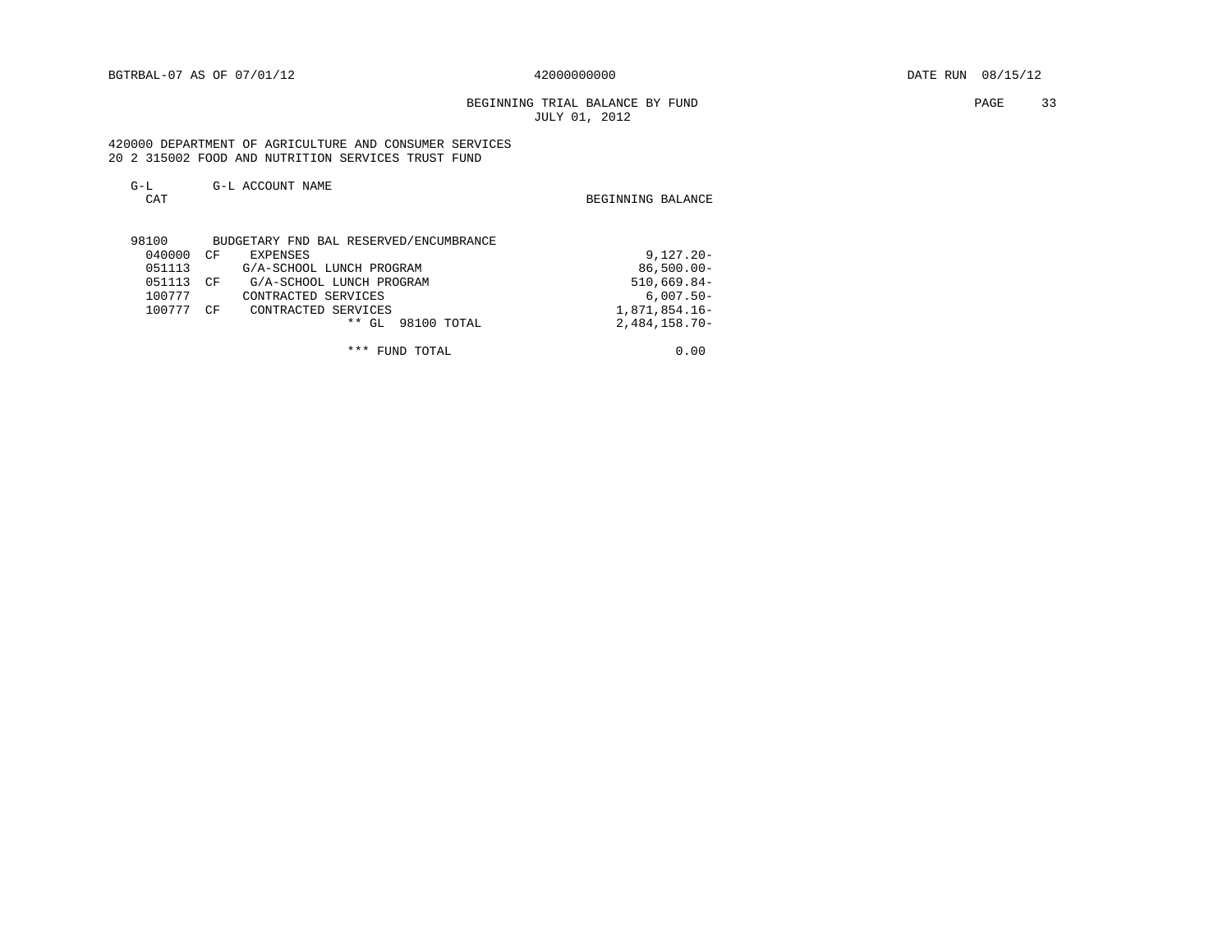BEGINNING TRIAL BALANCE BY FUND **PAGE** 33 JULY 01, 2012

 420000 DEPARTMENT OF AGRICULTURE AND CONSUMER SERVICES 20 2 315002 FOOD AND NUTRITION SERVICES TRUST FUND

| $G-L$<br>CAT | G-L ACCOUNT NAME                       | BEGINNING BALANCE |
|--------------|----------------------------------------|-------------------|
| 98100        | BUDGETARY FND BAL RESERVED/ENCUMBRANCE |                   |
| 040000       | CF<br>EXPENSES                         | $9,127.20 -$      |
| 051113       | G/A-SCHOOL LUNCH PROGRAM               | $86,500.00 -$     |
| 051113       | G/A-SCHOOL LUNCH PROGRAM<br>CF         | $510,669.84-$     |
| 100777       | CONTRACTED SERVICES                    | $6,007.50 -$      |
| 100777       | CΕ<br>CONTRACTED SERVICES              | 1,871,854.16-     |
|              | $**$ GL<br>98100 TOTAL                 | $2,484,158.70-$   |
|              | ***<br>FUND TOTAL                      | 0.00              |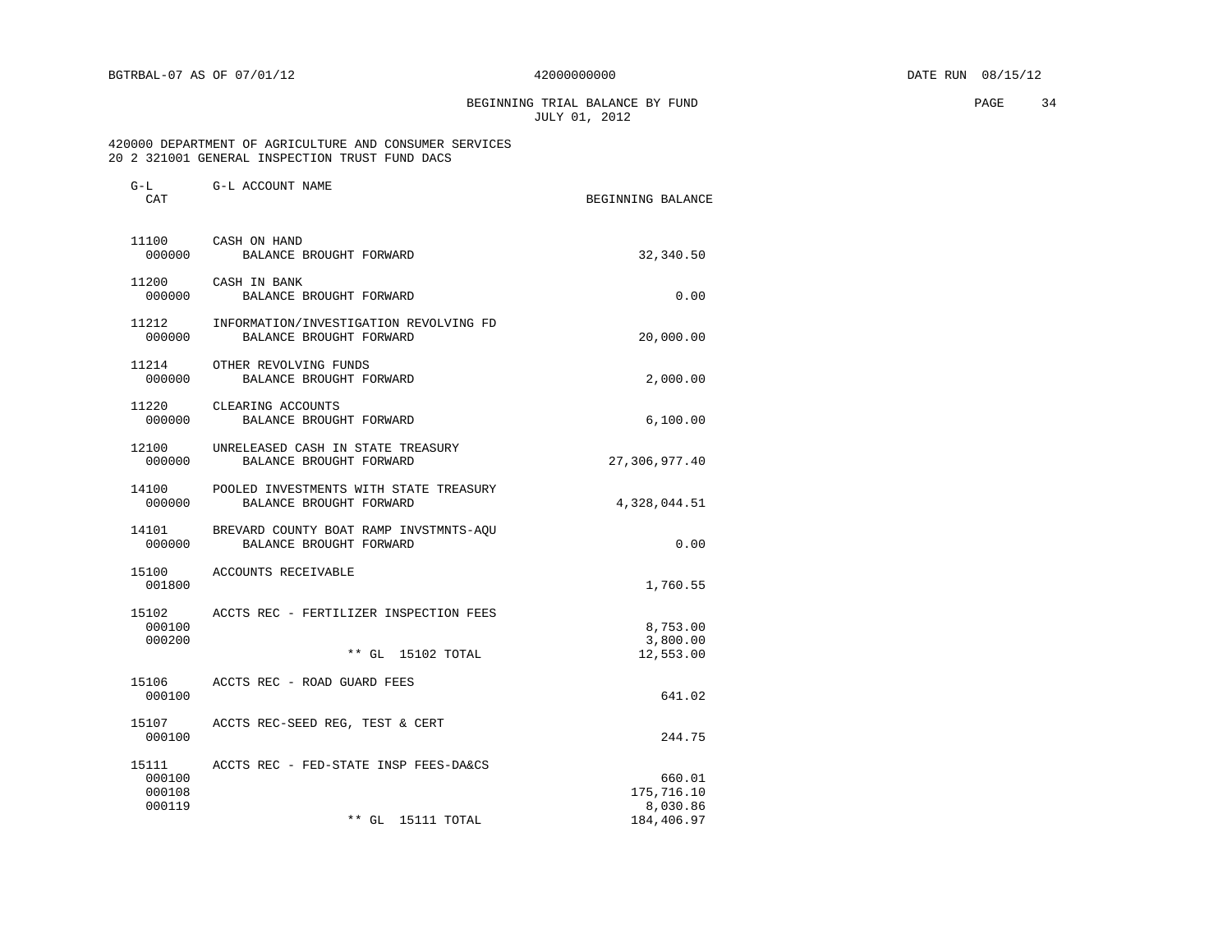# BEGINNING TRIAL BALANCE BY FUND **PAGE** 34 JULY 01, 2012

### 420000 DEPARTMENT OF AGRICULTURE AND CONSUMER SERVICES 20 2 321001 GENERAL INSPECTION TRUST FUND DACS

| $G-L$<br>CAT               | G-L ACCOUNT NAME                                                        | BEGINNING BALANCE                              |
|----------------------------|-------------------------------------------------------------------------|------------------------------------------------|
| 000000                     | 11100 CASH ON HAND<br>BALANCE BROUGHT FORWARD                           | 32,340.50                                      |
| 11200<br>000000            | CASH IN BANK<br>BALANCE BROUGHT FORWARD                                 | 0.00                                           |
| 11212<br>000000            | INFORMATION/INVESTIGATION REVOLVING FD<br>BALANCE BROUGHT FORWARD       | 20,000.00                                      |
| 11214<br>000000            | OTHER REVOLVING FUNDS<br>BALANCE BROUGHT FORWARD                        | 2,000.00                                       |
| 000000                     | 11220 CLEARING ACCOUNTS<br>BALANCE BROUGHT FORWARD                      | 6,100.00                                       |
| 12100<br>000000            | UNRELEASED CASH IN STATE TREASURY<br>BALANCE BROUGHT FORWARD            | 27,306,977.40                                  |
| 14100<br>000000            | POOLED INVESTMENTS WITH STATE TREASURY<br>BALANCE BROUGHT FORWARD       | 4,328,044.51                                   |
| 000000                     | 14101 BREVARD COUNTY BOAT RAMP INVSTMNTS-AQU<br>BALANCE BROUGHT FORWARD | 0.00                                           |
| 15100<br>001800            | ACCOUNTS RECEIVABLE                                                     | 1,760.55                                       |
| 15102<br>000100<br>000200  | ACCTS REC - FERTILIZER INSPECTION FEES<br>** GL 15102 TOTAL             | 8,753.00<br>3,800.00<br>12,553.00              |
| 15106<br>000100            | ACCTS REC - ROAD GUARD FEES                                             | 641.02                                         |
| 15107<br>000100            | ACCTS REC-SEED REG, TEST & CERT                                         | 244.75                                         |
| 000100<br>000108<br>000119 | ** GL 15111 TOTAL                                                       | 660.01<br>175,716.10<br>8,030.86<br>184,406.97 |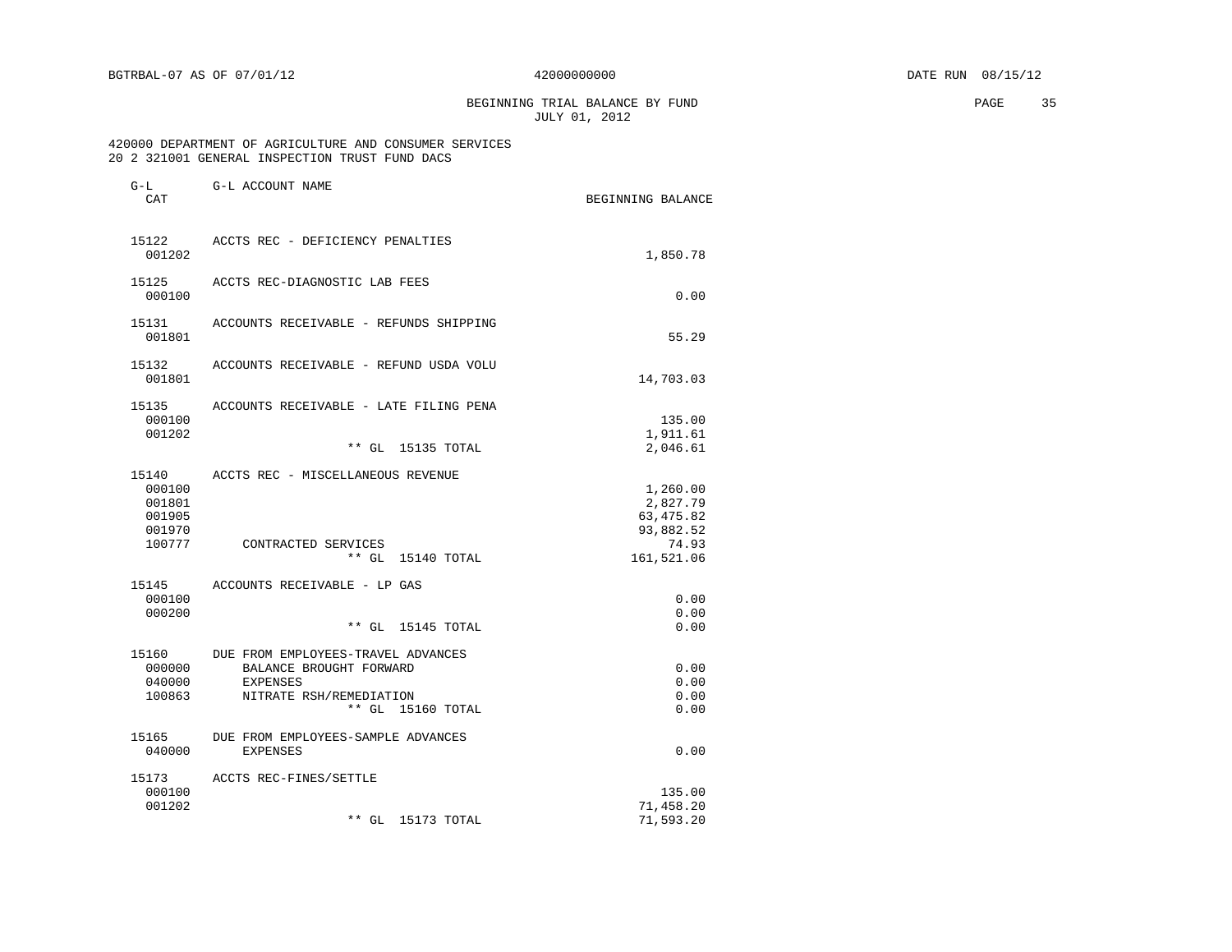BEGINNING TRIAL BALANCE BY FUND PAGE 35 JULY 01, 2012

### 420000 DEPARTMENT OF AGRICULTURE AND CONSUMER SERVICES 20 2 321001 GENERAL INSPECTION TRUST FUND DACS

| $G-L$<br>CAT                                            | G-L ACCOUNT NAME                                                                                                                      | BEGINNING BALANCE                                                      |
|---------------------------------------------------------|---------------------------------------------------------------------------------------------------------------------------------------|------------------------------------------------------------------------|
| 15122<br>001202                                         | ACCTS REC - DEFICIENCY PENALTIES                                                                                                      | 1,850.78                                                               |
| 15125<br>000100                                         | ACCTS REC-DIAGNOSTIC LAB FEES                                                                                                         | 0.00                                                                   |
| 15131<br>001801                                         | ACCOUNTS RECEIVABLE - REFUNDS SHIPPING                                                                                                | 55.29                                                                  |
| 15132<br>001801                                         | ACCOUNTS RECEIVABLE - REFUND USDA VOLU                                                                                                | 14,703.03                                                              |
| 15135<br>000100<br>001202                               | ACCOUNTS RECEIVABLE - LATE FILING PENA                                                                                                | 135.00<br>1,911.61                                                     |
|                                                         | $***$ GL<br>15135 TOTAL                                                                                                               | 2,046.61                                                               |
| 15140<br>000100<br>001801<br>001905<br>001970<br>100777 | ACCTS REC - MISCELLANEOUS REVENUE<br>CONTRACTED SERVICES<br>$**$ GL<br>15140 TOTAL                                                    | 1,260.00<br>2,827.79<br>63, 475.82<br>93,882.52<br>74.93<br>161,521.06 |
| 15145<br>000100<br>000200                               | ACCOUNTS RECEIVABLE - LP GAS<br>$**$ GL<br>15145 TOTAL                                                                                | 0.00<br>0.00<br>0.00                                                   |
| 15160<br>000000<br>040000<br>100863                     | DUE FROM EMPLOYEES-TRAVEL ADVANCES<br>BALANCE BROUGHT FORWARD<br><b>EXPENSES</b><br>NITRATE RSH/REMEDIATION<br>$**$ GL<br>15160 TOTAL | 0.00<br>0.00<br>0.00<br>0.00                                           |
| 15165<br>040000                                         | DUE FROM EMPLOYEES-SAMPLE ADVANCES<br><b>EXPENSES</b>                                                                                 | 0.00                                                                   |
| 15173<br>000100<br>001202                               | ACCTS REC-FINES/SETTLE<br>$**$ GL<br>15173 TOTAL                                                                                      | 135.00<br>71,458.20<br>71,593.20                                       |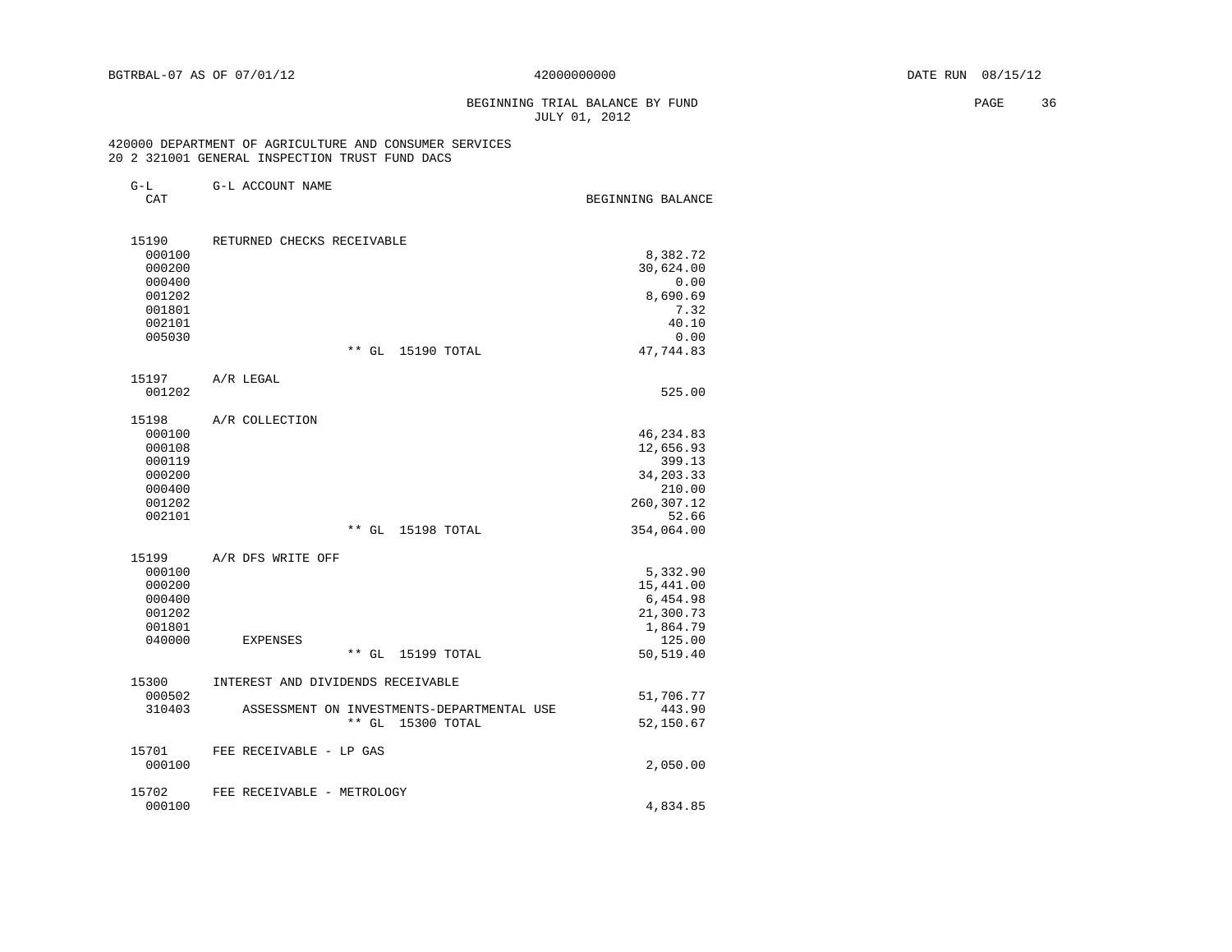# BEGINNING TRIAL BALANCE BY FUND **PAGE** 36 JULY 01, 2012

### 420000 DEPARTMENT OF AGRICULTURE AND CONSUMER SERVICES 20 2 321001 GENERAL INSPECTION TRUST FUND DACS

| G-L ACCOUNT NAME<br>$G-L$ |  |
|---------------------------|--|
|---------------------------|--|

|   |  | × |  |
|---|--|---|--|
|   |  |   |  |
| × |  |   |  |

CAT CAT COOM MALE CAT CONSIDER THE COOM OF THE COOM OF THE BEGINNING BALANCE

| 15190  | RETURNED CHECKS RECEIVABLE |             |             |           |
|--------|----------------------------|-------------|-------------|-----------|
| 000100 |                            |             |             | 8,382.72  |
| 000200 |                            |             |             | 30,624.00 |
| 000400 |                            |             |             | 0.00      |
| 001202 |                            |             |             | 8,690.69  |
| 001801 |                            |             |             | 7.32      |
| 002101 |                            |             |             | 40.10     |
| 005030 |                            |             |             | 0.00      |
|        |                            | $***$<br>GL | 15190 TOTAL | 47,744.83 |

| 15197     | A/R LEGAL      |           |
|-----------|----------------|-----------|
| 001202    |                | 525.00    |
| 15198     | A/R COLLECTION |           |
| 000100    |                | 46,234.83 |
| 000108    |                | 12,656.93 |
| $0.00110$ |                | 200.12    |

| UUUIUO |                      | 14,000. <i>33</i> |
|--------|----------------------|-------------------|
| 000119 |                      | 399.13            |
| 000200 |                      | 34,203.33         |
| 000400 |                      | 210.00            |
| 001202 |                      | 260,307.12        |
| 002101 |                      | 52.66             |
|        | 15198 TOTAL<br>** GL | 354,064.00        |
|        |                      |                   |

| 15199  | A/R DFS WRITE OFF                          |           |
|--------|--------------------------------------------|-----------|
| 000100 |                                            | 5,332.90  |
| 000200 |                                            | 15,441.00 |
| 000400 |                                            | 6,454.98  |
| 001202 |                                            | 21,300.73 |
| 001801 |                                            | 1,864.79  |
| 040000 | EXPENSES                                   | 125.00    |
|        | $***$<br>GL 15199 TOTAL                    | 50,519.40 |
|        |                                            |           |
| 15300  | INTEREST AND DIVIDENDS RECEIVABLE          |           |
| 000502 |                                            | 51,706.77 |
| 310403 | ASSESSMENT ON INVESTMENTS-DEPARTMENTAL USE | 443.90    |
|        | GL 15300 TOTAL<br>* *                      | 52,150.67 |
| 15701  | FEE RECEIVABLE - LP GAS                    |           |
| 000100 |                                            | 2,050.00  |
|        |                                            |           |
| 15702  | FEE RECEIVABLE - METROLOGY                 |           |
| 000100 |                                            | 4,834.85  |
|        |                                            |           |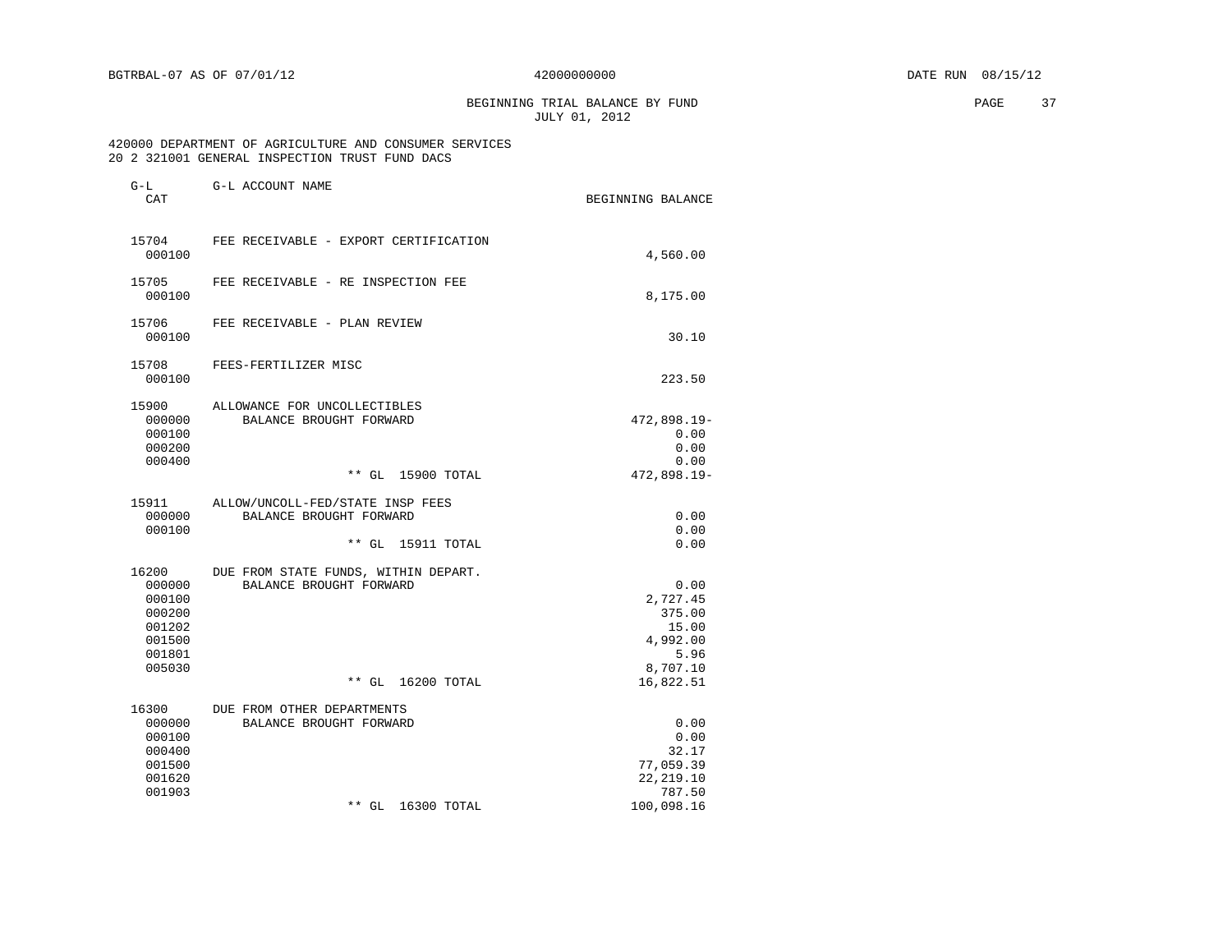BEGINNING TRIAL BALANCE BY FUND **EXAMPLE 2008** PAGE 37 JULY 01, 2012

### 420000 DEPARTMENT OF AGRICULTURE AND CONSUMER SERVICES 20 2 321001 GENERAL INSPECTION TRUST FUND DACS

| $G-L$<br>CAT                                                                | G-L ACCOUNT NAME                                                                     | BEGINNING BALANCE                                                                |
|-----------------------------------------------------------------------------|--------------------------------------------------------------------------------------|----------------------------------------------------------------------------------|
| 15704<br>000100                                                             | FEE RECEIVABLE - EXPORT CERTIFICATION                                                | 4,560.00                                                                         |
| 15705<br>000100                                                             | FEE RECEIVABLE - RE INSPECTION FEE                                                   | 8,175.00                                                                         |
| 15706<br>000100                                                             | FEE RECEIVABLE - PLAN REVIEW                                                         | 30.10                                                                            |
| 15708<br>000100                                                             | FEES-FERTILIZER MISC                                                                 | 223.50                                                                           |
| 15900<br>000000<br>000100<br>000200<br>000400                               | ALLOWANCE FOR UNCOLLECTIBLES<br>BALANCE BROUGHT FORWARD<br>** GL 15900 TOTAL         | 472,898.19-<br>0.00<br>0.00<br>0.00<br>472,898.19-                               |
| 15911<br>000000<br>000100                                                   | ALLOW/UNCOLL-FED/STATE INSP FEES<br>BALANCE BROUGHT FORWARD<br>** GL 15911 TOTAL     | 0.00<br>0.00<br>0.00                                                             |
| 16200<br>000000<br>000100<br>000200<br>001202<br>001500<br>001801<br>005030 | DUE FROM STATE FUNDS, WITHIN DEPART.<br>BALANCE BROUGHT FORWARD<br>** GL 16200 TOTAL | 0.00<br>2,727.45<br>375.00<br>15.00<br>4,992.00<br>5.96<br>8,707.10<br>16,822.51 |
| 16300<br>000000<br>000100<br>000400<br>001500<br>001620<br>001903           | DUE FROM OTHER DEPARTMENTS<br>BALANCE BROUGHT FORWARD<br>$**$ GL<br>16300 TOTAL      | 0.00<br>0.00<br>32.17<br>77,059.39<br>22, 219.10<br>787.50<br>100,098.16         |
|                                                                             |                                                                                      |                                                                                  |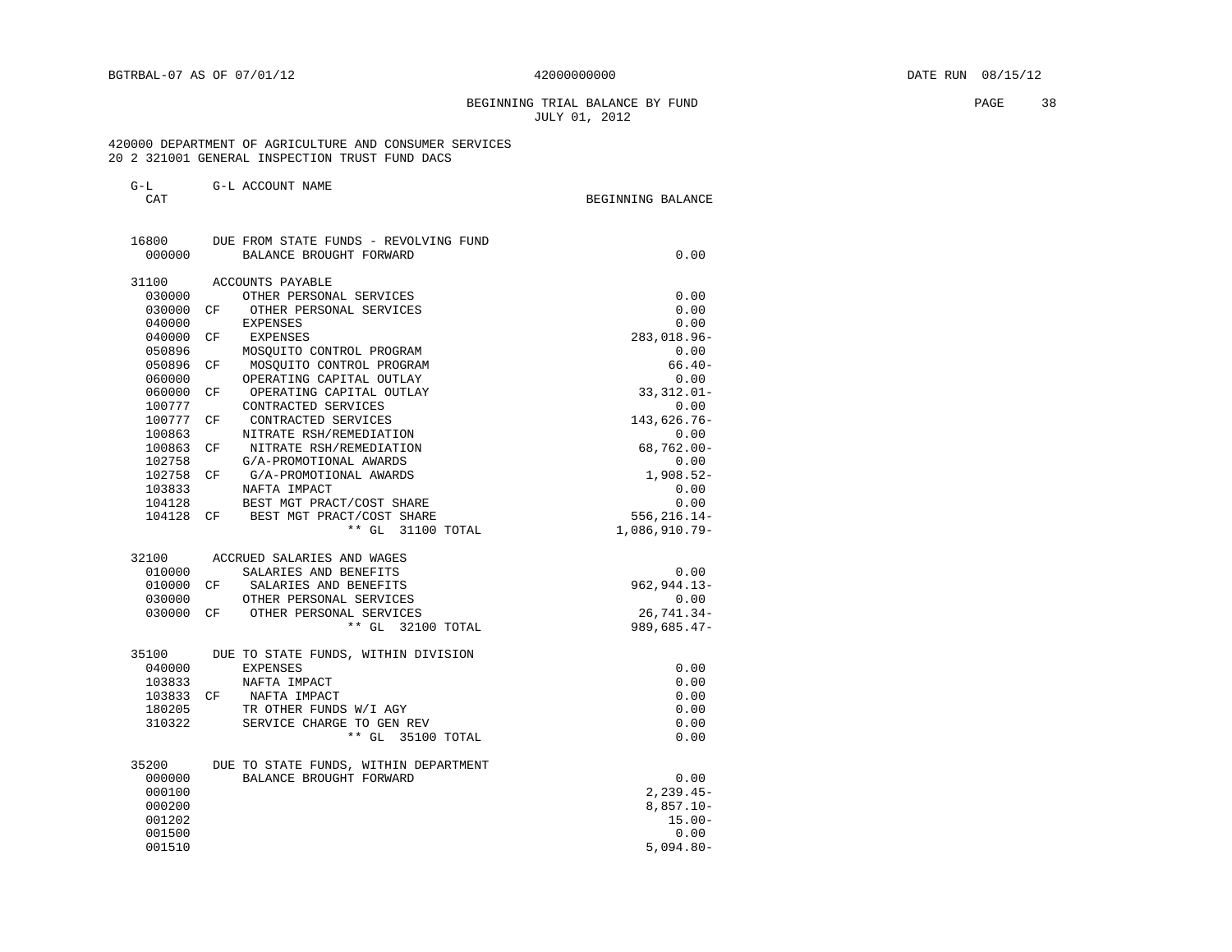# BEGINNING TRIAL BALANCE BY FUND PAGE 38 JULY 01, 2012

 420000 DEPARTMENT OF AGRICULTURE AND CONSUMER SERVICES 20 2 321001 GENERAL INSPECTION TRUST FUND DACS

| $\sim$<br>$\rightarrow$ $-$ | G-L ACCOUNT<br>NAME |                   |  |
|-----------------------------|---------------------|-------------------|--|
| ጣአጥ                         |                     | BEGINNING BALANCE |  |

| 16800<br>000000 | DUE FROM STATE FUNDS - REVOLVING FUND<br>BALANCE BROUGHT FORWARD | 0.00            |
|-----------------|------------------------------------------------------------------|-----------------|
|                 |                                                                  |                 |
| 31100           | ACCOUNTS PAYABLE                                                 |                 |
| 030000          | OTHER PERSONAL SERVICES                                          | 0.00            |
| 030000 CF       | OTHER PERSONAL SERVICES                                          | 0.00            |
| 040000          | <b>EXPENSES</b>                                                  | 0.00            |
| 040000          | CF<br>EXPENSES                                                   | 283,018.96-     |
| 050896          | MOSOUITO CONTROL PROGRAM                                         | 0.00            |
| 050896          | MOSOUITO CONTROL PROGRAM<br>CF <sup></sup>                       | $66.40-$        |
| 060000          | OPERATING CAPITAL OUTLAY                                         | 0.00            |
| 060000          | OPERATING CAPITAL OUTLAY<br>CF                                   | $33,312.01 -$   |
| 100777          | CONTRACTED SERVICES                                              | 0.00            |
| 100777 CF       | CONTRACTED SERVICES                                              | 143,626.76-     |
| 100863          | NITRATE RSH/REMEDIATION                                          | 0.00            |
| 100863 CF       | NITRATE RSH/REMEDIATION                                          | $68,762.00 -$   |
| 102758          | G/A-PROMOTIONAL AWARDS                                           | 0.00            |
| 102758 CF       | G/A-PROMOTIONAL AWARDS                                           | $1,908.52-$     |
| 103833          | NAFTA IMPACT                                                     | 0.00            |
| 104128          | BEST MGT PRACT/COST SHARE                                        | 0.00            |
| 104128 CF       | BEST MGT PRACT/COST SHARE                                        | 556, 216.14-    |
|                 | ** GL 31100 TOTAL                                                | 1,086,910.79-   |
| 32100           | ACCRUED SALARIES AND WAGES                                       |                 |
| 010000          | SALARIES AND BENEFITS                                            | 0.00            |
| 010000 CF       | SALARIES AND BENEFITS                                            | $962, 944.13 -$ |
| 030000          | OTHER PERSONAL SERVICES                                          | 0.00            |
| 030000 CF       | OTHER PERSONAL SERVICES                                          | $26,741.34-$    |
|                 | ** GL 32100 TOTAL                                                | 989,685.47-     |
| 35100           | DUE TO STATE FUNDS, WITHIN DIVISION                              |                 |
| 040000          | <b>EXPENSES</b>                                                  | 0.00            |
| 103833          | NAFTA IMPACT                                                     | 0.00            |
|                 | 103833 CF NAFTA IMPACT                                           | 0.00            |
| 180205          | TR OTHER FUNDS W/I AGY                                           | 0.00            |
| 310322          | SERVICE CHARGE TO GEN REV                                        | 0.00            |
|                 | ** GL 35100 TOTAL                                                | 0.00            |
| 35200           | DUE TO STATE FUNDS, WITHIN DEPARTMENT                            |                 |
| 000000          | BALANCE BROUGHT FORWARD                                          | 0.00            |
| 000100          |                                                                  | $2, 239.45 -$   |
| 000200          |                                                                  | $8,857.10 -$    |
| 001202          |                                                                  | $15.00 -$       |
| 001500          |                                                                  | 0.00            |
|                 |                                                                  | $5,094.80 -$    |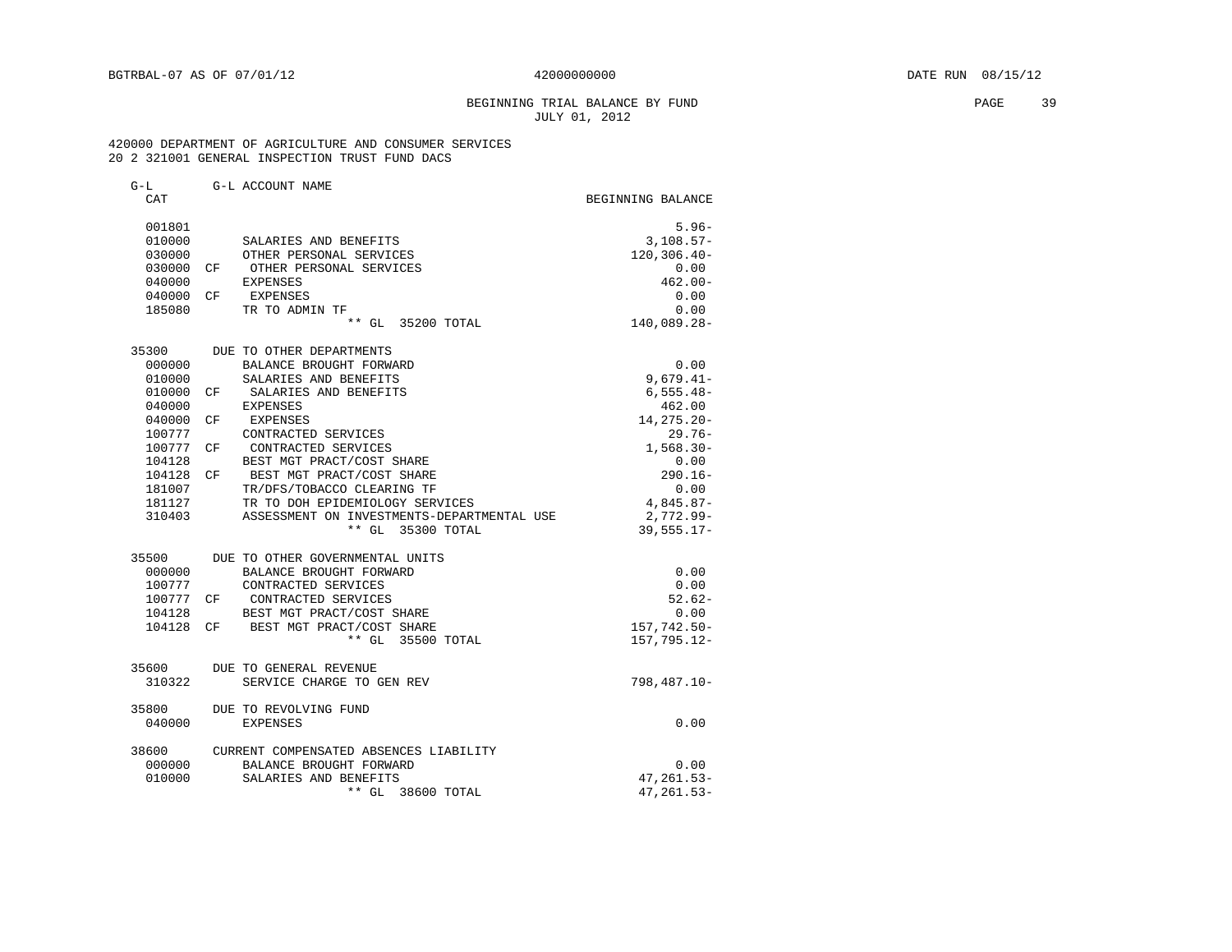## BEGINNING TRIAL BALANCE BY FUND PAGE 39 JULY 01, 2012

### 420000 DEPARTMENT OF AGRICULTURE AND CONSUMER SERVICES 20 2 321001 GENERAL INSPECTION TRUST FUND DACS

| G-L       |    | G-L ACCOUNT NAME                           |                   |
|-----------|----|--------------------------------------------|-------------------|
| CAT       |    |                                            | BEGINNING BALANCE |
|           |    |                                            |                   |
| 001801    |    |                                            | $5.96 -$          |
| 010000    |    | SALARIES AND BENEFITS                      | $3,108.57-$       |
| 030000    |    | OTHER PERSONAL SERVICES                    | $120, 306.40 -$   |
| 030000    |    | CF OTHER PERSONAL SERVICES                 | 0.00              |
| 040000    |    | <b>EXPENSES</b>                            | $462.00 -$        |
| 040000    | CF | EXPENSES                                   | 0.00              |
| 185080    |    | TR TO ADMIN TF                             | 0.00              |
|           |    | ** GL 35200 TOTAL                          | 140,089.28-       |
| 35300     |    | DUE TO OTHER DEPARTMENTS                   |                   |
| 000000    |    | BALANCE BROUGHT FORWARD                    | 0.00              |
| 010000    |    | SALARIES AND BENEFITS                      | $9,679.41-$       |
| 010000    | CF | SALARIES AND BENEFITS                      | $6,555.48-$       |
| 040000    |    | <b>EXPENSES</b>                            | 462.00            |
| 040000    | CF | EXPENSES                                   | $14, 275.20 -$    |
| 100777    |    | CONTRACTED SERVICES                        | $29.76-$          |
| 100777    | CF | CONTRACTED SERVICES                        | $1,568.30-$       |
| 104128    |    | BEST MGT PRACT/COST SHARE                  | 0.00              |
| 104128    | CF | BEST MGT PRACT/COST SHARE                  | $290.16 -$        |
| 181007    |    | TR/DFS/TOBACCO CLEARING TF                 | 0.00              |
| 181127    |    | TR TO DOH EPIDEMIOLOGY SERVICES            | 4,845.87-         |
| 310403    |    | ASSESSMENT ON INVESTMENTS-DEPARTMENTAL USE | 2,772.99-         |
|           |    | ** GL 35300 TOTAL                          | $39,555.17-$      |
| 35500     |    | DUE TO OTHER GOVERNMENTAL UNITS            |                   |
| 000000    |    | BALANCE BROUGHT FORWARD                    | 0.00              |
| 100777    |    | CONTRACTED SERVICES                        | 0.00              |
| 100777 CF |    | CONTRACTED SERVICES                        | $52.62 -$         |
| 104128    |    | BEST MGT PRACT/COST SHARE                  | 0.00              |
| 104128 CF |    | BEST MGT PRACT/COST SHARE                  | $157,742.50-$     |
|           |    | ** GL 35500 TOTAL                          | 157, 795. 12-     |
| 35600     |    | DUE TO GENERAL REVENUE                     |                   |
| 310322    |    | SERVICE CHARGE TO GEN REV                  | 798,487.10-       |
|           |    |                                            |                   |
| 35800     |    | DUE TO REVOLVING FUND                      |                   |
| 040000    |    | EXPENSES                                   | 0.00              |
| 38600     |    | CURRENT COMPENSATED ABSENCES LIABILITY     |                   |
| 000000    |    | BALANCE BROUGHT FORWARD                    | 0.00              |
| 010000    |    | SALARIES AND BENEFITS                      | $47, 261.53 -$    |
|           |    | ** GL 38600 TOTAL                          | $47, 261.53 -$    |
|           |    |                                            |                   |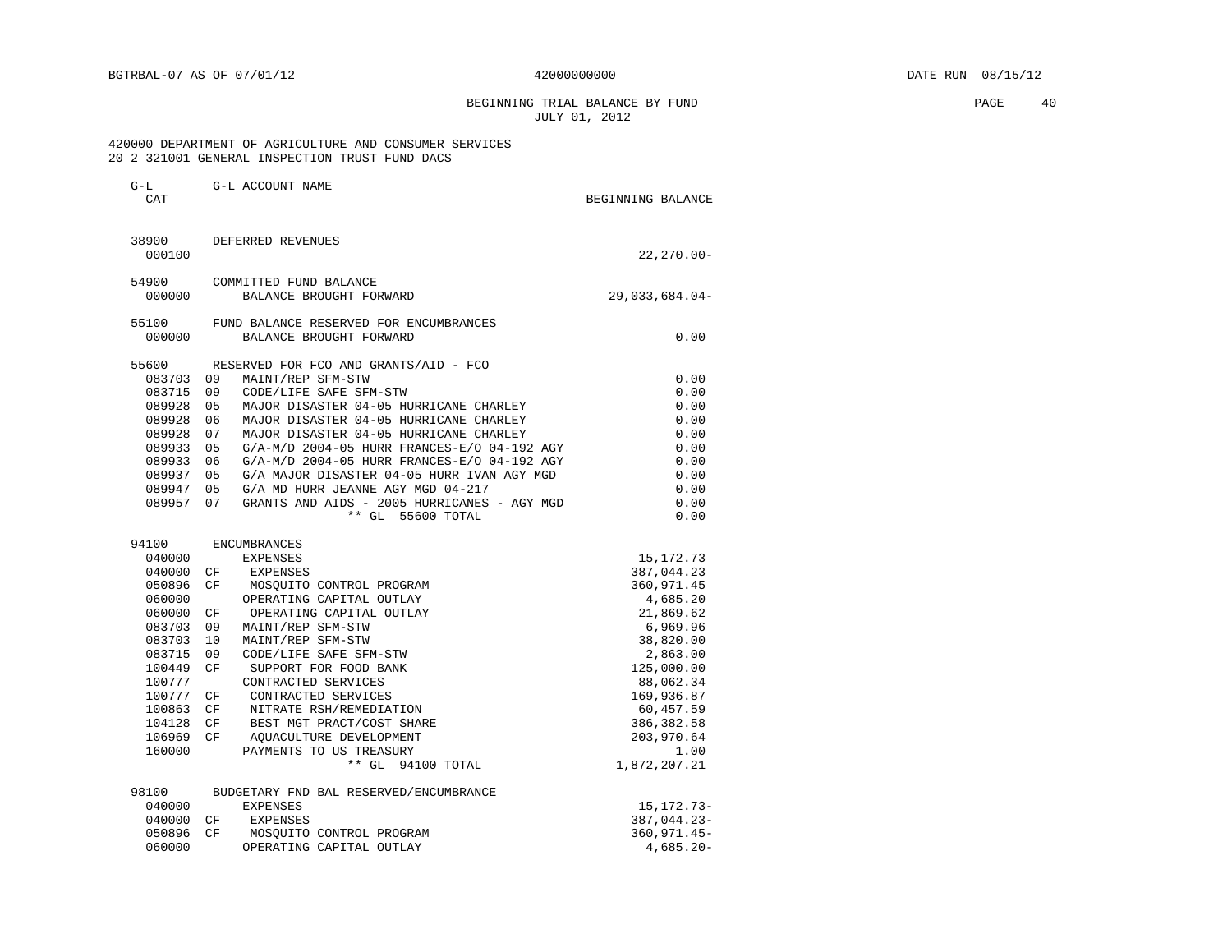BEGINNING TRIAL BALANCE BY FUND **PAGE 40** JULY 01, 2012

 420000 DEPARTMENT OF AGRICULTURE AND CONSUMER SERVICES 20 2 321001 GENERAL INSPECTION TRUST FUND DACS

| $G-L$<br>CAT |     | G-L ACCOUNT NAME                            | BEGINNING BALANCE |
|--------------|-----|---------------------------------------------|-------------------|
| 38900        |     | DEFERRED REVENUES                           |                   |
| 000100       |     |                                             | $22, 270.00 -$    |
| 54900        |     | COMMITTED FUND BALANCE                      |                   |
| 000000       |     | BALANCE BROUGHT FORWARD                     | $29,033,684.04-$  |
| 55100        |     | FUND BALANCE RESERVED FOR ENCUMBRANCES      |                   |
| 000000       |     | BALANCE BROUGHT FORWARD                     | 0.00              |
| 55600        |     | RESERVED FOR FCO AND GRANTS/AID - FCO       |                   |
| 083703       | 09  | MAINT/REP SFM-STW                           | 0.00              |
| 083715       | 09  | CODE/LIFE SAFE SFM-STW                      | 0.00              |
| 089928       | 05  | MAJOR DISASTER 04-05 HURRICANE CHARLEY      | 0.00              |
| 089928       | 06  | MAJOR DISASTER 04-05 HURRICANE CHARLEY      | 0.00              |
| 089928       | 07  | MAJOR DISASTER 04-05 HURRICANE CHARLEY      | 0.00              |
| 089933       | 05  | G/A-M/D 2004-05 HURR FRANCES-E/O 04-192 AGY | 0.00              |
| 089933       | 06  | G/A-M/D 2004-05 HURR FRANCES-E/O 04-192 AGY | 0.00              |
| 089937       | 0.5 | G/A MAJOR DISASTER 04-05 HURR IVAN AGY MGD  | 0.00              |
| 089947       | 05  | G/A MD HURR JEANNE AGY MGD 04-217           | 0.00              |
| 089957       | 07  | GRANTS AND AIDS - 2005 HURRICANES - AGY MGD | 0.00              |
|              |     | ** GL 55600 TOTAL                           | 0.00              |
| 94100        |     | <b>ENCUMBRANCES</b>                         |                   |
| 040000       |     | <b>EXPENSES</b>                             | 15, 172. 73       |
| 040000       | CF  | EXPENSES                                    | 387,044.23        |
| 050896       | CF  | MOSQUITO CONTROL PROGRAM                    | 360,971.45        |
| 060000       |     | OPERATING CAPITAL OUTLAY                    | 4,685.20          |
| 060000       | CF  | OPERATING CAPITAL OUTLAY                    | 21,869.62         |
| 083703       | 09  | MAINT/REP SFM-STW                           | 6,969.96          |
| 083703       | 10  | MAINT/REP SFM-STW                           | 38,820.00         |
| 083715       | 09  | CODE/LIFE SAFE SFM-STW                      | 2,863.00          |
| 100449       | CF  | SUPPORT FOR FOOD BANK                       | 125,000.00        |
| 100777       |     | CONTRACTED SERVICES                         | 88,062.34         |
| 100777       | CF  | CONTRACTED SERVICES                         | 169,936.87        |
| 100863       | CF  | NITRATE RSH/REMEDIATION                     | 60,457.59         |
| 104128       | CF  | BEST MGT PRACT/COST SHARE                   | 386,382.58        |
| 106969       | CF  | AOUACULTURE DEVELOPMENT                     | 203,970.64        |
| 160000       |     | PAYMENTS TO US TREASURY                     | 1.00              |
|              |     | ** GL 94100 TOTAL                           | 1,872,207.21      |
| 98100        |     | BUDGETARY FND BAL RESERVED/ENCUMBRANCE      |                   |
| 040000       |     | <b>EXPENSES</b>                             | 15, 172. 73-      |
| 040000       | CF  | <b>EXPENSES</b>                             | 387,044.23-       |
| 050896       | CF  | MOSOUITO CONTROL PROGRAM                    | 360,971.45-       |

050896 CF MOSQUITO CONTROL PROGRAM  $060000$  360,971.45-060000 0PERATING CAPITAL OUTLAY 4,685.20-

060000 OPERATING CAPITAL OUTLAY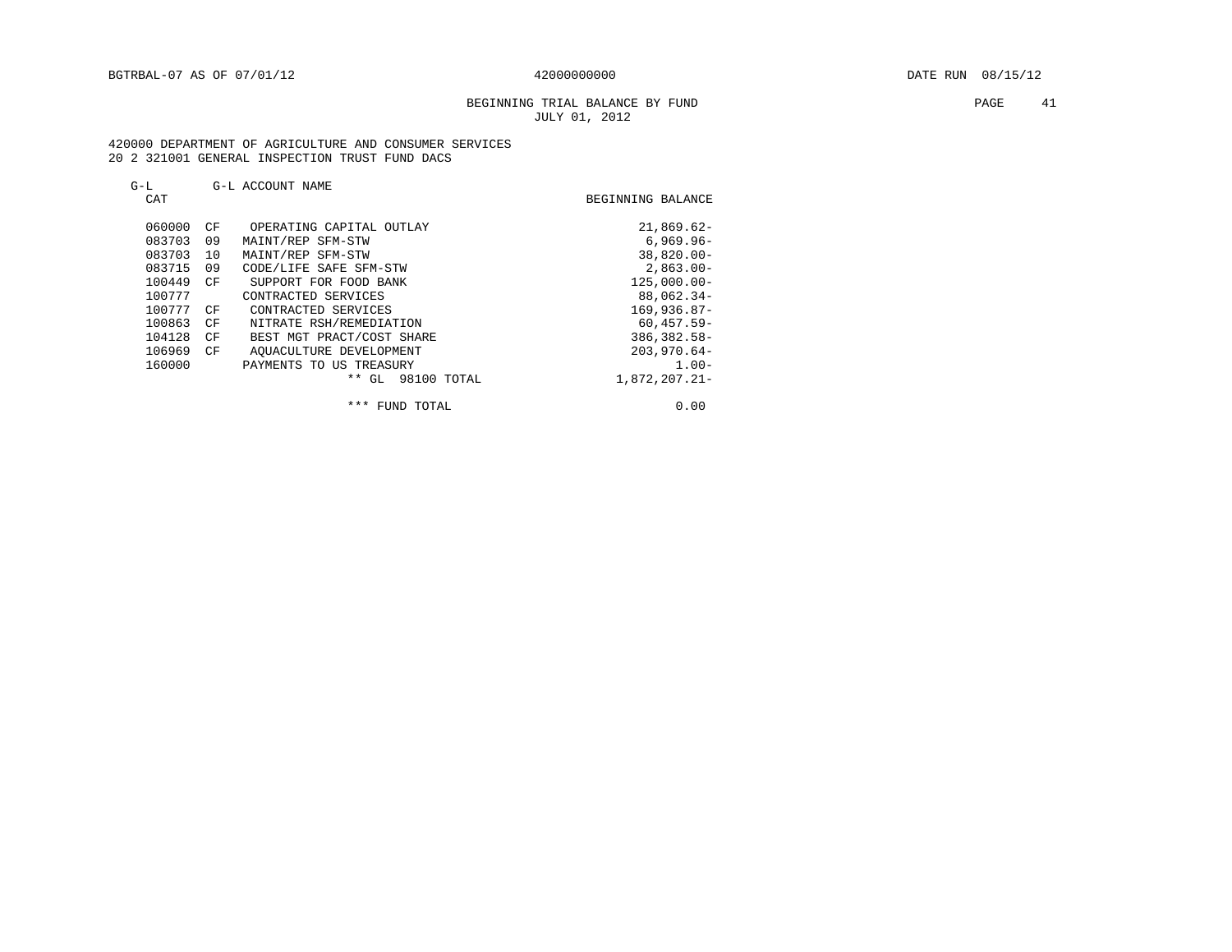### BEGINNING TRIAL BALANCE BY FUND **PAGE 41** JULY 01, 2012

### 420000 DEPARTMENT OF AGRICULTURE AND CONSUMER SERVICES 20 2 321001 GENERAL INSPECTION TRUST FUND DACS

# G-L G-L ACCOUNT NAME

| CAT    |    |                           | BEGINNING BALANCE |
|--------|----|---------------------------|-------------------|
| 060000 | CF | OPERATING CAPITAL OUTLAY  | $21,869.62-$      |
| 083703 | 09 | MAINT/REP SFM-STW         | $6.969.96 -$      |
| 083703 | 10 | MAINT/REP SFM-STW         | $38,820.00 -$     |
| 083715 | 09 | CODE/LIFE SAFE SFM-STW    | $2.863.00 -$      |
| 100449 | CF | SUPPORT FOR FOOD BANK     | $125.000.00 -$    |
| 100777 |    | CONTRACTED SERVICES       | $88,062.34-$      |
| 100777 | CF | CONTRACTED SERVICES       | $169.936.87-$     |
| 100863 | CF | NITRATE RSH/REMEDIATION   | $60.457.59 -$     |
| 104128 | CF | BEST MGT PRACT/COST SHARE | $386, 382.58 -$   |
| 106969 | CF | AOUACULTURE DEVELOPMENT   | $203,970.64-$     |
| 160000 |    | PAYMENTS TO US TREASURY   | $1.00 -$          |
|        |    | * *<br>GL.<br>98100 TOTAL | 1,872,207.21-     |

\*\*\* FUND TOTAL 0.00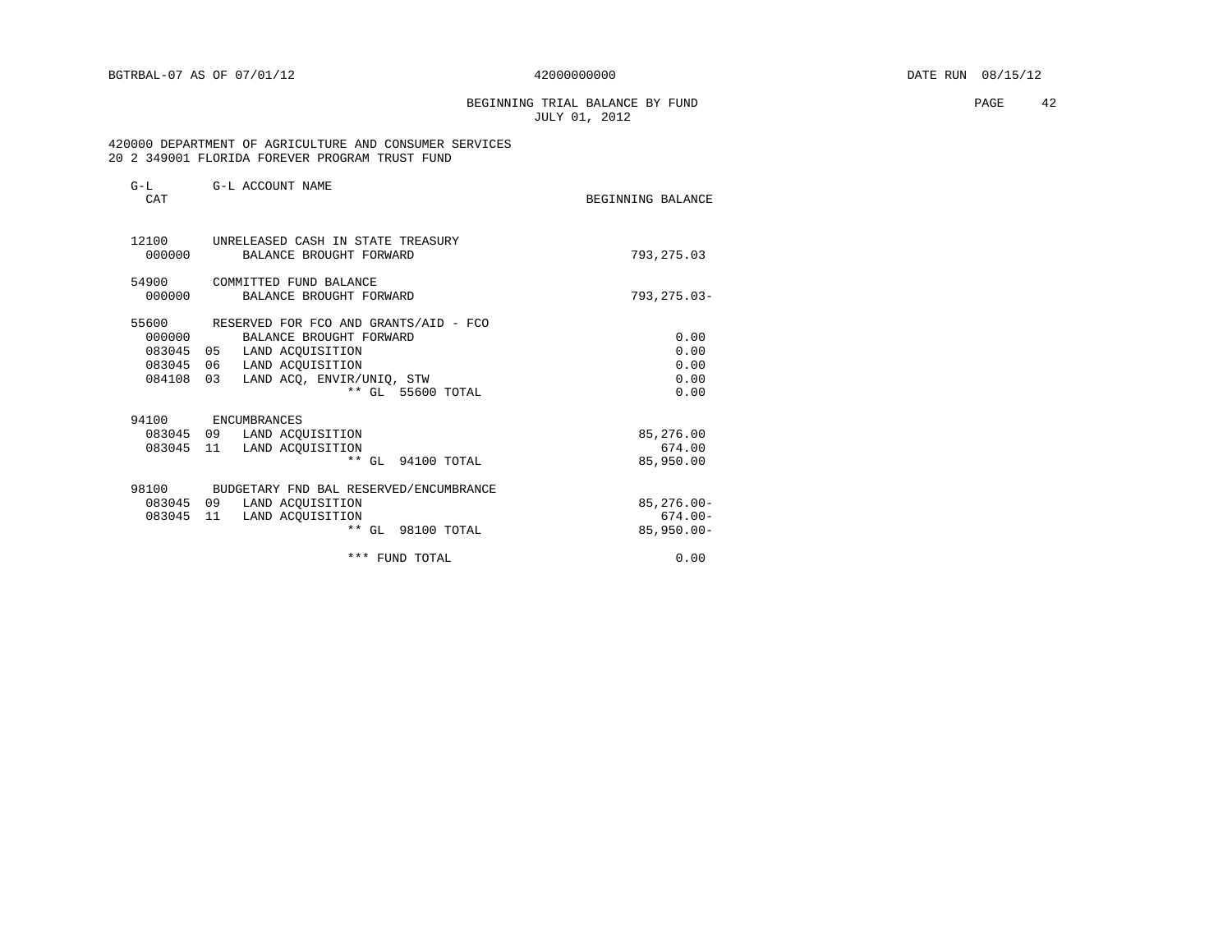BEGINNING TRIAL BALANCE BY FUND **PAGE** 42 JULY 01, 2012

### 420000 DEPARTMENT OF AGRICULTURE AND CONSUMER SERVICES 20 2 349001 FLORIDA FOREVER PROGRAM TRUST FUND

| $G-L$<br>CAT | G-L ACCOUNT NAME                             | BEGINNING BALANCE |
|--------------|----------------------------------------------|-------------------|
| 12100        | UNRELEASED CASH IN STATE TREASURY            |                   |
| 000000       | BALANCE BROUGHT FORWARD                      | 793, 275.03       |
| 54900        | COMMITTED FUND BALANCE                       |                   |
| 000000       | BALANCE BROUGHT FORWARD                      | $793, 275.03 -$   |
| 55600        | RESERVED FOR FCO AND GRANTS/AID - FCO        |                   |
| 000000       | BALANCE BROUGHT FORWARD                      | 0.00              |
| 083045 05    | LAND ACOUISITION                             | 0.00              |
| 083045 06    | LAND ACOUISITION                             | 0.00              |
| 084108       | 0.3<br>LAND ACO, ENVIR/UNIO, STW             | 0.00              |
|              | ** GL 55600 TOTAL                            | 0.00              |
| 94100        | ENCUMBRANCES                                 |                   |
|              | 083045 09 LAND ACQUISITION                   | 85,276.00         |
| 083045       | 11<br>LAND ACOUISITION                       | 674.00            |
|              | $***$ GL<br>94100 TOTAL                      | 85,950.00         |
|              | 98100 BUDGETARY FND BAL RESERVED/ENCUMBRANCE |                   |
| 083045 09    | LAND ACOUISITION                             | $85, 276.00 -$    |
| 083045 11    | LAND ACOUISITION                             | $674.00 -$        |
|              | ** GL 98100 TOTAL                            | $85,950.00 -$     |
|              | *** FUND TOTAL                               | 0.00              |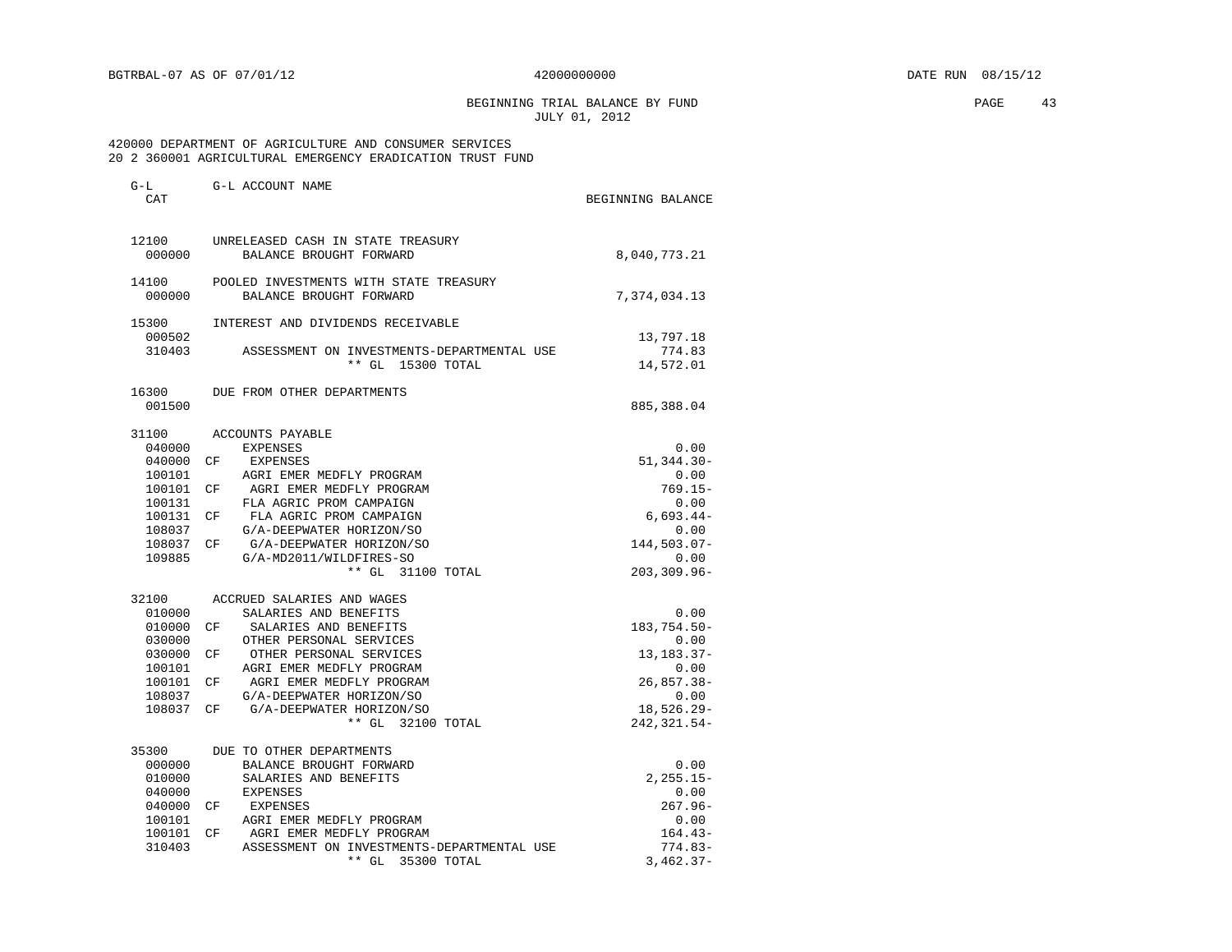BEGINNING TRIAL BALANCE BY FUND **PAGE** 43 JULY 01, 2012

### 420000 DEPARTMENT OF AGRICULTURE AND CONSUMER SERVICES 20 2 360001 AGRICULTURAL EMERGENCY ERADICATION TRUST FUND

| $G-L$<br>CAT     | G-L ACCOUNT NAME                                                   | BEGINNING BALANCE                |
|------------------|--------------------------------------------------------------------|----------------------------------|
| 12100<br>000000  | UNRELEASED CASH IN STATE TREASURY<br>BALANCE BROUGHT FORWARD       | 8,040,773.21                     |
| 14100<br>000000  | POOLED INVESTMENTS WITH STATE TREASURY<br>BALANCE BROUGHT FORWARD  | 7,374,034.13                     |
| 15300            | INTEREST AND DIVIDENDS RECEIVABLE                                  |                                  |
| 000502<br>310403 | ASSESSMENT ON INVESTMENTS-DEPARTMENTAL USE<br>** GL<br>15300 TOTAL | 13,797.18<br>774.83<br>14,572.01 |
| 16300<br>001500  | DUE FROM OTHER DEPARTMENTS                                         | 885,388.04                       |
| 31100            | ACCOUNTS PAYABLE                                                   |                                  |
| 040000           | <b>EXPENSES</b>                                                    | 0.00                             |
| 040000           | CF.<br>EXPENSES                                                    | $51,344.30 -$                    |
| 100101           | AGRI EMER MEDFLY PROGRAM                                           | 0.00                             |
| 100101           | AGRI EMER MEDFLY PROGRAM<br>СF                                     | $769.15-$                        |
| 100131           | FLA AGRIC PROM CAMPAIGN                                            | 0.00                             |
| 100131           | FLA AGRIC PROM CAMPAIGN<br>CF                                      | $6,693.44-$                      |
| 108037           | G/A-DEEPWATER HORIZON/SO                                           | 0.00                             |
| 108037           | G/A-DEEPWATER HORIZON/SO<br>CF.                                    | 144,503.07-                      |
| 109885           | G/A-MD2011/WILDFIRES-SO<br>** GL 31100 TOTAL                       | 0.00<br>203,309.96-              |
| 32100            | ACCRUED SALARIES AND WAGES                                         |                                  |
| 010000           | SALARIES AND BENEFITS                                              | 0.00                             |
| 010000           | SALARIES AND BENEFITS<br>CF.                                       | 183,754.50-                      |
| 030000           | OTHER PERSONAL SERVICES                                            | 0.00                             |
| 030000           | OTHER PERSONAL SERVICES<br>СF                                      | 13, 183. 37-                     |
| 100101           | AGRI EMER MEDFLY PROGRAM                                           | 0.00                             |
| 100101           | AGRI EMER MEDFLY PROGRAM<br>CF                                     | $26,857.38 -$                    |
| 108037           | G/A-DEEPWATER HORIZON/SO                                           | 0.00                             |
| 108037           | G/A-DEEPWATER HORIZON/SO<br>CF.                                    | 18,526.29-                       |
|                  | ** GL 32100 TOTAL                                                  | 242, 321.54-                     |
| 35300            | DUE TO OTHER DEPARTMENTS                                           |                                  |
| 000000           | BALANCE BROUGHT FORWARD                                            | 0.00                             |
| 010000           | SALARIES AND BENEFITS                                              | $2, 255.15 -$                    |
| 040000           | EXPENSES                                                           | 0.00                             |
| 040000           | CF<br>EXPENSES                                                     | $267.96-$                        |
| 100101           | AGRI EMER MEDFLY PROGRAM                                           | 0.00                             |
| 100101           | AGRI EMER MEDFLY PROGRAM<br>CF                                     | $164.43-$                        |
| 310403           | ASSESSMENT ON INVESTMENTS-DEPARTMENTAL USE                         | $774.83-$                        |
|                  | $***$ GL<br>35300 TOTAL                                            | $3,462.37-$                      |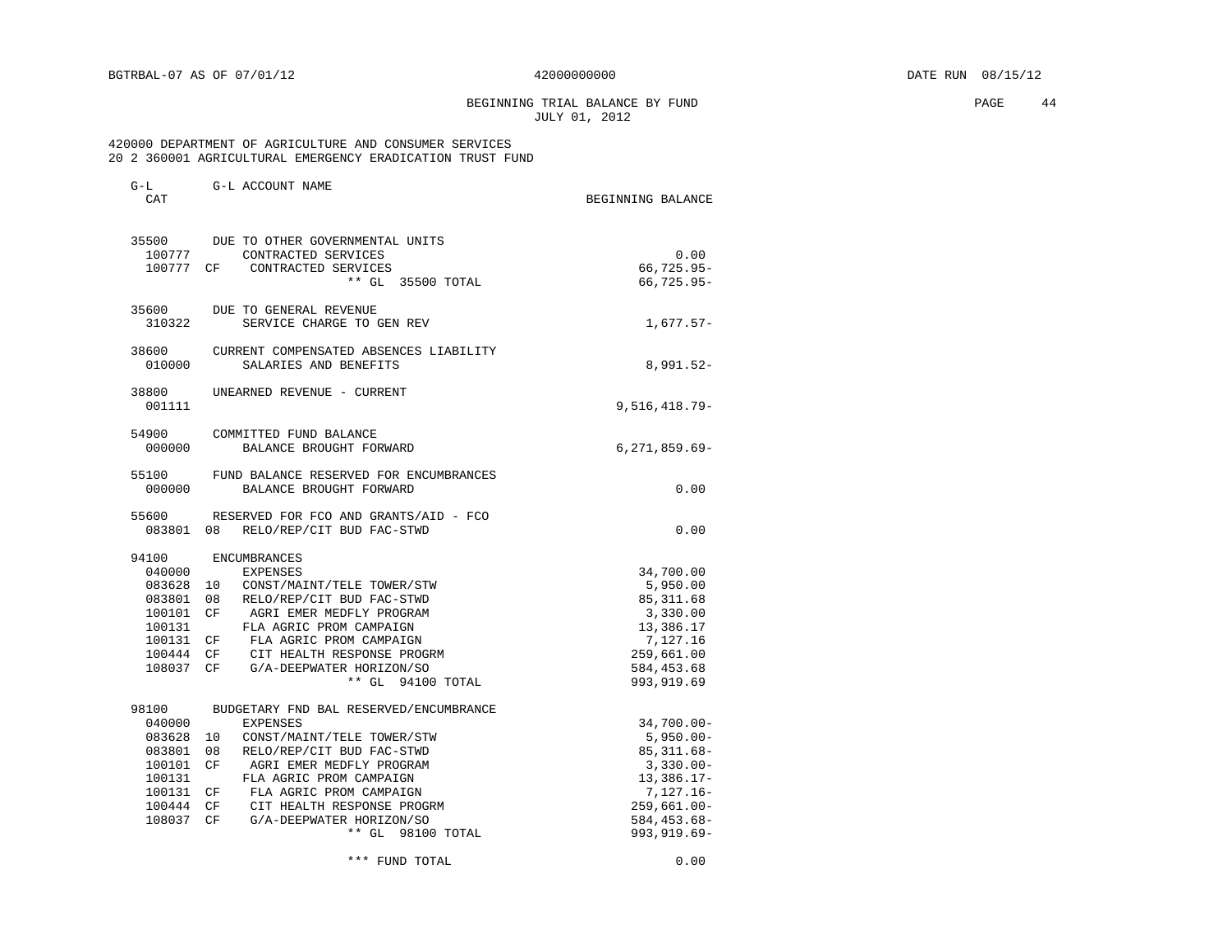G-L G-L ACCOUNT NAME

BEGINNING TRIAL BALANCE BY FUND **PAGE 44** JULY 01, 2012

### 420000 DEPARTMENT OF AGRICULTURE AND CONSUMER SERVICES 20 2 360001 AGRICULTURAL EMERGENCY ERADICATION TRUST FUND

| <b>CT LI</b><br>CAT                                                                   | G H TOCOONT TALIT                                                                                                                                                                                                                                                                                                           | BEGINNING BALANCE                                                                                                                                   |
|---------------------------------------------------------------------------------------|-----------------------------------------------------------------------------------------------------------------------------------------------------------------------------------------------------------------------------------------------------------------------------------------------------------------------------|-----------------------------------------------------------------------------------------------------------------------------------------------------|
| 35500<br>100777                                                                       | DUE TO OTHER GOVERNMENTAL UNITS<br>CONTRACTED SERVICES<br>100777 CF CONTRACTED SERVICES<br>** GL 35500 TOTAL                                                                                                                                                                                                                | 0.00<br>66,725.95-<br>66,725.95-                                                                                                                    |
| 35600<br>310322                                                                       | DUE TO GENERAL REVENUE<br>SERVICE CHARGE TO GEN REV                                                                                                                                                                                                                                                                         | $1,677.57-$                                                                                                                                         |
| 38600<br>010000                                                                       | CURRENT COMPENSATED ABSENCES LIABILITY<br>SALARIES AND BENEFITS                                                                                                                                                                                                                                                             | $8,991.52-$                                                                                                                                         |
| 38800<br>001111                                                                       | UNEARNED REVENUE - CURRENT                                                                                                                                                                                                                                                                                                  | $9,516,418.79-$                                                                                                                                     |
| 54900<br>000000                                                                       | COMMITTED FUND BALANCE<br>BALANCE BROUGHT FORWARD                                                                                                                                                                                                                                                                           | $6, 271, 859.69 -$                                                                                                                                  |
| 55100<br>000000                                                                       | FUND BALANCE RESERVED FOR ENCUMBRANCES<br>BALANCE BROUGHT FORWARD                                                                                                                                                                                                                                                           | 0.00                                                                                                                                                |
| 55600<br>083801                                                                       | RESERVED FOR FCO AND GRANTS/AID - FCO<br>08<br>RELO/REP/CIT BUD FAC-STWD                                                                                                                                                                                                                                                    | 0.00                                                                                                                                                |
| 94100<br>040000<br>083801<br>100101 CF<br>100131<br>100131 CF                         | <b>ENCUMBRANCES</b><br><b>EXPENSES</b><br>083628 10 CONST/MAINT/TELE TOWER/STW<br>08<br>RELO/REP/CIT BUD FAC-STWD<br>AGRI EMER MEDFLY PROGRAM<br>FLA AGRIC PROM CAMPAIGN<br>FLA AGRIC PROM CAMPAIGN<br>100444 CF CIT HEALTH RESPONSE PROGRM<br>108037 CF G/A-DEEPWATER HORIZON/SO<br>** GL 94100 TOTAL                      | 34,700.00<br>5,950.00<br>85, 311.68<br>3,330.00<br>13,386.17<br>7,127.16<br>259,661.00<br>584, 453.68<br>993, 919.69                                |
| 98100<br>040000<br>083628<br>083801<br>100101<br>100131<br>100131<br>100444<br>108037 | BUDGETARY FND BAL RESERVED/ENCUMBRANCE<br><b>EXPENSES</b><br>CONST/MAINT/TELE TOWER/STW<br>10<br>08<br>RELO/REP/CIT BUD FAC-STWD<br>CF<br>AGRI EMER MEDFLY PROGRAM<br>FLA AGRIC PROM CAMPAIGN<br>FLA AGRIC PROM CAMPAIGN<br>CF<br>CF CIT HEALTH RESPONSE PROGRM<br>CF<br>G/A-DEEPWATER HORIZON/SO<br>$**$ GL<br>98100 TOTAL | $34,700.00 -$<br>$5,950.00 -$<br>$85,311.68 -$<br>$3,330.00 -$<br>$13,386.17-$<br>$7,127.16-$<br>$259,661.00 -$<br>584, 453. 68-<br>$993, 919.69 -$ |

\*\*\* FUND TOTAL 0.00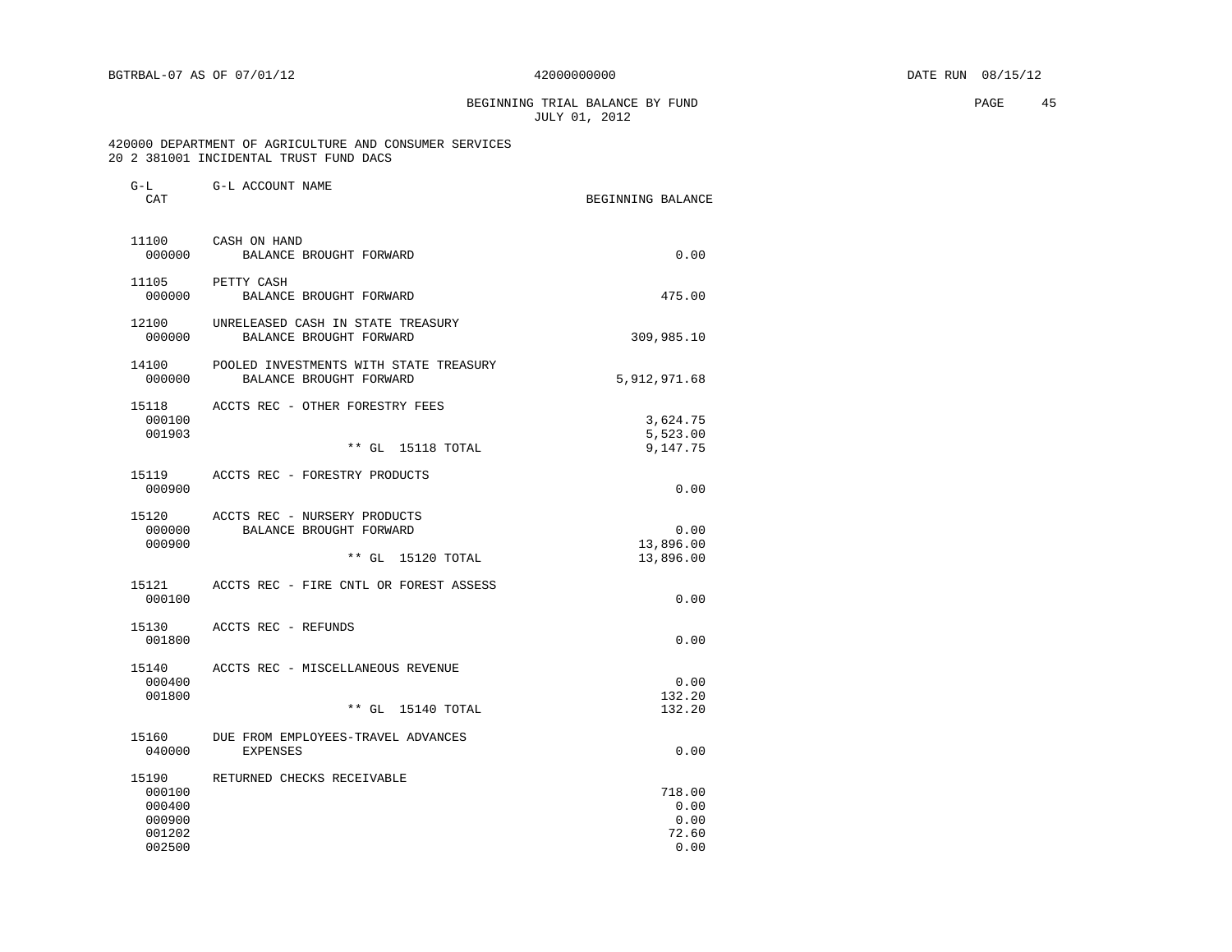BEGINNING TRIAL BALANCE BY FUND **PAGE 45** JULY 01, 2012

| G-L<br>CAT                                              | G-L ACCOUNT NAME                                                                   | BEGINNING BALANCE                       |
|---------------------------------------------------------|------------------------------------------------------------------------------------|-----------------------------------------|
| 11100<br>000000                                         | CASH ON HAND<br>BALANCE BROUGHT FORWARD                                            | 0.00                                    |
| 11105<br>000000                                         | PETTY CASH<br>BALANCE BROUGHT FORWARD                                              | 475.00                                  |
| 12100<br>000000                                         | UNRELEASED CASH IN STATE TREASURY<br>BALANCE BROUGHT FORWARD                       | 309,985.10                              |
| 14100<br>000000                                         | POOLED INVESTMENTS WITH STATE TREASURY<br>BALANCE BROUGHT FORWARD                  | 5,912,971.68                            |
| 15118<br>000100<br>001903                               | ACCTS REC - OTHER FORESTRY FEES<br>** GL<br>15118 TOTAL                            | 3,624.75<br>5,523.00<br>9,147.75        |
| 15119<br>000900                                         | ACCTS REC - FORESTRY PRODUCTS                                                      | 0.00                                    |
| 15120<br>000000<br>000900                               | ACCTS REC - NURSERY PRODUCTS<br>BALANCE BROUGHT FORWARD<br>$***$ GL<br>15120 TOTAL | 0.00<br>13,896.00<br>13,896.00          |
| 15121<br>000100                                         | ACCTS REC - FIRE CNTL OR FOREST ASSESS                                             | 0.00                                    |
| 15130<br>001800                                         | ACCTS REC - REFUNDS                                                                | 0.00                                    |
| 15140<br>000400<br>001800                               | ACCTS REC - MISCELLANEOUS REVENUE<br>** GL 15140 TOTAL                             | 0.00<br>132.20<br>132.20                |
| 15160<br>040000                                         | DUE FROM EMPLOYEES-TRAVEL ADVANCES<br><b>EXPENSES</b>                              | 0.00                                    |
| 15190<br>000100<br>000400<br>000900<br>001202<br>002500 | RETURNED CHECKS RECEIVABLE                                                         | 718.00<br>0.00<br>0.00<br>72.60<br>0.00 |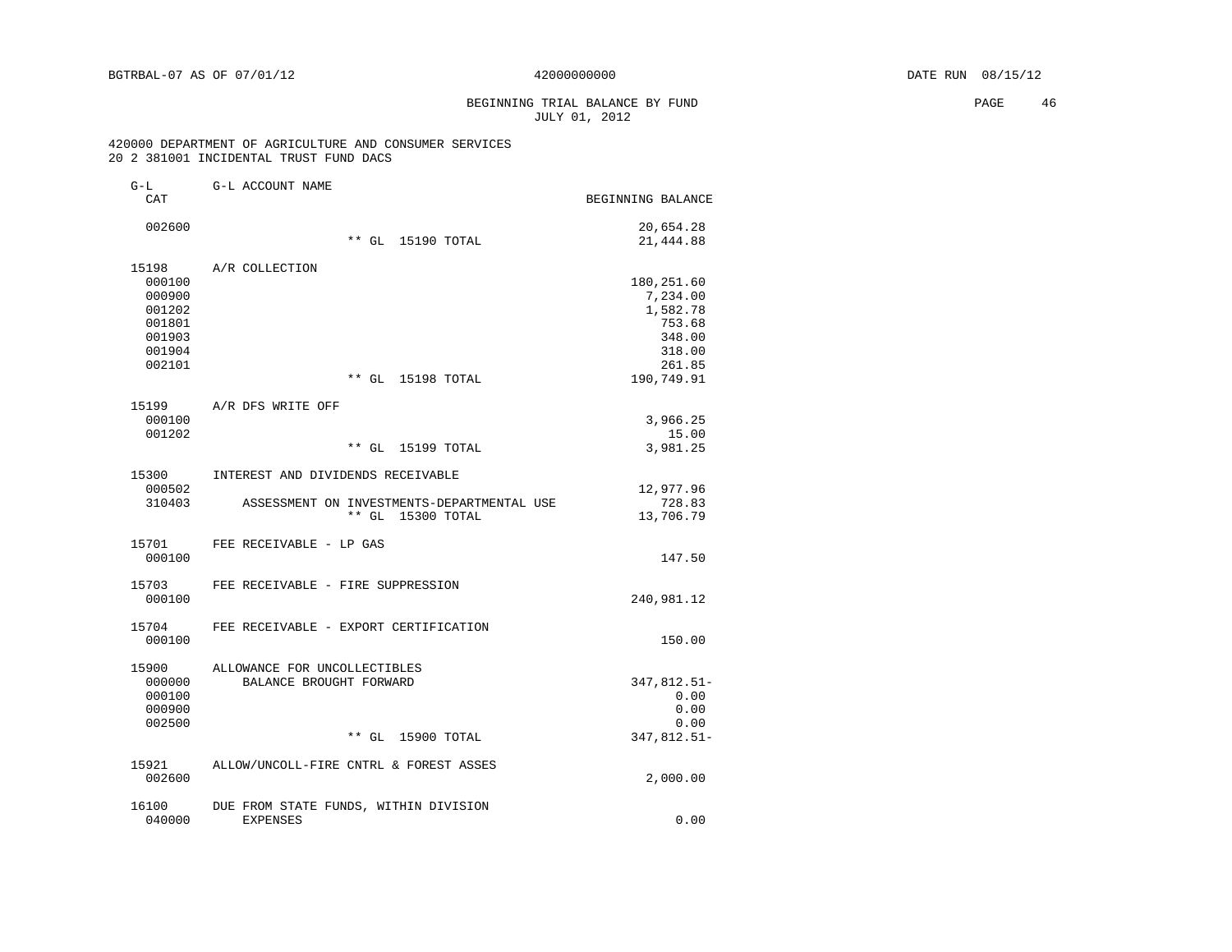# BEGINNING TRIAL BALANCE BY FUND **EXAMPLE 1999** PAGE 46 JULY 01, 2012

| $G-L$<br>CAT     | G-L ACCOUNT NAME                           | BEGINNING BALANCE   |
|------------------|--------------------------------------------|---------------------|
| 002600           |                                            | 20,654.28           |
|                  | ** GL 15190 TOTAL                          | 21,444.88           |
| 15198            | A/R COLLECTION                             |                     |
| 000100           |                                            | 180,251.60          |
| 000900           |                                            | 7,234.00            |
| 001202           |                                            | 1,582.78            |
| 001801           |                                            | 753.68              |
| 001903           |                                            | 348.00              |
| 001904<br>002101 |                                            | 318.00<br>261.85    |
|                  | ** GL 15198 TOTAL                          | 190,749.91          |
| 15199            | A/R DFS WRITE OFF                          |                     |
| 000100           |                                            | 3,966.25            |
| 001202           |                                            | 15.00               |
|                  | ** GL 15199 TOTAL                          | 3,981.25            |
| 15300<br>000502  | INTEREST AND DIVIDENDS RECEIVABLE          | 12,977.96           |
| 310403           | ASSESSMENT ON INVESTMENTS-DEPARTMENTAL USE | 728.83              |
|                  | ** GL 15300 TOTAL                          | 13,706.79           |
| 15701            | FEE RECEIVABLE - LP GAS                    |                     |
| 000100           |                                            | 147.50              |
| 15703            | FEE RECEIVABLE - FIRE SUPPRESSION          |                     |
| 000100           |                                            | 240,981.12          |
| 15704            | FEE RECEIVABLE - EXPORT CERTIFICATION      |                     |
| 000100           |                                            | 150.00              |
| 15900            | ALLOWANCE FOR UNCOLLECTIBLES               |                     |
| 000000           | BALANCE BROUGHT FORWARD                    | 347,812.51-         |
| 000100           |                                            | 0.00                |
| 000900           |                                            | 0.00                |
| 002500           | $**$ GL<br>15900 TOTAL                     | 0.00<br>347,812.51- |
| 15921            | ALLOW/UNCOLL-FIRE CNTRL & FOREST ASSES     |                     |
| 002600           |                                            | 2,000.00            |
| 16100            | DUE FROM STATE FUNDS, WITHIN DIVISION      |                     |
| 040000           | <b>EXPENSES</b>                            | 0.00                |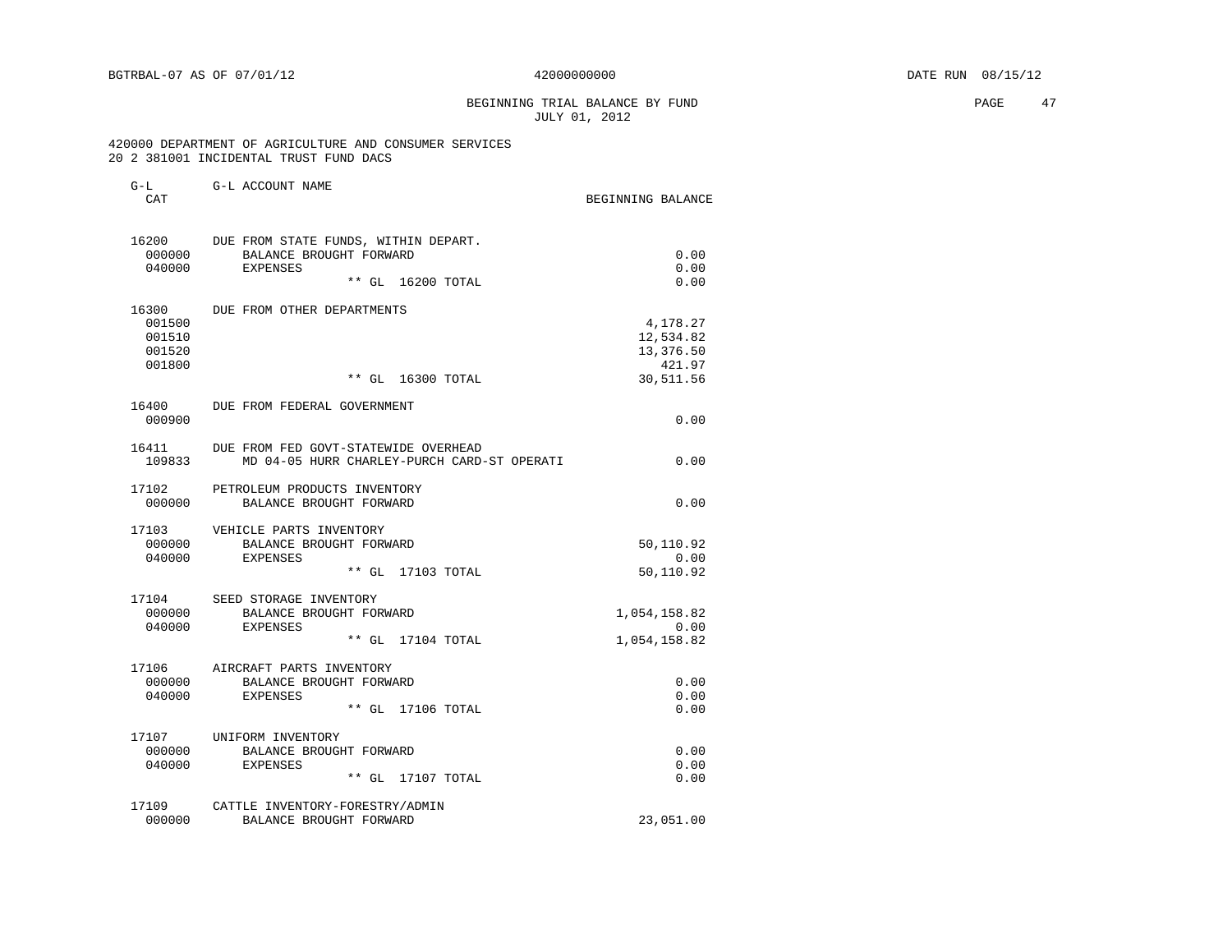# BEGINNING TRIAL BALANCE BY FUND **EXAMPLE 1999** PAGE 47 JULY 01, 2012

| $G-L$  | G-L ACCOUNT NAME                            |                     |
|--------|---------------------------------------------|---------------------|
| CAT    |                                             | BEGINNING BALANCE   |
|        | 16200 DUE FROM STATE FUNDS, WITHIN DEPART.  |                     |
| 000000 | BALANCE BROUGHT FORWARD                     | 0.00                |
| 040000 | <b>EXPENSES</b>                             | 0.00                |
|        | ** GL 16200 TOTAL                           | 0.00                |
| 16300  | DUE FROM OTHER DEPARTMENTS                  |                     |
| 001500 |                                             | 4,178.27            |
| 001510 |                                             | 12,534.82           |
| 001520 |                                             | 13,376.50           |
| 001800 | ** GL 16300 TOTAL                           | 421.97<br>30,511.56 |
|        | 16400 DUE FROM FEDERAL GOVERNMENT           |                     |
| 000900 |                                             | 0.00                |
| 16411  | DUE FROM FED GOVT-STATEWIDE OVERHEAD        |                     |
| 109833 | MD 04-05 HURR CHARLEY-PURCH CARD-ST OPERATI | 0.00                |
| 17102  | PETROLEUM PRODUCTS INVENTORY                |                     |
| 000000 | BALANCE BROUGHT FORWARD                     | 0.00                |
|        | 17103 VEHICLE PARTS INVENTORY               |                     |
| 000000 | BALANCE BROUGHT FORWARD                     | 50,110.92           |
| 040000 | EXPENSES                                    | 0.00                |
|        | ** GL 17103 TOTAL                           | 50,110.92           |
|        | 17104 SEED STORAGE INVENTORY                |                     |
| 000000 | BALANCE BROUGHT FORWARD                     | 1,054,158.82        |
| 040000 | EXPENSES                                    | 0.00                |
|        | ** GL 17104 TOTAL                           | 1,054,158.82        |
|        | 17106 AIRCRAFT PARTS INVENTORY              |                     |
| 000000 | BALANCE BROUGHT FORWARD                     | 0.00                |
| 040000 | EXPENSES<br>** GL 17106 TOTAL               | 0.00<br>0.00        |
|        | 17107 UNIFORM INVENTORY                     |                     |
| 000000 | BALANCE BROUGHT FORWARD                     | 0.00                |
| 040000 | EXPENSES                                    | 0.00                |
|        | ** GL 17107 TOTAL                           | 0.00                |
| 17109  | CATTLE INVENTORY-FORESTRY/ADMIN             |                     |
| 000000 | BALANCE BROUGHT FORWARD                     | 23,051.00           |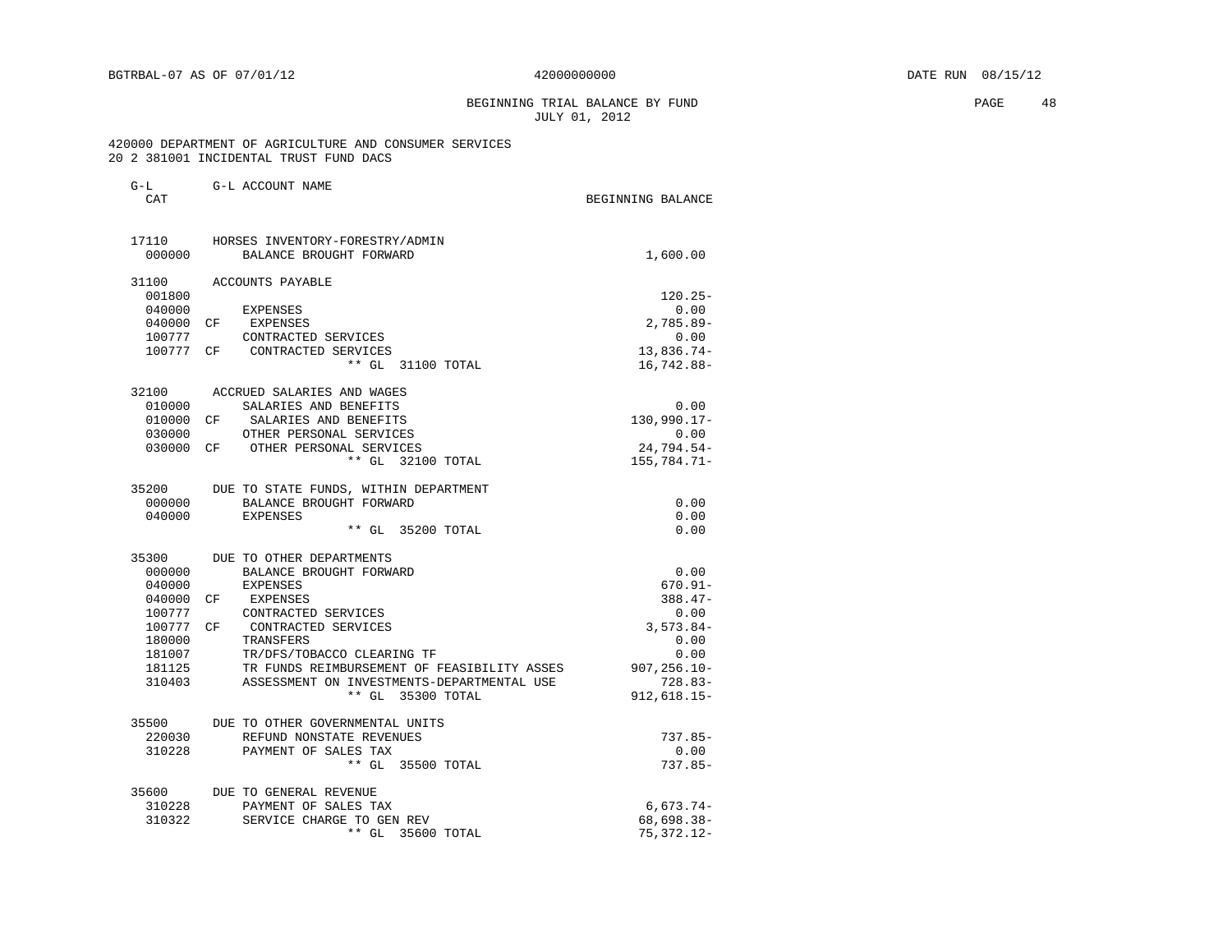G-L G-L ACCOUNT NAME

### BEGINNING TRIAL BALANCE BY FUND **PAGE** 48 JULY 01, 2012

| CAT       |                                             | BEGINNING BALANCE |
|-----------|---------------------------------------------|-------------------|
| 17110     | HORSES INVENTORY-FORESTRY/ADMIN             |                   |
| 000000    | BALANCE BROUGHT FORWARD                     | 1,600.00          |
| 31100     | ACCOUNTS PAYABLE                            |                   |
| 001800    |                                             | $120.25 -$        |
| 040000    | EXPENSES                                    | 0.00              |
| 040000    | EXPENSES<br>CF.                             | $2,785.89-$       |
| 100777    | CONTRACTED SERVICES                         | 0.00              |
|           | 100777 CF CONTRACTED SERVICES               | 13,836.74-        |
|           | ** GL 31100 TOTAL                           | 16,742.88-        |
|           | 32100 ACCRUED SALARIES AND WAGES            |                   |
| 010000    | SALARIES AND BENEFITS                       | 0.00              |
| 010000 CF | SALARIES AND BENEFITS                       | 130,990.17-       |
| 030000    | OTHER PERSONAL SERVICES                     | 0.00              |
|           | 030000 CF OTHER PERSONAL SERVICES           | 24,794.54-        |
|           | ** GL 32100 TOTAL                           | 155,784.71-       |
| 35200     | DUE TO STATE FUNDS, WITHIN DEPARTMENT       |                   |
| 000000    | BALANCE BROUGHT FORWARD                     | 0.00              |
| 040000    | <b>EXPENSES</b>                             | 0.00              |
|           | ** GL 35200 TOTAL                           | 0.00              |
| 35300     | DUE TO OTHER DEPARTMENTS                    |                   |
| 000000    | BALANCE BROUGHT FORWARD                     | 0.00              |
| 040000    | <b>EXPENSES</b>                             | $670.91 -$        |
| 040000    | CF<br>EXPENSES                              | $388.47-$         |
| 100777    | CONTRACTED SERVICES                         | 0.00              |
| 100777 CF | CONTRACTED SERVICES                         | $3,573.84-$       |
| 180000    | TRANSFERS                                   | 0.00              |
| 181007    | TR/DFS/TOBACCO CLEARING TF                  | 0.00              |
| 181125    | TR FUNDS REIMBURSEMENT OF FEASIBILITY ASSES | $907, 256.10 -$   |
| 310403    | ASSESSMENT ON INVESTMENTS-DEPARTMENTAL USE  | $728.83-$         |
|           | ** GL 35300 TOTAL                           | $912,618.15-$     |
| 35500     | DUE TO OTHER GOVERNMENTAL UNITS             |                   |
| 220030    | REFUND NONSTATE REVENUES                    | $737.85-$         |
| 310228    | PAYMENT OF SALES TAX                        | 0.00              |
|           | ** GL 35500 TOTAL                           | $737.85-$         |
| 35600     | DUE TO GENERAL REVENUE                      |                   |
| 310228    | PAYMENT OF SALES TAX                        | $6,673.74-$       |
| 310322    | SERVICE CHARGE TO GEN REV                   | 68,698.38-        |
|           | $***$ GL<br>35600 TOTAL                     | 75,372.12-        |
|           |                                             |                   |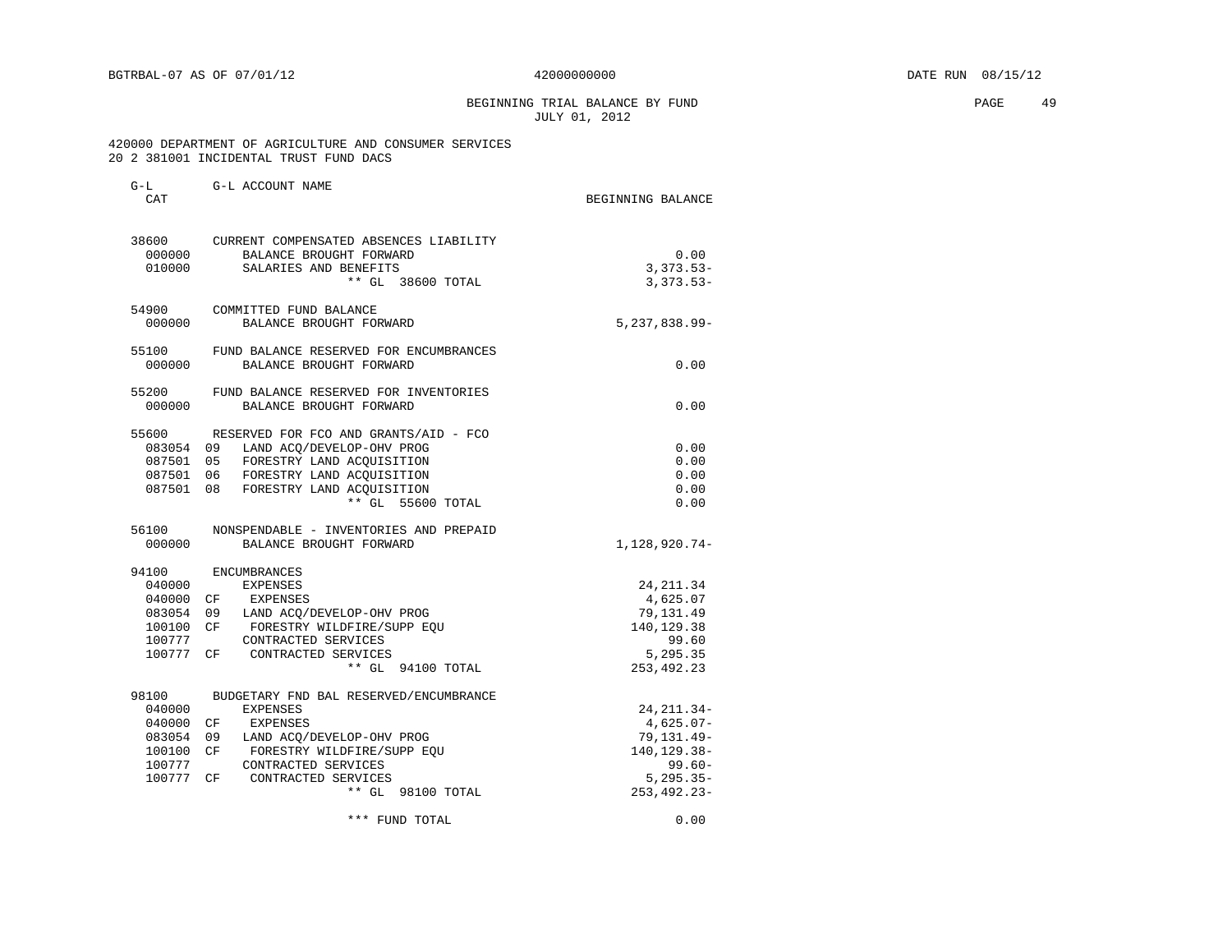BEGINNING TRIAL BALANCE BY FUND **PAGE 49** JULY 01, 2012

| $G-L$     | G-L ACCOUNT NAME                       |                    |
|-----------|----------------------------------------|--------------------|
| CAT       |                                        | BEGINNING BALANCE  |
| 38600     | CURRENT COMPENSATED ABSENCES LIABILITY |                    |
| 000000    | BALANCE BROUGHT FORWARD                | 0.00               |
| 010000    | SALARIES AND BENEFITS                  | $3,373.53-$        |
|           | ** GL 38600 TOTAL                      | $3,373.53-$        |
| 54900     | COMMITTED FUND BALANCE                 |                    |
| 000000    | BALANCE BROUGHT FORWARD                | $5, 237, 838.99 -$ |
| 55100     | FUND BALANCE RESERVED FOR ENCUMBRANCES |                    |
| 000000    | BALANCE BROUGHT FORWARD                | 0.00               |
| 55200     | FUND BALANCE RESERVED FOR INVENTORIES  |                    |
| 000000    | BALANCE BROUGHT FORWARD                | 0.00               |
| 55600     | RESERVED FOR FCO AND GRANTS/AID - FCO  |                    |
|           | 083054 09 LAND ACO/DEVELOP-OHV PROG    | 0.00               |
|           | 087501 05 FORESTRY LAND ACOUISITION    | 0.00               |
|           | 087501 06 FORESTRY LAND ACOUISITION    | 0.00               |
| 087501 08 | FORESTRY LAND ACQUISITION              | 0.00               |
|           | ** GL 55600 TOTAL                      | 0.00               |
| 56100     | NONSPENDABLE - INVENTORIES AND PREPAID |                    |
| 000000    | BALANCE BROUGHT FORWARD                | 1,128,920.74-      |
| 94100     | ENCUMBRANCES                           |                    |
| 040000    | EXPENSES                               | 24, 211.34         |
| 040000 CF | EXPENSES                               | 4,625.07           |
|           | 083054 09 LAND ACQ/DEVELOP-OHV PROG    | 79,131.49          |
| 100100 CF | FORESTRY WILDFIRE/SUPP EQU             | 140, 129. 38       |
| 100777    | CONTRACTED SERVICES                    | 99.60              |
|           | 100777 CF CONTRACTED SERVICES          | 5,295.35           |
|           | ** GL 94100 TOTAL                      | 253, 492. 23       |
| 98100     | BUDGETARY FND BAL RESERVED/ENCUMBRANCE |                    |
| 040000    | <b>EXPENSES</b>                        | 24, 211.34-        |
| 040000 CF | EXPENSES                               | $4,625.07-$        |
|           | 083054 09 LAND ACQ/DEVELOP-OHV PROG    | 79, 131.49-        |
| 100100 CF | FORESTRY WILDFIRE/SUPP EOU             | 140, 129. 38-      |
| 100777    | CONTRACTED SERVICES                    | $99.60 -$          |
| 100777 CF | CONTRACTED SERVICES                    | $5, 295.35 -$      |
|           | ** GL 98100 TOTAL                      | 253, 492. 23-      |
|           | *** FUND TOTAL                         | 0.00               |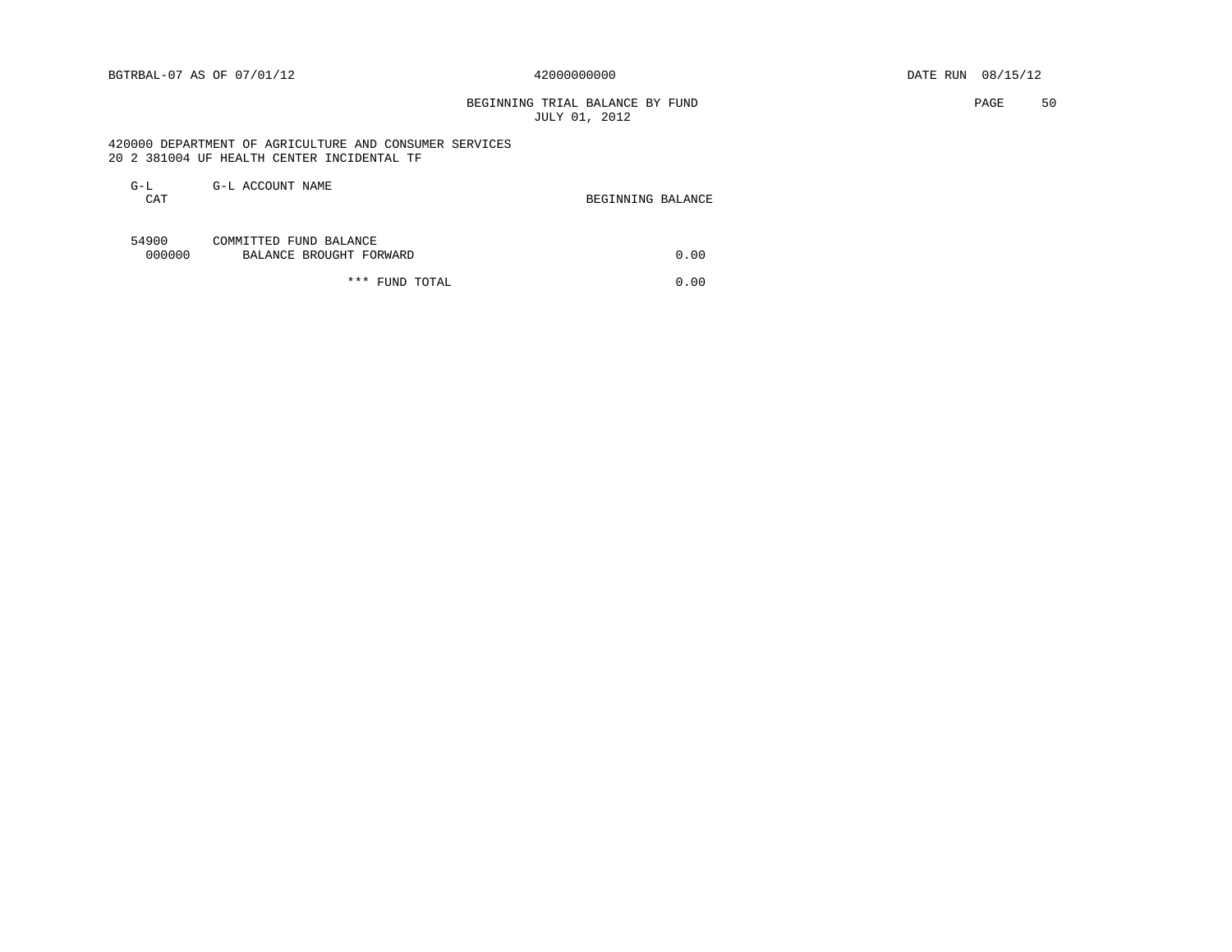# BEGINNING TRIAL BALANCE BY FUND **EXAMPLE 1999** PAGE 50 JULY 01, 2012

 420000 DEPARTMENT OF AGRICULTURE AND CONSUMER SERVICES 20 2 381004 UF HEALTH CENTER INCIDENTAL TF

| G-L<br><b>CAT</b> | G-L ACCOUNT NAME                                  | BEGINNING BALANCE |
|-------------------|---------------------------------------------------|-------------------|
| 54900<br>000000   | COMMITTED FUND BALANCE<br>BALANCE BROUGHT FORWARD | 0.00              |

\*\*\* FUND TOTAL 0.00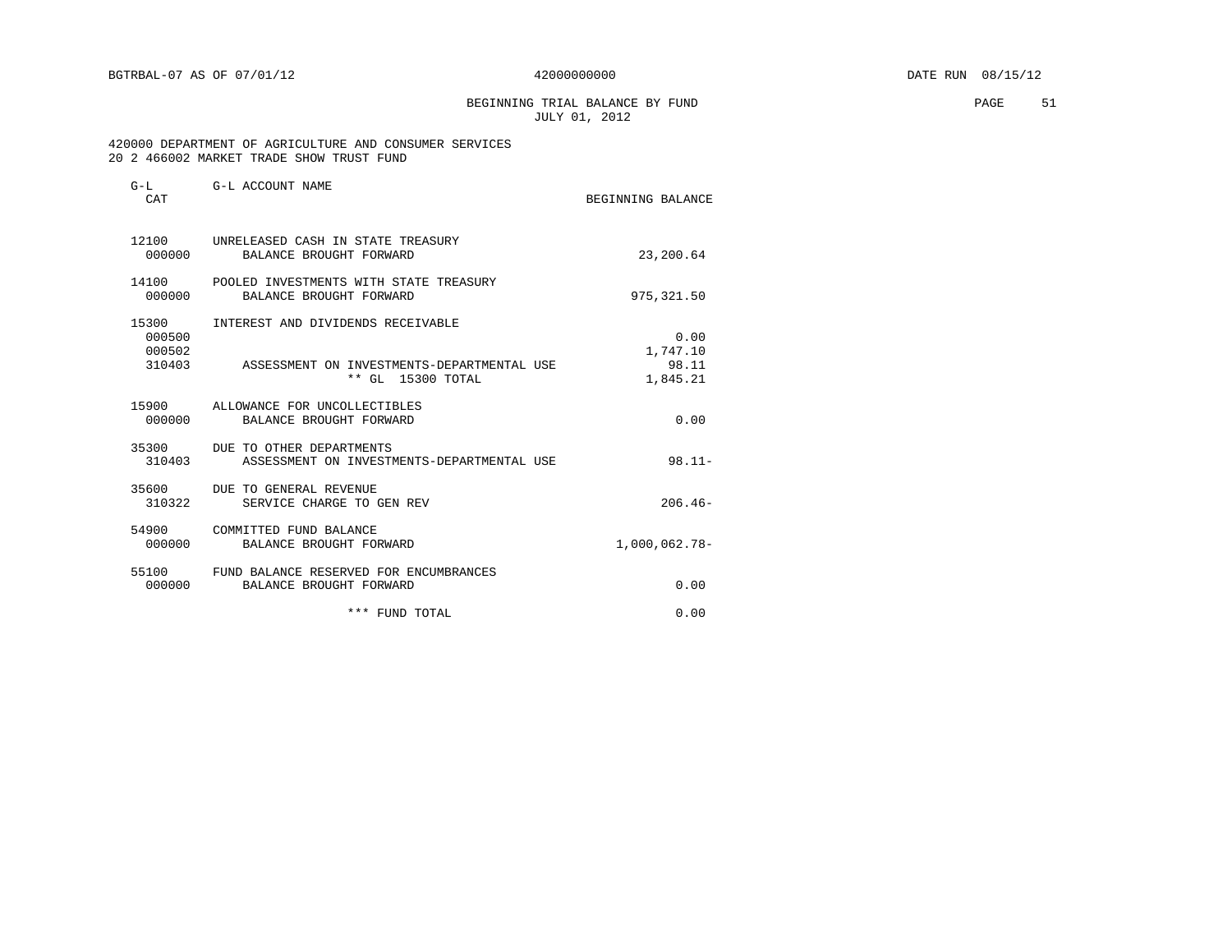BEGINNING TRIAL BALANCE BY FUND **EXAMPLE 1** PAGE 51 JULY 01, 2012

### 420000 DEPARTMENT OF AGRICULTURE AND CONSUMER SERVICES 20 2 466002 MARKET TRADE SHOW TRUST FUND

| $G-L$<br>CAT                        | G-L ACCOUNT NAME                                                                                     | BEGINNING BALANCE                     |
|-------------------------------------|------------------------------------------------------------------------------------------------------|---------------------------------------|
| 000000                              | 12100 UNRELEASED CASH IN STATE TREASURY<br>BALANCE BROUGHT FORWARD                                   | 23,200.64                             |
| 14100<br>000000                     | POOLED INVESTMENTS WITH STATE TREASURY<br>BALANCE BROUGHT FORWARD                                    | 975, 321.50                           |
| 15300<br>000500<br>000502<br>310403 | INTEREST AND DIVIDENDS RECEIVABLE<br>ASSESSMENT ON INVESTMENTS-DEPARTMENTAL USE<br>** GL 15300 TOTAL | 0.00<br>1,747.10<br>98.11<br>1,845.21 |
| 000000                              | 15900 ALLOWANCE FOR UNCOLLECTIBLES<br>BALANCE BROUGHT FORWARD                                        | 0.00                                  |
| 310403                              | 35300 DUE TO OTHER DEPARTMENTS<br>ASSESSMENT ON INVESTMENTS-DEPARTMENTAL USE                         | $98.11 -$                             |
| 310322                              | 35600 DUE TO GENERAL REVENUE<br>SERVICE CHARGE TO GEN REV                                            | $206.46-$                             |
| 000000                              | 54900 COMMITTED FUND BALANCE<br>BALANCE BROUGHT FORWARD                                              | 1,000,062.78-                         |
| 55100<br>000000                     | FUND BALANCE RESERVED FOR ENCUMBRANCES<br>BALANCE BROUGHT FORWARD                                    | 0.00                                  |
|                                     | *** FUND TOTAL                                                                                       | 0.00                                  |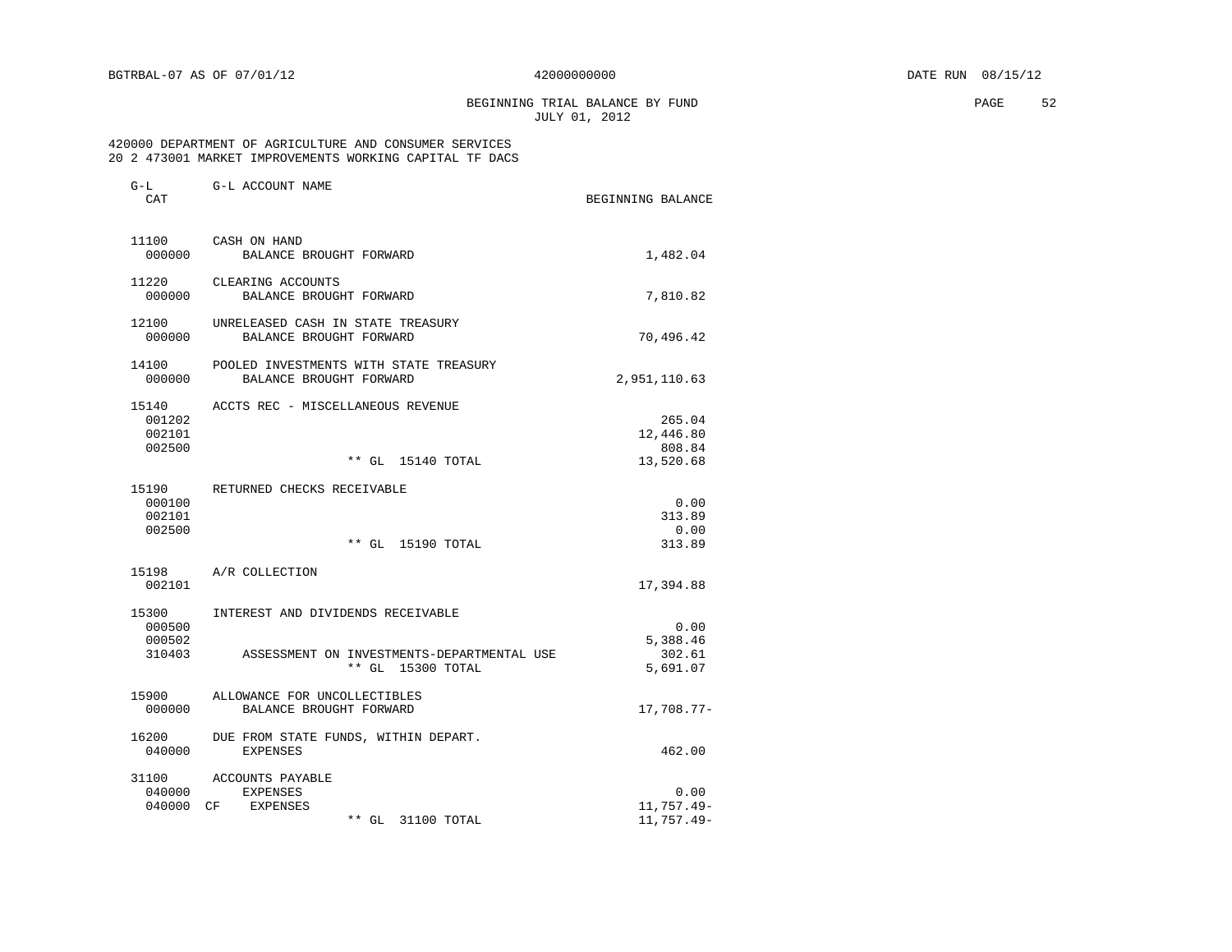BEGINNING TRIAL BALANCE BY FUND **PAGE 52** JULY 01, 2012

### 420000 DEPARTMENT OF AGRICULTURE AND CONSUMER SERVICES 20 2 473001 MARKET IMPROVEMENTS WORKING CAPITAL TF DACS

| $G-L$<br>CAT                        | G-L ACCOUNT NAME                                                                                     | BEGINNING BALANCE                          |
|-------------------------------------|------------------------------------------------------------------------------------------------------|--------------------------------------------|
| 11100<br>000000                     | CASH ON HAND<br>BALANCE BROUGHT FORWARD                                                              | 1,482.04                                   |
| 11220<br>000000                     | CLEARING ACCOUNTS<br>BALANCE BROUGHT FORWARD                                                         | 7,810.82                                   |
| 12100<br>000000                     | UNRELEASED CASH IN STATE TREASURY<br>BALANCE BROUGHT FORWARD                                         | 70,496.42                                  |
| 14100<br>000000                     | POOLED INVESTMENTS WITH STATE TREASURY<br>BALANCE BROUGHT FORWARD                                    | 2,951,110.63                               |
| 15140<br>001202<br>002101<br>002500 | ACCTS REC - MISCELLANEOUS REVENUE<br>** GL 15140 TOTAL                                               | 265.04<br>12,446.80<br>808.84<br>13,520.68 |
| 15190<br>000100<br>002101<br>002500 | RETURNED CHECKS RECEIVABLE<br>$***$ GL<br>15190 TOTAL                                                | 0.00<br>313.89<br>0.00<br>313.89           |
| 15198<br>002101                     | A/R COLLECTION                                                                                       | 17,394.88                                  |
| 15300<br>000500<br>000502<br>310403 | INTEREST AND DIVIDENDS RECEIVABLE<br>ASSESSMENT ON INVESTMENTS-DEPARTMENTAL USE<br>** GL 15300 TOTAL | 0.00<br>5,388.46<br>302.61<br>5,691.07     |
| 15900<br>000000                     | ALLOWANCE FOR UNCOLLECTIBLES<br>BALANCE BROUGHT FORWARD                                              | 17,708.77-                                 |
| 16200<br>040000                     | DUE FROM STATE FUNDS, WITHIN DEPART.<br><b>EXPENSES</b>                                              | 462.00                                     |
| 31100<br>040000<br>040000           | ACCOUNTS PAYABLE<br><b>EXPENSES</b><br>CF.<br>EXPENSES<br>** GL<br>31100 TOTAL                       | 0.00<br>11,757.49-<br>11,757.49-           |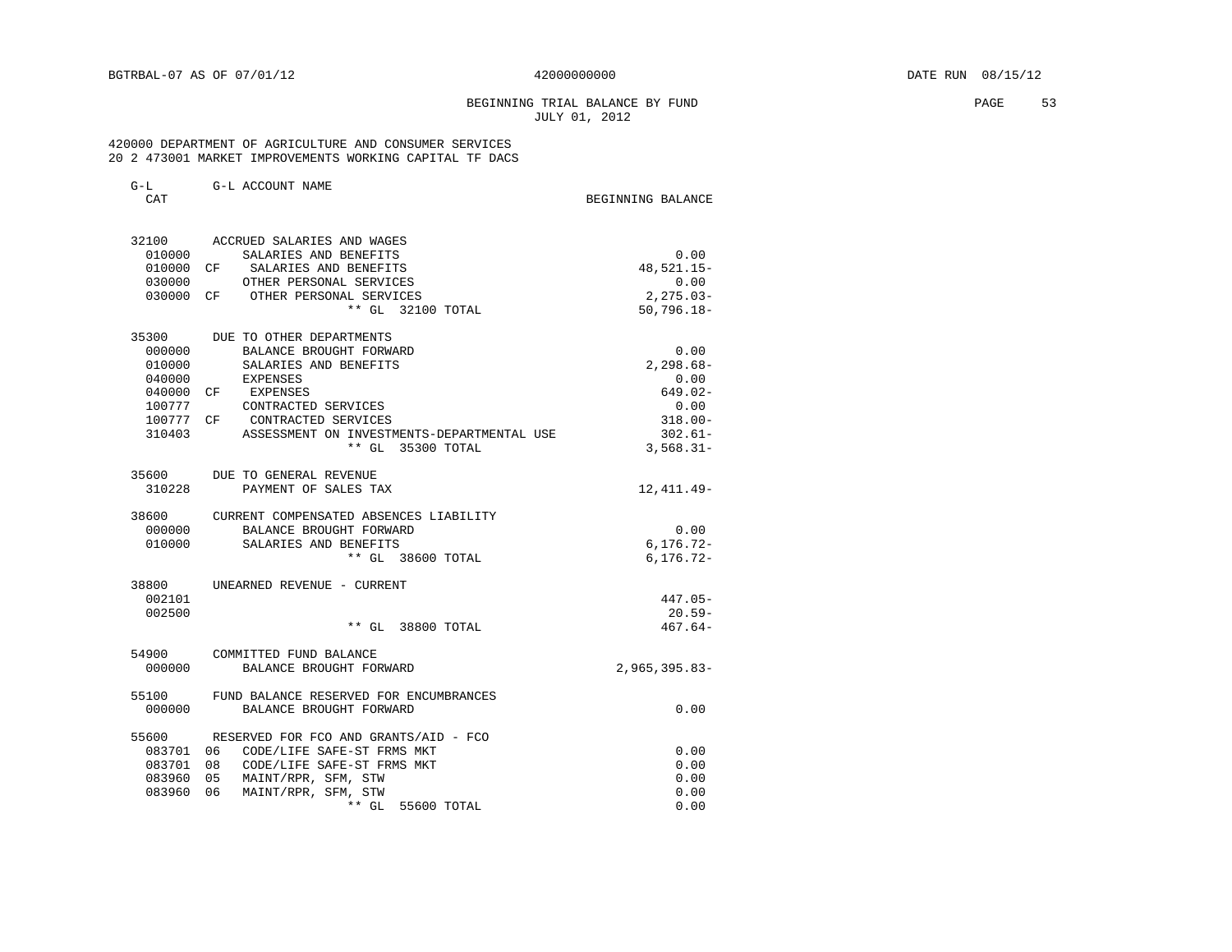G-L G-L ACCOUNT NAME

### BEGINNING TRIAL BALANCE BY FUND **PAGE** 53 JULY 01, 2012

### 420000 DEPARTMENT OF AGRICULTURE AND CONSUMER SERVICES 20 2 473001 MARKET IMPROVEMENTS WORKING CAPITAL TF DACS

| CAT       |                                            | BEGINNING BALANCE |
|-----------|--------------------------------------------|-------------------|
| 32100     | ACCRUED SALARIES AND WAGES                 |                   |
| 010000    | SALARIES AND BENEFITS                      | 0.00              |
| 010000 CF | SALARIES AND BENEFITS                      | 48,521.15-        |
| 030000    | OTHER PERSONAL SERVICES                    | 0.00              |
| 030000 CF | OTHER PERSONAL SERVICES                    | $2, 275.03 -$     |
|           | ** GL 32100 TOTAL                          | $50,796.18 -$     |
| 35300     | DUE TO OTHER DEPARTMENTS                   |                   |
| 000000    | BALANCE BROUGHT FORWARD                    | 0.00              |
| 010000    | SALARIES AND BENEFITS                      | $2.298.68 -$      |
| 040000    | EXPENSES                                   | 0.00              |
| 040000 CF | EXPENSES                                   | $649.02 -$        |
| 100777    | CONTRACTED SERVICES                        | 0.00              |
| 100777 CF | CONTRACTED SERVICES                        | $318.00 -$        |
| 310403    | ASSESSMENT ON INVESTMENTS-DEPARTMENTAL USE | $302.61 -$        |
|           | ** GL 35300 TOTAL                          | $3,568.31-$       |
| 35600     | DUE TO GENERAL REVENUE                     |                   |
| 310228    | PAYMENT OF SALES TAX                       | 12,411.49-        |
| 38600     | CURRENT COMPENSATED ABSENCES LIABILITY     |                   |
| 000000    | BALANCE BROUGHT FORWARD                    | 0.00              |
| 010000    | SALARIES AND BENEFITS                      | $6, 176.72 -$     |
|           | ** GL 38600 TOTAL                          | $6, 176.72 -$     |
| 38800     | UNEARNED REVENUE - CURRENT                 |                   |
| 002101    |                                            | $447.05 -$        |
| 002500    |                                            | $20.59-$          |
|           | ** GL 38800 TOTAL                          | $467.64-$         |
| 54900     | COMMITTED FUND BALANCE                     |                   |
| 000000    | BALANCE BROUGHT FORWARD                    | $2,965,395.83-$   |
| 55100     | FUND BALANCE RESERVED FOR ENCUMBRANCES     |                   |
| 000000    | BALANCE BROUGHT FORWARD                    | 0.00              |
| 55600     | RESERVED FOR FCO AND GRANTS/AID - FCO      |                   |
| 083701 06 | CODE/LIFE SAFE-ST FRMS MKT                 | 0.00              |
| 083701    | 08<br>CODE/LIFE SAFE-ST FRMS MKT           | 0.00              |
| 083960    | 0.5<br>MAINT/RPR, SFM, STW                 | 0.00              |
| 083960    | MAINT/RPR, SFM, STW<br>06                  | 0.00              |
|           | $**$ GL<br>55600 TOTAL                     | 0.00              |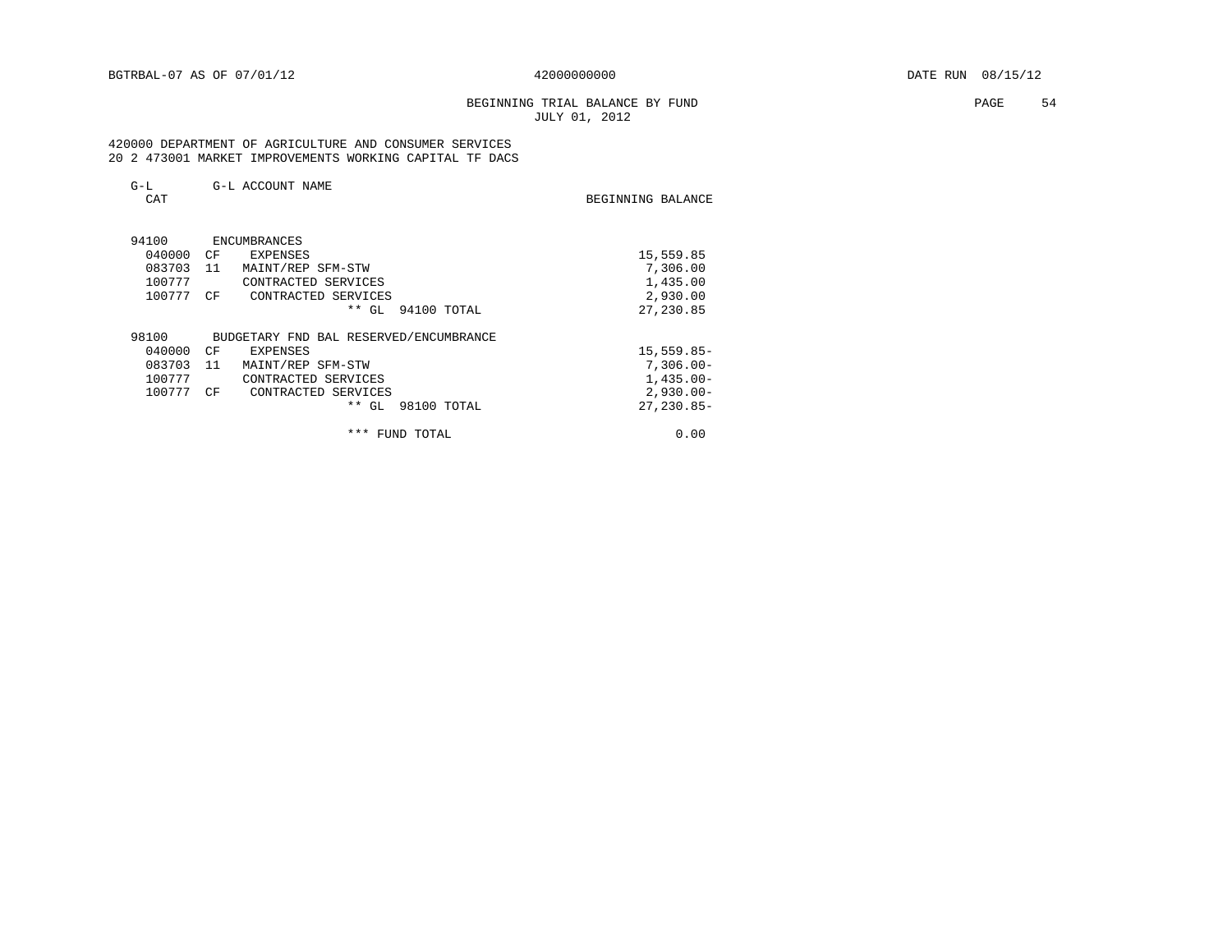# BEGINNING TRIAL BALANCE BY FUND **EXAMPLE 19** PAGE 54 JULY 01, 2012

 420000 DEPARTMENT OF AGRICULTURE AND CONSUMER SERVICES 20 2 473001 MARKET IMPROVEMENTS WORKING CAPITAL TF DACS

| $G-L$  | G-L ACCOUNT NAME                       |                   |
|--------|----------------------------------------|-------------------|
| CAT    |                                        | BEGINNING BALANCE |
|        |                                        |                   |
| 94100  | ENCUMBRANCES                           |                   |
| 040000 | CF<br>EXPENSES                         | 15,559.85         |
| 083703 | 11<br>MAINT/REP SFM-STW                | 7,306.00          |
| 100777 | CONTRACTED SERVICES                    | 1,435.00          |
| 100777 | CF<br>CONTRACTED SERVICES              | 2,930.00          |
|        | $***$<br>GL.<br>94100 TOTAL            | 27, 230.85        |
| 98100  | BUDGETARY FND BAL RESERVED/ENCUMBRANCE |                   |
| 040000 | CF<br><b>EXPENSES</b>                  | $15,559.85-$      |
| 083703 | 11<br>MAINT/REP SFM-STW                | $7,306.00 -$      |
| 100777 | CONTRACTED SERVICES                    | $1,435.00-$       |
| 100777 | CF<br>CONTRACTED SERVICES              | $2,930.00 -$      |
|        | $***$<br>GL<br>98100 TOTAL             | $27, 230.85 -$    |
|        | ***<br>TOTAL<br>FUND                   | 0.00              |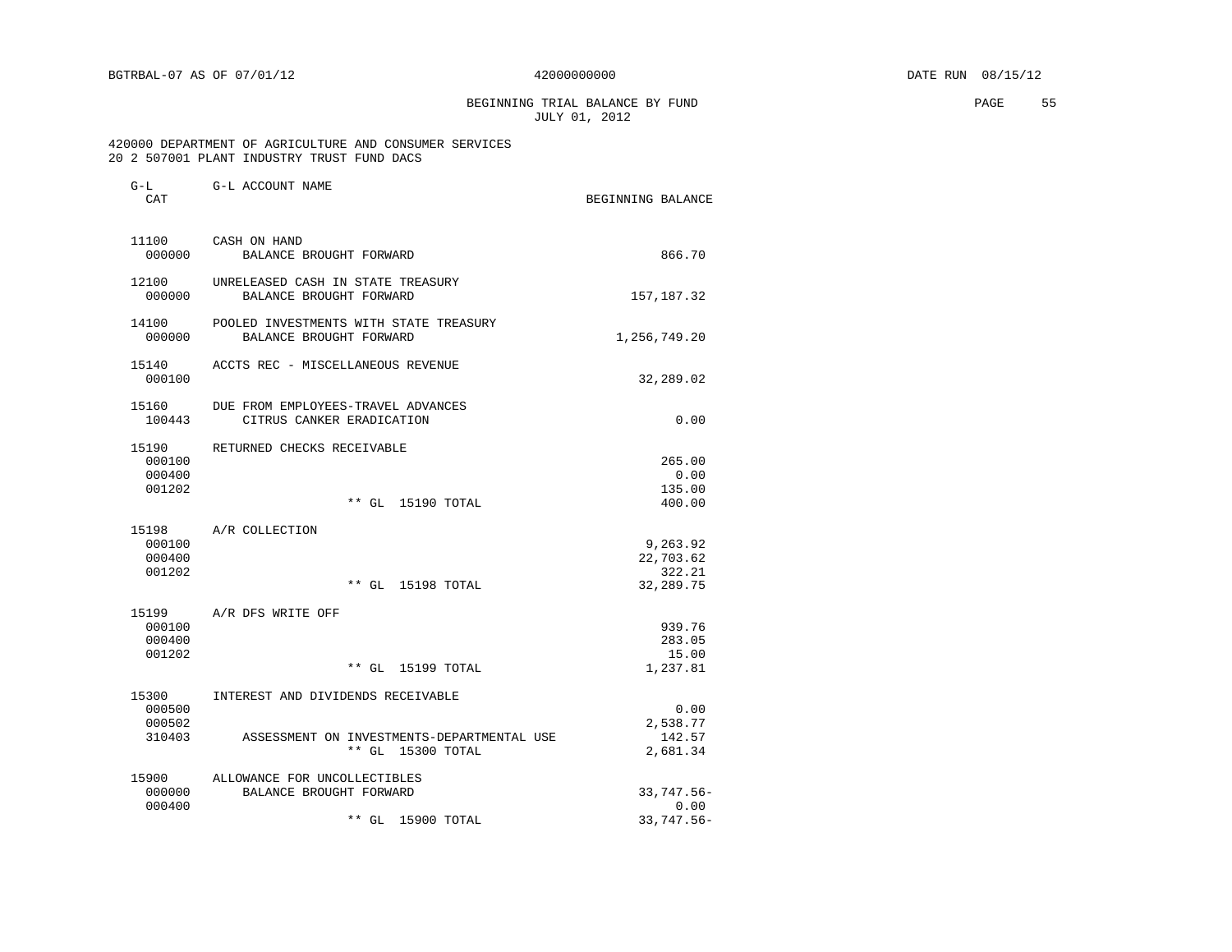BEGINNING TRIAL BALANCE BY FUND **EXAMPLE 1999** PAGE 55 JULY 01, 2012

 420000 DEPARTMENT OF AGRICULTURE AND CONSUMER SERVICES 20 2 507001 PLANT INDUSTRY TRUST FUND DACS

| CAT                                 | G-L G-L ACCOUNT NAME                                                                                 | BEGINNING BALANCE                            |
|-------------------------------------|------------------------------------------------------------------------------------------------------|----------------------------------------------|
| 11100<br>000000                     | CASH ON HAND<br>BALANCE BROUGHT FORWARD                                                              | 866.70                                       |
| 12100<br>000000                     | UNRELEASED CASH IN STATE TREASURY<br>BALANCE BROUGHT FORWARD                                         | 157, 187. 32                                 |
| 14100<br>000000                     | POOLED INVESTMENTS WITH STATE TREASURY<br>BALANCE BROUGHT FORWARD                                    | 1,256,749.20                                 |
| 15140<br>000100                     | ACCTS REC - MISCELLANEOUS REVENUE                                                                    | 32,289.02                                    |
| 15160<br>100443                     | DUE FROM EMPLOYEES-TRAVEL ADVANCES<br>CITRUS CANKER ERADICATION                                      | 0.00                                         |
| 15190<br>000100<br>000400<br>001202 | RETURNED CHECKS RECEIVABLE<br>** GL 15190 TOTAL                                                      | 265.00<br>0.00<br>135.00<br>400.00           |
| 000100<br>000400<br>001202          | 15198 A/R COLLECTION<br>** GL 15198 TOTAL                                                            | 9,263.92<br>22,703.62<br>322.21<br>32,289.75 |
| 15199<br>000100<br>000400<br>001202 | A/R DFS WRITE OFF<br>** GL 15199 TOTAL                                                               | 939.76<br>283.05<br>15.00<br>1,237.81        |
| 15300<br>000500<br>000502<br>310403 | INTEREST AND DIVIDENDS RECEIVABLE<br>ASSESSMENT ON INVESTMENTS-DEPARTMENTAL USE<br>** GL 15300 TOTAL | 0.00<br>2,538.77<br>142.57<br>2,681.34       |
|                                     |                                                                                                      |                                              |

| 15900  | ALLOWANCE FOR UNCOLLECTIBLES |            |
|--------|------------------------------|------------|
| 000000 | BALANCE BROUGHT FORWARD      | 33,747.56- |
| 000400 |                              | 0.00       |
|        | ** GL 15900 TOTAL            | 33,747.56- |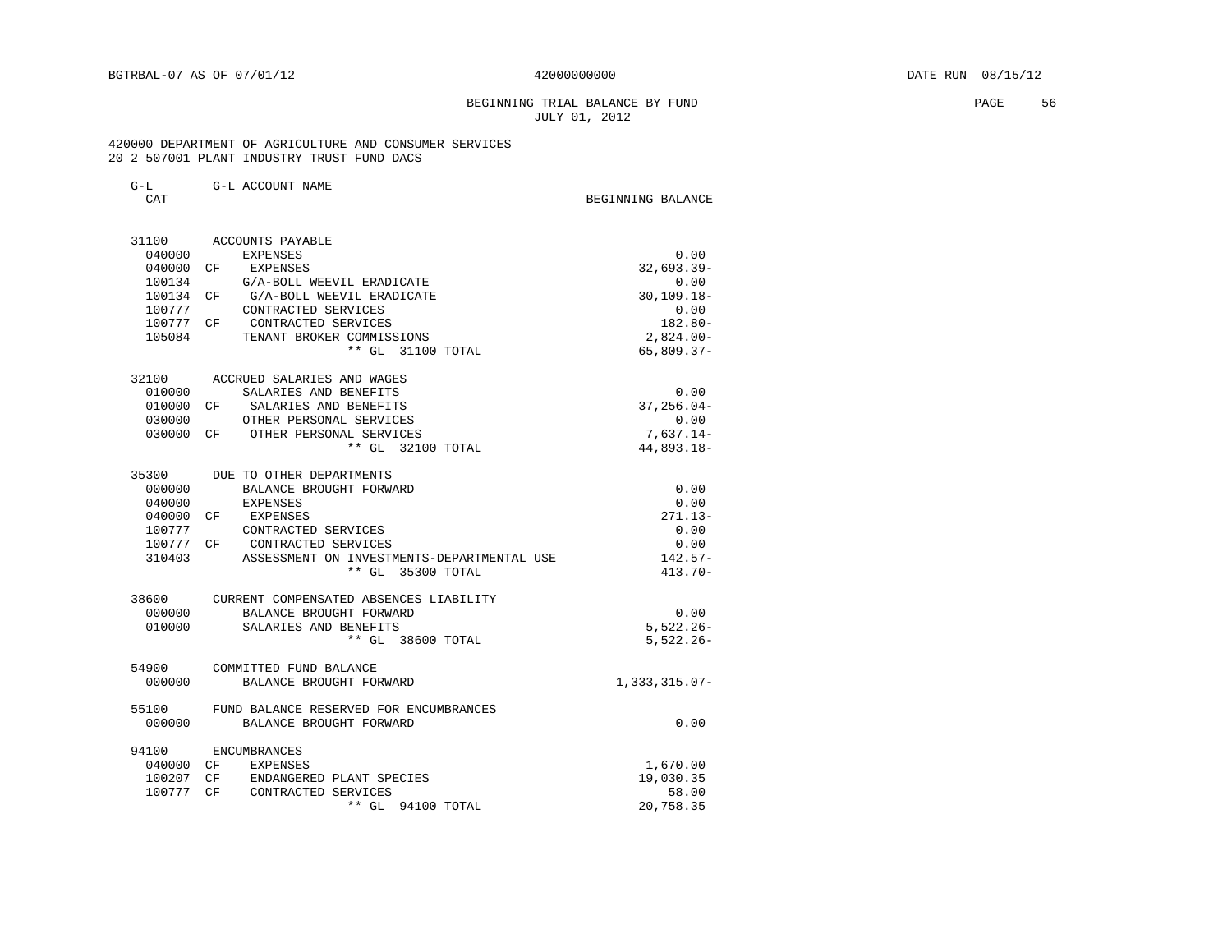### BEGINNING TRIAL BALANCE BY FUND **EXAMPLE 1999** PAGE 56 JULY 01, 2012

 420000 DEPARTMENT OF AGRICULTURE AND CONSUMER SERVICES 20 2 507001 PLANT INDUSTRY TRUST FUND DACS

| G-L ACCOUNT NAME | $G-L$ |  |  |  |
|------------------|-------|--|--|--|
|------------------|-------|--|--|--|

CAT BEGINNING BALANCE

| 31100  | ACCOUNTS PAYABLE                                        |                 |
|--------|---------------------------------------------------------|-----------------|
| 040000 | EXPENSES                                                | 0.00            |
| 040000 | CF EXPENSES                                             | $32,693.39-$    |
| 100134 | G/A-BOLL WEEVIL ERADICATE                               | 0.00            |
| 100134 | G/A-BOLL WEEVIL ERADICATE<br>CF                         | $30, 109.18 -$  |
| 100777 | CONTRACTED SERVICES                                     | 0.00            |
|        | 100777 CF CONTRACTED SERVICES                           | $182.80 -$      |
| 105084 | TENANT BROKER COMMISSIONS                               | $2,824.00-$     |
|        | ** GL 31100 TOTAL                                       | $65,809.37-$    |
|        | 32100 ACCRUED SALARIES AND WAGES                        |                 |
| 010000 | SALARIES AND BENEFITS                                   | 0.00            |
| 010000 | SALARIES AND BENEFITS<br>CF                             | $37, 256.04 -$  |
| 030000 | OTHER PERSONAL SERVICES                                 | 0.00            |
|        | 030000 CF OTHER PERSONAL SERVICES                       | $7,637.14-$     |
|        | ** GL 32100 TOTAL                                       | 44,893.18-      |
| 35300  | DUE TO OTHER DEPARTMENTS                                |                 |
| 000000 | BALANCE BROUGHT FORWARD                                 | 0.00            |
| 040000 | EXPENSES                                                | 0.00            |
| 040000 | CF EXPENSES                                             | $271.13-$       |
| 100777 | CONTRACTED SERVICES                                     | 0.00            |
|        | 100777 CF CONTRACTED SERVICES                           | 0.00            |
| 310403 | ASSESSMENT ON INVESTMENTS-DEPARTMENTAL USE              | $142.57-$       |
|        | ** GL 35300 TOTAL                                       | $413.70 -$      |
| 38600  | CURRENT COMPENSATED ABSENCES LIABILITY                  |                 |
| 000000 | BALANCE BROUGHT FORWARD                                 | 0.00            |
| 010000 | SALARIES AND BENEFITS                                   | $5,522.26 -$    |
|        | ** GL 38600 TOTAL                                       | $5,522.26 -$    |
| 000000 | 54900 COMMITTED FUND BALANCE<br>BALANCE BROUGHT FORWARD | $1,333,315.07-$ |
|        |                                                         |                 |
| 55100  | FUND BALANCE RESERVED FOR ENCUMBRANCES                  |                 |
| 000000 | BALANCE BROUGHT FORWARD                                 | 0.00            |
| 94100  | ENCUMBRANCES                                            |                 |
|        | 040000 CF EXPENSES                                      | 1,670.00        |
|        | 100207 CF ENDANGERED PLANT SPECIES                      | 19,030.35       |
| 100777 | CF CONTRACTED SERVICES                                  | 58.00           |
|        | ** GL 94100 TOTAL                                       | 20,758.35       |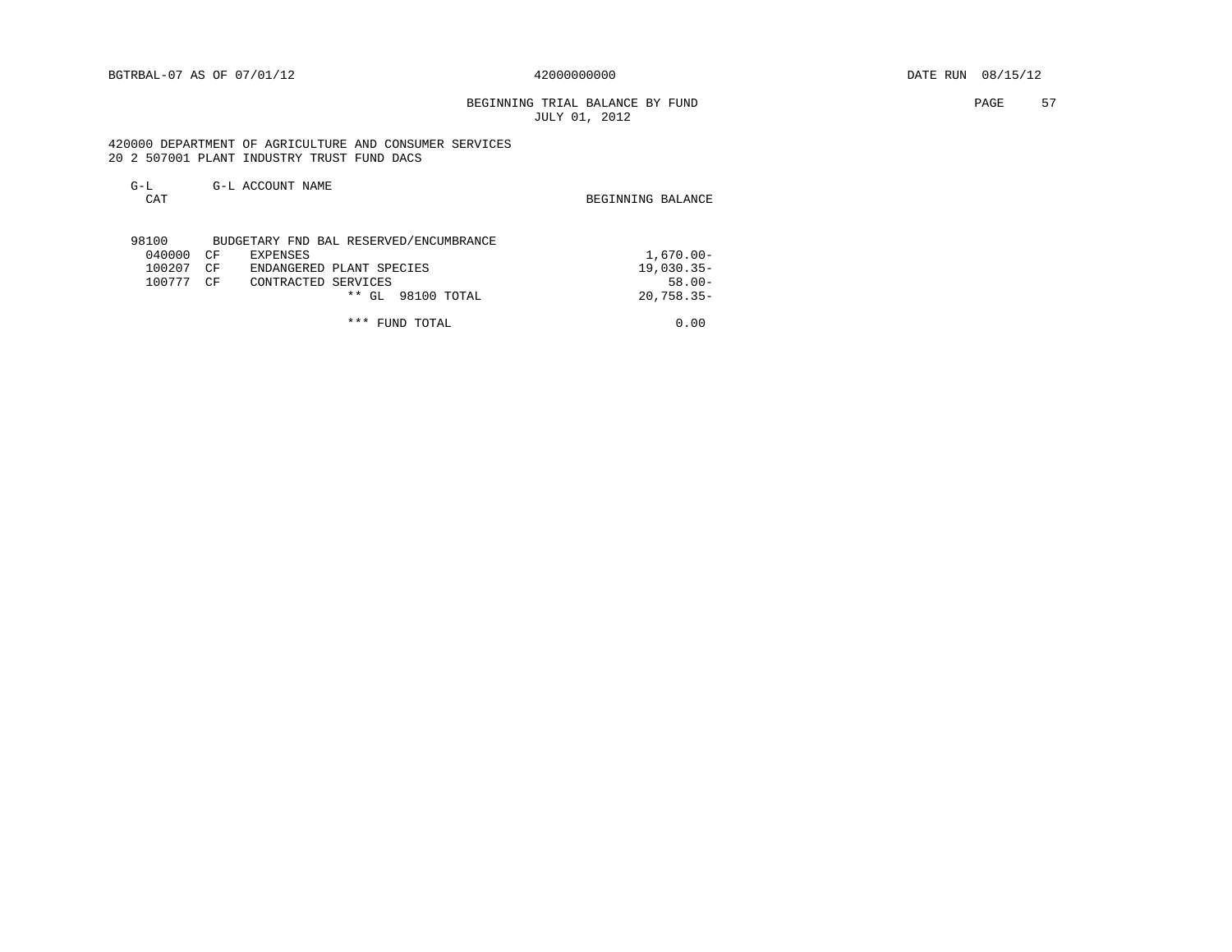BEGINNING TRIAL BALANCE BY FUND **EXAMPLE 1999** PAGE 57 JULY 01, 2012

 420000 DEPARTMENT OF AGRICULTURE AND CONSUMER SERVICES 20 2 507001 PLANT INDUSTRY TRUST FUND DACS

| $G-L$<br>CAT |    | G-L ACCOUNT NAME                       | BEGINNING BALANCE |
|--------------|----|----------------------------------------|-------------------|
| 98100        |    | BUDGETARY FND BAL RESERVED/ENCUMBRANCE |                   |
| 040000       | CΕ | EXPENSES                               | $1,670.00 -$      |
| 100207       | CF | ENDANGERED PLANT SPECIES               | $19,030.35-$      |
| 100777       | CF | CONTRACTED SERVICES                    | $58.00 -$         |
|              |    | ** GL<br>98100 TOTAL                   | $20,758.35-$      |
|              |    | ***<br>FUND TOTAL                      | 0.00              |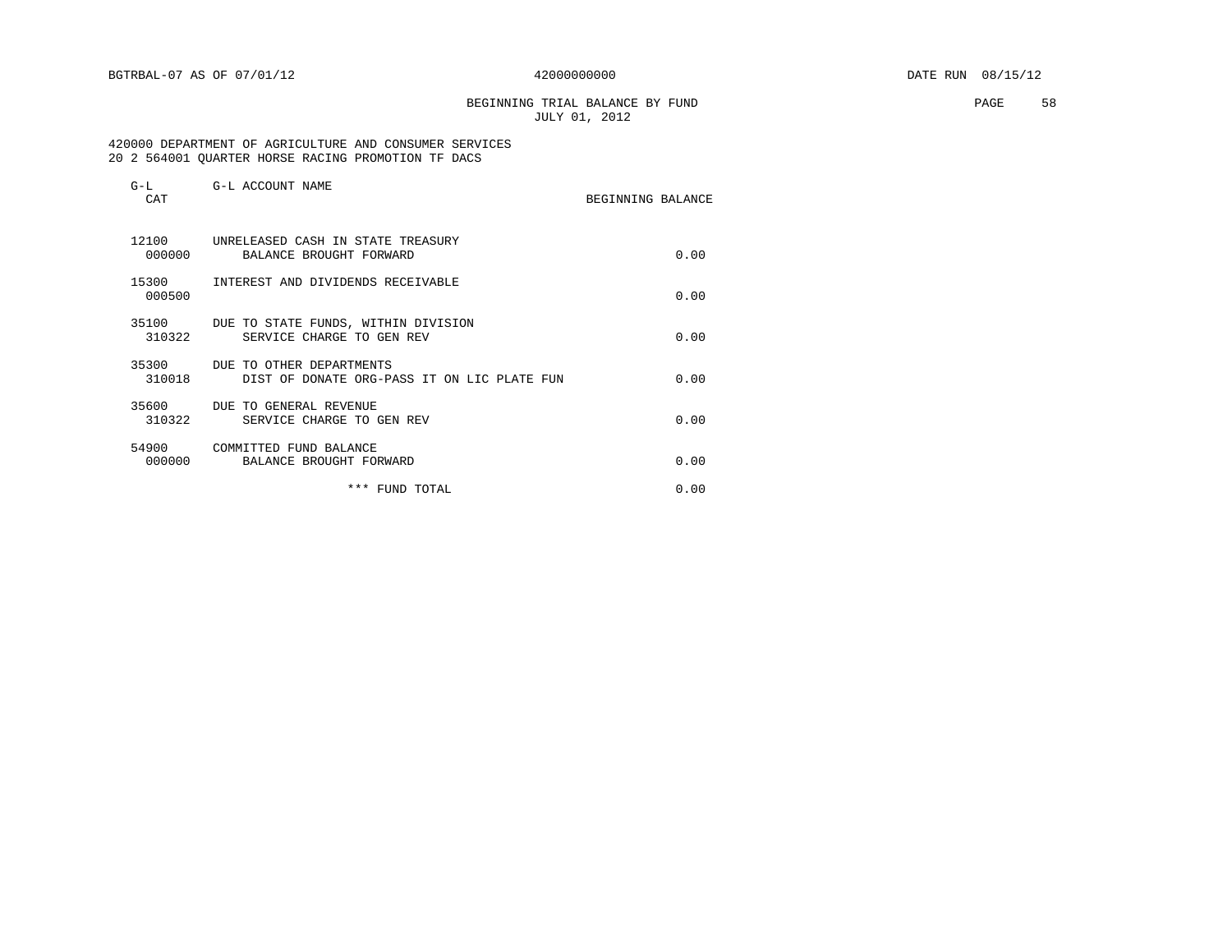BEGINNING TRIAL BALANCE BY FUND **EXAMPLE 1999** PAGE 58 JULY 01, 2012

#### 420000 DEPARTMENT OF AGRICULTURE AND CONSUMER SERVICES 20 2 564001 QUARTER HORSE RACING PROMOTION TF DACS

| $G-L$<br>CAT    | G-L ACCOUNT NAME                                                        | BEGINNING BALANCE |      |
|-----------------|-------------------------------------------------------------------------|-------------------|------|
| 12100<br>000000 | UNRELEASED CASH IN STATE TREASURY<br>BALANCE BROUGHT FORWARD            |                   | 0.00 |
| 15300<br>000500 | INTEREST AND DIVIDENDS RECEIVABLE                                       |                   | 0.00 |
| 35100<br>310322 | DUE TO STATE FUNDS, WITHIN DIVISION<br>SERVICE CHARGE TO GEN REV        |                   | 0.00 |
| 35300<br>310018 | DUE TO OTHER DEPARTMENTS<br>DIST OF DONATE ORG-PASS IT ON LIC PLATE FUN |                   | 0.00 |
| 35600<br>310322 | DUE TO GENERAL REVENUE<br>SERVICE CHARGE TO GEN REV                     |                   | 0.00 |
| 54900<br>000000 | COMMITTED FUND BALANCE<br>BALANCE BROUGHT FORWARD                       |                   | 0.00 |
|                 | *** FUND TOTAL                                                          |                   | 0.00 |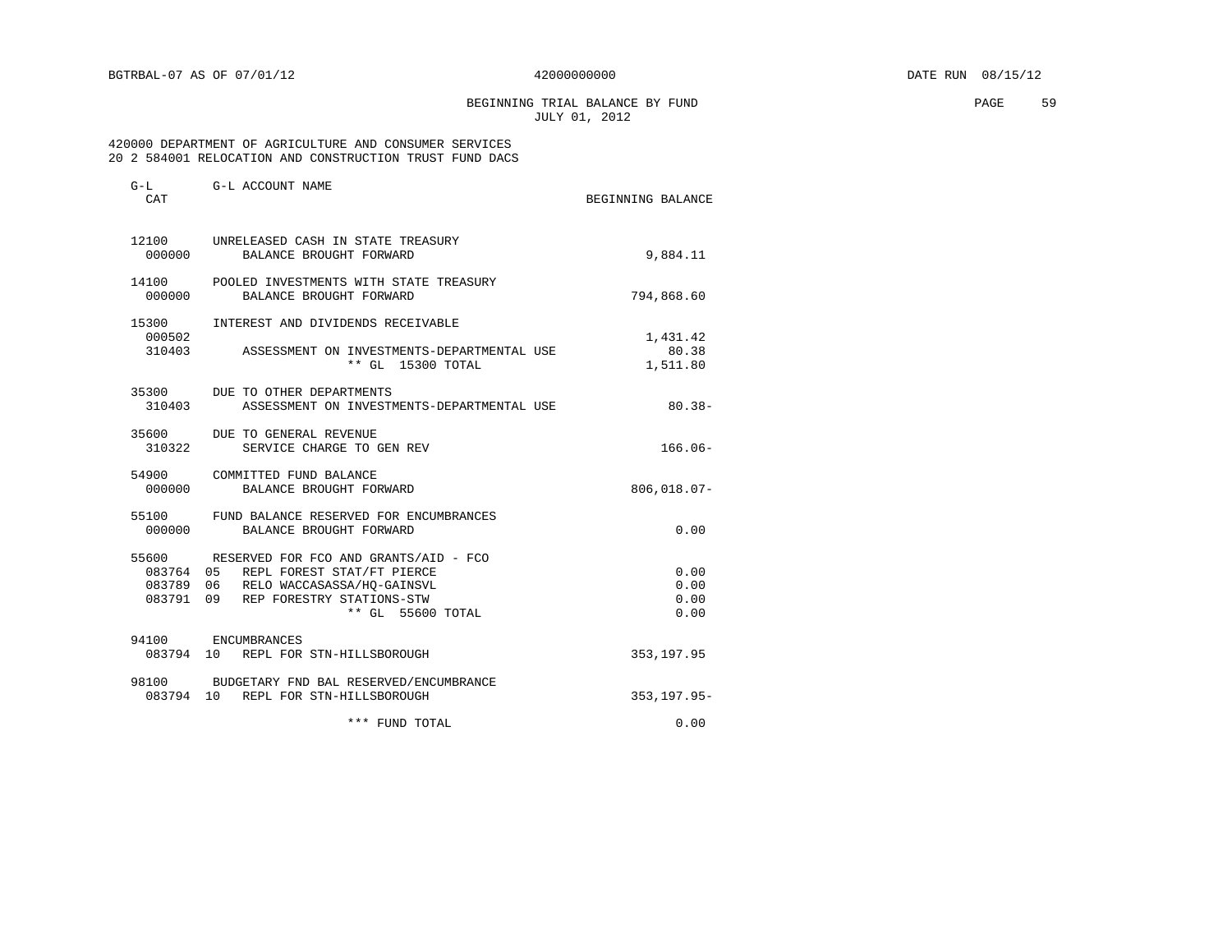BEGINNING TRIAL BALANCE BY FUND **EXAMPLE 19** PAGE 59 JULY 01, 2012

### 420000 DEPARTMENT OF AGRICULTURE AND CONSUMER SERVICES 20 2 584001 RELOCATION AND CONSTRUCTION TRUST FUND DACS

| $G-L$<br>CAT    | G-L ACCOUNT NAME                                                                                                                                                                  | BEGINNING BALANCE             |
|-----------------|-----------------------------------------------------------------------------------------------------------------------------------------------------------------------------------|-------------------------------|
|                 | 12100 UNRELEASED CASH IN STATE TREASURY<br>000000 BALANCE BROUGHT FORWARD                                                                                                         | 9,884.11                      |
| 000000          | 14100 POOLED INVESTMENTS WITH STATE TREASURY<br>BALANCE BROUGHT FORWARD                                                                                                           | 794,868.60                    |
| 15300<br>000502 | INTEREST AND DIVIDENDS RECEIVABLE<br>310403 ASSESSMENT ON INVESTMENTS-DEPARTMENTAL USE<br>** GL 15300 TOTAL                                                                       | 1,431.42<br>80.38<br>1,511.80 |
| 310403          | 35300 DUE TO OTHER DEPARTMENTS<br>ASSESSMENT ON INVESTMENTS-DEPARTMENTAL USE                                                                                                      | $80.38 -$                     |
| 310322          | 35600 DUE TO GENERAL REVENUE<br>SERVICE CHARGE TO GEN REV                                                                                                                         | $166.06-$                     |
|                 | 54900 COMMITTED FUND BALANCE<br>000000 BALANCE BROUGHT FORWARD                                                                                                                    | $806,018.07 -$                |
|                 | 55100 FUND BALANCE RESERVED FOR ENCUMBRANCES<br>000000 BALANCE BROUGHT FORWARD                                                                                                    | 0.00                          |
| 55600           | RESERVED FOR FCO AND GRANTS/AID - FCO<br>083764 05 REPL FOREST STAT/FT PIERCE<br>083789 06 RELO WACCASASSA/HQ-GAINSVL<br>083791 09 REP FORESTRY STATIONS-STW<br>** GL 55600 TOTAL | 0.00<br>0.00<br>0.00<br>0.00  |
| 94100           | ENCUMBRANCES<br>083794 10 REPL FOR STN-HILLSBOROUGH                                                                                                                               | 353, 197.95                   |
|                 | 98100 BUDGETARY FND BAL RESERVED/ENCUMBRANCE<br>083794 10 REPL FOR STN-HILLSBOROUGH                                                                                               | $353, 197.95 -$               |
|                 | *** FUND TOTAL                                                                                                                                                                    | 0.00                          |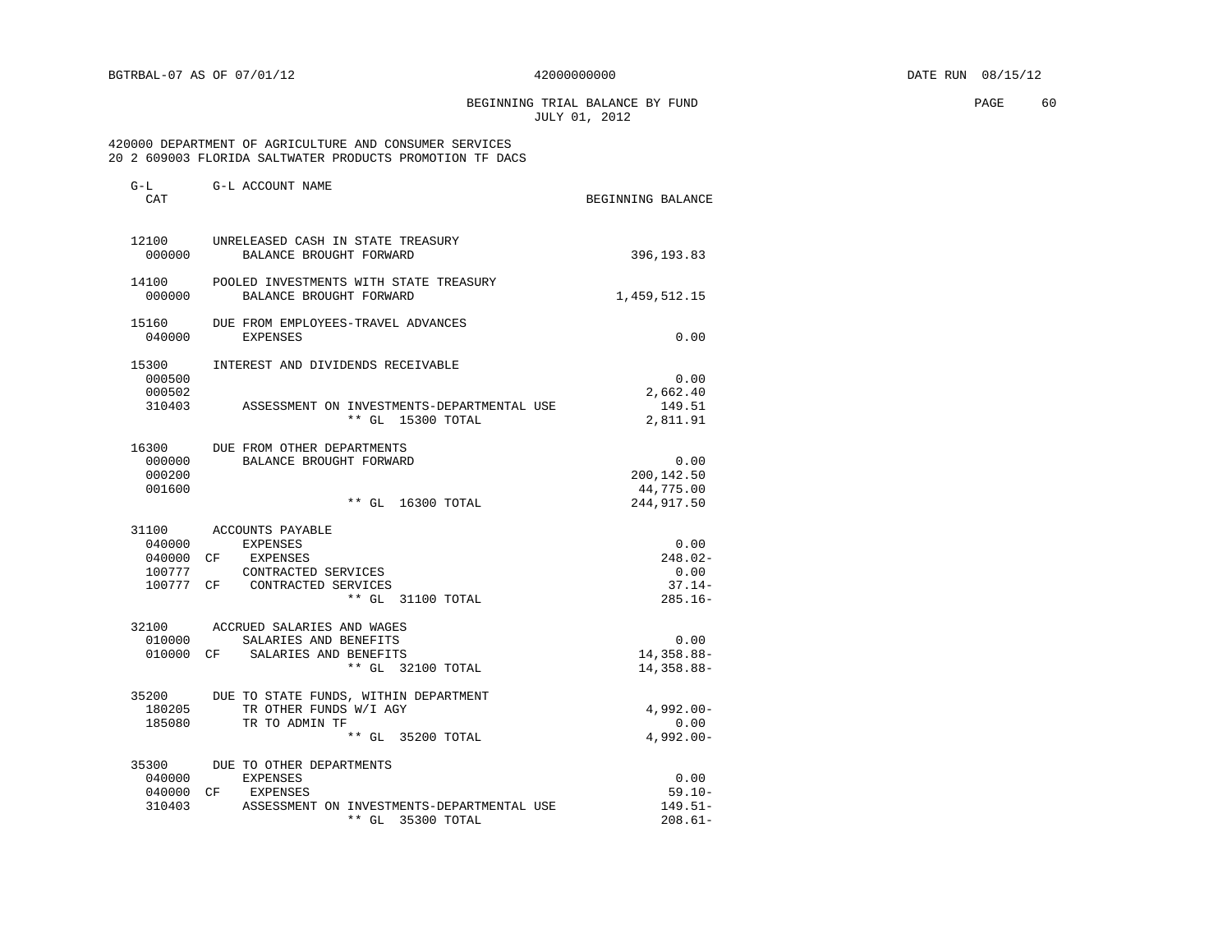BEGINNING TRIAL BALANCE BY FUND **EXAMPLE 1999** PAGE 60 JULY 01, 2012

### 420000 DEPARTMENT OF AGRICULTURE AND CONSUMER SERVICES 20 2 609003 FLORIDA SALTWATER PRODUCTS PROMOTION TF DACS

| G-L<br>CAT | G-L ACCOUNT NAME                           | BEGINNING BALANCE |
|------------|--------------------------------------------|-------------------|
| 12100      | UNRELEASED CASH IN STATE TREASURY          |                   |
| 000000     | BALANCE BROUGHT FORWARD                    | 396, 193.83       |
| 14100      | POOLED INVESTMENTS WITH STATE TREASURY     |                   |
| 000000     | BALANCE BROUGHT FORWARD                    | 1,459,512.15      |
| 15160      | DUE FROM EMPLOYEES-TRAVEL ADVANCES         |                   |
| 040000     | <b>EXPENSES</b>                            | 0.00              |
| 15300      | INTEREST AND DIVIDENDS RECEIVABLE          |                   |
| 000500     |                                            | 0.00              |
| 000502     |                                            | 2,662.40          |
| 310403     | ASSESSMENT ON INVESTMENTS-DEPARTMENTAL USE | 149.51            |
|            | ** GL 15300 TOTAL                          | 2,811.91          |
| 16300      | DUE FROM OTHER DEPARTMENTS                 |                   |
| 000000     | BALANCE BROUGHT FORWARD                    | 0.00              |
| 000200     |                                            | 200,142.50        |
| 001600     |                                            | 44,775.00         |
|            | ** GL 16300 TOTAL                          | 244, 917.50       |
|            | 31100 ACCOUNTS PAYABLE                     |                   |
| 040000     | EXPENSES                                   | 0.00              |
| 040000 CF  | EXPENSES                                   | $248.02-$         |
| 100777     | CONTRACTED SERVICES                        | 0.00              |
|            | 100777 CF CONTRACTED SERVICES              | $37.14-$          |
|            | ** GL 31100 TOTAL                          | $285.16-$         |
|            | 32100 ACCRUED SALARIES AND WAGES           |                   |
| 010000     | SALARIES AND BENEFITS                      | 0.00              |
|            | 010000 CF SALARIES AND BENEFITS            | 14,358.88-        |
|            | ** GL 32100 TOTAL                          | 14,358.88-        |
| 35200      | DUE TO STATE FUNDS, WITHIN DEPARTMENT      |                   |
| 180205     | TR OTHER FUNDS W/I AGY                     | $4,992.00 -$      |
| 185080     | TR TO ADMIN TF                             | 0.00              |
|            | ** GL 35200 TOTAL                          | $4,992.00 -$      |
|            | 35300 DUE TO OTHER DEPARTMENTS             |                   |
| 040000     | <b>EXPENSES</b>                            | 0.00              |
| 040000 CF  | EXPENSES                                   | $59.10 -$         |
| 310403     | ASSESSMENT ON INVESTMENTS-DEPARTMENTAL USE | $149.51-$         |
|            | $***$ GL<br>35300 TOTAL                    | $208.61-$         |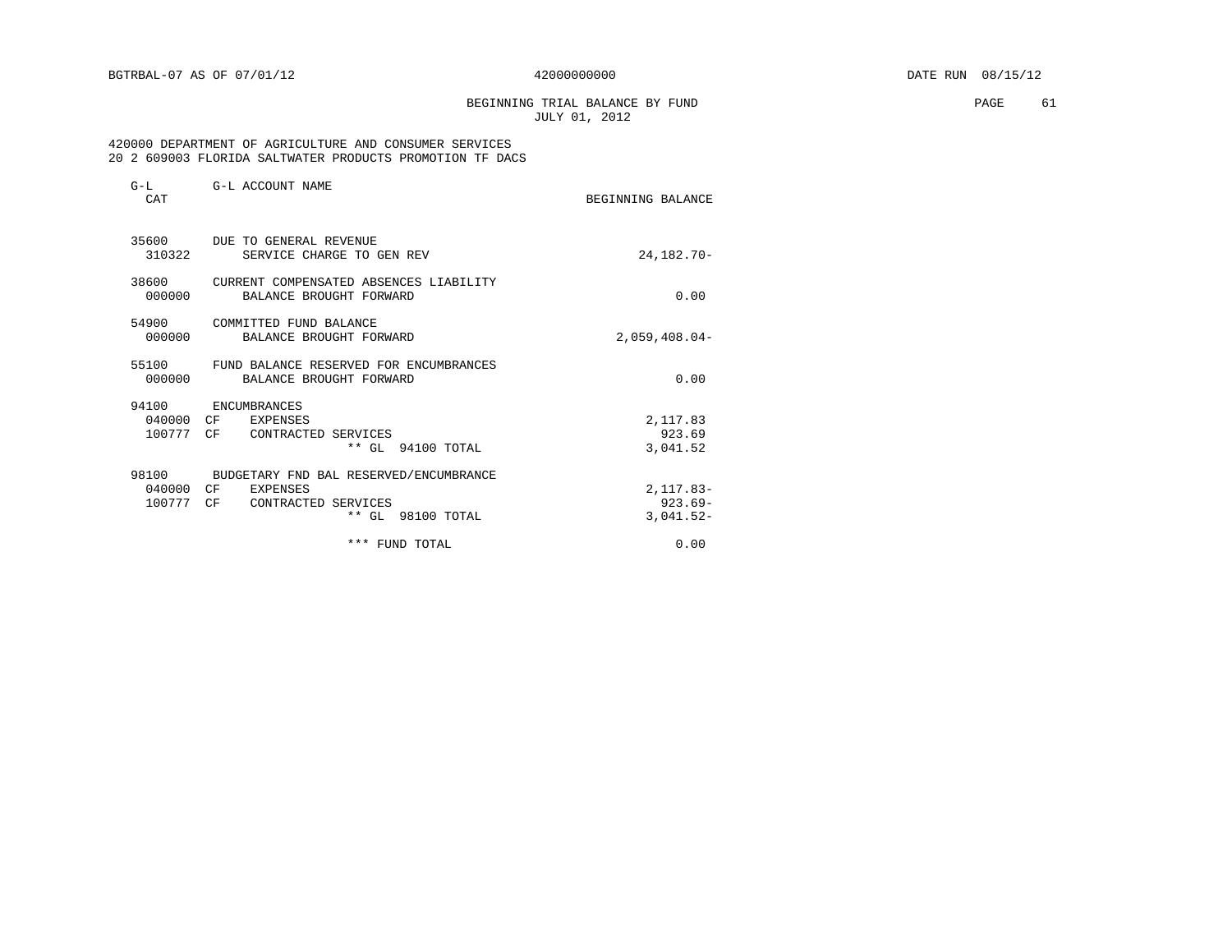BEGINNING TRIAL BALANCE BY FUND **PAGE** 61 JULY 01, 2012

 420000 DEPARTMENT OF AGRICULTURE AND CONSUMER SERVICES 20 2 609003 FLORIDA SALTWATER PRODUCTS PROMOTION TF DACS

| $G-L$<br>CAT                    | G-L ACCOUNT NAME                                                                                      | BEGINNING BALANCE                        |
|---------------------------------|-------------------------------------------------------------------------------------------------------|------------------------------------------|
| 35600<br>310322                 | DUE TO GENERAL REVENUE<br>SERVICE CHARGE TO GEN REV                                                   | 24, 182. 70-                             |
| 38600<br>000000                 | CURRENT COMPENSATED ABSENCES LIABILITY<br>BALANCE BROUGHT FORWARD                                     | 0.00                                     |
| 54900<br>000000                 | COMMITTED FUND BALANCE<br>BALANCE BROUGHT FORWARD                                                     | $2.059.408.04-$                          |
| 55100<br>000000                 | FUND BALANCE RESERVED FOR ENCUMBRANCES<br>BALANCE BROUGHT FORWARD                                     | 0.00                                     |
| 94100<br>040000 CF<br>100777 CF | ENCUMBRANCES<br>EXPENSES<br>CONTRACTED SERVICES<br>** GL 94100 TOTAL                                  | 2,117.83<br>923.69<br>3,041.52           |
| 98100<br>040000 CF<br>100777 CF | BUDGETARY FND BAL RESERVED/ENCUMBRANCE<br><b>EXPENSES</b><br>CONTRACTED SERVICES<br>** GL 98100 TOTAL | $2,117.83-$<br>$923.69 -$<br>$3,041.52-$ |
|                                 | *** FUND TOTAL                                                                                        | 0.00                                     |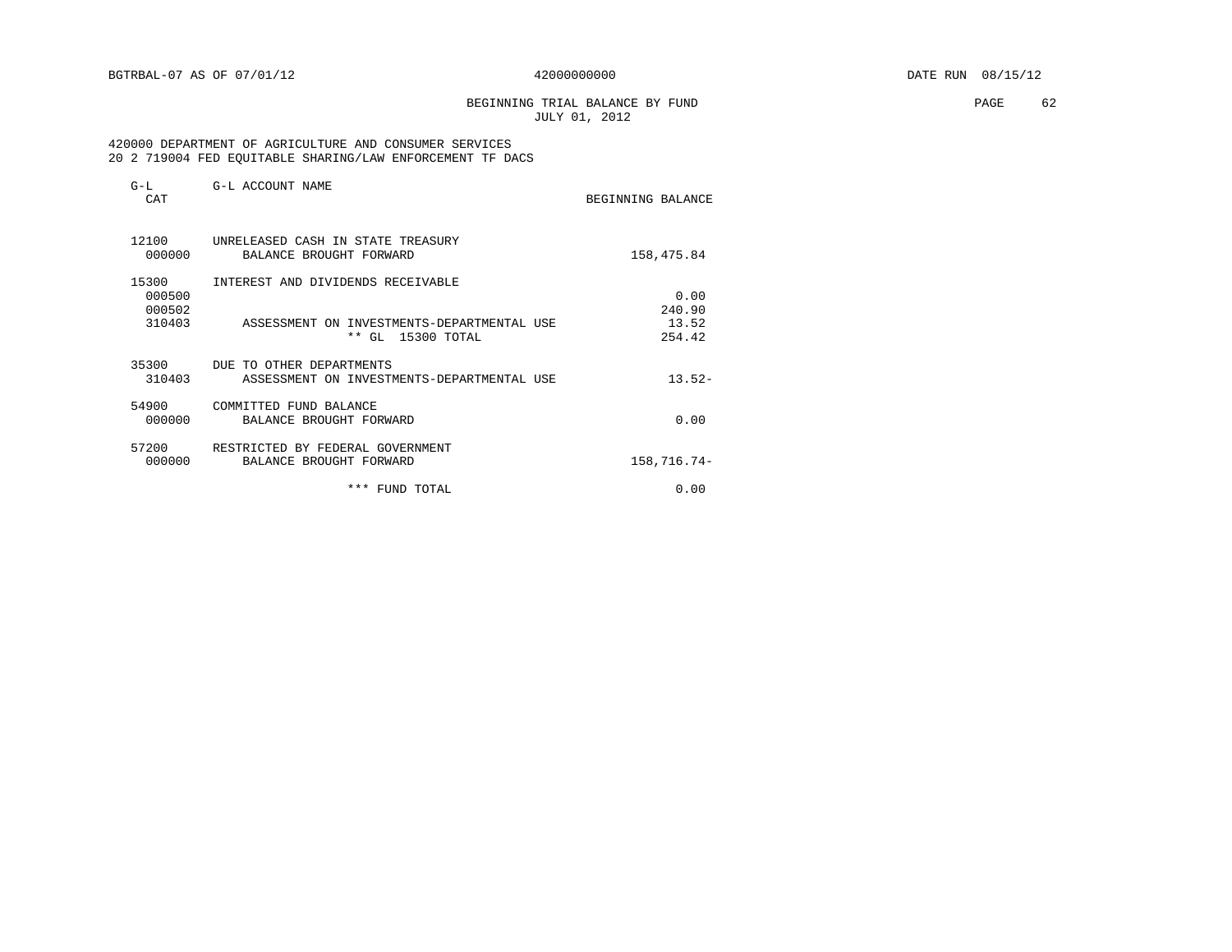BEGINNING TRIAL BALANCE BY FUND **EXAMPLE 1999** PAGE 62 JULY 01, 2012

#### 420000 DEPARTMENT OF AGRICULTURE AND CONSUMER SERVICES 20 2 719004 FED EQUITABLE SHARING/LAW ENFORCEMENT TF DACS

| $G-L$<br>CAT              | G-L ACCOUNT NAME                                                       | BEGINNING BALANCE |
|---------------------------|------------------------------------------------------------------------|-------------------|
| 12100<br>000000           | UNRELEASED CASH IN STATE TREASURY<br>BALANCE BROUGHT FORWARD           | 158,475.84        |
| 15300<br>000500<br>000502 | INTEREST AND DIVIDENDS RECEIVABLE                                      | 0.00<br>240.90    |
| 310403                    | ASSESSMENT ON INVESTMENTS-DEPARTMENTAL USE<br>* *<br>GL 15300 TOTAL    | 13.52<br>254.42   |
| 35300<br>310403           | DUE TO OTHER DEPARTMENTS<br>ASSESSMENT ON INVESTMENTS-DEPARTMENTAL USE | $13.52-$          |
| 54900<br>000000           | COMMITTED FUND BALANCE<br>BALANCE BROUGHT FORWARD                      | 0.00              |
| 57200<br>000000           | RESTRICTED BY FEDERAL GOVERNMENT<br>BALANCE BROUGHT FORWARD            | 158,716.74-       |
|                           | *** FUND TOTAL                                                         | 0.00              |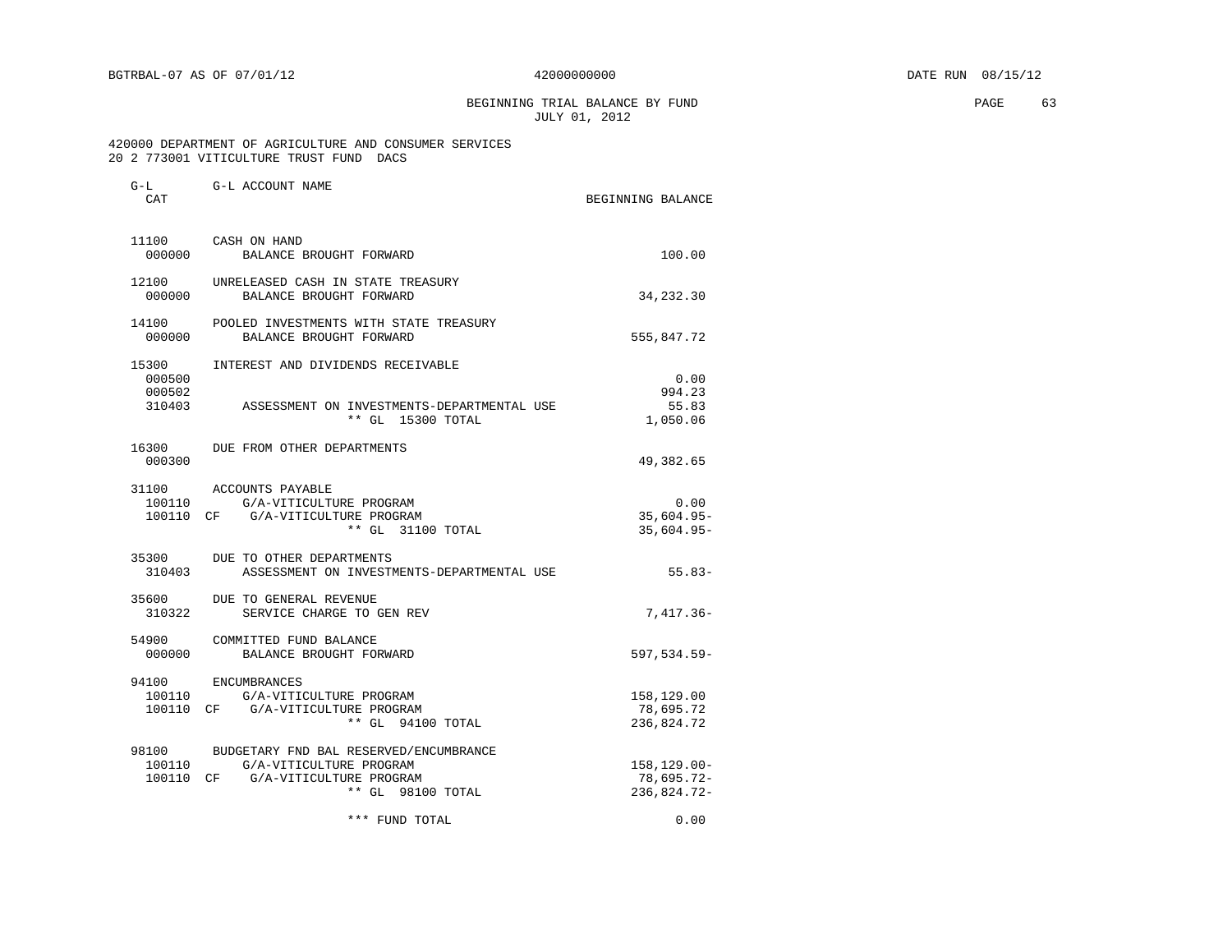G-L G-L ACCOUNT NAME

BEGINNING TRIAL BALANCE BY FUND **EXAMPLE 1999** PAGE 63 JULY 01, 2012

#### 420000 DEPARTMENT OF AGRICULTURE AND CONSUMER SERVICES 20 2 773001 VITICULTURE TRUST FUND DACS

| CAT              |                                                                                                                                          | BEGINNING BALANCE                              |
|------------------|------------------------------------------------------------------------------------------------------------------------------------------|------------------------------------------------|
| 000000           | 11100 CASH ON HAND<br>BALANCE BROUGHT FORWARD                                                                                            | 100.00                                         |
| 000000           | 12100 UNRELEASED CASH IN STATE TREASURY<br>BALANCE BROUGHT FORWARD                                                                       | 34, 232.30                                     |
| 000000           | 14100 POOLED INVESTMENTS WITH STATE TREASURY<br>BALANCE BROUGHT FORWARD                                                                  | 555,847.72                                     |
| 15300<br>000500  | INTEREST AND DIVIDENDS RECEIVABLE                                                                                                        | 0.00                                           |
| 000502<br>310403 | ASSESSMENT ON INVESTMENTS-DEPARTMENTAL USE<br>** GL 15300 TOTAL                                                                          | 994.23<br>55.83<br>1,050.06                    |
| 16300<br>000300  | DUE FROM OTHER DEPARTMENTS                                                                                                               | 49,382.65                                      |
|                  | 31100 ACCOUNTS PAYABLE<br>100110 G/A-VITICULTURE PROGRAM<br>100110 CF G/A-VITICULTURE PROGRAM<br>** GL 31100 TOTAL                       | 0.00<br>$35,604.95 -$<br>$35,604.95 -$         |
| 310403           | 35300 DUE TO OTHER DEPARTMENTS<br>ASSESSMENT ON INVESTMENTS-DEPARTMENTAL USE                                                             | $55.83-$                                       |
| 310322           | 35600 DUE TO GENERAL REVENUE<br>SERVICE CHARGE TO GEN REV                                                                                | 7,417.36-                                      |
| 000000           | 54900 COMMITTED FUND BALANCE<br>BALANCE BROUGHT FORWARD                                                                                  | 597,534.59-                                    |
|                  | 94100 ENCUMBRANCES<br>100110 G/A-VITICULTURE PROGRAM<br>100110 CF G/A-VITICULTURE PROGRAM<br>** GL 94100 TOTAL                           | 158,129.00<br>78,695.72<br>236,824.72          |
|                  | 98100 BUDGETARY FND BAL RESERVED/ENCUMBRANCE<br>100110 G/A-VITICULTURE PROGRAM<br>100110 CF G/A-VITICULTURE PROGRAM<br>** GL 98100 TOTAL | $158, 129.00 -$<br>$78,695.72-$<br>236,824.72- |
|                  | *** FUND TOTAL                                                                                                                           | 0.00                                           |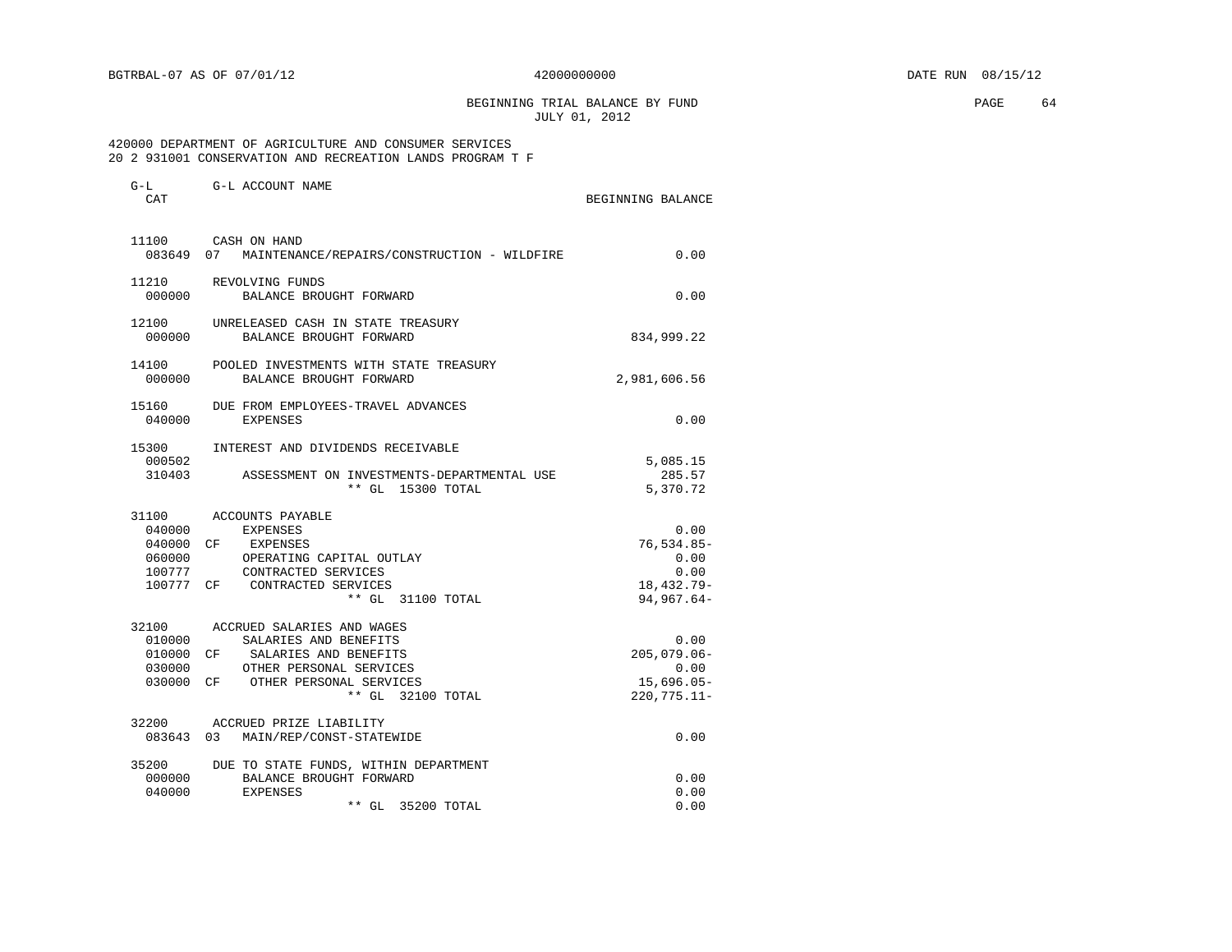G-L G-L ACCOUNT NAME

BEGINNING TRIAL BALANCE BY FUND **PAGE 64** JULY 01, 2012

 420000 DEPARTMENT OF AGRICULTURE AND CONSUMER SERVICES 20 2 931001 CONSERVATION AND RECREATION LANDS PROGRAM T F

| CAT             |                                                                   | BEGINNING BALANCE  |
|-----------------|-------------------------------------------------------------------|--------------------|
|                 | 11100 CASH ON HAND                                                |                    |
| 083649 07       | MAINTENANCE/REPAIRS/CONSTRUCTION - WILDFIRE                       | 0.00               |
| 11210           | REVOLVING FUNDS                                                   |                    |
| 000000          | BALANCE BROUGHT FORWARD                                           | 0.00               |
| 12100<br>000000 | UNRELEASED CASH IN STATE TREASURY<br>BALANCE BROUGHT FORWARD      | 834,999.22         |
|                 |                                                                   |                    |
| 14100<br>000000 | POOLED INVESTMENTS WITH STATE TREASURY<br>BALANCE BROUGHT FORWARD |                    |
|                 |                                                                   | 2,981,606.56       |
| 15160           | DUE FROM EMPLOYEES-TRAVEL ADVANCES                                |                    |
| 040000          | <b>EXPENSES</b>                                                   | 0.00               |
| 15300           | INTEREST AND DIVIDENDS RECEIVABLE                                 |                    |
| 000502          |                                                                   | 5,085.15           |
| 310403          | ASSESSMENT ON INVESTMENTS-DEPARTMENTAL USE<br>** GL 15300 TOTAL   | 285.57<br>5,370.72 |
|                 |                                                                   |                    |
| 31100           | ACCOUNTS PAYABLE                                                  |                    |
| 040000          | EXPENSES                                                          | 0.00               |
| 040000          | CF EXPENSES                                                       | $76, 534.85 -$     |
| 060000          | OPERATING CAPITAL OUTLAY                                          | 0.00               |
| 100777          | CONTRACTED SERVICES                                               | 0.00               |
|                 | 100777 CF CONTRACTED SERVICES                                     | 18, 432.79-        |
|                 | ** GL 31100 TOTAL                                                 | $94,967.64-$       |
| 32100           | ACCRUED SALARIES AND WAGES                                        |                    |
| 010000          | SALARIES AND BENEFITS                                             | 0.00               |
| 010000          | CF SALARIES AND BENEFITS                                          | $205,079.06 -$     |
| 030000          | OTHER PERSONAL SERVICES                                           | 0.00               |
|                 | 030000 CF OTHER PERSONAL SERVICES                                 | $15,696.05-$       |
|                 | ** GL 32100 TOTAL                                                 | $220,775.11 -$     |
|                 | 32200 ACCRUED PRIZE LIABILITY                                     |                    |
| 083643 03       | MAIN/REP/CONST-STATEWIDE                                          | 0.00               |
| 35200           | DUE TO STATE FUNDS, WITHIN DEPARTMENT                             |                    |
| 000000          | BALANCE BROUGHT FORWARD                                           | 0.00               |
| 040000          | <b>EXPENSES</b>                                                   | 0.00               |
|                 | $**$ GL<br>35200 TOTAL                                            | 0.00               |
|                 |                                                                   |                    |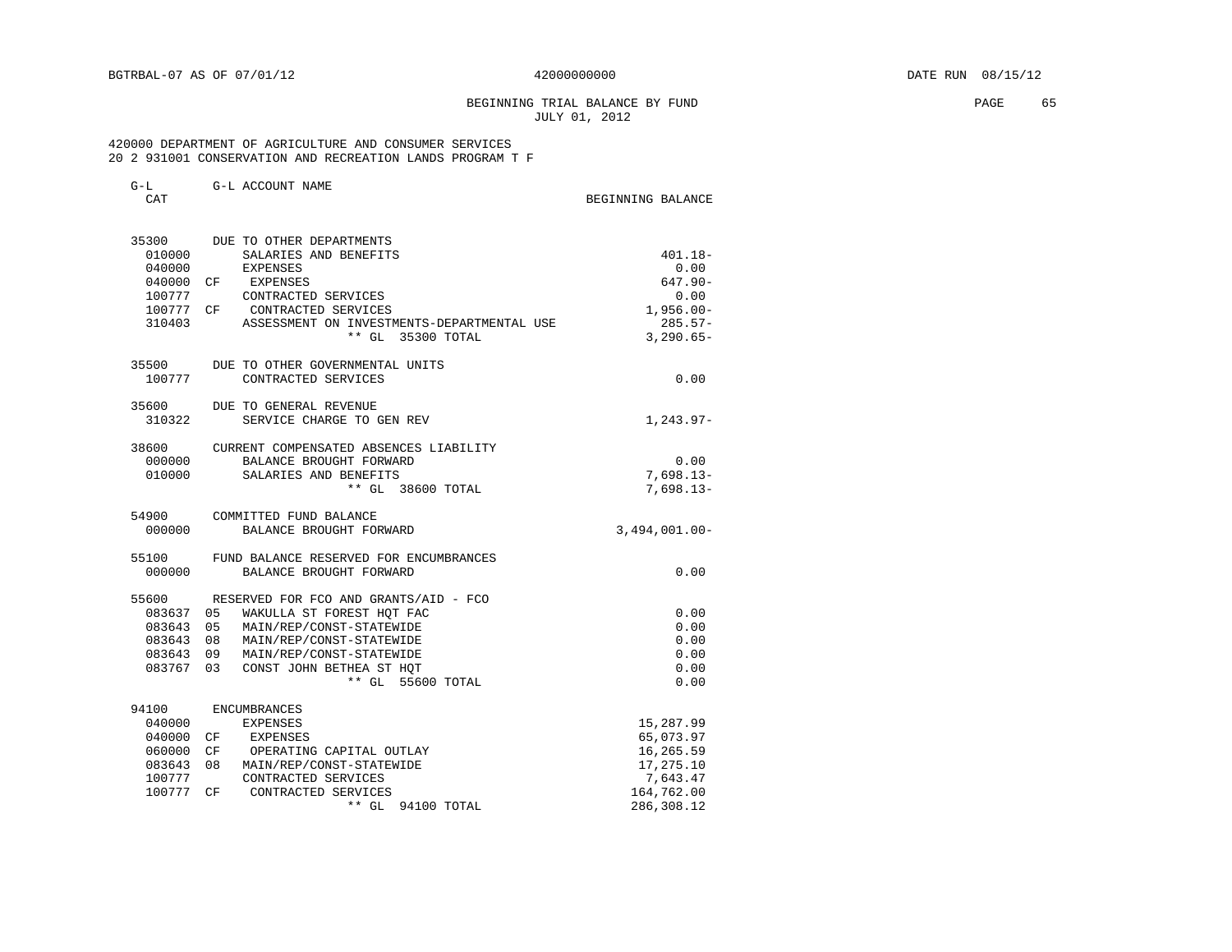BEGINNING TRIAL BALANCE BY FUND **EXAMPLE 1999** PAGE 65 JULY 01, 2012

### 420000 DEPARTMENT OF AGRICULTURE AND CONSUMER SERVICES 20 2 931001 CONSERVATION AND RECREATION LANDS PROGRAM T F

| $G-L$<br>CAT        | G-L ACCOUNT NAME                                        | BEGINNING BALANCE          |
|---------------------|---------------------------------------------------------|----------------------------|
|                     | 35300 DUE TO OTHER DEPARTMENTS                          |                            |
| 010000              | SALARIES AND BENEFITS                                   | $401.18 -$                 |
| 040000<br>040000 CF | EXPENSES<br>EXPENSES                                    | 0.00<br>$647.90 -$         |
| 100777              | CONTRACTED SERVICES                                     | 0.00                       |
| 100777 CF           | CONTRACTED SERVICES                                     | $1,956.00 -$               |
| 310403              | ASSESSMENT ON INVESTMENTS-DEPARTMENTAL USE              | $285.57-$                  |
|                     | ** GL 35300 TOTAL                                       | $3,290.65-$                |
|                     | 35500 DUE TO OTHER GOVERNMENTAL UNITS                   |                            |
| 100777              | CONTRACTED SERVICES                                     | 0.00                       |
|                     | 35600 DUE TO GENERAL REVENUE                            |                            |
| 310322              | SERVICE CHARGE TO GEN REV                               | $1, 243.97 -$              |
| 38600               | CURRENT COMPENSATED ABSENCES LIABILITY                  |                            |
|                     | 000000 BALANCE BROUGHT FORWARD                          | 0.00                       |
|                     | 010000 SALARIES AND BENEFITS<br>** GL 38600 TOTAL       | $7,698.13-$<br>$7,698.13-$ |
|                     |                                                         |                            |
| 000000              | 54900 COMMITTED FUND BALANCE<br>BALANCE BROUGHT FORWARD | $3,494,001.00 -$           |
|                     |                                                         |                            |
| 55100               | FUND BALANCE RESERVED FOR ENCUMBRANCES                  |                            |
| 000000              | BALANCE BROUGHT FORWARD                                 | 0.00                       |
| 55600               | RESERVED FOR FCO AND GRANTS/AID - FCO                   |                            |
| 083637 05           | WAKULLA ST FOREST HOT FAC                               | 0.00                       |
| 083643 05           | MAIN/REP/CONST-STATEWIDE                                | 0.00                       |
| 083643 08           | MAIN/REP/CONST-STATEWIDE                                | 0.00                       |
| 083643 09           | MAIN/REP/CONST-STATEWIDE                                | 0.00                       |
| 083767              | 0.3<br>CONST JOHN BETHEA ST HOT<br>** GL 55600 TOTAL    | 0.00<br>0.00               |
| 94100               | ENCUMBRANCES                                            |                            |
|                     |                                                         |                            |

| .      |    | -----------------        |            |
|--------|----|--------------------------|------------|
| 040000 |    | EXPENSES                 | 15,287.99  |
| 040000 | CF | EXPENSES                 | 65,073.97  |
| 060000 | CF | OPERATING CAPITAL OUTLAY | 16,265.59  |
| 083643 | 08 | MAIN/REP/CONST-STATEWIDE | 17,275.10  |
| 100777 |    | CONTRACTED SERVICES      | 7,643.47   |
| 100777 | CF | CONTRACTED SERVICES      | 164,762.00 |
|        |    | $**$ GL<br>94100 TOTAL   | 286,308.12 |
|        |    |                          |            |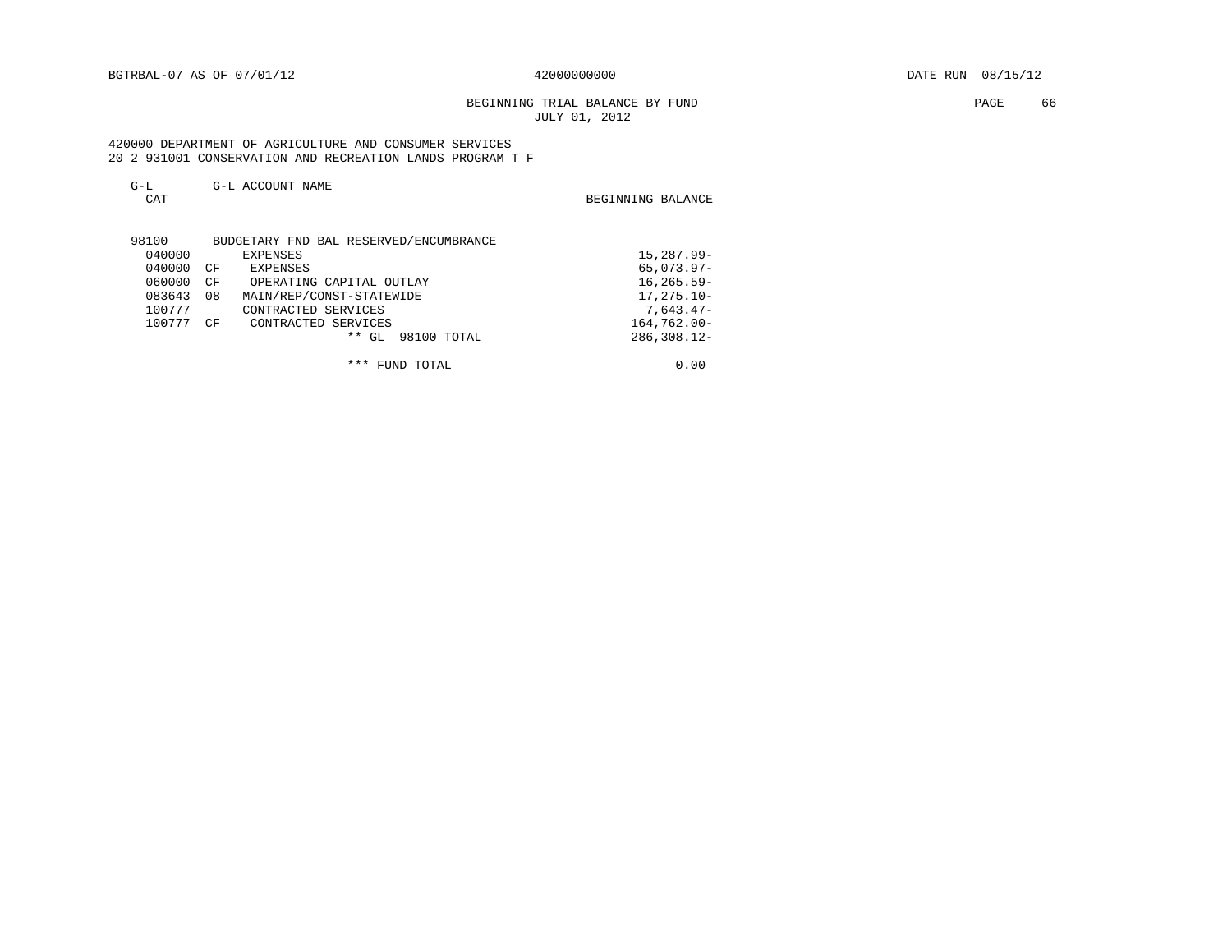BEGINNING TRIAL BALANCE BY FUND **EXAMPLE 1999** PAGE 66 JULY 01, 2012

 420000 DEPARTMENT OF AGRICULTURE AND CONSUMER SERVICES 20 2 931001 CONSERVATION AND RECREATION LANDS PROGRAM T F

| $G-L$<br>CAT | G-L ACCOUNT NAME                       | BEGINNING BALANCE |
|--------------|----------------------------------------|-------------------|
| 98100        | BUDGETARY FND BAL RESERVED/ENCUMBRANCE |                   |
| 040000       | <b>EXPENSES</b>                        | 15,287.99-        |
| 040000       | CF<br><b>EXPENSES</b>                  | $65,073.97 -$     |
| 060000       | CΕ<br>OPERATING CAPITAL OUTLAY         | $16, 265.59 -$    |
| 083643       | 08<br>MAIN/REP/CONST-STATEWIDE         | $17, 275.10 -$    |
| 100777       | CONTRACTED SERVICES                    | $7,643.47-$       |
| 100777       | CF<br>CONTRACTED SERVICES              | $164,762.00 -$    |
|              | * *<br>GL<br>98100 TOTAL               | $286, 308.12 -$   |

\*\*\* FUND TOTAL 0.00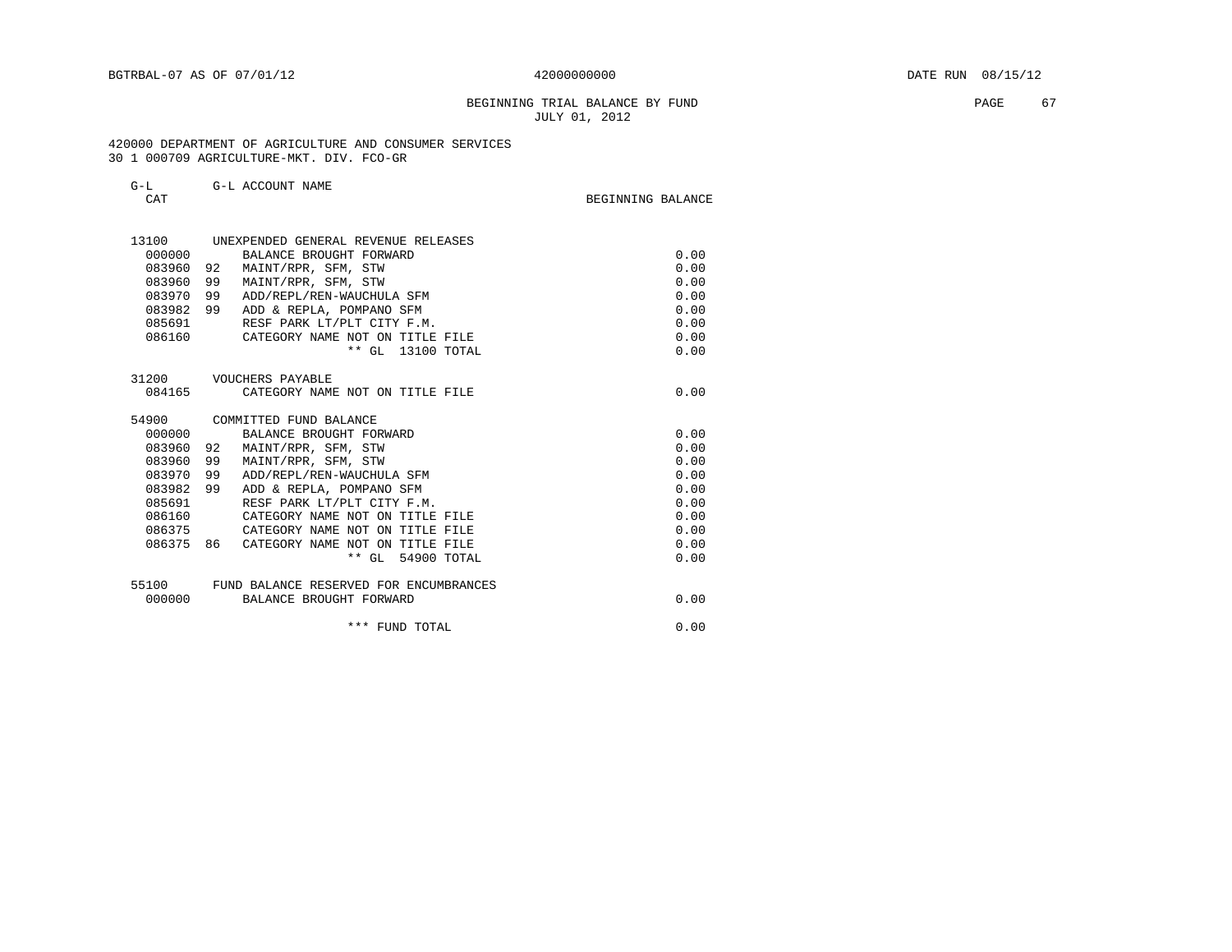BEGINNING TRIAL BALANCE BY FUND **PAGE 67** JULY 01, 2012

#### 420000 DEPARTMENT OF AGRICULTURE AND CONSUMER SERVICES 30 1 000709 AGRICULTURE-MKT. DIV. FCO-GR

55100 FUND BALANCE RESERVED FOR ENCUMBRANCES

| G-L    |      | G-L ACCOUNT NAME                    |                   |      |
|--------|------|-------------------------------------|-------------------|------|
| CAT    |      |                                     | BEGINNING BALANCE |      |
| 13100  |      | UNEXPENDED GENERAL REVENUE RELEASES |                   |      |
| 000000 |      | BALANCE BROUGHT FORWARD             |                   | 0.00 |
| 083960 | 92   | MAINT/RPR, SFM, STW                 |                   | 0.00 |
| 083960 | 99   | MAINT/RPR, SFM, STW                 |                   | 0.00 |
| 083970 | 99   | ADD/REPL/REN-WAUCHULA SFM           |                   | 0.00 |
| 083982 | - 99 | ADD & REPLA, POMPANO SFM            |                   | 0.00 |
| 085691 |      | RESF PARK LT/PLT CITY F.M.          |                   | 0.00 |
| 086160 |      | CATEGORY NAME NOT ON TITLE FILE     |                   | 0.00 |
|        |      | ** GL 13100 TOTAL                   |                   | 0.00 |
| 31200  |      | VOUCHERS PAYABLE                    |                   |      |
| 084165 |      | CATEGORY NAME NOT ON TITLE FILE     |                   | 0.00 |
| 54900  |      | COMMITTED FUND BALANCE              |                   |      |
| 000000 |      | BALANCE BROUGHT FORWARD             |                   | 0.00 |
| 083960 | 92   | MAINT/RPR, SFM, STW                 |                   | 0.00 |
| 083960 | 99   | MAINT/RPR, SFM, STW                 |                   | 0.00 |
| 083970 | 99   | ADD/REPL/REN-WAUCHULA SFM           |                   | 0.00 |
| 083982 | 99   | ADD & REPLA, POMPANO SFM            |                   | 0.00 |

083982 99 ADD & REPLA, POMPANO SFM  $0.00$ <br>085691 RESF PARK LT/PLT CITY F.M.  $0.00$ 085691 RESF PARK LT/PLT CITY F.M. (0.00)<br>086160 CATEGORY NAME NOT ON TITLE FILE (0.00) 086160 CATEGORY NAME NOT ON TITLE FILE 0.00 086375 CATEGORY NAME NOT ON TITLE FILE 0.00

086375 86 CATEGORY NAME NOT ON TITLE FILE **1000 CONTAL 10000 PM ASSESS** 0.00 \*\* GL 54900 TOTAL 0.00

000000 BALANCE BROUGHT FORWARD **1000000 BALANCE BROUGHT** 

\*\*\* FUND TOTAL 0.00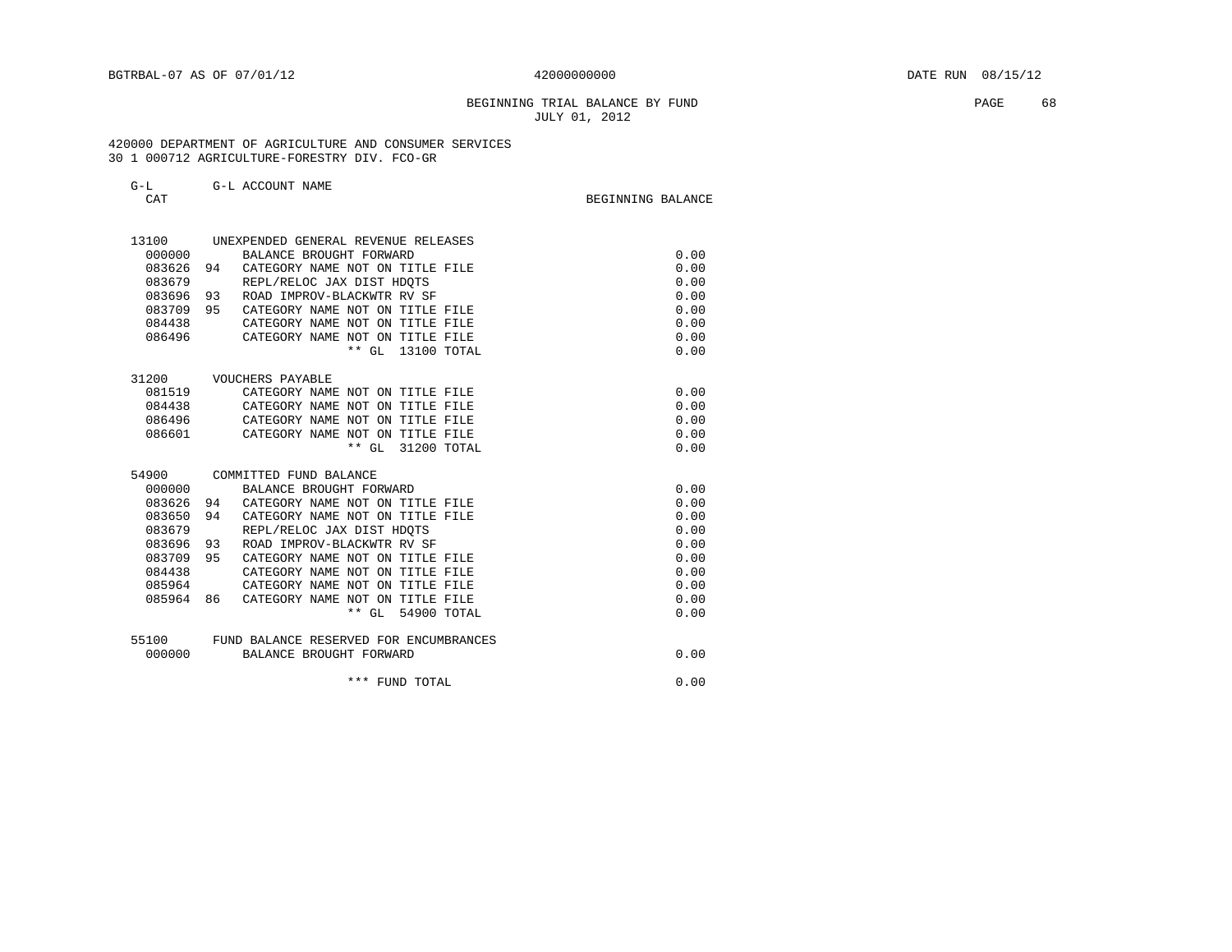# BEGINNING TRIAL BALANCE BY FUND **EXAMPLE 1999** PAGE 68 JULY 01, 2012

 420000 DEPARTMENT OF AGRICULTURE AND CONSUMER SERVICES 30 1 000712 AGRICULTURE-FORESTRY DIV. FCO-GR

| CAT    | G-L ACCOUNT NAME                       |             | BEGINNING BALANCE |
|--------|----------------------------------------|-------------|-------------------|
| 13100  | UNEXPENDED GENERAL REVENUE RELEASES    |             |                   |
| 000000 | BALANCE BROUGHT FORWARD                |             | 0.00              |
| 083626 | 94<br>CATEGORY NAME NOT ON TITLE FILE  |             | 0.00              |
| 083679 | REPL/RELOC JAX DIST HDOTS              |             | 0.00              |
| 083696 | 93<br>ROAD IMPROV-BLACKWTR RV SF       |             | 0.00              |
| 083709 | 95<br>CATEGORY NAME NOT ON TITLE FILE  |             | 0.00              |
| 084438 | CATEGORY NAME NOT ON TITLE FILE        |             | 0.00              |
| 086496 | CATEGORY NAME NOT ON TITLE FILE        |             | 0.00              |
|        | $***$ GL                               | 13100 TOTAL | 0.00              |
| 31200  | VOUCHERS PAYABLE                       |             |                   |
| 081519 | CATEGORY NAME NOT ON TITLE FILE        |             | 0.00              |
| 084438 | CATEGORY NAME NOT ON TITLE FILE        |             | 0.00              |
| 086496 | CATEGORY NAME NOT ON TITLE FILE        |             | 0.00              |
| 086601 | CATEGORY NAME NOT ON TITLE FILE        |             | 0.00              |
|        | $**$ GL                                | 31200 TOTAL | 0.00              |
| 54900  | COMMITTED FUND BALANCE                 |             |                   |
| 000000 | BALANCE BROUGHT FORWARD                |             | 0.00              |
| 083626 | CATEGORY NAME NOT ON TITLE FILE<br>94  |             | 0.00              |
| 083650 | CATEGORY NAME NOT ON TITLE FILE<br>94  |             | 0.00              |
| 083679 | REPL/RELOC JAX DIST HDQTS              |             | 0.00              |
| 083696 | 93<br>ROAD IMPROV-BLACKWTR RV SF       |             | 0.00              |
| 083709 | 95<br>CATEGORY NAME NOT ON TITLE FILE  |             | 0.00              |
| 084438 | CATEGORY NAME NOT ON TITLE FILE        |             | 0.00              |
| 085964 | CATEGORY NAME NOT ON TITLE FILE        |             | 0.00              |
| 085964 | CATEGORY NAME NOT ON TITLE FILE<br>86  |             | 0.00              |
|        | $**$ GL                                | 54900 TOTAL | 0.00              |
| 55100  | FUND BALANCE RESERVED FOR ENCUMBRANCES |             |                   |
| 000000 | BALANCE BROUGHT FORWARD                |             | 0.00              |
|        | *** FUND TOTAL                         |             | 0.00              |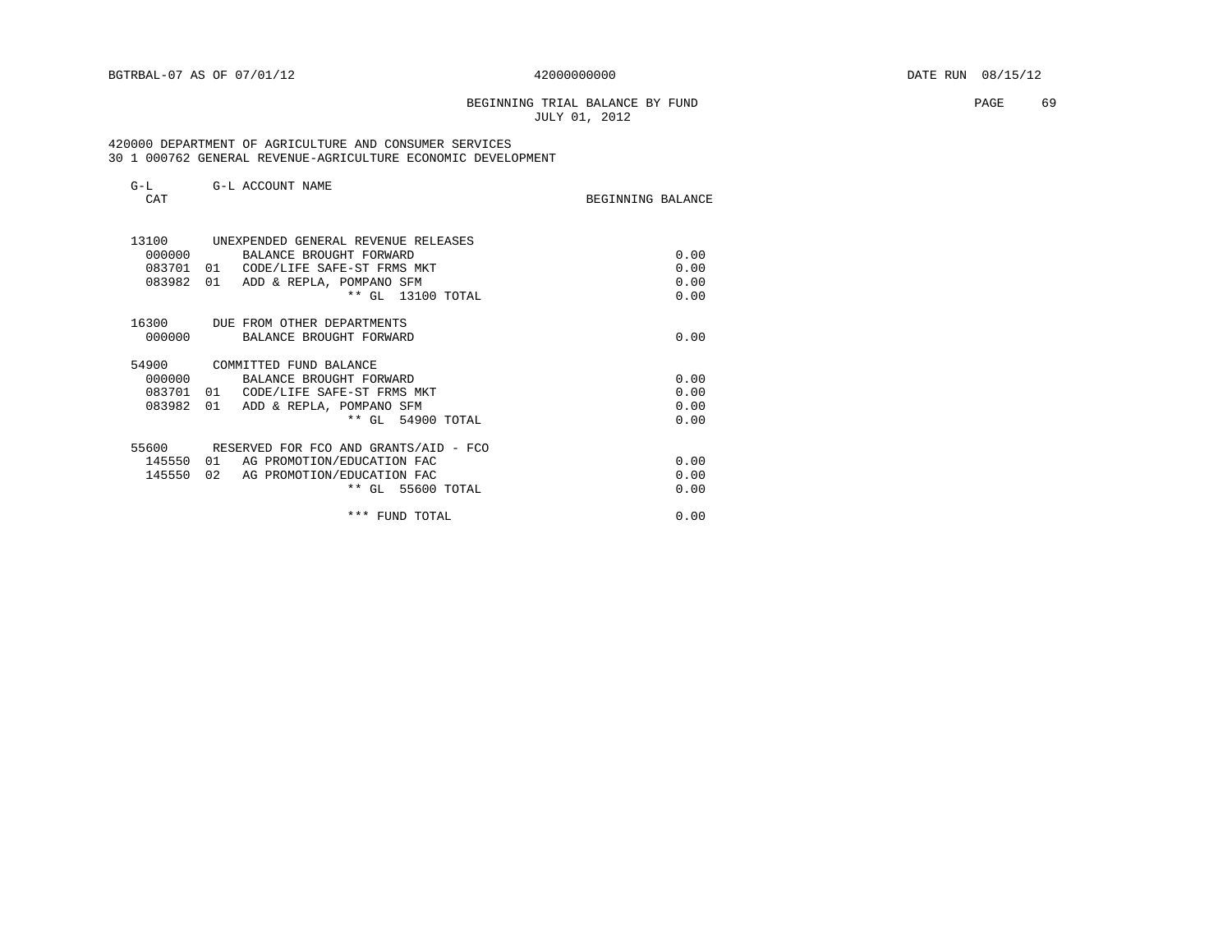# BEGINNING TRIAL BALANCE BY FUND **EXAMPLE 19** PAGE 69 JULY 01, 2012

### 420000 DEPARTMENT OF AGRICULTURE AND CONSUMER SERVICES 30 1 000762 GENERAL REVENUE-AGRICULTURE ECONOMIC DEVELOPMENT

| $G-L$<br>CAT | G-L ACCOUNT NAME                      | BEGINNING BALANCE |
|--------------|---------------------------------------|-------------------|
| 13100        | UNEXPENDED GENERAL REVENUE RELEASES   |                   |
| 000000       | BALANCE BROUGHT FORWARD               | 0.00              |
| 083701       | CODE/LIFE SAFE-ST FRMS MKT<br>01      | 0.00              |
| 083982       | 01<br>ADD & REPLA, POMPANO SFM        | 0.00              |
|              | ** GL 13100 TOTAL                     | 0.00              |
| 16300        | DUE FROM OTHER DEPARTMENTS            |                   |
| 000000       | BALANCE BROUGHT FORWARD               | 0.00              |
| 54900        | COMMITTED FUND BALANCE                |                   |
| 000000       | BALANCE BROUGHT FORWARD               | 0.00              |
| 083701       | CODE/LIFE SAFE-ST FRMS MKT<br>01      | 0.00              |
| 083982       | 01<br>ADD & REPLA, POMPANO SFM        | 0.00              |
|              | ** GL 54900 TOTAL                     | 0.00              |
| 55600        | RESERVED FOR FCO AND GRANTS/AID - FCO |                   |
| 145550       | 01<br>AG PROMOTION/EDUCATION FAC      | 0.00              |
| 145550       | 02<br>AG PROMOTION/EDUCATION FAC      | 0.00              |
|              | ** GL 55600 TOTAL                     | 0.00              |
|              | *** FUND TOTAL                        | 0.00              |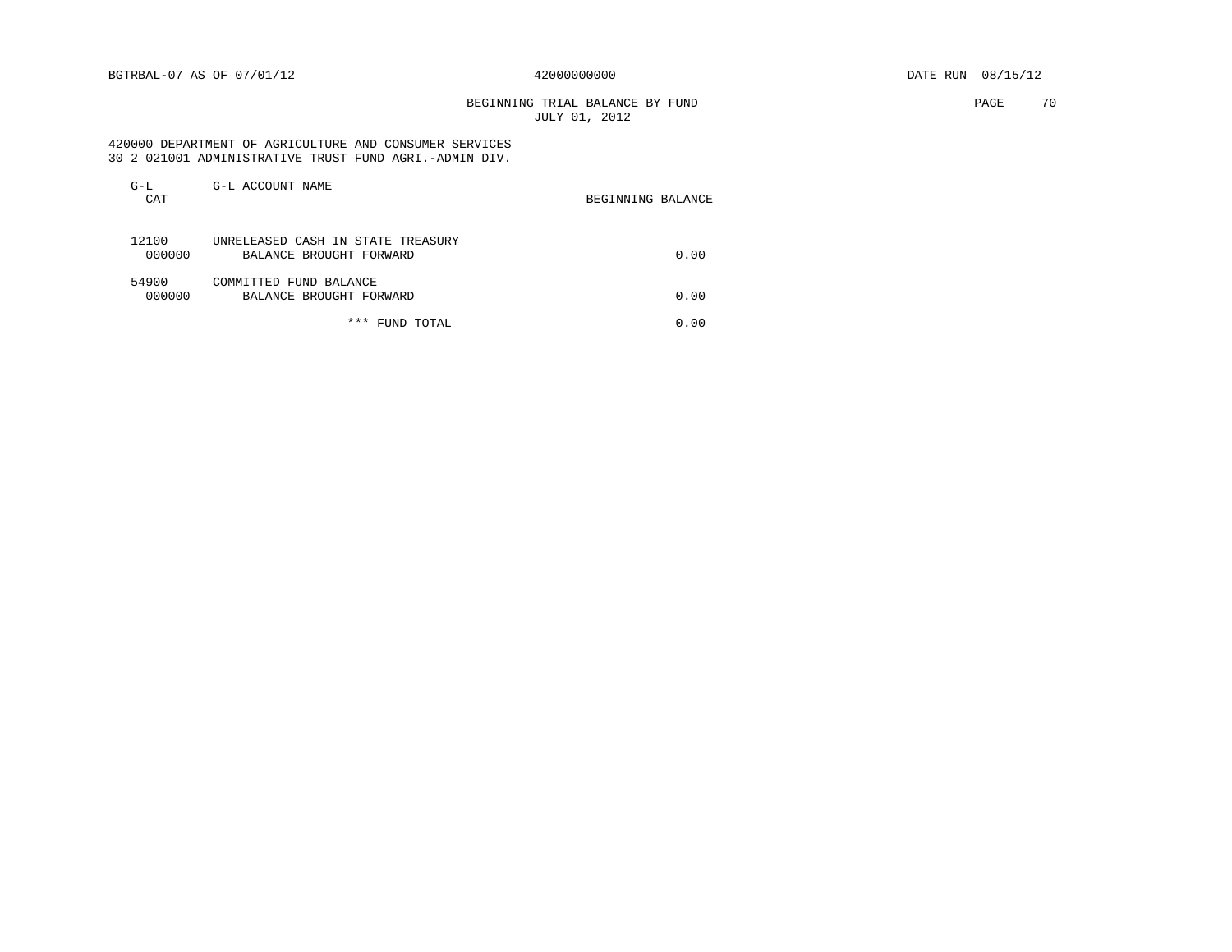BEGINNING TRIAL BALANCE BY FUND **PAGE 70** JULY 01, 2012

### 420000 DEPARTMENT OF AGRICULTURE AND CONSUMER SERVICES 30 2 021001 ADMINISTRATIVE TRUST FUND AGRI.-ADMIN DIV.

| $G-L$<br>CAT    | G-L ACCOUNT NAME                                             | BEGINNING BALANCE |
|-----------------|--------------------------------------------------------------|-------------------|
| 12100<br>000000 | UNRELEASED CASH IN STATE TREASURY<br>BALANCE BROUGHT FORWARD | 0.00              |
| 54900<br>000000 | COMMITTED FUND BALANCE<br>BALANCE BROUGHT FORWARD            | 0.00              |
|                 | *** FUND TOTAL                                               | 0.00              |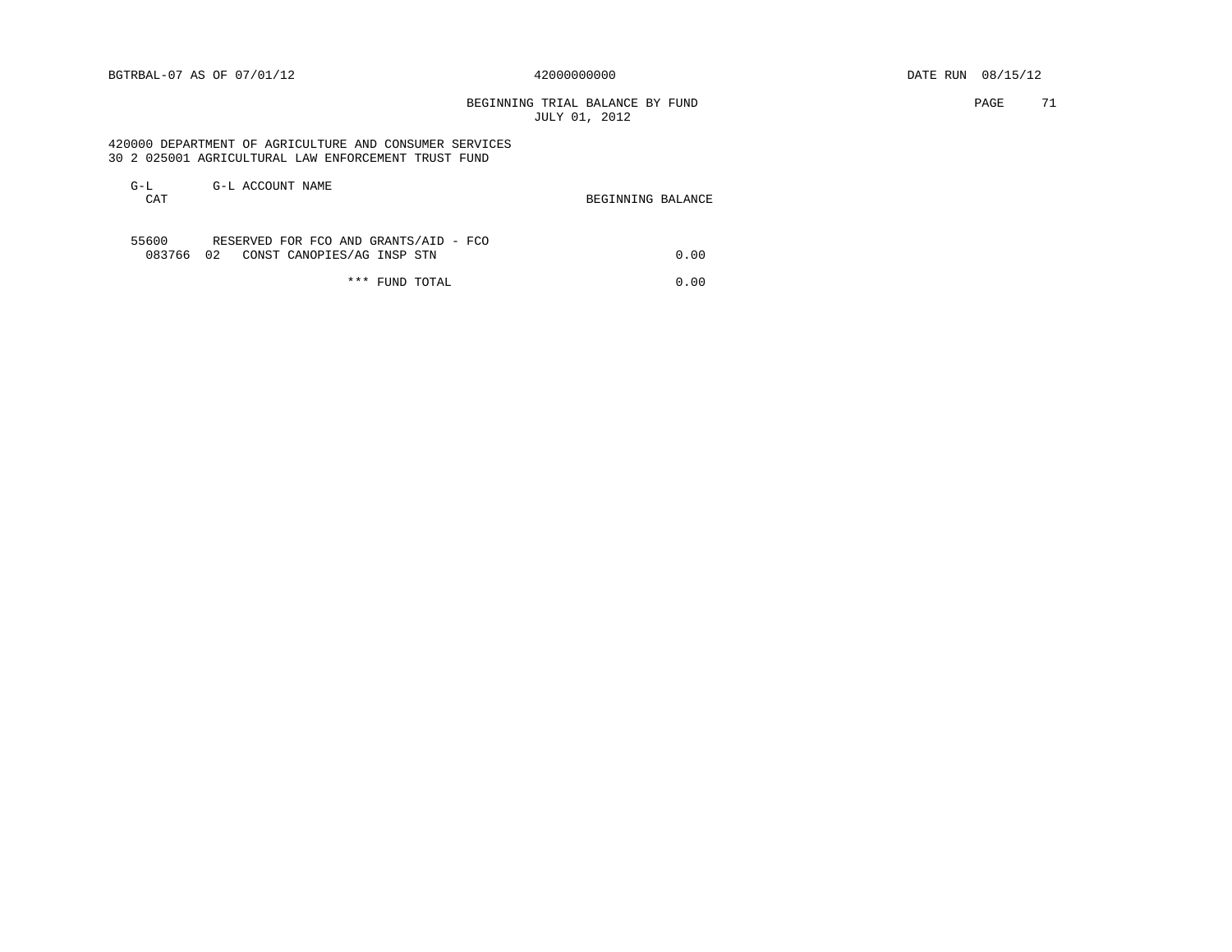# BEGINNING TRIAL BALANCE BY FUND **PAGE** 71 JULY 01, 2012

 420000 DEPARTMENT OF AGRICULTURE AND CONSUMER SERVICES 30 2 025001 AGRICULTURAL LAW ENFORCEMENT TRUST FUND

| $G-L$      | G-L ACCOUNT NAME                      |                   |
|------------|---------------------------------------|-------------------|
| <b>CAT</b> |                                       | BEGINNING BALANCE |
|            |                                       |                   |
|            |                                       |                   |
| 55600      | RESERVED FOR FCO AND GRANTS/AID - FCO |                   |
| 083766 02  | CONST CANOPIES/AG INSP STN            | 0.00              |
|            |                                       |                   |

\*\*\* FUND TOTAL 0.00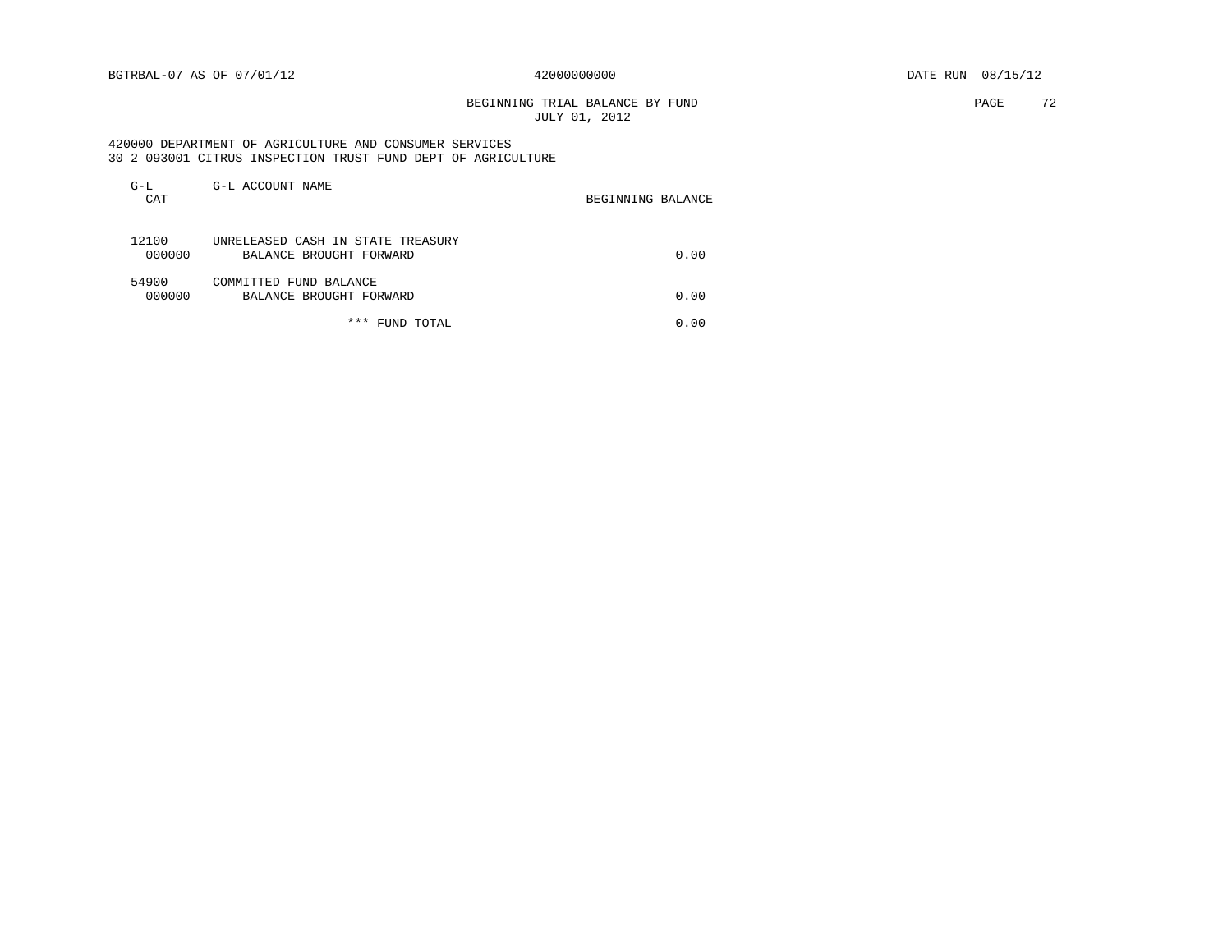BEGINNING TRIAL BALANCE BY FUND **PAGE 72** JULY 01, 2012

### 420000 DEPARTMENT OF AGRICULTURE AND CONSUMER SERVICES 30 2 093001 CITRUS INSPECTION TRUST FUND DEPT OF AGRICULTURE

| $G-L$<br>CAT    | G-L ACCOUNT NAME                                             | BEGINNING BALANCE |
|-----------------|--------------------------------------------------------------|-------------------|
| 12100<br>000000 | UNRELEASED CASH IN STATE TREASURY<br>BALANCE BROUGHT FORWARD | 0.00              |
| 54900<br>000000 | COMMITTED FUND BALANCE<br>BALANCE BROUGHT FORWARD            | 0.00              |
|                 | *** FUND TOTAL                                               | 0.00              |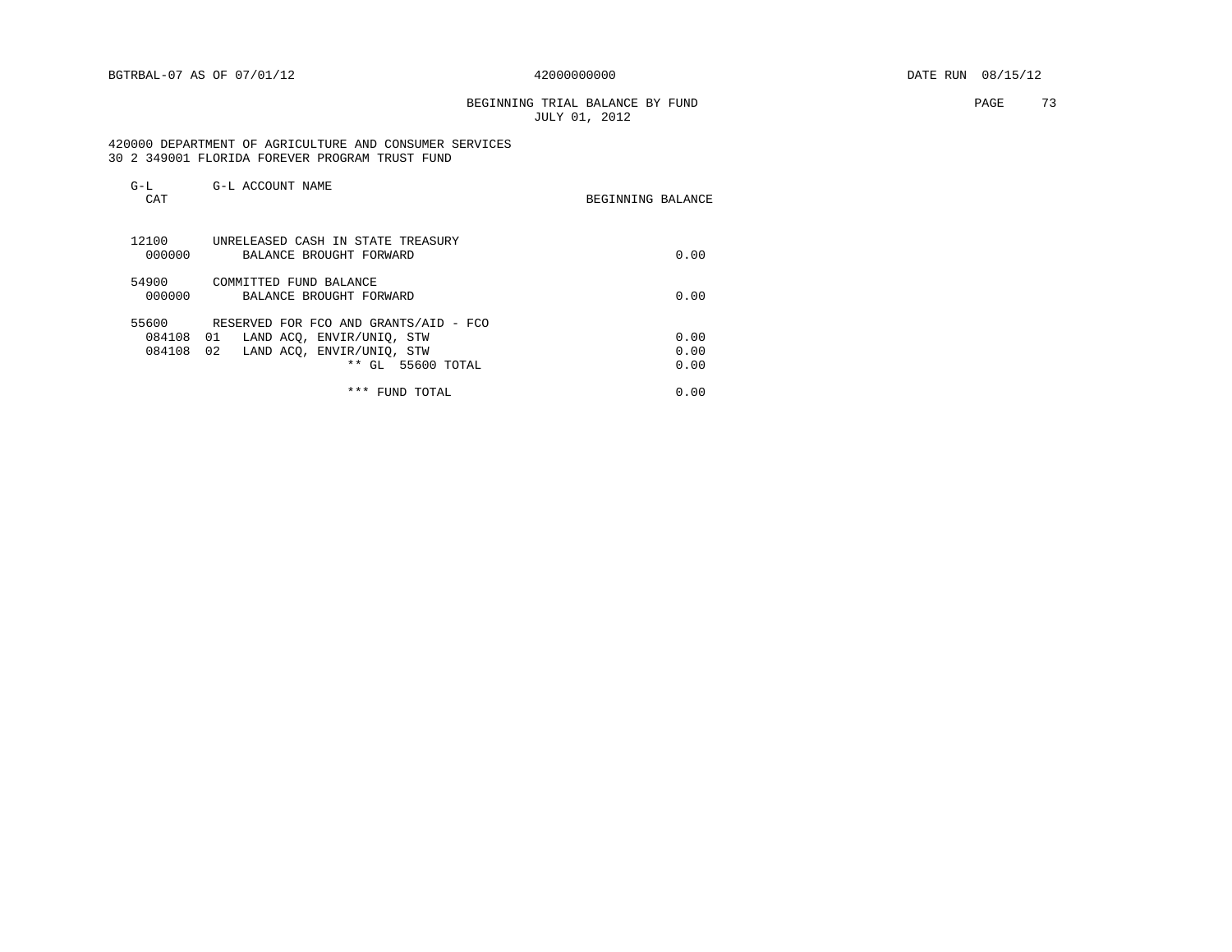# BEGINNING TRIAL BALANCE BY FUND **PAGE** 73 JULY 01, 2012

## 420000 DEPARTMENT OF AGRICULTURE AND CONSUMER SERVICES 30 2 349001 FLORIDA FOREVER PROGRAM TRUST FUND

| $G-L$<br>CAT              | G-L ACCOUNT NAME                                                                                                                       | BEGINNING BALANCE    |
|---------------------------|----------------------------------------------------------------------------------------------------------------------------------------|----------------------|
| 12100<br>000000           | UNRELEASED CASH IN STATE TREASURY<br>BALANCE BROUGHT FORWARD                                                                           | 0.00                 |
| 54900<br>000000           | COMMITTED FUND BALANCE<br>BALANCE BROUGHT FORWARD                                                                                      | 0.00                 |
| 55600<br>084108<br>084108 | RESERVED FOR FCO AND GRANTS/AID - FCO<br>LAND ACO, ENVIR/UNIO, STW<br>01<br>02<br>LAND ACO, ENVIR/UNIO, STW<br>GL 55600 TOTAL<br>$***$ | 0.00<br>0.00<br>0.00 |
|                           | * * *<br>FUND TOTAL                                                                                                                    | 0.00                 |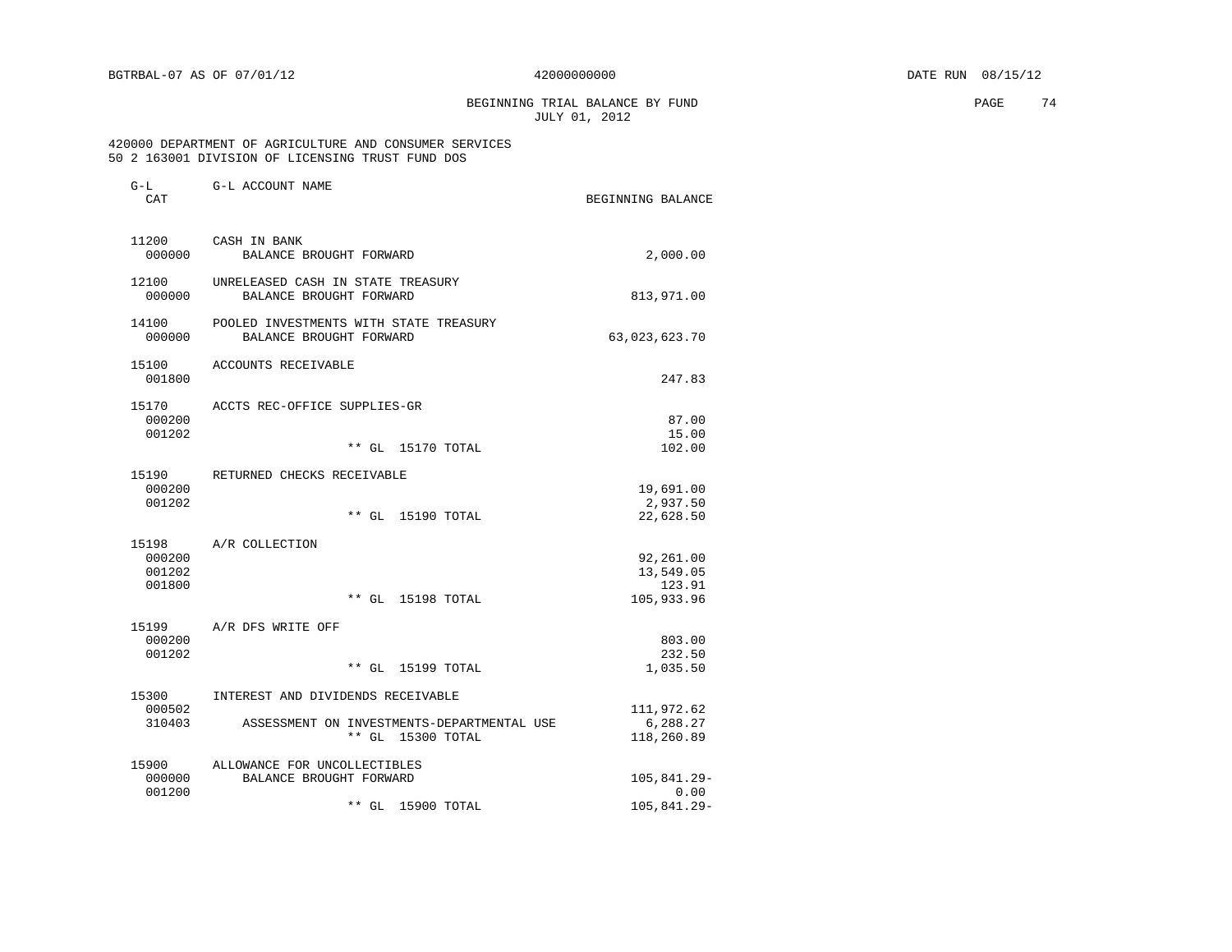G-L G-L ACCOUNT NAME

BEGINNING TRIAL BALANCE BY FUND **PAGE 74** JULY 01, 2012

## 420000 DEPARTMENT OF AGRICULTURE AND CONSUMER SERVICES 50 2 163001 DIVISION OF LICENSING TRUST FUND DOS

| <b>CT 1.1</b><br>CAT | G H UCCOON TALIE                                                  | BEGINNING BALANCE     |
|----------------------|-------------------------------------------------------------------|-----------------------|
| 11200<br>000000      | CASH IN BANK<br>BALANCE BROUGHT FORWARD                           | 2,000.00              |
|                      |                                                                   |                       |
| 12100<br>000000      | UNRELEASED CASH IN STATE TREASURY<br>BALANCE BROUGHT FORWARD      | 813,971.00            |
| 14100<br>000000      | POOLED INVESTMENTS WITH STATE TREASURY<br>BALANCE BROUGHT FORWARD | 63,023,623.70         |
| 15100<br>001800      | ACCOUNTS RECEIVABLE                                               | 247.83                |
| 15170                | ACCTS REC-OFFICE SUPPLIES-GR                                      |                       |
| 000200               |                                                                   | 87.00                 |
| 001202               | ** GL 15170 TOTAL                                                 | 15.00<br>102.00       |
|                      |                                                                   |                       |
| 15190                | RETURNED CHECKS RECEIVABLE                                        |                       |
| 000200               |                                                                   | 19,691.00             |
| 001202               | $**$ GL<br>15190 TOTAL                                            | 2,937.50<br>22,628.50 |
|                      |                                                                   |                       |
| 15198                | A/R COLLECTION                                                    |                       |
| 000200               |                                                                   | 92,261.00             |
| 001202<br>001800     |                                                                   | 13,549.05<br>123.91   |
|                      | ** GL 15198 TOTAL                                                 | 105,933.96            |
|                      |                                                                   |                       |
| 15199<br>000200      | A/R DFS WRITE OFF                                                 | 803.00                |
| 001202               |                                                                   | 232.50                |
|                      | $***$ GL<br>15199 TOTAL                                           | 1,035.50              |
| 15300                | INTEREST AND DIVIDENDS RECEIVABLE                                 |                       |
| 000502               |                                                                   | 111,972.62            |
| 310403               | ASSESSMENT ON INVESTMENTS-DEPARTMENTAL USE                        | 6,288.27              |
|                      | ** GL 15300 TOTAL                                                 | 118,260.89            |
| 15900                | ALLOWANCE FOR UNCOLLECTIBLES                                      |                       |
| 000000               | BALANCE BROUGHT FORWARD                                           | 105,841.29-           |
| 001200               |                                                                   | 0.00                  |
|                      | ** GL<br>15900 TOTAL                                              | $105, 841.29 -$       |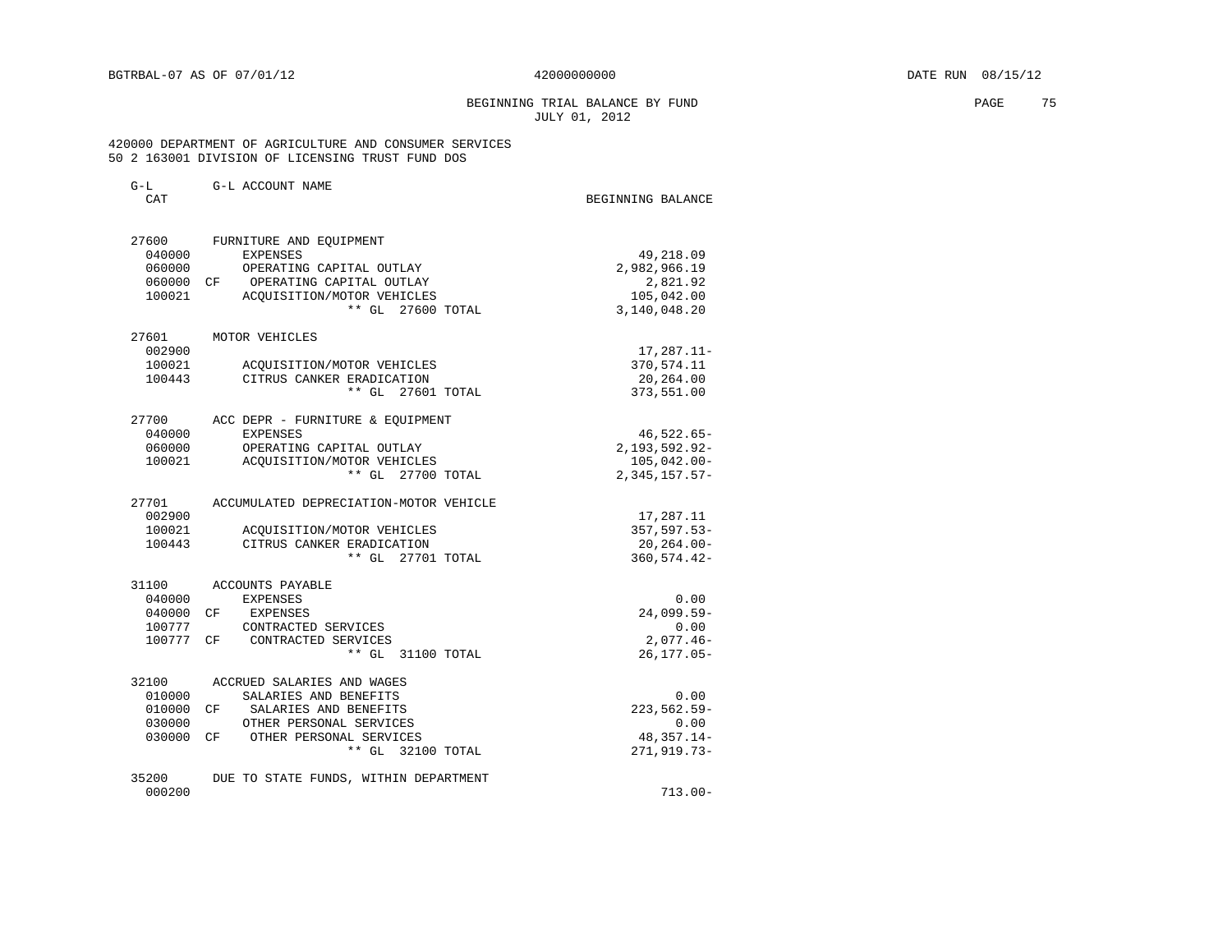# BEGINNING TRIAL BALANCE BY FUND **PAGE** 75 JULY 01, 2012

 420000 DEPARTMENT OF AGRICULTURE AND CONSUMER SERVICES 50 2 163001 DIVISION OF LICENSING TRUST FUND DOS

| $G-L$<br>CAT     | G-L ACCOUNT NAME                                | BEGINNING BALANCE          |
|------------------|-------------------------------------------------|----------------------------|
| 27600            | FURNITURE AND EQUIPMENT                         |                            |
| 040000           | <b>EXPENSES</b>                                 | 49,218.09                  |
| 060000           | OPERATING CAPITAL OUTLAY                        | 2,982,966.19               |
| 060000 CF        | OPERATING CAPITAL OUTLAY                        | 2,821.92                   |
| 100021           | ACOUISITION/MOTOR VEHICLES<br>** GL 27600 TOTAL | 105,042.00<br>3,140,048.20 |
| 27601            | MOTOR VEHICLES                                  |                            |
| 002900           |                                                 | $17, 287.11 -$             |
| 100021           | ACOUISITION/MOTOR VEHICLES                      | 370,574.11                 |
| 100443           | CITRUS CANKER ERADICATION                       | 20,264.00                  |
|                  | ** GL 27601 TOTAL                               | 373,551.00                 |
| 27700            | ACC DEPR - FURNITURE & EQUIPMENT                |                            |
| 040000           | <b>EXPENSES</b>                                 | $46,522.65-$               |
| 060000           | OPERATING CAPITAL OUTLAY                        | 2, 193, 592.92-            |
| 100021           | ACQUISITION/MOTOR VEHICLES                      | $105,042.00 -$             |
|                  | ** GL 27700 TOTAL                               | $2,345,157.57-$            |
| 27701            | ACCUMULATED DEPRECIATION-MOTOR VEHICLE          |                            |
| 002900<br>100021 | ACQUISITION/MOTOR VEHICLES                      | 17,287.11<br>$357,597.53-$ |
| 100443           | CITRUS CANKER ERADICATION                       | 20,264.00-                 |
|                  | ** GL 27701 TOTAL                               | 360, 574.42-               |
| 31100            | ACCOUNTS PAYABLE                                |                            |
| 040000           | <b>EXPENSES</b>                                 | 0.00                       |
| 040000 CF        | <b>EXPENSES</b>                                 | $24,099.59-$               |
| 100777           | CONTRACTED SERVICES                             | 0.00                       |
| 100777 CF        | CONTRACTED SERVICES                             | $2,077.46-$                |
|                  | ** GL 31100 TOTAL                               | $26, 177.05 -$             |
| 32100            | ACCRUED SALARIES AND WAGES                      |                            |
| 010000           | SALARIES AND BENEFITS                           | 0.00                       |
| 010000 CF        | SALARIES AND BENEFITS                           | 223, 562. 59-              |
| 030000           | OTHER PERSONAL SERVICES                         | 0.00                       |
| 030000 CF        | OTHER PERSONAL SERVICES                         | 48,357.14-                 |
|                  | ** GL 32100 TOTAL                               | 271, 919. 73-              |
| 35200<br>000200  | DUE TO STATE FUNDS, WITHIN DEPARTMENT           |                            |
|                  |                                                 | $713.00 -$                 |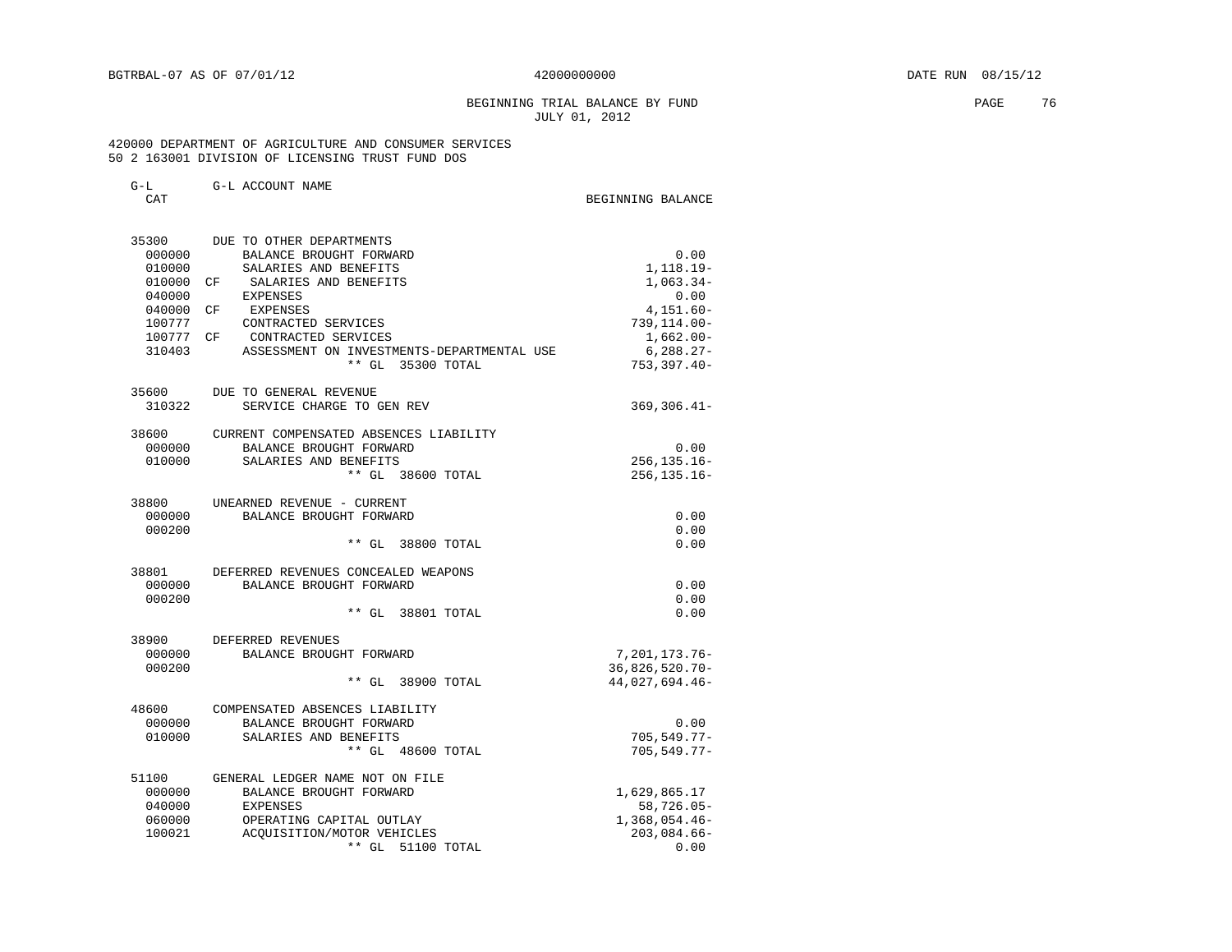# BEGINNING TRIAL BALANCE BY FUND **PAGE 76** JULY 01, 2012

## 420000 DEPARTMENT OF AGRICULTURE AND CONSUMER SERVICES 50 2 163001 DIVISION OF LICENSING TRUST FUND DOS

|   | × |
|---|---|
|   |   |
| × |   |

 $\begin{minipage}{.4\linewidth} \texttt{CEG} & \texttt{CEG} \\ \texttt{CAT} & \texttt{DEG} \\ \texttt{CAT} & \texttt{D} \end{minipage}$ 

| 35300  | DUE TO OTHER DEPARTMENTS                   |                   |
|--------|--------------------------------------------|-------------------|
| 000000 | BALANCE BROUGHT FORWARD                    | 0.00              |
| 010000 | SALARIES AND BENEFITS                      | 1, 118.19-        |
| 010000 | CF SALARIES AND BENEFITS                   | $1,063.34-$       |
| 040000 | EXPENSES                                   | 0.00              |
| 040000 | <b>EXPENSES</b><br>CF                      | $4,151.60-$       |
| 100777 | CONTRACTED SERVICES                        | $739, 114.00 -$   |
|        | 100777 CF CONTRACTED SERVICES              | $1,662.00-$       |
| 310403 | ASSESSMENT ON INVESTMENTS-DEPARTMENTAL USE | $6,288.27-$       |
|        | ** GL 35300 TOTAL                          | $753, 397.40 -$   |
| 35600  | DUE TO GENERAL REVENUE                     |                   |
| 310322 | SERVICE CHARGE TO GEN REV                  | $369, 306.41 -$   |
| 38600  | CURRENT COMPENSATED ABSENCES LIABILITY     |                   |
| 000000 | BALANCE BROUGHT FORWARD                    | 0.00              |
| 010000 | SALARIES AND BENEFITS                      | $256, 135.16 -$   |
|        | ** GL 38600 TOTAL                          | $256, 135.16 -$   |
| 38800  | UNEARNED REVENUE - CURRENT                 |                   |
| 000000 | BALANCE BROUGHT FORWARD                    | 0.00              |
| 000200 |                                            | 0.00              |
|        | ** GL 38800 TOTAL                          | 0.00              |
| 38801  | DEFERRED REVENUES CONCEALED WEAPONS        |                   |
| 000000 | BALANCE BROUGHT FORWARD                    | 0.00              |
| 000200 |                                            | 0.00              |
|        | ** GL 38801 TOTAL                          | 0.00              |
| 38900  | DEFERRED REVENUES                          |                   |
| 000000 | BALANCE BROUGHT FORWARD                    | 7,201,173.76-     |
| 000200 |                                            | $36,826,520.70 -$ |
|        | ** GL 38900 TOTAL                          | 44,027,694.46-    |
| 48600  | COMPENSATED ABSENCES LIABILITY             |                   |
| 000000 | BALANCE BROUGHT FORWARD                    | 0.00              |
| 010000 | SALARIES AND BENEFITS                      | $705, 549.77 -$   |
|        | $**$ GL<br>48600 TOTAL                     | $705, 549.77 -$   |
| 51100  | GENERAL LEDGER NAME NOT ON FILE            |                   |
| 000000 | BALANCE BROUGHT FORWARD                    | 1,629,865.17      |
| 040000 | EXPENSES                                   | 58,726.05-        |
| 060000 | OPERATING CAPITAL OUTLAY                   | $1,368,054.46-$   |
| 100021 | ACOUISITION/MOTOR VEHICLES                 | $203,084.66 -$    |
|        | $**$ GL<br>51100 TOTAL                     | 0.00              |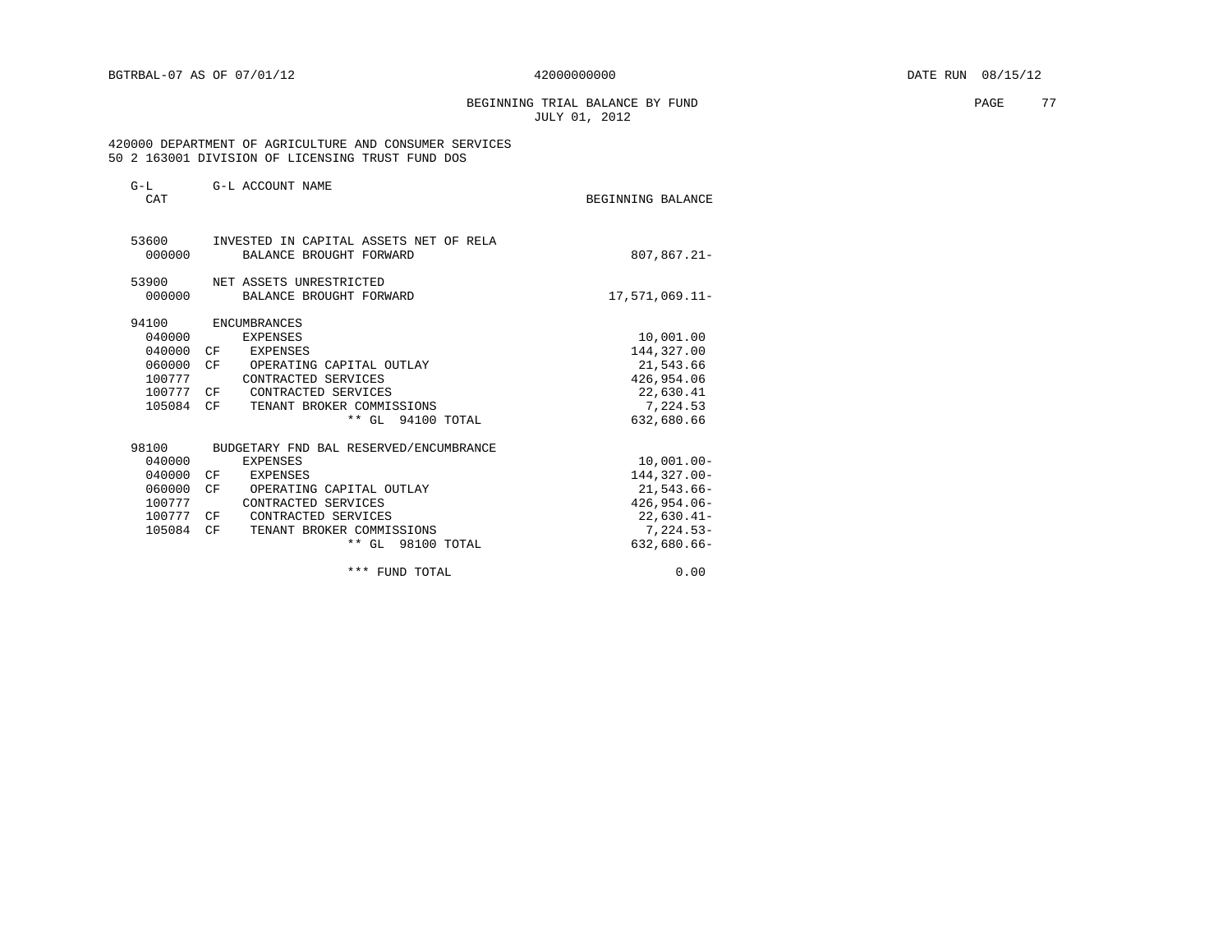## BEGINNING TRIAL BALANCE BY FUND **EXAMPLE 2018** PAGE 77 JULY 01, 2012

 420000 DEPARTMENT OF AGRICULTURE AND CONSUMER SERVICES 50 2 163001 DIVISION OF LICENSING TRUST FUND DOS

| $G-L$<br>CAT | G-L ACCOUNT NAME                       | BEGINNING BALANCE |
|--------------|----------------------------------------|-------------------|
| 53600        | INVESTED IN CAPITAL ASSETS NET OF RELA |                   |
| 000000       | BALANCE BROUGHT FORWARD                | $807, 867.21 -$   |
| 53900        | NET ASSETS UNRESTRICTED                |                   |
| 000000       | BALANCE BROUGHT FORWARD                | 17,571,069.11-    |
| 94100        | <b>ENCUMBRANCES</b>                    |                   |
| 040000       | EXPENSES                               | 10,001.00         |
| 040000       | EXPENSES<br>CF                         | 144,327.00        |
| 060000       | CF<br>OPERATING CAPITAL OUTLAY         | 21,543.66         |
| 100777       | CONTRACTED SERVICES                    | 426,954.06        |
| 100777       | CF <sup></sup><br>CONTRACTED SERVICES  | 22,630.41         |
| 105084       | TENANT BROKER COMMISSIONS<br>CF        | 7,224.53          |
|              | ** GL 94100 TOTAL                      | 632,680.66        |
| 98100        | BUDGETARY FND BAL RESERVED/ENCUMBRANCE |                   |
| 040000       | <b>EXPENSES</b>                        | $10,001.00 -$     |
| 040000       | CF<br>EXPENSES                         | $144.327.00 -$    |
| 060000       | CF<br>OPERATING CAPITAL OUTLAY         | $21,543.66 -$     |
| 100777       | CONTRACTED SERVICES                    | $426, 954.06 -$   |
| 100777       | CONTRACTED SERVICES<br>CF              | $22,630.41-$      |
| 105084       | TENANT BROKER COMMISSIONS<br>CF        | $7,224.53-$       |
|              | ** GL 98100 TOTAL                      | 632,680.66-       |
|              | *** FUND TOTAL                         | 0.00              |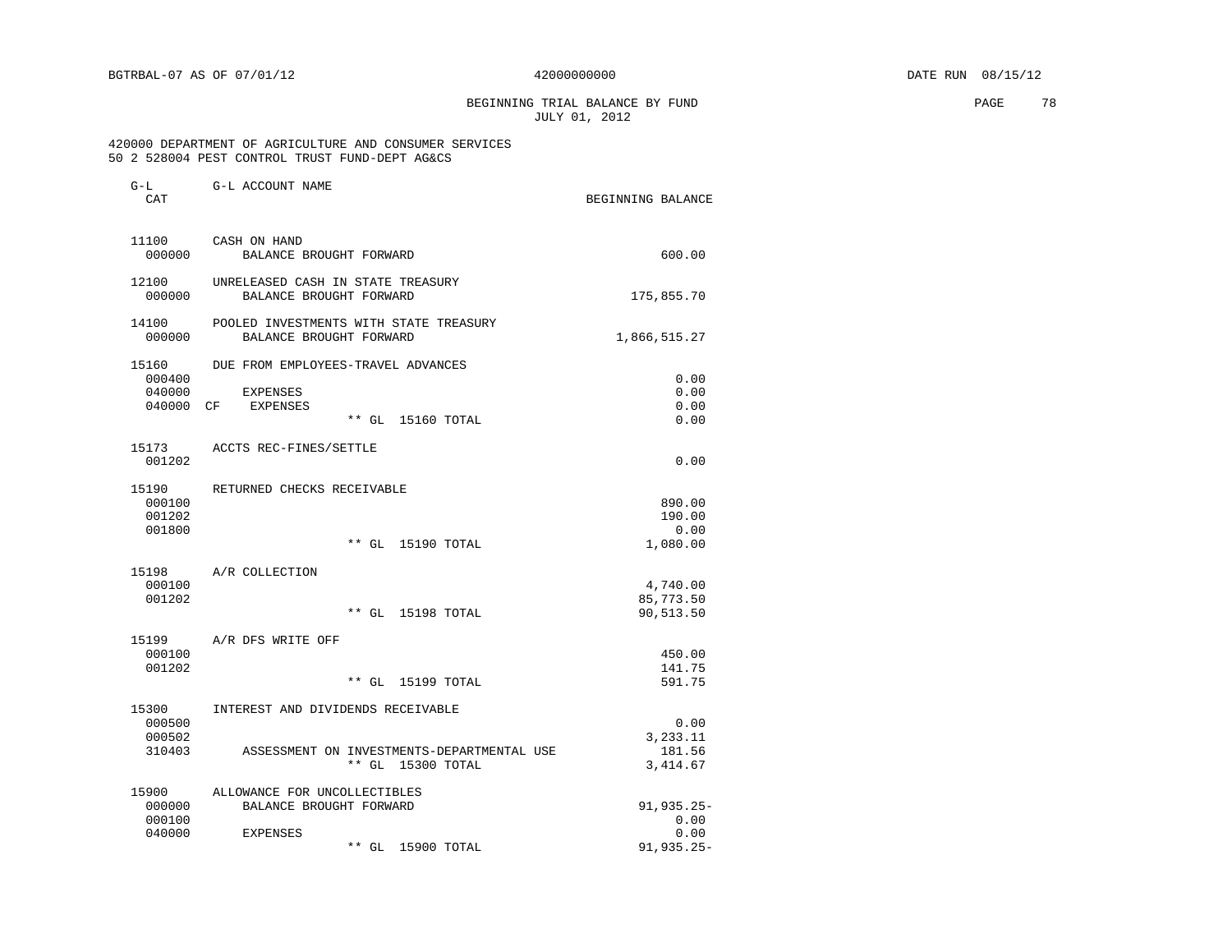G-L G-L ACCOUNT NAME

BEGINNING TRIAL BALANCE BY FUND **PAGE 78** JULY 01, 2012

#### 420000 DEPARTMENT OF AGRICULTURE AND CONSUMER SERVICES 50 2 528004 PEST CONTROL TRUST FUND-DEPT AG&CS

| CAT             |                                                                    | BEGINNING BALANCE  |
|-----------------|--------------------------------------------------------------------|--------------------|
| 11100<br>000000 | CASH ON HAND<br>BALANCE BROUGHT FORWARD                            | 600.00             |
|                 |                                                                    |                    |
| 12100<br>000000 | UNRELEASED CASH IN STATE TREASURY<br>BALANCE BROUGHT FORWARD       | 175,855.70         |
| 14100<br>000000 | POOLED INVESTMENTS WITH STATE TREASURY<br>BALANCE BROUGHT FORWARD  | 1,866,515.27       |
| 15160           | DUE FROM EMPLOYEES-TRAVEL ADVANCES                                 |                    |
| 000400          |                                                                    | 0.00               |
| 040000          | <b>EXPENSES</b>                                                    | 0.00               |
| 040000          | CF<br><b>EXPENSES</b>                                              | 0.00               |
|                 | $**$ GL<br>15160 TOTAL                                             | 0.00               |
| 15173           | ACCTS REC-FINES/SETTLE                                             |                    |
| 001202          |                                                                    | 0.00               |
| 15190           | RETURNED CHECKS RECEIVABLE                                         |                    |
| 000100          |                                                                    | 890.00             |
| 001202          |                                                                    | 190.00             |
| 001800          |                                                                    | 0.00               |
|                 | $***$ GL<br>15190 TOTAL                                            | 1,080.00           |
| 15198           | A/R COLLECTION                                                     |                    |
| 000100          |                                                                    | 4,740.00           |
| 001202          |                                                                    | 85,773.50          |
|                 | $***$ GL<br>15198 TOTAL                                            | 90,513.50          |
| 15199           | A/R DFS WRITE OFF                                                  |                    |
| 000100          |                                                                    | 450.00             |
| 001202          |                                                                    | 141.75             |
|                 | $**$ GL<br>15199 TOTAL                                             | 591.75             |
| 15300           | INTEREST AND DIVIDENDS RECEIVABLE                                  |                    |
| 000500          |                                                                    | 0.00               |
| 000502          |                                                                    | 3,233.11           |
| 310403          | ASSESSMENT ON INVESTMENTS-DEPARTMENTAL USE<br>** GL<br>15300 TOTAL | 181.56<br>3,414.67 |
|                 |                                                                    |                    |
| 15900<br>000000 | ALLOWANCE FOR UNCOLLECTIBLES<br>BALANCE BROUGHT FORWARD            | 91,935.25-         |
| 000100          |                                                                    | 0.00               |
| 040000          | <b>EXPENSES</b>                                                    | 0.00               |
|                 | ** GL<br>15900 TOTAL                                               | 91,935.25-         |
|                 |                                                                    |                    |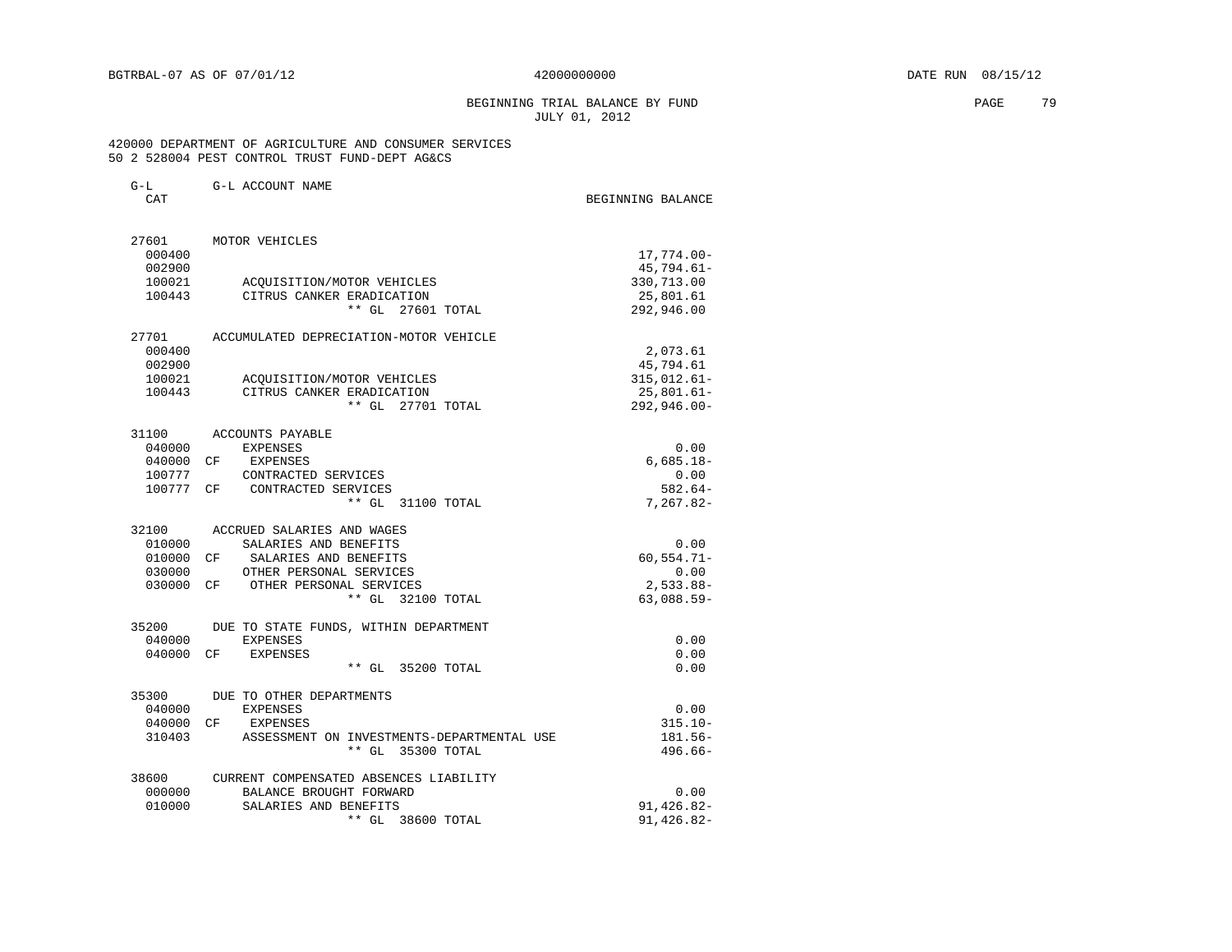# BEGINNING TRIAL BALANCE BY FUND **EXAMPLE 19** PAGE 79 JULY 01, 2012

## 420000 DEPARTMENT OF AGRICULTURE AND CONSUMER SERVICES 50 2 528004 PEST CONTROL TRUST FUND-DEPT AG&CS

| $G-L$<br>CAT        | G-L ACCOUNT NAME                                                     | BEGINNING BALANCE               |
|---------------------|----------------------------------------------------------------------|---------------------------------|
|                     |                                                                      |                                 |
| 27601               | MOTOR VEHICLES                                                       |                                 |
| 000400              |                                                                      | 17,774.00-                      |
| 002900<br>100021    |                                                                      | $45,794.61-$                    |
| 100443              | ACQUISITION/MOTOR VEHICLES<br>CITRUS CANKER ERADICATION              | 330,713.00<br>25,801.61         |
|                     | ** GL 27601 TOTAL                                                    | 292,946.00                      |
| 27701               | ACCUMULATED DEPRECIATION-MOTOR VEHICLE                               |                                 |
| 000400              |                                                                      | 2,073.61                        |
| 002900<br>100021    |                                                                      | 45,794.61                       |
| 100443              | ACQUISITION/MOTOR VEHICLES<br>CITRUS CANKER ERADICATION              | $315,012.61 -$<br>$25,801.61 -$ |
|                     | $**$ GL<br>27701 TOTAL                                               | $292, 946.00 -$                 |
|                     |                                                                      |                                 |
| 31100               | ACCOUNTS PAYABLE                                                     |                                 |
| 040000              | <b>EXPENSES</b>                                                      | 0.00                            |
| 040000 CF<br>100777 | EXPENSES<br>CONTRACTED SERVICES                                      | $6,685.18-$                     |
| 100777 CF           | CONTRACTED SERVICES                                                  | 0.00<br>$582.64-$               |
|                     | $**$ GL<br>31100 TOTAL                                               | $7,267.82-$                     |
| 32100               | ACCRUED SALARIES AND WAGES                                           |                                 |
| 010000              | SALARIES AND BENEFITS                                                | 0.00                            |
| 010000              | SALARIES AND BENEFITS<br>CF                                          | $60, 554.71 -$                  |
| 030000              | OTHER PERSONAL SERVICES                                              | 0.00                            |
| 030000              | OTHER PERSONAL SERVICES<br>CF <sup></sup>                            | $2,533.88-$                     |
|                     | 32100 TOTAL<br>$***$ GL                                              | $63,088.59-$                    |
| 35200               | DUE TO STATE FUNDS, WITHIN DEPARTMENT                                |                                 |
| 040000              | EXPENSES                                                             | 0.00                            |
| 040000              | CF<br><b>EXPENSES</b><br>** GL<br>35200 TOTAL                        | 0.00<br>0.00                    |
|                     |                                                                      |                                 |
| 35300               | DUE TO OTHER DEPARTMENTS                                             |                                 |
| 040000              | <b>EXPENSES</b>                                                      | 0.00                            |
| 040000              | CF<br>EXPENSES                                                       | $315.10 -$                      |
| 310403              | ASSESSMENT ON INVESTMENTS-DEPARTMENTAL USE<br>$**$ GL<br>35300 TOTAL | 181.56-<br>$496.66-$            |
| 38600               | CURRENT COMPENSATED ABSENCES LIABILITY                               |                                 |
| 000000              | BALANCE BROUGHT FORWARD                                              | 0.00                            |
| 010000              | SALARIES AND BENEFITS                                                | $91, 426.82 -$                  |
|                     | ** GL 38600 TOTAL                                                    | 91,426.82-                      |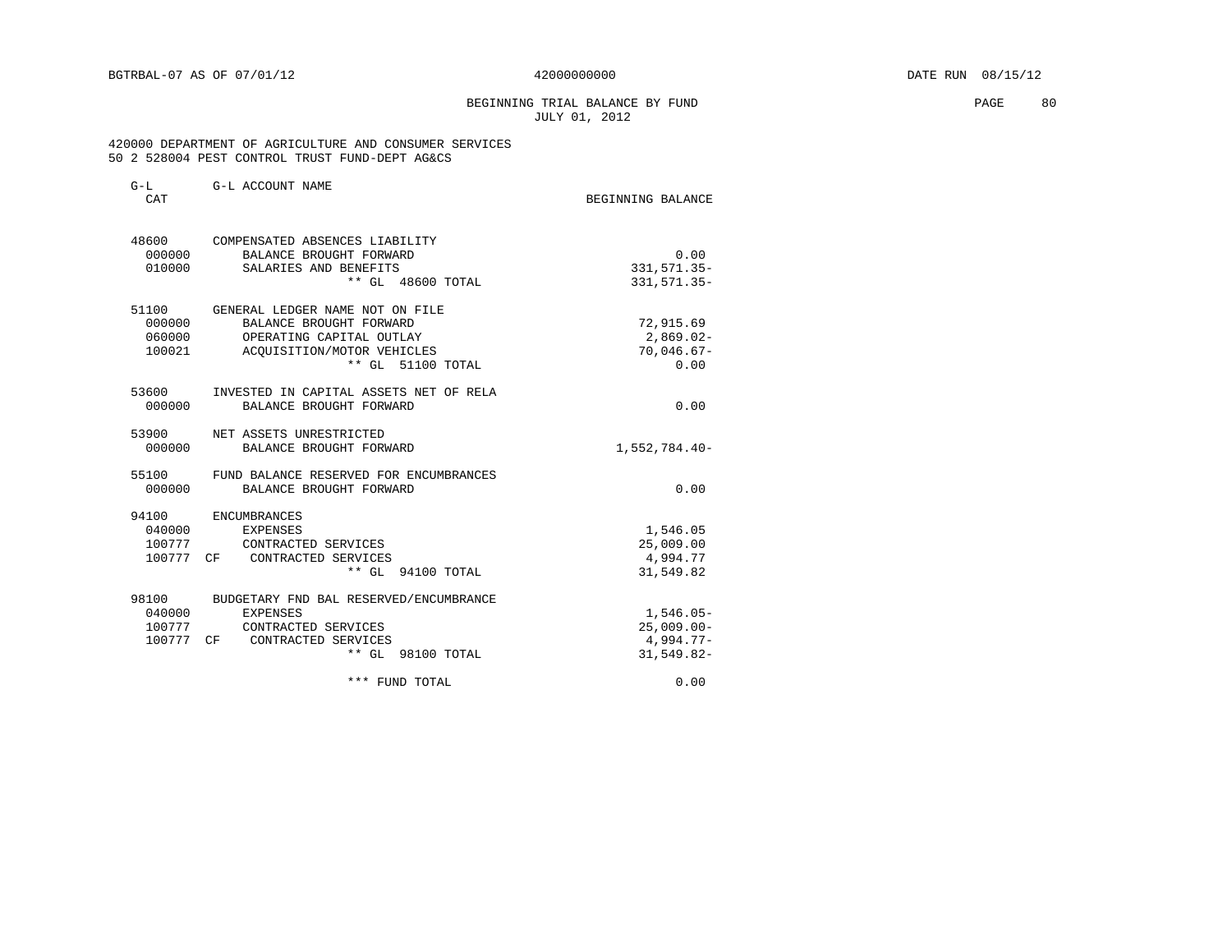# BEGINNING TRIAL BALANCE BY FUND **EXAMPLE 1999** PAGE 80 JULY 01, 2012

#### 420000 DEPARTMENT OF AGRICULTURE AND CONSUMER SERVICES 50 2 528004 PEST CONTROL TRUST FUND-DEPT AG&CS

| $G-L$<br><b>CAT</b>       | G-L ACCOUNT NAME                                                                                                                                 | BEGINNING BALANCE                                         |
|---------------------------|--------------------------------------------------------------------------------------------------------------------------------------------------|-----------------------------------------------------------|
| 48600<br>000000           | COMPENSATED ABSENCES LIABILITY<br>BALANCE BROUGHT FORWARD<br>010000 SALARIES AND BENEFITS<br>** GL 48600 TOTAL                                   | 0.00<br>331, 571.35-<br>331, 571.35-                      |
| 51100<br>000000<br>100021 | GENERAL LEDGER NAME NOT ON FILE<br>BALANCE BROUGHT FORWARD<br>060000 OPERATING CAPITAL OUTLAY<br>ACOUISITION/MOTOR VEHICLES<br>** GL 51100 TOTAL | 72,915.69<br>$2,869.02-$<br>$70,046.67-$<br>0.00          |
| 53600<br>000000           | INVESTED IN CAPITAL ASSETS NET OF RELA<br>BALANCE BROUGHT FORWARD                                                                                | 0.00                                                      |
| 53900<br>000000           | NET ASSETS UNRESTRICTED<br>BALANCE BROUGHT FORWARD                                                                                               | 1,552,784.40-                                             |
| 55100<br>000000           | FUND BALANCE RESERVED FOR ENCUMBRANCES<br>BALANCE BROUGHT FORWARD                                                                                | 0.00                                                      |
| 94100<br>040000           | ENCUMBRANCES<br>EXPENSES<br>100777 CONTRACTED SERVICES<br>100777 CF CONTRACTED SERVICES<br>** GL 94100 TOTAL                                     | 1,546.05<br>25,009.00<br>4,994.77<br>31,549.82            |
| 98100<br>040000           | BUDGETARY FND BAL RESERVED/ENCUMBRANCE<br>EXPENSES<br>100777 CONTRACTED SERVICES<br>100777 CF CONTRACTED SERVICES<br>** GL 98100 TOTAL           | $1,546.05-$<br>$25,009.00 -$<br>4,994.77-<br>$31,549.82-$ |
|                           | *** FUND TOTAL                                                                                                                                   | 0.00                                                      |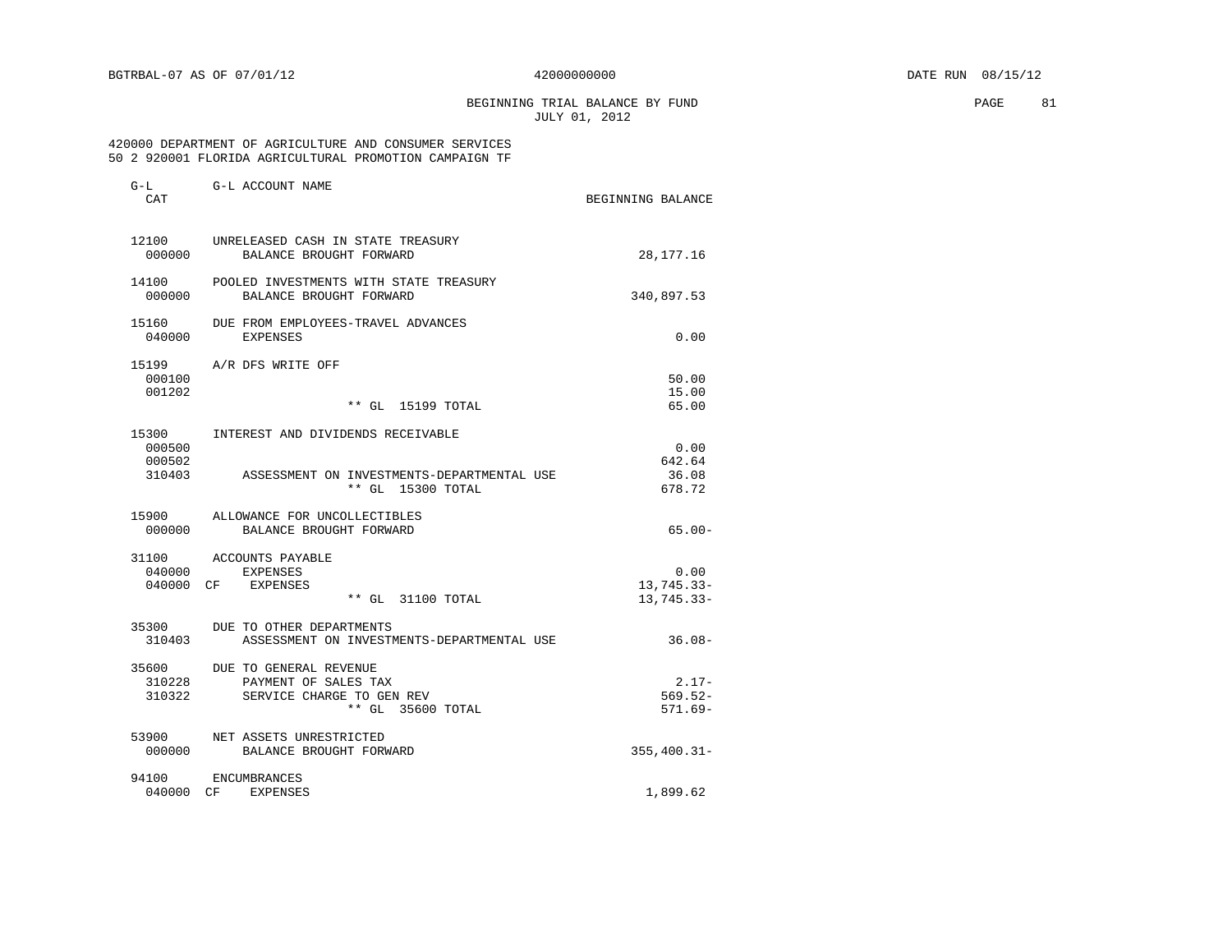BEGINNING TRIAL BALANCE BY FUND **EXAMPLE 181** JULY 01, 2012

#### 420000 DEPARTMENT OF AGRICULTURE AND CONSUMER SERVICES 50 2 920001 FLORIDA AGRICULTURAL PROMOTION CAMPAIGN TF

| G-L<br>CAT                          | G-L ACCOUNT NAME                                                                                     | BEGINNING BALANCE                  |
|-------------------------------------|------------------------------------------------------------------------------------------------------|------------------------------------|
| 12100<br>000000                     | UNRELEASED CASH IN STATE TREASURY<br>BALANCE BROUGHT FORWARD                                         | 28, 177. 16                        |
| 000000                              | 14100 POOLED INVESTMENTS WITH STATE TREASURY<br>BALANCE BROUGHT FORWARD                              | 340,897.53                         |
| 15160<br>040000                     | DUE FROM EMPLOYEES-TRAVEL ADVANCES<br><b>EXPENSES</b>                                                | 0.00                               |
| 15199<br>000100<br>001202           | A/R DFS WRITE OFF<br>** GL 15199 TOTAL                                                               | 50.00<br>15.00<br>65.00            |
| 15300<br>000500<br>000502<br>310403 | INTEREST AND DIVIDENDS RECEIVABLE<br>ASSESSMENT ON INVESTMENTS-DEPARTMENTAL USE<br>** GL 15300 TOTAL | 0.00<br>642.64<br>36.08<br>678.72  |
| 000000                              | 15900 ALLOWANCE FOR UNCOLLECTIBLES<br>BALANCE BROUGHT FORWARD                                        | $65.00 -$                          |
|                                     | 31100 ACCOUNTS PAYABLE<br>040000 EXPENSES<br>040000 CF EXPENSES<br>** GL 31100 TOTAL                 | 0.00<br>13,745.33-<br>13,745.33-   |
|                                     | 35300 DUE TO OTHER DEPARTMENTS<br>310403<br>ASSESSMENT ON INVESTMENTS-DEPARTMENTAL USE               | $36.08-$                           |
| 35600<br>310228<br>310322           | DUE TO GENERAL REVENUE<br>PAYMENT OF SALES TAX<br>SERVICE CHARGE TO GEN REV<br>** GL 35600 TOTAL     | $2.17-$<br>$569.52-$<br>$571.69 -$ |
| 53900<br>000000                     | NET ASSETS UNRESTRICTED<br>BALANCE BROUGHT FORWARD                                                   | $355, 400.31 -$                    |
| 94100<br>040000 CF                  | ENCUMBRANCES<br>EXPENSES                                                                             | 1,899.62                           |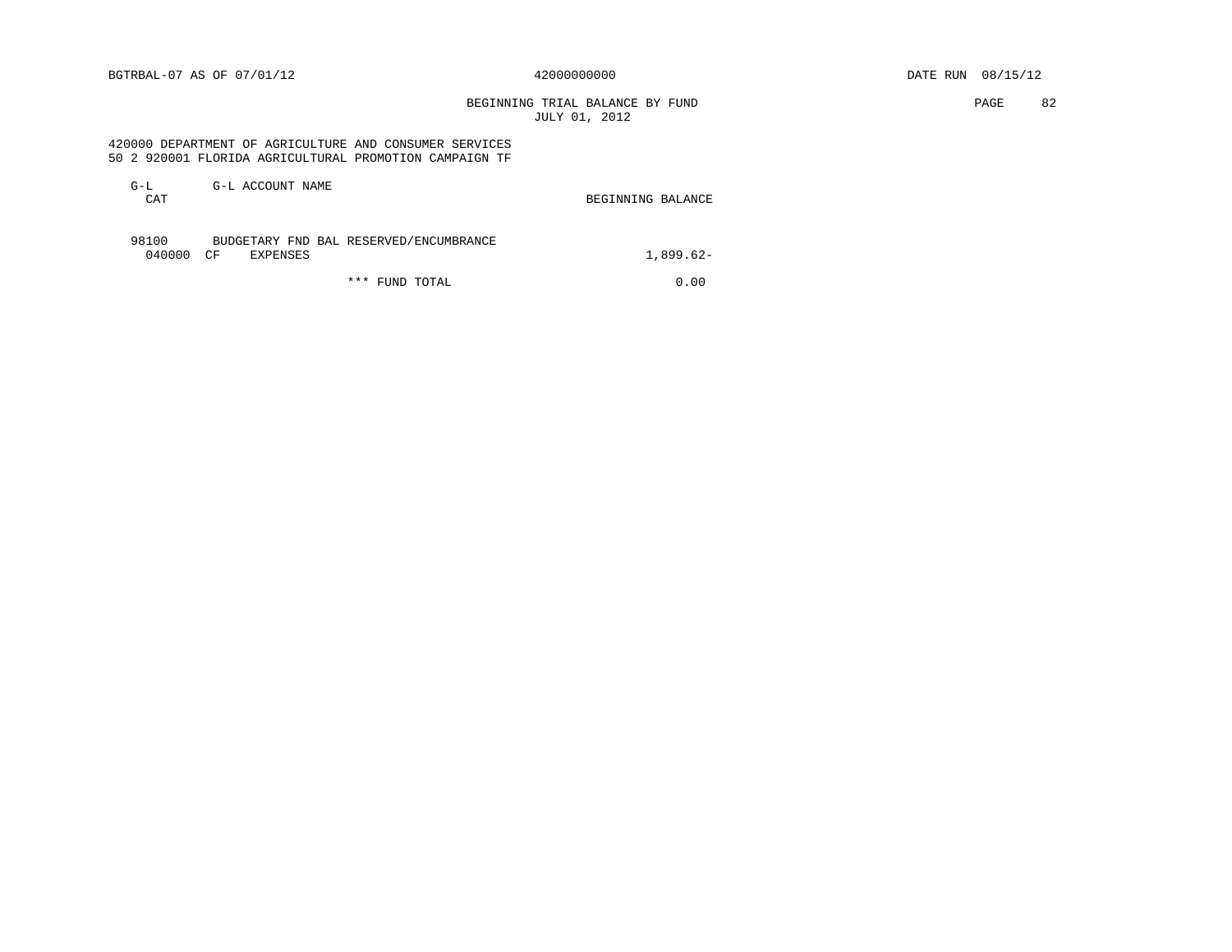BEGINNING TRIAL BALANCE BY FUND **PAGE 82** JULY 01, 2012

## 420000 DEPARTMENT OF AGRICULTURE AND CONSUMER SERVICES 50 2 920001 FLORIDA AGRICULTURAL PROMOTION CAMPAIGN TF

| $G-L$<br><b>CAT</b> | G-L ACCOUNT NAME                                          | BEGINNING BALANCE |
|---------------------|-----------------------------------------------------------|-------------------|
| 98100<br>040000 CF  | BUDGETARY FND BAL RESERVED/ENCUMBRANCE<br><b>EXPENSES</b> | $1.899.62-$       |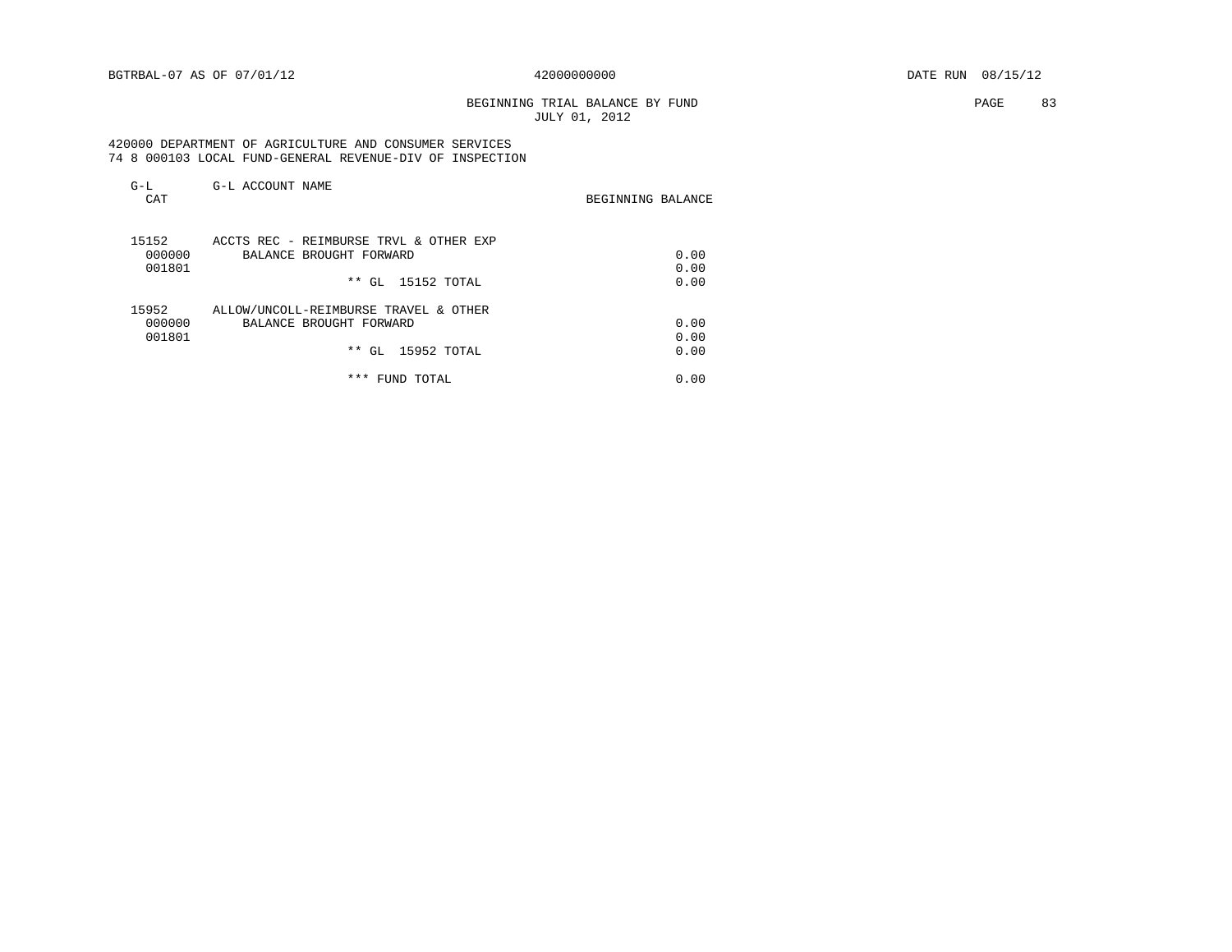# BEGINNING TRIAL BALANCE BY FUND **EXAMPLE 2008** PAGE 83 JULY 01, 2012

 420000 DEPARTMENT OF AGRICULTURE AND CONSUMER SERVICES 74 8 000103 LOCAL FUND-GENERAL REVENUE-DIV OF INSPECTION

| $G-L$<br>CAT | G-L ACCOUNT NAME                       | BEGINNING BALANCE |
|--------------|----------------------------------------|-------------------|
| 15152        | ACCTS REC - REIMBURSE TRVL & OTHER EXP |                   |
| 000000       | BALANCE BROUGHT FORWARD                | 0.00              |
| 001801       |                                        | 0.00              |
|              | ** GL 15152 TOTAL                      | 0.00              |
| 15952        | ALLOW/UNCOLL-REIMBURSE TRAVEL & OTHER  |                   |
| 000000       | BALANCE BROUGHT FORWARD                | 0.00              |
| 001801       |                                        | 0.00              |
|              | 15952 TOTAL<br>$**$ GL                 | 0.00              |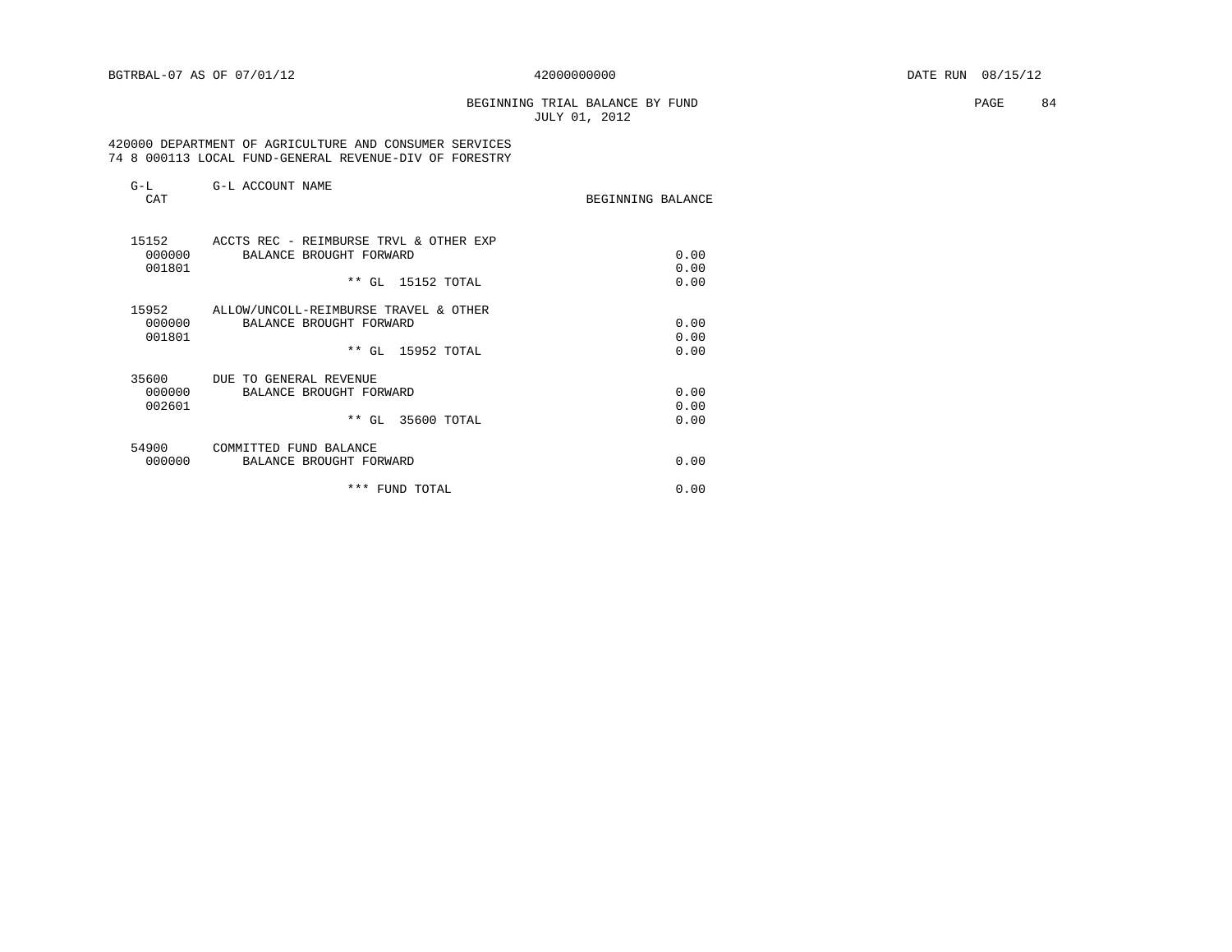# BEGINNING TRIAL BALANCE BY FUND **PAGE 84** JULY 01, 2012

## 420000 DEPARTMENT OF AGRICULTURE AND CONSUMER SERVICES 74 8 000113 LOCAL FUND-GENERAL REVENUE-DIV OF FORESTRY

| $G-L$<br>CAT    | G-L ACCOUNT NAME                                  | BEGINNING BALANCE |
|-----------------|---------------------------------------------------|-------------------|
| 15152           | ACCTS REC - REIMBURSE TRVL & OTHER EXP            | 0.00              |
| 000000          | BALANCE BROUGHT FORWARD                           | 0.00              |
| 001801          | ** GL 15152 TOTAL                                 | 0.00              |
| 15952           | ALLOW/UNCOLL-REIMBURSE TRAVEL & OTHER             | 0.00              |
| 000000          | BALANCE BROUGHT FORWARD                           | 0.00              |
| 001801          | ** GL 15952 TOTAL                                 | 0.00              |
| 35600           | DUE TO GENERAL REVENUE                            | 0.00              |
| 000000          | BALANCE BROUGHT FORWARD                           | 0.00              |
| 002601          | ** GL 35600 TOTAL                                 | 0.00              |
| 54900<br>000000 | COMMITTED FUND BALANCE<br>BALANCE BROUGHT FORWARD | 0.00              |
|                 | *** FUND TOTAL                                    |                   |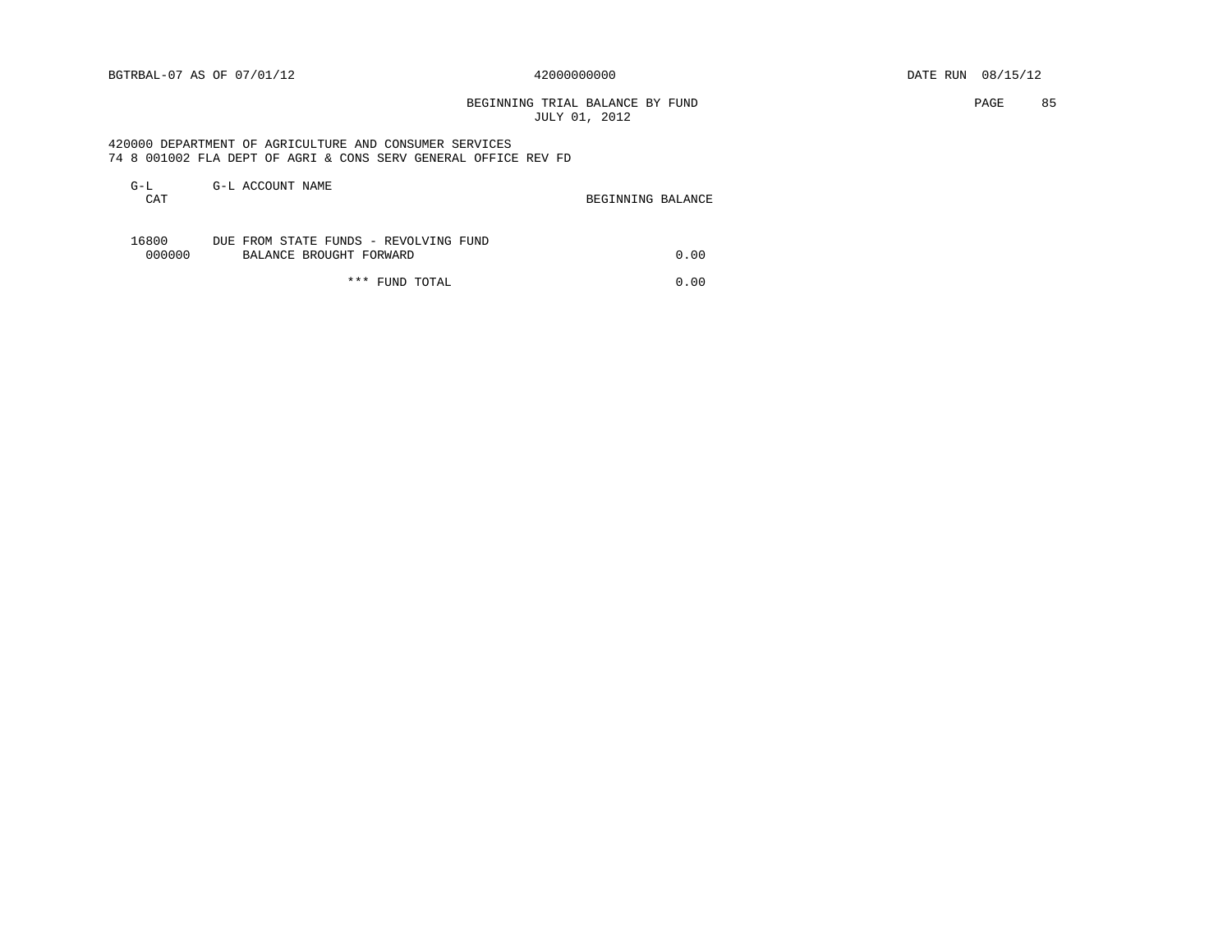BEGINNING TRIAL BALANCE BY FUND **EXAMPLE 1999** PAGE 85 JULY 01, 2012

 420000 DEPARTMENT OF AGRICULTURE AND CONSUMER SERVICES 74 8 001002 FLA DEPT OF AGRI & CONS SERV GENERAL OFFICE REV FD

| G-L<br>CAT      | G-L ACCOUNT NAME                                                 | BEGINNING BALANCE |      |
|-----------------|------------------------------------------------------------------|-------------------|------|
| 16800<br>000000 | DUE FROM STATE FUNDS - REVOLVING FUND<br>BALANCE BROUGHT FORWARD |                   | 0.00 |
|                 | *** FUND TOTAL                                                   |                   | 0.00 |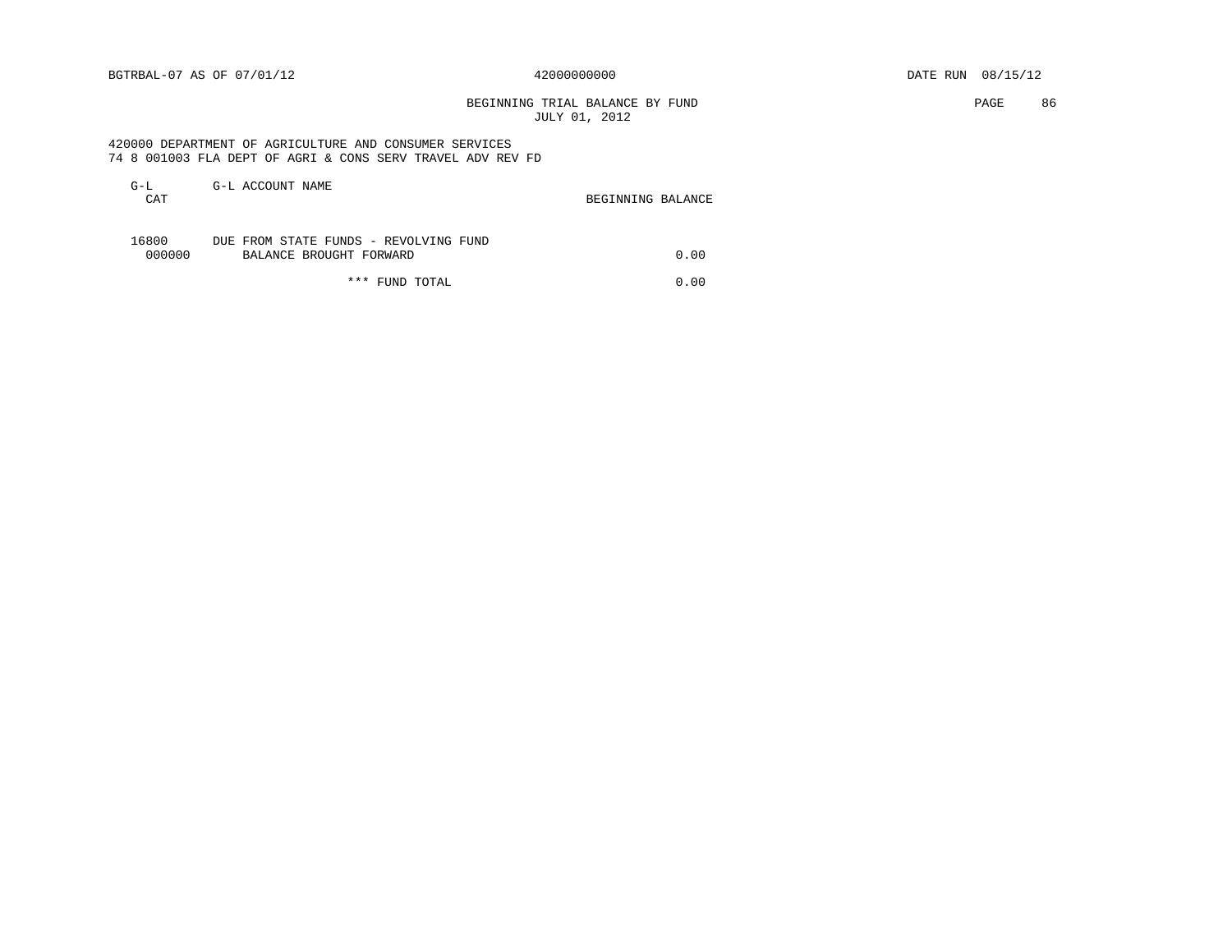BEGINNING TRIAL BALANCE BY FUND **EXAMPLE 2008** PAGE 86 JULY 01, 2012

 420000 DEPARTMENT OF AGRICULTURE AND CONSUMER SERVICES 74 8 001003 FLA DEPT OF AGRI & CONS SERV TRAVEL ADV REV FD

| G-L<br>CAT      | G-L ACCOUNT NAME                                                 | BEGINNING BALANCE |      |
|-----------------|------------------------------------------------------------------|-------------------|------|
| 16800<br>000000 | DUE FROM STATE FUNDS - REVOLVING FUND<br>BALANCE BROUGHT FORWARD |                   | 0.00 |
|                 | *** FUND TOTAL                                                   |                   | 0.00 |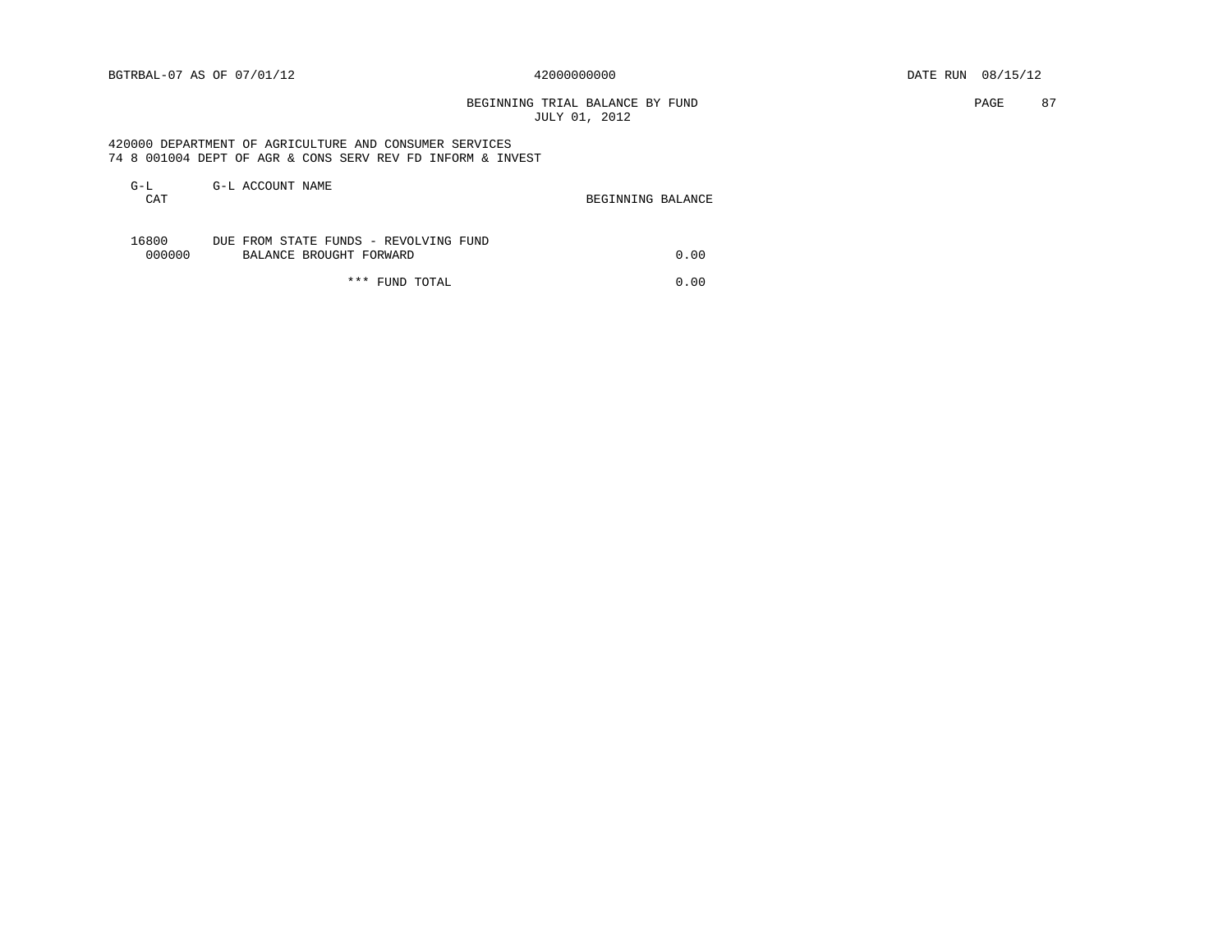BEGINNING TRIAL BALANCE BY FUND **PAGE 87** JULY 01, 2012

 420000 DEPARTMENT OF AGRICULTURE AND CONSUMER SERVICES 74 8 001004 DEPT OF AGR & CONS SERV REV FD INFORM & INVEST

| G-L<br>CAT      | G-L ACCOUNT NAME                                                 | BEGINNING BALANCE |      |
|-----------------|------------------------------------------------------------------|-------------------|------|
| 16800<br>000000 | DUE FROM STATE FUNDS - REVOLVING FUND<br>BALANCE BROUGHT FORWARD |                   | 0.00 |
|                 | *** FUND TOTAL                                                   |                   | 0.00 |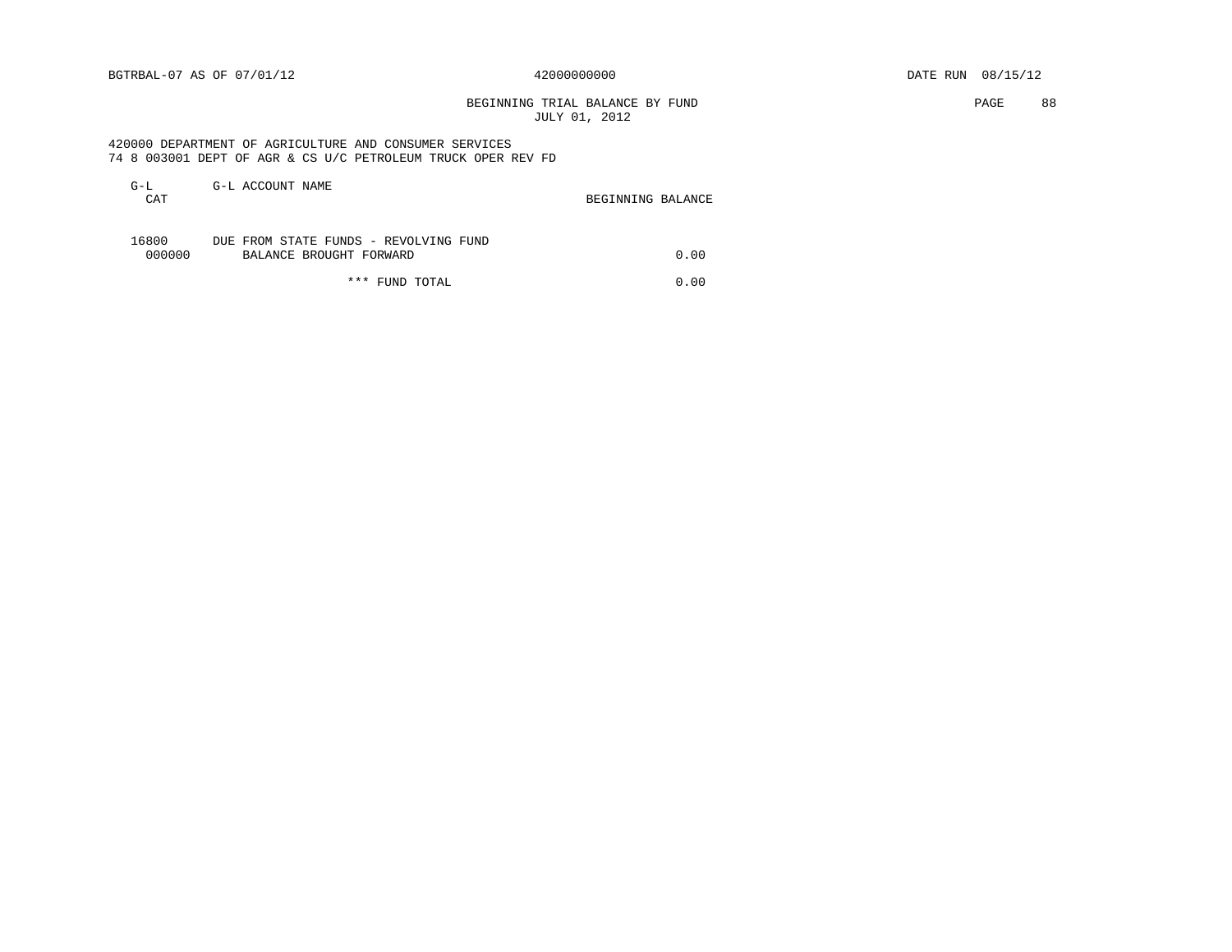BEGINNING TRIAL BALANCE BY FUND **PAGE 88** JULY 01, 2012

 420000 DEPARTMENT OF AGRICULTURE AND CONSUMER SERVICES 74 8 003001 DEPT OF AGR & CS U/C PETROLEUM TRUCK OPER REV FD

| G-L<br>CAT      | G-L ACCOUNT NAME                                                 | BEGINNING BALANCE |      |
|-----------------|------------------------------------------------------------------|-------------------|------|
| 16800<br>000000 | DUE FROM STATE FUNDS - REVOLVING FUND<br>BALANCE BROUGHT FORWARD |                   | 0.00 |
|                 | *** FUND TOTAL                                                   |                   | 0.00 |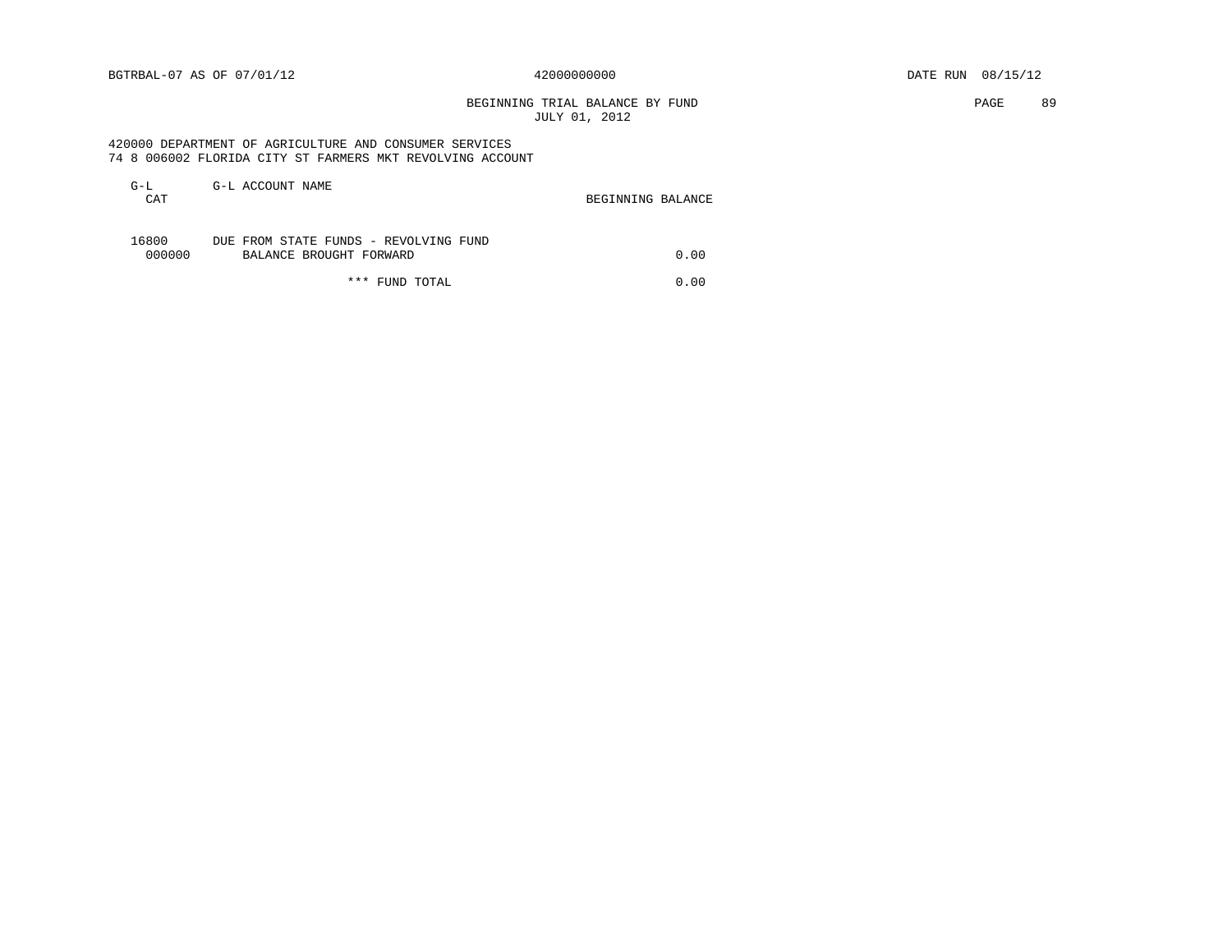# BEGINNING TRIAL BALANCE BY FUND **EXAMPLE 19** PAGE 89 JULY 01, 2012

 420000 DEPARTMENT OF AGRICULTURE AND CONSUMER SERVICES 74 8 006002 FLORIDA CITY ST FARMERS MKT REVOLVING ACCOUNT

| $G-L$<br>CAT    | G-L ACCOUNT NAME                                                 | BEGINNING BALANCE |      |
|-----------------|------------------------------------------------------------------|-------------------|------|
| 16800<br>000000 | DUE FROM STATE FUNDS - REVOLVING FUND<br>BALANCE BROUGHT FORWARD |                   | 0.00 |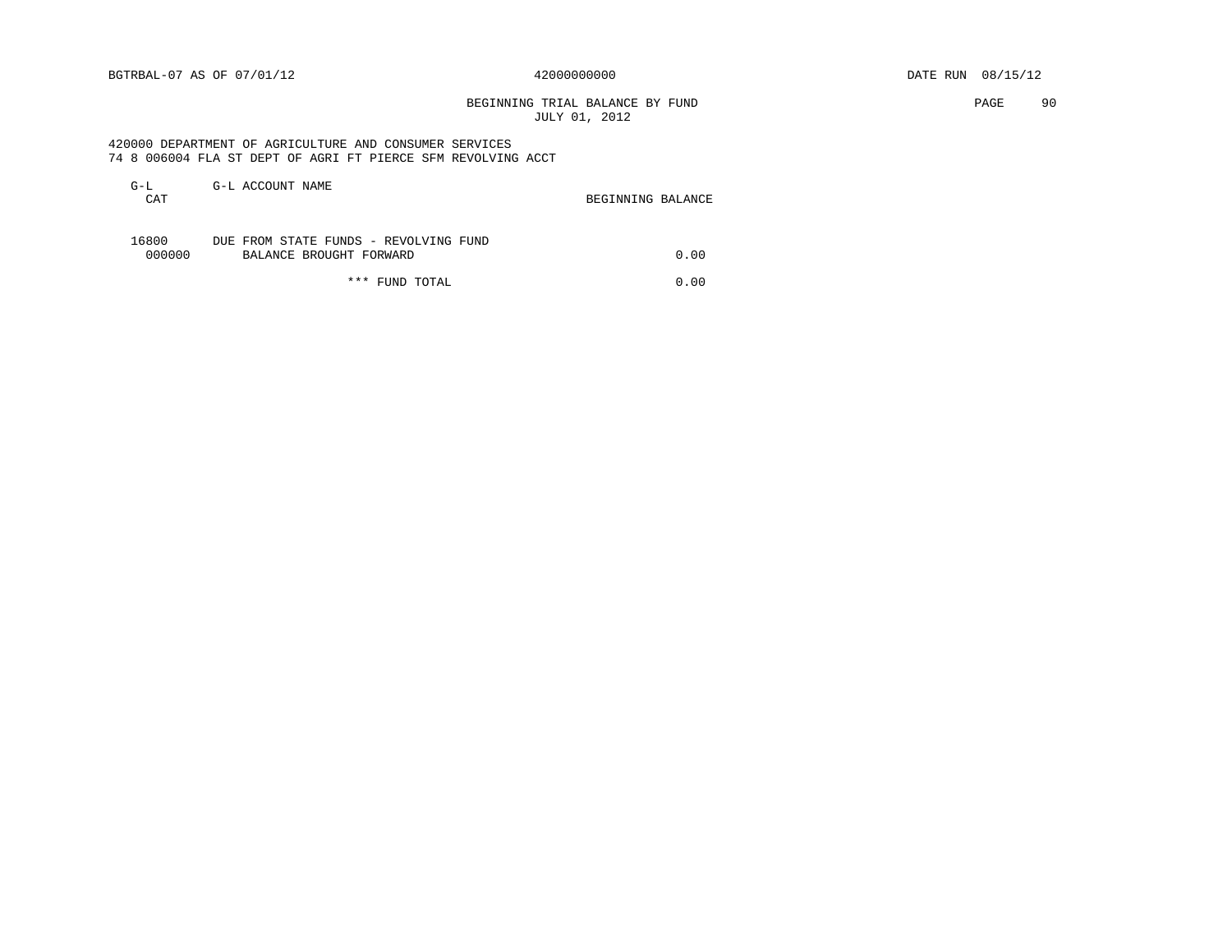BEGINNING TRIAL BALANCE BY FUND **PAGE 90** JULY 01, 2012

 420000 DEPARTMENT OF AGRICULTURE AND CONSUMER SERVICES 74 8 006004 FLA ST DEPT OF AGRI FT PIERCE SFM REVOLVING ACCT

| $G-L$<br>CAT    | G-L ACCOUNT NAME                                                 | BEGINNING BALANCE |
|-----------------|------------------------------------------------------------------|-------------------|
| 16800<br>000000 | DUE FROM STATE FUNDS - REVOLVING FUND<br>BALANCE BROUGHT FORWARD | 0.00              |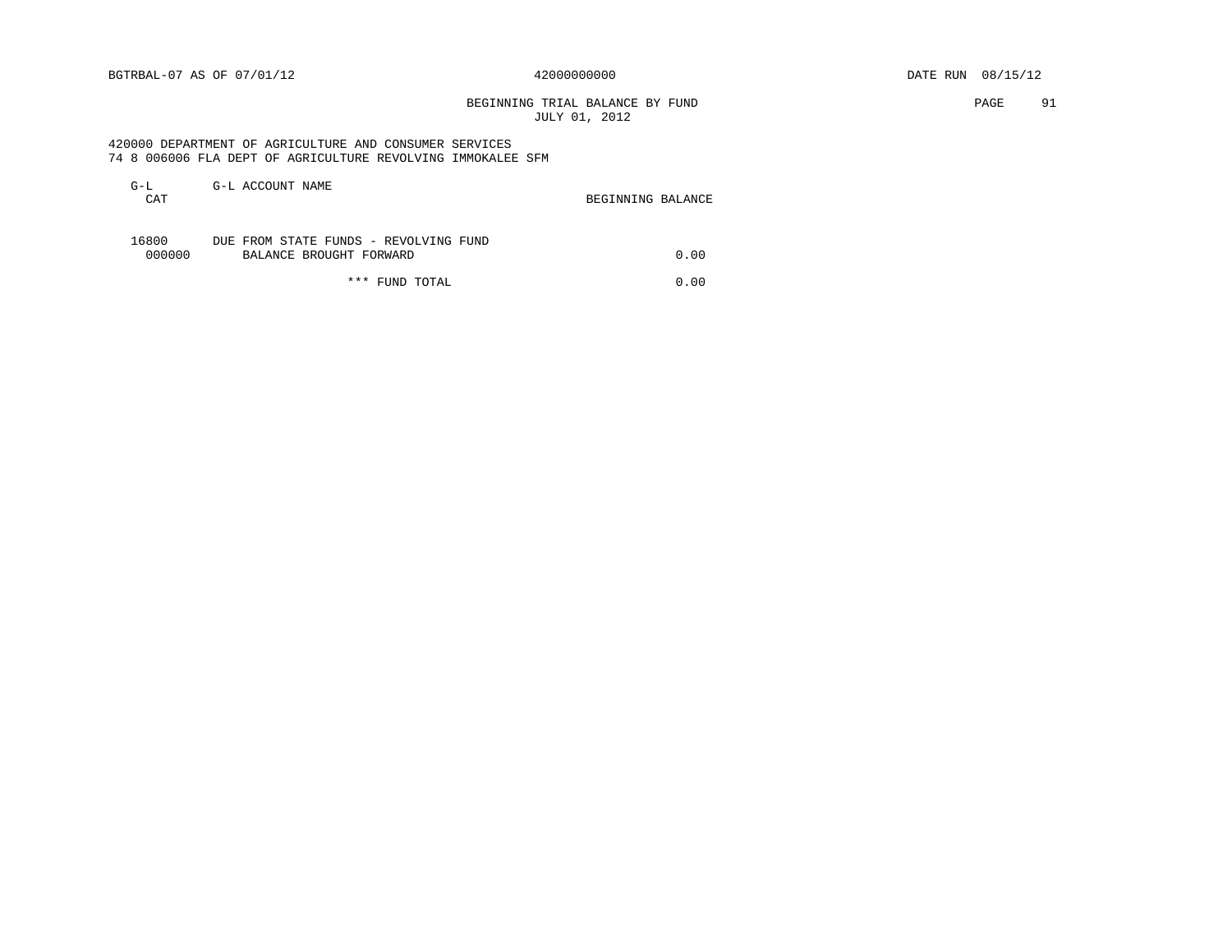BEGINNING TRIAL BALANCE BY FUND **PAGE** 91 JULY 01, 2012

## 420000 DEPARTMENT OF AGRICULTURE AND CONSUMER SERVICES 74 8 006006 FLA DEPT OF AGRICULTURE REVOLVING IMMOKALEE SFM

| G-L<br>CAT      | G-L ACCOUNT NAME                                                 | BEGINNING BALANCE |
|-----------------|------------------------------------------------------------------|-------------------|
| 16800<br>000000 | DUE FROM STATE FUNDS - REVOLVING FUND<br>BALANCE BROUGHT FORWARD | 0.00              |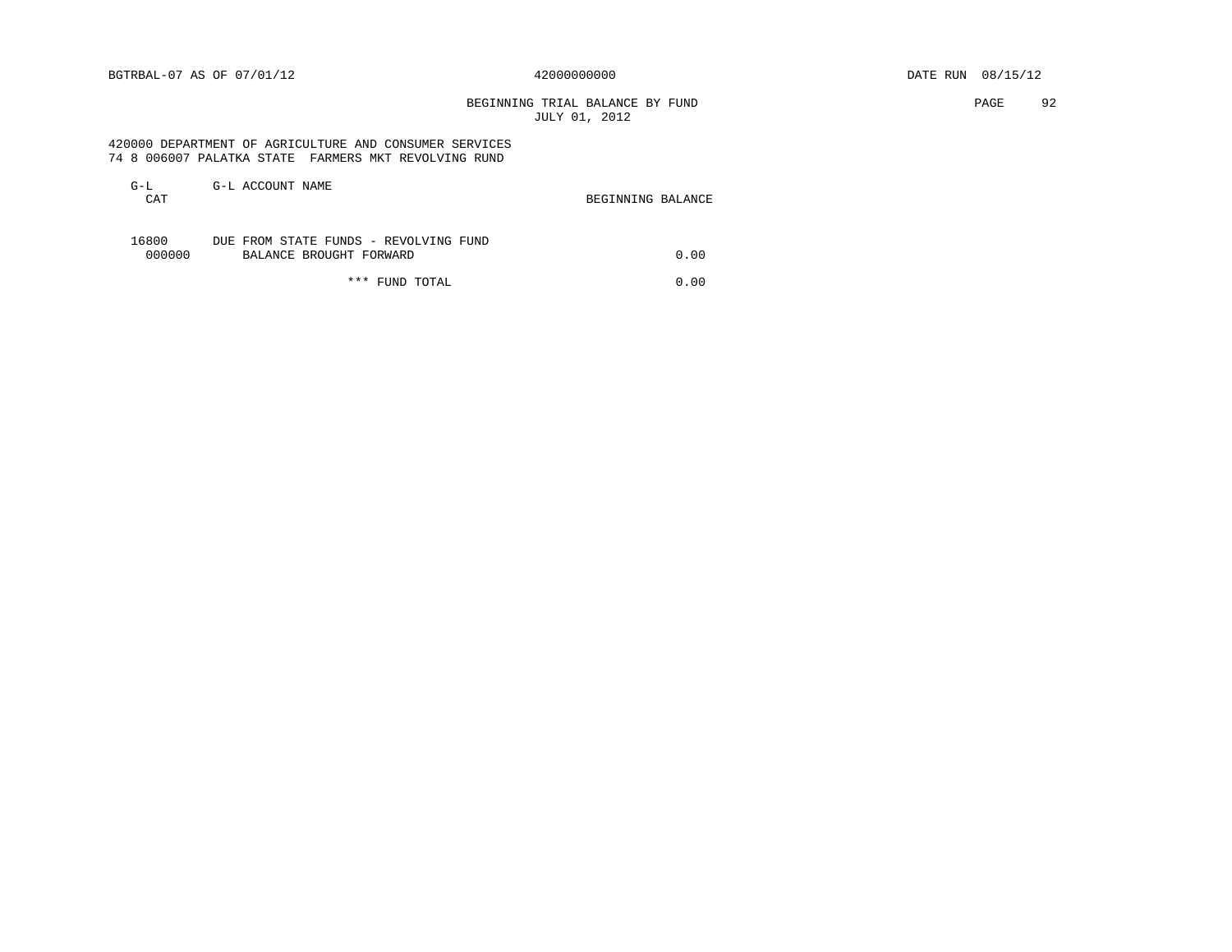BEGINNING TRIAL BALANCE BY FUND **PAGE** 92 JULY 01, 2012

## 420000 DEPARTMENT OF AGRICULTURE AND CONSUMER SERVICES 74 8 006007 PALATKA STATE FARMERS MKT REVOLVING RUND

| G-L<br>CAT      | G-L ACCOUNT NAME                                                 | BEGINNING BALANCE |
|-----------------|------------------------------------------------------------------|-------------------|
| 16800<br>000000 | DUE FROM STATE FUNDS - REVOLVING FUND<br>BALANCE BROUGHT FORWARD | 0.00              |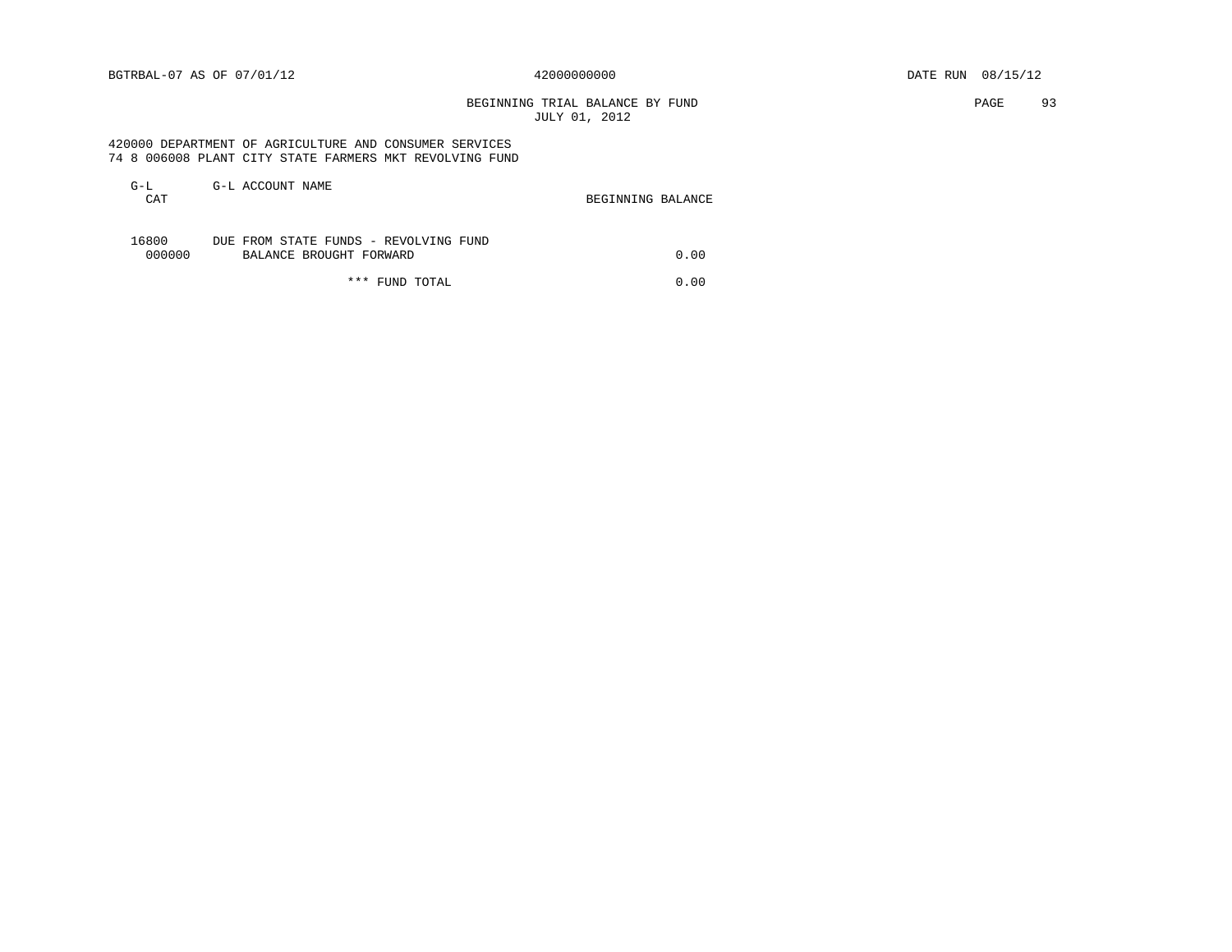# BEGINNING TRIAL BALANCE BY FUND **PAGE** 93 JULY 01, 2012

 420000 DEPARTMENT OF AGRICULTURE AND CONSUMER SERVICES 74 8 006008 PLANT CITY STATE FARMERS MKT REVOLVING FUND

| $G-L$<br>CAT | G-L ACCOUNT NAME                      | BEGINNING BALANCE |      |
|--------------|---------------------------------------|-------------------|------|
|              |                                       |                   |      |
|              |                                       |                   |      |
| 16800        | DUE FROM STATE FUNDS - REVOLVING FUND |                   |      |
| 000000       | BALANCE BROUGHT FORWARD               |                   | 0.00 |
|              |                                       |                   |      |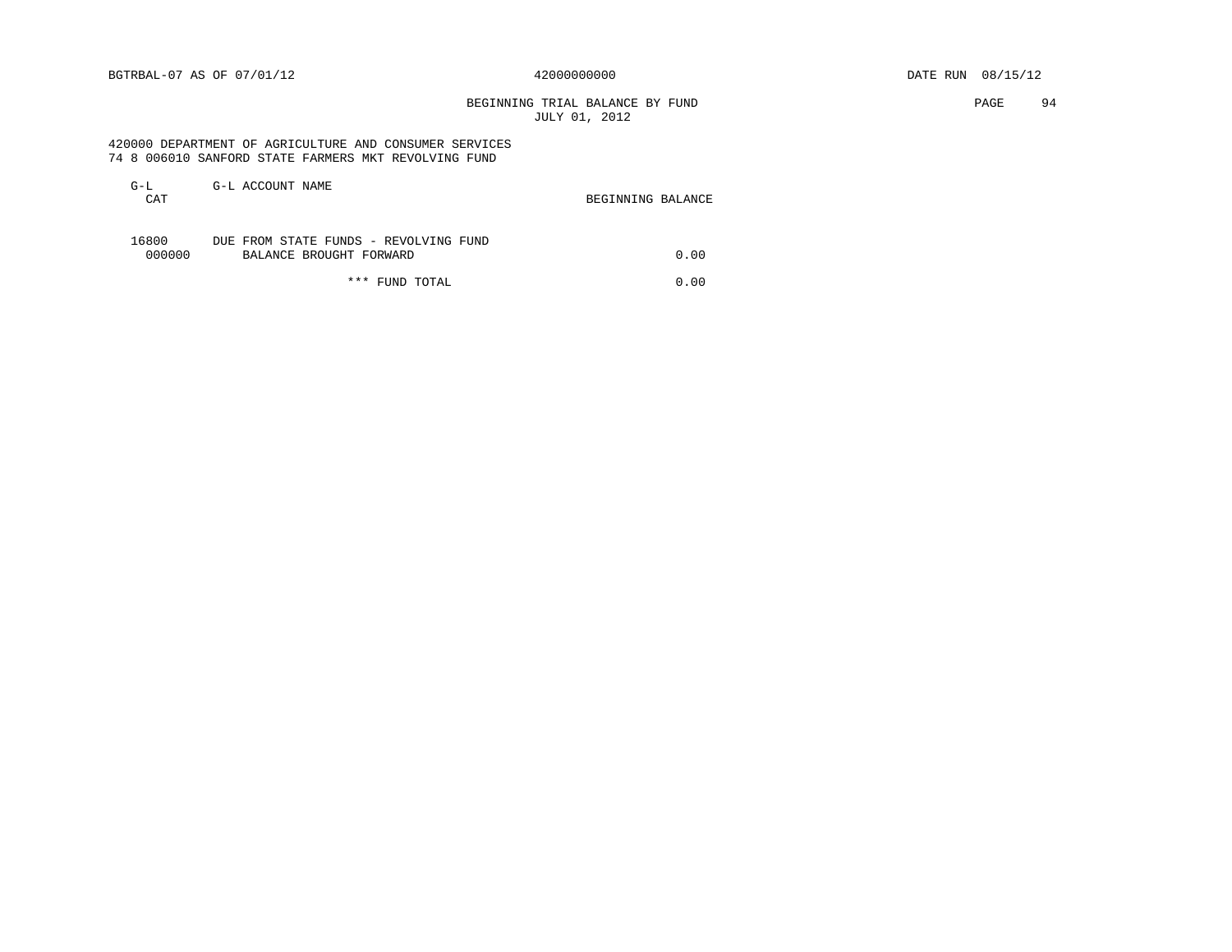BEGINNING TRIAL BALANCE BY FUND **PAGE** 94 JULY 01, 2012

## 420000 DEPARTMENT OF AGRICULTURE AND CONSUMER SERVICES 74 8 006010 SANFORD STATE FARMERS MKT REVOLVING FUND

| G-L<br>CAT      | G-L ACCOUNT NAME                                                 | BEGINNING BALANCE |
|-----------------|------------------------------------------------------------------|-------------------|
| 16800<br>000000 | DUE FROM STATE FUNDS - REVOLVING FUND<br>BALANCE BROUGHT FORWARD | 0.00              |
|                 | *** FUND TOTAL                                                   | 0.00              |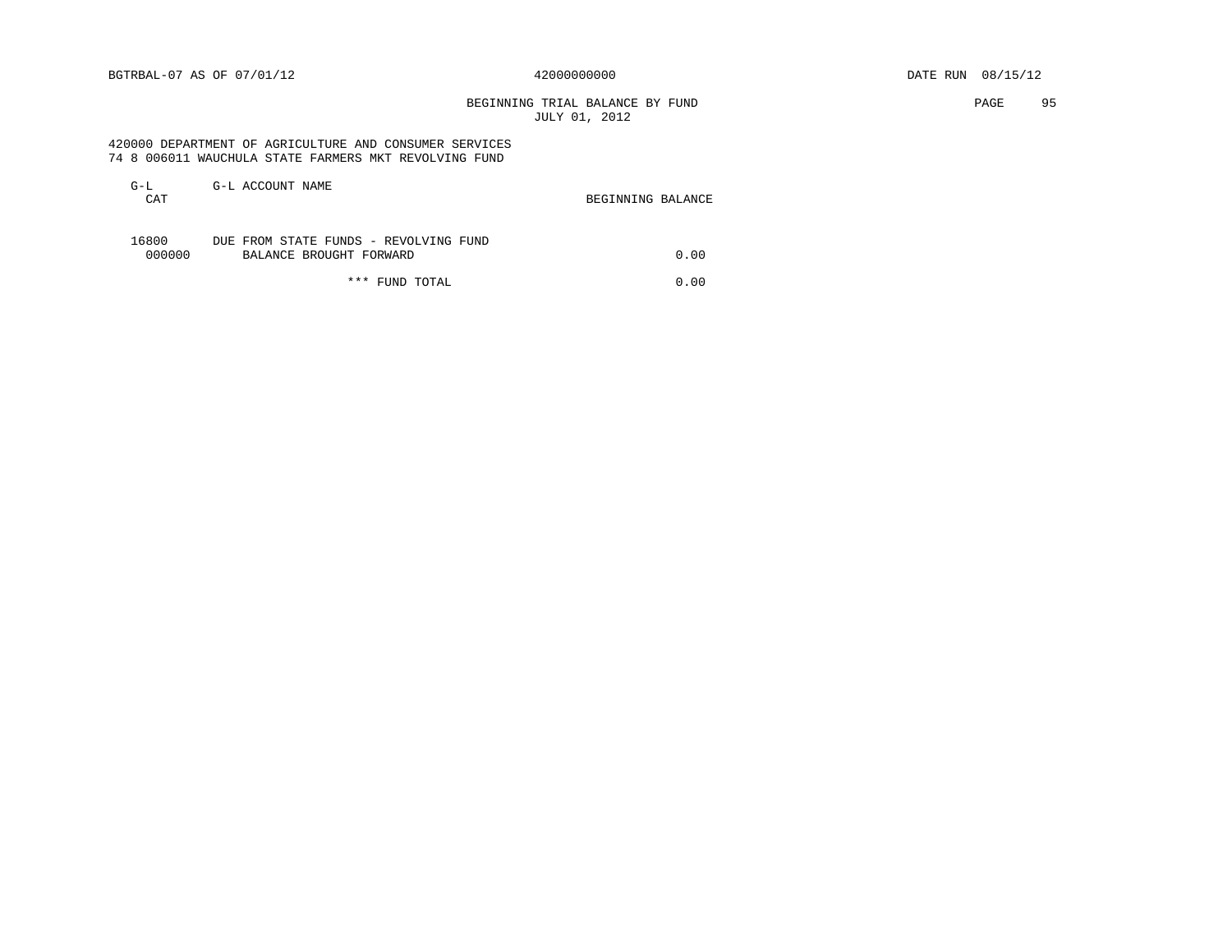# BEGINNING TRIAL BALANCE BY FUND **EXAMPLE 1998** PAGE 95 JULY 01, 2012

 420000 DEPARTMENT OF AGRICULTURE AND CONSUMER SERVICES 74 8 006011 WAUCHULA STATE FARMERS MKT REVOLVING FUND

| G-L<br>CAT      | G-L ACCOUNT NAME                                                 | BEGINNING BALANCE |
|-----------------|------------------------------------------------------------------|-------------------|
| 16800<br>000000 | DUE FROM STATE FUNDS - REVOLVING FUND<br>BALANCE BROUGHT FORWARD | 0.00              |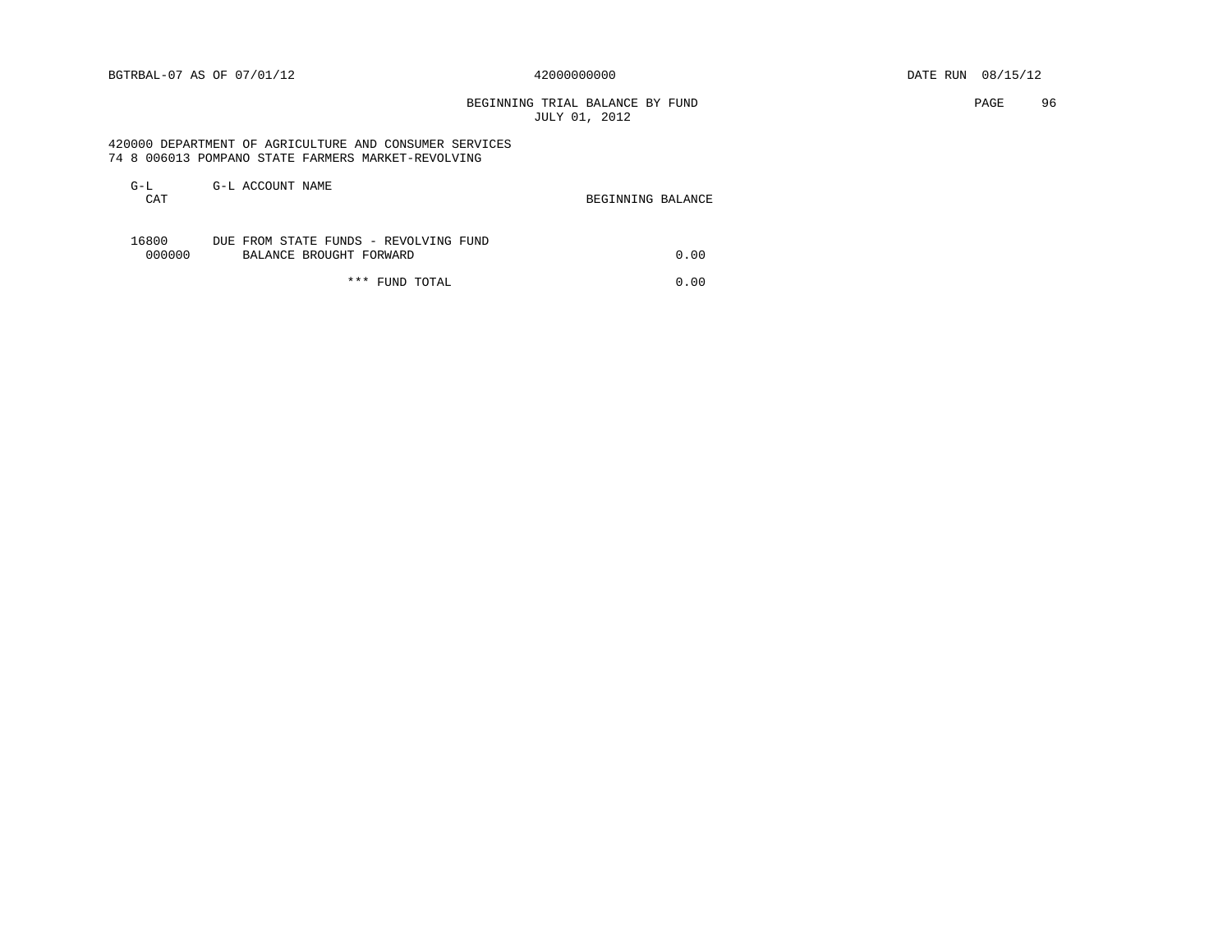# BEGINNING TRIAL BALANCE BY FUND **PAGE 96** JULY 01, 2012

 420000 DEPARTMENT OF AGRICULTURE AND CONSUMER SERVICES 74 8 006013 POMPANO STATE FARMERS MARKET-REVOLVING

| G-L<br>CAT      | G-L ACCOUNT NAME                                                 | BEGINNING BALANCE |
|-----------------|------------------------------------------------------------------|-------------------|
| 16800<br>000000 | DUE FROM STATE FUNDS - REVOLVING FUND<br>BALANCE BROUGHT FORWARD | 0.00              |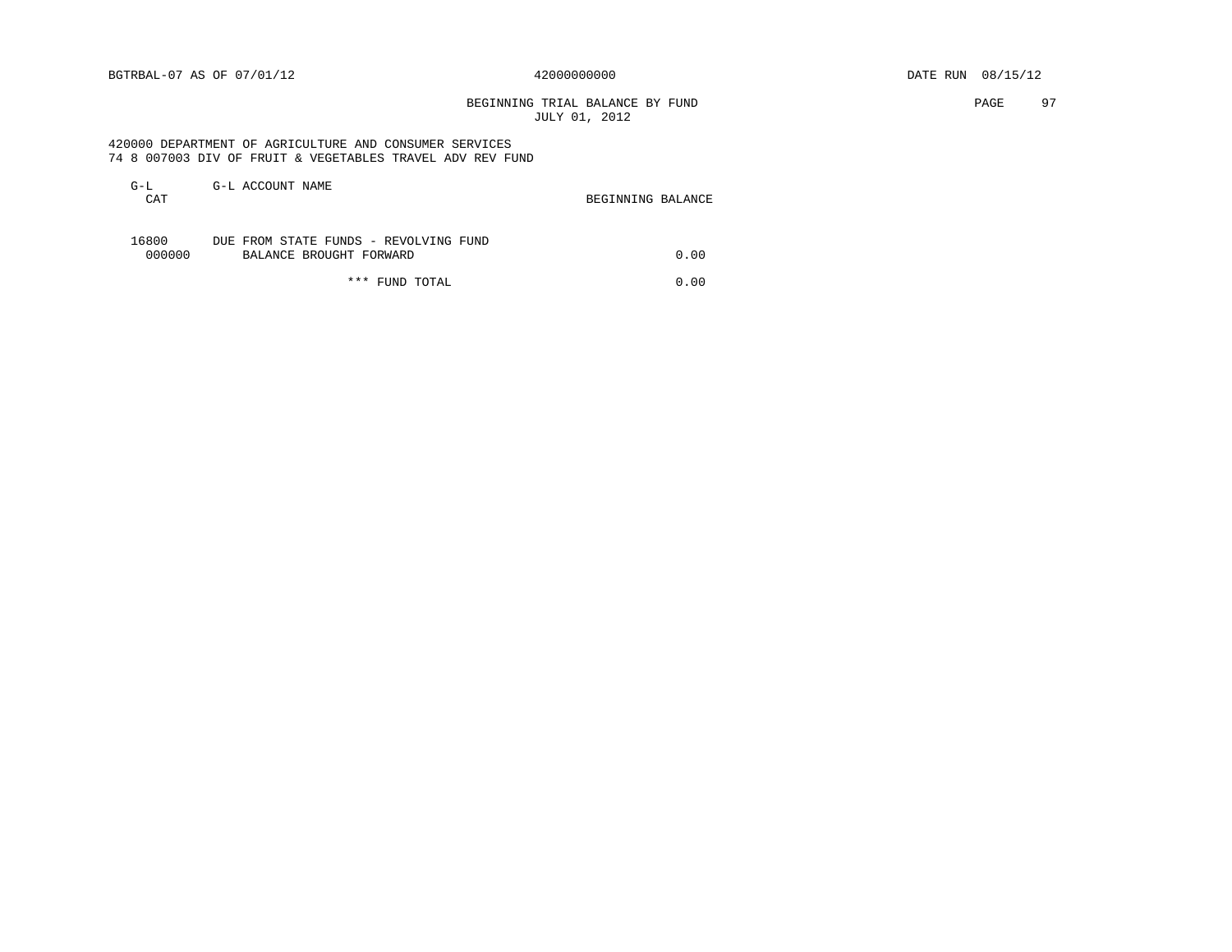BEGINNING TRIAL BALANCE BY FUND **PAGE** 97 JULY 01, 2012

 420000 DEPARTMENT OF AGRICULTURE AND CONSUMER SERVICES 74 8 007003 DIV OF FRUIT & VEGETABLES TRAVEL ADV REV FUND

| $G-L$  | G-L ACCOUNT NAME                      |                   |      |
|--------|---------------------------------------|-------------------|------|
| CAT    |                                       | BEGINNING BALANCE |      |
|        |                                       |                   |      |
| 16800  | DUE FROM STATE FUNDS - REVOLVING FUND |                   |      |
| 000000 | BALANCE BROUGHT FORWARD               |                   | 0.00 |
|        |                                       |                   |      |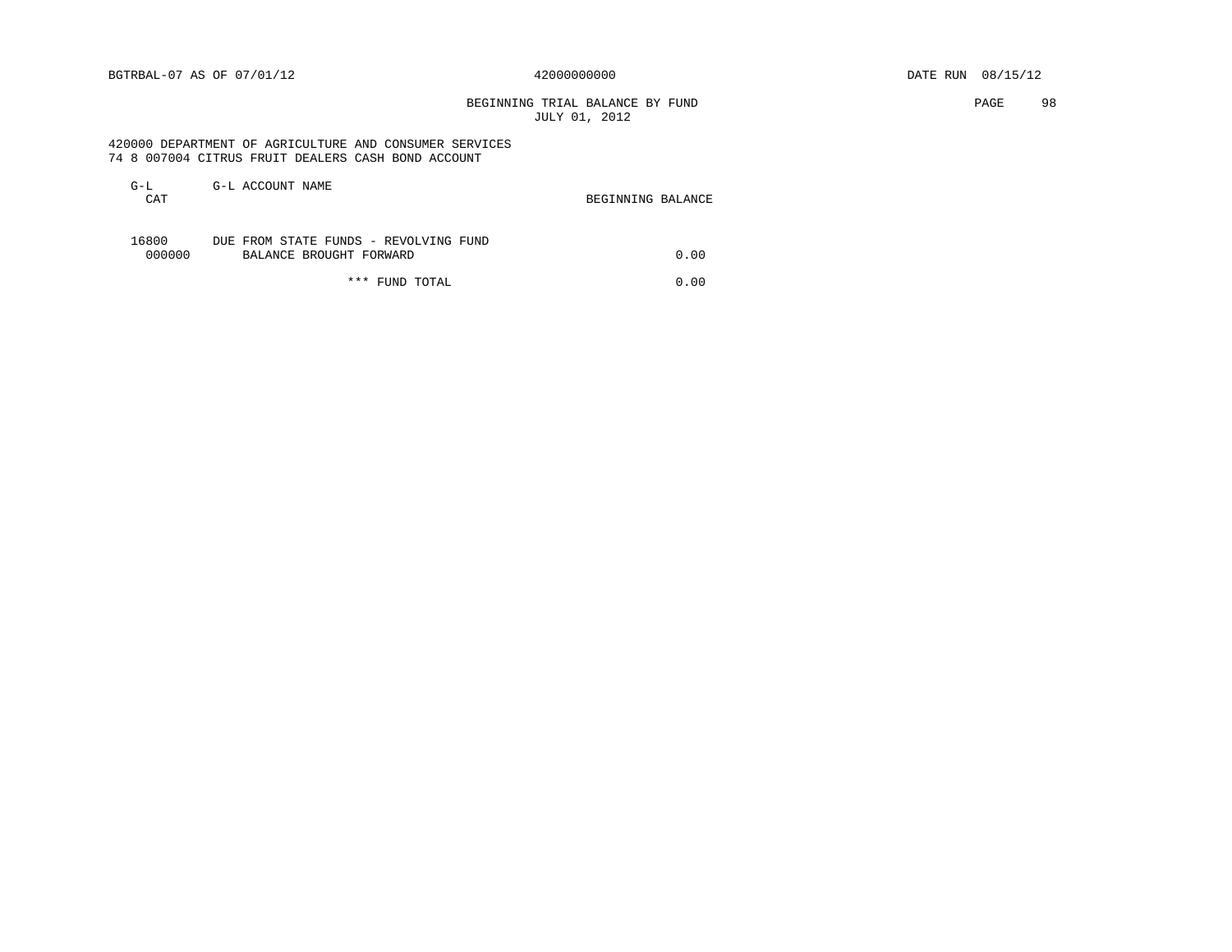# BEGINNING TRIAL BALANCE BY FUND **PAGE 98** JULY 01, 2012

 420000 DEPARTMENT OF AGRICULTURE AND CONSUMER SERVICES 74 8 007004 CITRUS FRUIT DEALERS CASH BOND ACCOUNT

| G-L   | CAT    | G-L ACCOUNT NAME<br>BEGINNING BALANCE                            |      |
|-------|--------|------------------------------------------------------------------|------|
| 16800 | 000000 | DUE FROM STATE FUNDS - REVOLVING FUND<br>BALANCE BROUGHT FORWARD | 0.00 |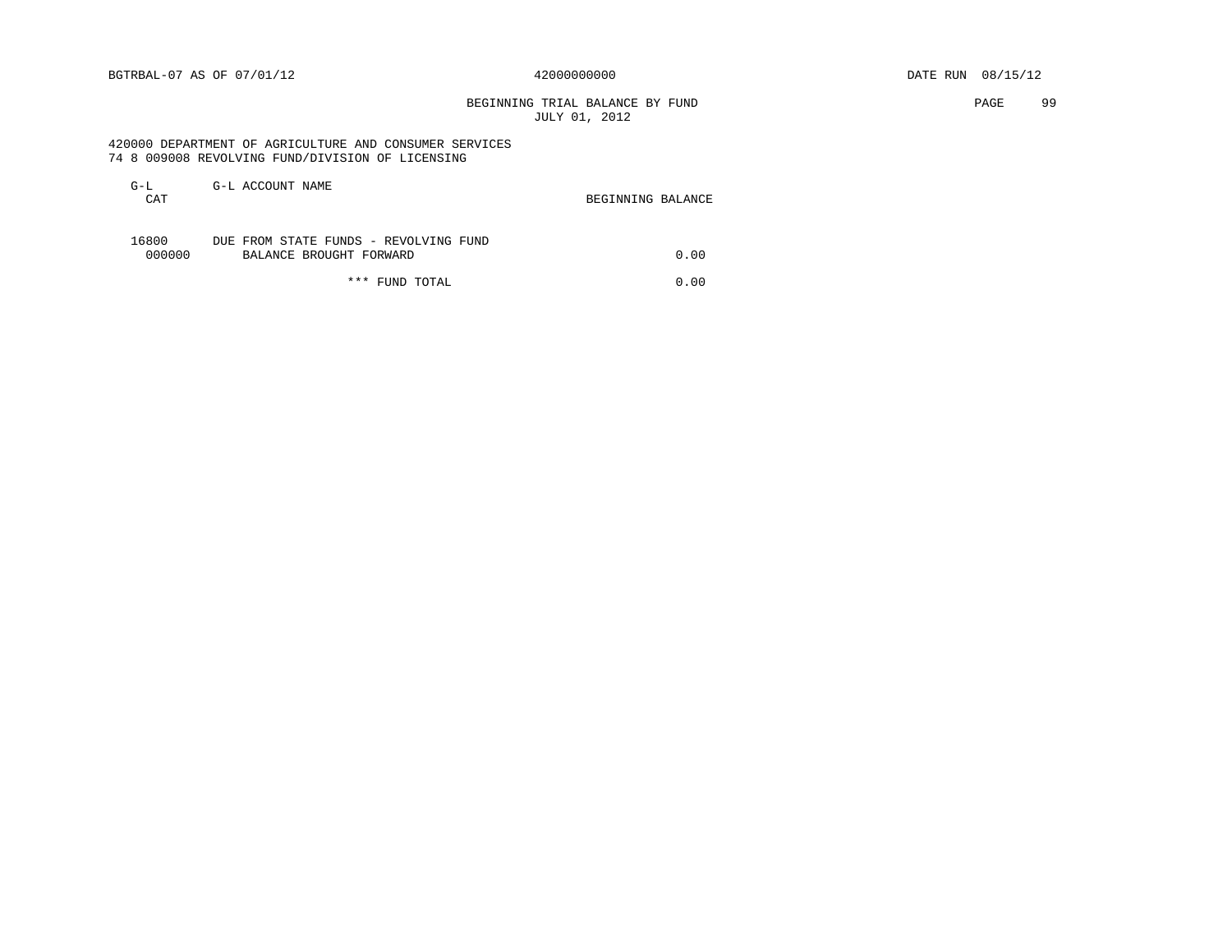# BEGINNING TRIAL BALANCE BY FUND **EXAMPLE 199** PAGE 99 JULY 01, 2012

 420000 DEPARTMENT OF AGRICULTURE AND CONSUMER SERVICES 74 8 009008 REVOLVING FUND/DIVISION OF LICENSING

| G-L<br>CAT      | G-L ACCOUNT NAME                                                 | BEGINNING BALANCE |      |
|-----------------|------------------------------------------------------------------|-------------------|------|
| 16800<br>000000 | DUE FROM STATE FUNDS - REVOLVING FUND<br>BALANCE BROUGHT FORWARD |                   | 0.00 |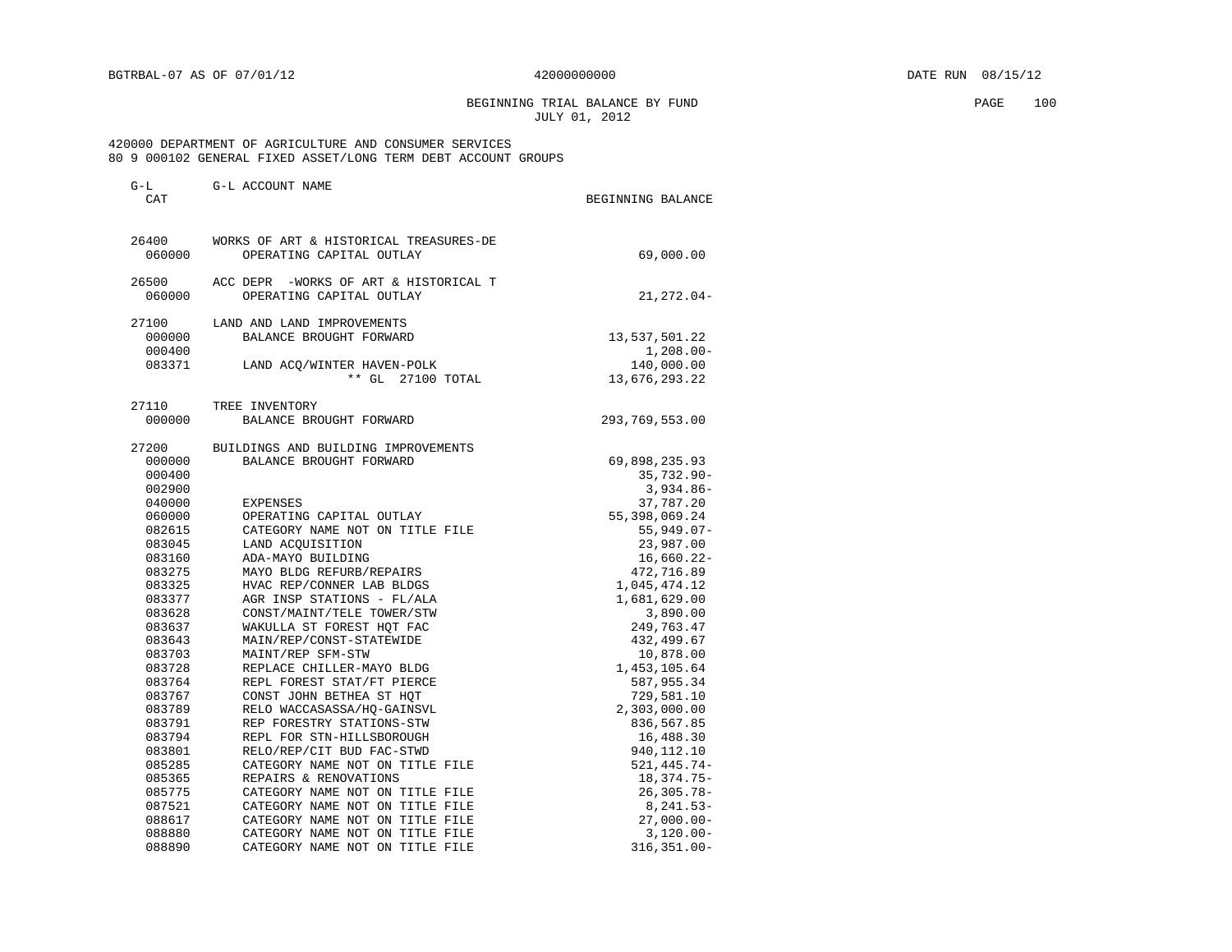BEGINNING TRIAL BALANCE BY FUND PAGE 100 JULY 01, 2012

| $G-L$<br>CAT     | G-L ACCOUNT NAME                                       | BEGINNING BALANCE         |
|------------------|--------------------------------------------------------|---------------------------|
|                  |                                                        |                           |
| 26400            | WORKS OF ART & HISTORICAL TREASURES-DE                 |                           |
| 060000           | OPERATING CAPITAL OUTLAY                               | 69,000.00                 |
| 26500            | ACC DEPR -WORKS OF ART & HISTORICAL T                  |                           |
| 060000           | OPERATING CAPITAL OUTLAY                               | $21, 272.04 -$            |
| 27100            | LAND AND LAND IMPROVEMENTS                             |                           |
| 000000           | BALANCE BROUGHT FORWARD                                | 13,537,501.22             |
| 000400           |                                                        | $1,208.00 -$              |
| 083371           | LAND ACQ/WINTER HAVEN-POLK                             | 140,000.00                |
|                  | ** GL<br>27100 TOTAL                                   | 13,676,293.22             |
| 27110            | TREE INVENTORY                                         |                           |
| 000000           | BALANCE BROUGHT FORWARD                                | 293,769,553.00            |
| 27200            | BUILDINGS AND BUILDING IMPROVEMENTS                    |                           |
| 000000           | BALANCE BROUGHT FORWARD                                | 69,898,235.93             |
| 000400           |                                                        | $35,732.90 -$             |
| 002900           |                                                        | $3,934.86-$               |
| 040000           | EXPENSES                                               | 37,787.20                 |
| 060000           | OPERATING CAPITAL OUTLAY                               | 55,398,069.24             |
| 082615           | CATEGORY NAME NOT ON TITLE FILE                        | $55,949.07-$              |
| 083045           | LAND ACOUISITION                                       | 23,987.00                 |
| 083160           | ADA-MAYO BUILDING                                      | $16,660.22-$              |
| 083275           | MAYO BLDG REFURB/REPAIRS                               | 472,716.89                |
| 083325           | HVAC REP/CONNER LAB BLDGS                              | 1,045,474.12              |
| 083377           | AGR INSP STATIONS - FL/ALA                             | 1,681,629.00              |
| 083628           | CONST/MAINT/TELE TOWER/STW                             | 3,890.00                  |
| 083637           | WAKULLA ST FOREST HOT FAC                              | 249,763.47                |
| 083643           | MAIN/REP/CONST-STATEWIDE                               | 432,499.67                |
| 083703           | MAINT/REP SFM-STW                                      | 10,878.00                 |
| 083728           | REPLACE CHILLER-MAYO BLDG                              | 1,453,105.64              |
| 083764           | REPL FOREST STAT/FT PIERCE                             | 587,955.34                |
| 083767           | CONST JOHN BETHEA ST HQT                               | 729,581.10                |
| 083789           | RELO WACCASASSA/HO-GAINSVL                             | 2,303,000.00              |
| 083791           | REP FORESTRY STATIONS-STW                              | 836,567.85                |
| 083794<br>083801 | REPL FOR STN-HILLSBOROUGH<br>RELO/REP/CIT BUD FAC-STWD | 16,488.30<br>940, 112. 10 |
| 085285           | CATEGORY NAME NOT ON TITLE FILE                        | 521, 445. 74-             |
| 085365           | REPAIRS & RENOVATIONS                                  | 18,374.75-                |
| 085775           | CATEGORY NAME NOT ON TITLE FILE                        | $26, 305.78 -$            |
| 087521           | CATEGORY NAME NOT ON TITLE FILE                        | $8, 241.53 -$             |
| 088617           | CATEGORY NAME NOT ON TITLE FILE                        | $27,000.00 -$             |
| 088880           | CATEGORY NAME NOT ON TITLE FILE                        | $3,120.00 -$              |
| 088890           | CATEGORY NAME NOT ON TITLE FILE                        | 316,351.00-               |
|                  |                                                        |                           |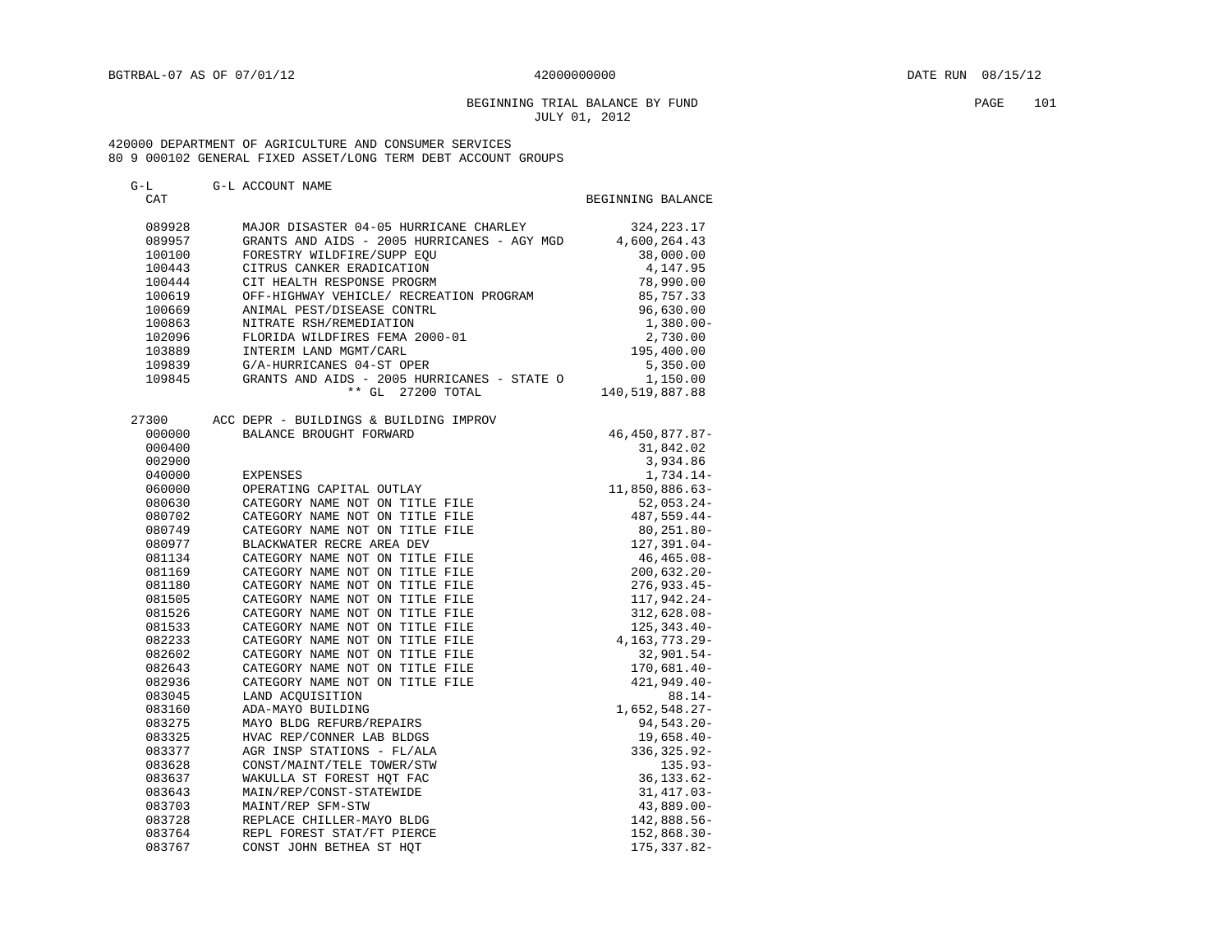## BEGINNING TRIAL BALANCE BY FUND PAGE 101 JULY 01, 2012

| G-L    | G-L ACCOUNT NAME                            |                   |
|--------|---------------------------------------------|-------------------|
| CAT    |                                             | BEGINNING BALANCE |
| 089928 | MAJOR DISASTER 04-05 HURRICANE CHARLEY      | 324, 223. 17      |
| 089957 | GRANTS AND AIDS - 2005 HURRICANES - AGY MGD | 4,600,264.43      |
| 100100 | FORESTRY WILDFIRE/SUPP EOU                  | 38,000.00         |
| 100443 | CITRUS CANKER ERADICATION                   | 4,147.95          |
| 100444 | CIT HEALTH RESPONSE PROGRM                  | 78,990.00         |
| 100619 | OFF-HIGHWAY VEHICLE/ RECREATION PROGRAM     | 85,757.33         |
| 100669 | ANIMAL PEST/DISEASE CONTRL                  | 96,630.00         |
| 100863 | NITRATE RSH/REMEDIATION                     | $1,380.00 -$      |
| 102096 | FLORIDA WILDFIRES FEMA 2000-01              | 2,730.00          |
| 103889 | INTERIM LAND MGMT/CARL                      | 195,400.00        |
| 109839 | G/A-HURRICANES 04-ST OPER                   | 5,350.00          |
| 109845 | GRANTS AND AIDS - 2005 HURRICANES - STATE O | 1,150.00          |
|        | ** GL 27200 TOTAL                           | 140,519,887.88    |
| 27300  | ACC DEPR - BUILDINGS & BUILDING IMPROV      |                   |
| 000000 | BALANCE BROUGHT FORWARD                     | 46, 450, 877.87-  |
| 000400 |                                             | 31,842.02         |
| 002900 |                                             | 3,934.86          |
| 040000 | EXPENSES                                    | 1,734.14-         |
| 060000 | OPERATING CAPITAL OUTLAY                    | 11,850,886.63-    |
| 080630 | CATEGORY NAME NOT ON TITLE FILE             | $52,053.24-$      |
| 080702 | CATEGORY NAME NOT ON TITLE FILE             | 487,559.44-       |
| 080749 | CATEGORY NAME NOT ON TITLE FILE             | $80, 251.80 -$    |
| 080977 | BLACKWATER RECRE AREA DEV                   | 127,391.04-       |
| 081134 | CATEGORY NAME NOT ON TITLE FILE             | 46,465.08-        |
| 081169 | CATEGORY NAME NOT ON TITLE FILE             | $200,632.20 -$    |
| 081180 | CATEGORY NAME NOT ON TITLE FILE             | $276,933.45-$     |
| 081505 | CATEGORY NAME NOT ON TITLE FILE             | 117,942.24-       |
| 081526 | CATEGORY NAME NOT ON TITLE FILE             | $312,628.08-$     |
| 081533 | CATEGORY NAME NOT ON TITLE FILE             | $125, 343.40 -$   |
| 082233 | CATEGORY NAME NOT ON TITLE FILE             | 4,163,773.29-     |
| 082602 | CATEGORY NAME NOT ON TITLE FILE             | $32,901.54-$      |
| 082643 | CATEGORY NAME NOT ON TITLE FILE             | $170,681.40-$     |
| 082936 | CATEGORY NAME NOT ON TITLE FILE             | 421,949.40-       |
| 083045 | LAND ACOUISITION                            | $88.14-$          |
| 083160 | ADA-MAYO BUILDING                           | $1,652,548.27-$   |
| 083275 | MAYO BLDG REFURB/REPAIRS                    | $94,543.20 -$     |
| 083325 | HVAC REP/CONNER LAB BLDGS                   | $19,658.40-$      |
| 083377 | AGR INSP STATIONS - FL/ALA                  | 336, 325.92-      |
| 083628 | CONST/MAINT/TELE TOWER/STW                  | $135.93-$         |
| 083637 | WAKULLA ST FOREST HOT FAC                   | $36, 133.62 -$    |
| 083643 | MAIN/REP/CONST-STATEWIDE                    | $31,417.03-$      |
| 083703 | MAINT/REP SFM-STW                           | $43,889.00 -$     |
| 083728 | REPLACE CHILLER-MAYO BLDG                   | 142,888.56-       |
| 083764 | REPL FOREST STAT/FT PIERCE                  | 152,868.30-       |
| 083767 | CONST JOHN BETHEA ST HOT                    | 175, 337.82-      |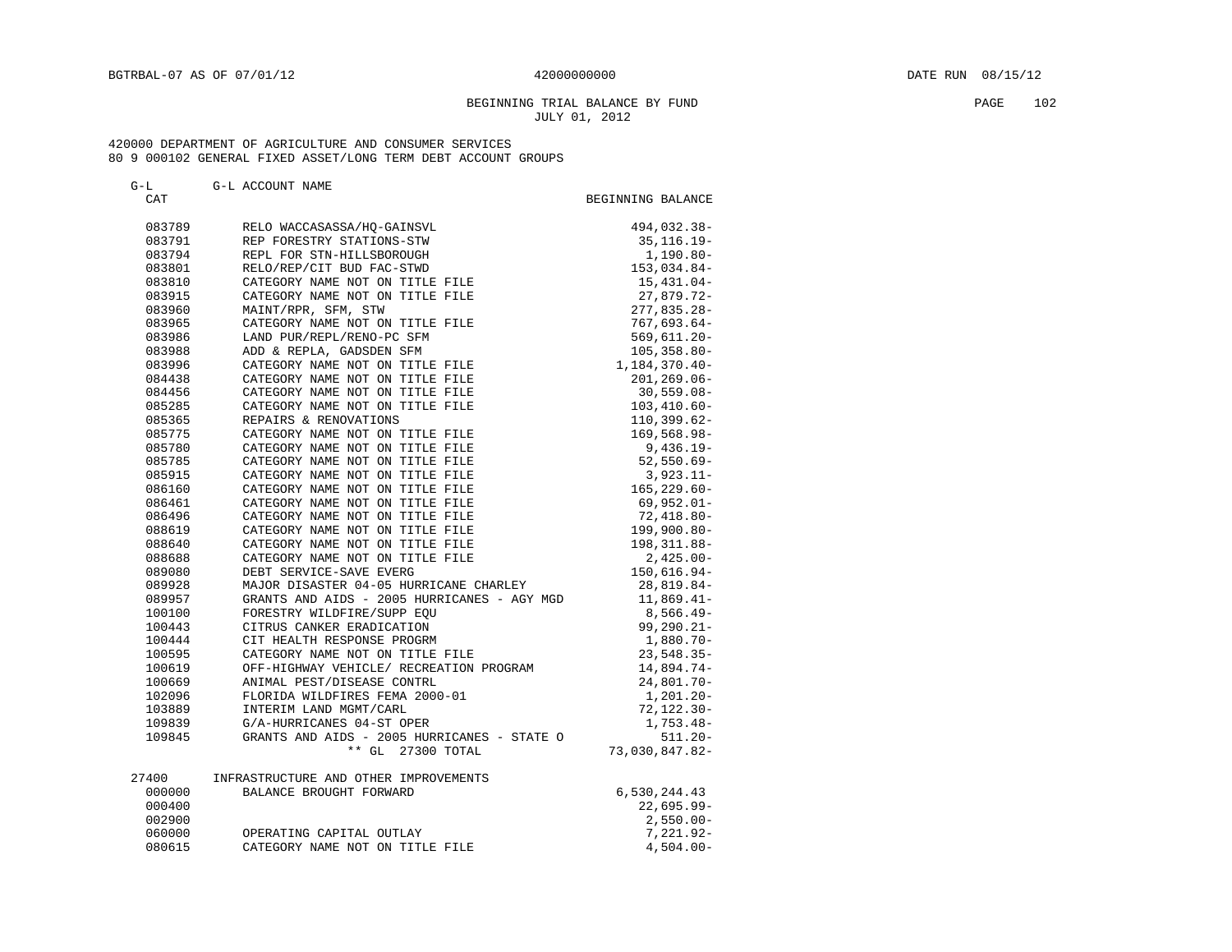G-L G-L ACCOUNT NAME

## BEGINNING TRIAL BALANCE BY FUND PAGE 102 JULY 01, 2012

| CAT    |                                                                                                                                                                                                                                                                                                                                                                                                                                                                                                                                                | BEGINNING BALANCE |
|--------|------------------------------------------------------------------------------------------------------------------------------------------------------------------------------------------------------------------------------------------------------------------------------------------------------------------------------------------------------------------------------------------------------------------------------------------------------------------------------------------------------------------------------------------------|-------------------|
| 083789 | $\begin{tabular}{c} {\bf \Large ACCASASSA/HQ-GAINSVL} \\ \bf \Large CRESTRY STATIONS-STM \\ \bf \Large LD/RED/CIT BUD FAC-STMD \\ \bf \Large LD/RED/CIT BUD FAC-STMD \\ \bf \Large CATEGORY NAME NOT ON TITLE FILE \\ \bf \Large 'NINT/RPR, SFM, STW \\ \bf \Large 'ORY NAME NOT ON TITLE FILE \\ \bf \Large (REDL/REPL/END-PC SFM \\ \bf \Large GADSDEN SFM \\ \bf \Large 'T ON TITLE FILE \\ \bf \small 'T ITLE FILE \\ \bf \small 'TLE FILE \\ \bf \small \small TLE \\ \bf \small TLE \\ \bf \small TLE \\ \bf \small TLE \\ \bf \small T$ | 494,032.38-       |
| 083791 |                                                                                                                                                                                                                                                                                                                                                                                                                                                                                                                                                | 35, 116. 19 -     |
| 083794 |                                                                                                                                                                                                                                                                                                                                                                                                                                                                                                                                                | 1,190.80-         |
| 083801 |                                                                                                                                                                                                                                                                                                                                                                                                                                                                                                                                                | 153,034.84-       |
| 083810 |                                                                                                                                                                                                                                                                                                                                                                                                                                                                                                                                                | 15,431.04-        |
| 083915 |                                                                                                                                                                                                                                                                                                                                                                                                                                                                                                                                                | 27,879.72-        |
| 083960 |                                                                                                                                                                                                                                                                                                                                                                                                                                                                                                                                                | $277,835.28-$     |
| 083965 |                                                                                                                                                                                                                                                                                                                                                                                                                                                                                                                                                | $767,693.64-$     |
| 083986 |                                                                                                                                                                                                                                                                                                                                                                                                                                                                                                                                                | $569,611.20 -$    |
| 083988 |                                                                                                                                                                                                                                                                                                                                                                                                                                                                                                                                                | $105, 358.80 -$   |
| 083996 |                                                                                                                                                                                                                                                                                                                                                                                                                                                                                                                                                | 1,184,370.40-     |
| 084438 |                                                                                                                                                                                                                                                                                                                                                                                                                                                                                                                                                | $201, 269.06 -$   |
| 084456 |                                                                                                                                                                                                                                                                                                                                                                                                                                                                                                                                                | $30,559.08 -$     |
| 085285 |                                                                                                                                                                                                                                                                                                                                                                                                                                                                                                                                                | $103,410.60 -$    |
| 085365 |                                                                                                                                                                                                                                                                                                                                                                                                                                                                                                                                                | $110,399.62-$     |
| 085775 |                                                                                                                                                                                                                                                                                                                                                                                                                                                                                                                                                | $169,568.98 -$    |
| 085780 |                                                                                                                                                                                                                                                                                                                                                                                                                                                                                                                                                | $9,436.19-$       |
| 085785 | CATEGORY NAME NOT ON TITLE FILE                                                                                                                                                                                                                                                                                                                                                                                                                                                                                                                | $52,550.69-$      |
| 085915 | CATEGORY NAME NOT ON TITLE FILE                                                                                                                                                                                                                                                                                                                                                                                                                                                                                                                | $3,923.11-$       |
| 086160 | CATEGORY NAME NOT ON TITLE FILE                                                                                                                                                                                                                                                                                                                                                                                                                                                                                                                | $165, 229.60 -$   |
| 086461 | CATEGORY NAME NOT ON TITLE FILE                                                                                                                                                                                                                                                                                                                                                                                                                                                                                                                | $69,952.01 -$     |
| 086496 | CATEGORY NAME NOT ON TITLE FILE                                                                                                                                                                                                                                                                                                                                                                                                                                                                                                                | $72,418.80 -$     |
| 088619 | CATEGORY NAME NOT ON TITLE FILE                                                                                                                                                                                                                                                                                                                                                                                                                                                                                                                | 199,900.80-       |
| 088640 | CATEGORY NAME NOT ON TITLE FILE                                                                                                                                                                                                                                                                                                                                                                                                                                                                                                                | 198, 311.88-      |
| 088688 | CATEGORY NAME NOT ON TITLE FILE                                                                                                                                                                                                                                                                                                                                                                                                                                                                                                                | $2,425.00-$       |
| 089080 | DEBT SERVICE-SAVE EVERG                                                                                                                                                                                                                                                                                                                                                                                                                                                                                                                        | 150,616.94-       |
| 089928 | MAJOR DISASTER 04-05 HURRICANE CHARLEY                                                                                                                                                                                                                                                                                                                                                                                                                                                                                                         | 28,819.84-        |
| 089957 | GRANTS AND AIDS - 2005 HURRICANES - AGY MGD                                                                                                                                                                                                                                                                                                                                                                                                                                                                                                    | $11,869.41-$      |
| 100100 | FORESTRY WILDFIRE/SUPP EQU                                                                                                                                                                                                                                                                                                                                                                                                                                                                                                                     | 8,566.49-         |
| 100443 | CITRUS CANKER ERADICATION                                                                                                                                                                                                                                                                                                                                                                                                                                                                                                                      | $99, 290.21 -$    |
| 100444 | CIT HEALTH RESPONSE PROGRM                                                                                                                                                                                                                                                                                                                                                                                                                                                                                                                     | 1,880.70-         |
| 100595 | CATEGORY NAME NOT ON TITLE FILE                                                                                                                                                                                                                                                                                                                                                                                                                                                                                                                | $23,548.35-$      |
| 100619 | OFF-HIGHWAY VEHICLE/ RECREATION PROGRAM                                                                                                                                                                                                                                                                                                                                                                                                                                                                                                        | 14,894.74-        |
| 100669 | ANIMAL PEST/DISEASE CONTRL                                                                                                                                                                                                                                                                                                                                                                                                                                                                                                                     | 24,801.70-        |
| 102096 | FLORIDA WILDFIRES FEMA 2000-01                                                                                                                                                                                                                                                                                                                                                                                                                                                                                                                 | 1,201.20-         |
| 103889 | INTERIM LAND MGMT/CARL                                                                                                                                                                                                                                                                                                                                                                                                                                                                                                                         | $72, 122.30 -$    |
| 109839 | G/A-HURRICANES 04-ST OPER                                                                                                                                                                                                                                                                                                                                                                                                                                                                                                                      | $1,753.48-$       |
| 109845 | GRANTS AND AIDS - 2005 HURRICANES - STATE O                                                                                                                                                                                                                                                                                                                                                                                                                                                                                                    | $511.20 -$        |
|        | ** GL 27300 TOTAL                                                                                                                                                                                                                                                                                                                                                                                                                                                                                                                              | 73,030,847.82-    |
| 27400  | INFRASTRUCTURE AND OTHER IMPROVEMENTS                                                                                                                                                                                                                                                                                                                                                                                                                                                                                                          |                   |
| 000000 | BALANCE BROUGHT FORWARD                                                                                                                                                                                                                                                                                                                                                                                                                                                                                                                        | 6,530,244.43      |
| 000400 |                                                                                                                                                                                                                                                                                                                                                                                                                                                                                                                                                | $22,695.99 -$     |
| 002900 |                                                                                                                                                                                                                                                                                                                                                                                                                                                                                                                                                | $2,550.00 -$      |
| 060000 | OPERATING CAPITAL OUTLAY                                                                                                                                                                                                                                                                                                                                                                                                                                                                                                                       | 7,221.92-         |
| 080615 | CATEGORY NAME NOT ON TITLE FILE                                                                                                                                                                                                                                                                                                                                                                                                                                                                                                                | $4,504.00 -$      |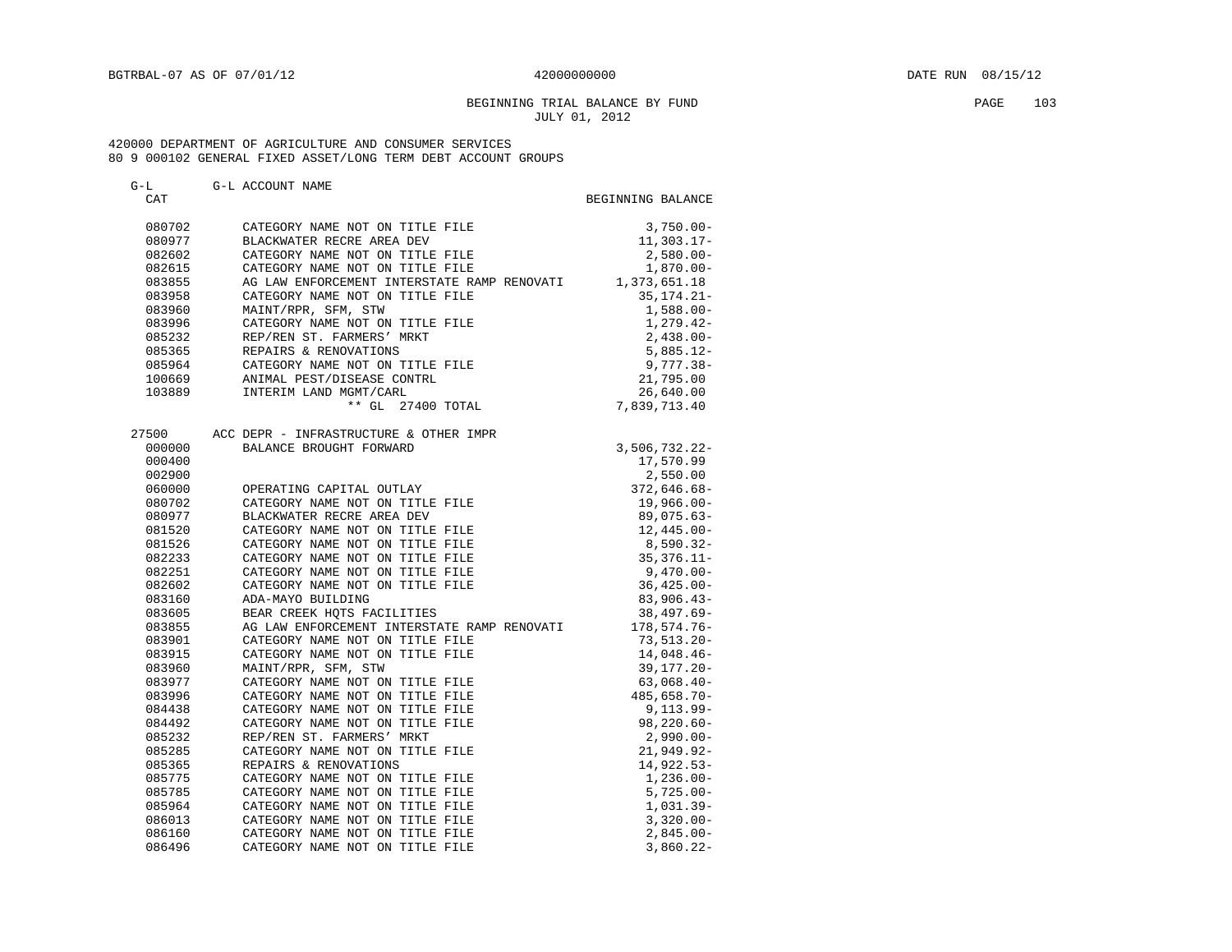## BEGINNING TRIAL BALANCE BY FUND PAGE 103 JULY 01, 2012

| G-L    | G-L ACCOUNT NAME                                         |                   |
|--------|----------------------------------------------------------|-------------------|
| CAT    |                                                          | BEGINNING BALANCE |
|        |                                                          |                   |
| 080702 | CATEGORY NAME NOT ON TITLE FILE                          | $3,750.00 -$      |
| 080977 | BLACKWATER RECRE AREA DEV                                | $11,303.17-$      |
| 082602 | CATEGORY NAME NOT ON TITLE FILE                          | $2,580.00 -$      |
| 082615 | CATEGORY NAME NOT ON TITLE FILE                          | $1,870.00 -$      |
| 083855 | AG LAW ENFORCEMENT INTERSTATE RAMP RENOVATI 1,373,651.18 |                   |
| 083958 | CATEGORY NAME NOT ON TITLE FILE                          | $35, 174.21 -$    |
| 083960 | MAINT/RPR, SFM, STW                                      | $1,588.00 -$      |
| 083996 | CATEGORY NAME NOT ON TITLE FILE                          | $1,279.42-$       |
| 085232 | REP/REN ST. FARMERS' MRKT                                | $2,438.00-$       |
| 085365 | REPAIRS & RENOVATIONS                                    | $5,885.12-$       |
| 085964 | KEPAIKS & KENOVAIIONS<br>CATEGORY NAME NOT ON TITLE FILE | $9,777.38 -$      |
| 100669 | ANIMAL PEST/DISEASE CONTRL<br>INTERIM LAND MGMT/CARL     | 21,795.00         |
| 103889 |                                                          | 26,640.00         |
|        | ** GL 27400 TOTAL                                        | 7,839,713.40      |
|        |                                                          |                   |
| 27500  | ACC DEPR - INFRASTRUCTURE & OTHER IMPR                   |                   |
| 000000 | BALANCE BROUGHT FORWARD                                  | $3,506,732.22 -$  |
| 000400 |                                                          | 17,570.99         |
| 002900 |                                                          | 2,550.00          |
| 060000 | OPERATING CAPITAL OUTLAY                                 | $372,646.68 -$    |
| 080702 | CATEGORY NAME NOT ON TITLE FILE                          | $19,966.00 -$     |
| 080977 | BLACKWATER RECRE AREA DEV                                | $89,075.63-$      |
| 081520 | CATEGORY NAME NOT ON TITLE FILE                          | $12,445.00-$      |
| 081526 | CATEGORY NAME NOT ON TITLE FILE                          | 8,590.32-         |
| 082233 | CATEGORY NAME NOT ON TITLE FILE                          | $35,376.11 -$     |
| 082251 | CATEGORY NAME NOT ON TITLE FILE                          | 9,470.00-         |
| 082602 | CATEGORY NAME NOT ON TITLE FILE                          | $36,425.00 -$     |
| 083160 | ADA-MAYO BUILDING                                        | $83,906.43-$      |
| 083605 | BEAR CREEK HOTS FACILITIES                               | $38,497.69 -$     |
| 083855 | AG LAW ENFORCEMENT INTERSTATE RAMP RENOVATI              | 178,574.76-       |
| 083901 | CATEGORY NAME NOT ON TITLE FILE                          | $73,513.20 -$     |
| 083915 | CATEGORY NAME NOT ON TITLE FILE                          | 14,048.46-        |
| 083960 | MAINT/RPR, SFM, STW                                      | $39, 177.20 -$    |
| 083977 | CATEGORY NAME NOT ON TITLE FILE                          | $63,068.40-$      |
| 083996 | CATEGORY NAME NOT ON TITLE FILE                          | 485,658.70-       |
| 084438 | CATEGORY NAME NOT ON TITLE FILE                          | $9,113.99 -$      |
| 084492 | CATEGORY NAME NOT ON TITLE FILE                          | $98, 220.60 -$    |
| 085232 | REP/REN ST. FARMERS' MRKT                                | 2,990.00-         |
| 085285 | CATEGORY NAME NOT ON TITLE FILE                          | $21,949.92 -$     |
| 085365 | REPAIRS & RENOVATIONS                                    | 14,922.53-        |
| 085775 | CATEGORY NAME NOT ON TITLE FILE                          | $1,236.00 -$      |
| 085785 | CATEGORY NAME NOT ON TITLE FILE                          | $5,725.00 -$      |
| 085964 | CATEGORY NAME NOT ON TITLE FILE                          | $1,031.39-$       |
| 086013 | CATEGORY NAME NOT ON TITLE FILE                          | $3,320.00 -$      |
| 086160 | CATEGORY NAME NOT ON TITLE FILE                          | $2,845.00-$       |
| 086496 | CATEGORY NAME NOT ON TITLE FILE                          | $3,860.22 -$      |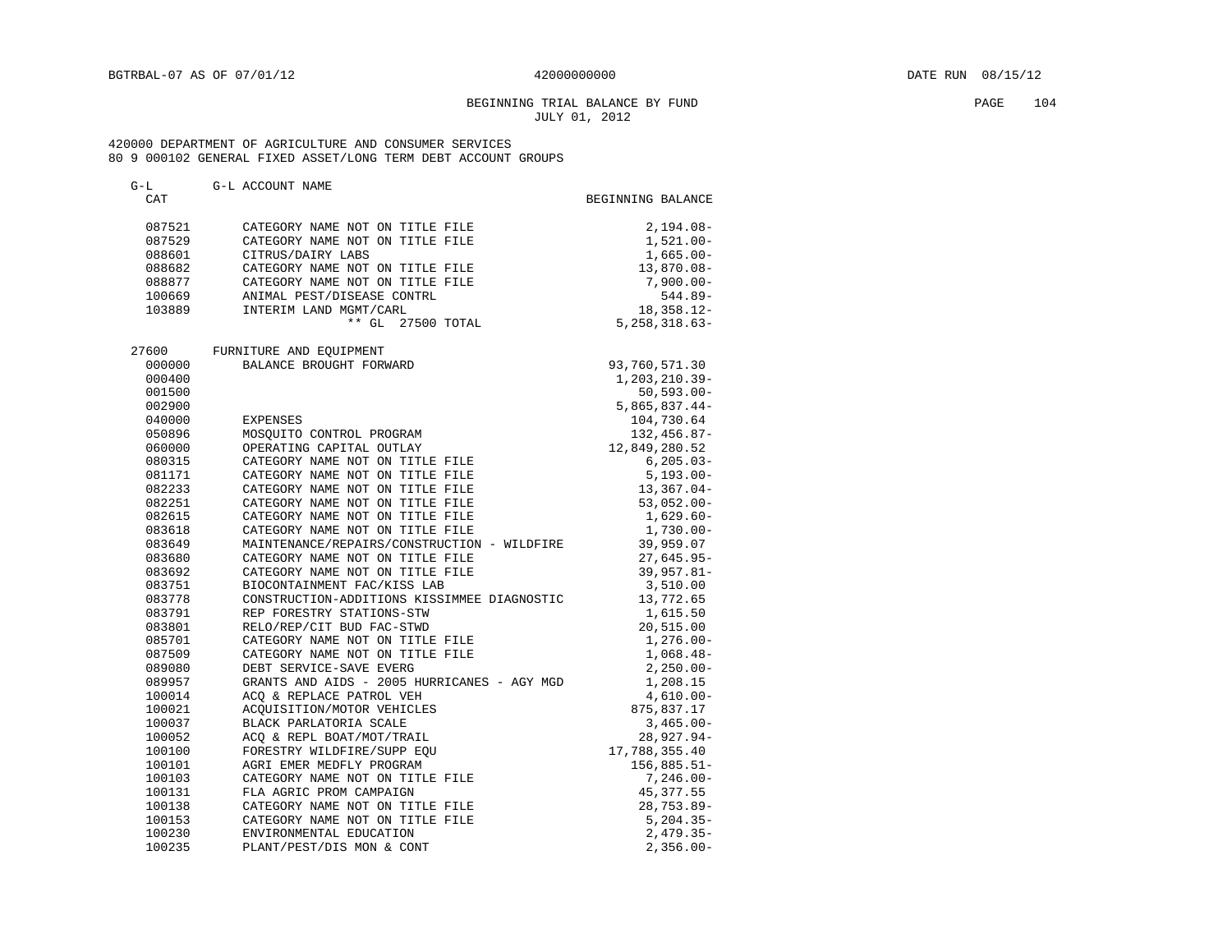## BEGINNING TRIAL BALANCE BY FUND **PAGE** 104 JULY 01, 2012

| G-L    | G-L ACCOUNT NAME                            |                   |
|--------|---------------------------------------------|-------------------|
| CAT    |                                             | BEGINNING BALANCE |
|        |                                             |                   |
| 087521 | CATEGORY NAME NOT ON TITLE FILE             | $2,194.08-$       |
| 087529 | CATEGORY NAME NOT ON TITLE FILE             | $1,521.00-$       |
| 088601 | CITRUS/DAIRY LABS                           | $1,665.00 -$      |
| 088682 | CATEGORY NAME NOT ON TITLE FILE             | 13,870.08-        |
| 088877 | CATEGORY NAME NOT ON TITLE FILE             | $7,900.00 -$      |
| 100669 | ANIMAL PEST/DISEASE CONTRL                  | $544.89 -$        |
| 103889 | INTERIM LAND MGMT/CARL                      | $18,358.12-$      |
|        | ** GL 27500 TOTAL                           | $5,258,318.63-$   |
| 27600  | FURNITURE AND EQUIPMENT                     |                   |
| 000000 | BALANCE BROUGHT FORWARD                     | 93,760,571.30     |
| 000400 |                                             | 1,203,210.39-     |
| 001500 |                                             | $50, 593.00 -$    |
|        |                                             |                   |
| 002900 |                                             | $5,865,837.44-$   |
| 040000 | EXPENSES                                    | 104,730.64        |
| 050896 | MOSQUITO CONTROL PROGRAM                    | $132, 456.87 -$   |
| 060000 | OPERATING CAPITAL OUTLAY                    | 12,849,280.52     |
| 080315 | CATEGORY NAME NOT ON TITLE FILE             | $6, 205.03 -$     |
| 081171 | CATEGORY NAME NOT ON TITLE FILE             | $5,193.00 -$      |
| 082233 | CATEGORY NAME NOT ON TITLE FILE             | $13,367.04-$      |
| 082251 | CATEGORY NAME NOT ON TITLE FILE             | $53,052.00 -$     |
| 082615 | CATEGORY NAME NOT ON TITLE FILE             | $1,629.60-$       |
| 083618 | CATEGORY NAME NOT ON TITLE FILE             | $1,730.00 -$      |
| 083649 | MAINTENANCE/REPAIRS/CONSTRUCTION - WILDFIRE | 39,959.07         |
| 083680 | CATEGORY NAME NOT ON TITLE FILE             | $27,645.95 -$     |
| 083692 | CATEGORY NAME NOT ON TITLE FILE             | 39,957.81-        |
| 083751 | BIOCONTAINMENT FAC/KISS LAB                 | 3,510.00          |
| 083778 | CONSTRUCTION-ADDITIONS KISSIMMEE DIAGNOSTIC | 13,772.65         |
| 083791 | REP FORESTRY STATIONS-STW                   | 1,615.50          |
| 083801 | RELO/REP/CIT BUD FAC-STWD                   | 20,515.00         |
| 085701 | CATEGORY NAME NOT ON TITLE FILE             | $1,276.00-$       |
| 087509 | CATEGORY NAME NOT ON TITLE FILE             | $1,068.48-$       |
| 089080 | DEBT SERVICE-SAVE EVERG                     | $2,250.00-$       |
| 089957 | GRANTS AND AIDS - 2005 HURRICANES - AGY MGD | 1,208.15          |
| 100014 | ACO & REPLACE PATROL VEH                    | $4,610.00-$       |
| 100021 | ACQUISITION/MOTOR VEHICLES                  | 875,837.17        |
| 100037 | BLACK PARLATORIA SCALE                      | $3,465.00 -$      |
| 100052 | ACO & REPL BOAT/MOT/TRAIL                   | 28,927.94-        |
| 100100 | FORESTRY WILDFIRE/SUPP EQU                  | 17,788,355.40     |
| 100101 | AGRI EMER MEDFLY PROGRAM                    | $156,885.51-$     |
| 100103 | CATEGORY NAME NOT ON TITLE FILE             | 7,246.00-         |
| 100131 | FLA AGRIC PROM CAMPAIGN                     | 45,377.55         |
| 100138 | CATEGORY NAME NOT ON TITLE FILE             | $28,753.89-$      |
| 100153 | CATEGORY NAME NOT ON TITLE FILE             | $5,204.35-$       |
| 100230 | ENVIRONMENTAL EDUCATION                     | $2,479.35-$       |
| 100235 | PLANT/PEST/DIS MON & CONT                   | $2,356.00 -$      |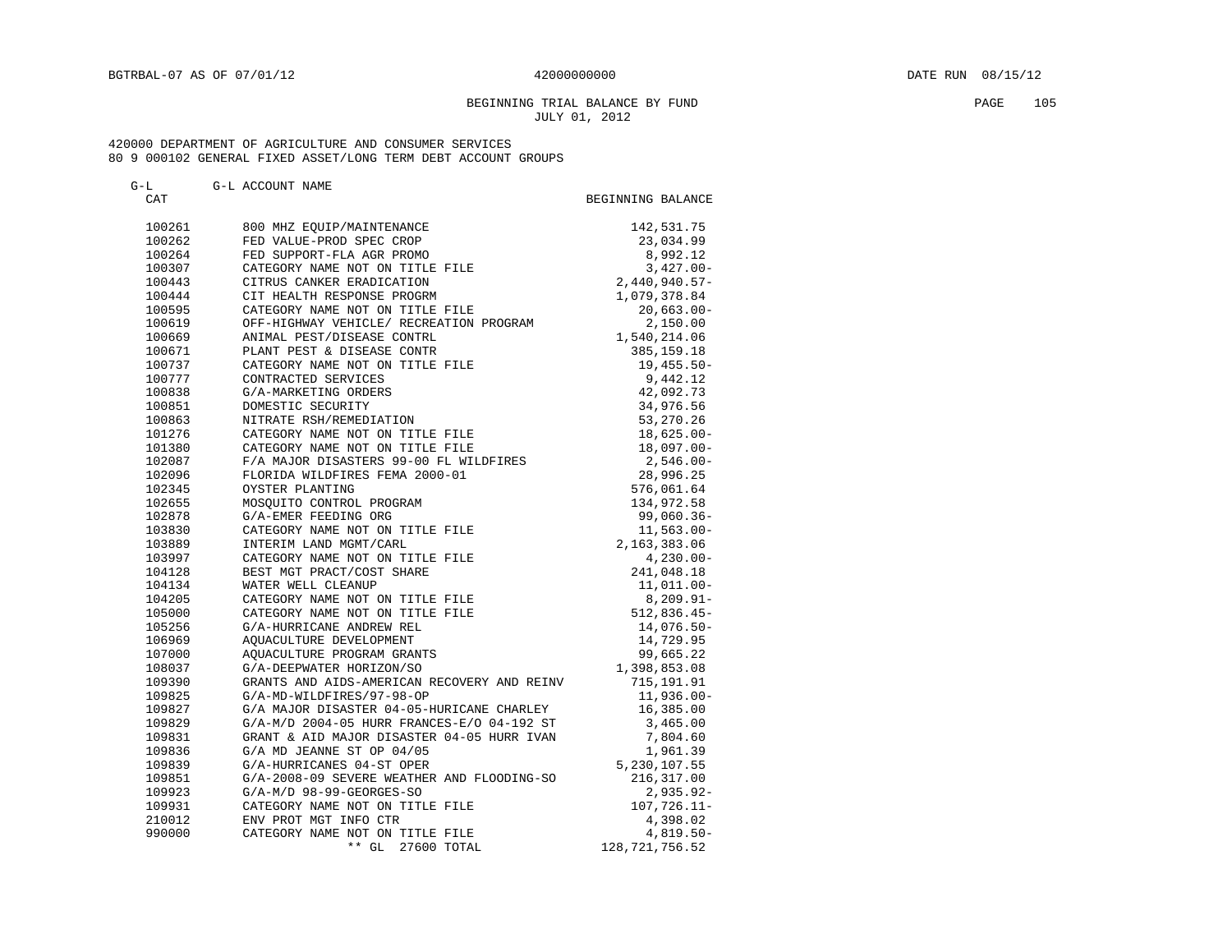## BEGINNING TRIAL BALANCE BY FUND **EXAMPLE 105** PAGE 105 JULY 01, 2012

| $G-L$      | G-L ACCOUNT NAME                                                          |                   |
|------------|---------------------------------------------------------------------------|-------------------|
| <b>CAT</b> |                                                                           | BEGINNING BALANCE |
| 100261     | 800 MHZ EOUIP/MAINTENANCE                                                 | 142,531.75        |
| 100262     | FED VALUE-PROD SPEC CROP                                                  | 23,034.99         |
| 100264     | FED SUPPORT-FLA AGR PROMO                                                 | 8,992.12          |
| 100307     | CATEGORY NAME NOT ON TITLE FILE                                           | $3,427.00-$       |
| 100443     | CITRUS CANKER ERADICATION                                                 | $2,440,940.57-$   |
| 100444     | CIT HEALTH RESPONSE PROGRM                                                | 1,079,378.84      |
| 100595     | CATEGORY NAME NOT ON TITLE FILE                                           | $20,663.00 -$     |
| 100619     | OFF-HIGHWAY VEHICLE/ RECREATION PROGRAM                                   | 2,150.00          |
| 100669     | ANIMAL PEST/DISEASE CONTRL                                                | 1,540,214.06      |
| 100671     | PLANT PEST & DISEASE CONTR                                                | 385, 159. 18      |
| 100737     | CATEGORY NAME NOT ON TITLE FILE                                           | $19,455.50 -$     |
| 100777     | CONTRACTED SERVICES                                                       | 9,442.12          |
| 100838     | G/A-MARKETING ORDERS                                                      | 42,092.73         |
| 100851     | DOMESTIC SECURITY                                                         | 34,976.56         |
| 100863     | NITRATE RSH/REMEDIATION                                                   | 53,270.26         |
| 101276     | CATEGORY NAME NOT ON TITLE FILE                                           | $18,625.00 -$     |
| 101380     |                                                                           | $18,097.00 -$     |
| 102087     | CATEGORY NAME NOT ON TITLE FILE<br>F/A MAJOR DISASTERS 99-00 FL WILDFIRES | 2,546.00-         |
| 102096     | FLORIDA WILDFIRES FEMA 2000-01                                            | 28,996.25         |
| 102345     | OYSTER PLANTING                                                           | 576,061.64        |
| 102655     | MOSOUITO CONTROL PROGRAM                                                  | 134,972.58        |
| 102878     | G/A-EMER FEEDING ORG                                                      | $99,060.36 -$     |
| 103830     | CATEGORY NAME NOT ON TITLE FILE                                           | $11,563.00 -$     |
| 103889     | INTERIM LAND MGMT/CARL                                                    | 2,163,383.06      |
| 103997     | CATEGORY NAME NOT ON TITLE FILE                                           | $4,230.00-$       |
| 104128     | BEST MGT PRACT/COST SHARE                                                 | 241,048.18        |
| 104134     | WATER WELL CLEANUP                                                        | $11,011,00-$      |
| 104205     | CATEGORY NAME NOT ON TITLE FILE                                           | $8,209.91 -$      |
| 105000     | CATEGORY NAME NOT ON TITLE FILE                                           | $512,836.45-$     |
| 105256     | G/A-HURRICANE ANDREW REL                                                  | $14.076.50 -$     |
| 106969     | AQUACULTURE DEVELOPMENT                                                   | 14,729.95         |
| 107000     | AQUACULTURE PROGRAM GRANTS                                                | 99,665.22         |
| 108037     | G/A-DEEPWATER HORIZON/SO                                                  | 1,398,853.08      |
| 109390     | GRANTS AND AIDS-AMERICAN RECOVERY AND REINV                               | 715,191.91        |
| 109825     | G/A-MD-WILDFIRES/97-98-OP                                                 | $11,936.00 -$     |
| 109827     | G/A MAJOR DISASTER 04-05-HURICANE CHARLEY                                 | 16,385.00         |
| 109829     | G/A-M/D 2004-05 HURR FRANCES-E/O 04-192 ST                                | 3,465.00          |
| 109831     | GRANT & AID MAJOR DISASTER 04-05 HURR IVAN                                | 7,804.60          |
| 109836     | G/A MD JEANNE ST OP 04/05                                                 | 1,961.39          |
| 109839     | G/A-HURRICANES 04-ST OPER                                                 | 5, 230, 107.55    |
| 109851     | G/A-2008-09 SEVERE WEATHER AND FLOODING-SO                                | 216,317.00        |
| 109923     | $G/A-M/D$ 98-99-GEORGES-SO                                                | $2,935.92 -$      |
| 109931     | CATEGORY NAME NOT ON TITLE FILE                                           | $107,726.11-$     |
| 210012     | ENV PROT MGT INFO CTR                                                     | 4,398.02          |
| 990000     | CATEGORY NAME NOT ON TITLE FILE                                           | $4,819.50-$       |
|            | $***$ GL<br>27600 TOTAL                                                   | 128, 721, 756.52  |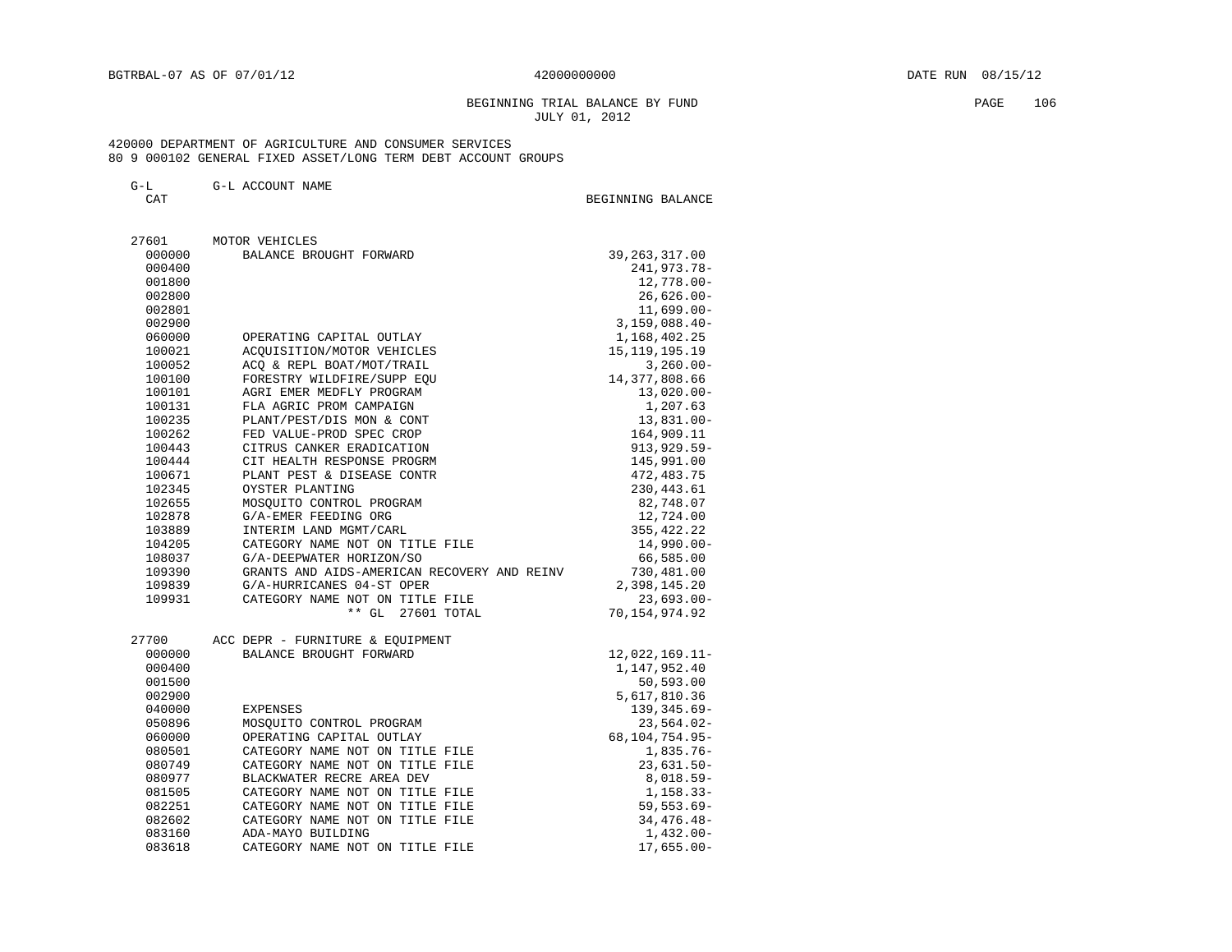## BEGINNING TRIAL BALANCE BY FUND PAGE 106 JULY 01, 2012

## 420000 DEPARTMENT OF AGRICULTURE AND CONSUMER SERVICES 80 9 000102 GENERAL FIXED ASSET/LONG TERM DEBT ACCOUNT GROUPS

#### G-L G-L ACCOUNT NAME

BEGINNING BALANCE

| 27601  | MOTOR VEHICLES                              |                  |
|--------|---------------------------------------------|------------------|
| 000000 | BALANCE BROUGHT FORWARD                     | 39, 263, 317.00  |
| 000400 |                                             | 241,973.78-      |
| 001800 |                                             | 12,778.00-       |
| 002800 |                                             | $26,626.00 -$    |
| 002801 |                                             | $11,699.00 -$    |
| 002900 |                                             | $3,159,088.40-$  |
| 060000 | OPERATING CAPITAL OUTLAY                    | 1,168,402.25     |
| 100021 | ACQUISITION/MOTOR VEHICLES                  | 15, 119, 195. 19 |
| 100052 | ACO & REPL BOAT/MOT/TRAIL                   | $3,260.00 -$     |
| 100100 | FORESTRY WILDFIRE/SUPP EQU                  | 14, 377, 808.66  |
| 100101 | AGRI EMER MEDFLY PROGRAM                    | $13,020.00 -$    |
| 100131 | FLA AGRIC PROM CAMPAIGN                     | 1,207.63         |
| 100235 | PLANT/PEST/DIS MON & CONT                   | $13,831.00 -$    |
| 100262 | FED VALUE-PROD SPEC CROP                    | 164,909.11       |
| 100443 | CITRUS CANKER ERADICATION                   | 913, 929.59-     |
| 100444 | CIT HEALTH RESPONSE PROGRM                  | 145,991.00       |
| 100671 | PLANT PEST & DISEASE CONTR                  | 472,483.75       |
| 102345 | OYSTER PLANTING                             | 230, 443.61      |
| 102655 | MOSQUITO CONTROL PROGRAM                    | 82,748.07        |
| 102878 | G/A-EMER FEEDING ORG                        | 12,724.00        |
| 103889 | INTERIM LAND MGMT/CARL                      | 355, 422.22      |
| 104205 | CATEGORY NAME NOT ON TITLE FILE             | 14,990.00-       |
| 108037 | G/A-DEEPWATER HORIZON/SO                    | 66,585.00        |
| 109390 | GRANTS AND AIDS-AMERICAN RECOVERY AND REINV | 730,481.00       |
| 109839 | G/A-HURRICANES 04-ST OPER                   | 2,398,145.20     |
| 109931 | CATEGORY NAME NOT ON TITLE FILE             | $23,693.00 -$    |
|        | $***$ GL<br>27601 TOTAL                     | 70,154,974.92    |
| 27700  | ACC DEPR - FURNITURE & EQUIPMENT            |                  |
| 000000 | BALANCE BROUGHT FORWARD                     | $12,022,169.11-$ |
| 000400 |                                             | 1,147,952.40     |
| 001500 |                                             | 50,593.00        |
| 002900 |                                             | 5,617,810.36     |
| 040000 | <b>EXPENSES</b>                             | 139, 345.69-     |
| 050896 | MOSQUITO CONTROL PROGRAM                    | $23,564.02-$     |
| 060000 | OPERATING CAPITAL OUTLAY                    | 68,104,754.95-   |
| 080501 | CATEGORY NAME NOT ON TITLE FILE             | $1,835.76-$      |
| 080749 | CATEGORY NAME NOT ON TITLE FILE             | $23,631.50-$     |
| 080977 | BLACKWATER RECRE AREA DEV                   | $8,018.59-$      |
| 081505 | CATEGORY NAME NOT ON TITLE FILE             | $1,158.33-$      |
| 082251 | CATEGORY NAME NOT ON TITLE FILE             | $59, 553.69 -$   |
| 082602 | CATEGORY NAME NOT ON TITLE FILE             | $34,476.48-$     |
| 083160 | ADA-MAYO BUILDING                           | $1,432.00-$      |
| 083618 | CATEGORY NAME NOT ON TITLE FILE             | $17,655.00 -$    |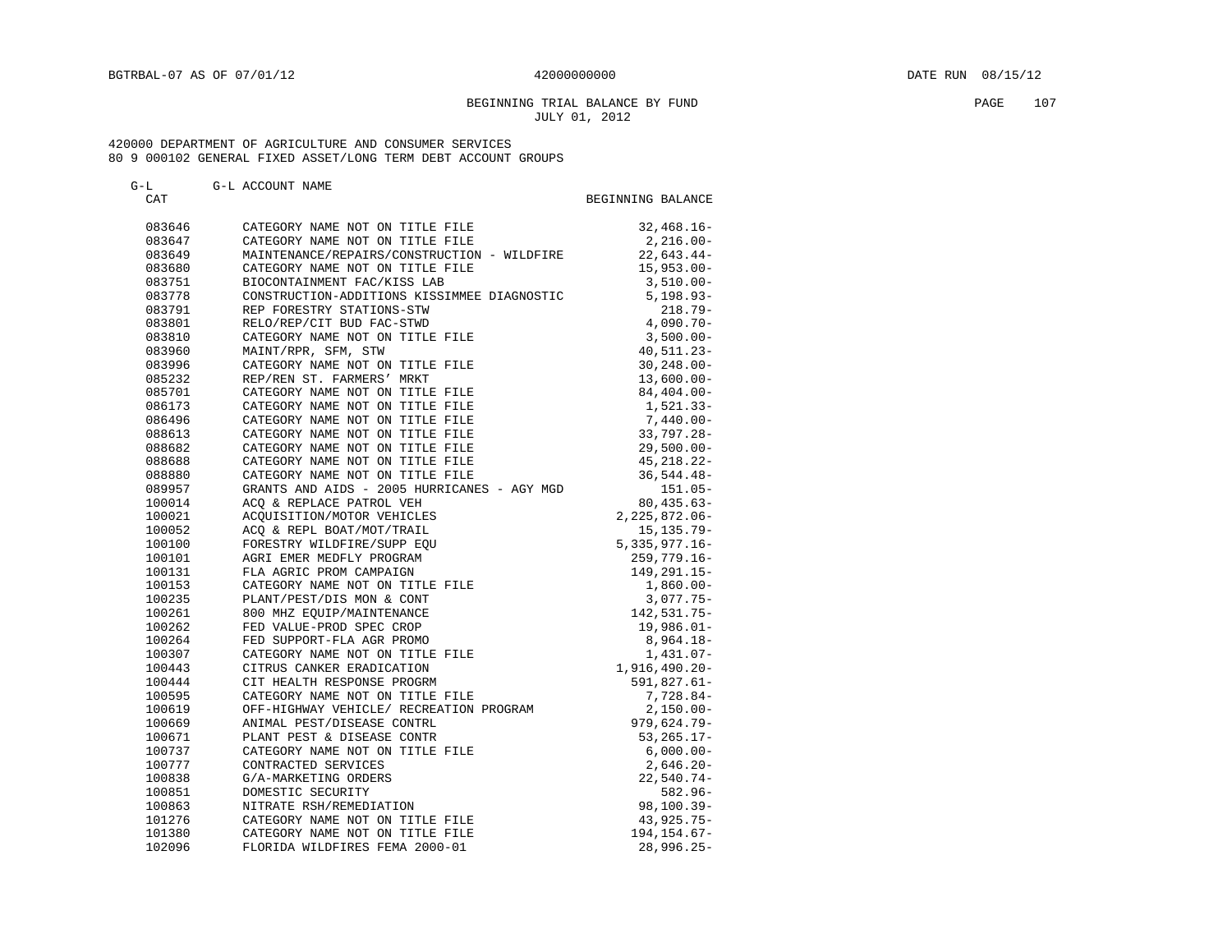#### BEGINNING TRIAL BALANCE BY FUND **PAGE 107** JULY 01, 2012

#### 420000 DEPARTMENT OF AGRICULTURE AND CONSUMER SERVICES 80 9 000102 GENERAL FIXED ASSET/LONG TERM DEBT ACCOUNT GROUPS

## G-L G-L ACCOUNT NAME CAT GENERAL BEGINNING BALANCE 083646 CATEGORY NAME NOT ON TITLE FILE 32,468.16-083647 CATEGORY NAME NOT ON TITLE FILE 2,216.00-083649 MAINTENANCE/REPAIRS/CONSTRUCTION - WILDFIRE 22,643.44-<br>083680 CATEGORY NAME NOT ON TITLE FILE 415,953.00-083680 CATEGORY NAME NOT ON TITLE FILE 15,953.00-083751 BIOCONTAINMENT FAC/KISS LAB 3,510.00- 083778 CONSTRUCTION-ADDITIONS KISSIMMEE DIAGNOSTIC 5,198.93- 083791 REP FORESTRY STATIONS-STW 218.79- 083801 RELO/REP/CIT BUD FAC-STWD 4,090.70- 083810 CATEGORY NAME NOT ON TITLE FILE 3,500.00- 083960 MAINT/RPR, SFM, STW 40,511.23- 083996 CATEGORY NAME NOT ON TITLE FILE 30,248.00-085232 REP/REN ST. FARMERS' MRKT 13,600.00-085701 CATEGORY NAME NOT ON TITLE FILE  $84,404.00-$ 086173 CATEGORY NAME NOT ON TITLE FILE 1,521.33-086496 CATEGORY NAME NOT ON TITLE FILE  $7,440.00-$ 088613 CATEGORY NAME NOT ON TITLE FILE 33,797.28-088682 CATEGORY NAME NOT ON TITLE FILE 29,500.00-088688 CATEGORY NAME NOT ON TITLE FILE 45,218.22-088880 CATEGORY NAME NOT ON TITLE FILE 36,544.48- 089957 GRANTS AND AIDS - 2005 HURRICANES - AGY MGD 151.05- 100014 ACQ & REPLACE PATROL VEH 80,435.63- 100021 ACQUISITION/MOTOR VEHICLES 2,225,872.06- 100052 ACQ & REPL BOAT/MOT/TRAIL 15,135.79- 100100 FORESTRY WILDFIRE/SUPP EQU 5,335,977.16- 100101 AGRI EMER MEDFLY PROGRAM 259,779.16- 100131 FLA AGRIC PROM CAMPAIGN 149,291.15- 100153 CATEGORY NAME NOT ON TITLE FILE 1,860.00-100235 PLANT/PEST/DIS MON & CONT 3,077.75- 100261 800 MHZ EQUIP/MAINTENANCE 142,531.75- 100262 FED VALUE-PROD SPEC CROP 19,986.01- 100264 FED SUPPORT-FLA AGR PROMO 8,964.18- 100307 CATEGORY NAME NOT ON TITLE FILE 1,431.07- 100443 CITRUS CANKER ERADICATION 1,916,490.20- 100444 CIT HEALTH RESPONSE PROGRM 591,827.61- 100595 CATEGORY NAME NOT ON TITLE FILE  $7,728.84-$  100619 OFF-HIGHWAY VEHICLE/ RECREATION PROGRAM 2,150.00- 100619 OFF-HIGHWAY VEHICLE/ RECREATION PROGRAM 2,150.00-<br>100669 ANIMAL PEST/DISEASE CONTRL 979,624.79-<br>100671 PLANT PEST & DISEASE CONTR 53,265.17-100671 PLANT PEST & DISEASE CONTR 67 100671 53,265.17- 100737 CATEGORY NAME NOT ON TITLE FILE 6,000.00- 100777 CONTRACTED SERVICES 2,646.20- 100838 G/A-MARKETING ORDERS 22,540.74- 100851 DOMESTIC SECURITY 582.96- 100863 NITRATE RSH/REMEDIATION 98,100.39- 101276 CATEGORY NAME NOT ON TITLE FILE 43,925.75-101380 CATEGORY NAME NOT ON TITLE FILE 194,154.67-102096 FLORIDA WILDFIRES FEMA 2000-01 28,996.25-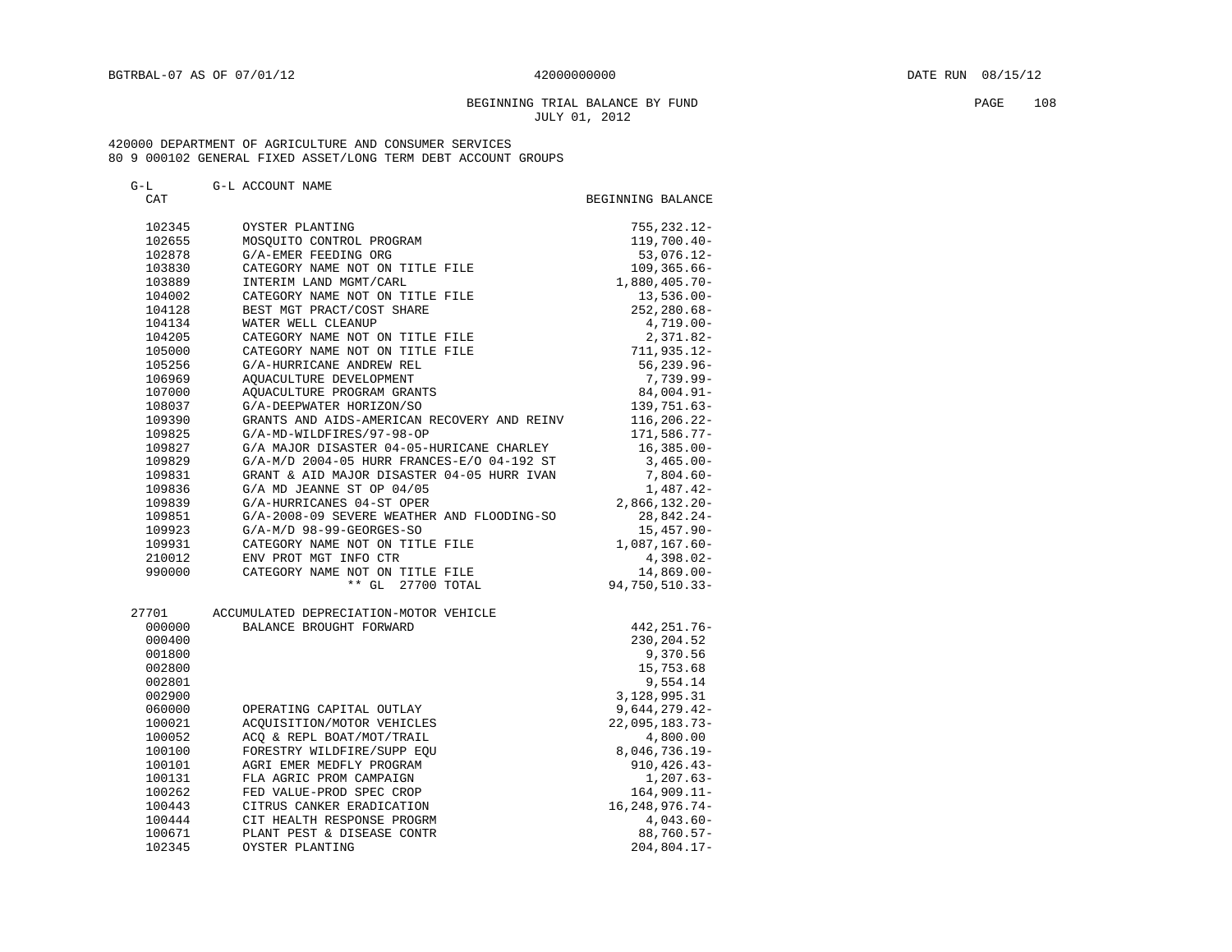# BEGINNING TRIAL BALANCE BY FUND PAGE 108 JULY 01, 2012

| $G-T$ |  | G-L ACCOUNT NAME |  |
|-------|--|------------------|--|
|-------|--|------------------|--|

| CAT    |                                                            | BEGINNING BALANCE              |
|--------|------------------------------------------------------------|--------------------------------|
| 102345 | OYSTER PLANTING                                            | 755, 232.12-                   |
| 102655 | MOSOUITO CONTROL PROGRAM                                   | 119,700.40-                    |
| 102878 | G/A-EMER FEEDING ORG                                       | 53,076.12-                     |
| 103830 | CATEGORY NAME NOT ON TITLE FILE                            | $109, 365.66 -$                |
| 103889 | INTERIM LAND MGMT/CARL                                     | $1,880,405.70-$                |
| 104002 | CATEGORY NAME NOT ON TITLE FILE                            | $13,536.00-$                   |
| 104128 | BEST MGT PRACT/COST SHARE                                  | $252, 280.68 -$                |
| 104134 | WATER WELL CLEANUP                                         | $4,719.00-$                    |
| 104205 | CATEGORY NAME NOT ON TITLE FILE                            | $2,371.82-$                    |
| 105000 | CATEGORY NAME NOT ON TITLE FILE                            | 711,935.12-                    |
| 105256 | G/A-HURRICANE ANDREW REL                                   | $56, 239.96 -$                 |
| 106969 | AQUACULTURE DEVELOPMENT                                    | 7,739.99-                      |
| 107000 | AOUACULTURE PROGRAM GRANTS                                 | $84,004.91 -$                  |
| 108037 | G/A-DEEPWATER HORIZON/SO                                   | 139,751.63-                    |
| 109390 | GRANTS AND AIDS-AMERICAN RECOVERY AND REINV                | 116,206.22-                    |
| 109825 | G/A-MD-WILDFIRES/97-98-OP                                  | 171,586.77-                    |
| 109827 | G/A MAJOR DISASTER 04-05-HURICANE CHARLEY                  | $16,385.00 -$                  |
| 109829 | G/A-M/D 2004-05 HURR FRANCES-E/O 04-192 ST                 | $3,465.00 -$                   |
| 109831 | GRANT & AID MAJOR DISASTER 04-05 HURR IVAN                 | $7,804.60 -$                   |
| 109836 | G/A MD JEANNE ST OP 04/05                                  | 1,487.42-                      |
| 109839 | G/A-HURRICANES 04-ST OPER                                  | $2,866,132.20 -$               |
| 109851 | G/A-2008-09 SEVERE WEATHER AND FLOODING-SO                 | 28,842.24-                     |
|        | G/A-M/D 98-99-GEORGES-SO                                   | $15,457.90 -$                  |
| 109923 | CATEGORY NAME NOT ON TITLE FILE                            | 1,087,167.60-                  |
| 109931 |                                                            |                                |
| 210012 | ENV PROT MGT INFO CTR                                      | $4,398.02-$                    |
| 990000 | CATEGORY NAME NOT ON TITLE FILE<br>$***$ GL<br>27700 TOTAL | $14,869.00-$<br>94,750,510.33- |
|        |                                                            |                                |
| 27701  | ACCUMULATED DEPRECIATION-MOTOR VEHICLE                     |                                |
| 000000 | BALANCE BROUGHT FORWARD                                    | 442, 251.76-                   |
| 000400 |                                                            | 230,204.52                     |
| 001800 |                                                            | 9,370.56                       |
| 002800 |                                                            | 15,753.68                      |
| 002801 |                                                            | 9,554.14                       |
| 002900 |                                                            | 3,128,995.31                   |
| 060000 | OPERATING CAPITAL OUTLAY                                   | $9,644,279.42-$                |
| 100021 | ACOUISITION/MOTOR VEHICLES                                 | 22,095,183.73-                 |
| 100052 | ACO & REPL BOAT/MOT/TRAIL                                  | 4,800.00                       |
| 100100 | FORESTRY WILDFIRE/SUPP EOU                                 | $8,046,736.19-$                |
| 100101 | AGRI EMER MEDFLY PROGRAM                                   | $910, 426.43 -$                |
| 100131 | FLA AGRIC PROM CAMPAIGN                                    | $1,207.63-$                    |
| 100262 | FED VALUE-PROD SPEC CROP                                   | $164,909.11-$                  |
| 100443 | CITRUS CANKER ERADICATION                                  | $16, 248, 976.74-$             |
| 100444 | CIT HEALTH RESPONSE PROGRM                                 | $4,043.60-$                    |
| 100671 | PLANT PEST & DISEASE CONTR                                 | $88,760.57 -$                  |
| 102345 | OYSTER PLANTING                                            | $204,804.17-$                  |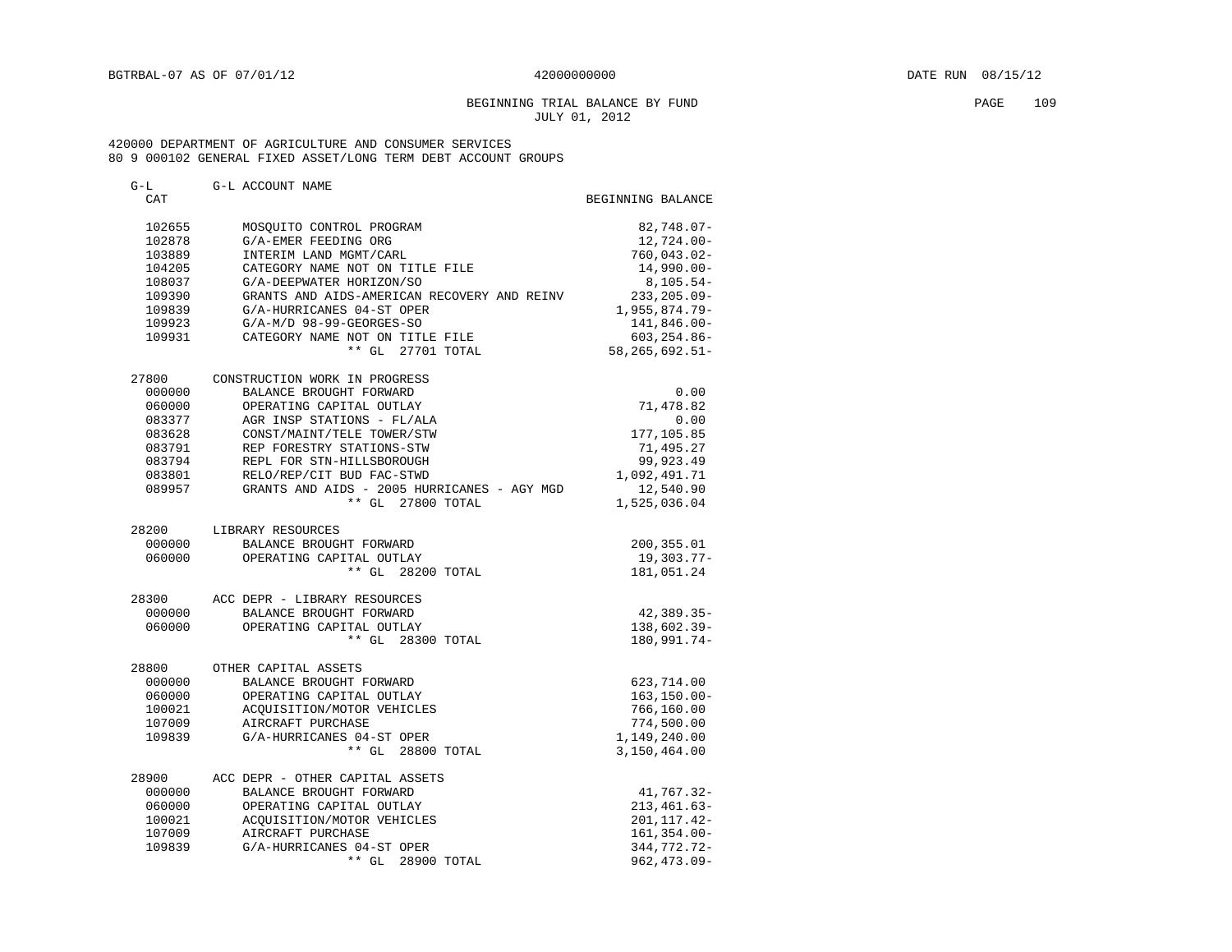#### BEGINNING TRIAL BALANCE BY FUND PAGE 109 JULY 01, 2012

#### 420000 DEPARTMENT OF AGRICULTURE AND CONSUMER SERVICES 80 9 000102 GENERAL FIXED ASSET/LONG TERM DEBT ACCOUNT GROUPS

| G-L<br>CAT      | G-L ACCOUNT NAME                                | BEGINNING BALANCE             |
|-----------------|-------------------------------------------------|-------------------------------|
| 102655          | MOSQUITO CONTROL PROGRAM                        | $82,748.07 -$                 |
| 102878          | G/A-EMER FEEDING ORG                            | 12,724.00-                    |
| 103889          | INTERIM LAND MGMT/CARL                          | $760,043.02 -$                |
| 104205          | CATEGORY NAME NOT ON TITLE FILE                 | $14,990.00 -$                 |
| 108037          | G/A-DEEPWATER HORIZON/SO                        | $8, 105.54 -$                 |
| 109390          | GRANTS AND AIDS-AMERICAN RECOVERY AND REINV     | $233, 205.09 -$               |
| 109839          | G/A-HURRICANES 04-ST OPER                       | $1,955,874.79-$               |
| 109923          | $G/A-M/D$ 98-99-GEORGES-SO                      | 141,846.00-                   |
| 109931          | CATEGORY NAME NOT ON TITLE FILE                 | $603, 254.86 -$               |
|                 | ** GL 27701 TOTAL                               | 58,265,692.51-                |
| 27800           | CONSTRUCTION WORK IN PROGRESS                   |                               |
| 000000          | BALANCE BROUGHT FORWARD                         | 0.00                          |
| 060000          | OPERATING CAPITAL OUTLAY                        | 71,478.82                     |
| 083377          | AGR INSP STATIONS - FL/ALA                      | 0.00                          |
| 083628          | CONST/MAINT/TELE TOWER/STW                      | 177,105.85                    |
| 083791          | REP FORESTRY STATIONS-STW                       | 71,495.27                     |
| 083794          | REPL FOR STN-HILLSBOROUGH                       | 99,923.49                     |
| 083801          | RELO/REP/CIT BUD FAC-STWD                       | 1,092,491.71                  |
| 089957          | GRANTS AND AIDS - 2005 HURRICANES - AGY MGD     | 12,540.90                     |
|                 | ** GL 27800 TOTAL                               | 1,525,036.04                  |
| 28200           | LIBRARY RESOURCES                               |                               |
| 000000          | BALANCE BROUGHT FORWARD                         | 200,355.01                    |
| 060000          | OPERATING CAPITAL OUTLAY                        | 19,303.77-                    |
|                 | ** GL 28200 TOTAL                               | 181,051.24                    |
| 28300           | ACC DEPR - LIBRARY RESOURCES                    |                               |
| 000000          | BALANCE BROUGHT FORWARD                         | 42,389.35-                    |
| 060000          | OPERATING CAPITAL OUTLAY                        | 138,602.39-                   |
|                 | ** GL 28300 TOTAL                               | 180,991.74-                   |
| 28800<br>000000 | OTHER CAPITAL ASSETS<br>BALANCE BROUGHT FORWARD |                               |
| 060000          | OPERATING CAPITAL OUTLAY                        | 623,714.00<br>$163, 150.00 -$ |
| 100021          |                                                 | 766,160.00                    |
| 107009          | ACQUISITION/MOTOR VEHICLES<br>AIRCRAFT PURCHASE | 774,500.00                    |
| 109839          | G/A-HURRICANES 04-ST OPER                       | 1,149,240.00                  |
|                 | ** GL 28800 TOTAL                               | 3,150,464.00                  |
| 28900           | ACC DEPR - OTHER CAPITAL ASSETS                 |                               |
| 000000          | BALANCE BROUGHT FORWARD                         | 41,767.32-                    |
| 060000          | OPERATING CAPITAL OUTLAY                        | $213, 461.63 -$               |
| 100021          | ACOUISITION/MOTOR VEHICLES                      | 201, 117. 42-                 |
| 107009          | AIRCRAFT PURCHASE                               | $161, 354.00 -$               |
| 109839          | G/A-HURRICANES 04-ST OPER                       | 344,772.72-                   |
|                 | ** GL<br>28900 TOTAL                            | $962, 473.09 -$               |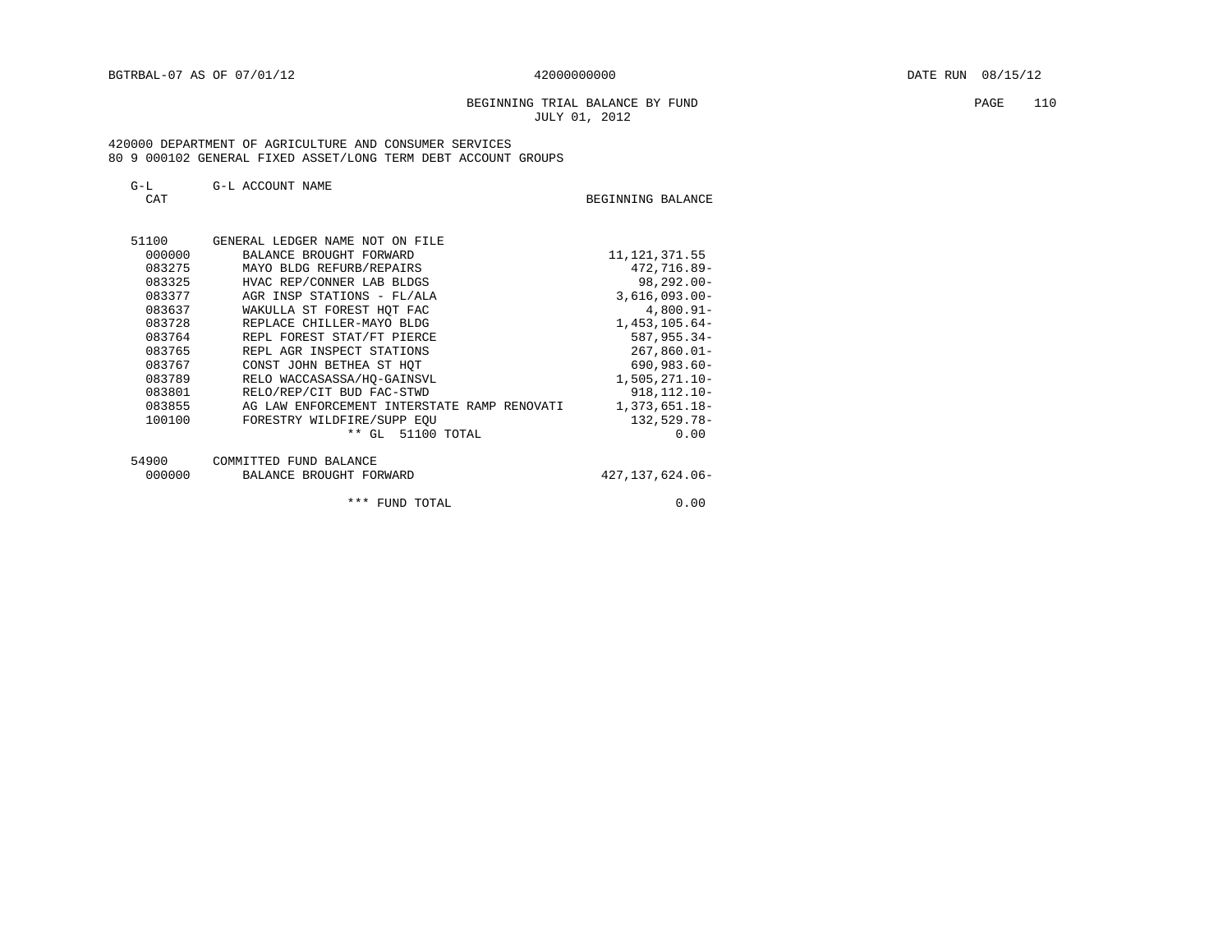BEGINNING TRIAL BALANCE BY FUND **PAGE** 110 JULY 01, 2012

#### 420000 DEPARTMENT OF AGRICULTURE AND CONSUMER SERVICES 80 9 000102 GENERAL FIXED ASSET/LONG TERM DEBT ACCOUNT GROUPS

| $\sim$<br>$\rightarrow$ $-$ | G-L ACCOUNT<br>NAME |                   |  |
|-----------------------------|---------------------|-------------------|--|
| ጣአጥ                         |                     | BEGINNING BALANCE |  |

| 51100  | GENERAL LEDGER NAME NOT ON FILE             |                  |
|--------|---------------------------------------------|------------------|
| 000000 | BALANCE BROUGHT FORWARD                     | 11, 121, 371.55  |
| 083275 | MAYO BLDG REFURB/REPAIRS                    | 472,716.89-      |
| 083325 | HVAC REP/CONNER LAB BLDGS                   | $98, 292, 00 -$  |
| 083377 | AGR INSP STATIONS - FL/ALA                  | $3,616,093.00 -$ |
| 083637 | WAKULLA ST FOREST HOT FAC                   | $4,800.91 -$     |
| 083728 | REPLACE CHILLER-MAYO BLDG                   | $1,453,105.64-$  |
| 083764 | REPL FOREST STAT/FT PIERCE                  | $587, 955.34 -$  |
| 083765 | REPL AGR INSPECT STATIONS                   | $267,860.01 -$   |
| 083767 | CONST JOHN BETHEA ST HOT                    | $690,983.60 -$   |
| 083789 | RELO WACCASASSA/HO-GAINSVL                  | $1,505,271.10-$  |
| 083801 | RELO/REP/CIT BUD FAC-STWD                   | $918, 112.10 -$  |
| 083855 | AG LAW ENFORCEMENT INTERSTATE RAMP RENOVATI | 1,373,651.18-    |
| 100100 | FORESTRY WILDFIRE/SUPP EOU                  | $132,529.78-$    |
|        | $***$<br>51100 TOTAL<br>GL.                 | 0.00             |

| - - - - - |                         |                 |
|-----------|-------------------------|-----------------|
| 000000    | BALANCE BROUGHT FORWARD | 427,137,624.06- |
|           |                         |                 |
|           |                         |                 |

\*\*\* FUND TOTAL 0.00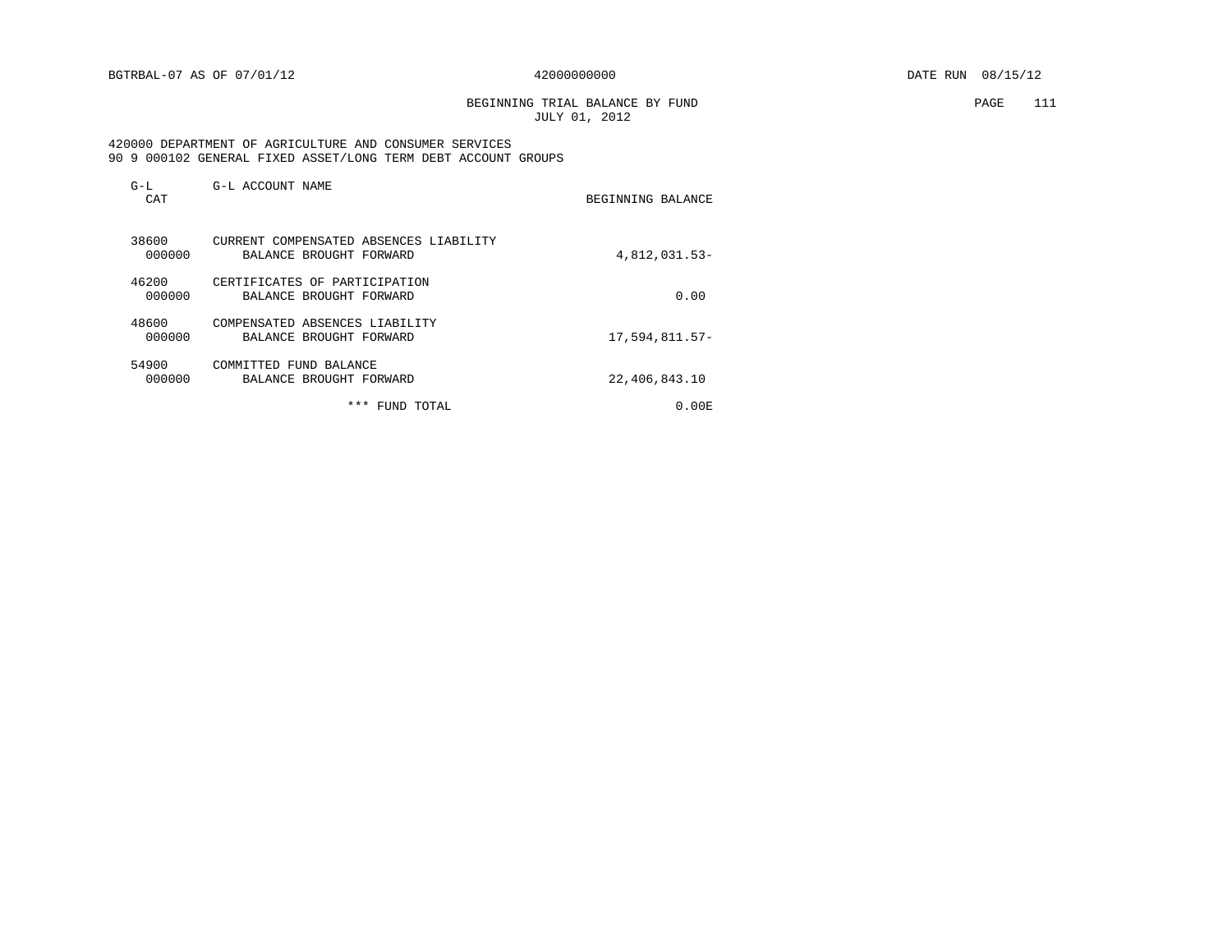BEGINNING TRIAL BALANCE BY FUND PAGE 111 JULY 01, 2012

#### 420000 DEPARTMENT OF AGRICULTURE AND CONSUMER SERVICES 90 9 000102 GENERAL FIXED ASSET/LONG TERM DEBT ACCOUNT GROUPS

| $G-L$<br>CAT    | G-L ACCOUNT NAME                                                  | BEGINNING BALANCE |
|-----------------|-------------------------------------------------------------------|-------------------|
| 38600<br>000000 | CURRENT COMPENSATED ABSENCES LIABILITY<br>BALANCE BROUGHT FORWARD | 4,812,031.53-     |
| 46200<br>000000 | CERTIFICATES OF PARTICIPATION<br>BALANCE BROUGHT FORWARD          | 0.00              |
| 48600<br>000000 | COMPENSATED ABSENCES LIABILITY<br>BALANCE BROUGHT FORWARD         | 17,594,811.57-    |
| 54900<br>000000 | COMMITTED FUND BALANCE<br>BALANCE BROUGHT FORWARD                 | 22,406,843.10     |
|                 | ***<br>FUND TOTAL                                                 | 0.00 E            |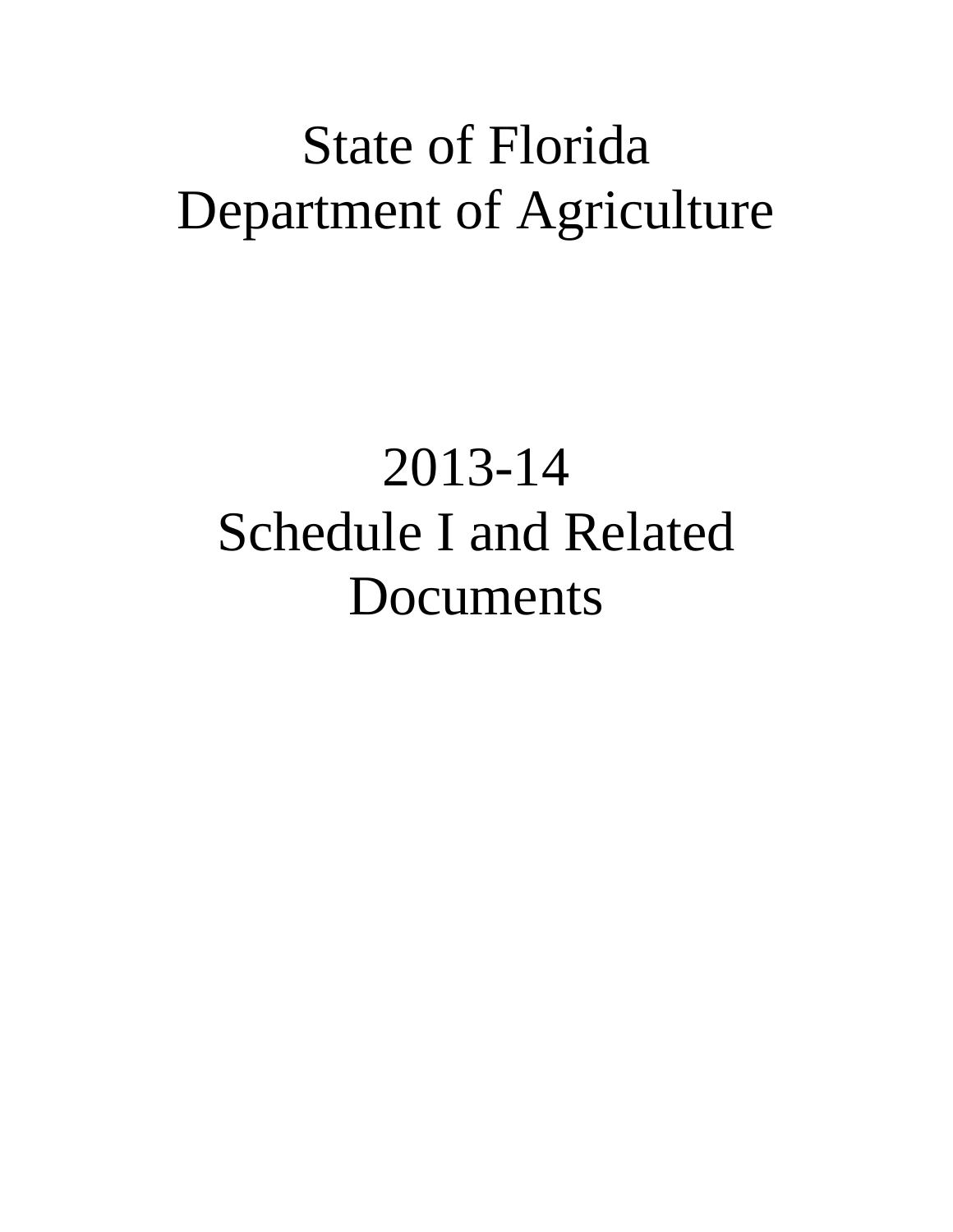# State of Florida Department of Agriculture

# 2013-14 Schedule I and Related Documents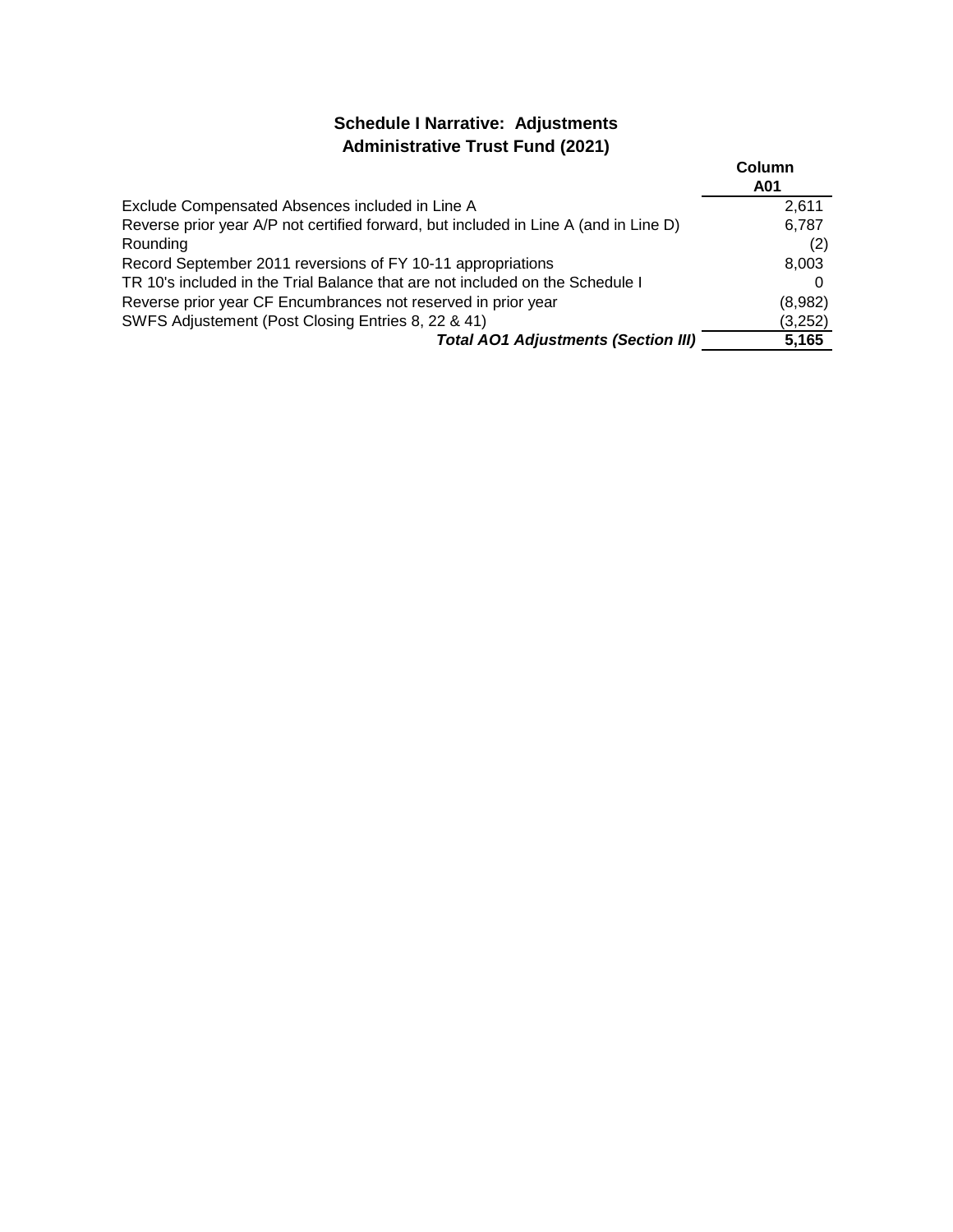# **Schedule I Narrative: Adjustments Administrative Trust Fund (2021)**

|                                                                                      | Column<br>A01 |
|--------------------------------------------------------------------------------------|---------------|
| Exclude Compensated Absences included in Line A                                      | 2.611         |
| Reverse prior year A/P not certified forward, but included in Line A (and in Line D) | 6,787         |
| Rounding                                                                             | (2)           |
| Record September 2011 reversions of FY 10-11 appropriations                          | 8,003         |
| TR 10's included in the Trial Balance that are not included on the Schedule I        |               |
| Reverse prior year CF Encumbrances not reserved in prior year                        | (8,982)       |
| SWFS Adjustement (Post Closing Entries 8, 22 & 41)                                   | (3,252)       |
| <b>Total AO1 Adjustments (Section III)</b>                                           | 5,165         |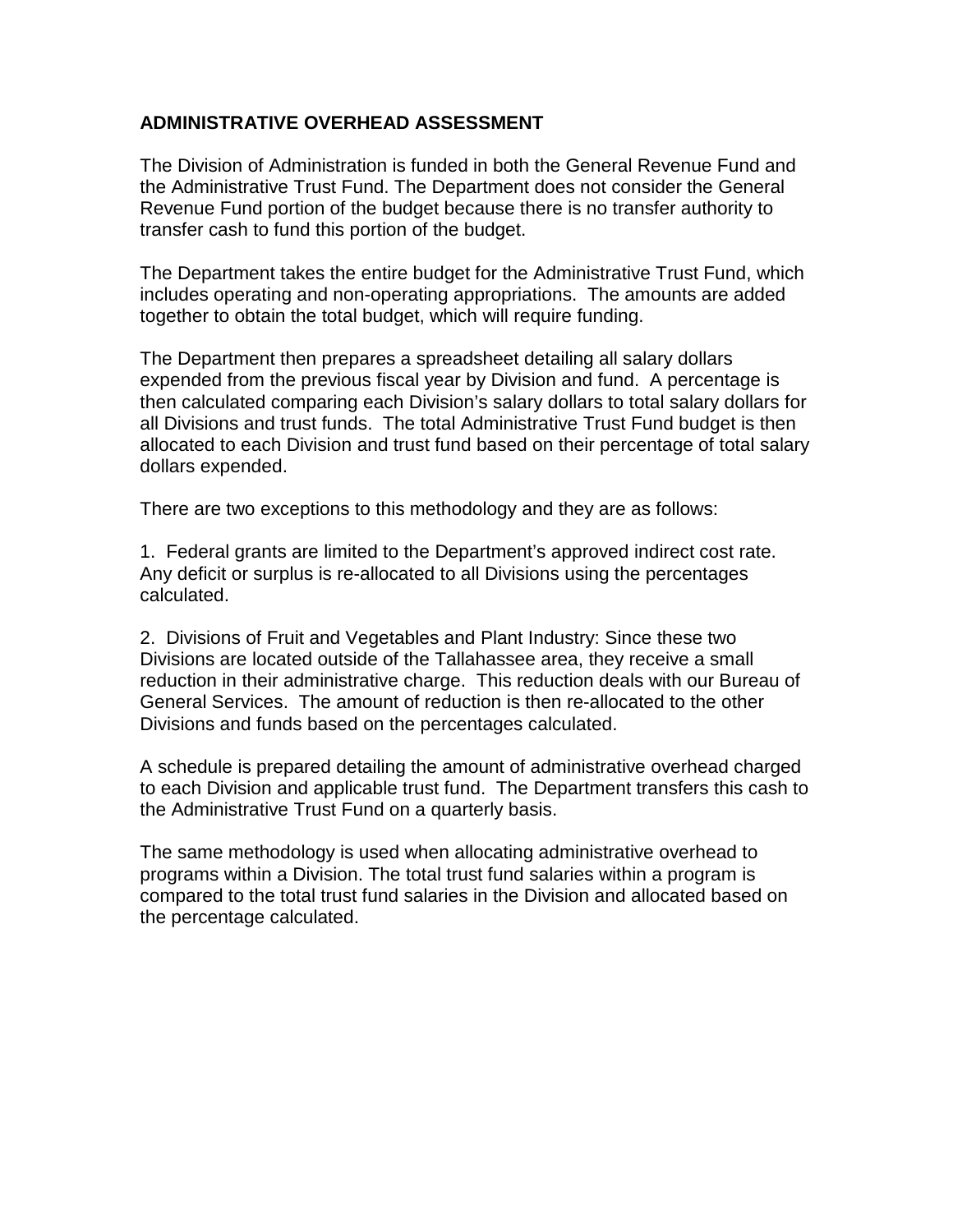# **ADMINISTRATIVE OVERHEAD ASSESSMENT**

The Division of Administration is funded in both the General Revenue Fund and the Administrative Trust Fund. The Department does not consider the General Revenue Fund portion of the budget because there is no transfer authority to transfer cash to fund this portion of the budget.

The Department takes the entire budget for the Administrative Trust Fund, which includes operating and non-operating appropriations. The amounts are added together to obtain the total budget, which will require funding.

The Department then prepares a spreadsheet detailing all salary dollars expended from the previous fiscal year by Division and fund. A percentage is then calculated comparing each Division's salary dollars to total salary dollars for all Divisions and trust funds. The total Administrative Trust Fund budget is then allocated to each Division and trust fund based on their percentage of total salary dollars expended.

There are two exceptions to this methodology and they are as follows:

1. Federal grants are limited to the Department's approved indirect cost rate. Any deficit or surplus is re-allocated to all Divisions using the percentages calculated.

2. Divisions of Fruit and Vegetables and Plant Industry: Since these two Divisions are located outside of the Tallahassee area, they receive a small reduction in their administrative charge. This reduction deals with our Bureau of General Services. The amount of reduction is then re-allocated to the other Divisions and funds based on the percentages calculated.

A schedule is prepared detailing the amount of administrative overhead charged to each Division and applicable trust fund. The Department transfers this cash to the Administrative Trust Fund on a quarterly basis.

The same methodology is used when allocating administrative overhead to programs within a Division. The total trust fund salaries within a program is compared to the total trust fund salaries in the Division and allocated based on the percentage calculated.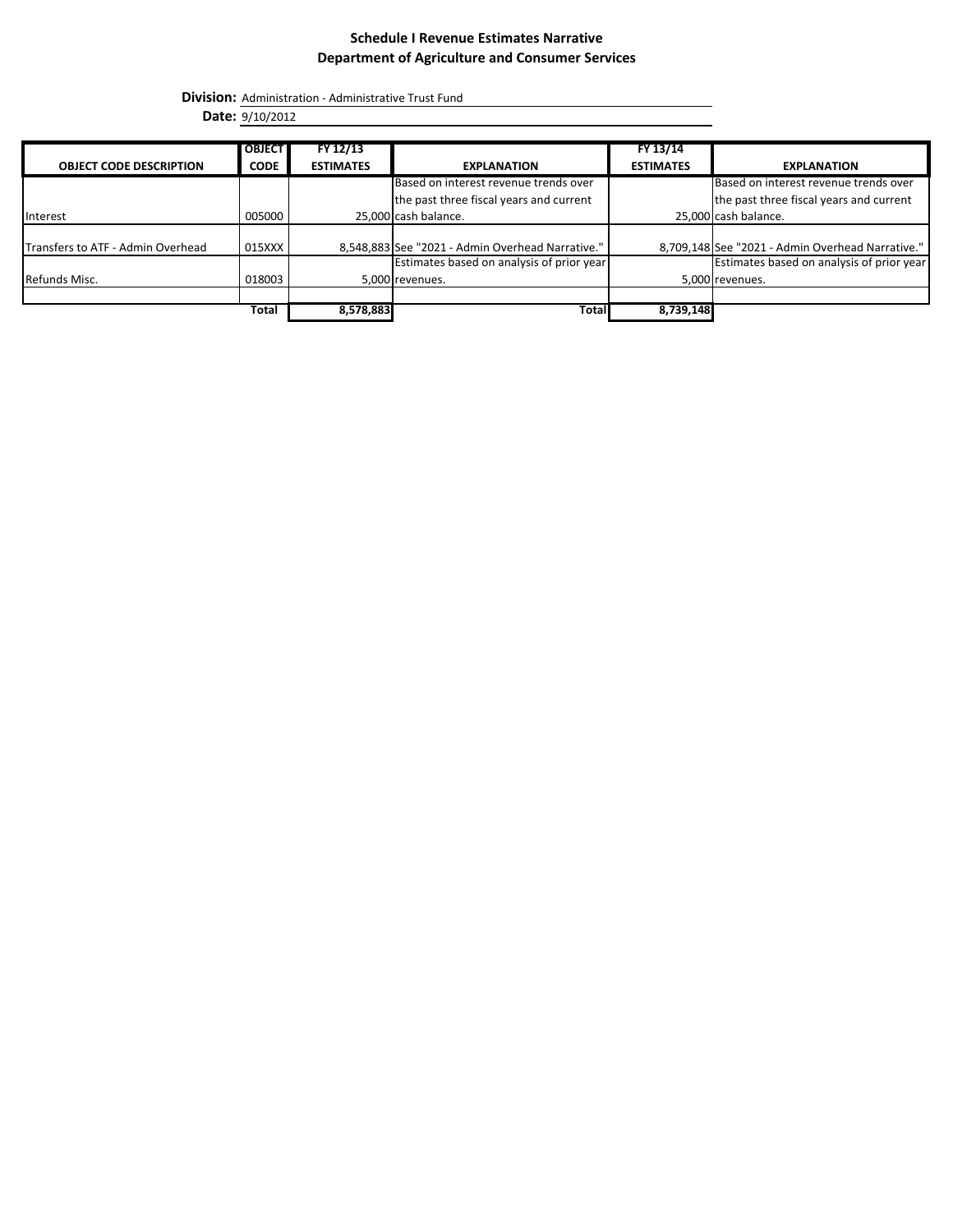**Division:** Administration - Administrative Trust Fund

**Date:** 9/10/2012

|                                   | <b>OBJECT</b> | FY 12/13         |                                                  | FY 13/14         |                                                  |
|-----------------------------------|---------------|------------------|--------------------------------------------------|------------------|--------------------------------------------------|
| <b>OBJECT CODE DESCRIPTION</b>    | <b>CODE</b>   | <b>ESTIMATES</b> | <b>EXPLANATION</b>                               | <b>ESTIMATES</b> | <b>EXPLANATION</b>                               |
|                                   |               |                  | Based on interest revenue trends over            |                  | Based on interest revenue trends over            |
|                                   |               |                  | the past three fiscal years and current          |                  | the past three fiscal years and current          |
| Interest                          | 005000        |                  | 25,000 cash balance.                             |                  | 25,000 cash balance.                             |
|                                   |               |                  |                                                  |                  |                                                  |
| Transfers to ATF - Admin Overhead | 015XXX        |                  | 8,548,883 See "2021 - Admin Overhead Narrative." |                  | 8,709,148 See "2021 - Admin Overhead Narrative." |
|                                   |               |                  | Estimates based on analysis of prior year        |                  | Estimates based on analysis of prior year        |
| Refunds Misc.                     | 018003        |                  | 5,000 revenues.                                  |                  | 5,000 revenues.                                  |
|                                   |               |                  |                                                  |                  |                                                  |
|                                   | Total         | 8,578,883        | Total                                            | 8,739,148        |                                                  |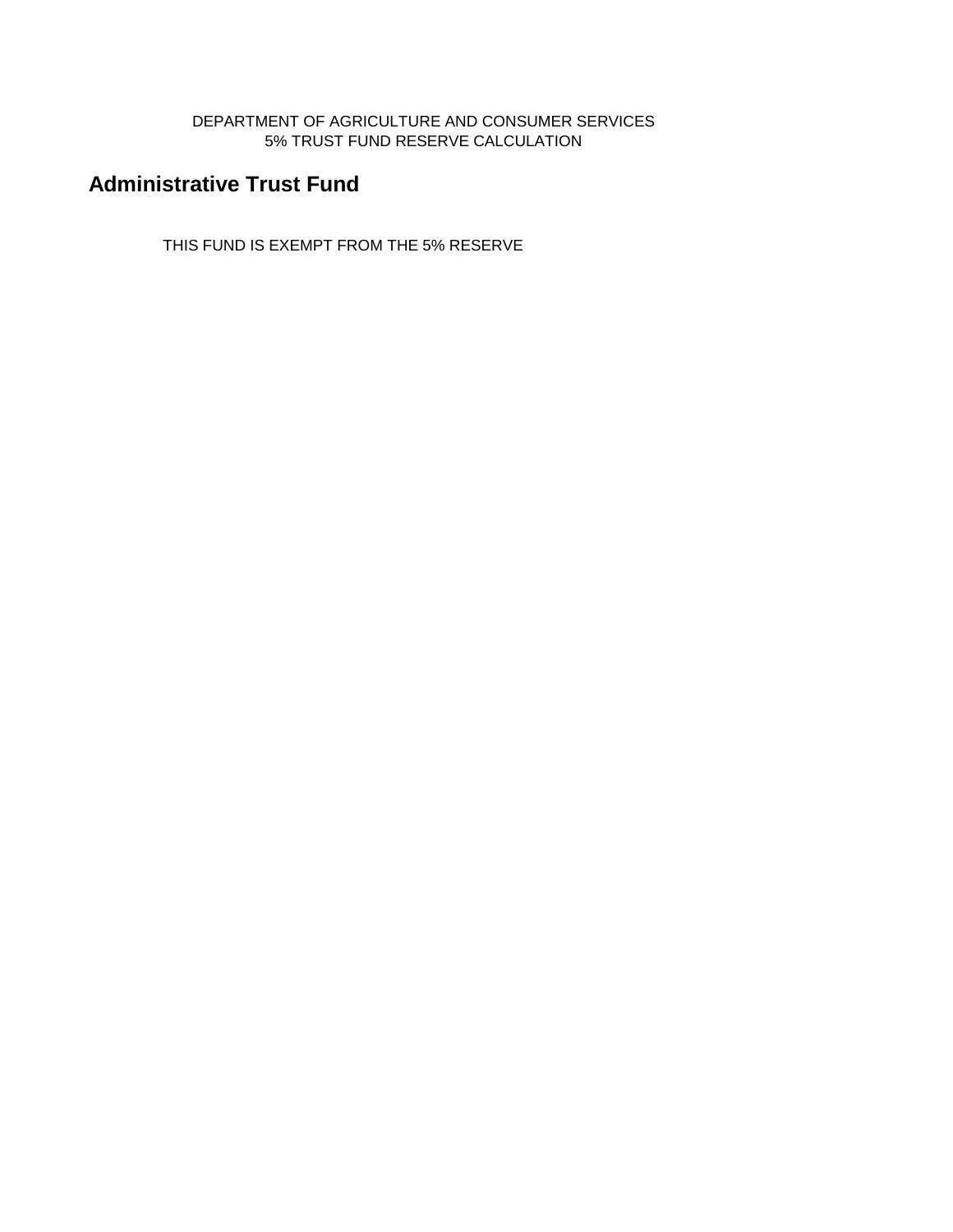DEPARTMENT OF AGRICULTURE AND CONSUMER SERVICES 5% TRUST FUND RESERVE CALCULATION

# **Administrative Trust Fund**

THIS FUND IS EXEMPT FROM THE 5% RESERVE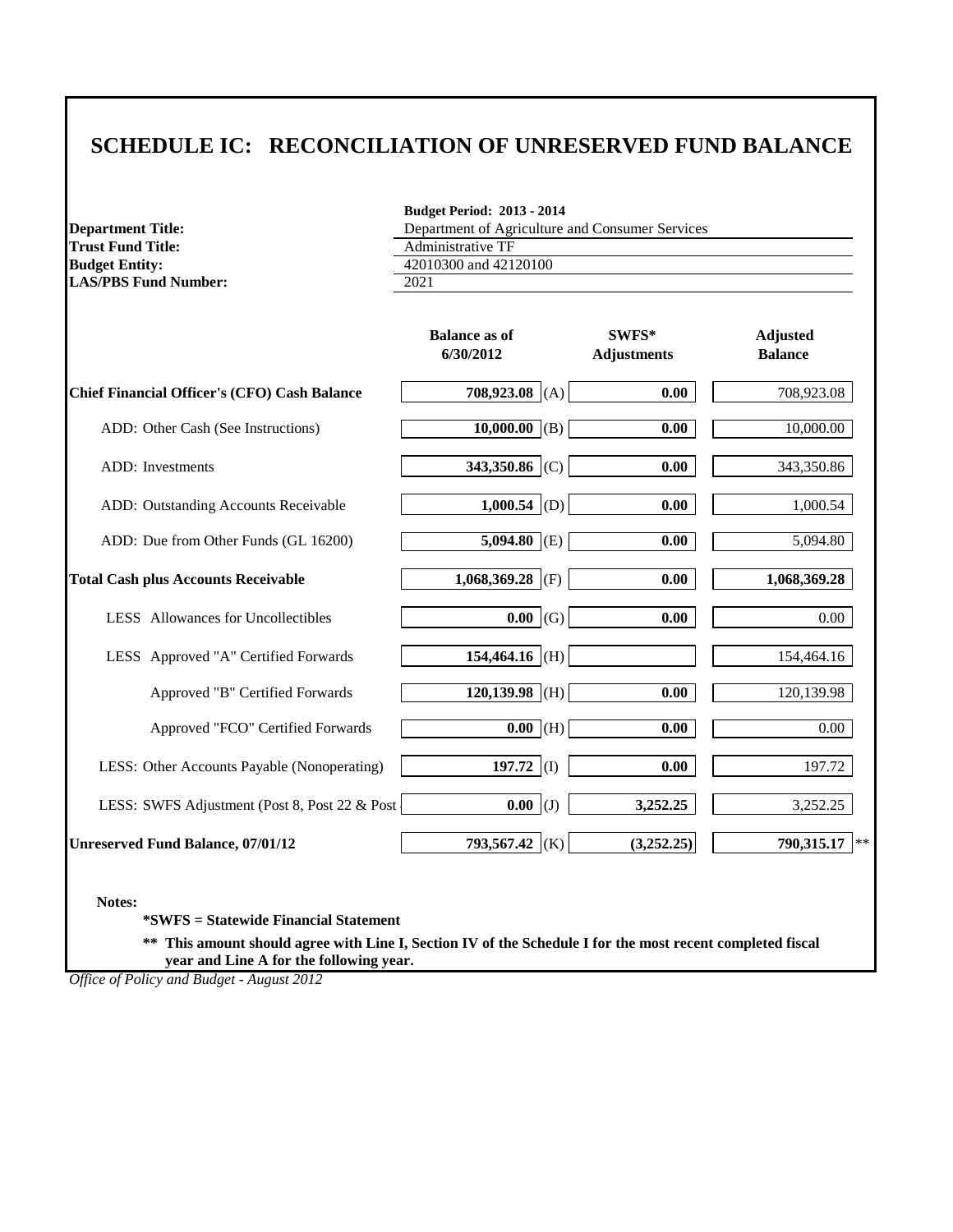# **SCHEDULE IC: RECONCILIATION OF UNRESERVED FUND BALANCE**

**Department Title: Trust Fund Title: Budget Entity: LAS/PBS Fund Number:** 2021

**Budget Period: 2013 - 2014**

Administrative TF 42010300 and 42120100 Department of Agriculture and Consumer Services

|                                                     | <b>Balance as of</b><br>6/30/2012 | SWFS*<br><b>Adjustments</b> | <b>Adjusted</b><br><b>Balance</b> |
|-----------------------------------------------------|-----------------------------------|-----------------------------|-----------------------------------|
| <b>Chief Financial Officer's (CFO) Cash Balance</b> | 708,923.08 (A)                    | 0.00                        | 708,923.08                        |
| ADD: Other Cash (See Instructions)                  | 10,000.00 (B)                     | 0.00                        | 10,000.00                         |
| ADD: Investments                                    | 343,350.86 (C)                    | 0.00                        | 343,350.86                        |
| ADD: Outstanding Accounts Receivable                | 1,000.54 (D)                      | 0.00                        | 1,000.54                          |
| ADD: Due from Other Funds (GL 16200)                | $\overline{5,094.80}$ (E)         | 0.00                        | 5,094.80                          |
| <b>Total Cash plus Accounts Receivable</b>          | 1,068,369.28 (F)                  | 0.00                        | 1,068,369.28                      |
| LESS Allowances for Uncollectibles                  | $0.00 \mid (G)$                   | 0.00                        | 0.00                              |
| LESS Approved "A" Certified Forwards                | 154,464.16 (H)                    |                             | 154,464.16                        |
| Approved "B" Certified Forwards                     | $120,139.98$ (H)                  | 0.00                        | 120,139.98                        |
| Approved "FCO" Certified Forwards                   | $\overline{0.00}$ (H)             | 0.00                        | 0.00                              |
| LESS: Other Accounts Payable (Nonoperating)         | 197.72 (I)                        | 0.00                        | 197.72                            |
| LESS: SWFS Adjustment (Post 8, Post 22 & Post       | $0.00$ (J)                        | 3,252.25                    | 3,252.25                          |
| <b>Unreserved Fund Balance, 07/01/12</b>            | 793,567.42 (K)                    | (3,252.25)                  | 790,315.17<br>$*$                 |

**Notes:**

**\*SWFS = Statewide Financial Statement** 

**\*\* This amount should agree with Line I, Section IV of the Schedule I for the most recent completed fiscal year and Line A for the following year.**

*Office of Policy and Budget - August 2012*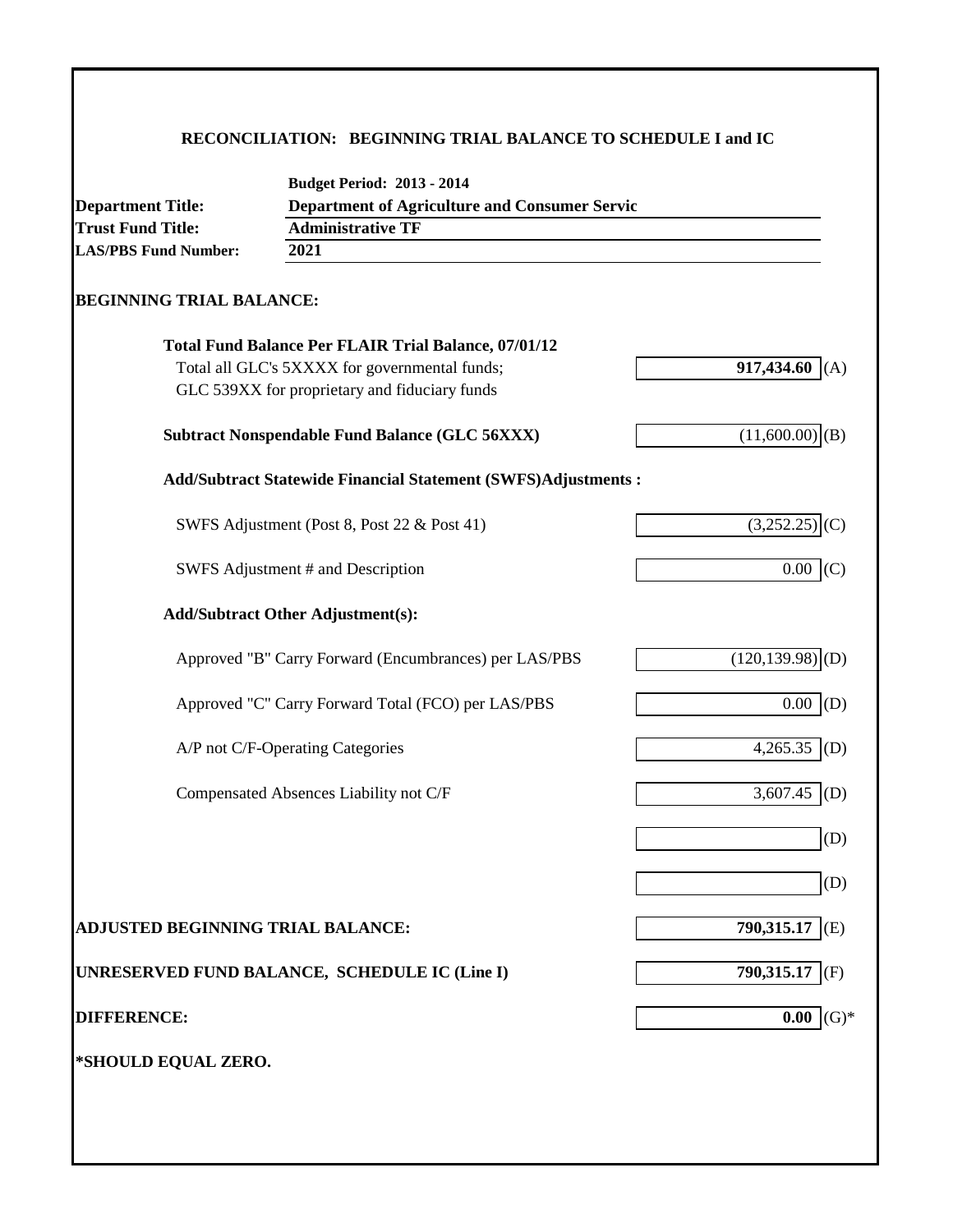# **RECONCILIATION: BEGINNING TRIAL BALANCE TO SCHEDULE I and IC**

| <b>Department of Agriculture and Consumer Servic</b><br><b>Department Title:</b> |                                                                      |                                |  |  |
|----------------------------------------------------------------------------------|----------------------------------------------------------------------|--------------------------------|--|--|
| <b>Trust Fund Title:</b>                                                         | <b>Administrative TF</b>                                             |                                |  |  |
| <b>LAS/PBS Fund Number:</b>                                                      | 2021                                                                 |                                |  |  |
| <b>BEGINNING TRIAL BALANCE:</b>                                                  |                                                                      |                                |  |  |
|                                                                                  | <b>Total Fund Balance Per FLAIR Trial Balance, 07/01/12</b>          |                                |  |  |
|                                                                                  | Total all GLC's 5XXXX for governmental funds;                        | 917,434.60<br>(A)              |  |  |
|                                                                                  | GLC 539XX for proprietary and fiduciary funds                        |                                |  |  |
|                                                                                  | <b>Subtract Nonspendable Fund Balance (GLC 56XXX)</b>                | $(11,600.00)$ (B)              |  |  |
|                                                                                  | <b>Add/Subtract Statewide Financial Statement (SWFS)Adjustments:</b> |                                |  |  |
|                                                                                  | SWFS Adjustment (Post 8, Post 22 & Post 41)                          | $(3,252.25)$ <sub>(C)</sub>    |  |  |
|                                                                                  | SWFS Adjustment # and Description                                    | 0.00<br>(C)                    |  |  |
|                                                                                  | <b>Add/Subtract Other Adjustment(s):</b>                             |                                |  |  |
|                                                                                  | Approved "B" Carry Forward (Encumbrances) per LAS/PBS                | $(120, 139.98)$ <sub>(D)</sub> |  |  |
|                                                                                  | Approved "C" Carry Forward Total (FCO) per LAS/PBS                   | $0.00\,$<br>(D)                |  |  |
|                                                                                  | A/P not C/F-Operating Categories                                     | 4,265.35 (D)                   |  |  |
|                                                                                  | Compensated Absences Liability not C/F                               | 3,607.45<br>(D)                |  |  |
|                                                                                  |                                                                      | (D)                            |  |  |
|                                                                                  |                                                                      | (D)                            |  |  |
| ADJUSTED BEGINNING TRIAL BALANCE:                                                |                                                                      | 790,315.17 (E)                 |  |  |
|                                                                                  | UNRESERVED FUND BALANCE, SCHEDULE IC (Line I)                        | 790,315.17<br>(F)              |  |  |
| <b>DIFFERENCE:</b>                                                               |                                                                      | $(G)*$<br>0.00                 |  |  |
| *SHOULD EQUAL ZERO.                                                              |                                                                      |                                |  |  |
|                                                                                  |                                                                      |                                |  |  |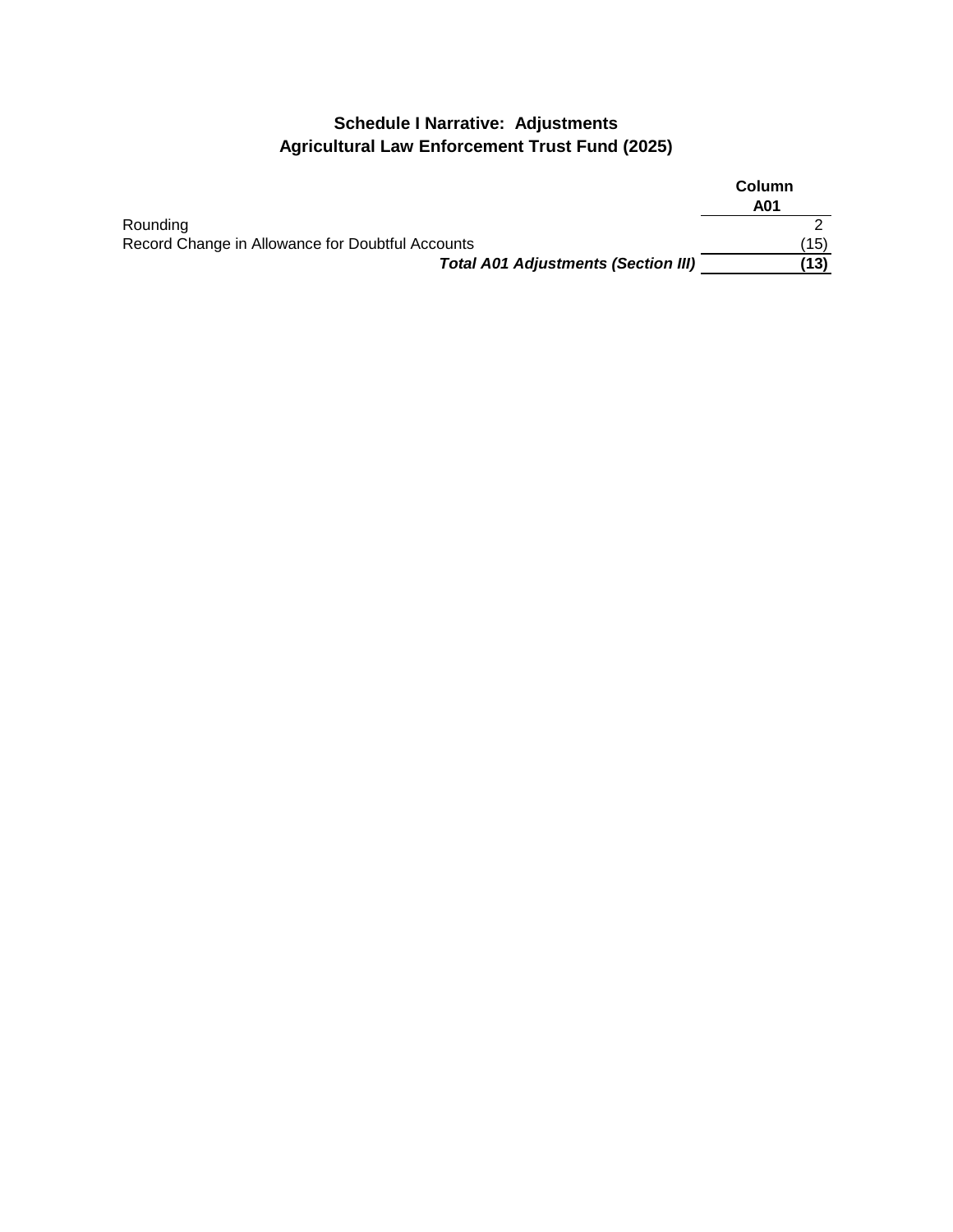# **Schedule I Narrative: Adjustments Agricultural Law Enforcement Trust Fund (2025)**

|                                                  | <b>Column</b><br>A01 |
|--------------------------------------------------|----------------------|
| Rounding                                         |                      |
| Record Change in Allowance for Doubtful Accounts | (15)                 |
| <b>Total A01 Adjustments (Section III)</b>       | (13)                 |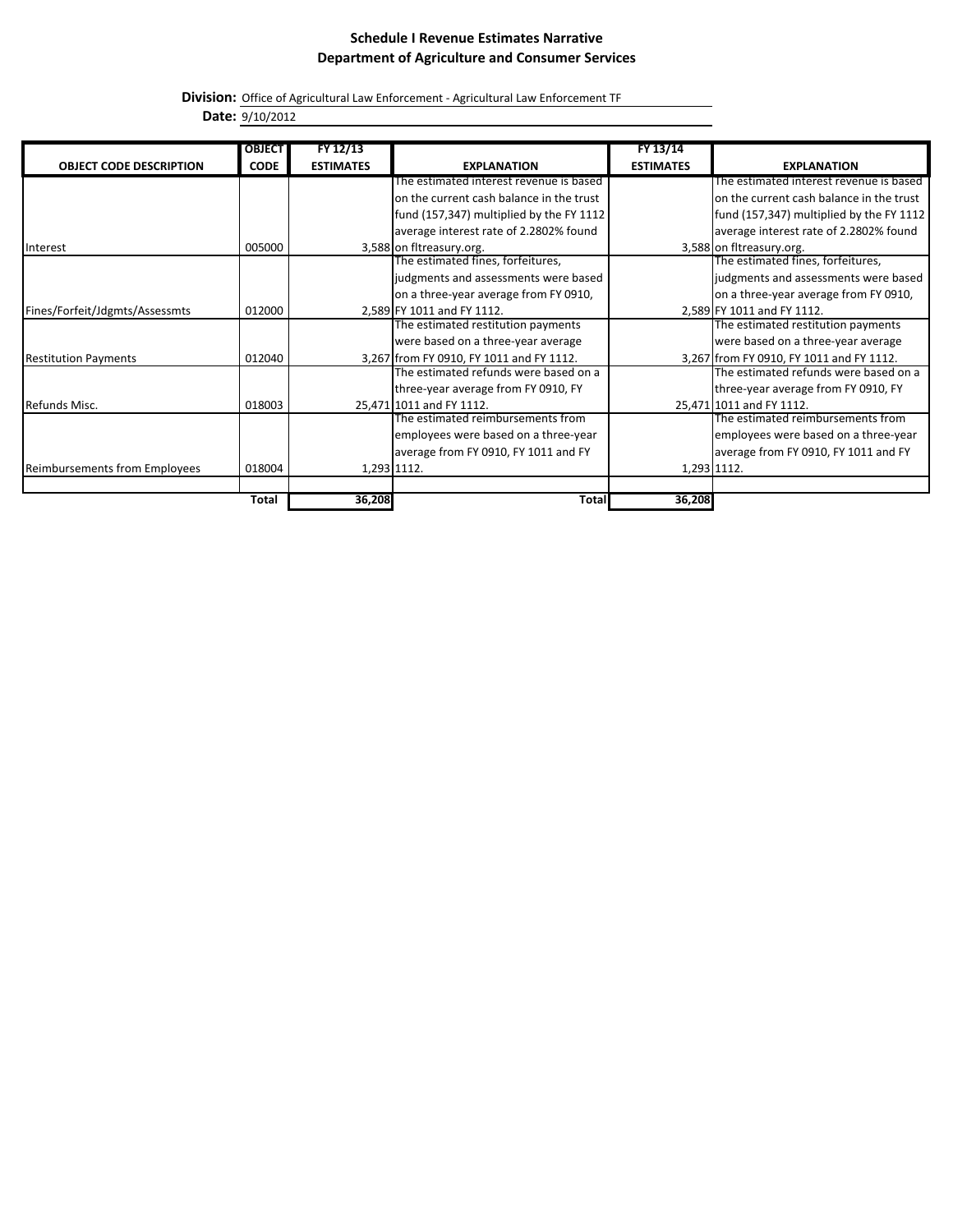**Division:** Office of Agricultural Law Enforcement - Agricultural Law Enforcement TF

**Date:** 9/10/2012

|                                      | <b>OBJECT</b> | FY 12/13         |                                          | FY 13/14         |                                          |
|--------------------------------------|---------------|------------------|------------------------------------------|------------------|------------------------------------------|
| <b>OBJECT CODE DESCRIPTION</b>       | <b>CODE</b>   | <b>ESTIMATES</b> | <b>EXPLANATION</b>                       | <b>ESTIMATES</b> | <b>EXPLANATION</b>                       |
|                                      |               |                  | The estimated interest revenue is based  |                  | The estimated interest revenue is based  |
|                                      |               |                  | on the current cash balance in the trust |                  | on the current cash balance in the trust |
|                                      |               |                  | fund (157,347) multiplied by the FY 1112 |                  | fund (157,347) multiplied by the FY 1112 |
|                                      |               |                  | average interest rate of 2.2802% found   |                  | average interest rate of 2.2802% found   |
| Interest                             | 005000        |                  | 3,588 on fitreasury.org.                 |                  | 3,588 on fitreasury.org.                 |
|                                      |               |                  | The estimated fines, forfeitures,        |                  | The estimated fines, forfeitures,        |
|                                      |               |                  | judgments and assessments were based     |                  | judgments and assessments were based     |
|                                      |               |                  | on a three-year average from FY 0910,    |                  | on a three-year average from FY 0910,    |
| Fines/Forfeit/Jdgmts/Assessmts       | 012000        |                  | 2,589 FY 1011 and FY 1112.               |                  | 2,589 FY 1011 and FY 1112.               |
|                                      |               |                  | The estimated restitution payments       |                  | The estimated restitution payments       |
|                                      |               |                  | were based on a three-year average       |                  | were based on a three-year average       |
| <b>Restitution Payments</b>          | 012040        |                  | 3,267 from FY 0910, FY 1011 and FY 1112. |                  | 3,267 from FY 0910, FY 1011 and FY 1112. |
|                                      |               |                  | The estimated refunds were based on a    |                  | The estimated refunds were based on a    |
|                                      |               |                  | three-year average from FY 0910, FY      |                  | three-year average from FY 0910, FY      |
| Refunds Misc.                        | 018003        |                  | 25,471 1011 and FY 1112.                 |                  | 25,471 1011 and FY 1112.                 |
|                                      |               |                  | The estimated reimbursements from        |                  | The estimated reimbursements from        |
|                                      |               |                  | employees were based on a three-year     |                  | employees were based on a three-year     |
|                                      |               |                  | average from FY 0910, FY 1011 and FY     |                  | average from FY 0910, FY 1011 and FY     |
| <b>Reimbursements from Employees</b> | 018004        |                  | 1,293 1112.                              | 1,293 1112.      |                                          |
|                                      |               |                  |                                          |                  |                                          |
|                                      | <b>Total</b>  | 36,208           | Total                                    | 36,208           |                                          |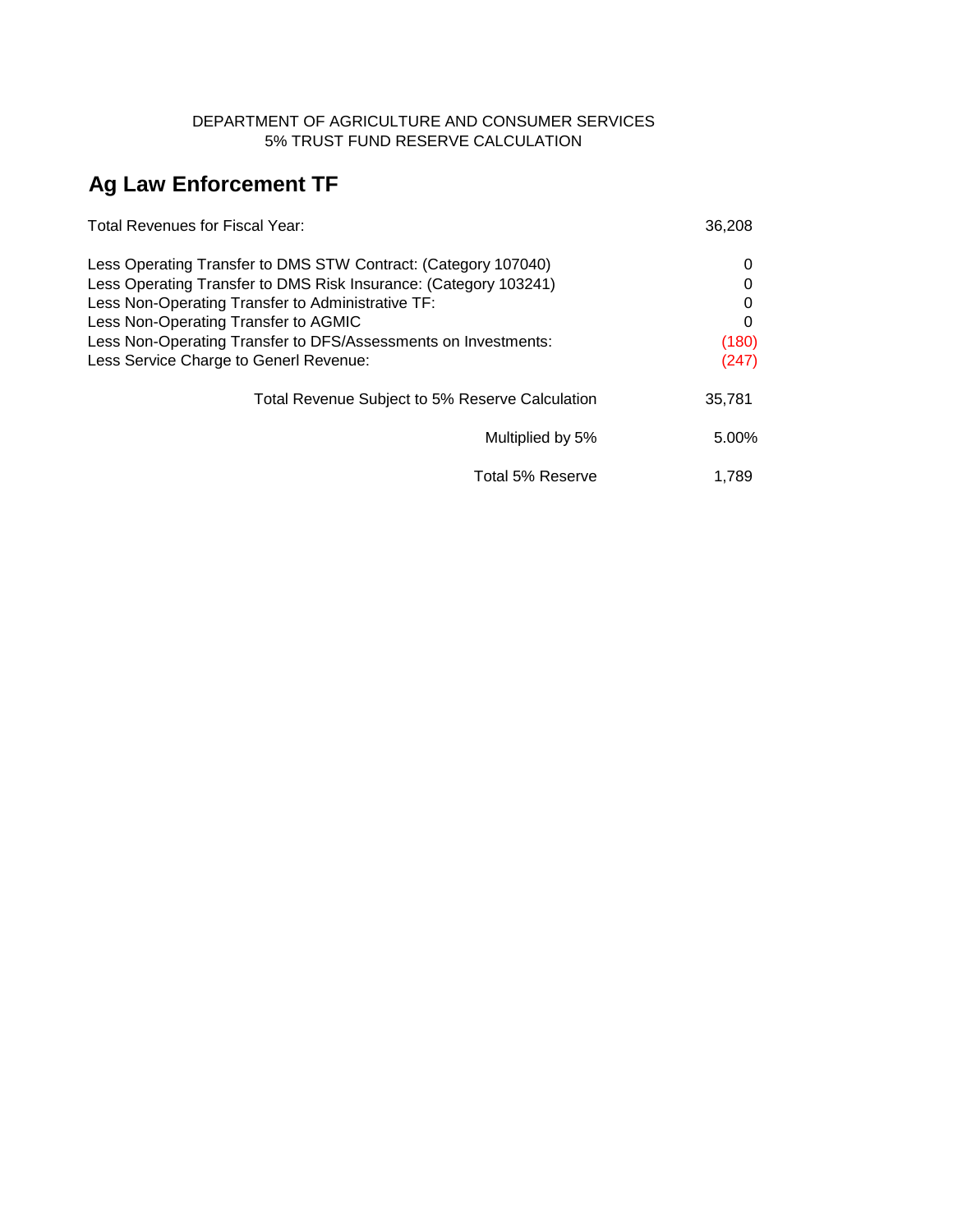### DEPARTMENT OF AGRICULTURE AND CONSUMER SERVICES 5% TRUST FUND RESERVE CALCULATION

# **Ag Law Enforcement TF**

| Total Revenues for Fiscal Year:                                  | 36,208 |
|------------------------------------------------------------------|--------|
| Less Operating Transfer to DMS STW Contract: (Category 107040)   | 0      |
| Less Operating Transfer to DMS Risk Insurance: (Category 103241) | 0      |
| Less Non-Operating Transfer to Administrative TF:                | 0      |
| Less Non-Operating Transfer to AGMIC                             | 0      |
| Less Non-Operating Transfer to DFS/Assessments on Investments:   | (180)  |
| Less Service Charge to Generl Revenue:                           | (247)  |
| Total Revenue Subject to 5% Reserve Calculation                  | 35,781 |
| Multiplied by 5%                                                 | 5.00%  |
| Total 5% Reserve                                                 | 1.789  |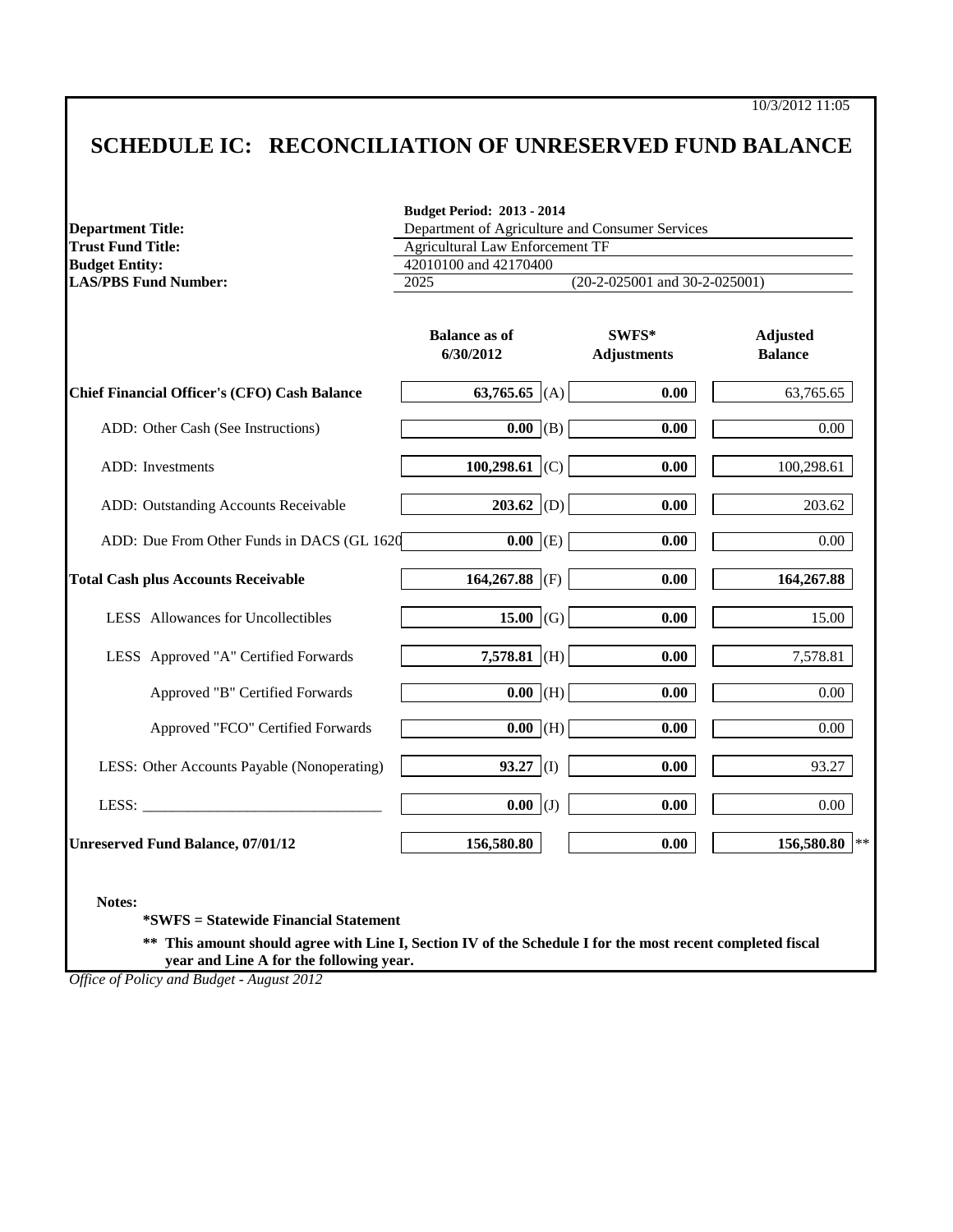# **SCHEDULE IC: RECONCILIATION OF UNRESERVED FUND BALANCE**

|                                                     | <b>Budget Period: 2013 - 2014</b>               |                                 |                                   |  |  |  |
|-----------------------------------------------------|-------------------------------------------------|---------------------------------|-----------------------------------|--|--|--|
| <b>Department Title:</b>                            | Department of Agriculture and Consumer Services |                                 |                                   |  |  |  |
| <b>Trust Fund Title:</b>                            | <b>Agricultural Law Enforcement TF</b>          |                                 |                                   |  |  |  |
| <b>Budget Entity:</b>                               | 42010100 and 42170400                           |                                 |                                   |  |  |  |
| <b>LAS/PBS Fund Number:</b>                         | 2025                                            | $(20-2-025001$ and 30-2-025001) |                                   |  |  |  |
|                                                     | <b>Balance as of</b><br>6/30/2012               | SWFS*<br><b>Adjustments</b>     | <b>Adjusted</b><br><b>Balance</b> |  |  |  |
| <b>Chief Financial Officer's (CFO) Cash Balance</b> | 63,765.65 (A)                                   | 0.00                            | 63,765.65                         |  |  |  |
| ADD: Other Cash (See Instructions)                  | $\overline{0.00}$ (B)                           | 0.00                            | 0.00                              |  |  |  |
| ADD: Investments                                    | 100,298.61 (C)                                  | 0.00                            | 100,298.61                        |  |  |  |
| ADD: Outstanding Accounts Receivable                | 203.62 (D)                                      | 0.00                            | 203.62                            |  |  |  |
| ADD: Due From Other Funds in DACS (GL 1620          | $0.00$ (E)                                      | 0.00                            | 0.00                              |  |  |  |
| <b>Total Cash plus Accounts Receivable</b>          | 164,267.88 (F)                                  | 0.00                            | 164,267.88                        |  |  |  |
| LESS Allowances for Uncollectibles                  | 15.00 (G)                                       | 0.00                            | 15.00                             |  |  |  |
| LESS Approved "A" Certified Forwards                | $7,578.81$ (H)                                  | 0.00                            | 7,578.81                          |  |  |  |
| Approved "B" Certified Forwards                     | $\overline{0.00}$ (H)                           | 0.00                            | 0.00                              |  |  |  |
| Approved "FCO" Certified Forwards                   | $0.00$ (H)                                      | 0.00                            | 0.00                              |  |  |  |
| LESS: Other Accounts Payable (Nonoperating)         | $93.27$ (I)                                     | 0.00                            | 93.27                             |  |  |  |
| LESS: $\_$                                          | $0.00$ (J)                                      | 0.00                            | 0.00                              |  |  |  |
| <b>Unreserved Fund Balance, 07/01/12</b>            | 156,580.80                                      | 0.00                            | 156,580.80                        |  |  |  |

**Notes:**

**\*SWFS = Statewide Financial Statement** 

**\*\* This amount should agree with Line I, Section IV of the Schedule I for the most recent completed fiscal year and Line A for the following year.**

*Office of Policy and Budget - August 2012*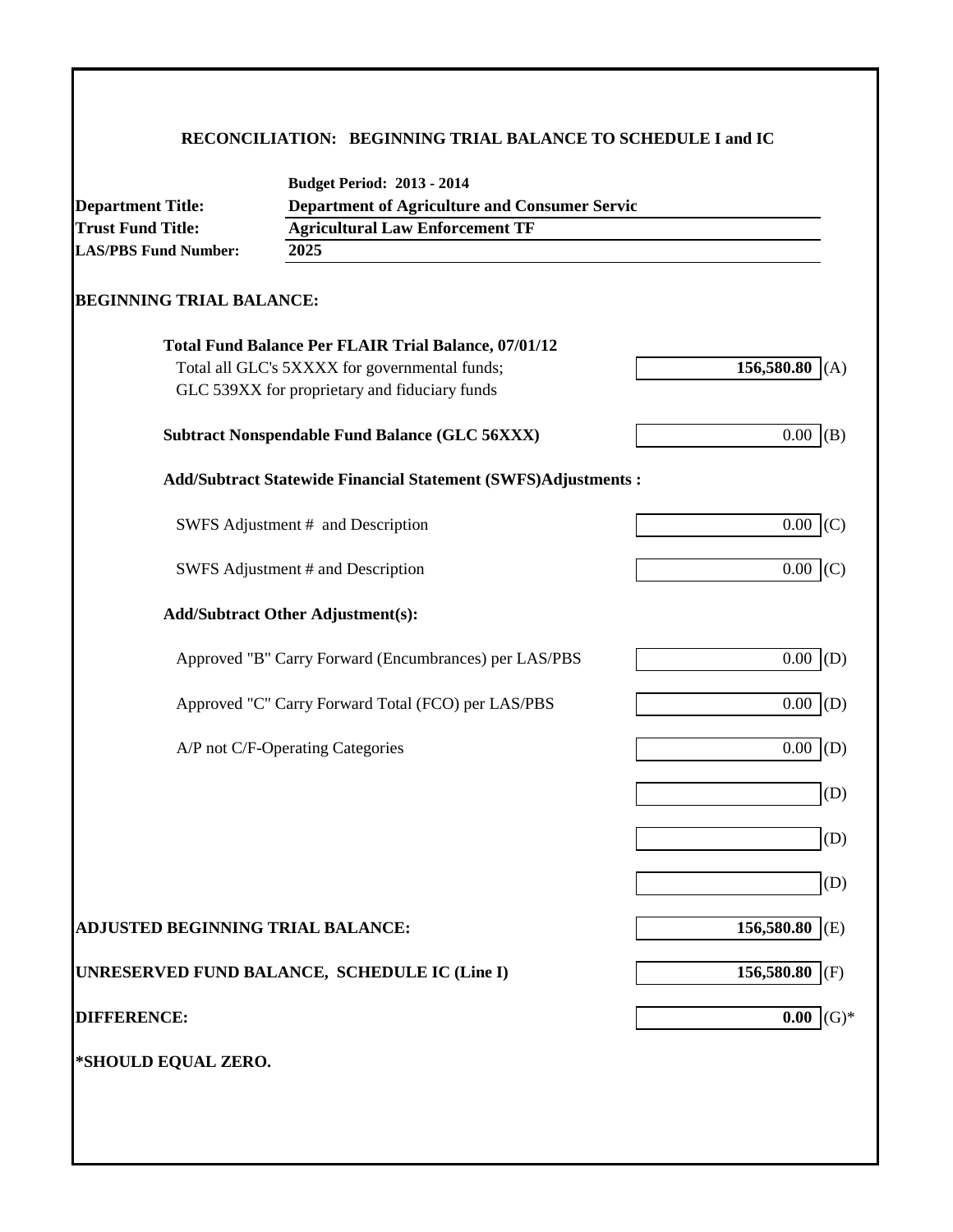# **RECONCILIATION: BEGINNING TRIAL BALANCE TO SCHEDULE I and IC**

| <b>Department Title:</b>                 | Department of Agriculture and Consumer Servic                        |                   |  |  |  |  |
|------------------------------------------|----------------------------------------------------------------------|-------------------|--|--|--|--|
| <b>Trust Fund Title:</b>                 | <b>Agricultural Law Enforcement TF</b>                               |                   |  |  |  |  |
| <b>LAS/PBS Fund Number:</b>              | 2025                                                                 |                   |  |  |  |  |
| <b>BEGINNING TRIAL BALANCE:</b>          |                                                                      |                   |  |  |  |  |
|                                          | <b>Total Fund Balance Per FLAIR Trial Balance, 07/01/12</b>          |                   |  |  |  |  |
|                                          | Total all GLC's 5XXXX for governmental funds;                        | 156,580.80<br>(A) |  |  |  |  |
|                                          | GLC 539XX for proprietary and fiduciary funds                        |                   |  |  |  |  |
|                                          | <b>Subtract Nonspendable Fund Balance (GLC 56XXX)</b>                | 0.00<br>(B)       |  |  |  |  |
|                                          | <b>Add/Subtract Statewide Financial Statement (SWFS)Adjustments:</b> |                   |  |  |  |  |
|                                          | SWFS Adjustment # and Description                                    | 0.00<br>(C)       |  |  |  |  |
|                                          | SWFS Adjustment # and Description                                    | $0.00\,$<br>(C)   |  |  |  |  |
|                                          | <b>Add/Subtract Other Adjustment(s):</b>                             |                   |  |  |  |  |
|                                          | Approved "B" Carry Forward (Encumbrances) per LAS/PBS                | $0.00\,$<br>(D)   |  |  |  |  |
|                                          | Approved "C" Carry Forward Total (FCO) per LAS/PBS                   | 0.00<br>(D)       |  |  |  |  |
|                                          | A/P not C/F-Operating Categories                                     | 0.00<br>(D)       |  |  |  |  |
|                                          |                                                                      | (D)               |  |  |  |  |
|                                          |                                                                      | (D)               |  |  |  |  |
|                                          |                                                                      | (D)               |  |  |  |  |
| <b>ADJUSTED BEGINNING TRIAL BALANCE:</b> |                                                                      | 156,580.80<br>(E) |  |  |  |  |
|                                          | UNRESERVED FUND BALANCE, SCHEDULE IC (Line I)                        | 156,580.80<br>(F) |  |  |  |  |
| <b>DIFFERENCE:</b>                       |                                                                      | $(G)*$<br>0.00    |  |  |  |  |
| *SHOULD EQUAL ZERO.                      |                                                                      |                   |  |  |  |  |
|                                          |                                                                      |                   |  |  |  |  |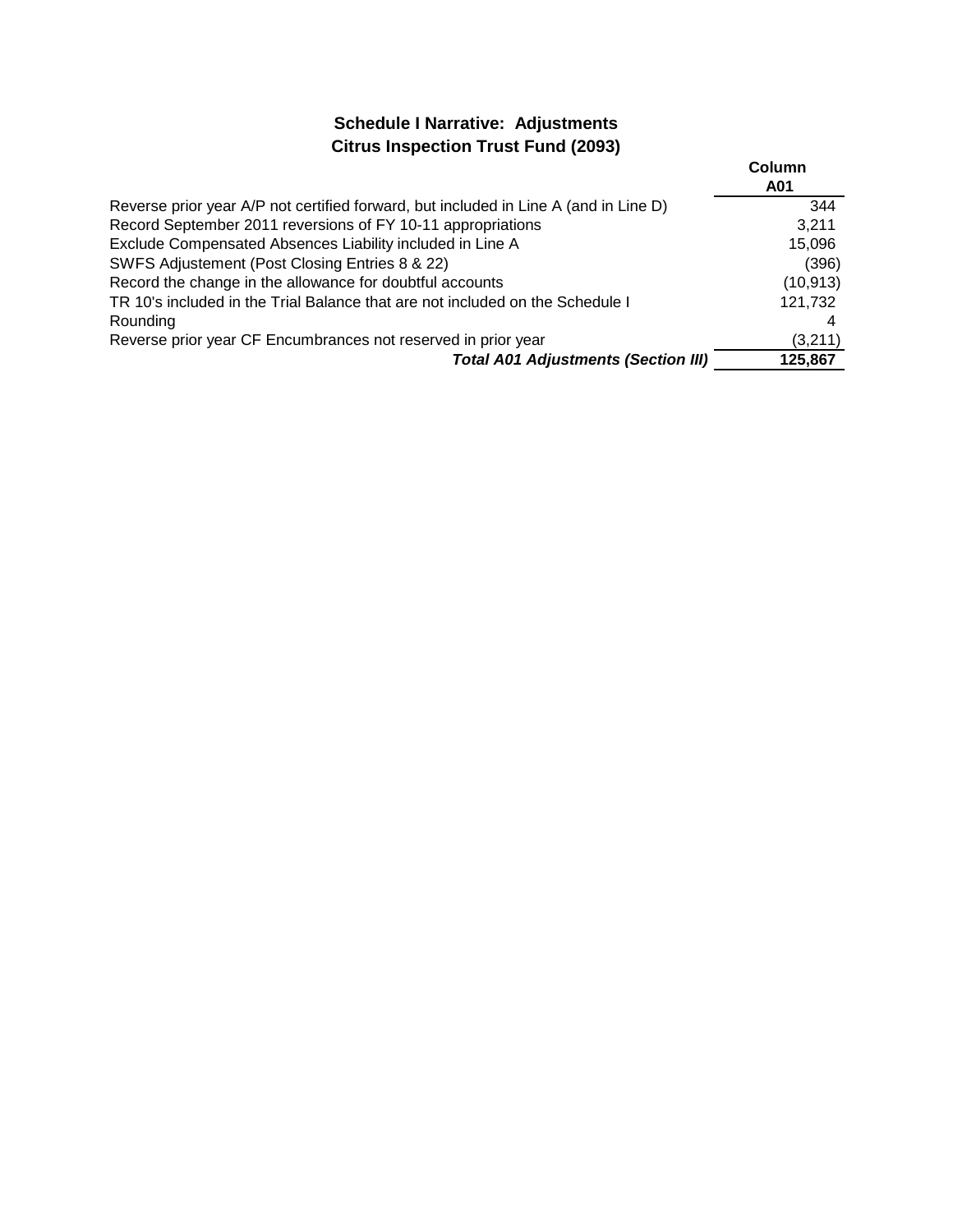# **Schedule I Narrative: Adjustments Citrus Inspection Trust Fund (2093)**

|                                                                                      | Column<br>A01 |
|--------------------------------------------------------------------------------------|---------------|
| Reverse prior year A/P not certified forward, but included in Line A (and in Line D) | 344           |
| Record September 2011 reversions of FY 10-11 appropriations                          | 3.211         |
| Exclude Compensated Absences Liability included in Line A                            | 15,096        |
| SWFS Adjustement (Post Closing Entries 8 & 22)                                       | (396)         |
| Record the change in the allowance for doubtful accounts                             | (10, 913)     |
| TR 10's included in the Trial Balance that are not included on the Schedule I        | 121,732       |
| Rounding                                                                             |               |
| Reverse prior year CF Encumbrances not reserved in prior year                        | (3,211)       |
| <b>Total A01 Adjustments (Section III)</b>                                           | 125,867       |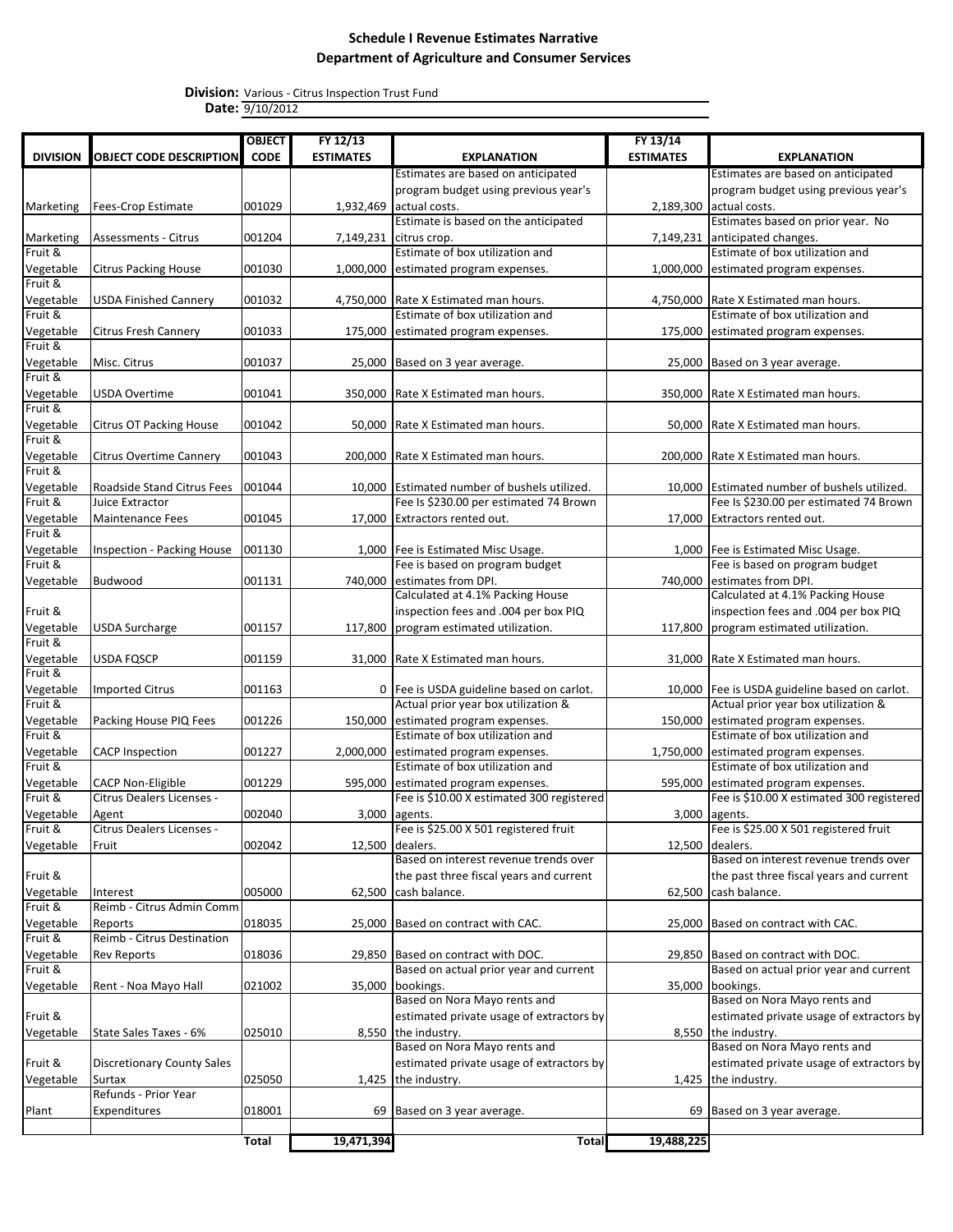Various - Citrus Inspection Trust Fund 9/10/2012 **Division: Date:**

|                      |                                                       | <b>OBJECT</b> | FY 12/13         |                                                                          | FY 13/14         |                                                                                  |
|----------------------|-------------------------------------------------------|---------------|------------------|--------------------------------------------------------------------------|------------------|----------------------------------------------------------------------------------|
| <b>DIVISION</b>      | <b>OBJECT CODE DESCRIPTION</b>                        | <b>CODE</b>   | <b>ESTIMATES</b> | <b>EXPLANATION</b>                                                       | <b>ESTIMATES</b> | <b>EXPLANATION</b>                                                               |
|                      |                                                       |               |                  | Estimates are based on anticipated                                       |                  | Estimates are based on anticipated                                               |
|                      |                                                       |               |                  | program budget using previous year's                                     |                  | program budget using previous year's                                             |
| Marketing            | <b>Fees-Crop Estimate</b>                             | 001029        |                  | 1,932,469 actual costs.                                                  |                  | 2,189,300 actual costs.                                                          |
|                      |                                                       |               |                  | Estimate is based on the anticipated                                     |                  | Estimates based on prior year. No                                                |
| Marketing            | <b>Assessments - Citrus</b>                           | 001204        | 7,149,231        | citrus crop.                                                             |                  | 7,149,231 anticipated changes.                                                   |
| Fruit &              |                                                       |               |                  | Estimate of box utilization and                                          |                  | Estimate of box utilization and                                                  |
| Vegetable<br>Fruit & | <b>Citrus Packing House</b>                           | 001030        | 1,000,000        | estimated program expenses.                                              | 1,000,000        | estimated program expenses.                                                      |
| Vegetable            | <b>USDA Finished Cannery</b>                          | 001032        | 4,750,000        | Rate X Estimated man hours.                                              |                  | 4,750,000 Rate X Estimated man hours.                                            |
| Fruit &              |                                                       |               |                  | Estimate of box utilization and                                          |                  | Estimate of box utilization and                                                  |
| Vegetable            | <b>Citrus Fresh Cannery</b>                           | 001033        | 175,000          | estimated program expenses.                                              |                  | 175,000 estimated program expenses.                                              |
| Fruit &              |                                                       |               |                  |                                                                          |                  |                                                                                  |
| Vegetable            | Misc. Citrus                                          | 001037        | 25,000           | Based on 3 year average.                                                 |                  | 25,000 Based on 3 year average.                                                  |
| Fruit &              |                                                       |               |                  |                                                                          |                  |                                                                                  |
| Vegetable            | <b>USDA Overtime</b>                                  | 001041        | 350,000          | Rate X Estimated man hours.                                              |                  | 350,000 Rate X Estimated man hours.                                              |
| Fruit &              |                                                       |               |                  |                                                                          |                  |                                                                                  |
| Vegetable<br>Fruit & | <b>Citrus OT Packing House</b>                        | 001042        |                  | 50,000 Rate X Estimated man hours.                                       |                  | 50,000 Rate X Estimated man hours.                                               |
| Vegetable            | Citrus Overtime Cannery                               | 001043        | 200,000          | Rate X Estimated man hours.                                              |                  | 200,000 Rate X Estimated man hours.                                              |
| Fruit &              |                                                       |               |                  |                                                                          |                  |                                                                                  |
| Vegetable            | Roadside Stand Citrus Fees                            | 001044        |                  | 10,000 Estimated number of bushels utilized.                             |                  | 10.000 Estimated number of bushels utilized.                                     |
| Fruit &              | Juice Extractor                                       |               |                  | Fee Is \$230.00 per estimated 74 Brown                                   |                  | Fee Is \$230.00 per estimated 74 Brown                                           |
| Vegetable            | Maintenance Fees                                      | 001045        | 17,000           | Extractors rented out.                                                   |                  | 17,000 Extractors rented out.                                                    |
| Fruit &              |                                                       |               |                  |                                                                          |                  |                                                                                  |
| Vegetable            | Inspection - Packing House                            | 001130        |                  | 1,000 Fee is Estimated Misc Usage.                                       |                  | 1,000   Fee is Estimated Misc Usage.                                             |
| Fruit &              |                                                       |               |                  | Fee is based on program budget                                           |                  | Fee is based on program budget                                                   |
| Vegetable            | Budwood                                               | 001131        |                  | 740,000 estimates from DPI.<br>Calculated at 4.1% Packing House          |                  | 740,000 estimates from DPI.<br>Calculated at 4.1% Packing House                  |
| Fruit &              |                                                       |               |                  | inspection fees and .004 per box PIQ                                     |                  | inspection fees and .004 per box PIQ                                             |
| Vegetable            | <b>USDA Surcharge</b>                                 | 001157        | 117,800          | program estimated utilization.                                           |                  | 117,800 program estimated utilization.                                           |
| Fruit &              |                                                       |               |                  |                                                                          |                  |                                                                                  |
| Vegetable            | <b>USDA FQSCP</b>                                     | 001159        |                  | 31,000 Rate X Estimated man hours.                                       |                  | 31,000   Rate X Estimated man hours.                                             |
| Fruit &              |                                                       |               |                  |                                                                          |                  |                                                                                  |
| Vegetable            | <b>Imported Citrus</b>                                | 001163        |                  | 0   Fee is USDA guideline based on carlot.                               |                  | 10,000 Fee is USDA guideline based on carlot.                                    |
| Fruit &              |                                                       |               |                  | Actual prior year box utilization &                                      |                  | Actual prior year box utilization &                                              |
| Vegetable            | Packing House PIQ Fees                                | 001226        | 150,000          | estimated program expenses.                                              | 150,000          | estimated program expenses.                                                      |
| Fruit &              |                                                       |               |                  | Estimate of box utilization and                                          |                  | Estimate of box utilization and                                                  |
| Vegetable            | <b>CACP Inspection</b>                                | 001227        |                  | 2,000,000 estimated program expenses.                                    |                  | 1,750,000 estimated program expenses.                                            |
| Fruit &              |                                                       |               |                  | Estimate of box utilization and                                          |                  | Estimate of box utilization and                                                  |
| Vegetable<br>Fruit & | <b>CACP Non-Eligible</b><br>Citrus Dealers Licenses - | 001229        | 595,000          | estimated program expenses.<br>Fee is \$10.00 X estimated 300 registered |                  | 595,000 estimated program expenses.<br>Fee is \$10.00 X estimated 300 registered |
| Vegetable            | Agent                                                 | 002040        |                  | 3,000 agents.                                                            |                  | 3,000 agents.                                                                    |
| Fruit &              | Citrus Dealers Licenses -                             |               |                  | Fee is \$25.00 X 501 registered fruit                                    |                  | Fee is \$25.00 X 501 registered fruit                                            |
| Vegetable            | Fruit                                                 | 002042        | 12,500           | dealers.                                                                 |                  | 12,500 dealers.                                                                  |
|                      |                                                       |               |                  | Based on interest revenue trends over                                    |                  | Based on interest revenue trends over                                            |
| Fruit &              |                                                       |               |                  | the past three fiscal years and current                                  |                  | the past three fiscal years and current                                          |
| Vegetable            | Interest                                              | 005000        | 62,500           | cash balance.                                                            | 62,500           | cash balance.                                                                    |
| Fruit &              | Reimb - Citrus Admin Comm                             |               |                  |                                                                          |                  |                                                                                  |
| Vegetable            | Reports                                               | 018035        | 25,000           | Based on contract with CAC.                                              |                  | 25,000 Based on contract with CAC.                                               |
| Fruit &              | Reimb - Citrus Destination                            |               |                  |                                                                          |                  |                                                                                  |
| Vegetable<br>Fruit & | <b>Rev Reports</b>                                    | 018036        | 29,850           | Based on contract with DOC.<br>Based on actual prior year and current    | 29,850           | Based on contract with DOC.<br>Based on actual prior year and current            |
| Vegetable            | Rent - Noa Mayo Hall                                  | 021002        | 35,000           | bookings.                                                                | 35,000           | bookings.                                                                        |
|                      |                                                       |               |                  | Based on Nora Mayo rents and                                             |                  | Based on Nora Mayo rents and                                                     |
| Fruit &              |                                                       |               |                  | estimated private usage of extractors by                                 |                  | estimated private usage of extractors by                                         |
| Vegetable            | State Sales Taxes - 6%                                | 025010        |                  | 8,550 the industry.                                                      |                  | 8,550 the industry.                                                              |
|                      |                                                       |               |                  | Based on Nora Mayo rents and                                             |                  | Based on Nora Mayo rents and                                                     |
| Fruit &              | <b>Discretionary County Sales</b>                     |               |                  | estimated private usage of extractors by                                 |                  | estimated private usage of extractors by                                         |
| Vegetable            | Surtax                                                | 025050        | 1,425            | the industry.                                                            |                  | 1,425 the industry.                                                              |
|                      | Refunds - Prior Year                                  |               |                  |                                                                          |                  |                                                                                  |
| Plant                | Expenditures                                          | 018001        | 69               | Based on 3 year average.                                                 |                  | 69 Based on 3 year average.                                                      |
|                      |                                                       |               |                  |                                                                          |                  |                                                                                  |
|                      |                                                       | Total         | 19,471,394       | <b>Total</b>                                                             | 19,488,225       |                                                                                  |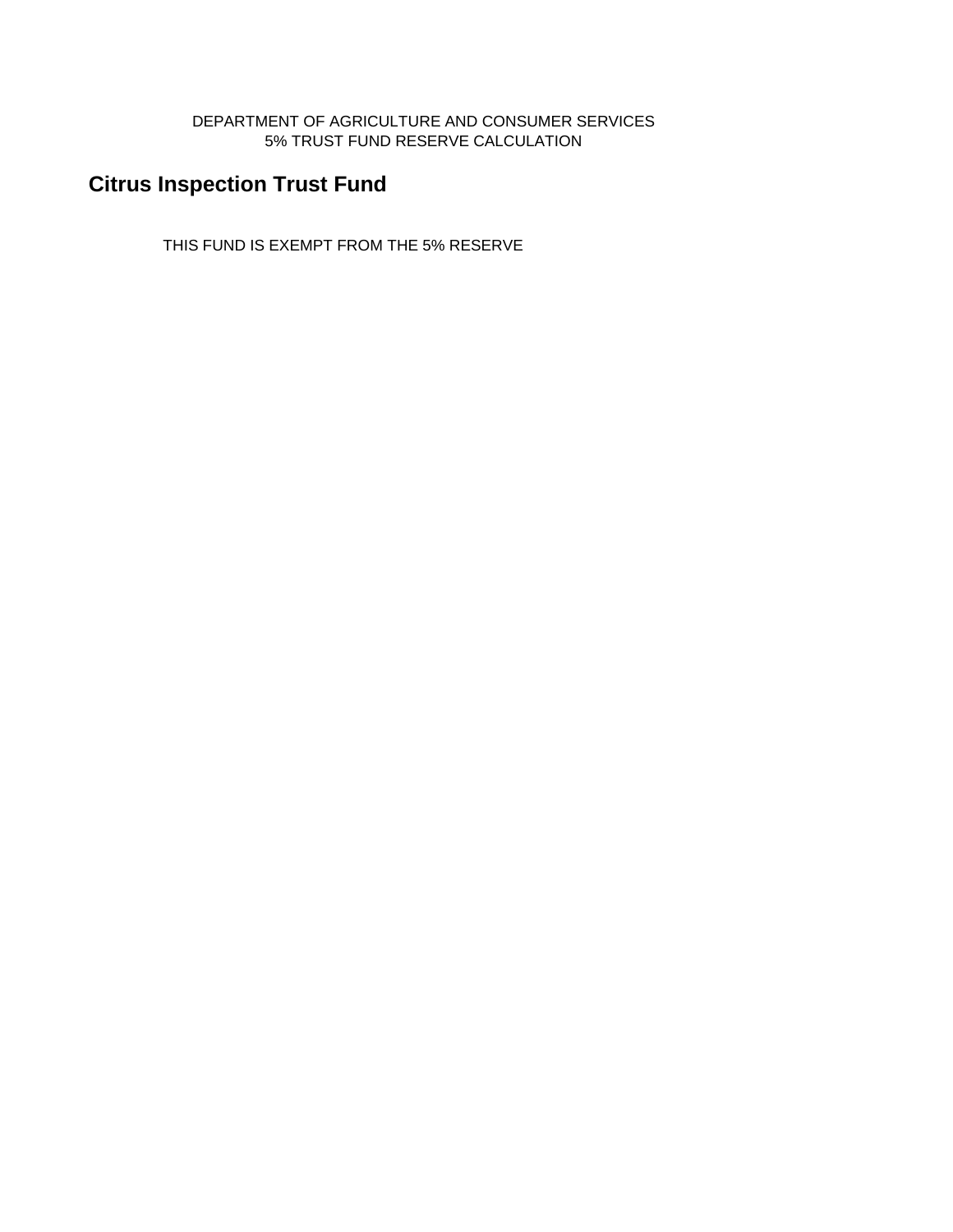DEPARTMENT OF AGRICULTURE AND CONSUMER SERVICES 5% TRUST FUND RESERVE CALCULATION

# **Citrus Inspection Trust Fund**

THIS FUND IS EXEMPT FROM THE 5% RESERVE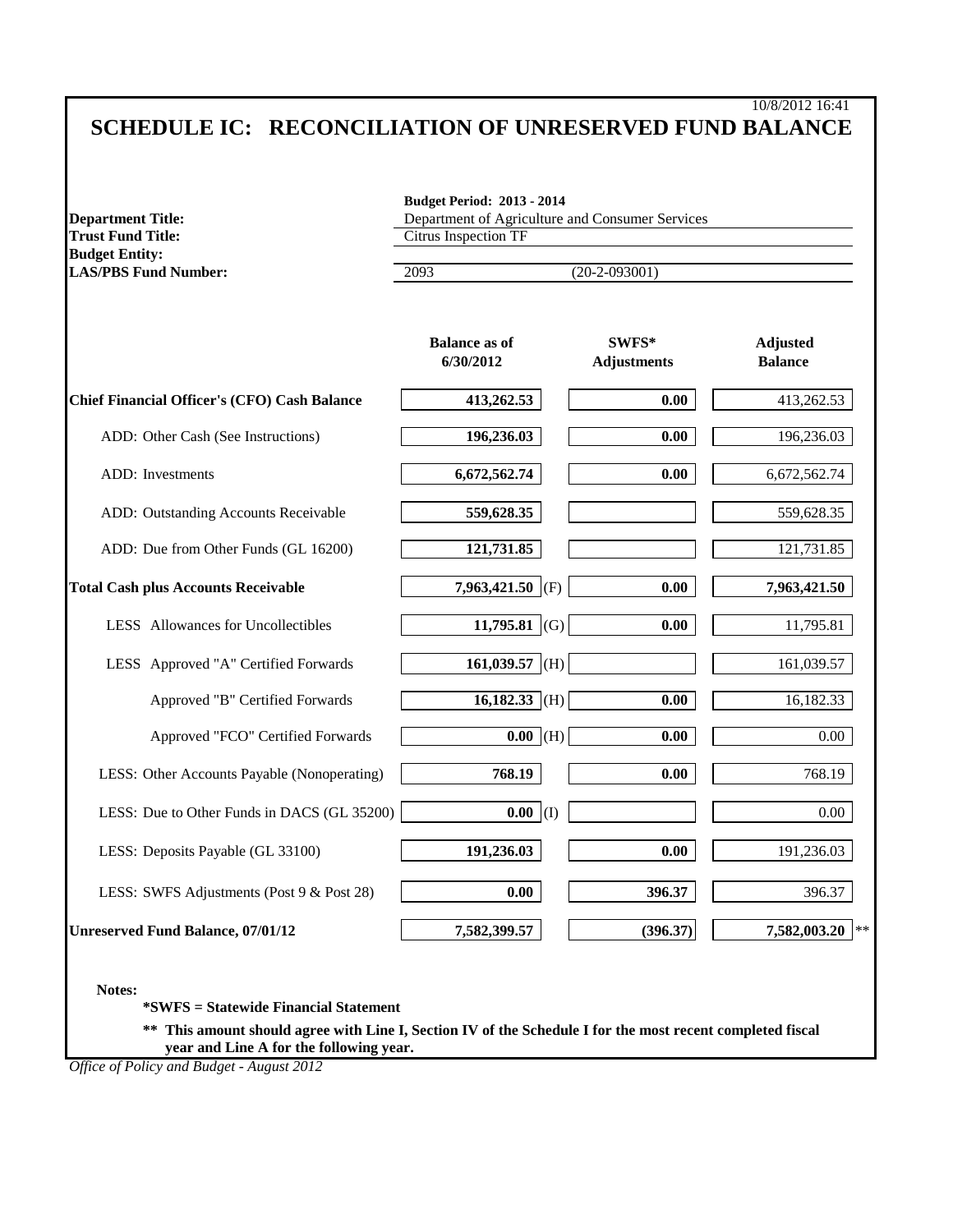# 10/8/2012 16:41 **SCHEDULE IC: RECONCILIATION OF UNRESERVED FUND BALANCE**

| <b>Department Title:</b>                                                                                                                                                                                                                                     | <b>Budget Period: 2013 - 2014</b><br>Department of Agriculture and Consumer Services |  |                                         |                                   |  |
|--------------------------------------------------------------------------------------------------------------------------------------------------------------------------------------------------------------------------------------------------------------|--------------------------------------------------------------------------------------|--|-----------------------------------------|-----------------------------------|--|
| <b>Trust Fund Title:</b>                                                                                                                                                                                                                                     | <b>Citrus Inspection TF</b>                                                          |  |                                         |                                   |  |
| <b>Budget Entity:</b><br><b>LAS/PBS Fund Number:</b>                                                                                                                                                                                                         | 2093                                                                                 |  | $(20-2-093001)$                         |                                   |  |
|                                                                                                                                                                                                                                                              | <b>Balance as of</b><br>6/30/2012                                                    |  | $\textbf{SWFS}^*$<br><b>Adjustments</b> | <b>Adjusted</b><br><b>Balance</b> |  |
| Chief Financial Officer's (CFO) Cash Balance                                                                                                                                                                                                                 | 413,262.53                                                                           |  | 0.00                                    | 413,262.53                        |  |
| ADD: Other Cash (See Instructions)                                                                                                                                                                                                                           | 196,236.03                                                                           |  | 0.00                                    | 196,236.03                        |  |
| ADD: Investments                                                                                                                                                                                                                                             | 6,672,562.74                                                                         |  | 0.00                                    | 6,672,562.74                      |  |
| ADD: Outstanding Accounts Receivable                                                                                                                                                                                                                         | 559,628.35                                                                           |  |                                         | 559,628.35                        |  |
| ADD: Due from Other Funds (GL 16200)                                                                                                                                                                                                                         | 121,731.85                                                                           |  |                                         | 121,731.85                        |  |
| <b>Total Cash plus Accounts Receivable</b>                                                                                                                                                                                                                   | 7,963,421.50 (F)                                                                     |  | 0.00                                    | 7,963,421.50                      |  |
| LESS Allowances for Uncollectibles                                                                                                                                                                                                                           | 11,795.81 (G)                                                                        |  | 0.00                                    | 11,795.81                         |  |
| LESS Approved "A" Certified Forwards                                                                                                                                                                                                                         | 161,039.57 (H)                                                                       |  |                                         | 161,039.57                        |  |
| Approved "B" Certified Forwards                                                                                                                                                                                                                              | $16,182.33$ (H)                                                                      |  | 0.00                                    | 16,182.33                         |  |
| Approved "FCO" Certified Forwards                                                                                                                                                                                                                            | $0.00$ (H)                                                                           |  | 0.00                                    | 0.00                              |  |
| LESS: Other Accounts Payable (Nonoperating)                                                                                                                                                                                                                  | 768.19                                                                               |  | 0.00                                    | 768.19                            |  |
| LESS: Due to Other Funds in DACS (GL 35200)                                                                                                                                                                                                                  | $0.00$ (I)                                                                           |  |                                         | 0.00                              |  |
| LESS: Deposits Payable (GL 33100)                                                                                                                                                                                                                            | 191,236.03                                                                           |  | 0.00                                    | 191,236.03                        |  |
| LESS: SWFS Adjustments (Post 9 & Post 28)                                                                                                                                                                                                                    | 0.00                                                                                 |  | 396.37                                  | 396.37                            |  |
| <b>Unreserved Fund Balance, 07/01/12</b>                                                                                                                                                                                                                     | 7,582,399.57                                                                         |  | (396.37)                                | 7,582,003.20<br>$\star$ :         |  |
| Notes:<br><i>*SWFS</i> = Statewide Financial Statement<br>** This amount should agree with Line I, Section IV of the Schedule I for the most recent completed fiscal<br>year and Line A for the following year.<br>Office of Policy and Budget - August 2012 |                                                                                      |  |                                         |                                   |  |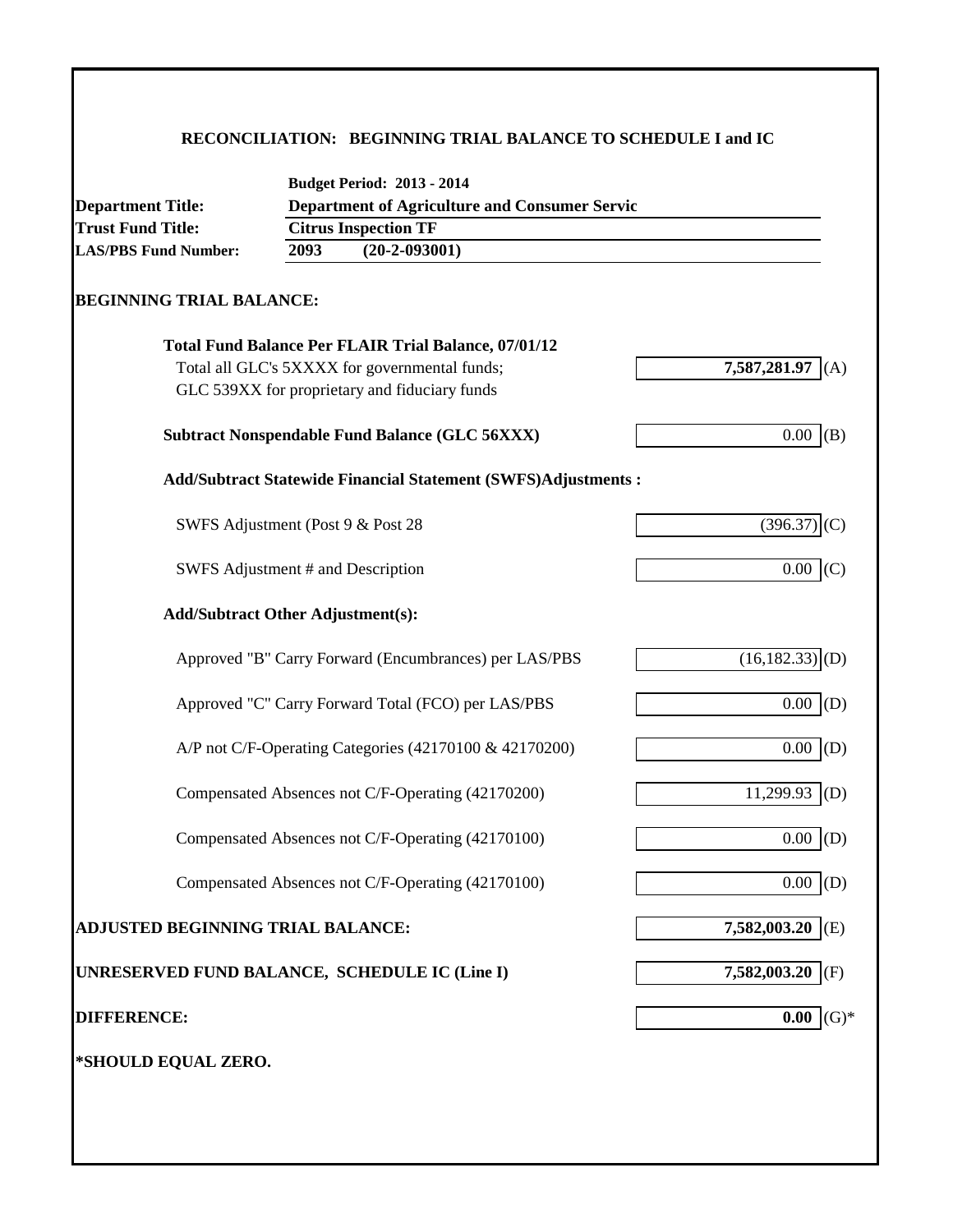# **RECONCILIATION: BEGINNING TRIAL BALANCE TO SCHEDULE I and IC**

| <b>Department Title:</b>          | <b>Budget Period: 2013 - 2014</b><br><b>Department of Agriculture and Consumer Servic</b> |                               |
|-----------------------------------|-------------------------------------------------------------------------------------------|-------------------------------|
| <b>Trust Fund Title:</b>          | <b>Citrus Inspection TF</b>                                                               |                               |
| <b>LAS/PBS Fund Number:</b>       | $(20-2-093001)$<br>2093                                                                   |                               |
| <b>BEGINNING TRIAL BALANCE:</b>   |                                                                                           |                               |
|                                   | <b>Total Fund Balance Per FLAIR Trial Balance, 07/01/12</b>                               |                               |
|                                   | Total all GLC's 5XXXX for governmental funds;                                             | 7,587,281.97<br>(A)           |
|                                   | GLC 539XX for proprietary and fiduciary funds                                             |                               |
|                                   | <b>Subtract Nonspendable Fund Balance (GLC 56XXX)</b>                                     | 0.00<br>(B)                   |
|                                   | Add/Subtract Statewide Financial Statement (SWFS)Adjustments :                            |                               |
|                                   | SWFS Adjustment (Post 9 & Post 28                                                         | (396.37)<br>(C)               |
|                                   | SWFS Adjustment # and Description                                                         | 0.00<br>(C)                   |
|                                   | <b>Add/Subtract Other Adjustment(s):</b>                                                  |                               |
|                                   | Approved "B" Carry Forward (Encumbrances) per LAS/PBS                                     | $(16, 182.33)$ <sub>(D)</sub> |
|                                   | Approved "C" Carry Forward Total (FCO) per LAS/PBS                                        | (D)<br>0.00                   |
|                                   | A/P not C/F-Operating Categories (42170100 & 42170200)                                    | 0.00<br>(D)                   |
|                                   | Compensated Absences not C/F-Operating (42170200)                                         | 11,299.93<br>(D)              |
|                                   | Compensated Absences not C/F-Operating (42170100)                                         | 0.00<br>(D)                   |
|                                   | Compensated Absences not C/F-Operating (42170100)                                         | 0.00<br>(D)                   |
| ADJUSTED BEGINNING TRIAL BALANCE: |                                                                                           | 7,582,003.20 (E)              |
|                                   | UNRESERVED FUND BALANCE, SCHEDULE IC (Line I)                                             | 7,582,003.20<br>(F)           |
| <b>DIFFERENCE:</b>                |                                                                                           | $(G)*$<br>0.00                |
| *SHOULD EQUAL ZERO.               |                                                                                           |                               |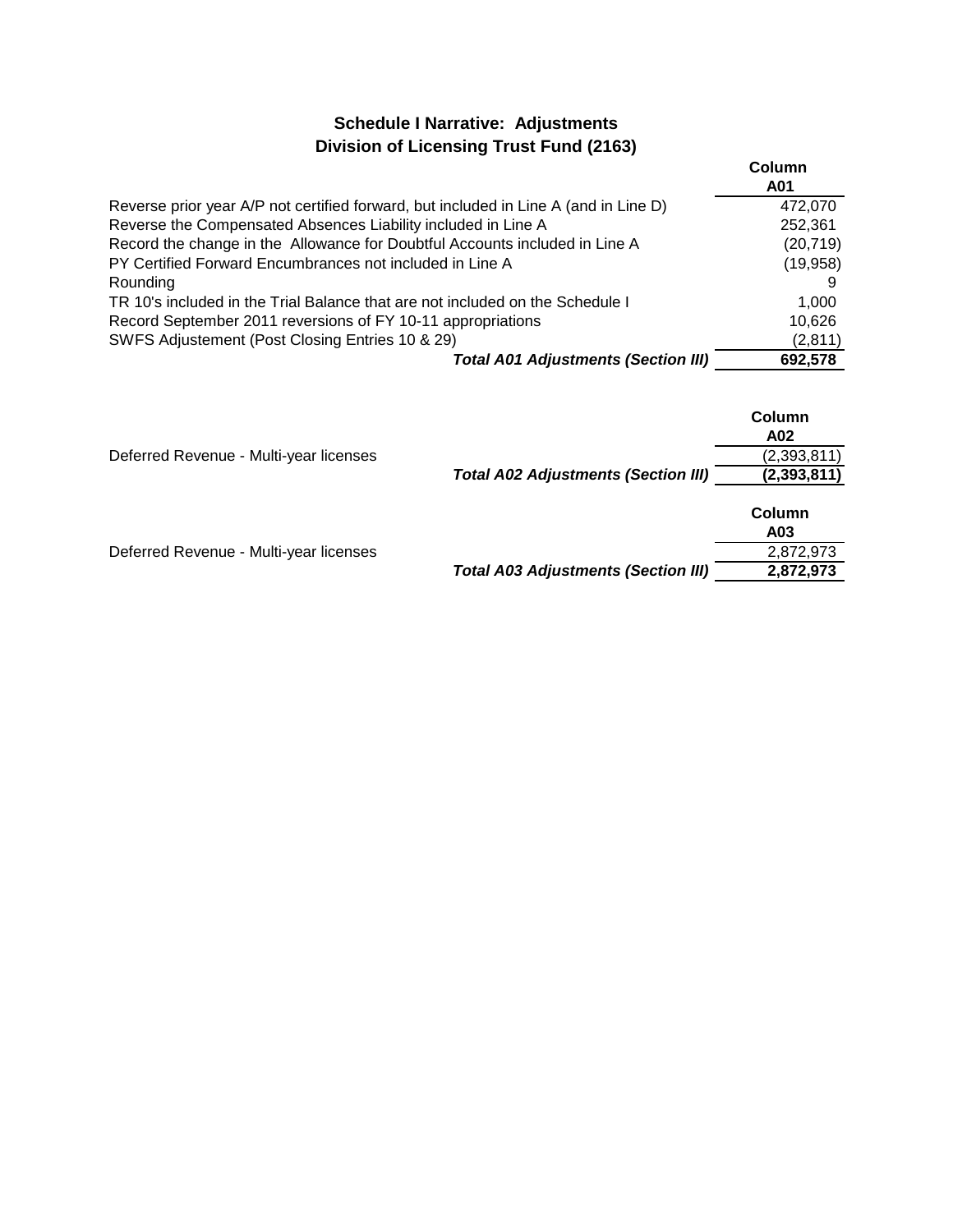# **Schedule I Narrative: Adjustments Division of Licensing Trust Fund (2163)**

|                                                                                      | Column    |
|--------------------------------------------------------------------------------------|-----------|
|                                                                                      | A01       |
| Reverse prior year A/P not certified forward, but included in Line A (and in Line D) | 472,070   |
| Reverse the Compensated Absences Liability included in Line A                        | 252,361   |
| Record the change in the Allowance for Doubtful Accounts included in Line A          | (20, 719) |
| PY Certified Forward Encumbrances not included in Line A                             | (19,958)  |
| Rounding                                                                             |           |
| TR 10's included in the Trial Balance that are not included on the Schedule I        | 1.000     |
| Record September 2011 reversions of FY 10-11 appropriations                          | 10,626    |
| SWFS Adjustement (Post Closing Entries 10 & 29)                                      | (2,811)   |
| <b>Total A01 Adjustments (Section III)</b>                                           | 692,578   |

|                                        |                                            | Column<br>A02 |
|----------------------------------------|--------------------------------------------|---------------|
| Deferred Revenue - Multi-year licenses |                                            | (2,393,811)   |
|                                        | <b>Total A02 Adjustments (Section III)</b> | (2, 393, 811) |
|                                        |                                            | Column        |
|                                        |                                            | A03           |
| Deferred Revenue - Multi-year licenses |                                            | 2,872,973     |
|                                        | <b>Total A03 Adjustments (Section III)</b> | 2,872,973     |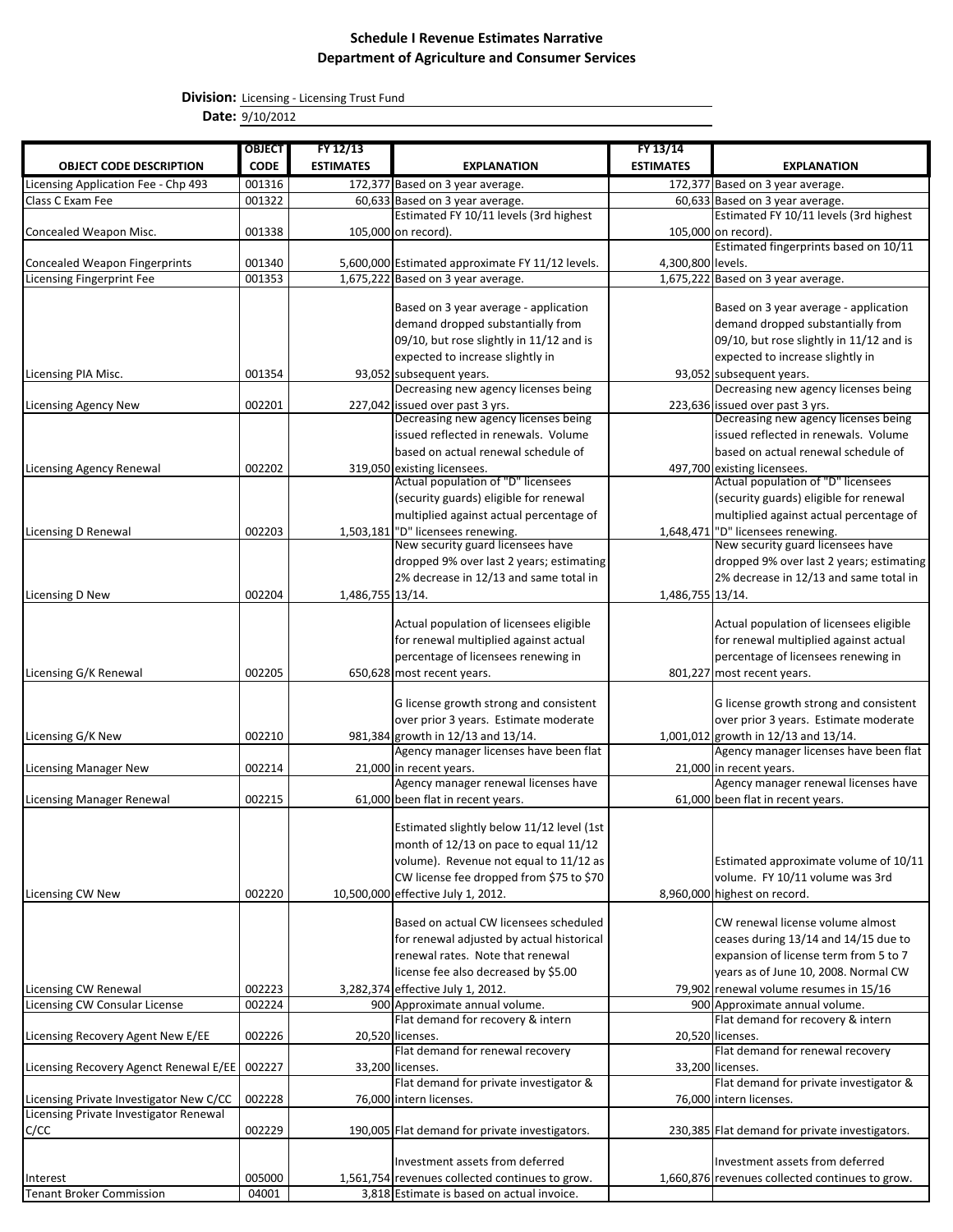**Division:** Licensing - Licensing Trust Fund

**Date:** 9/10/2012

|                                                              | <b>OBJECT</b>    | $FY$ 12/13       |                                                                              | FY 13/14          |                                                                                |
|--------------------------------------------------------------|------------------|------------------|------------------------------------------------------------------------------|-------------------|--------------------------------------------------------------------------------|
| <b>OBJECT CODE DESCRIPTION</b>                               | <b>CODE</b>      | <b>ESTIMATES</b> | <b>EXPLANATION</b>                                                           | <b>ESTIMATES</b>  | <b>EXPLANATION</b>                                                             |
| Licensing Application Fee - Chp 493                          | 001316           |                  | 172,377 Based on 3 year average.                                             |                   | 172,377 Based on 3 year average.                                               |
| Class C Exam Fee                                             | 001322           |                  | 60,633 Based on 3 year average.                                              |                   | 60,633 Based on 3 year average.                                                |
|                                                              |                  |                  | Estimated FY 10/11 levels (3rd highest                                       |                   | Estimated FY 10/11 levels (3rd highest                                         |
| Concealed Weapon Misc.                                       | 001338           |                  | 105,000 on record).                                                          |                   | 105,000 on record).                                                            |
|                                                              |                  |                  |                                                                              |                   | Estimated fingerprints based on 10/11                                          |
| <b>Concealed Weapon Fingerprints</b>                         | 001340           |                  | 5,600,000 Estimated approximate FY 11/12 levels.                             | 4,300,800 levels. |                                                                                |
| <b>Licensing Fingerprint Fee</b>                             | 001353           |                  | 1,675,222 Based on 3 year average.                                           |                   | 1,675,222 Based on 3 year average.                                             |
|                                                              |                  |                  | Based on 3 year average - application                                        |                   | Based on 3 year average - application                                          |
|                                                              |                  |                  | demand dropped substantially from                                            |                   | demand dropped substantially from                                              |
|                                                              |                  |                  | 09/10, but rose slightly in 11/12 and is                                     |                   | 09/10, but rose slightly in 11/12 and is                                       |
|                                                              |                  |                  | expected to increase slightly in                                             |                   | expected to increase slightly in                                               |
| Licensing PIA Misc.                                          | 001354           |                  | 93,052 subsequent years.                                                     |                   | 93,052 subsequent years.                                                       |
|                                                              |                  |                  | Decreasing new agency licenses being                                         |                   | Decreasing new agency licenses being                                           |
| <b>Licensing Agency New</b>                                  | 002201           |                  | 227,042 issued over past 3 yrs.                                              |                   | 223,636 issued over past 3 yrs.                                                |
|                                                              |                  |                  | Decreasing new agency licenses being                                         |                   | Decreasing new agency licenses being                                           |
|                                                              |                  |                  | issued reflected in renewals. Volume                                         |                   | issued reflected in renewals. Volume                                           |
|                                                              |                  |                  | based on actual renewal schedule of                                          |                   | based on actual renewal schedule of                                            |
| <b>Licensing Agency Renewal</b>                              | 002202           |                  | 319,050 existing licensees.<br>Actual population of "D" licensees            |                   | 497,700 existing licensees.                                                    |
|                                                              |                  |                  | (security guards) eligible for renewal                                       |                   | Actual population of "D" licensees                                             |
|                                                              |                  |                  |                                                                              |                   | (security guards) eligible for renewal                                         |
|                                                              | 002203           |                  | multiplied against actual percentage of<br>"D" licensees renewing.           |                   | multiplied against actual percentage of<br>"D" licensees renewing.             |
| Licensing D Renewal                                          |                  | 1,503,181        | New security guard licensees have                                            | 1,648,471         | New security guard licensees have                                              |
|                                                              |                  |                  | dropped 9% over last 2 years; estimating                                     |                   | dropped 9% over last 2 years; estimating                                       |
|                                                              |                  |                  | 2% decrease in 12/13 and same total in                                       |                   | 2% decrease in 12/13 and same total in                                         |
| Licensing D New                                              | 002204           | 1,486,755 13/14. |                                                                              | 1,486,755 13/14.  |                                                                                |
|                                                              |                  |                  |                                                                              |                   |                                                                                |
|                                                              |                  |                  | Actual population of licensees eligible                                      |                   | Actual population of licensees eligible                                        |
|                                                              |                  |                  | for renewal multiplied against actual                                        |                   | for renewal multiplied against actual                                          |
|                                                              |                  |                  | percentage of licensees renewing in                                          |                   | percentage of licensees renewing in                                            |
| Licensing G/K Renewal                                        | 002205           |                  | 650,628 most recent years.                                                   |                   | 801,227 most recent years.                                                     |
|                                                              |                  |                  |                                                                              |                   |                                                                                |
|                                                              |                  |                  | G license growth strong and consistent                                       |                   | G license growth strong and consistent                                         |
|                                                              |                  |                  | over prior 3 years. Estimate moderate                                        |                   | over prior 3 years. Estimate moderate                                          |
| Licensing G/K New                                            | 002210           |                  | 981,384 growth in 12/13 and 13/14.<br>Agency manager licenses have been flat |                   | 1,001,012 growth in 12/13 and 13/14.<br>Agency manager licenses have been flat |
| <b>Licensing Manager New</b>                                 | 002214           |                  | 21,000 in recent years.                                                      |                   | 21,000 in recent years.                                                        |
|                                                              |                  |                  | Agency manager renewal licenses have                                         |                   | Agency manager renewal licenses have                                           |
| <b>Licensing Manager Renewal</b>                             | 002215           |                  | 61,000 been flat in recent years.                                            |                   | 61,000 been flat in recent years.                                              |
|                                                              |                  |                  |                                                                              |                   |                                                                                |
|                                                              |                  |                  | Estimated slightly below 11/12 level (1st                                    |                   |                                                                                |
|                                                              |                  |                  | month of 12/13 on pace to equal 11/12                                        |                   |                                                                                |
|                                                              |                  |                  | volume). Revenue not equal to 11/12 as                                       |                   | Estimated approximate volume of 10/11                                          |
|                                                              |                  |                  | CW license fee dropped from \$75 to \$70                                     |                   | volume. FY 10/11 volume was 3rd                                                |
| Licensing CW New                                             | 002220           |                  | 10,500,000 effective July 1, 2012.                                           |                   | 8,960,000 highest on record.                                                   |
|                                                              |                  |                  |                                                                              |                   |                                                                                |
|                                                              |                  |                  | Based on actual CW licensees scheduled                                       |                   | CW renewal license volume almost                                               |
|                                                              |                  |                  | for renewal adjusted by actual historical                                    |                   | ceases during 13/14 and 14/15 due to                                           |
|                                                              |                  |                  | renewal rates. Note that renewal                                             |                   | expansion of license term from 5 to 7                                          |
|                                                              |                  |                  | license fee also decreased by \$5.00                                         |                   | years as of June 10, 2008. Normal CW                                           |
| Licensing CW Renewal<br><b>Licensing CW Consular License</b> | 002223<br>002224 |                  | 3,282,374 effective July 1, 2012.<br>900 Approximate annual volume.          |                   | 79,902 renewal volume resumes in 15/16<br>900 Approximate annual volume.       |
|                                                              |                  |                  | Flat demand for recovery & intern                                            |                   | Flat demand for recovery & intern                                              |
| Licensing Recovery Agent New E/EE                            | 002226           |                  | 20,520 licenses.                                                             |                   | 20,520 licenses.                                                               |
|                                                              |                  |                  | Flat demand for renewal recovery                                             |                   | Flat demand for renewal recovery                                               |
| Licensing Recovery Agenct Renewal E/EE                       | 002227           |                  | 33,200 licenses.                                                             |                   | 33,200 licenses.                                                               |
|                                                              |                  |                  | Flat demand for private investigator &                                       |                   | Flat demand for private investigator &                                         |
| Licensing Private Investigator New C/CC                      | 002228           |                  | 76,000 intern licenses.                                                      |                   | 76,000 intern licenses.                                                        |
| Licensing Private Investigator Renewal                       |                  |                  |                                                                              |                   |                                                                                |
| C/CC                                                         | 002229           |                  | 190,005 Flat demand for private investigators.                               |                   | 230,385 Flat demand for private investigators.                                 |
|                                                              |                  |                  |                                                                              |                   |                                                                                |
|                                                              |                  |                  | Investment assets from deferred                                              |                   | Investment assets from deferred                                                |
| Interest                                                     | 005000           |                  | 1,561,754 revenues collected continues to grow.                              |                   | 1,660,876 revenues collected continues to grow.                                |
| <b>Tenant Broker Commission</b>                              | 04001            |                  | 3,818 Estimate is based on actual invoice.                                   |                   |                                                                                |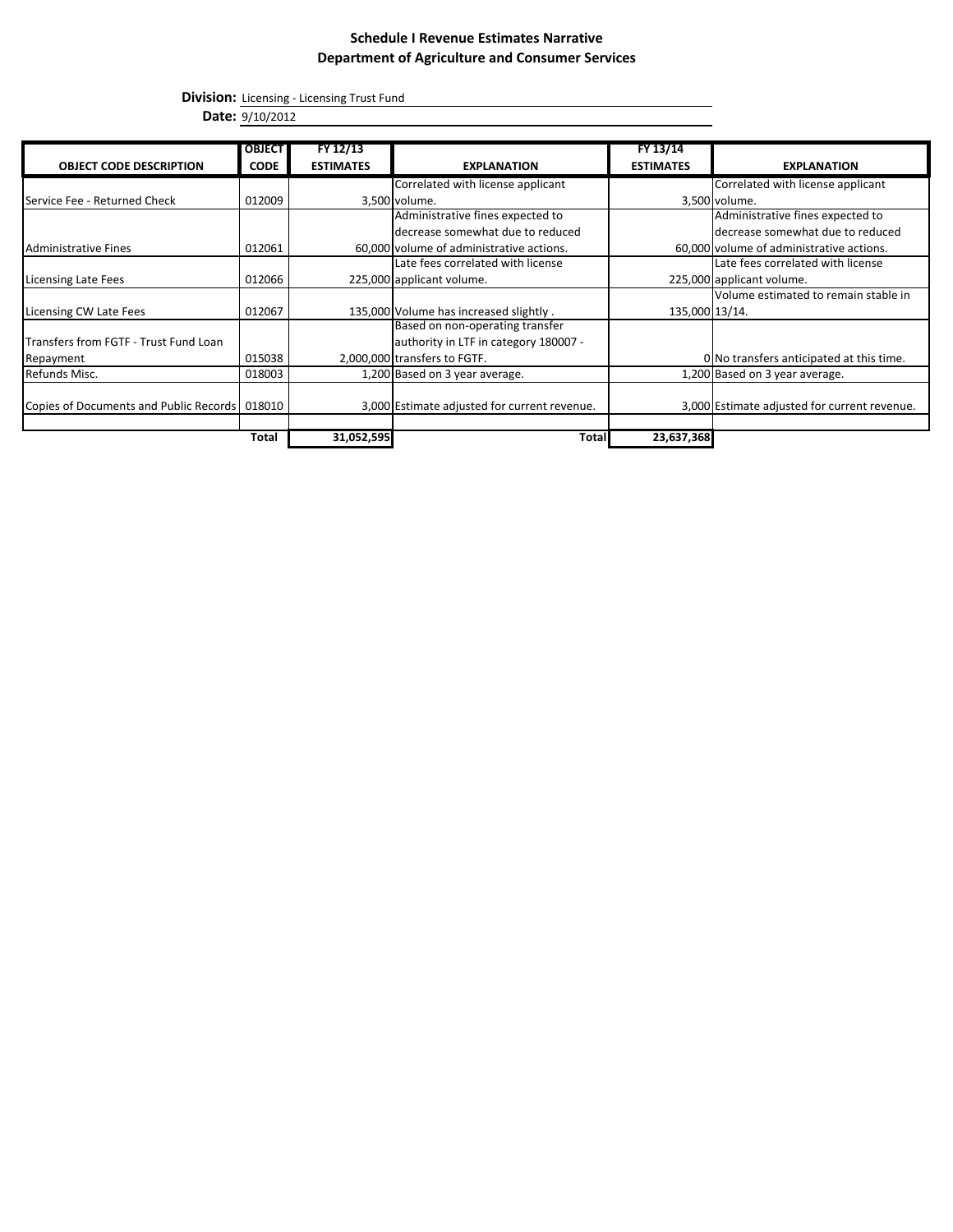**Division:** Licensing - Licensing Trust Fund

**Date:** 9/10/2012

|                                               | <b>OBJECT</b> | FY 12/13         |                                              | FY 13/14         |                                              |
|-----------------------------------------------|---------------|------------------|----------------------------------------------|------------------|----------------------------------------------|
|                                               |               |                  |                                              |                  |                                              |
| <b>OBJECT CODE DESCRIPTION</b>                | <b>CODE</b>   | <b>ESTIMATES</b> | <b>EXPLANATION</b>                           | <b>ESTIMATES</b> | <b>EXPLANATION</b>                           |
|                                               |               |                  | Correlated with license applicant            |                  | Correlated with license applicant            |
| Service Fee - Returned Check                  | 012009        |                  | 3,500 volume.                                |                  | 3,500 volume.                                |
|                                               |               |                  | Administrative fines expected to             |                  | Administrative fines expected to             |
|                                               |               |                  | decrease somewhat due to reduced             |                  | decrease somewhat due to reduced             |
| <b>Administrative Fines</b>                   | 012061        |                  | 60,000 volume of administrative actions.     |                  | 60,000 volume of administrative actions.     |
|                                               |               |                  | Late fees correlated with license            |                  | Late fees correlated with license            |
| Licensing Late Fees                           | 012066        |                  | 225,000 applicant volume.                    |                  | 225,000 applicant volume.                    |
|                                               |               |                  |                                              |                  | Volume estimated to remain stable in         |
| Licensing CW Late Fees                        | 012067        |                  | 135,000 Volume has increased slightly.       | 135,000 13/14.   |                                              |
|                                               |               |                  | Based on non-operating transfer              |                  |                                              |
| Transfers from FGTF - Trust Fund Loan         |               |                  | authority in LTF in category 180007 -        |                  |                                              |
| Repayment                                     | 015038        |                  | 2,000,000 transfers to FGTF.                 |                  | 0 No transfers anticipated at this time.     |
| Refunds Misc.                                 | 018003        |                  | 1,200 Based on 3 year average.               |                  | 1,200 Based on 3 year average.               |
|                                               |               |                  |                                              |                  |                                              |
| Copies of Documents and Public Records 018010 |               |                  | 3,000 Estimate adjusted for current revenue. |                  | 3,000 Estimate adjusted for current revenue. |
|                                               |               |                  |                                              |                  |                                              |
|                                               | Total         | 31,052,595       | Total                                        | 23,637,368       |                                              |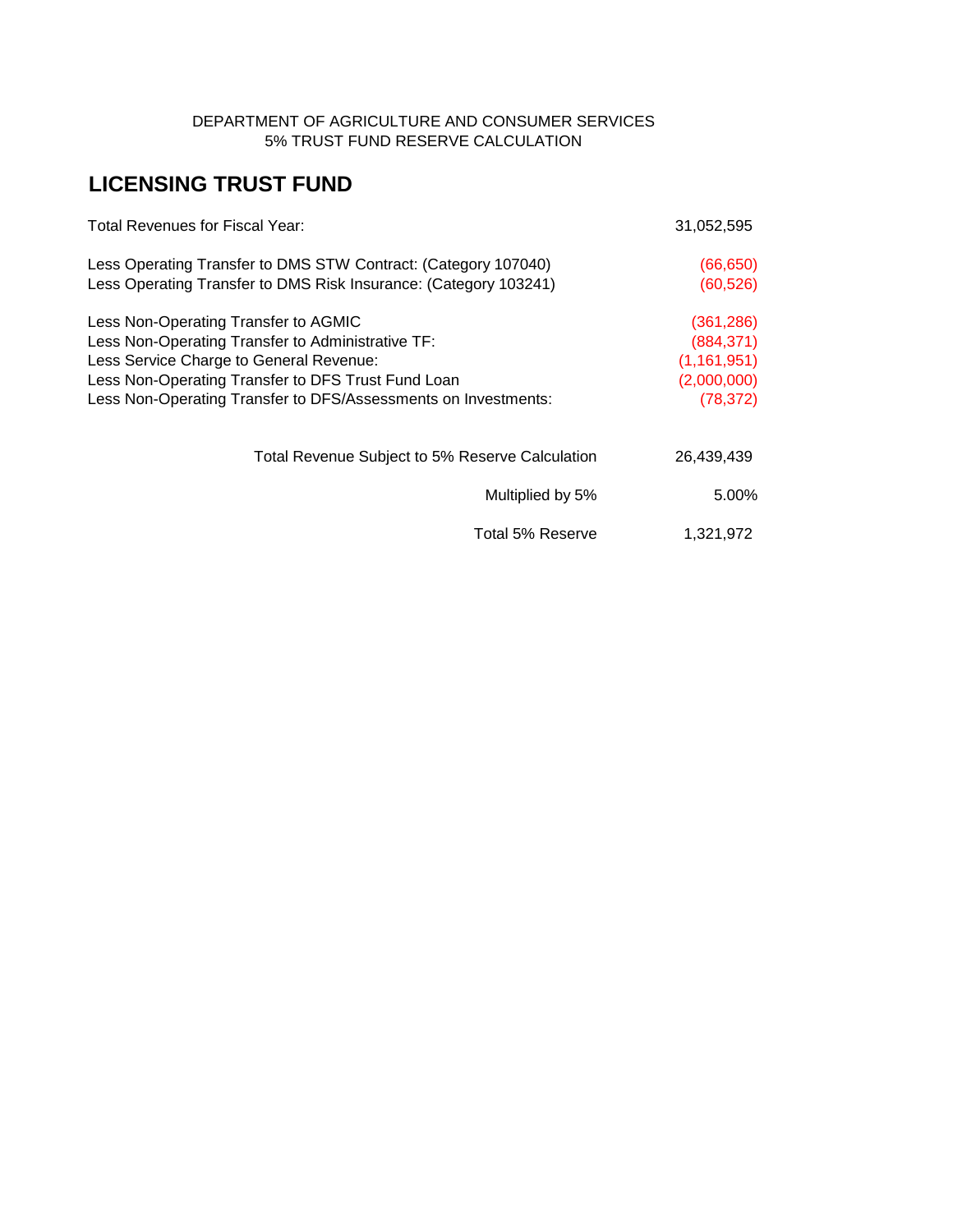### DEPARTMENT OF AGRICULTURE AND CONSUMER SERVICES 5% TRUST FUND RESERVE CALCULATION

# **LICENSING TRUST FUND**

| <b>Total Revenues for Fiscal Year:</b>                                                                                             | 31,052,595               |
|------------------------------------------------------------------------------------------------------------------------------------|--------------------------|
| Less Operating Transfer to DMS STW Contract: (Category 107040)<br>Less Operating Transfer to DMS Risk Insurance: (Category 103241) | (66, 650)<br>(60, 526)   |
|                                                                                                                                    |                          |
| Less Non-Operating Transfer to AGMIC<br>Less Non-Operating Transfer to Administrative TF:                                          | (361, 286)<br>(884, 371) |
| Less Service Charge to General Revenue:                                                                                            | (1, 161, 951)            |
| Less Non-Operating Transfer to DFS Trust Fund Loan                                                                                 | (2,000,000)              |
| Less Non-Operating Transfer to DFS/Assessments on Investments:                                                                     | (78, 372)                |
| Total Revenue Subject to 5% Reserve Calculation                                                                                    | 26,439,439               |
| Multiplied by 5%                                                                                                                   | 5.00%                    |
| Total 5% Reserve                                                                                                                   | 1,321,972                |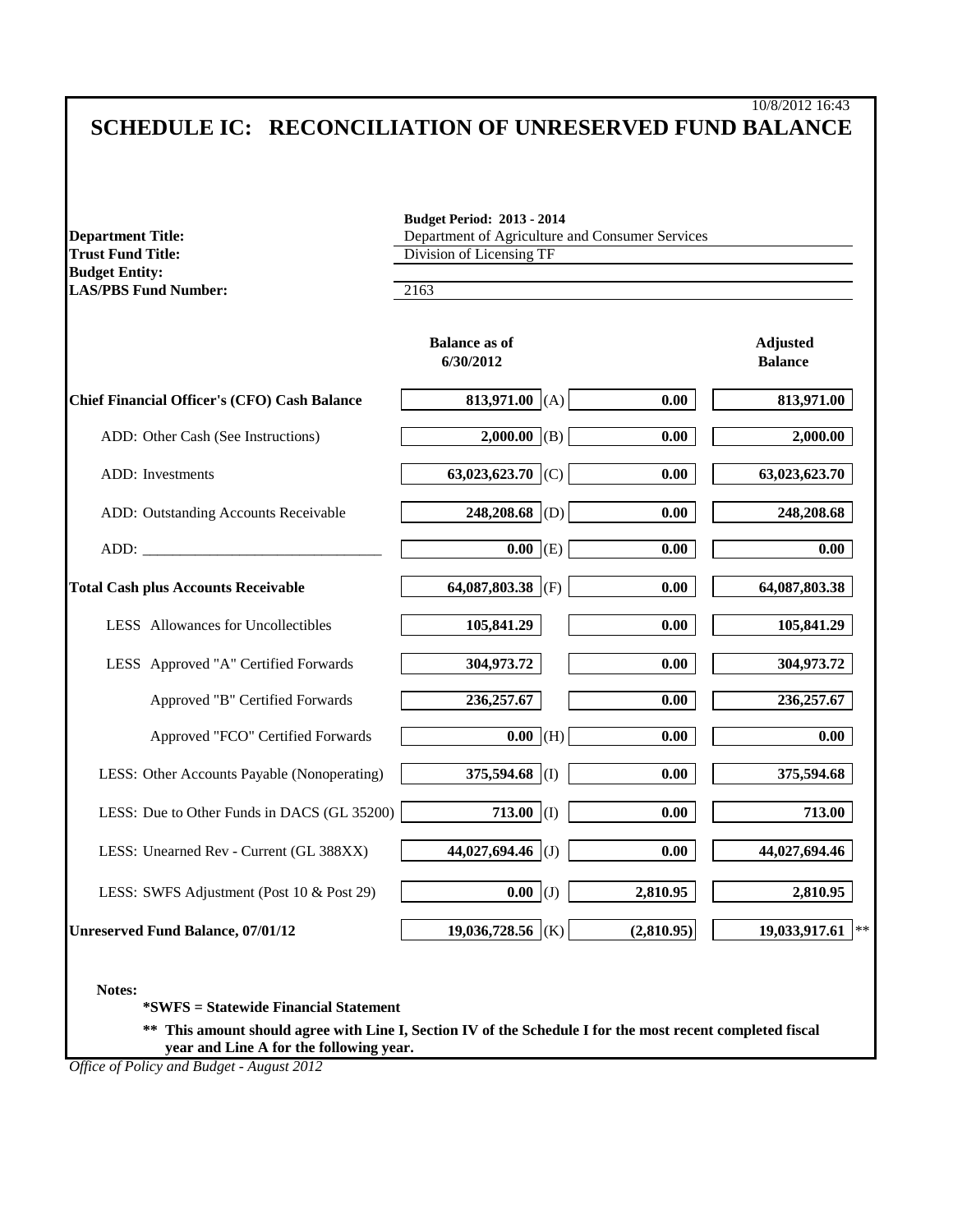# 10/8/2012 16:43 **SCHEDULE IC: RECONCILIATION OF UNRESERVED FUND BALANCE**

| <b>Department Title:</b><br><b>Trust Fund Title:</b> | Department of Agriculture and Consumer Services<br>Division of Licensing TF |            |                                   |  |  |
|------------------------------------------------------|-----------------------------------------------------------------------------|------------|-----------------------------------|--|--|
| <b>Budget Entity:</b><br><b>LAS/PBS Fund Number:</b> | 2163                                                                        |            |                                   |  |  |
|                                                      | <b>Balance as of</b><br>6/30/2012                                           |            | <b>Adjusted</b><br><b>Balance</b> |  |  |
| <b>Chief Financial Officer's (CFO) Cash Balance</b>  | 813,971.00 (A)                                                              | 0.00       | 813,971.00                        |  |  |
| ADD: Other Cash (See Instructions)                   | 2,000.00 (B)                                                                | 0.00       | 2,000.00                          |  |  |
| ADD: Investments                                     | 63,023,623.70 (C)                                                           | 0.00       | 63,023,623.70                     |  |  |
| ADD: Outstanding Accounts Receivable                 | 248,208.68 (D)                                                              | 0.00       | 248,208.68                        |  |  |
|                                                      | $0.00$ (E)                                                                  | 0.00       | 0.00                              |  |  |
| <b>Total Cash plus Accounts Receivable</b>           | 64,087,803.38 (F)                                                           | 0.00       | 64,087,803.38                     |  |  |
| <b>LESS</b> Allowances for Uncollectibles            | 105,841.29                                                                  | 0.00       | 105,841.29                        |  |  |
| LESS Approved "A" Certified Forwards                 | 304,973.72                                                                  | 0.00       | 304,973.72                        |  |  |
| Approved "B" Certified Forwards                      | 236,257.67                                                                  | 0.00       | 236, 257.67                       |  |  |
| Approved "FCO" Certified Forwards                    | $\overline{0.00}$ (H)                                                       | 0.00       | 0.00                              |  |  |
| LESS: Other Accounts Payable (Nonoperating)          | 375,594.68 (I)                                                              | 0.00       | 375,594.68                        |  |  |
| LESS: Due to Other Funds in DACS (GL 35200)          | 713.00 (I)                                                                  | 0.00       | 713.00                            |  |  |
| LESS: Unearned Rev - Current (GL 388XX)              | 44,027,694.46 (J)                                                           | 0.00       | 44,027,694.46                     |  |  |
| LESS: SWFS Adjustment (Post 10 & Post 29)            | $0.00$ (J)                                                                  | 2,810.95   | 2,810.95                          |  |  |
| <b>Unreserved Fund Balance, 07/01/12</b>             | 19,036,728.56 (K)                                                           | (2,810.95) | 19,033,917.61<br>$\ast$           |  |  |

**Notes:**

**\*SWFS = Statewide Financial Statement** 

**\*\* This amount should agree with Line I, Section IV of the Schedule I for the most recent completed fiscal year and Line A for the following year.**

*Office of Policy and Budget - August 2012*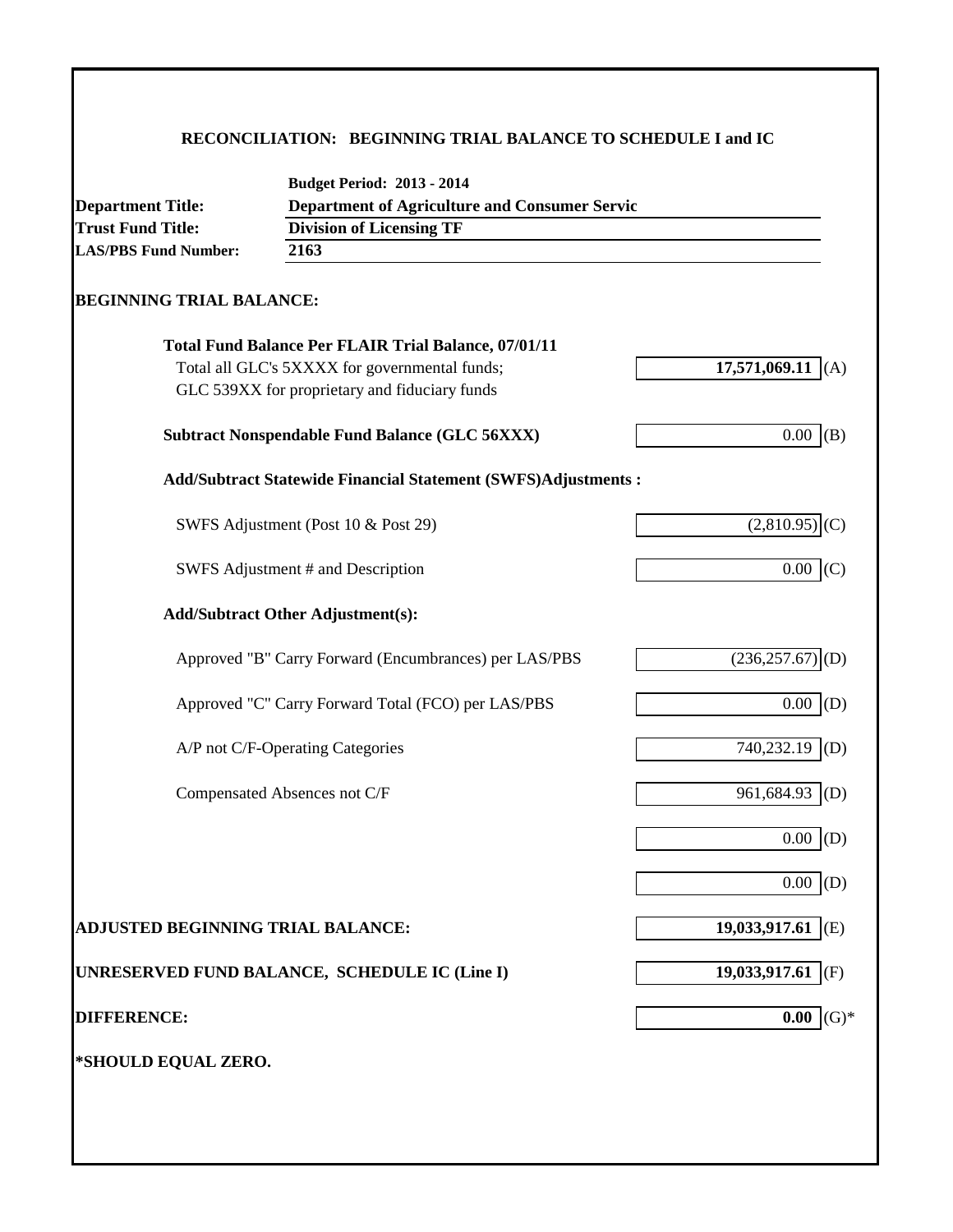# **RECONCILIATION: BEGINNING TRIAL BALANCE TO SCHEDULE I and IC**

| <b>Department Title:</b>          | <b>Budget Period: 2013 - 2014</b><br><b>Department of Agriculture and Consumer Servic</b> |                                |  |  |  |  |  |
|-----------------------------------|-------------------------------------------------------------------------------------------|--------------------------------|--|--|--|--|--|
| <b>Trust Fund Title:</b>          | <b>Division of Licensing TF</b><br>2163                                                   |                                |  |  |  |  |  |
| <b>LAS/PBS Fund Number:</b>       |                                                                                           |                                |  |  |  |  |  |
| <b>BEGINNING TRIAL BALANCE:</b>   |                                                                                           |                                |  |  |  |  |  |
|                                   | <b>Total Fund Balance Per FLAIR Trial Balance, 07/01/11</b>                               |                                |  |  |  |  |  |
|                                   | Total all GLC's 5XXXX for governmental funds;                                             | 17,571,069.11 $(A)$            |  |  |  |  |  |
|                                   | GLC 539XX for proprietary and fiduciary funds                                             |                                |  |  |  |  |  |
|                                   | <b>Subtract Nonspendable Fund Balance (GLC 56XXX)</b>                                     | 0.00<br>(B)                    |  |  |  |  |  |
|                                   | <b>Add/Subtract Statewide Financial Statement (SWFS)Adjustments:</b>                      |                                |  |  |  |  |  |
|                                   | SWFS Adjustment (Post 10 & Post 29)                                                       | $(2,810.95)$ <sub>(C)</sub>    |  |  |  |  |  |
|                                   | SWFS Adjustment # and Description                                                         | $0.00$ (C)                     |  |  |  |  |  |
|                                   | <b>Add/Subtract Other Adjustment(s):</b>                                                  |                                |  |  |  |  |  |
|                                   | Approved "B" Carry Forward (Encumbrances) per LAS/PBS                                     | $(236, 257.67)$ <sub>(D)</sub> |  |  |  |  |  |
|                                   | Approved "C" Carry Forward Total (FCO) per LAS/PBS                                        | 0.00<br>(D)                    |  |  |  |  |  |
|                                   | A/P not C/F-Operating Categories                                                          | 740,232.19<br>(D)              |  |  |  |  |  |
|                                   | Compensated Absences not C/F                                                              | 961,684.93<br>(D)              |  |  |  |  |  |
|                                   |                                                                                           | 0.00<br>(D)                    |  |  |  |  |  |
|                                   |                                                                                           | 0.00<br>(D)                    |  |  |  |  |  |
| ADJUSTED BEGINNING TRIAL BALANCE: |                                                                                           | 19,033,917.61 (E)              |  |  |  |  |  |
|                                   | UNRESERVED FUND BALANCE, SCHEDULE IC (Line I)                                             | 19,033,917.61<br>(F)           |  |  |  |  |  |
| <b>DIFFERENCE:</b>                |                                                                                           | $(G)*$<br>0.00                 |  |  |  |  |  |
| *SHOULD EQUAL ZERO.               |                                                                                           |                                |  |  |  |  |  |
|                                   |                                                                                           |                                |  |  |  |  |  |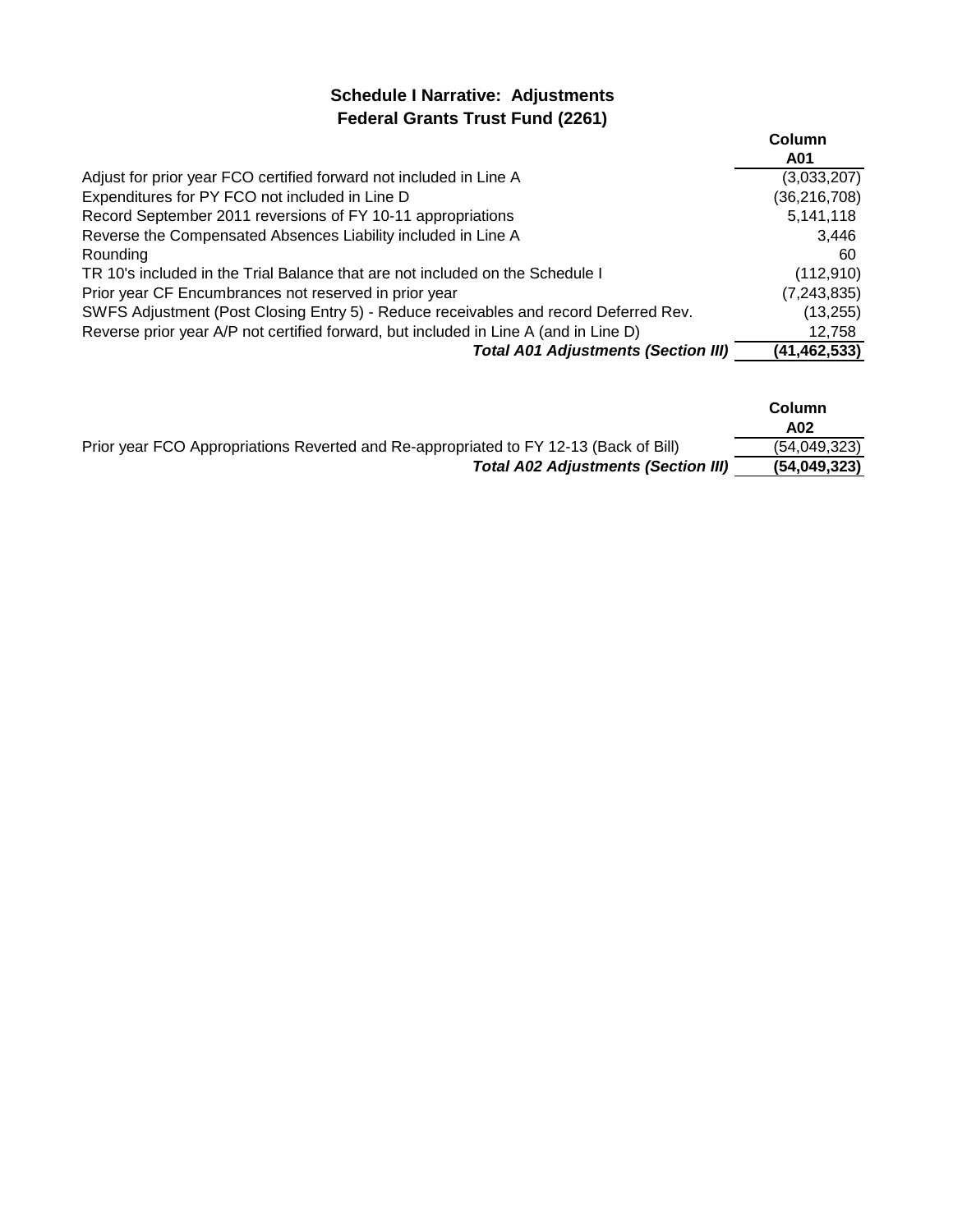# **Schedule I Narrative: Adjustments Federal Grants Trust Fund (2261)**

|                                                                                      | Column         |
|--------------------------------------------------------------------------------------|----------------|
|                                                                                      | A01            |
| Adjust for prior year FCO certified forward not included in Line A                   | (3,033,207)    |
| Expenditures for PY FCO not included in Line D                                       | (36, 216, 708) |
| Record September 2011 reversions of FY 10-11 appropriations                          | 5,141,118      |
| Reverse the Compensated Absences Liability included in Line A                        | 3.446          |
| Rounding                                                                             | 60             |
| TR 10's included in the Trial Balance that are not included on the Schedule I        | (112, 910)     |
| Prior year CF Encumbrances not reserved in prior year                                | (7, 243, 835)  |
| SWFS Adjustment (Post Closing Entry 5) - Reduce receivables and record Deferred Rev. | (13, 255)      |
| Reverse prior year A/P not certified forward, but included in Line A (and in Line D) | 12,758         |
| <b>Total A01 Adjustments (Section III)</b>                                           | (41, 462, 533) |

|                                                                                       | Column<br>A02 |
|---------------------------------------------------------------------------------------|---------------|
| Prior year FCO Appropriations Reverted and Re-appropriated to FY 12-13 (Back of Bill) | (54,049,323)  |
| <b>Total A02 Adjustments (Section III)</b>                                            | (54,049,323)  |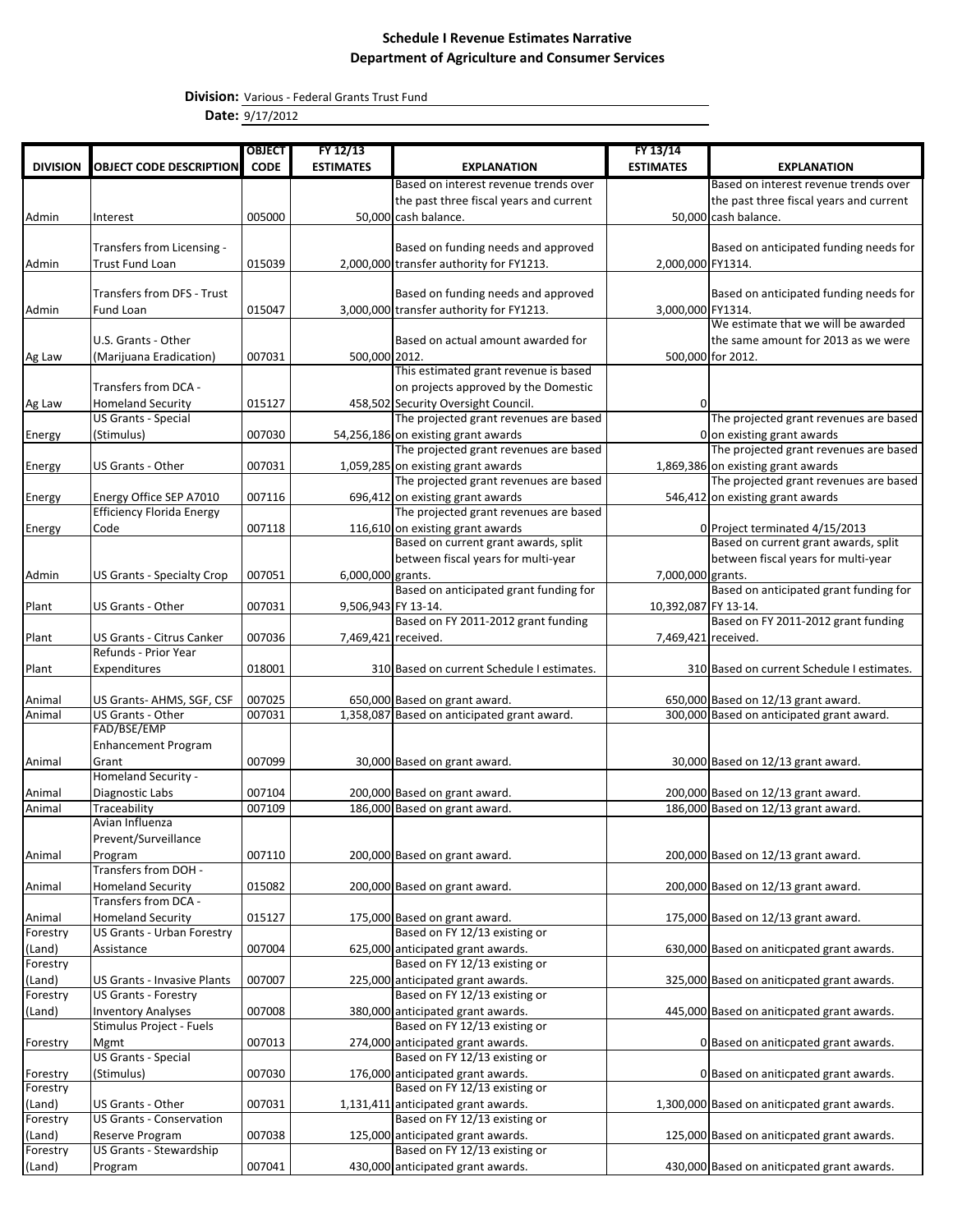**Division:** Various - Federal Grants Trust Fund

**Date:** 9/17/2012

|                    |                                                               | <b>OBJECT</b>    | FY 12/13            |                                                                            | FY 13/14             |                                                                            |
|--------------------|---------------------------------------------------------------|------------------|---------------------|----------------------------------------------------------------------------|----------------------|----------------------------------------------------------------------------|
| <b>DIVISION</b>    | <b>OBJECT CODE DESCRIPTION</b>                                | <b>CODE</b>      | <b>ESTIMATES</b>    | <b>EXPLANATION</b>                                                         | <b>ESTIMATES</b>     | <b>EXPLANATION</b>                                                         |
|                    |                                                               |                  |                     | Based on interest revenue trends over                                      |                      | Based on interest revenue trends over                                      |
|                    |                                                               |                  |                     | the past three fiscal years and current                                    |                      | the past three fiscal years and current                                    |
| Admin              | Interest                                                      | 005000           |                     | 50,000 cash balance.                                                       |                      | 50,000 cash balance.                                                       |
|                    |                                                               |                  |                     |                                                                            |                      |                                                                            |
|                    | Transfers from Licensing -                                    |                  |                     | Based on funding needs and approved                                        |                      | Based on anticipated funding needs for                                     |
| Admin              | Trust Fund Loan                                               | 015039           |                     | 2,000,000 transfer authority for FY1213.                                   | 2,000,000 FY1314.    |                                                                            |
|                    |                                                               |                  |                     |                                                                            |                      |                                                                            |
|                    | Transfers from DFS - Trust                                    |                  |                     | Based on funding needs and approved                                        |                      | Based on anticipated funding needs for                                     |
| Admin              | Fund Loan                                                     | 015047           |                     | 3,000,000 transfer authority for FY1213.                                   | 3,000,000 FY1314.    | We estimate that we will be awarded                                        |
|                    | U.S. Grants - Other                                           |                  |                     | Based on actual amount awarded for                                         |                      | the same amount for 2013 as we were                                        |
| Ag Law             | (Marijuana Eradication)                                       | 007031           | 500,000 2012.       |                                                                            |                      | 500,000 for 2012.                                                          |
|                    |                                                               |                  |                     | This estimated grant revenue is based                                      |                      |                                                                            |
|                    | Transfers from DCA -                                          |                  |                     | on projects approved by the Domestic                                       |                      |                                                                            |
| Ag Law             | <b>Homeland Security</b>                                      | 015127           |                     | 458,502 Security Oversight Council.                                        | 0                    |                                                                            |
|                    | <b>US Grants - Special</b>                                    |                  |                     | The projected grant revenues are based                                     |                      | The projected grant revenues are based                                     |
| Energy             | (Stimulus)                                                    | 007030           |                     | 54,256,186 on existing grant awards                                        |                      | 0 on existing grant awards                                                 |
|                    |                                                               |                  |                     | The projected grant revenues are based                                     |                      | The projected grant revenues are based                                     |
| Energy             | <b>US Grants - Other</b>                                      | 007031           |                     | 1,059,285 on existing grant awards                                         |                      | 1,869,386 on existing grant awards                                         |
|                    | Energy Office SEP A7010                                       | 007116           |                     | The projected grant revenues are based<br>696,412 on existing grant awards |                      | The projected grant revenues are based<br>546,412 on existing grant awards |
| Energy             | <b>Efficiency Florida Energy</b>                              |                  |                     | The projected grant revenues are based                                     |                      |                                                                            |
| Energy             | Code                                                          | 007118           |                     | 116,610 on existing grant awards                                           |                      | 0 Project terminated 4/15/2013                                             |
|                    |                                                               |                  |                     | Based on current grant awards, split                                       |                      | Based on current grant awards, split                                       |
|                    |                                                               |                  |                     | between fiscal years for multi-year                                        |                      | between fiscal years for multi-year                                        |
| Admin              | <b>US Grants - Specialty Crop</b>                             | 007051           | 6,000,000 grants.   |                                                                            | 7,000,000 grants.    |                                                                            |
|                    |                                                               |                  |                     | Based on anticipated grant funding for                                     |                      | Based on anticipated grant funding for                                     |
| Plant              | US Grants - Other                                             | 007031           | 9,506,943 FY 13-14. |                                                                            | 10,392,087 FY 13-14. |                                                                            |
|                    |                                                               |                  |                     | Based on FY 2011-2012 grant funding                                        |                      | Based on FY 2011-2012 grant funding                                        |
| Plant              | US Grants - Citrus Canker<br>Refunds - Prior Year             | 007036           | 7,469,421 received. |                                                                            | 7,469,421 received.  |                                                                            |
| Plant              | Expenditures                                                  | 018001           |                     | 310 Based on current Schedule I estimates.                                 |                      | 310 Based on current Schedule I estimates.                                 |
|                    |                                                               |                  |                     |                                                                            |                      |                                                                            |
| Animal             | US Grants-AHMS, SGF, CSF                                      | 007025           |                     | 650,000 Based on grant award.                                              |                      | 650,000 Based on 12/13 grant award.                                        |
| Animal             | US Grants - Other                                             | 007031           |                     | 1,358,087 Based on anticipated grant award.                                |                      | 300,000 Based on anticipated grant award.                                  |
|                    | FAD/BSE/EMP                                                   |                  |                     |                                                                            |                      |                                                                            |
|                    | <b>Enhancement Program</b>                                    |                  |                     |                                                                            |                      |                                                                            |
| Animal             | Grant                                                         | 007099           |                     | 30,000 Based on grant award.                                               |                      | 30,000 Based on 12/13 grant award.                                         |
|                    | <b>Homeland Security -</b>                                    |                  |                     |                                                                            |                      |                                                                            |
| Animal<br>Animal   | Diagnostic Labs<br>Traceability                               | 007104<br>007109 |                     | 200,000 Based on grant award.<br>186,000 Based on grant award.             |                      | 200,000 Based on 12/13 grant award.<br>186,000 Based on 12/13 grant award. |
|                    | Avian Influenza                                               |                  |                     |                                                                            |                      |                                                                            |
|                    | Prevent/Surveillance                                          |                  |                     |                                                                            |                      |                                                                            |
| Animal             | Program                                                       | 007110           |                     | 200,000 Based on grant award.                                              |                      | 200,000 Based on 12/13 grant award.                                        |
|                    | Transfers from DOH -                                          |                  |                     |                                                                            |                      |                                                                            |
| Animal             | <b>Homeland Security</b>                                      | 015082           |                     | 200,000 Based on grant award.                                              |                      | 200,000 Based on 12/13 grant award.                                        |
|                    | Transfers from DCA -                                          |                  |                     |                                                                            |                      |                                                                            |
| Animal             | <b>Homeland Security</b><br><b>US Grants - Urban Forestry</b> | 015127           |                     | 175,000 Based on grant award.<br>Based on FY 12/13 existing or             |                      | 175,000 Based on 12/13 grant award.                                        |
| Forestry<br>(Land) | Assistance                                                    | 007004           |                     | 625,000 anticipated grant awards.                                          |                      | 630,000 Based on aniticpated grant awards.                                 |
| Forestry           |                                                               |                  |                     | Based on FY 12/13 existing or                                              |                      |                                                                            |
| (Land)             | <b>US Grants - Invasive Plants</b>                            | 007007           |                     | 225,000 anticipated grant awards.                                          |                      | 325,000 Based on aniticpated grant awards.                                 |
| Forestry           | <b>US Grants - Forestry</b>                                   |                  |                     | Based on FY 12/13 existing or                                              |                      |                                                                            |
| (Land)             | <b>Inventory Analyses</b>                                     | 007008           |                     | 380,000 anticipated grant awards.                                          |                      | 445,000 Based on aniticpated grant awards.                                 |
|                    | Stimulus Project - Fuels                                      |                  |                     | Based on FY 12/13 existing or                                              |                      |                                                                            |
| Forestry           | <b>Mgmt</b>                                                   | 007013           |                     | 274,000 anticipated grant awards.                                          |                      | 0 Based on aniticpated grant awards.                                       |
|                    | <b>US Grants - Special</b>                                    |                  |                     | Based on FY 12/13 existing or                                              |                      |                                                                            |
| Forestry           | (Stimulus)                                                    | 007030           |                     | 176,000 anticipated grant awards.                                          |                      | 0 Based on aniticpated grant awards.                                       |
| Forestry           |                                                               |                  |                     | Based on FY 12/13 existing or<br>1,131,411 anticipated grant awards.       |                      |                                                                            |
| (Land)<br>Forestry | US Grants - Other<br><b>US Grants - Conservation</b>          | 007031           |                     | Based on FY 12/13 existing or                                              |                      | 1,300,000 Based on aniticpated grant awards.                               |
| (Land)             | Reserve Program                                               | 007038           |                     | 125,000 anticipated grant awards.                                          |                      | 125,000 Based on aniticpated grant awards.                                 |
| Forestry           | US Grants - Stewardship                                       |                  |                     | Based on FY 12/13 existing or                                              |                      |                                                                            |
| (Land)             | Program                                                       | 007041           |                     | 430,000 anticipated grant awards.                                          |                      | 430,000 Based on aniticpated grant awards.                                 |
|                    |                                                               |                  |                     |                                                                            |                      |                                                                            |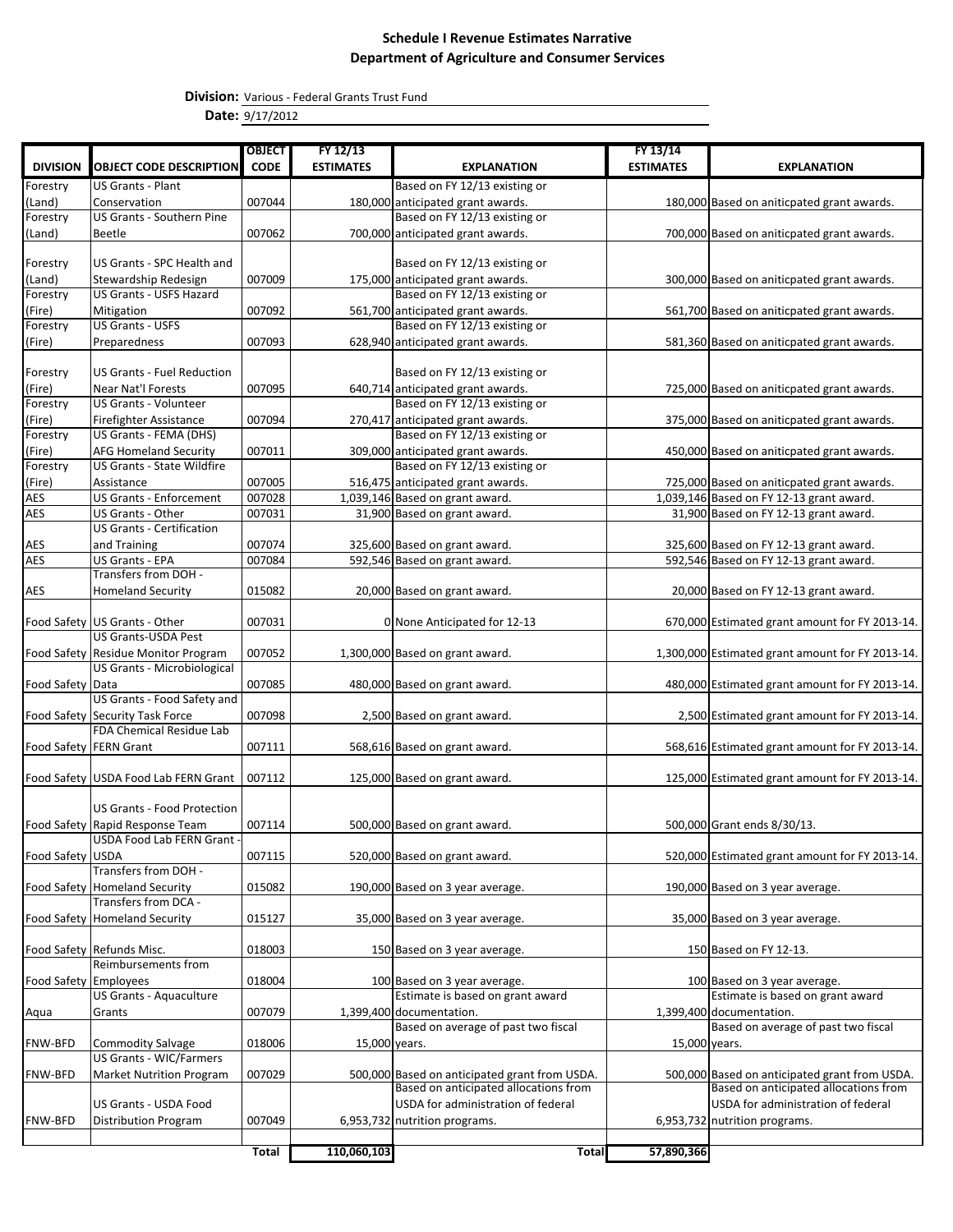**Division:** Various - Federal Grants Trust Fund

**Date:** 9/17/2012

|                          |                                                                    | <b>OBJECT</b> | FY 12/13         |                                               | FY 13/14         |                                                  |
|--------------------------|--------------------------------------------------------------------|---------------|------------------|-----------------------------------------------|------------------|--------------------------------------------------|
| <b>DIVISION</b>          | <b>OBJECT CODE DESCRIPTION</b>                                     | <b>CODE</b>   | <b>ESTIMATES</b> | <b>EXPLANATION</b>                            | <b>ESTIMATES</b> | <b>EXPLANATION</b>                               |
| Forestry                 | <b>US Grants - Plant</b>                                           |               |                  | Based on FY 12/13 existing or                 |                  |                                                  |
| (Land)                   | Conservation                                                       | 007044        |                  | 180,000 anticipated grant awards.             |                  | 180,000 Based on aniticpated grant awards.       |
| Forestry                 | <b>US Grants - Southern Pine</b>                                   |               |                  | Based on FY 12/13 existing or                 |                  |                                                  |
| (Land)                   | Beetle                                                             | 007062        |                  | 700,000 anticipated grant awards.             |                  | 700,000 Based on aniticpated grant awards.       |
|                          |                                                                    |               |                  |                                               |                  |                                                  |
| Forestry                 | US Grants - SPC Health and                                         |               |                  | Based on FY 12/13 existing or                 |                  |                                                  |
| (Land)                   | Stewardship Redesign                                               | 007009        |                  | 175,000 anticipated grant awards.             |                  | 300,000 Based on aniticpated grant awards.       |
| Forestry                 | <b>US Grants - USFS Hazard</b>                                     |               |                  | Based on FY 12/13 existing or                 |                  |                                                  |
| (Fire)                   | Mitigation                                                         | 007092        |                  | 561,700 anticipated grant awards.             |                  | 561,700 Based on aniticpated grant awards.       |
| Forestry                 | <b>US Grants - USFS</b>                                            |               |                  | Based on FY 12/13 existing or                 |                  |                                                  |
| (Fire)                   | Preparedness                                                       | 007093        |                  | 628,940 anticipated grant awards.             |                  | 581,360 Based on aniticpated grant awards.       |
|                          |                                                                    |               |                  |                                               |                  |                                                  |
| Forestry                 | <b>US Grants - Fuel Reduction</b>                                  |               |                  | Based on FY 12/13 existing or                 |                  |                                                  |
| (Fire)                   | <b>Near Nat'l Forests</b>                                          | 007095        |                  | 640,714 anticipated grant awards.             |                  | 725,000 Based on aniticpated grant awards.       |
| Forestry                 | <b>US Grants - Volunteer</b>                                       |               |                  | Based on FY 12/13 existing or                 |                  |                                                  |
| (Fire)                   | <b>Firefighter Assistance</b>                                      | 007094        |                  | 270,417 anticipated grant awards.             |                  | 375,000 Based on aniticpated grant awards.       |
| Forestry                 | US Grants - FEMA (DHS)                                             |               |                  | Based on FY 12/13 existing or                 |                  |                                                  |
| (Fire)                   | <b>AFG Homeland Security</b>                                       | 007011        |                  | 309,000 anticipated grant awards.             |                  | 450,000 Based on aniticpated grant awards.       |
| Forestry                 | US Grants - State Wildfire                                         |               |                  | Based on FY 12/13 existing or                 |                  |                                                  |
| (Fire)                   | Assistance                                                         | 007005        |                  | 516,475 anticipated grant awards.             |                  | 725,000 Based on aniticpated grant awards.       |
| <b>AES</b>               | <b>US Grants - Enforcement</b>                                     | 007028        |                  | 1,039,146 Based on grant award.               |                  | 1,039,146 Based on FY 12-13 grant award.         |
| <b>AES</b>               | US Grants - Other                                                  | 007031        |                  | 31,900 Based on grant award.                  |                  | 31,900 Based on FY 12-13 grant award.            |
|                          | <b>US Grants - Certification</b>                                   |               |                  |                                               |                  |                                                  |
| AES                      | and Training                                                       | 007074        |                  | 325,600 Based on grant award.                 |                  | 325,600 Based on FY 12-13 grant award.           |
| <b>AES</b>               | US Grants - EPA                                                    | 007084        |                  | 592,546 Based on grant award.                 |                  | 592,546 Based on FY 12-13 grant award.           |
|                          | Transfers from DOH -                                               |               |                  |                                               |                  |                                                  |
| AES                      | <b>Homeland Security</b>                                           | 015082        |                  | 20,000 Based on grant award.                  |                  | 20,000 Based on FY 12-13 grant award.            |
|                          |                                                                    |               |                  |                                               |                  |                                                  |
|                          | Food Safety US Grants - Other<br><b>US Grants-USDA Pest</b>        | 007031        |                  | 0 None Anticipated for 12-13                  |                  | 670,000 Estimated grant amount for FY 2013-14.   |
|                          |                                                                    |               |                  |                                               |                  |                                                  |
|                          | Food Safety Residue Monitor Program<br>US Grants - Microbiological | 007052        |                  | 1,300,000 Based on grant award.               |                  | 1,300,000 Estimated grant amount for FY 2013-14. |
| Food Safety Data         |                                                                    | 007085        |                  | 480,000 Based on grant award.                 |                  | 480,000 Estimated grant amount for FY 2013-14.   |
|                          | US Grants - Food Safety and                                        |               |                  |                                               |                  |                                                  |
|                          | Food Safety Security Task Force                                    | 007098        |                  | 2,500 Based on grant award.                   |                  | 2,500 Estimated grant amount for FY 2013-14.     |
|                          | <b>FDA Chemical Residue Lab</b>                                    |               |                  |                                               |                  |                                                  |
| Food Safety   FERN Grant |                                                                    | 007111        |                  | 568,616 Based on grant award.                 |                  | 568,616 Estimated grant amount for FY 2013-14.   |
|                          |                                                                    |               |                  |                                               |                  |                                                  |
|                          | Food Safety USDA Food Lab FERN Grant                               | 007112        |                  | 125,000 Based on grant award.                 |                  | 125,000 Estimated grant amount for FY 2013-14.   |
|                          |                                                                    |               |                  |                                               |                  |                                                  |
|                          | <b>US Grants - Food Protection</b>                                 |               |                  |                                               |                  |                                                  |
|                          | Food Safety Rapid Response Team                                    | 007114        |                  | 500,000 Based on grant award.                 |                  | 500,000 Grant ends 8/30/13.                      |
|                          | USDA Food Lab FERN Grant -                                         |               |                  |                                               |                  |                                                  |
| Food Safety USDA         |                                                                    | 007115        |                  | 520,000 Based on grant award.                 |                  | 520,000 Estimated grant amount for FY 2013-14.   |
|                          | Transfers from DOH -                                               |               |                  |                                               |                  |                                                  |
|                          | Food Safety Homeland Security                                      | 015082        |                  | 190,000 Based on 3 year average.              |                  | 190,000 Based on 3 year average.                 |
|                          | Transfers from DCA -                                               |               |                  |                                               |                  |                                                  |
| <b>Food Safety</b>       | <b>Homeland Security</b>                                           | 015127        |                  | 35,000 Based on 3 year average.               |                  | 35,000 Based on 3 year average.                  |
|                          |                                                                    |               |                  |                                               |                  |                                                  |
|                          | Food Safety Refunds Misc.                                          | 018003        |                  | 150 Based on 3 year average.                  |                  | 150 Based on FY 12-13.                           |
|                          | Reimbursements from                                                |               |                  |                                               |                  |                                                  |
| Food Safety Employees    |                                                                    | 018004        |                  | 100 Based on 3 year average.                  |                  | 100 Based on 3 year average.                     |
|                          | <b>US Grants - Aquaculture</b>                                     |               |                  | Estimate is based on grant award              |                  | Estimate is based on grant award                 |
| Aqua                     | Grants                                                             | 007079        |                  | 1,399,400 documentation.                      |                  | 1,399,400 documentation.                         |
|                          |                                                                    |               |                  | Based on average of past two fiscal           |                  | Based on average of past two fiscal              |
| <b>FNW-BFD</b>           | <b>Commodity Salvage</b>                                           | 018006        | 15,000 years.    |                                               | 15,000 years.    |                                                  |
|                          | <b>US Grants - WIC/Farmers</b>                                     |               |                  |                                               |                  |                                                  |
| FNW-BFD                  | <b>Market Nutrition Program</b>                                    | 007029        |                  | 500,000 Based on anticipated grant from USDA. |                  | 500,000 Based on anticipated grant from USDA.    |
|                          |                                                                    |               |                  | Based on anticipated allocations from         |                  | Based on anticipated allocations from            |
|                          | US Grants - USDA Food                                              |               |                  | USDA for administration of federal            |                  | USDA for administration of federal               |
| <b>FNW-BFD</b>           | <b>Distribution Program</b>                                        | 007049        |                  | 6,953,732 nutrition programs.                 |                  | 6,953,732 nutrition programs.                    |
|                          |                                                                    |               |                  |                                               |                  |                                                  |
|                          |                                                                    | Total         | 110,060,103      | <b>Total</b>                                  | 57,890,366       |                                                  |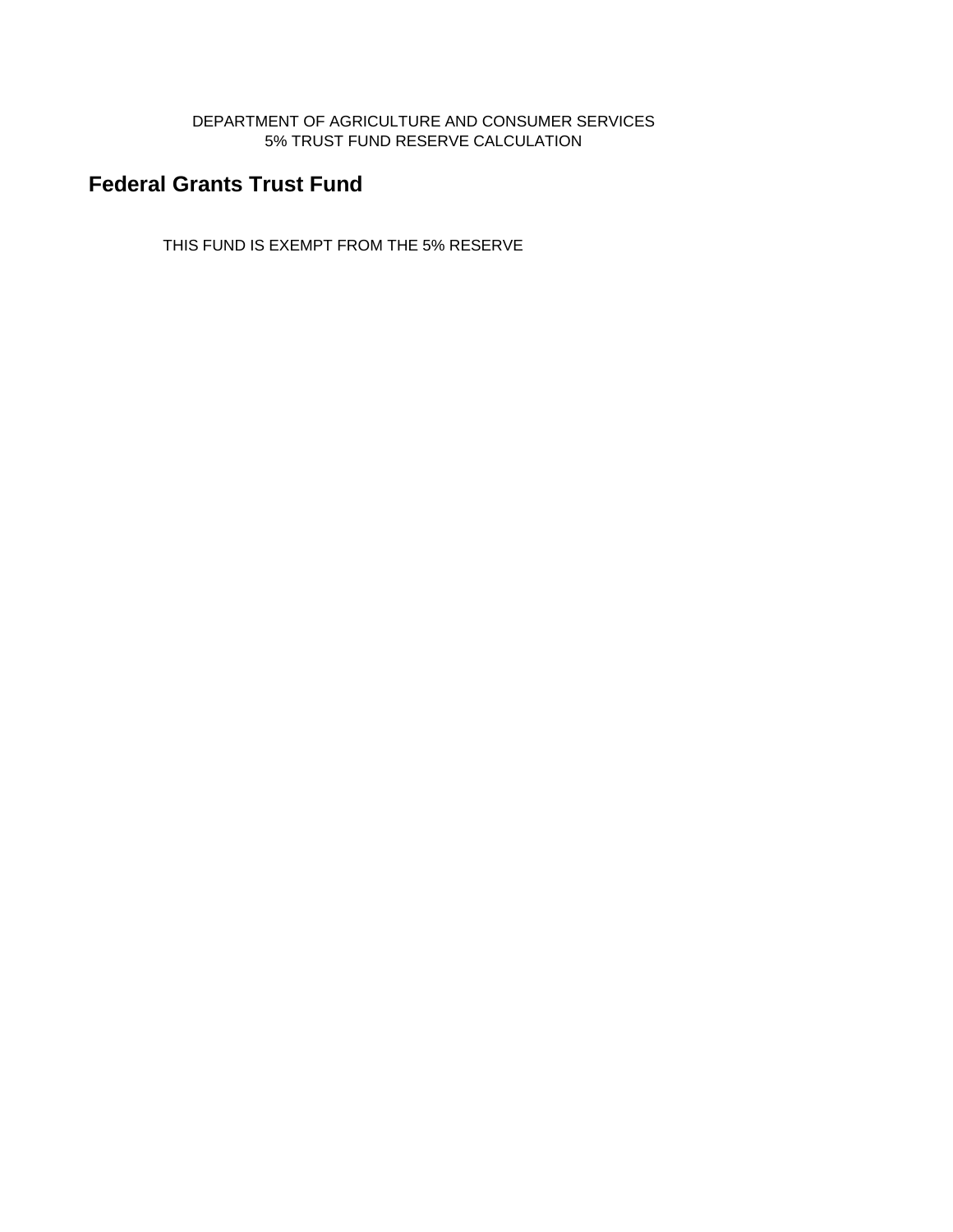DEPARTMENT OF AGRICULTURE AND CONSUMER SERVICES 5% TRUST FUND RESERVE CALCULATION

# **Federal Grants Trust Fund**

THIS FUND IS EXEMPT FROM THE 5% RESERVE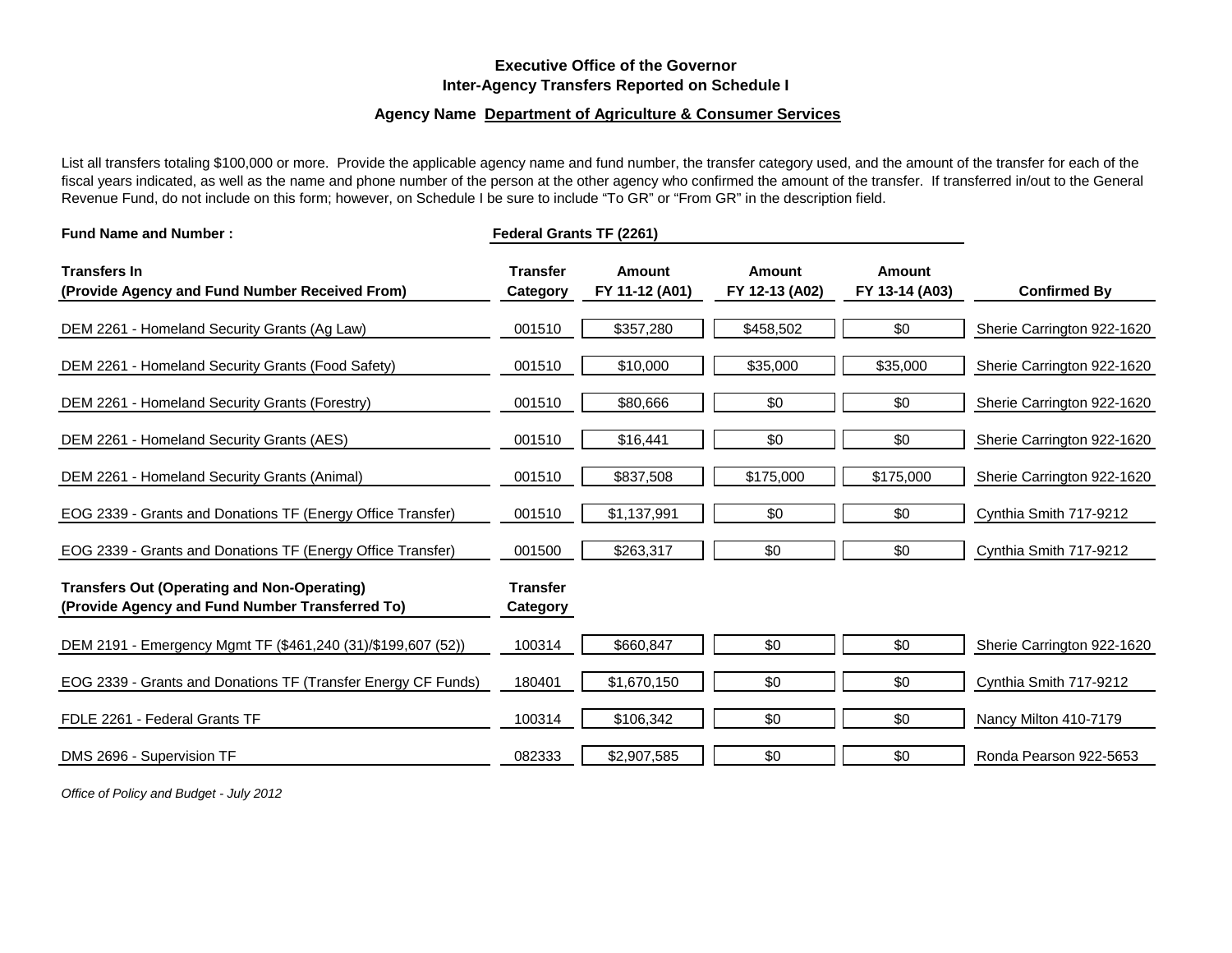## **Executive Office of the Governor Inter-Agency Transfers Reported on Schedule I**

#### **Agency Name Department of Agriculture & Consumer Services**

List all transfers totaling \$100,000 or more. Provide the applicable agency name and fund number, the transfer category used, and the amount of the transfer for each of the fiscal years indicated, as well as the name and phone number of the person at the other agency who confirmed the amount of the transfer. If transferred in/out to the General Revenue Fund, do not include on this form; however, on Schedule I be sure to include "To GR" or "From GR" in the description field.

| <b>Fund Name and Number:</b>                                                                          | Federal Grants TF (2261)    |                          |                          |                          |                            |
|-------------------------------------------------------------------------------------------------------|-----------------------------|--------------------------|--------------------------|--------------------------|----------------------------|
| <b>Transfers In</b><br>(Provide Agency and Fund Number Received From)                                 | <b>Transfer</b><br>Category | Amount<br>FY 11-12 (A01) | Amount<br>FY 12-13 (A02) | Amount<br>FY 13-14 (A03) | <b>Confirmed By</b>        |
| DEM 2261 - Homeland Security Grants (Ag Law)                                                          | 001510                      | \$357,280                | \$458,502                | \$0                      | Sherie Carrington 922-1620 |
| DEM 2261 - Homeland Security Grants (Food Safety)                                                     | 001510                      | \$10,000                 | \$35,000                 | \$35,000                 | Sherie Carrington 922-1620 |
| DEM 2261 - Homeland Security Grants (Forestry)                                                        | 001510                      | \$80,666                 | \$0                      | \$0                      | Sherie Carrington 922-1620 |
| DEM 2261 - Homeland Security Grants (AES)                                                             | 001510                      | \$16,441                 | \$0                      | \$0                      | Sherie Carrington 922-1620 |
| DEM 2261 - Homeland Security Grants (Animal)                                                          | 001510                      | \$837,508                | \$175,000                | \$175,000                | Sherie Carrington 922-1620 |
| EOG 2339 - Grants and Donations TF (Energy Office Transfer)                                           | 001510                      | \$1,137,991              | \$0                      | \$0                      | Cynthia Smith 717-9212     |
| EOG 2339 - Grants and Donations TF (Energy Office Transfer)                                           | 001500                      | \$263,317                | \$0                      | \$0                      | Cynthia Smith 717-9212     |
| <b>Transfers Out (Operating and Non-Operating)</b><br>(Provide Agency and Fund Number Transferred To) | <b>Transfer</b><br>Category |                          |                          |                          |                            |
| DEM 2191 - Emergency Mgmt TF (\$461,240 (31)/\$199,607 (52))                                          | 100314                      | \$660,847                | \$0                      | \$0                      | Sherie Carrington 922-1620 |
| EOG 2339 - Grants and Donations TF (Transfer Energy CF Funds)                                         | 180401                      | \$1,670,150              | \$0                      | \$0                      | Cynthia Smith 717-9212     |
| FDLE 2261 - Federal Grants TF                                                                         | 100314                      | \$106,342                | \$0                      | \$0                      | Nancy Milton 410-7179      |
| DMS 2696 - Supervision TF                                                                             | 082333                      | \$2,907,585              | \$0                      | \$0                      | Ronda Pearson 922-5653     |

*Office of Policy and Budget - July 2012*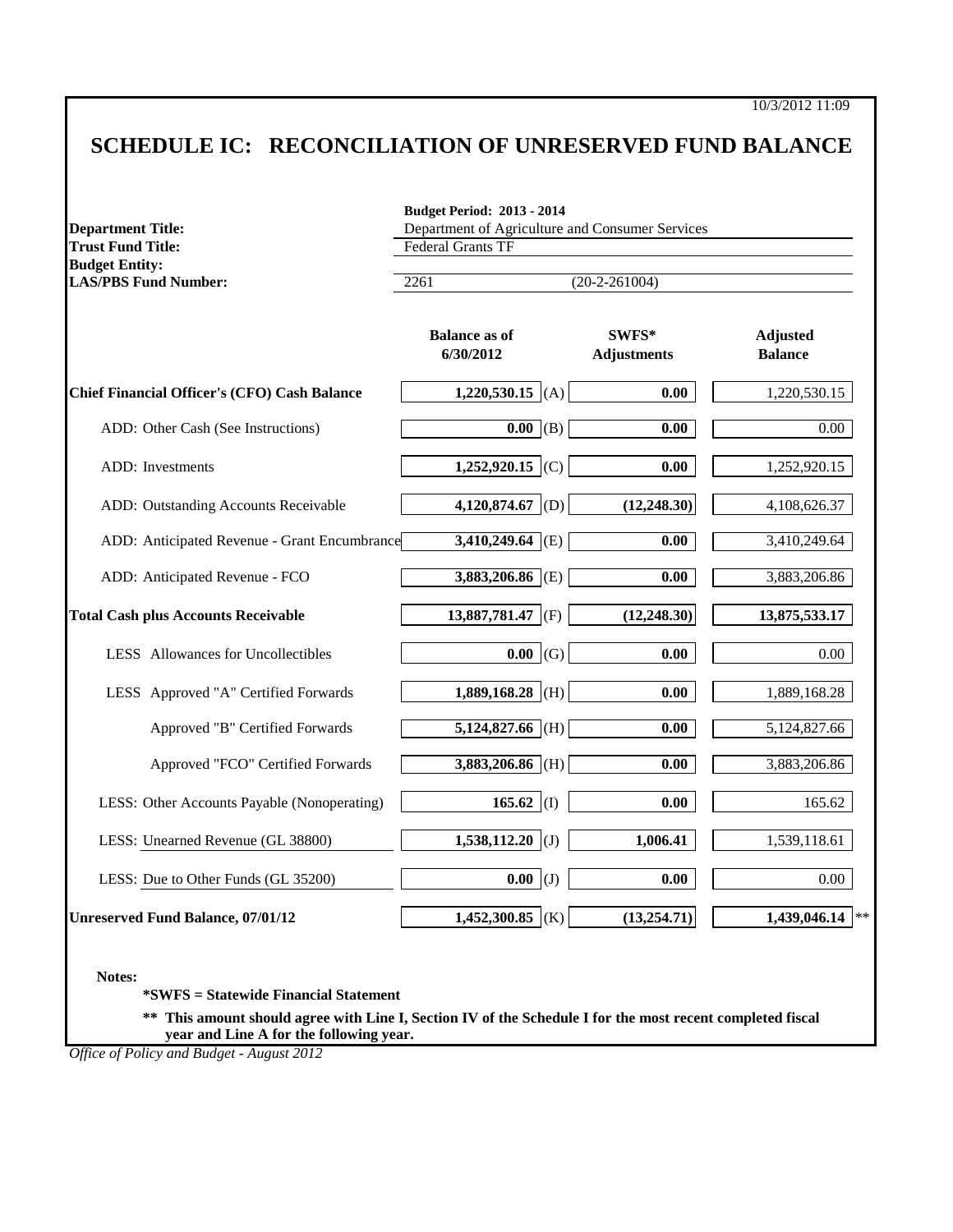# **SCHEDULE IC: RECONCILIATION OF UNRESERVED FUND BALANCE**

| <b>Trust Fund Title:</b>                             | Department of Agriculture and Consumer Services<br><b>Federal Grants TF</b><br>$(20-2-261004)$<br>2261 |                             |                                   |  |  |  |
|------------------------------------------------------|--------------------------------------------------------------------------------------------------------|-----------------------------|-----------------------------------|--|--|--|
| <b>Budget Entity:</b><br><b>LAS/PBS Fund Number:</b> |                                                                                                        |                             |                                   |  |  |  |
|                                                      | <b>Balance as of</b><br>6/30/2012                                                                      | SWFS*<br><b>Adjustments</b> | <b>Adjusted</b><br><b>Balance</b> |  |  |  |
| Chief Financial Officer's (CFO) Cash Balance         | 1,220,530.15 (A)                                                                                       | 0.00                        | 1,220,530.15                      |  |  |  |
| ADD: Other Cash (See Instructions)                   | 0.00   (B)                                                                                             | 0.00                        | 0.00                              |  |  |  |
| ADD: Investments                                     | 1,252,920.15 (C)                                                                                       | 0.00                        | 1,252,920.15                      |  |  |  |
| ADD: Outstanding Accounts Receivable                 | 4,120,874.67 (D)                                                                                       | (12, 248.30)                | 4,108,626.37                      |  |  |  |
| ADD: Anticipated Revenue - Grant Encumbrance         | $3,410,249.64$ (E)                                                                                     | 0.00                        | 3,410,249.64                      |  |  |  |
| ADD: Anticipated Revenue - FCO                       | $3,883,206.86$ (E)                                                                                     | 0.00                        | 3,883,206.86                      |  |  |  |
| <b>Total Cash plus Accounts Receivable</b>           | 13,887,781.47 (F)                                                                                      | (12, 248.30)                | 13,875,533.17                     |  |  |  |
| <b>LESS</b> Allowances for Uncollectibles            | $0.00$ (G)                                                                                             | 0.00                        | 0.00                              |  |  |  |
| LESS Approved "A" Certified Forwards                 | 1,889,168.28 (H)                                                                                       | 0.00                        | 1,889,168.28                      |  |  |  |
| Approved "B" Certified Forwards                      | 5,124,827.66 (H)                                                                                       | 0.00                        | 5,124,827.66                      |  |  |  |
| Approved "FCO" Certified Forwards                    | $3,883,206.86$ (H)                                                                                     | 0.00                        | 3,883,206.86                      |  |  |  |
| LESS: Other Accounts Payable (Nonoperating)          | 165.62 (I)                                                                                             | 0.00                        | 165.62                            |  |  |  |
| LESS: Unearned Revenue (GL 38800)                    | 1,538,112.20 (J)                                                                                       | 1,006.41                    | 1,539,118.61                      |  |  |  |
| LESS: Due to Other Funds (GL 35200)                  | $0.00$ (J)                                                                                             | 0.00                        | $0.00\,$                          |  |  |  |
| <b>Unreserved Fund Balance, 07/01/12</b>             | 1,452,300.85 (K)                                                                                       | (13, 254.71)                | 1,439,046.14                      |  |  |  |

**Notes:**

**\*SWFS = Statewide Financial Statement** 

**\*\* This amount should agree with Line I, Section IV of the Schedule I for the most recent completed fiscal year and Line A for the following year.**

*Office of Policy and Budget - August 2012*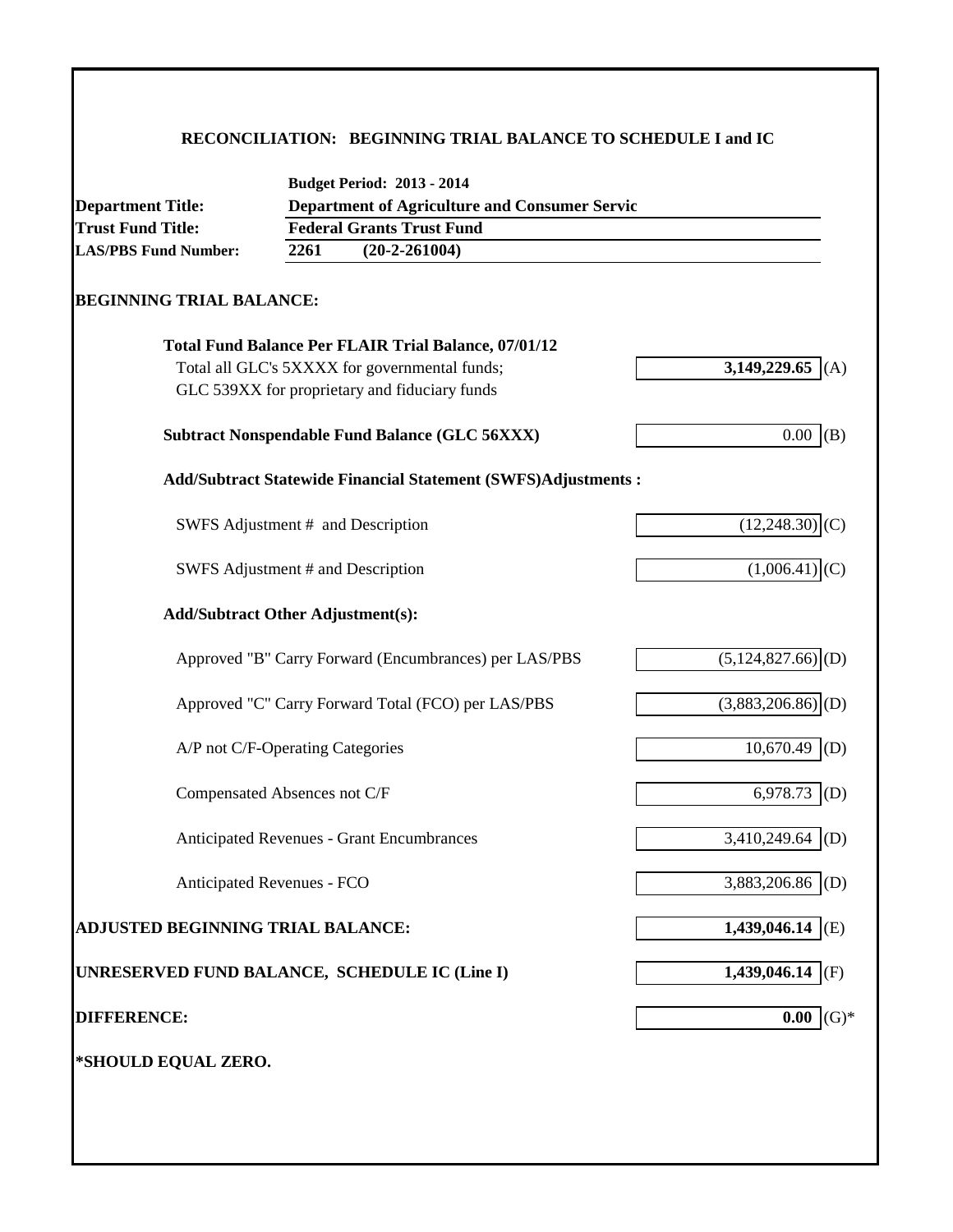# **RECONCILIATION: BEGINNING TRIAL BALANCE TO SCHEDULE I and IC**

| <b>Department Title:</b>                      |                                                             | <b>Budget Period: 2013 - 2014</b><br><b>Department of Agriculture and Consumer Servic</b>                                                                     |  |                                 |  |  |  |
|-----------------------------------------------|-------------------------------------------------------------|---------------------------------------------------------------------------------------------------------------------------------------------------------------|--|---------------------------------|--|--|--|
| <b>Trust Fund Title:</b>                      | <b>Federal Grants Trust Fund</b><br>2261<br>$(20-2-261004)$ |                                                                                                                                                               |  |                                 |  |  |  |
| <b>LAS/PBS Fund Number:</b>                   |                                                             |                                                                                                                                                               |  |                                 |  |  |  |
| <b>BEGINNING TRIAL BALANCE:</b>               |                                                             |                                                                                                                                                               |  |                                 |  |  |  |
|                                               |                                                             | <b>Total Fund Balance Per FLAIR Trial Balance, 07/01/12</b><br>Total all GLC's 5XXXX for governmental funds;<br>GLC 539XX for proprietary and fiduciary funds |  | 3,149,229.65<br>(A)             |  |  |  |
|                                               |                                                             | <b>Subtract Nonspendable Fund Balance (GLC 56XXX)</b>                                                                                                         |  | $0.00\,$<br>(B)                 |  |  |  |
|                                               |                                                             | <b>Add/Subtract Statewide Financial Statement (SWFS)Adjustments:</b>                                                                                          |  |                                 |  |  |  |
| SWFS Adjustment # and Description             |                                                             |                                                                                                                                                               |  | $(12,248.30)$ <sub>(C)</sub>    |  |  |  |
| SWFS Adjustment # and Description             |                                                             |                                                                                                                                                               |  | (1,006.41)                      |  |  |  |
| <b>Add/Subtract Other Adjustment(s):</b>      |                                                             |                                                                                                                                                               |  |                                 |  |  |  |
|                                               |                                                             | Approved "B" Carry Forward (Encumbrances) per LAS/PBS                                                                                                         |  | $(5,124,827.66)$ <sup>(D)</sup> |  |  |  |
|                                               |                                                             | Approved "C" Carry Forward Total (FCO) per LAS/PBS                                                                                                            |  | $(3,883,206.86)$ <sub>(D)</sub> |  |  |  |
| A/P not C/F-Operating Categories              |                                                             |                                                                                                                                                               |  | 10,670.49<br>(D)                |  |  |  |
| Compensated Absences not C/F                  |                                                             |                                                                                                                                                               |  | 6,978.73<br>(D)                 |  |  |  |
|                                               |                                                             | Anticipated Revenues - Grant Encumbrances                                                                                                                     |  | 3,410,249.64<br>(D)             |  |  |  |
| Anticipated Revenues - FCO                    |                                                             |                                                                                                                                                               |  | 3,883,206.86<br>(D)             |  |  |  |
| ADJUSTED BEGINNING TRIAL BALANCE:             |                                                             |                                                                                                                                                               |  | 1,439,046.14<br>(E)             |  |  |  |
| UNRESERVED FUND BALANCE, SCHEDULE IC (Line I) |                                                             |                                                                                                                                                               |  | 1,439,046.14<br>(F)             |  |  |  |
| <b>DIFFERENCE:</b>                            |                                                             |                                                                                                                                                               |  | $(G)*$<br>0.00                  |  |  |  |
| *SHOULD EQUAL ZERO.                           |                                                             |                                                                                                                                                               |  |                                 |  |  |  |
|                                               |                                                             |                                                                                                                                                               |  |                                 |  |  |  |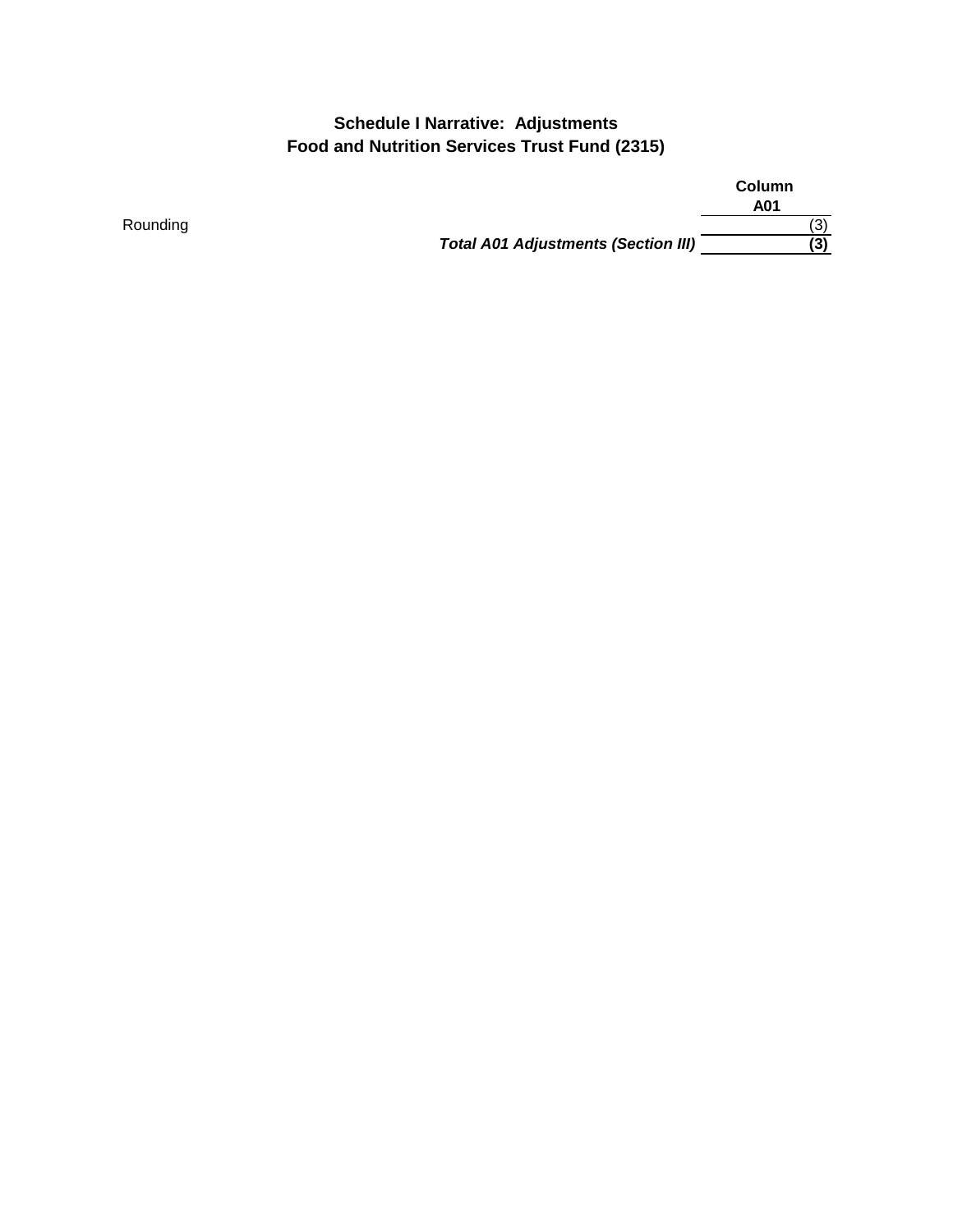# **Schedule I Narrative: Adjustments Food and Nutrition Services Trust Fund (2315)**

**Column A01** Rounding (3) (3) North Section 2014 12:38 (3) North Section 2014 12:38 (3) North Section 2014 12:38 (3) North Section 2014 12:38 (3) 13:39 *Total A01 Adjustments (Section III)* **(3)**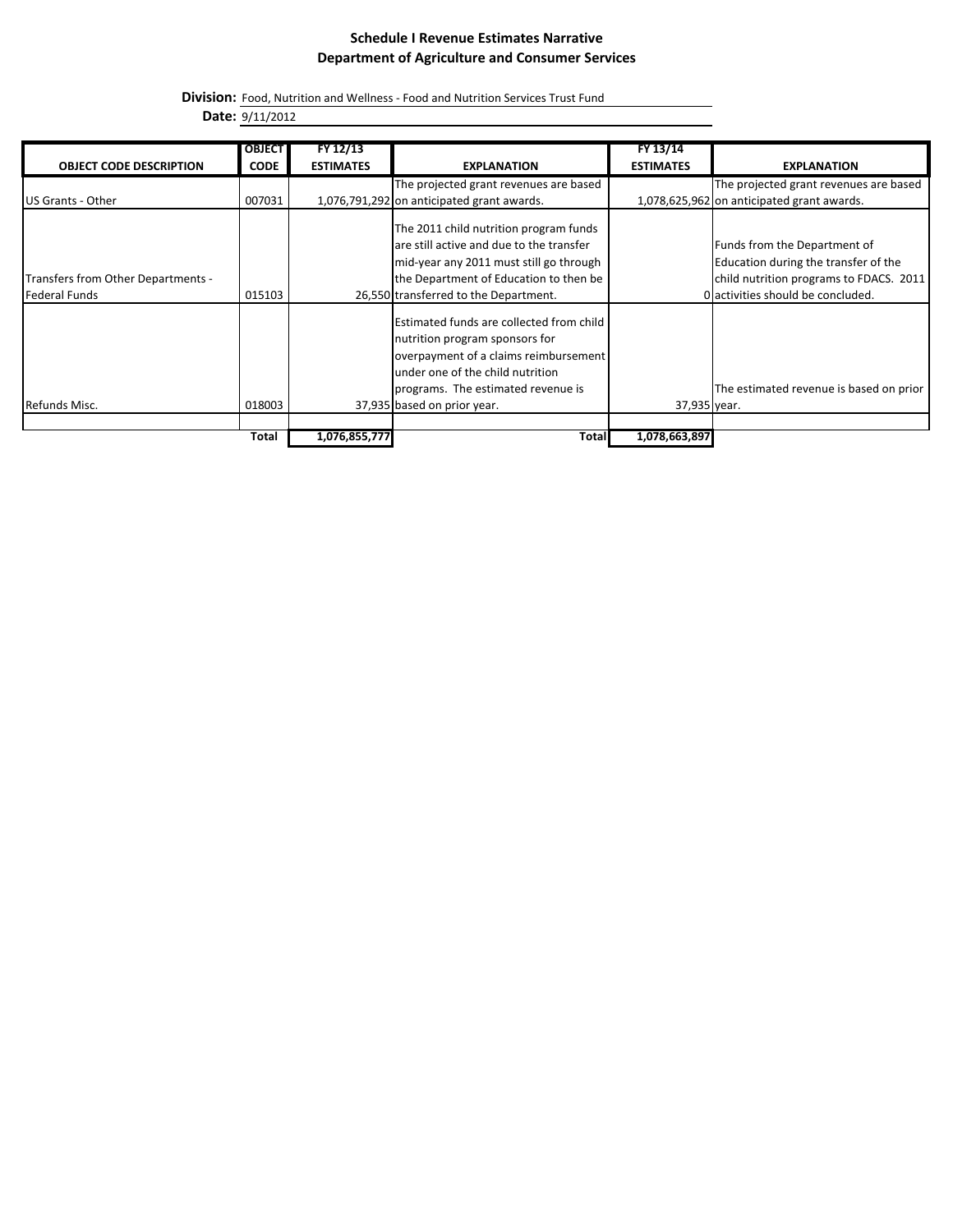**Division:** Food, Nutrition and Wellness - Food and Nutrition Services Trust Fund

**Date:** 9/11/2012

|                                    | <b>OBJECT</b> | FY 12/13         |                                            | FY 13/14         |                                            |
|------------------------------------|---------------|------------------|--------------------------------------------|------------------|--------------------------------------------|
|                                    |               |                  |                                            |                  |                                            |
| <b>OBJECT CODE DESCRIPTION</b>     | <b>CODE</b>   | <b>ESTIMATES</b> | <b>EXPLANATION</b>                         | <b>ESTIMATES</b> | <b>EXPLANATION</b>                         |
|                                    |               |                  | The projected grant revenues are based     |                  | The projected grant revenues are based     |
| US Grants - Other                  | 007031        |                  | 1,076,791,292 on anticipated grant awards. |                  | 1,078,625,962 on anticipated grant awards. |
|                                    |               |                  |                                            |                  |                                            |
|                                    |               |                  | The 2011 child nutrition program funds     |                  |                                            |
|                                    |               |                  | are still active and due to the transfer   |                  | Funds from the Department of               |
|                                    |               |                  | mid-year any 2011 must still go through    |                  | Education during the transfer of the       |
| Transfers from Other Departments - |               |                  | the Department of Education to then be     |                  | child nutrition programs to FDACS. 2011    |
| Federal Funds                      | 015103        |                  | 26,550 transferred to the Department.      |                  | O activities should be concluded.          |
|                                    |               |                  | Estimated funds are collected from child   |                  |                                            |
|                                    |               |                  |                                            |                  |                                            |
|                                    |               |                  | nutrition program sponsors for             |                  |                                            |
|                                    |               |                  | overpayment of a claims reimbursement      |                  |                                            |
|                                    |               |                  | under one of the child nutrition           |                  |                                            |
|                                    |               |                  | programs. The estimated revenue is         |                  | The estimated revenue is based on prior    |
| Refunds Misc.                      | 018003        |                  | 37,935 based on prior year.                | 37,935 year.     |                                            |
|                                    |               |                  |                                            |                  |                                            |
|                                    | Total         | 1,076,855,777    | Total                                      | 1,078,663,897    |                                            |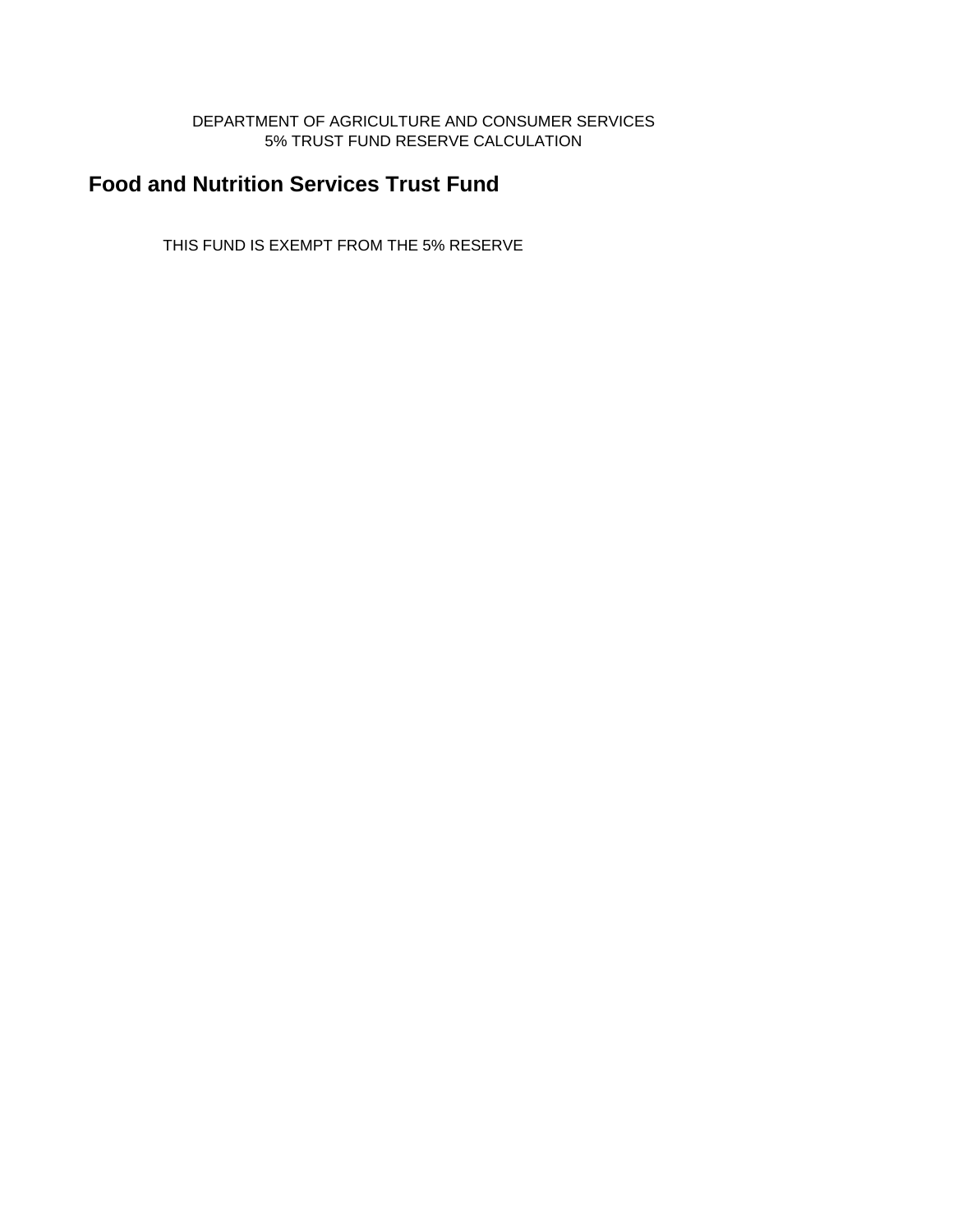#### DEPARTMENT OF AGRICULTURE AND CONSUMER SERVICES 5% TRUST FUND RESERVE CALCULATION

# **Food and Nutrition Services Trust Fund**

THIS FUND IS EXEMPT FROM THE 5% RESERVE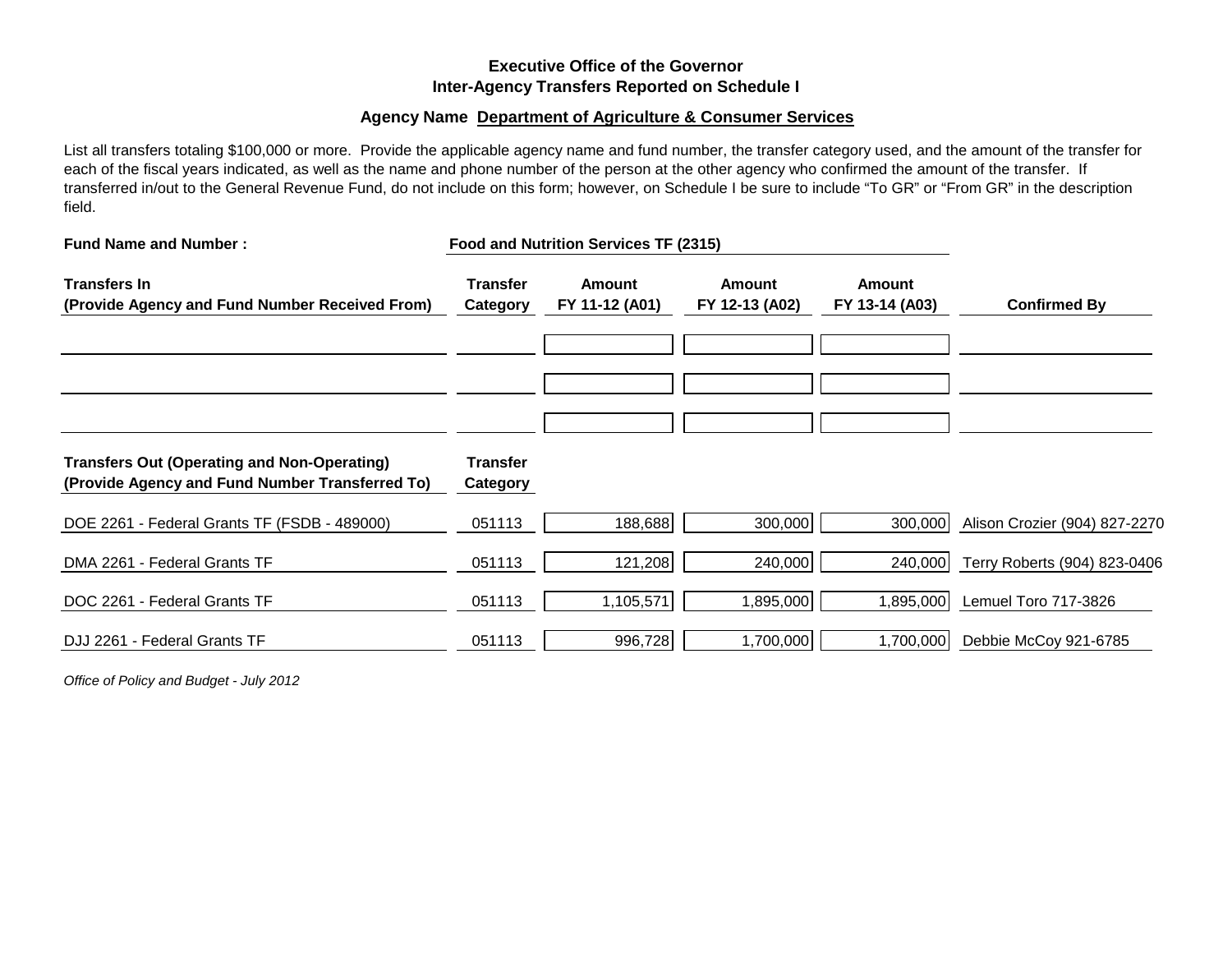### **Executive Office of the Governor Inter-Agency Transfers Reported on Schedule I**

#### **Agency Name Department of Agriculture & Consumer Services**

List all transfers totaling \$100,000 or more. Provide the applicable agency name and fund number, the transfer category used, and the amount of the transfer for each of the fiscal years indicated, as well as the name and phone number of the person at the other agency who confirmed the amount of the transfer. If transferred in/out to the General Revenue Fund, do not include on this form; however, on Schedule I be sure to include "To GR" or "From GR" in the description field.

| <b>Fund Name and Number:</b>                                                                          |                             | Food and Nutrition Services TF (2315) |                                 |                                 |                               |  |
|-------------------------------------------------------------------------------------------------------|-----------------------------|---------------------------------------|---------------------------------|---------------------------------|-------------------------------|--|
| <b>Transfers In</b><br>(Provide Agency and Fund Number Received From)                                 | <b>Transfer</b><br>Category | <b>Amount</b><br>FY 11-12 (A01)       | <b>Amount</b><br>FY 12-13 (A02) | <b>Amount</b><br>FY 13-14 (A03) | <b>Confirmed By</b>           |  |
|                                                                                                       |                             |                                       |                                 |                                 |                               |  |
| <b>Transfers Out (Operating and Non-Operating)</b><br>(Provide Agency and Fund Number Transferred To) | <b>Transfer</b><br>Category |                                       |                                 |                                 |                               |  |
| DOE 2261 - Federal Grants TF (FSDB - 489000)                                                          | 051113                      | 188,688                               | 300,000                         | 300,000                         | Alison Crozier (904) 827-2270 |  |
| DMA 2261 - Federal Grants TF                                                                          | 051113                      | 121,208                               | 240,000                         | 240,000                         | Terry Roberts (904) 823-0406  |  |
| DOC 2261 - Federal Grants TF                                                                          | 051113                      | 1,105,571                             | 1,895,000                       | 1,895,000                       | Lemuel Toro 717-3826          |  |
| DJJ 2261 - Federal Grants TF                                                                          | 051113                      | 996,728                               | 1,700,000                       | 1,700,000                       | Debbie McCoy 921-6785         |  |

*Office of Policy and Budget - July 2012*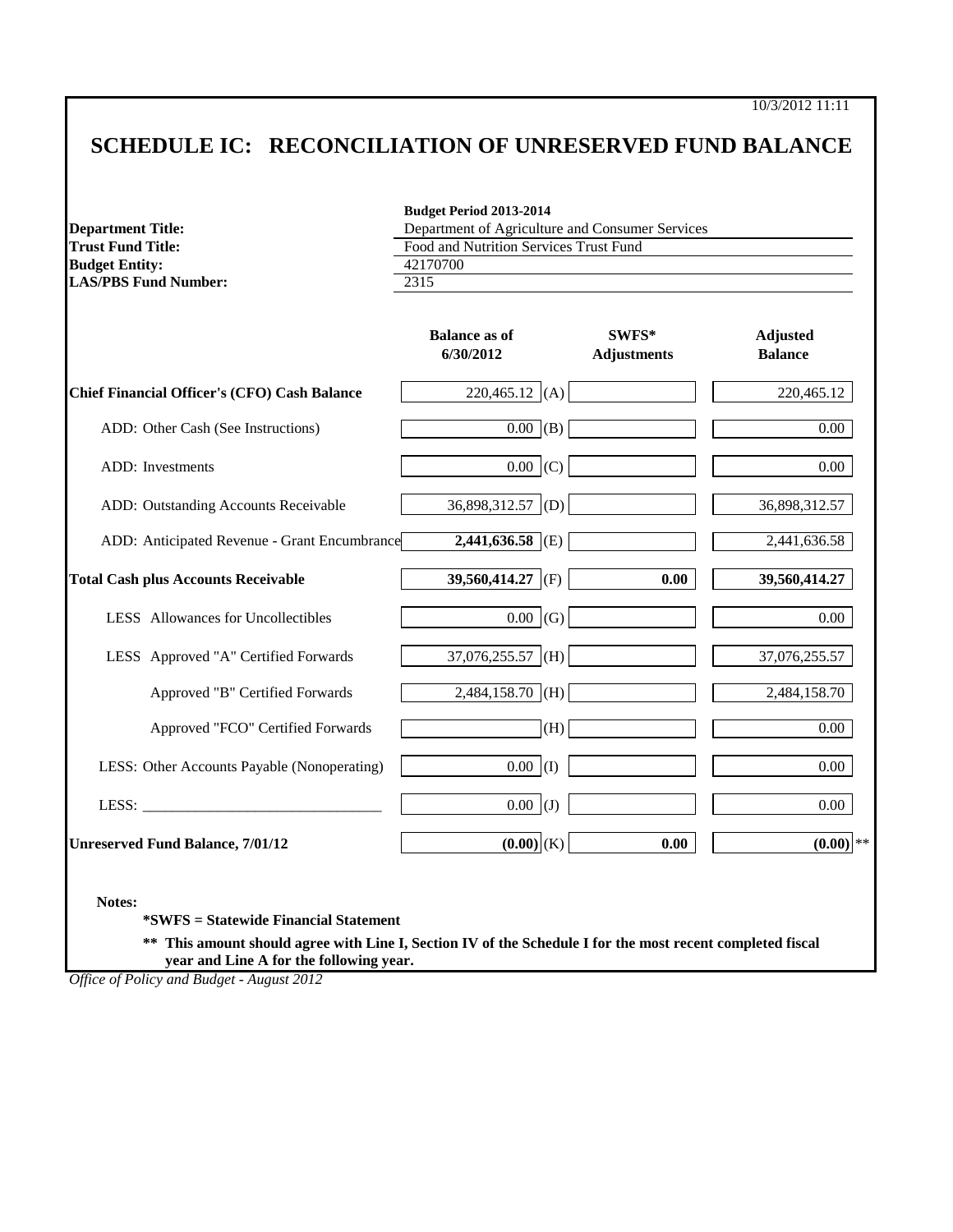10/3/2012 11:11

# **SCHEDULE IC: RECONCILIATION OF UNRESERVED FUND BALANCE**

**Budget Period 2013-2014**

| <b>Department Title:</b>                     | Department of Agriculture and Consumer Services |                             |                                   |
|----------------------------------------------|-------------------------------------------------|-----------------------------|-----------------------------------|
| <b>Trust Fund Title:</b>                     | Food and Nutrition Services Trust Fund          |                             |                                   |
| <b>Budget Entity:</b>                        | 42170700                                        |                             |                                   |
| <b>LAS/PBS Fund Number:</b>                  | 2315                                            |                             |                                   |
|                                              | <b>Balance as of</b><br>6/30/2012               | SWFS*<br><b>Adjustments</b> | <b>Adjusted</b><br><b>Balance</b> |
| Chief Financial Officer's (CFO) Cash Balance | $220,465.12$ (A)                                |                             | 220,465.12                        |
| ADD: Other Cash (See Instructions)           | $0.00$ (B)                                      |                             | 0.00                              |
| ADD: Investments                             | $0.00$ (C)                                      |                             | 0.00                              |
| ADD: Outstanding Accounts Receivable         | $36,898,312.57$ (D)                             |                             | 36,898,312.57                     |
| ADD: Anticipated Revenue - Grant Encumbrance | $2,441,636.58$ (E)                              |                             | 2,441,636.58                      |
| <b>Total Cash plus Accounts Receivable</b>   | 39,560,414.27 (F)                               | 0.00                        | 39,560,414.27                     |
| LESS Allowances for Uncollectibles           | $0.00$ (G)                                      |                             | 0.00                              |
| LESS Approved "A" Certified Forwards         | $37,076,255.57$ (H)                             |                             | 37,076,255.57                     |
| Approved "B" Certified Forwards              | $2,484,158.70$ (H)                              |                             | 2,484,158.70                      |
| Approved "FCO" Certified Forwards            | (H)                                             |                             | 0.00                              |
| LESS: Other Accounts Payable (Nonoperating)  | $0.00$ (I)                                      |                             | 0.00                              |
|                                              | $0.00$ (J)                                      |                             | $0.00\,$                          |
| <b>Unreserved Fund Balance, 7/01/12</b>      | $(0.00)$ (K)                                    | 0.00                        | $(0.00)$ <sup>**</sup>            |

**\*\* This amount should agree with Line I, Section IV of the Schedule I for the most recent completed fiscal year and Line A for the following year.**

*Office of Policy and Budget - August 2012*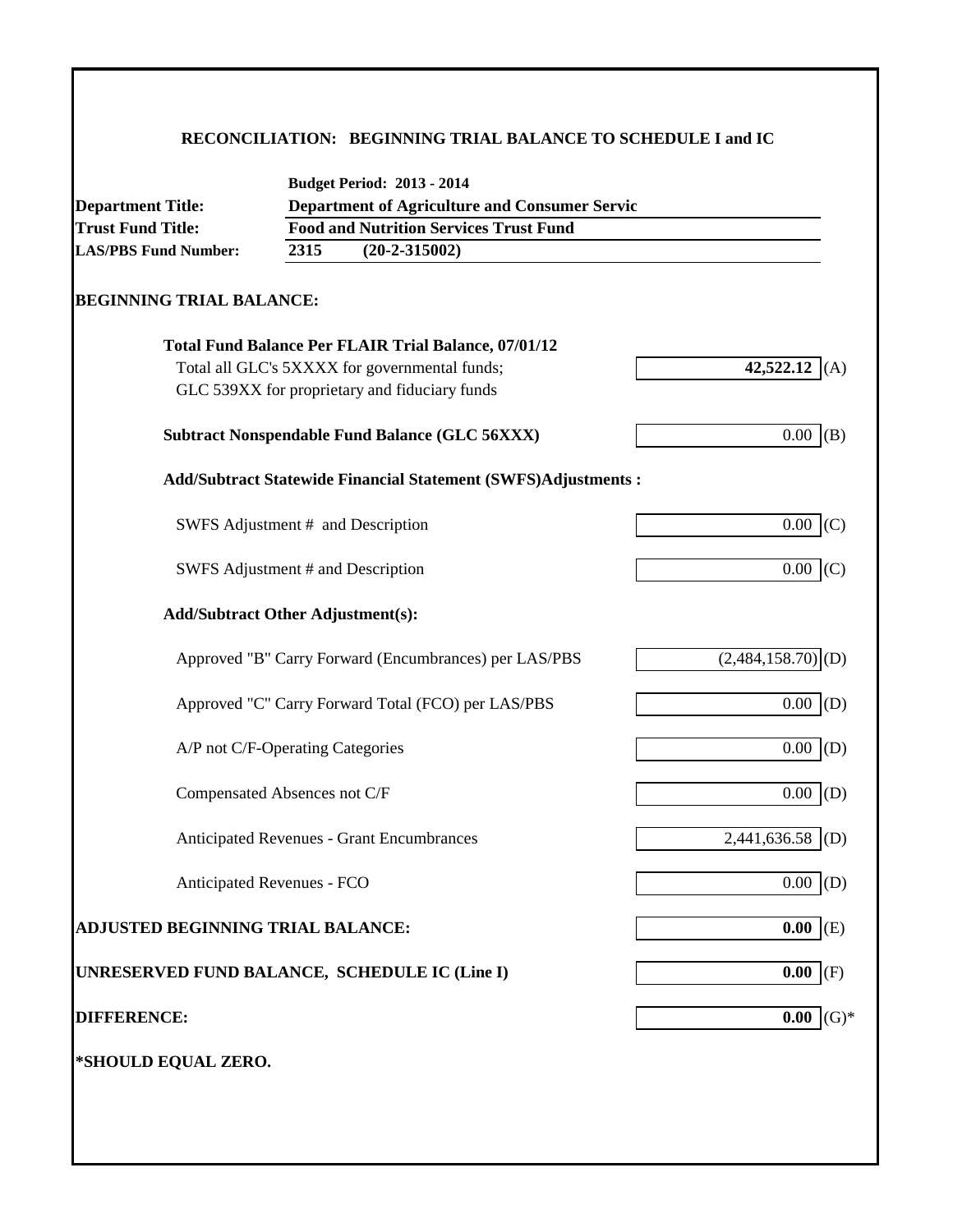### **RECONCILIATION: BEGINNING TRIAL BALANCE TO SCHEDULE I and IC**

| <b>Department Title:</b>                              |                                                    | <b>Department of Agriculture and Consumer Servic</b>                                           |                                 |  |  |  |  |  |  |
|-------------------------------------------------------|----------------------------------------------------|------------------------------------------------------------------------------------------------|---------------------------------|--|--|--|--|--|--|
| <b>Trust Fund Title:</b>                              |                                                    | <b>Food and Nutrition Services Trust Fund</b>                                                  |                                 |  |  |  |  |  |  |
| <b>LAS/PBS Fund Number:</b>                           | 2315                                               | $(20-2-315002)$                                                                                |                                 |  |  |  |  |  |  |
| <b>BEGINNING TRIAL BALANCE:</b>                       |                                                    |                                                                                                |                                 |  |  |  |  |  |  |
|                                                       |                                                    | <b>Total Fund Balance Per FLAIR Trial Balance, 07/01/12</b>                                    |                                 |  |  |  |  |  |  |
|                                                       |                                                    | Total all GLC's 5XXXX for governmental funds;<br>GLC 539XX for proprietary and fiduciary funds | 42,522.12<br>(A)                |  |  |  |  |  |  |
| <b>Subtract Nonspendable Fund Balance (GLC 56XXX)</b> | $0.00$ (B)                                         |                                                                                                |                                 |  |  |  |  |  |  |
|                                                       |                                                    | Add/Subtract Statewide Financial Statement (SWFS)Adjustments :                                 |                                 |  |  |  |  |  |  |
|                                                       |                                                    | SWFS Adjustment # and Description                                                              | $0.00$ (C)                      |  |  |  |  |  |  |
| SWFS Adjustment # and Description                     | $0.00$ (C)                                         |                                                                                                |                                 |  |  |  |  |  |  |
| <b>Add/Subtract Other Adjustment(s):</b>              |                                                    |                                                                                                |                                 |  |  |  |  |  |  |
|                                                       |                                                    | Approved "B" Carry Forward (Encumbrances) per LAS/PBS                                          | $(2,484,158.70)$ <sub>(D)</sub> |  |  |  |  |  |  |
|                                                       | Approved "C" Carry Forward Total (FCO) per LAS/PBS | 0.00<br>(D)                                                                                    |                                 |  |  |  |  |  |  |
| A/P not C/F-Operating Categories                      |                                                    |                                                                                                | $0.00$ (D)                      |  |  |  |  |  |  |
| Compensated Absences not C/F                          |                                                    |                                                                                                | $0.00$ (D)                      |  |  |  |  |  |  |
|                                                       |                                                    | <b>Anticipated Revenues - Grant Encumbrances</b>                                               | 2,441,636.58<br>(D)             |  |  |  |  |  |  |
| Anticipated Revenues - FCO                            |                                                    |                                                                                                | $0.00$ (D)                      |  |  |  |  |  |  |
| ADJUSTED BEGINNING TRIAL BALANCE:                     |                                                    |                                                                                                | $0.00$ (E)                      |  |  |  |  |  |  |
| UNRESERVED FUND BALANCE, SCHEDULE IC (Line I)         |                                                    |                                                                                                | $0.00$ (F)                      |  |  |  |  |  |  |
| <b>DIFFERENCE:</b>                                    |                                                    |                                                                                                | $(G)*$<br>0.00                  |  |  |  |  |  |  |
| *SHOULD EQUAL ZERO.                                   |                                                    |                                                                                                |                                 |  |  |  |  |  |  |
|                                                       |                                                    |                                                                                                |                                 |  |  |  |  |  |  |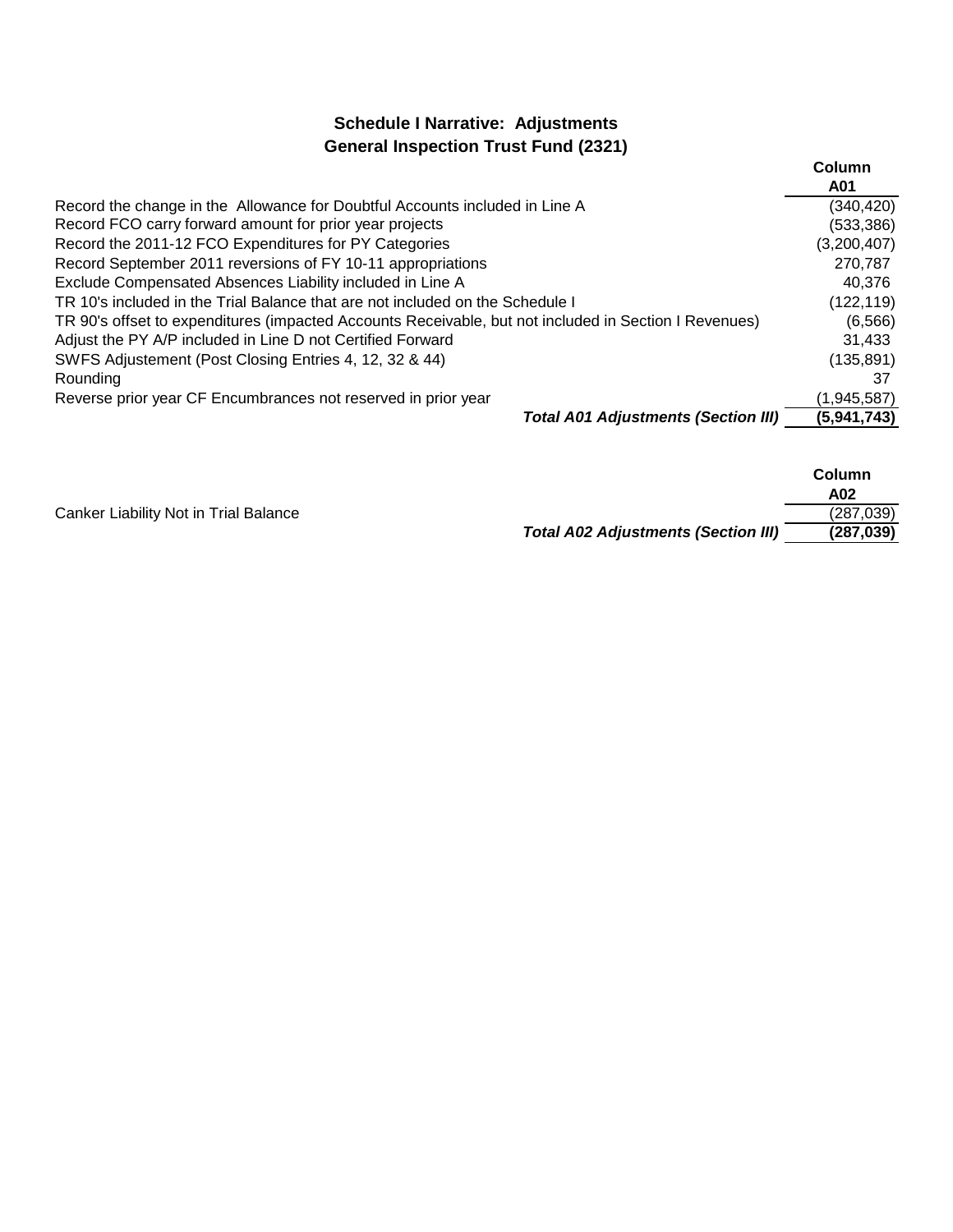# **Schedule I Narrative: Adjustments General Inspection Trust Fund (2321)**

|                                                                                                       | Column      |
|-------------------------------------------------------------------------------------------------------|-------------|
|                                                                                                       | A01         |
| Record the change in the Allowance for Doubtful Accounts included in Line A                           | (340,420)   |
| Record FCO carry forward amount for prior year projects                                               | (533, 386)  |
| Record the 2011-12 FCO Expenditures for PY Categories                                                 | (3,200,407) |
| Record September 2011 reversions of FY 10-11 appropriations                                           | 270,787     |
| Exclude Compensated Absences Liability included in Line A                                             | 40.376      |
| TR 10's included in the Trial Balance that are not included on the Schedule I                         | (122, 119)  |
| TR 90's offset to expenditures (impacted Accounts Receivable, but not included in Section I Revenues) | (6, 566)    |
| Adjust the PY A/P included in Line D not Certified Forward                                            | 31,433      |
| SWFS Adjustement (Post Closing Entries 4, 12, 32 & 44)                                                | (135, 891)  |
| Rounding                                                                                              | 37          |
| Reverse prior year CF Encumbrances not reserved in prior year                                         | (1,945,587) |
| <b>Total A01 Adjustments (Section III)</b>                                                            | (5,941,743) |

|                                       |                                            | Column<br>A02 |
|---------------------------------------|--------------------------------------------|---------------|
| Canker Liability Not in Trial Balance |                                            | (287, 039)    |
|                                       | <b>Total A02 Adjustments (Section III)</b> | (287, 039)    |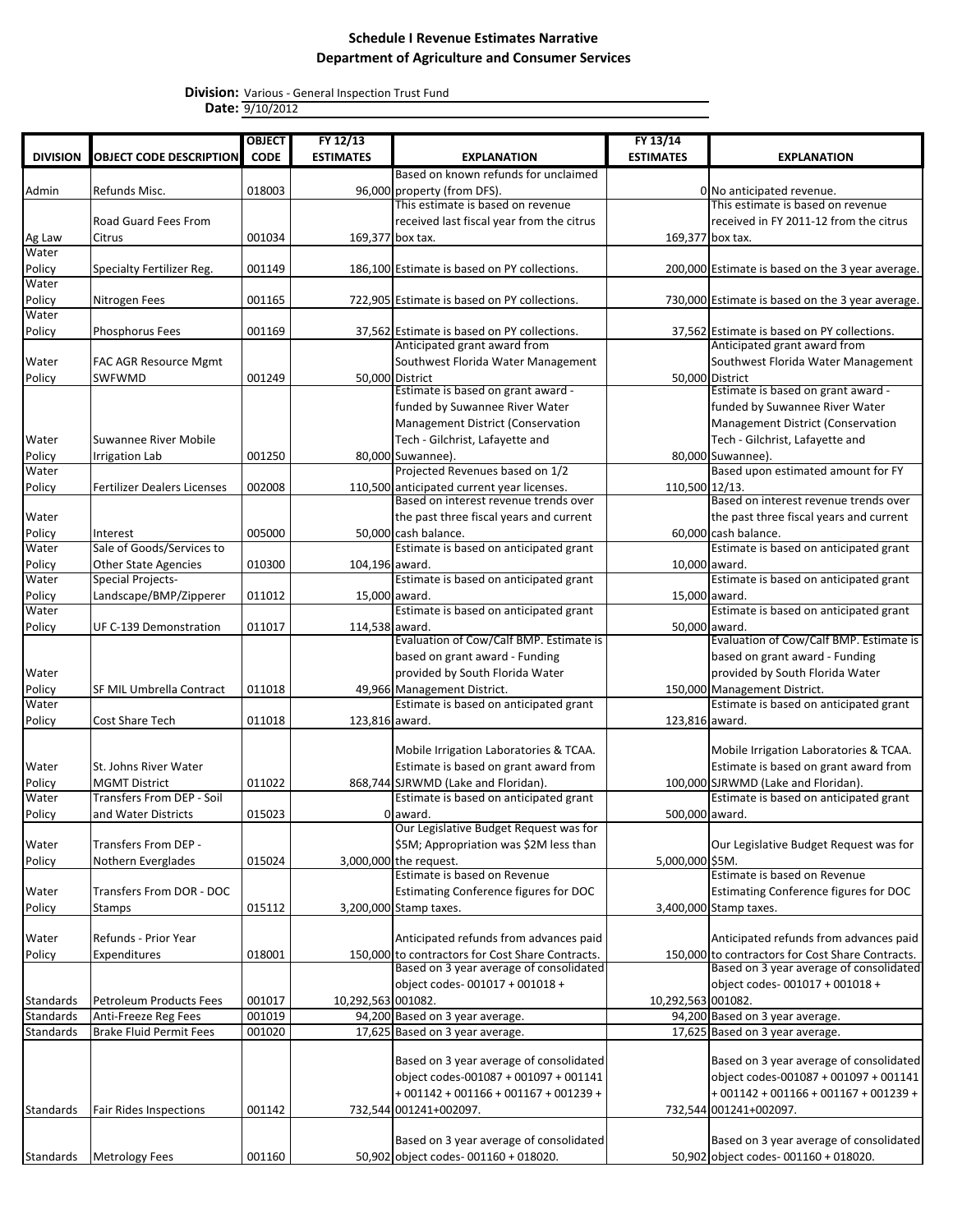|                  |                                       | <b>OBJECT</b> | FY 12/13           |                                                                                             | FY 13/14           |                                                                                             |
|------------------|---------------------------------------|---------------|--------------------|---------------------------------------------------------------------------------------------|--------------------|---------------------------------------------------------------------------------------------|
| <b>DIVISION</b>  | <b>OBJECT CODE DESCRIPTION</b>        | <b>CODE</b>   | <b>ESTIMATES</b>   | <b>EXPLANATION</b>                                                                          | <b>ESTIMATES</b>   | <b>EXPLANATION</b>                                                                          |
|                  |                                       |               |                    | Based on known refunds for unclaimed                                                        |                    |                                                                                             |
| Admin            | Refunds Misc.                         | 018003        |                    | 96,000 property (from DFS).                                                                 |                    | 0 No anticipated revenue.                                                                   |
|                  |                                       |               |                    | This estimate is based on revenue                                                           |                    | This estimate is based on revenue                                                           |
|                  | <b>Road Guard Fees From</b>           |               |                    | received last fiscal year from the citrus                                                   |                    | received in FY 2011-12 from the citrus                                                      |
| Ag Law           | Citrus                                | 001034        |                    | 169,377 box tax.                                                                            |                    | 169,377 box tax.                                                                            |
| Water            |                                       |               |                    |                                                                                             |                    |                                                                                             |
| Policy           | Specialty Fertilizer Reg.             | 001149        |                    | 186,100 Estimate is based on PY collections.                                                |                    | 200,000 Estimate is based on the 3 year average.                                            |
| Water            |                                       |               |                    |                                                                                             |                    |                                                                                             |
| Policy<br>Water  | Nitrogen Fees                         | 001165        |                    | 722,905 Estimate is based on PY collections.                                                |                    | 730,000 Estimate is based on the 3 year average.                                            |
|                  |                                       |               |                    |                                                                                             |                    |                                                                                             |
| Policy           | Phosphorus Fees                       | 001169        |                    | 37,562 Estimate is based on PY collections.<br>Anticipated grant award from                 |                    | 37,562 Estimate is based on PY collections.<br>Anticipated grant award from                 |
| Water            | <b>FAC AGR Resource Mgmt</b>          |               |                    | Southwest Florida Water Management                                                          |                    | Southwest Florida Water Management                                                          |
| Policy           | SWFWMD                                | 001249        |                    | 50,000 District                                                                             |                    | 50,000 District                                                                             |
|                  |                                       |               |                    | Estimate is based on grant award -                                                          |                    | Estimate is based on grant award -                                                          |
|                  |                                       |               |                    | funded by Suwannee River Water                                                              |                    | funded by Suwannee River Water                                                              |
|                  |                                       |               |                    | Management District (Conservation                                                           |                    | <b>Management District (Conservation</b>                                                    |
| Water            | Suwannee River Mobile                 |               |                    | Tech - Gilchrist, Lafayette and                                                             |                    | Tech - Gilchrist, Lafayette and                                                             |
| Policy           | <b>Irrigation Lab</b>                 | 001250        |                    | 80,000 Suwannee).                                                                           |                    | 80,000 Suwannee).                                                                           |
| Water            |                                       |               |                    | Projected Revenues based on 1/2                                                             |                    | Based upon estimated amount for FY                                                          |
| Policy           | <b>Fertilizer Dealers Licenses</b>    | 002008        |                    | 110,500 anticipated current year licenses.                                                  | 110,500 12/13.     |                                                                                             |
|                  |                                       |               |                    | Based on interest revenue trends over                                                       |                    | Based on interest revenue trends over                                                       |
| Water            |                                       |               |                    | the past three fiscal years and current                                                     |                    | the past three fiscal years and current                                                     |
| Policy           | Interest<br>Sale of Goods/Services to | 005000        |                    | 50,000 cash balance.                                                                        |                    | 60,000 cash balance.                                                                        |
| Water<br>Policy  | <b>Other State Agencies</b>           | 010300        | 104,196 award.     | Estimate is based on anticipated grant                                                      |                    | Estimate is based on anticipated grant<br>10,000 award.                                     |
| Water            | <b>Special Projects-</b>              |               |                    | Estimate is based on anticipated grant                                                      |                    | Estimate is based on anticipated grant                                                      |
| Policy           | Landscape/BMP/Zipperer                | 011012        |                    | 15,000 award.                                                                               | 15,000 award.      |                                                                                             |
| Water            |                                       |               |                    | Estimate is based on anticipated grant                                                      |                    | Estimate is based on anticipated grant                                                      |
| Policy           | UF C-139 Demonstration                | 011017        | 114,538 award.     |                                                                                             |                    | 50,000 award.                                                                               |
|                  |                                       |               |                    | Evaluation of Cow/Calf BMP. Estimate is                                                     |                    | Evaluation of Cow/Calf BMP. Estimate is                                                     |
|                  |                                       |               |                    | based on grant award - Funding                                                              |                    | based on grant award - Funding                                                              |
| Water            |                                       |               |                    | provided by South Florida Water                                                             |                    | provided by South Florida Water                                                             |
| Policy           | SF MIL Umbrella Contract              | 011018        |                    | 49,966 Management District.                                                                 |                    | 150,000 Management District.                                                                |
| Water            |                                       |               |                    | Estimate is based on anticipated grant                                                      |                    | Estimate is based on anticipated grant                                                      |
| Policy           | <b>Cost Share Tech</b>                | 011018        | 123,816 award.     |                                                                                             | 123,816 award.     |                                                                                             |
|                  |                                       |               |                    | Mobile Irrigation Laboratories & TCAA.                                                      |                    | Mobile Irrigation Laboratories & TCAA.                                                      |
| Water            | St. Johns River Water                 |               |                    | Estimate is based on grant award from                                                       |                    | Estimate is based on grant award from                                                       |
| Policy           | <b>MGMT District</b>                  | 011022        |                    | 868,744 SJRWMD (Lake and Floridan).                                                         |                    | 100,000 SJRWMD (Lake and Floridan).                                                         |
| Water            | Transfers From DEP - Soil             |               |                    | Estimate is based on anticipated grant                                                      |                    | Estimate is based on anticipated grant                                                      |
| Policy           | and Water Districts                   | 015023        |                    | 0 award.                                                                                    | 500,000 award.     |                                                                                             |
|                  |                                       |               |                    | Our Legislative Budget Request was for                                                      |                    |                                                                                             |
| Water            | Transfers From DEP -                  |               |                    | \$5M; Appropriation was \$2M less than                                                      |                    | Our Legislative Budget Request was for                                                      |
| Policy           | Nothern Everglades                    | 015024        |                    | 3,000,000 the request.                                                                      | 5,000,000 \$5M.    |                                                                                             |
|                  |                                       |               |                    | Estimate is based on Revenue                                                                |                    | Estimate is based on Revenue                                                                |
| Water            | Transfers From DOR - DOC              |               |                    | Estimating Conference figures for DOC                                                       |                    | Estimating Conference figures for DOC                                                       |
| Policy           | <b>Stamps</b>                         | 015112        |                    | 3,200,000 Stamp taxes.                                                                      |                    | 3,400,000 Stamp taxes.                                                                      |
|                  |                                       |               |                    |                                                                                             |                    |                                                                                             |
| Water            | Refunds - Prior Year                  |               |                    | Anticipated refunds from advances paid                                                      |                    | Anticipated refunds from advances paid                                                      |
| Policy           | Expenditures                          | 018001        |                    | 150,000 to contractors for Cost Share Contracts.<br>Based on 3 year average of consolidated |                    | 150,000 to contractors for Cost Share Contracts.<br>Based on 3 year average of consolidated |
|                  |                                       |               |                    | object codes-001017 + 001018 +                                                              |                    | object codes-001017 + 001018 +                                                              |
| Standards        | Petroleum Products Fees               | 001017        | 10,292,563 001082. |                                                                                             | 10,292,563 001082. |                                                                                             |
| <b>Standards</b> | Anti-Freeze Reg Fees                  | 001019        |                    | 94,200 Based on 3 year average.                                                             |                    | 94,200 Based on 3 year average.                                                             |
| Standards        | <b>Brake Fluid Permit Fees</b>        | 001020        |                    | 17,625 Based on 3 year average.                                                             |                    | 17,625 Based on 3 year average.                                                             |
|                  |                                       |               |                    |                                                                                             |                    |                                                                                             |
|                  |                                       |               |                    | Based on 3 year average of consolidated                                                     |                    | Based on 3 year average of consolidated                                                     |
|                  |                                       |               |                    | object codes-001087 + 001097 + 001141                                                       |                    | object codes-001087 + 001097 + 001141                                                       |
|                  |                                       |               |                    | $+001142 + 001166 + 001167 + 001239 +$                                                      |                    | $+001142 + 001166 + 001167 + 001239 +$                                                      |
| Standards        | <b>Fair Rides Inspections</b>         | 001142        |                    | 732,544 001241+002097.                                                                      |                    | 732,544 001241+002097.                                                                      |
|                  |                                       |               |                    |                                                                                             |                    |                                                                                             |
|                  |                                       |               |                    | Based on 3 year average of consolidated                                                     |                    | Based on 3 year average of consolidated                                                     |
| Standards        | <b>Metrology Fees</b>                 | 001160        |                    | 50,902 object codes-001160 + 018020.                                                        |                    | 50,902 object codes-001160 + 018020.                                                        |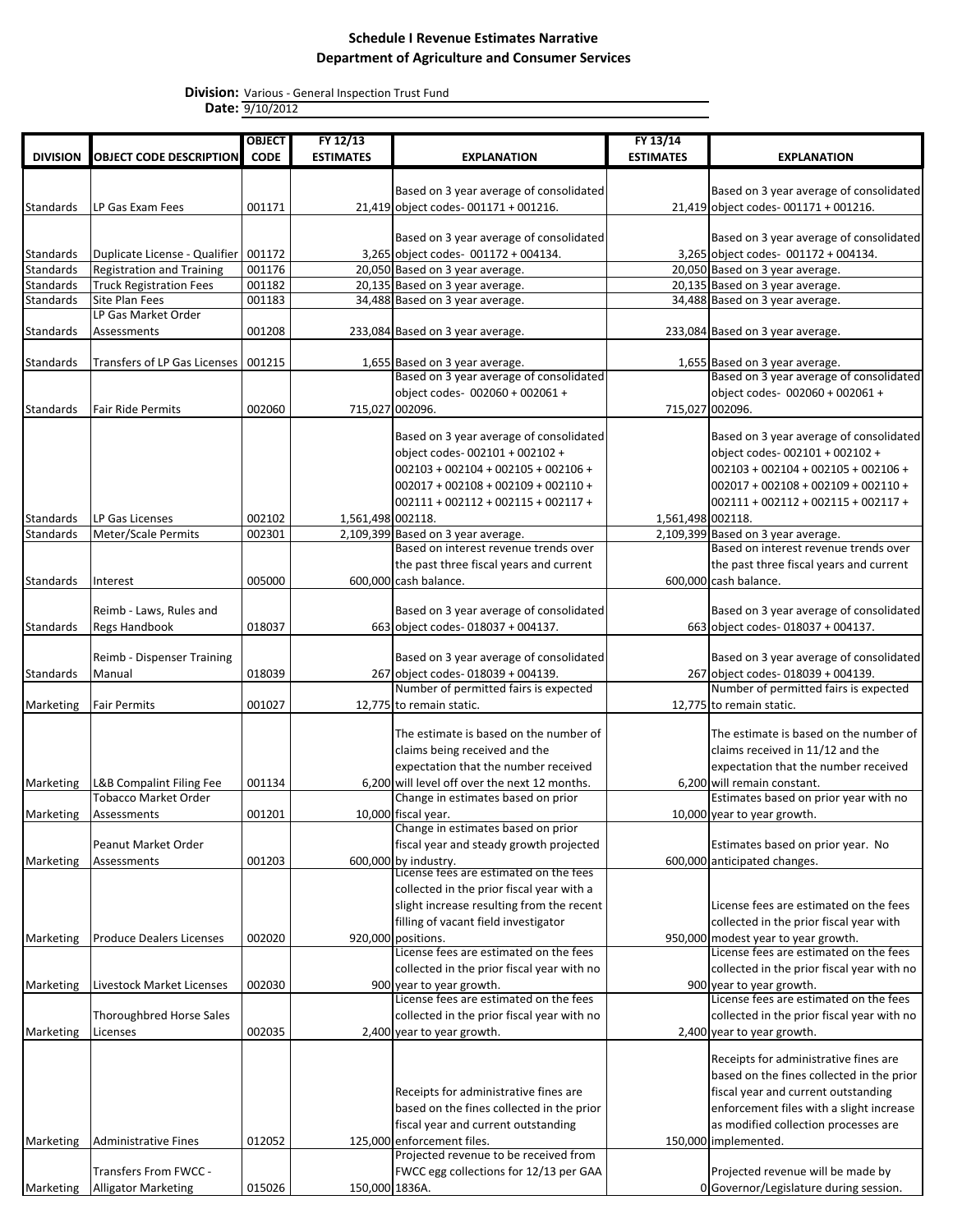|                  |                                        | <b>OBJECT</b> | FY 12/13          |                                               | FY 13/14          |                                            |
|------------------|----------------------------------------|---------------|-------------------|-----------------------------------------------|-------------------|--------------------------------------------|
| <b>DIVISION</b>  | <b>OBJECT CODE DESCRIPTION</b>         | <b>CODE</b>   | <b>ESTIMATES</b>  | <b>EXPLANATION</b>                            | <b>ESTIMATES</b>  | <b>EXPLANATION</b>                         |
|                  |                                        |               |                   |                                               |                   |                                            |
|                  |                                        |               |                   | Based on 3 year average of consolidated       |                   | Based on 3 year average of consolidated    |
| Standards        | LP Gas Exam Fees                       | 001171        |                   | 21,419 object codes-001171 + 001216.          |                   | 21,419 object codes-001171 + 001216.       |
|                  |                                        |               |                   |                                               |                   |                                            |
|                  |                                        |               |                   | Based on 3 year average of consolidated       |                   | Based on 3 year average of consolidated    |
| Standards        | Duplicate License - Qualifier   001172 |               |                   | 3,265 object codes- 001172 + 004134.          |                   | 3,265 object codes- 001172 + 004134.       |
| <b>Standards</b> | <b>Registration and Training</b>       | 001176        |                   | 20,050 Based on 3 year average.               |                   | 20,050 Based on 3 year average.            |
| <b>Standards</b> | <b>Truck Registration Fees</b>         | 001182        |                   | 20,135 Based on 3 year average.               |                   | 20,135 Based on 3 year average.            |
| <b>Standards</b> | Site Plan Fees                         | 001183        |                   | 34,488 Based on 3 year average.               |                   | 34,488 Based on 3 year average.            |
|                  | LP Gas Market Order                    |               |                   |                                               |                   |                                            |
| Standards        | Assessments                            | 001208        |                   | 233,084 Based on 3 year average.              |                   | 233,084 Based on 3 year average.           |
|                  |                                        |               |                   |                                               |                   |                                            |
| Standards        | Transfers of LP Gas Licenses   001215  |               |                   | 1,655 Based on 3 year average.                |                   | 1,655 Based on 3 year average.             |
|                  |                                        |               |                   | Based on 3 year average of consolidated       |                   | Based on 3 year average of consolidated    |
|                  |                                        |               |                   | object codes- 002060 + 002061 +               |                   | object codes- 002060 + 002061 +            |
| Standards        | <b>Fair Ride Permits</b>               | 002060        | 715,027 002096.   |                                               |                   | 715,027 002096.                            |
|                  |                                        |               |                   |                                               |                   |                                            |
|                  |                                        |               |                   | Based on 3 year average of consolidated       |                   | Based on 3 year average of consolidated    |
|                  |                                        |               |                   | object codes-002101 + 002102 +                |                   | object codes-002101 + 002102 +             |
|                  |                                        |               |                   | $002103 + 002104 + 002105 + 002106 +$         |                   | $002103 + 002104 + 002105 + 002106 +$      |
|                  |                                        |               |                   | $002017 + 002108 + 002109 + 002110 +$         |                   | $002017 + 002108 + 002109 + 002110 +$      |
|                  |                                        |               |                   | $002111 + 002112 + 002115 + 002117 +$         |                   | $002111 + 002112 + 002115 + 002117 +$      |
| Standards        | LP Gas Licenses                        | 002102        | 1,561,498 002118. |                                               | 1,561,498 002118. |                                            |
| Standards        | Meter/Scale Permits                    | 002301        |                   | 2,109,399 Based on 3 year average.            |                   | 2,109,399 Based on 3 year average.         |
|                  |                                        |               |                   | Based on interest revenue trends over         |                   | Based on interest revenue trends over      |
|                  |                                        |               |                   | the past three fiscal years and current       |                   | the past three fiscal years and current    |
| Standards        | Interest                               | 005000        |                   | 600,000 cash balance.                         |                   | 600,000 cash balance.                      |
|                  |                                        |               |                   |                                               |                   |                                            |
|                  | Reimb - Laws, Rules and                |               |                   | Based on 3 year average of consolidated       |                   | Based on 3 year average of consolidated    |
| Standards        | <b>Regs Handbook</b>                   | 018037        |                   | 663 object codes-018037 + 004137.             |                   | 663 object codes-018037 + 004137.          |
|                  |                                        |               |                   |                                               |                   |                                            |
|                  | Reimb - Dispenser Training             |               |                   | Based on 3 year average of consolidated       |                   | Based on 3 year average of consolidated    |
| Standards        | Manual                                 | 018039        |                   | 267 object codes-018039 + 004139.             |                   | 267 object codes-018039 + 004139.          |
|                  |                                        |               |                   | Number of permitted fairs is expected         |                   | Number of permitted fairs is expected      |
| Marketing        | <b>Fair Permits</b>                    | 001027        |                   | 12,775 to remain static.                      |                   | 12,775 to remain static.                   |
|                  |                                        |               |                   | The estimate is based on the number of        |                   | The estimate is based on the number of     |
|                  |                                        |               |                   | claims being received and the                 |                   | claims received in 11/12 and the           |
|                  |                                        |               |                   | expectation that the number received          |                   | expectation that the number received       |
| Marketing        | L&B Compalint Filing Fee               | 001134        |                   | 6.200 will level off over the next 12 months. |                   | 6,200 will remain constant.                |
|                  | <b>Tobacco Market Order</b>            |               |                   | Change in estimates based on prior            |                   | Estimates based on prior year with no      |
| Marketing        | Assessments                            | 001201        |                   | 10,000 fiscal year.                           |                   | 10,000 year to year growth.                |
|                  |                                        |               |                   | Change in estimates based on prior            |                   |                                            |
|                  | Peanut Market Order                    |               |                   | fiscal year and steady growth projected       |                   | Estimates based on prior year. No          |
| Marketing        | Assessments                            | 001203        |                   | 600,000 by industry.                          |                   | 600,000 anticipated changes.               |
|                  |                                        |               |                   | License fees are estimated on the fees        |                   |                                            |
|                  |                                        |               |                   | collected in the prior fiscal year with a     |                   |                                            |
|                  |                                        |               |                   | slight increase resulting from the recent     |                   | License fees are estimated on the fees     |
|                  |                                        |               |                   | filling of vacant field investigator          |                   | collected in the prior fiscal year with    |
| Marketing        | <b>Produce Dealers Licenses</b>        | 002020        |                   | 920,000 positions.                            |                   | 950,000 modest year to year growth.        |
|                  |                                        |               |                   | License fees are estimated on the fees        |                   | License fees are estimated on the fees     |
|                  |                                        |               |                   | collected in the prior fiscal year with no    |                   | collected in the prior fiscal year with no |
| Marketing        | Livestock Market Licenses              | 002030        |                   | 900 year to year growth.                      |                   | 900 year to year growth.                   |
|                  |                                        |               |                   | License fees are estimated on the fees        |                   | License fees are estimated on the fees     |
|                  | Thoroughbred Horse Sales               |               |                   | collected in the prior fiscal year with no    |                   | collected in the prior fiscal year with no |
| Marketing        | Licenses                               | 002035        |                   | 2,400 year to year growth.                    |                   | 2,400 year to year growth.                 |
|                  |                                        |               |                   |                                               |                   |                                            |
|                  |                                        |               |                   |                                               |                   | Receipts for administrative fines are      |
|                  |                                        |               |                   |                                               |                   | based on the fines collected in the prior  |
|                  |                                        |               |                   | Receipts for administrative fines are         |                   | fiscal year and current outstanding        |
|                  |                                        |               |                   | based on the fines collected in the prior     |                   | enforcement files with a slight increase   |
|                  |                                        |               |                   | fiscal year and current outstanding           |                   | as modified collection processes are       |
| Marketing        | <b>Administrative Fines</b>            | 012052        |                   | 125,000 enforcement files.                    |                   | 150,000 implemented.                       |
|                  |                                        |               |                   | Projected revenue to be received from         |                   |                                            |
|                  | Transfers From FWCC -                  |               |                   | FWCC egg collections for 12/13 per GAA        |                   | Projected revenue will be made by          |
| Marketing        | <b>Alligator Marketing</b>             | 015026        | 150,000 1836A.    |                                               |                   | 0 Governor/Legislature during session.     |
|                  |                                        |               |                   |                                               |                   |                                            |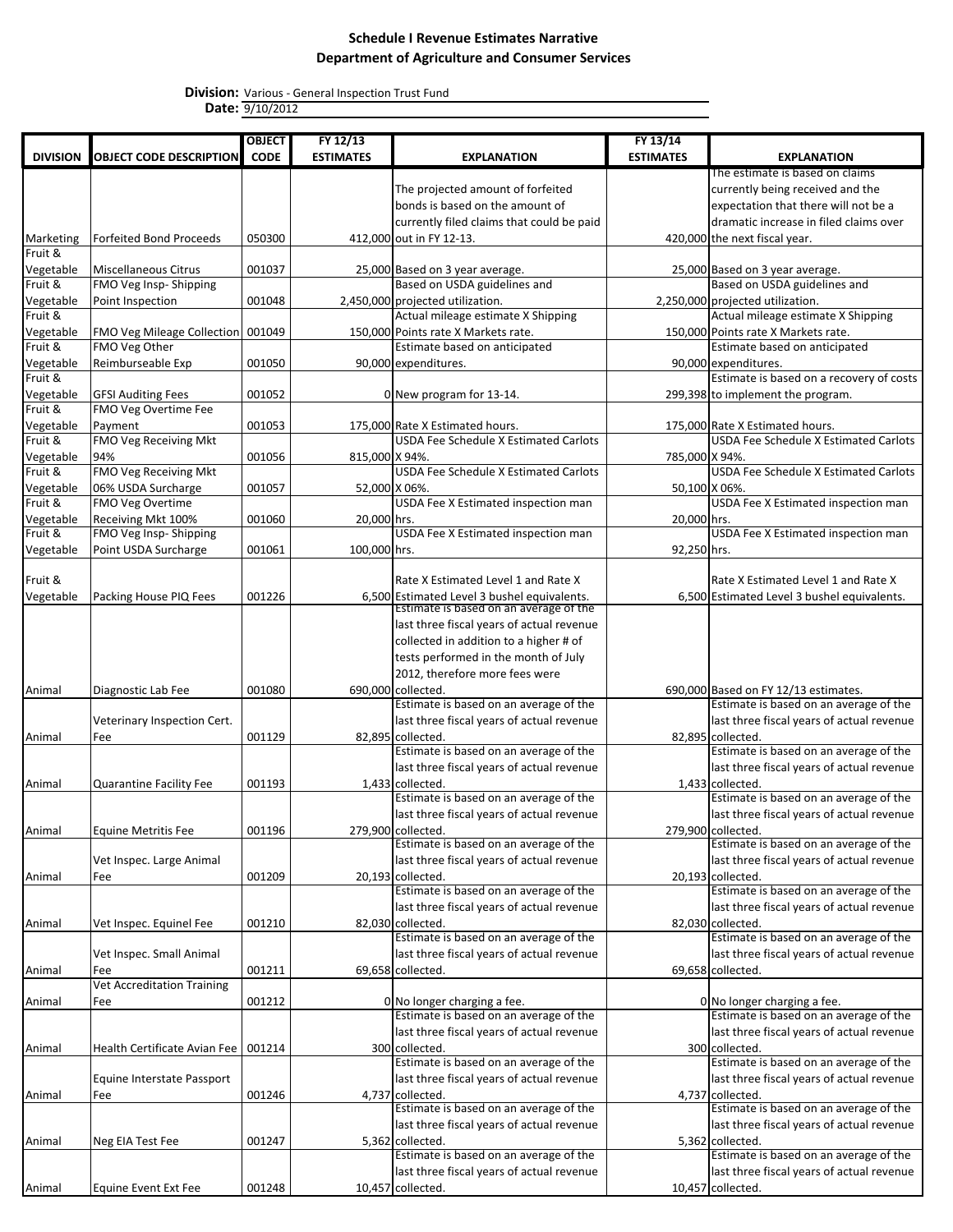|                      |                                                           | <b>OBJECT</b> | FY 12/13         |                                                                                       | FY 13/14         |                                                                       |
|----------------------|-----------------------------------------------------------|---------------|------------------|---------------------------------------------------------------------------------------|------------------|-----------------------------------------------------------------------|
| <b>DIVISION</b>      | <b>OBJECT CODE DESCRIPTION</b>                            | <b>CODE</b>   | <b>ESTIMATES</b> | <b>EXPLANATION</b>                                                                    | <b>ESTIMATES</b> | <b>EXPLANATION</b>                                                    |
|                      |                                                           |               |                  |                                                                                       |                  | The estimate is based on claims                                       |
|                      |                                                           |               |                  | The projected amount of forfeited                                                     |                  | currently being received and the                                      |
|                      |                                                           |               |                  | bonds is based on the amount of                                                       |                  | expectation that there will not be a                                  |
|                      |                                                           |               |                  | currently filed claims that could be paid                                             |                  | dramatic increase in filed claims over                                |
| Marketing            | Forfeited Bond Proceeds                                   | 050300        |                  | 412,000 out in FY 12-13.                                                              |                  | 420,000 the next fiscal year.                                         |
| Fruit &              |                                                           |               |                  |                                                                                       |                  |                                                                       |
| Vegetable            | <b>Miscellaneous Citrus</b>                               | 001037        |                  |                                                                                       |                  |                                                                       |
| Fruit &              | FMO Veg Insp- Shipping                                    |               |                  | 25,000 Based on 3 year average.<br>Based on USDA guidelines and                       |                  | 25,000 Based on 3 year average.<br>Based on USDA guidelines and       |
| Vegetable            | Point Inspection                                          | 001048        |                  | 2,450,000 projected utilization.                                                      |                  | 2,250,000 projected utilization.                                      |
| Fruit &              |                                                           |               |                  | Actual mileage estimate X Shipping                                                    |                  | Actual mileage estimate X Shipping                                    |
|                      |                                                           |               |                  | 150.000 Points rate X Markets rate.                                                   |                  | 150.000 Points rate X Markets rate.                                   |
| Vegetable<br>Fruit & | FMO Veg Mileage Collection 001049<br><b>FMO Veg Other</b> |               |                  | Estimate based on anticipated                                                         |                  | Estimate based on anticipated                                         |
|                      |                                                           |               |                  |                                                                                       |                  |                                                                       |
| Vegetable<br>Fruit & | Reimburseable Exp                                         | 001050        |                  | 90,000 expenditures.                                                                  |                  | 90,000 expenditures.<br>Estimate is based on a recovery of costs      |
|                      |                                                           |               |                  |                                                                                       |                  |                                                                       |
| Vegetable            | <b>GFSI Auditing Fees</b>                                 | 001052        |                  | 0 New program for 13-14.                                                              |                  | 299,398 to implement the program.                                     |
| Fruit &              | FMO Veg Overtime Fee                                      |               |                  |                                                                                       |                  |                                                                       |
| Vegetable            | Payment                                                   | 001053        |                  | 175,000 Rate X Estimated hours.                                                       |                  | 175,000 Rate X Estimated hours.                                       |
| Fruit &              | <b>FMO Veg Receiving Mkt</b>                              |               |                  | <b>USDA Fee Schedule X Estimated Carlots</b>                                          |                  | <b>USDA Fee Schedule X Estimated Carlots</b>                          |
| Vegetable            | 94%                                                       | 001056        | 815,000 X 94%.   |                                                                                       | 785,000 X 94%.   |                                                                       |
| Fruit &              | <b>FMO Veg Receiving Mkt</b>                              |               |                  | <b>USDA Fee Schedule X Estimated Carlots</b>                                          |                  | <b>USDA Fee Schedule X Estimated Carlots</b>                          |
| Vegetable            | 06% USDA Surcharge                                        | 001057        | 52,000 X 06%.    |                                                                                       | 50,100 X 06%.    |                                                                       |
| Fruit &              | FMO Veg Overtime                                          |               |                  | USDA Fee X Estimated inspection man                                                   |                  | USDA Fee X Estimated inspection man                                   |
| Vegetable            | Receiving Mkt 100%                                        | 001060        | 20,000 hrs.      |                                                                                       | 20,000 hrs.      |                                                                       |
| Fruit &              | FMO Veg Insp-Shipping                                     |               |                  | USDA Fee X Estimated inspection man                                                   |                  | USDA Fee X Estimated inspection man                                   |
| Vegetable            | Point USDA Surcharge                                      | 001061        | 100,000 hrs.     |                                                                                       | 92,250 hrs.      |                                                                       |
|                      |                                                           |               |                  |                                                                                       |                  |                                                                       |
| Fruit &              |                                                           |               |                  | Rate X Estimated Level 1 and Rate X                                                   |                  | Rate X Estimated Level 1 and Rate X                                   |
| Vegetable            | Packing House PIQ Fees                                    | 001226        |                  | 6,500 Estimated Level 3 bushel equivalents.<br>Estimate is based on an average of the |                  | 6,500 Estimated Level 3 bushel equivalents.                           |
|                      |                                                           |               |                  |                                                                                       |                  |                                                                       |
|                      |                                                           |               |                  | last three fiscal years of actual revenue                                             |                  |                                                                       |
|                      |                                                           |               |                  | collected in addition to a higher # of                                                |                  |                                                                       |
|                      |                                                           |               |                  | tests performed in the month of July                                                  |                  |                                                                       |
|                      |                                                           |               |                  | 2012, therefore more fees were                                                        |                  |                                                                       |
| Animal               | Diagnostic Lab Fee                                        | 001080        |                  | 690,000 collected.                                                                    |                  | 690,000 Based on FY 12/13 estimates.                                  |
|                      |                                                           |               |                  | Estimate is based on an average of the                                                |                  | Estimate is based on an average of the                                |
|                      | Veterinary Inspection Cert.                               |               |                  | last three fiscal years of actual revenue                                             |                  | last three fiscal years of actual revenue                             |
| Animal               | Fee                                                       | 001129        |                  | 82,895 collected.                                                                     |                  | 82,895 collected.                                                     |
|                      |                                                           |               |                  | Estimate is based on an average of the                                                |                  | Estimate is based on an average of the                                |
|                      |                                                           |               |                  | last three fiscal years of actual revenue                                             |                  | last three fiscal years of actual revenue                             |
| Animal               | Quarantine Facility Fee                                   | 001193        |                  | 1,433 collected.                                                                      |                  | 1,433 collected.                                                      |
|                      |                                                           |               |                  | Estimate is based on an average of the                                                |                  | Estimate is based on an average of the                                |
|                      |                                                           |               |                  | last three fiscal years of actual revenue                                             |                  | last three fiscal years of actual revenue                             |
| Animal               | <b>Equine Metritis Fee</b>                                | 001196        |                  | 279,900 collected.                                                                    |                  | 279,900 collected.                                                    |
|                      |                                                           |               |                  | Estimate is based on an average of the                                                |                  | Estimate is based on an average of the                                |
|                      | Vet Inspec. Large Animal                                  |               |                  | last three fiscal years of actual revenue                                             |                  | last three fiscal years of actual revenue                             |
| Animal               | Fee                                                       | 001209        |                  | 20,193 collected.                                                                     |                  | 20,193 collected.                                                     |
|                      |                                                           |               |                  | Estimate is based on an average of the                                                |                  | Estimate is based on an average of the                                |
|                      |                                                           |               |                  | last three fiscal years of actual revenue                                             |                  | last three fiscal years of actual revenue                             |
|                      | Vet Inspec. Equinel Fee                                   | 001210        |                  | 82,030 collected.                                                                     |                  | 82,030 collected.                                                     |
| Animal               |                                                           |               |                  | Estimate is based on an average of the                                                |                  | Estimate is based on an average of the                                |
|                      |                                                           |               |                  | last three fiscal years of actual revenue                                             |                  | last three fiscal years of actual revenue                             |
|                      | Vet Inspec. Small Animal                                  |               |                  |                                                                                       |                  |                                                                       |
| Animal               | Fee<br><b>Vet Accreditation Training</b>                  | 001211        |                  | 69,658 collected.                                                                     |                  | 69,658 collected.                                                     |
|                      |                                                           |               |                  |                                                                                       |                  |                                                                       |
| Animal               | Fee                                                       | 001212        |                  | 0 No longer charging a fee.<br>Estimate is based on an average of the                 |                  | 0 No longer charging a fee.<br>Estimate is based on an average of the |
|                      |                                                           |               |                  |                                                                                       |                  |                                                                       |
|                      |                                                           |               |                  | last three fiscal years of actual revenue                                             |                  | last three fiscal years of actual revenue                             |
| Animal               | Health Certificate Avian Fee   001214                     |               |                  | 300 collected.                                                                        |                  | 300 collected.                                                        |
|                      |                                                           |               |                  | Estimate is based on an average of the                                                |                  | Estimate is based on an average of the                                |
|                      | Equine Interstate Passport                                |               |                  | last three fiscal years of actual revenue                                             |                  | last three fiscal years of actual revenue                             |
| Animal               | Fee                                                       | 001246        |                  | 4,737 collected.                                                                      |                  | 4,737 collected.                                                      |
|                      |                                                           |               |                  | Estimate is based on an average of the                                                |                  | Estimate is based on an average of the                                |
|                      |                                                           |               |                  | last three fiscal years of actual revenue                                             |                  | last three fiscal years of actual revenue                             |
| Animal               | Neg EIA Test Fee                                          | 001247        |                  | 5,362 collected.                                                                      |                  | 5,362 collected.                                                      |
|                      |                                                           |               |                  | Estimate is based on an average of the                                                |                  | Estimate is based on an average of the                                |
|                      |                                                           |               |                  | last three fiscal years of actual revenue                                             |                  | last three fiscal years of actual revenue                             |
| Animal               | <b>Equine Event Ext Fee</b>                               | 001248        |                  | 10,457 collected.                                                                     |                  | 10,457 collected.                                                     |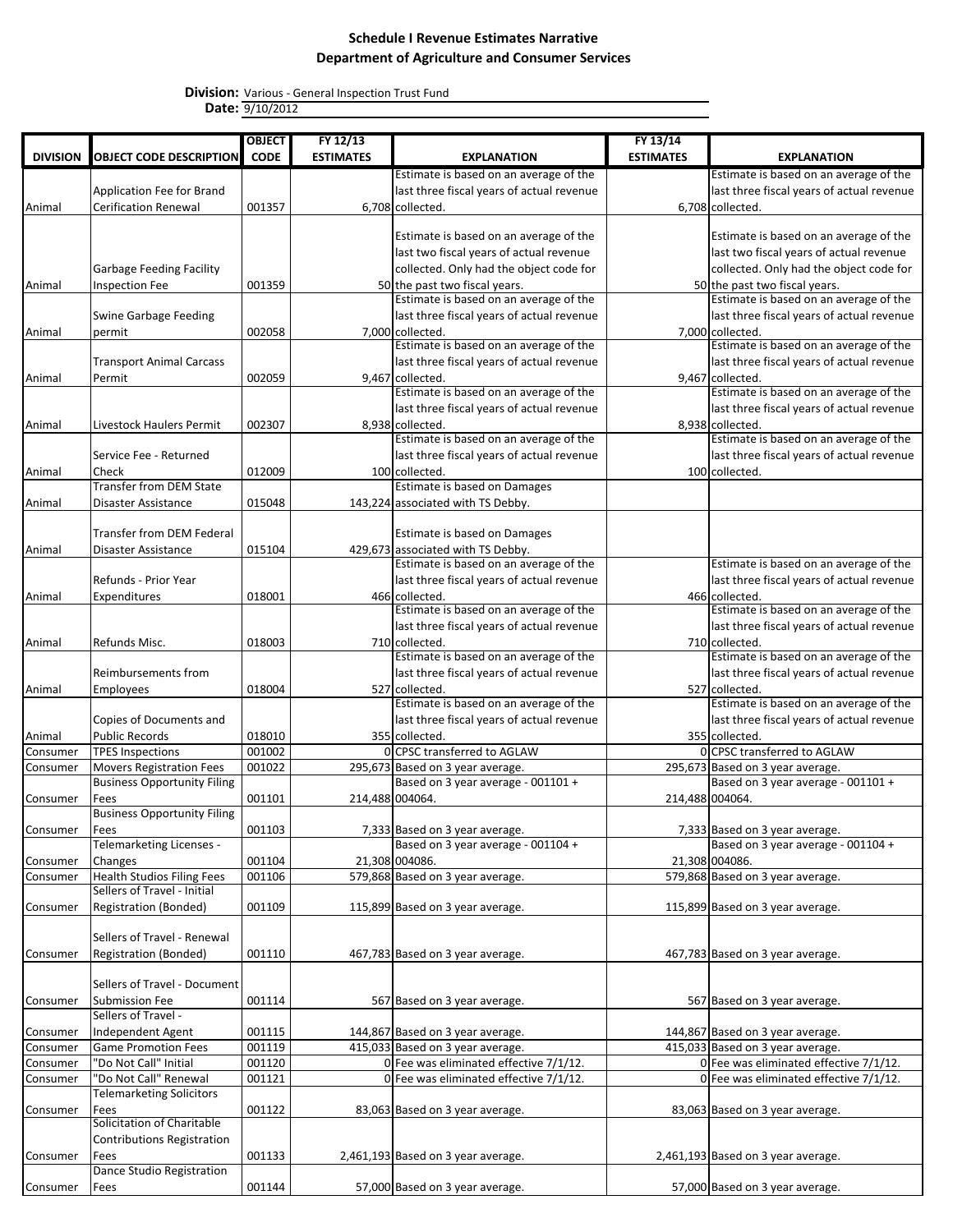|                 |                                    | <b>OBJECT</b> | FY 12/13         |                                           | FY 13/14         |                                           |
|-----------------|------------------------------------|---------------|------------------|-------------------------------------------|------------------|-------------------------------------------|
| <b>DIVISION</b> | <b>OBJECT CODE DESCRIPTION</b>     | <b>CODE</b>   | <b>ESTIMATES</b> | <b>EXPLANATION</b>                        | <b>ESTIMATES</b> | <b>EXPLANATION</b>                        |
|                 |                                    |               |                  | Estimate is based on an average of the    |                  | Estimate is based on an average of the    |
|                 | Application Fee for Brand          |               |                  | last three fiscal years of actual revenue |                  | last three fiscal years of actual revenue |
| Animal          | <b>Cerification Renewal</b>        | 001357        |                  | 6,708 collected.                          |                  | 6,708 collected.                          |
|                 |                                    |               |                  |                                           |                  |                                           |
|                 |                                    |               |                  | Estimate is based on an average of the    |                  | Estimate is based on an average of the    |
|                 |                                    |               |                  | last two fiscal years of actual revenue   |                  | last two fiscal years of actual revenue   |
|                 | Garbage Feeding Facility           |               |                  | collected. Only had the object code for   |                  | collected. Only had the object code for   |
| Animal          | Inspection Fee                     | 001359        |                  | 50 the past two fiscal years.             |                  | 50 the past two fiscal years.             |
|                 |                                    |               |                  | Estimate is based on an average of the    |                  | Estimate is based on an average of the    |
|                 | <b>Swine Garbage Feeding</b>       |               |                  | last three fiscal years of actual revenue |                  | last three fiscal years of actual revenue |
| Animal          | permit                             | 002058        |                  | 7,000 collected.                          |                  | 7,000 collected.                          |
|                 |                                    |               |                  | Estimate is based on an average of the    |                  | Estimate is based on an average of the    |
|                 | <b>Transport Animal Carcass</b>    |               |                  | last three fiscal years of actual revenue |                  | last three fiscal years of actual revenue |
| Animal          | Permit                             | 002059        |                  | 9,467 collected.                          |                  | 9,467 collected.                          |
|                 |                                    |               |                  | Estimate is based on an average of the    |                  | Estimate is based on an average of the    |
|                 |                                    |               |                  | last three fiscal years of actual revenue |                  | last three fiscal years of actual revenue |
| Animal          | Livestock Haulers Permit           | 002307        |                  | 8,938 collected.                          |                  | 8,938 collected.                          |
|                 |                                    |               |                  | Estimate is based on an average of the    |                  | Estimate is based on an average of the    |
|                 | Service Fee - Returned             |               |                  | last three fiscal years of actual revenue |                  | last three fiscal years of actual revenue |
| Animal          | Check                              | 012009        |                  | 100 collected.                            |                  | 100 collected.                            |
|                 | <b>Transfer from DEM State</b>     |               |                  | Estimate is based on Damages              |                  |                                           |
| Animal          | Disaster Assistance                | 015048        |                  | 143,224 associated with TS Debby.         |                  |                                           |
|                 |                                    |               |                  |                                           |                  |                                           |
|                 | <b>Transfer from DEM Federal</b>   |               |                  | Estimate is based on Damages              |                  |                                           |
| Animal          | Disaster Assistance                | 015104        |                  | 429,673 associated with TS Debby.         |                  |                                           |
|                 |                                    |               |                  | Estimate is based on an average of the    |                  | Estimate is based on an average of the    |
|                 | Refunds - Prior Year               |               |                  | last three fiscal years of actual revenue |                  |                                           |
|                 |                                    |               |                  |                                           |                  | last three fiscal years of actual revenue |
| Animal          | Expenditures                       | 018001        |                  | 466 collected.                            |                  | 466 collected.                            |
|                 |                                    |               |                  | Estimate is based on an average of the    |                  | Estimate is based on an average of the    |
|                 |                                    |               |                  | last three fiscal years of actual revenue |                  | last three fiscal years of actual revenue |
| Animal          | Refunds Misc.                      | 018003        |                  | 710 collected.                            |                  | 710 collected.                            |
|                 |                                    |               |                  | Estimate is based on an average of the    |                  | Estimate is based on an average of the    |
|                 | Reimbursements from                |               |                  | last three fiscal years of actual revenue |                  | last three fiscal years of actual revenue |
| Animal          | <b>Employees</b>                   | 018004        |                  | 527 collected.                            |                  | 527 collected.                            |
|                 |                                    |               |                  | Estimate is based on an average of the    |                  | Estimate is based on an average of the    |
|                 | Copies of Documents and            |               |                  | last three fiscal years of actual revenue |                  | last three fiscal years of actual revenue |
| Animal          | <b>Public Records</b>              | 018010        |                  | 355 collected.                            |                  | 355 collected.                            |
| Consumer        | <b>TPES Inspections</b>            | 001002        |                  | 0 CPSC transferred to AGLAW               |                  | 0 CPSC transferred to AGLAW               |
| Consumer        | <b>Movers Registration Fees</b>    | 001022        |                  | 295,673 Based on 3 year average.          |                  | 295,673 Based on 3 year average.          |
|                 | <b>Business Opportunity Filing</b> |               |                  | Based on 3 year average - 001101 +        |                  | Based on 3 year average - 001101 +        |
| Consumer        | Fees                               | 001101        | 214,488 004064.  |                                           |                  | 214,488 004064.                           |
|                 | <b>Business Opportunity Filing</b> |               |                  |                                           |                  |                                           |
| Consumer        | Fees                               | 001103        |                  | 7,333 Based on 3 year average.            |                  | 7,333 Based on 3 year average.            |
|                 | Telemarketing Licenses -           |               |                  | Based on 3 year average - 001104 +        |                  | Based on 3 year average - 001104 +        |
| Consumer        | Changes                            | 001104        |                  | 21,308 004086.                            |                  | 21,308 004086.                            |
| Consumer        | <b>Health Studios Filing Fees</b>  | 001106        |                  | 579,868 Based on 3 year average.          |                  | 579,868 Based on 3 year average.          |
|                 | Sellers of Travel - Initial        |               |                  |                                           |                  |                                           |
| Consumer        | Registration (Bonded)              | 001109        |                  | 115,899 Based on 3 year average.          |                  | 115,899 Based on 3 year average.          |
|                 |                                    |               |                  |                                           |                  |                                           |
|                 | Sellers of Travel - Renewal        |               |                  |                                           |                  |                                           |
| Consumer        | Registration (Bonded)              | 001110        |                  | 467,783 Based on 3 year average.          |                  | 467,783 Based on 3 year average.          |
|                 |                                    |               |                  |                                           |                  |                                           |
|                 | Sellers of Travel - Document       |               |                  |                                           |                  |                                           |
| Consumer        | Submission Fee                     | 001114        |                  | 567 Based on 3 year average.              |                  | 567 Based on 3 year average.              |
|                 | Sellers of Travel -                |               |                  |                                           |                  |                                           |
| Consumer        | Independent Agent                  | 001115        |                  | 144,867 Based on 3 year average.          |                  | 144,867 Based on 3 year average.          |
|                 | <b>Game Promotion Fees</b>         | 001119        |                  | 415,033 Based on 3 year average.          |                  | 415,033 Based on 3 year average.          |
| Consumer        | "Do Not Call" Initial              | 001120        |                  |                                           |                  |                                           |
| Consumer        |                                    |               |                  | 0 Fee was eliminated effective 7/1/12.    |                  | 0 Fee was eliminated effective 7/1/12.    |
| Consumer        | "Do Not Call" Renewal              | 001121        |                  | 0 Fee was eliminated effective 7/1/12.    |                  | 0 Fee was eliminated effective 7/1/12.    |
|                 | <b>Telemarketing Solicitors</b>    |               |                  |                                           |                  |                                           |
| Consumer        | Fees                               | 001122        |                  | 83,063 Based on 3 year average.           |                  | 83,063 Based on 3 year average.           |
|                 | Solicitation of Charitable         |               |                  |                                           |                  |                                           |
|                 | Contributions Registration         |               |                  |                                           |                  |                                           |
| Consumer        | Fees                               | 001133        |                  | 2,461,193 Based on 3 year average.        |                  | 2,461,193 Based on 3 year average.        |
|                 | Dance Studio Registration          |               |                  |                                           |                  |                                           |
| Consumer        | Fees                               | 001144        |                  | 57,000 Based on 3 year average.           |                  | 57,000 Based on 3 year average.           |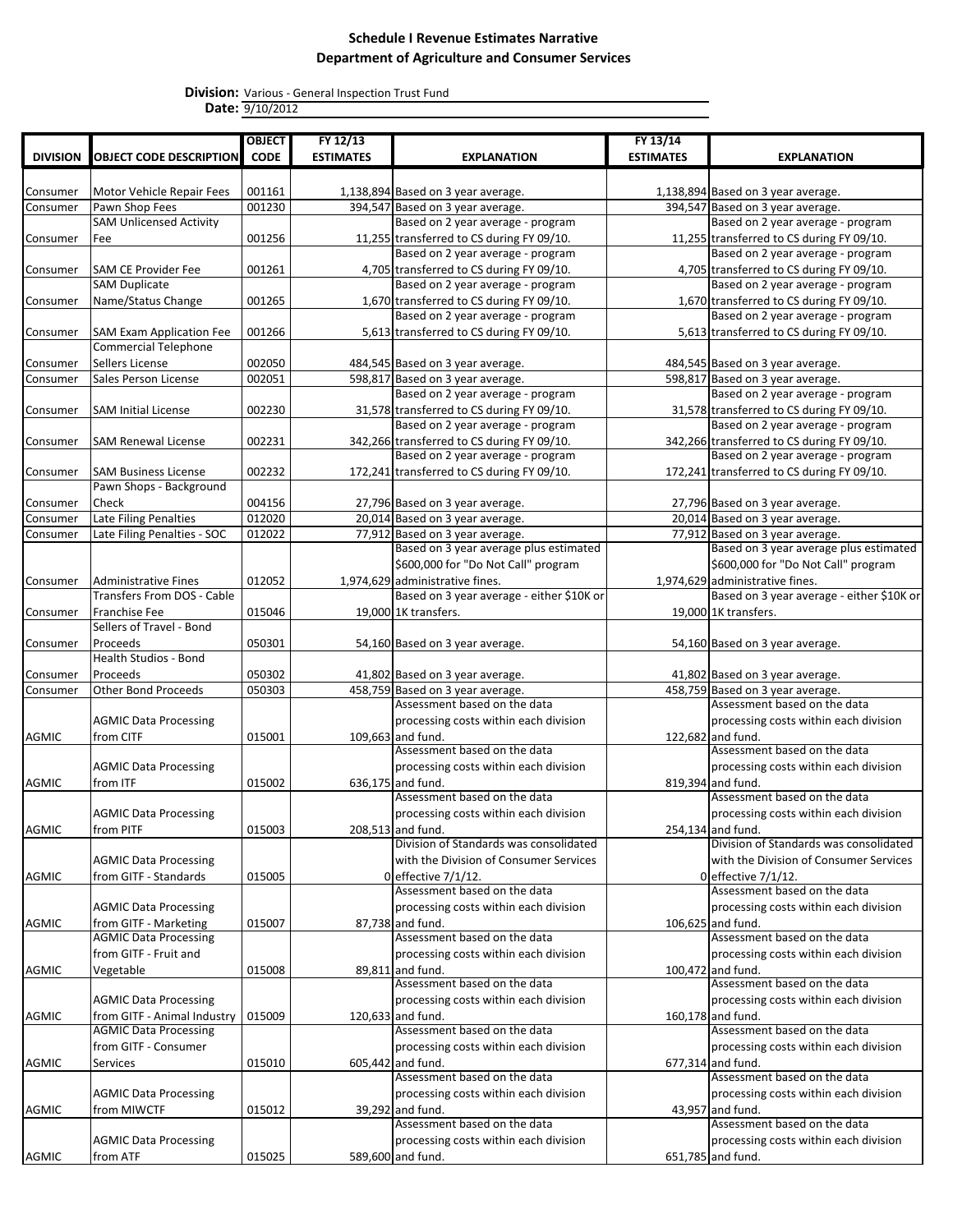|                 |                                                                | <b>OBJECT</b> | FY 12/13         |                                                                           | FY 13/14         |                                                                           |
|-----------------|----------------------------------------------------------------|---------------|------------------|---------------------------------------------------------------------------|------------------|---------------------------------------------------------------------------|
| <b>DIVISION</b> | <b>OBJECT CODE DESCRIPTION</b>                                 | <b>CODE</b>   | <b>ESTIMATES</b> | <b>EXPLANATION</b>                                                        | <b>ESTIMATES</b> | <b>EXPLANATION</b>                                                        |
|                 |                                                                |               |                  |                                                                           |                  |                                                                           |
| Consumer        | Motor Vehicle Repair Fees                                      | 001161        |                  | 1,138,894 Based on 3 year average.                                        |                  | 1,138,894 Based on 3 year average.                                        |
| Consumer        | Pawn Shop Fees                                                 | 001230        |                  | 394,547 Based on 3 year average.                                          |                  | 394,547 Based on 3 year average.                                          |
|                 | <b>SAM Unlicensed Activity</b>                                 |               |                  | Based on 2 year average - program                                         |                  | Based on 2 year average - program                                         |
| Consumer        | Fee                                                            | 001256        |                  | 11,255 transferred to CS during FY 09/10.                                 |                  | 11,255 transferred to CS during FY 09/10.                                 |
|                 |                                                                |               |                  | Based on 2 year average - program                                         |                  | Based on 2 year average - program                                         |
| Consumer        | <b>SAM CE Provider Fee</b>                                     | 001261        |                  | 4,705 transferred to CS during FY 09/10.                                  |                  | 4,705 transferred to CS during FY 09/10.                                  |
|                 | <b>SAM Duplicate</b>                                           |               |                  | Based on 2 year average - program                                         |                  | Based on 2 year average - program                                         |
| Consumer        | Name/Status Change                                             | 001265        |                  | 1,670 transferred to CS during FY 09/10.                                  |                  | 1,670 transferred to CS during FY 09/10.                                  |
|                 |                                                                |               |                  | Based on 2 year average - program                                         |                  | Based on 2 year average - program                                         |
| Consumer        | <b>SAM Exam Application Fee</b><br><b>Commercial Telephone</b> | 001266        |                  | 5,613 transferred to CS during FY 09/10.                                  |                  | 5,613 transferred to CS during FY 09/10.                                  |
| Consumer        | Sellers License                                                | 002050        |                  | 484,545 Based on 3 year average.                                          |                  | 484,545 Based on 3 year average.                                          |
| Consumer        | Sales Person License                                           | 002051        |                  | 598,817 Based on 3 year average.                                          |                  | 598,817 Based on 3 year average.                                          |
|                 |                                                                |               |                  | Based on 2 year average - program                                         |                  | Based on 2 year average - program                                         |
| Consumer        | <b>SAM Initial License</b>                                     | 002230        |                  | 31,578 transferred to CS during FY 09/10.                                 |                  | 31,578 transferred to CS during FY 09/10.                                 |
|                 |                                                                |               |                  | Based on 2 year average - program                                         |                  | Based on 2 year average - program                                         |
| Consumer        | <b>SAM Renewal License</b>                                     | 002231        |                  | 342,266 transferred to CS during FY 09/10.                                |                  | 342,266 transferred to CS during FY 09/10.                                |
|                 |                                                                |               |                  | Based on 2 year average - program                                         |                  | Based on 2 year average - program                                         |
| Consumer        | <b>SAM Business License</b>                                    | 002232        |                  | 172,241 transferred to CS during FY 09/10.                                |                  | 172,241 transferred to CS during FY 09/10.                                |
|                 | Pawn Shops - Background                                        |               |                  |                                                                           |                  |                                                                           |
| Consumer        | Check                                                          | 004156        |                  | 27,796 Based on 3 year average.                                           |                  | 27,796 Based on 3 year average.                                           |
| Consumer        | Late Filing Penalties                                          | 012020        |                  | 20,014 Based on 3 year average.                                           |                  | 20,014 Based on 3 year average.                                           |
| Consumer        | Late Filing Penalties - SOC                                    | 012022        |                  | 77,912 Based on 3 year average.<br>Based on 3 year average plus estimated |                  | 77,912 Based on 3 year average.<br>Based on 3 year average plus estimated |
|                 |                                                                |               |                  | \$600,000 for "Do Not Call" program                                       |                  | \$600,000 for "Do Not Call" program                                       |
|                 |                                                                | 012052        |                  | 1,974,629 administrative fines.                                           |                  | 1,974,629 administrative fines.                                           |
| Consumer        | <b>Administrative Fines</b><br>Transfers From DOS - Cable      |               |                  | Based on 3 year average - either \$10K or                                 |                  | Based on 3 year average - either \$10K or                                 |
| Consumer        | Franchise Fee                                                  | 015046        |                  | 19,000 1K transfers.                                                      |                  | 19,000 1K transfers.                                                      |
|                 | Sellers of Travel - Bond                                       |               |                  |                                                                           |                  |                                                                           |
| Consumer        | Proceeds                                                       | 050301        |                  | 54,160 Based on 3 year average.                                           |                  | 54,160 Based on 3 year average.                                           |
|                 | <b>Health Studios - Bond</b>                                   |               |                  |                                                                           |                  |                                                                           |
| Consumer        | Proceeds                                                       | 050302        |                  | 41,802 Based on 3 year average.                                           |                  | 41,802 Based on 3 year average.                                           |
| Consumer        | <b>Other Bond Proceeds</b>                                     | 050303        |                  | 458,759 Based on 3 year average.                                          |                  | 458,759 Based on 3 year average.                                          |
|                 |                                                                |               |                  | Assessment based on the data                                              |                  | Assessment based on the data                                              |
|                 | <b>AGMIC Data Processing</b>                                   |               |                  | processing costs within each division                                     |                  | processing costs within each division                                     |
| AGMIC           | from CITF                                                      | 015001        |                  | 109,663 and fund.                                                         |                  | 122,682 and fund.                                                         |
|                 |                                                                |               |                  | Assessment based on the data                                              |                  | Assessment based on the data                                              |
|                 | <b>AGMIC Data Processing</b>                                   |               |                  | processing costs within each division<br>636.175 and fund.                |                  | processing costs within each division                                     |
| AGMIC           | from ITF                                                       | 015002        |                  | Assessment based on the data                                              |                  | 819,394 and fund.<br>Assessment based on the data                         |
|                 | <b>AGMIC Data Processing</b>                                   |               |                  | processing costs within each division                                     |                  | processing costs within each division                                     |
| <b>AGMIC</b>    | from PITF                                                      | 015003        |                  | 208,513 and fund.                                                         |                  | 254,134 and fund.                                                         |
|                 |                                                                |               |                  | Division of Standards was consolidated                                    |                  | Division of Standards was consolidated                                    |
|                 | <b>AGMIC Data Processing</b>                                   |               |                  | with the Division of Consumer Services                                    |                  | with the Division of Consumer Services                                    |
| AGMIC           | from GITF - Standards                                          | 015005        |                  | $0$ effective $7/1/12$ .                                                  |                  | 0 effective $7/1/12$ .                                                    |
|                 |                                                                |               |                  | Assessment based on the data                                              |                  | Assessment based on the data                                              |
|                 | <b>AGMIC Data Processing</b>                                   |               |                  | processing costs within each division                                     |                  | processing costs within each division                                     |
| AGMIC           | from GITF - Marketing                                          | 015007        |                  | 87,738 and fund.                                                          |                  | 106,625 and fund.                                                         |
|                 | <b>AGMIC Data Processing</b>                                   |               |                  | Assessment based on the data                                              |                  | Assessment based on the data                                              |
|                 | from GITF - Fruit and                                          |               |                  | processing costs within each division                                     |                  | processing costs within each division                                     |
| AGMIC           | Vegetable                                                      | 015008        |                  | 89,811 and fund.                                                          |                  | 100,472 and fund.                                                         |
|                 |                                                                |               |                  | Assessment based on the data                                              |                  | Assessment based on the data                                              |
|                 | <b>AGMIC Data Processing</b>                                   |               |                  | processing costs within each division                                     |                  | processing costs within each division                                     |
| AGMIC           | from GITF - Animal Industry<br><b>AGMIC Data Processing</b>    | 015009        |                  | 120,633 and fund.<br>Assessment based on the data                         |                  | 160,178 and fund.<br>Assessment based on the data                         |
|                 | from GITF - Consumer                                           |               |                  | processing costs within each division                                     |                  | processing costs within each division                                     |
| AGMIC           | Services                                                       | 015010        |                  | 605,442 and fund.                                                         |                  | 677,314 and fund.                                                         |
|                 |                                                                |               |                  | Assessment based on the data                                              |                  | Assessment based on the data                                              |
|                 | <b>AGMIC Data Processing</b>                                   |               |                  | processing costs within each division                                     |                  | processing costs within each division                                     |
| AGMIC           | from MIWCTF                                                    | 015012        |                  | 39,292 and fund.                                                          |                  | 43,957 and fund.                                                          |
|                 |                                                                |               |                  | Assessment based on the data                                              |                  | Assessment based on the data                                              |
|                 | <b>AGMIC Data Processing</b>                                   |               |                  | processing costs within each division                                     |                  | processing costs within each division                                     |
| AGMIC           | from ATF                                                       | 015025        |                  | 589,600 and fund.                                                         |                  | 651,785 and fund.                                                         |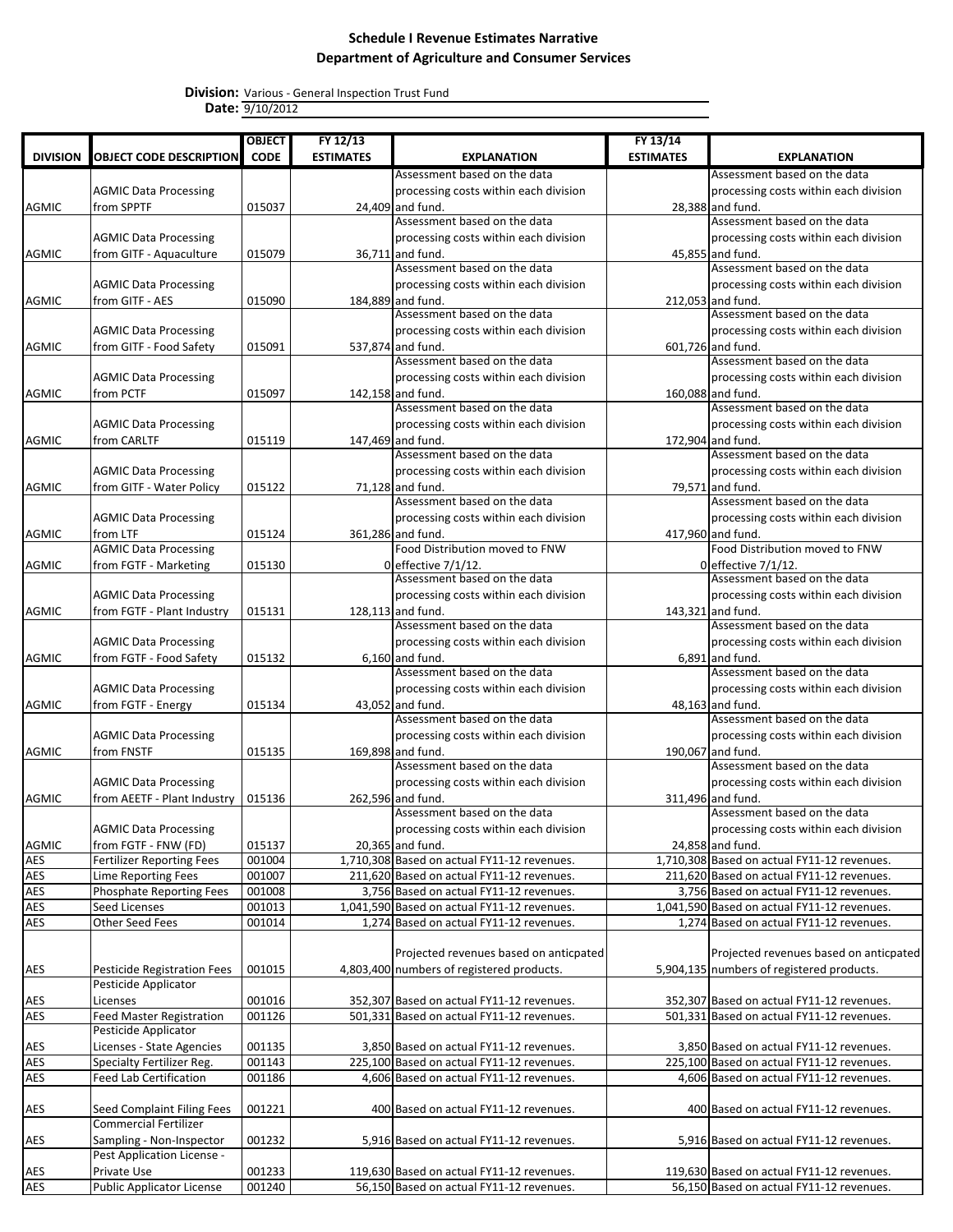|                 |                                  | <b>OBJECT</b> | FY 12/13         |                                                   | FY 13/14         |                                                   |
|-----------------|----------------------------------|---------------|------------------|---------------------------------------------------|------------------|---------------------------------------------------|
| <b>DIVISION</b> | <b>OBJECT CODE DESCRIPTION</b>   | <b>CODE</b>   | <b>ESTIMATES</b> | <b>EXPLANATION</b>                                | <b>ESTIMATES</b> | <b>EXPLANATION</b>                                |
|                 |                                  |               |                  | Assessment based on the data                      |                  | Assessment based on the data                      |
|                 | <b>AGMIC Data Processing</b>     |               |                  | processing costs within each division             |                  | processing costs within each division             |
| <b>AGMIC</b>    | from SPPTF                       | 015037        |                  | 24,409 and fund.                                  |                  | 28,388 and fund.                                  |
|                 |                                  |               |                  | Assessment based on the data                      |                  | Assessment based on the data                      |
|                 | <b>AGMIC Data Processing</b>     |               |                  | processing costs within each division             |                  | processing costs within each division             |
| <b>AGMIC</b>    | from GITF - Aquaculture          | 015079        |                  | 36,711 and fund.                                  |                  | 45,855 and fund.                                  |
|                 |                                  |               |                  | Assessment based on the data                      |                  | Assessment based on the data                      |
|                 | <b>AGMIC Data Processing</b>     |               |                  | processing costs within each division             |                  | processing costs within each division             |
| <b>AGMIC</b>    | from GITF - AES                  | 015090        |                  | 184,889 and fund.                                 |                  | 212,053 and fund.                                 |
|                 |                                  |               |                  | Assessment based on the data                      |                  | Assessment based on the data                      |
|                 | <b>AGMIC Data Processing</b>     |               |                  | processing costs within each division             |                  | processing costs within each division             |
| <b>AGMIC</b>    | from GITF - Food Safety          | 015091        |                  | 537,874 and fund.                                 |                  | 601,726 and fund.                                 |
|                 |                                  |               |                  | Assessment based on the data                      |                  | Assessment based on the data                      |
|                 | <b>AGMIC Data Processing</b>     |               |                  | processing costs within each division             |                  | processing costs within each division             |
| <b>AGMIC</b>    | from PCTF                        | 015097        |                  | 142,158 and fund.                                 |                  | 160,088 and fund.                                 |
|                 |                                  |               |                  | Assessment based on the data                      |                  | Assessment based on the data                      |
|                 | <b>AGMIC Data Processing</b>     |               |                  | processing costs within each division             |                  | processing costs within each division             |
| <b>AGMIC</b>    | from CARLTF                      | 015119        |                  | 147,469 and fund.                                 |                  | 172,904 and fund.                                 |
|                 |                                  |               |                  | Assessment based on the data                      |                  | Assessment based on the data                      |
|                 | <b>AGMIC Data Processing</b>     |               |                  | processing costs within each division             |                  | processing costs within each division             |
| <b>AGMIC</b>    | from GITF - Water Policy         | 015122        |                  | 71,128 and fund.                                  |                  | 79,571 and fund.                                  |
|                 |                                  |               |                  | Assessment based on the data                      |                  | Assessment based on the data                      |
|                 | <b>AGMIC Data Processing</b>     |               |                  | processing costs within each division             |                  | processing costs within each division             |
| AGMIC           | from LTF                         | 015124        |                  | 361,286 and fund.                                 |                  | 417,960 and fund.                                 |
|                 | <b>AGMIC Data Processing</b>     |               |                  | Food Distribution moved to FNW                    |                  | Food Distribution moved to FNW                    |
| <b>AGMIC</b>    | from FGTF - Marketing            | 015130        |                  | 0 effective 7/1/12.                               |                  | 0 effective 7/1/12.                               |
|                 |                                  |               |                  | Assessment based on the data                      |                  | Assessment based on the data                      |
|                 | <b>AGMIC Data Processing</b>     |               |                  | processing costs within each division             |                  | processing costs within each division             |
| <b>AGMIC</b>    | from FGTF - Plant Industry       | 015131        |                  | 128,113 and fund.<br>Assessment based on the data |                  | 143,321 and fund.<br>Assessment based on the data |
|                 |                                  |               |                  |                                                   |                  |                                                   |
|                 | <b>AGMIC Data Processing</b>     |               |                  | processing costs within each division             |                  | processing costs within each division             |
| <b>AGMIC</b>    | from FGTF - Food Safety          | 015132        |                  | $6,160$ and fund.<br>Assessment based on the data |                  | $6,891$ and fund.<br>Assessment based on the data |
|                 | <b>AGMIC Data Processing</b>     |               |                  | processing costs within each division             |                  | processing costs within each division             |
|                 |                                  |               |                  |                                                   |                  |                                                   |
| <b>AGMIC</b>    | from FGTF - Energy               | 015134        |                  | 43,052 and fund.<br>Assessment based on the data  |                  | 48,163 and fund.<br>Assessment based on the data  |
|                 | <b>AGMIC Data Processing</b>     |               |                  | processing costs within each division             |                  | processing costs within each division             |
| <b>AGMIC</b>    | from FNSTF                       | 015135        |                  | 169,898 and fund.                                 |                  | 190,067 and fund.                                 |
|                 |                                  |               |                  | Assessment based on the data                      |                  | Assessment based on the data                      |
|                 | <b>AGMIC Data Processing</b>     |               |                  | processing costs within each division             |                  | processing costs within each division             |
| <b>AGMIC</b>    | from AEETF - Plant Industry      | 015136        |                  | 262,596 and fund.                                 |                  | 311,496 and fund.                                 |
|                 |                                  |               |                  | Assessment based on the data                      |                  | Assessment based on the data                      |
|                 | <b>AGMIC Data Processing</b>     |               |                  | processing costs within each division             |                  | processing costs within each division             |
| AGMIC           | from FGTF - FNW (FD)             | 015137        |                  | 20,365 and fund.                                  |                  | 24,858 and fund.                                  |
| <b>AES</b>      | <b>Fertilizer Reporting Fees</b> | 001004        |                  | 1,710,308 Based on actual FY11-12 revenues.       |                  | 1,710,308 Based on actual FY11-12 revenues.       |
| AES             | Lime Reporting Fees              | 001007        |                  | 211,620 Based on actual FY11-12 revenues.         |                  | 211,620 Based on actual FY11-12 revenues.         |
| <b>AES</b>      | <b>Phosphate Reporting Fees</b>  | 001008        |                  | 3,756 Based on actual FY11-12 revenues.           |                  | 3,756 Based on actual FY11-12 revenues.           |
| AES             | Seed Licenses                    | 001013        |                  | 1,041,590 Based on actual FY11-12 revenues.       |                  | 1,041,590 Based on actual FY11-12 revenues.       |
| AES             | Other Seed Fees                  | 001014        |                  | 1,274 Based on actual FY11-12 revenues.           |                  | 1,274 Based on actual FY11-12 revenues.           |
|                 |                                  |               |                  |                                                   |                  |                                                   |
|                 |                                  |               |                  | Projected revenues based on anticpated            |                  | Projected revenues based on anticpated            |
| AES             | Pesticide Registration Fees      | 001015        |                  | 4,803,400 numbers of registered products.         |                  | 5,904,135 numbers of registered products.         |
|                 | Pesticide Applicator             |               |                  |                                                   |                  |                                                   |
| AES             | Licenses                         | 001016        |                  | 352,307 Based on actual FY11-12 revenues.         |                  | 352,307 Based on actual FY11-12 revenues.         |
| <b>AES</b>      | <b>Feed Master Registration</b>  | 001126        |                  | 501,331 Based on actual FY11-12 revenues.         |                  | 501,331 Based on actual FY11-12 revenues.         |
|                 | Pesticide Applicator             |               |                  |                                                   |                  |                                                   |
| AES             | Licenses - State Agencies        | 001135        |                  | 3,850 Based on actual FY11-12 revenues.           |                  | 3,850 Based on actual FY11-12 revenues.           |
| AES             | Specialty Fertilizer Reg.        | 001143        |                  | 225,100 Based on actual FY11-12 revenues.         |                  | 225,100 Based on actual FY11-12 revenues.         |
| <b>AES</b>      | Feed Lab Certification           | 001186        |                  | 4,606 Based on actual FY11-12 revenues.           |                  | 4,606 Based on actual FY11-12 revenues.           |
|                 |                                  |               |                  |                                                   |                  |                                                   |
| AES             | Seed Complaint Filing Fees       | 001221        |                  | 400 Based on actual FY11-12 revenues.             |                  | 400 Based on actual FY11-12 revenues.             |
|                 | <b>Commercial Fertilizer</b>     |               |                  |                                                   |                  |                                                   |
| AES             | Sampling - Non-Inspector         | 001232        |                  | 5,916 Based on actual FY11-12 revenues.           |                  | 5,916 Based on actual FY11-12 revenues.           |
|                 | Pest Application License -       |               |                  |                                                   |                  |                                                   |
| AES             | Private Use                      | 001233        |                  | 119,630 Based on actual FY11-12 revenues.         |                  | 119,630 Based on actual FY11-12 revenues.         |
| <b>AES</b>      | <b>Public Applicator License</b> | 001240        |                  | 56,150 Based on actual FY11-12 revenues.          |                  | 56,150 Based on actual FY11-12 revenues.          |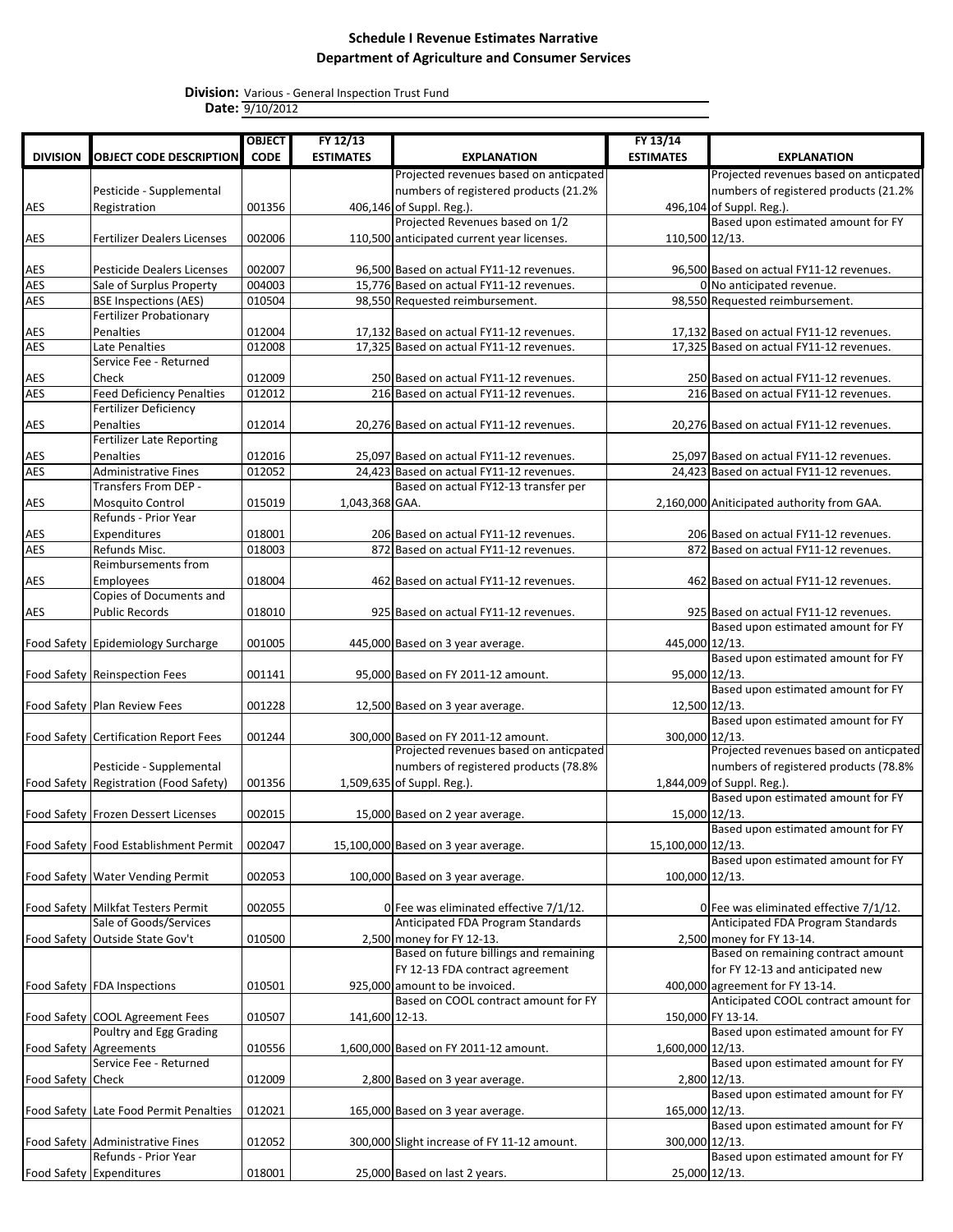|                   |                                                  | <b>OBJECT</b> | FY 12/13         |                                             | FY 13/14          |                                                                             |
|-------------------|--------------------------------------------------|---------------|------------------|---------------------------------------------|-------------------|-----------------------------------------------------------------------------|
| <b>DIVISION</b>   | <b>OBJECT CODE DESCRIPTION</b>                   | <b>CODE</b>   | <b>ESTIMATES</b> | <b>EXPLANATION</b>                          | <b>ESTIMATES</b>  | <b>EXPLANATION</b>                                                          |
|                   |                                                  |               |                  | Projected revenues based on anticpated      |                   | Projected revenues based on anticpated                                      |
|                   | Pesticide - Supplemental                         |               |                  | numbers of registered products (21.2%       |                   | numbers of registered products (21.2%                                       |
| AES               | Registration                                     | 001356        |                  | 406,146 of Suppl. Reg.).                    |                   | 496,104 of Suppl. Reg.).                                                    |
|                   |                                                  |               |                  | Projected Revenues based on 1/2             |                   | Based upon estimated amount for FY                                          |
| AES               | <b>Fertilizer Dealers Licenses</b>               | 002006        |                  | 110,500 anticipated current year licenses.  | 110,500 12/13.    |                                                                             |
|                   |                                                  |               |                  |                                             |                   |                                                                             |
| AES               | <b>Pesticide Dealers Licenses</b>                | 002007        |                  | 96,500 Based on actual FY11-12 revenues.    |                   | 96,500 Based on actual FY11-12 revenues.                                    |
| AES               | Sale of Surplus Property                         | 004003        |                  | 15,776 Based on actual FY11-12 revenues.    |                   | 0 No anticipated revenue.                                                   |
| AES               | <b>BSE Inspections (AES)</b>                     | 010504        |                  | 98,550 Requested reimbursement.             |                   | 98,550 Requested reimbursement.                                             |
|                   | <b>Fertilizer Probationary</b>                   |               |                  |                                             |                   |                                                                             |
| AES               | Penalties                                        | 012004        |                  | 17,132 Based on actual FY11-12 revenues.    |                   | 17,132 Based on actual FY11-12 revenues.                                    |
| <b>AES</b>        | Late Penalties<br>Service Fee - Returned         | 012008        |                  | 17,325 Based on actual FY11-12 revenues.    |                   | 17,325 Based on actual FY11-12 revenues.                                    |
| AES               | Check                                            | 012009        |                  | 250 Based on actual FY11-12 revenues.       |                   | 250 Based on actual FY11-12 revenues.                                       |
| AES               | <b>Feed Deficiency Penalties</b>                 | 012012        |                  | 216 Based on actual FY11-12 revenues.       |                   | 216 Based on actual FY11-12 revenues.                                       |
|                   | <b>Fertilizer Deficiency</b>                     |               |                  |                                             |                   |                                                                             |
| AES               | Penalties                                        | 012014        |                  | 20,276 Based on actual FY11-12 revenues.    |                   | 20,276 Based on actual FY11-12 revenues.                                    |
|                   | <b>Fertilizer Late Reporting</b>                 |               |                  |                                             |                   |                                                                             |
| AES               | Penalties                                        | 012016        |                  | 25,097 Based on actual FY11-12 revenues.    |                   | 25,097 Based on actual FY11-12 revenues.                                    |
| <b>AES</b>        | <b>Administrative Fines</b>                      | 012052        |                  | 24,423 Based on actual FY11-12 revenues.    |                   | 24,423 Based on actual FY11-12 revenues.                                    |
|                   | Transfers From DEP -                             |               |                  | Based on actual FY12-13 transfer per        |                   |                                                                             |
| AES               | Mosquito Control                                 | 015019        | 1,043,368 GAA.   |                                             |                   | 2,160,000 Aniticipated authority from GAA.                                  |
|                   | Refunds - Prior Year                             |               |                  |                                             |                   |                                                                             |
| AES               | Expenditures                                     | 018001        |                  | 206 Based on actual FY11-12 revenues.       |                   | 206 Based on actual FY11-12 revenues.                                       |
| <b>AES</b>        | Refunds Misc.                                    | 018003        |                  | 872 Based on actual FY11-12 revenues.       |                   | 872 Based on actual FY11-12 revenues.                                       |
|                   | Reimbursements from                              |               |                  |                                             |                   |                                                                             |
| AES               | Employees                                        | 018004        |                  | 462 Based on actual FY11-12 revenues.       |                   | 462 Based on actual FY11-12 revenues.                                       |
|                   | Copies of Documents and                          |               |                  |                                             |                   |                                                                             |
| AES               | <b>Public Records</b>                            | 018010        |                  | 925 Based on actual FY11-12 revenues.       |                   | 925 Based on actual FY11-12 revenues.<br>Based upon estimated amount for FY |
|                   | Food Safety Epidemiology Surcharge               | 001005        |                  | 445,000 Based on 3 year average.            | 445,000 12/13.    |                                                                             |
|                   |                                                  |               |                  |                                             |                   | Based upon estimated amount for FY                                          |
|                   | Food Safety Reinspection Fees                    | 001141        |                  | 95,000 Based on FY 2011-12 amount.          | 95,000 12/13.     |                                                                             |
|                   |                                                  |               |                  |                                             |                   | Based upon estimated amount for FY                                          |
|                   | Food Safety Plan Review Fees                     | 001228        |                  | 12,500 Based on 3 year average.             | 12,500 12/13.     |                                                                             |
|                   |                                                  |               |                  |                                             |                   | Based upon estimated amount for FY                                          |
|                   | Food Safety Certification Report Fees            | 001244        |                  | 300,000 Based on FY 2011-12 amount.         | 300,000 12/13.    |                                                                             |
|                   |                                                  |               |                  | Projected revenues based on anticpated      |                   | Projected revenues based on anticpated                                      |
|                   | Pesticide - Supplemental                         |               |                  | numbers of registered products (78.8%       |                   | numbers of registered products (78.8%                                       |
|                   | Food Safety Registration (Food Safety)           | 001356        |                  | 1,509,635 of Suppl. Reg.).                  |                   | 1,844,009 of Suppl. Reg.).                                                  |
|                   |                                                  |               |                  |                                             |                   | Based upon estimated amount for FY                                          |
|                   | Food Safety Frozen Dessert Licenses              | 002015        |                  | 15,000 Based on 2 year average.             |                   | 15,000 12/13.<br>Based upon estimated amount for FY                         |
|                   |                                                  |               |                  |                                             |                   |                                                                             |
|                   | Food Safety Food Establishment Permit            | 002047        |                  | 15,100,000 Based on 3 year average.         | 15,100,000 12/13. | Based upon estimated amount for FY                                          |
|                   | Food Safety Water Vending Permit                 | 002053        |                  | 100,000 Based on 3 year average.            | 100,000 12/13.    |                                                                             |
|                   |                                                  |               |                  |                                             |                   |                                                                             |
|                   | Food Safety Milkfat Testers Permit               | 002055        |                  | 0 Fee was eliminated effective 7/1/12.      |                   | 0 Fee was eliminated effective 7/1/12.                                      |
|                   | Sale of Goods/Services                           |               |                  | Anticipated FDA Program Standards           |                   | Anticipated FDA Program Standards                                           |
|                   | Food Safety Outside State Gov't                  | 010500        |                  | 2,500 money for FY 12-13.                   |                   | 2,500 money for FY 13-14.                                                   |
|                   |                                                  |               |                  | Based on future billings and remaining      |                   | Based on remaining contract amount                                          |
|                   |                                                  |               |                  | FY 12-13 FDA contract agreement             |                   | for FY 12-13 and anticipated new                                            |
|                   | Food Safety FDA Inspections                      | 010501        |                  | 925.000 amount to be invoiced.              |                   | 400,000 agreement for FY 13-14.                                             |
|                   |                                                  |               |                  | Based on COOL contract amount for FY        |                   | Anticipated COOL contract amount for                                        |
|                   | Food Safety COOL Agreement Fees                  | 010507        | 141,600 12-13.   |                                             |                   | 150,000 FY 13-14.                                                           |
|                   | Poultry and Egg Grading                          |               |                  |                                             |                   | Based upon estimated amount for FY                                          |
|                   | Food Safety Agreements<br>Service Fee - Returned | 010556        |                  | 1,600,000 Based on FY 2011-12 amount.       | 1,600,000 12/13.  |                                                                             |
|                   |                                                  |               |                  |                                             |                   | Based upon estimated amount for FY                                          |
| Food Safety Check |                                                  | 012009        |                  | 2,800 Based on 3 year average.              |                   | 2,800 12/13.<br>Based upon estimated amount for FY                          |
|                   | Food Safety Late Food Permit Penalties           | 012021        |                  | 165,000 Based on 3 year average.            | 165,000 12/13.    |                                                                             |
|                   |                                                  |               |                  |                                             |                   | Based upon estimated amount for FY                                          |
|                   | Food Safety Administrative Fines                 | 012052        |                  | 300,000 Slight increase of FY 11-12 amount. | 300,000 12/13.    |                                                                             |
|                   | Refunds - Prior Year                             |               |                  |                                             |                   | Based upon estimated amount for FY                                          |
|                   | Food Safety Expenditures                         | 018001        |                  | 25,000 Based on last 2 years.               | 25,000 12/13.     |                                                                             |
|                   |                                                  |               |                  |                                             |                   |                                                                             |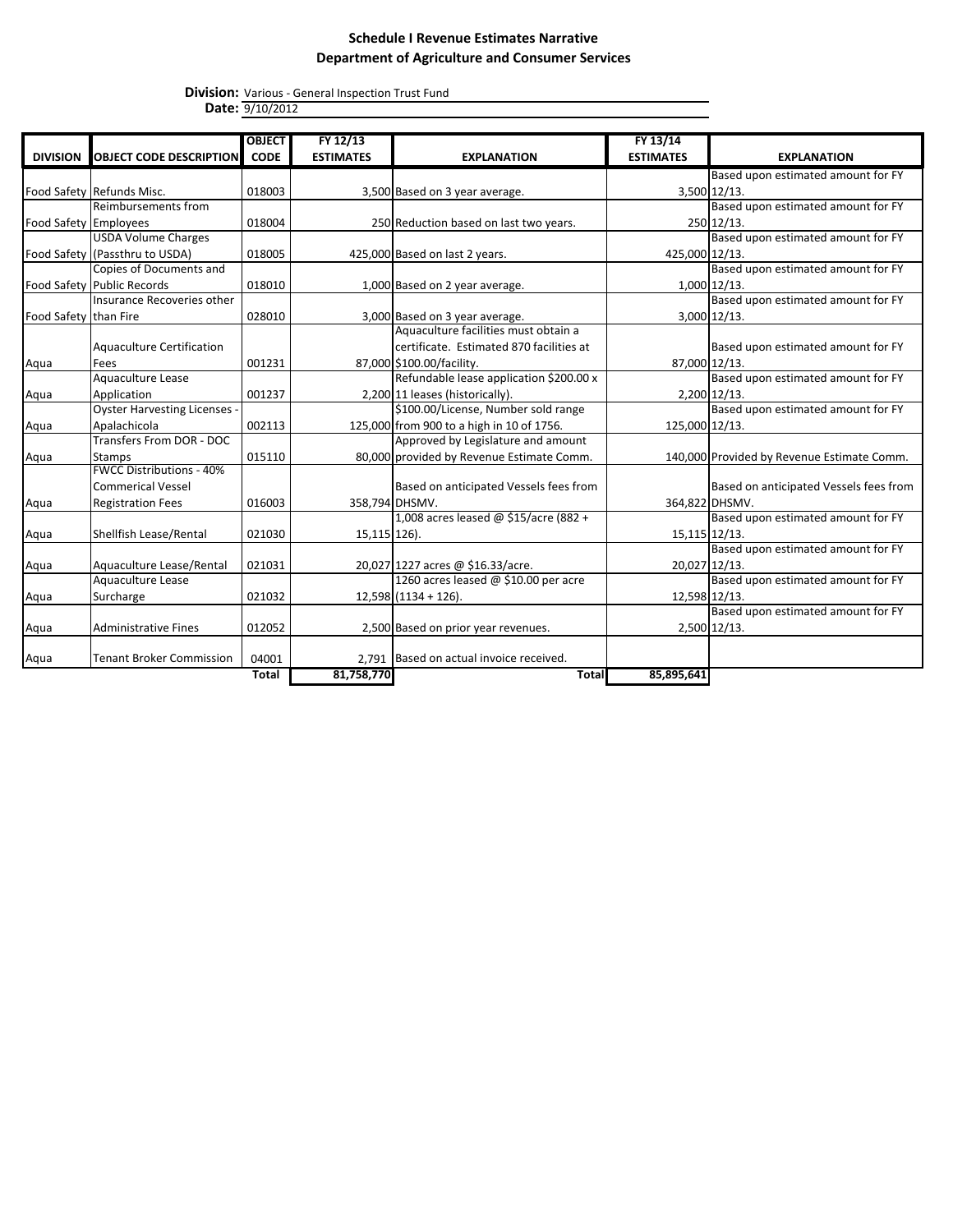|                       |                                 | <b>OBJECT</b> | FY 12/13         |                                           | FY 13/14         |                                            |
|-----------------------|---------------------------------|---------------|------------------|-------------------------------------------|------------------|--------------------------------------------|
| <b>DIVISION</b>       | <b>OBJECT CODE DESCRIPTION</b>  | <b>CODE</b>   | <b>ESTIMATES</b> | <b>EXPLANATION</b>                        | <b>ESTIMATES</b> | <b>EXPLANATION</b>                         |
|                       |                                 |               |                  |                                           |                  | Based upon estimated amount for FY         |
|                       | Food Safety Refunds Misc.       | 018003        |                  | 3,500 Based on 3 year average.            |                  | 3,500 12/13.                               |
|                       | <b>Reimbursements from</b>      |               |                  |                                           |                  | Based upon estimated amount for FY         |
| Food Safety Employees |                                 | 018004        |                  | 250 Reduction based on last two years.    |                  | 250 12/13.                                 |
|                       | <b>USDA Volume Charges</b>      |               |                  |                                           |                  | Based upon estimated amount for FY         |
|                       | Food Safety (Passthru to USDA)  | 018005        |                  | 425,000 Based on last 2 years.            | 425,000 12/13.   |                                            |
|                       | Copies of Documents and         |               |                  |                                           |                  | Based upon estimated amount for FY         |
|                       | Food Safety Public Records      | 018010        |                  | 1,000 Based on 2 year average.            |                  | 1,000 12/13.                               |
|                       | Insurance Recoveries other      |               |                  |                                           |                  | Based upon estimated amount for FY         |
| Food Safety than Fire |                                 | 028010        |                  | 3,000 Based on 3 year average.            |                  | 3,000 12/13.                               |
|                       |                                 |               |                  | Aquaculture facilities must obtain a      |                  |                                            |
|                       | Aquaculture Certification       |               |                  | certificate. Estimated 870 facilities at  |                  | Based upon estimated amount for FY         |
| Aqua                  | Fees                            | 001231        |                  | 87,000 \$100.00/facility.                 | 87,000 12/13.    |                                            |
|                       | Aquaculture Lease               |               |                  | Refundable lease application \$200.00 x   |                  | Based upon estimated amount for FY         |
| Aqua                  | Application                     | 001237        |                  | 2,200 11 leases (historically).           |                  | 2,200 12/13.                               |
|                       | Oyster Harvesting Licenses      |               |                  | \$100.00/License, Number sold range       |                  | Based upon estimated amount for FY         |
| Aqua                  | Apalachicola                    | 002113        |                  | 125,000 from 900 to a high in 10 of 1756. | 125,000 12/13.   |                                            |
|                       | Transfers From DOR - DOC        |               |                  | Approved by Legislature and amount        |                  |                                            |
| Aqua                  | <b>Stamps</b>                   | 015110        |                  | 80,000 provided by Revenue Estimate Comm. |                  | 140,000 Provided by Revenue Estimate Comm. |
|                       | <b>FWCC Distributions - 40%</b> |               |                  |                                           |                  |                                            |
|                       | Commerical Vessel               |               |                  | Based on anticipated Vessels fees from    |                  | Based on anticipated Vessels fees from     |
| Aqua                  | <b>Registration Fees</b>        | 016003        |                  | 358,794 DHSMV.                            |                  | 364,822 DHSMV.                             |
|                       |                                 |               |                  | 1,008 acres leased @ \$15/acre (882 +     |                  | Based upon estimated amount for FY         |
| Aqua                  | Shellfish Lease/Rental          | 021030        | 15,115 126).     |                                           | 15, 115 12/13.   |                                            |
|                       |                                 |               |                  |                                           |                  | Based upon estimated amount for FY         |
| Aqua                  | Aquaculture Lease/Rental        | 021031        |                  | 20,027 1227 acres @ \$16.33/acre.         | 20,027 12/13.    |                                            |
|                       | Aquaculture Lease               |               |                  | 1260 acres leased @ \$10.00 per acre      |                  | Based upon estimated amount for FY         |
| Aqua                  | Surcharge                       | 021032        |                  | $12,598$ (1134 + 126).                    | 12,598 12/13.    |                                            |
|                       |                                 |               |                  |                                           |                  | Based upon estimated amount for FY         |
| Aqua                  | Administrative Fines            | 012052        |                  | 2,500 Based on prior year revenues.       |                  | 2,500 12/13.                               |
| Aqua                  | <b>Tenant Broker Commission</b> | 04001         |                  | 2.791 Based on actual invoice received.   |                  |                                            |
|                       |                                 | Total         | 81,758,770       | <b>Total</b>                              | 85,895,641       |                                            |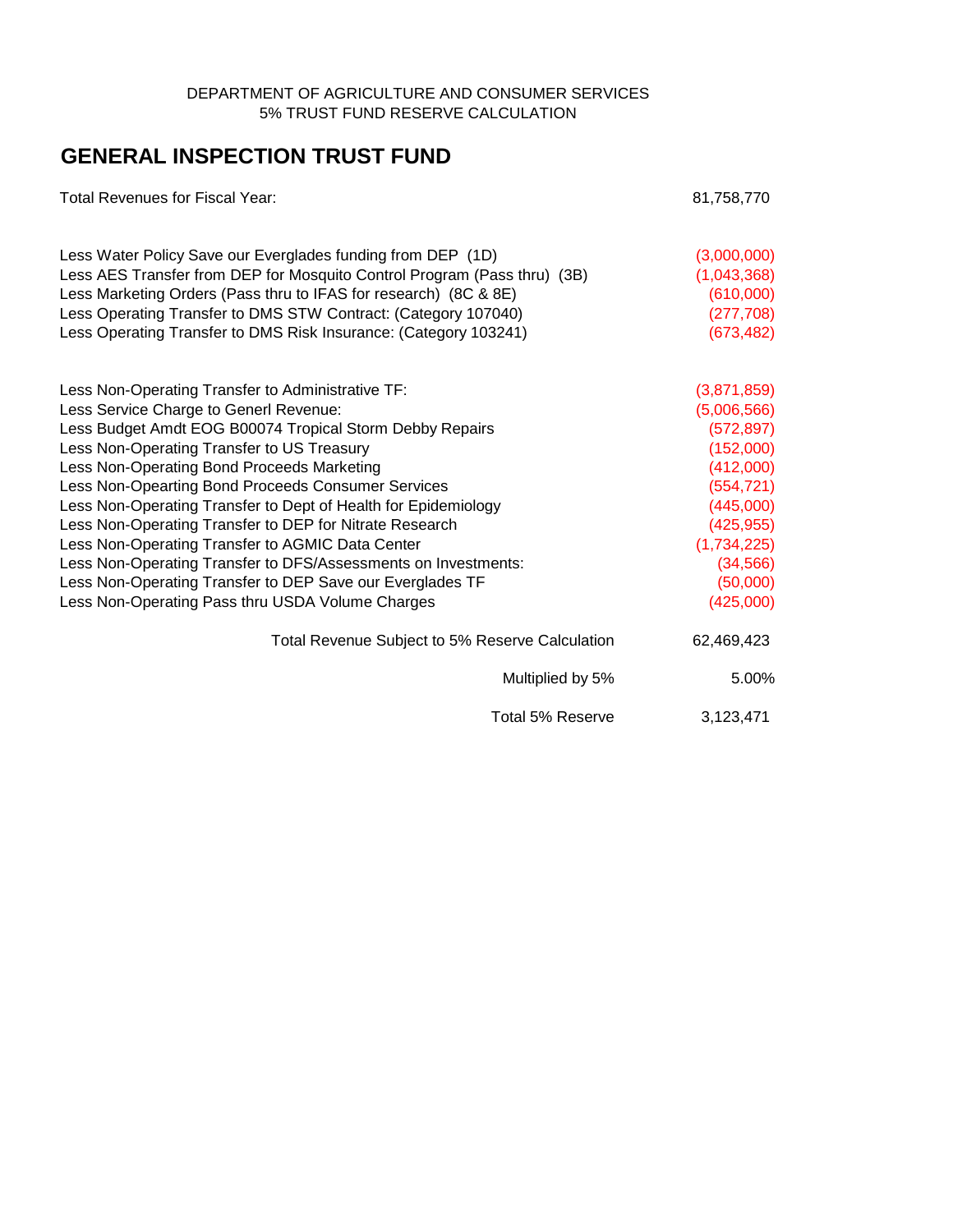### DEPARTMENT OF AGRICULTURE AND CONSUMER SERVICES 5% TRUST FUND RESERVE CALCULATION

# **GENERAL INSPECTION TRUST FUND**

| <b>Total Revenues for Fiscal Year:</b>                                   | 81,758,770  |
|--------------------------------------------------------------------------|-------------|
| Less Water Policy Save our Everglades funding from DEP (1D)              | (3,000,000) |
| Less AES Transfer from DEP for Mosquito Control Program (Pass thru) (3B) | (1,043,368) |
| Less Marketing Orders (Pass thru to IFAS for research) (8C & 8E)         | (610,000)   |
| Less Operating Transfer to DMS STW Contract: (Category 107040)           | (277, 708)  |
| Less Operating Transfer to DMS Risk Insurance: (Category 103241)         | (673, 482)  |
| Less Non-Operating Transfer to Administrative TF:                        | (3,871,859) |
| Less Service Charge to Generl Revenue:                                   | (5,006,566) |
| Less Budget Amdt EOG B00074 Tropical Storm Debby Repairs                 | (572, 897)  |
| Less Non-Operating Transfer to US Treasury                               | (152,000)   |
| Less Non-Operating Bond Proceeds Marketing                               | (412,000)   |
| Less Non-Opearting Bond Proceeds Consumer Services                       | (554, 721)  |
| Less Non-Operating Transfer to Dept of Health for Epidemiology           | (445,000)   |
| Less Non-Operating Transfer to DEP for Nitrate Research                  | (425, 955)  |
| Less Non-Operating Transfer to AGMIC Data Center                         | (1,734,225) |
| Less Non-Operating Transfer to DFS/Assessments on Investments:           | (34, 566)   |
| Less Non-Operating Transfer to DEP Save our Everglades TF                | (50,000)    |
| Less Non-Operating Pass thru USDA Volume Charges                         | (425,000)   |
| Total Revenue Subject to 5% Reserve Calculation                          | 62,469,423  |
| Multiplied by 5%                                                         | 5.00%       |
| Total 5% Reserve                                                         | 3,123,471   |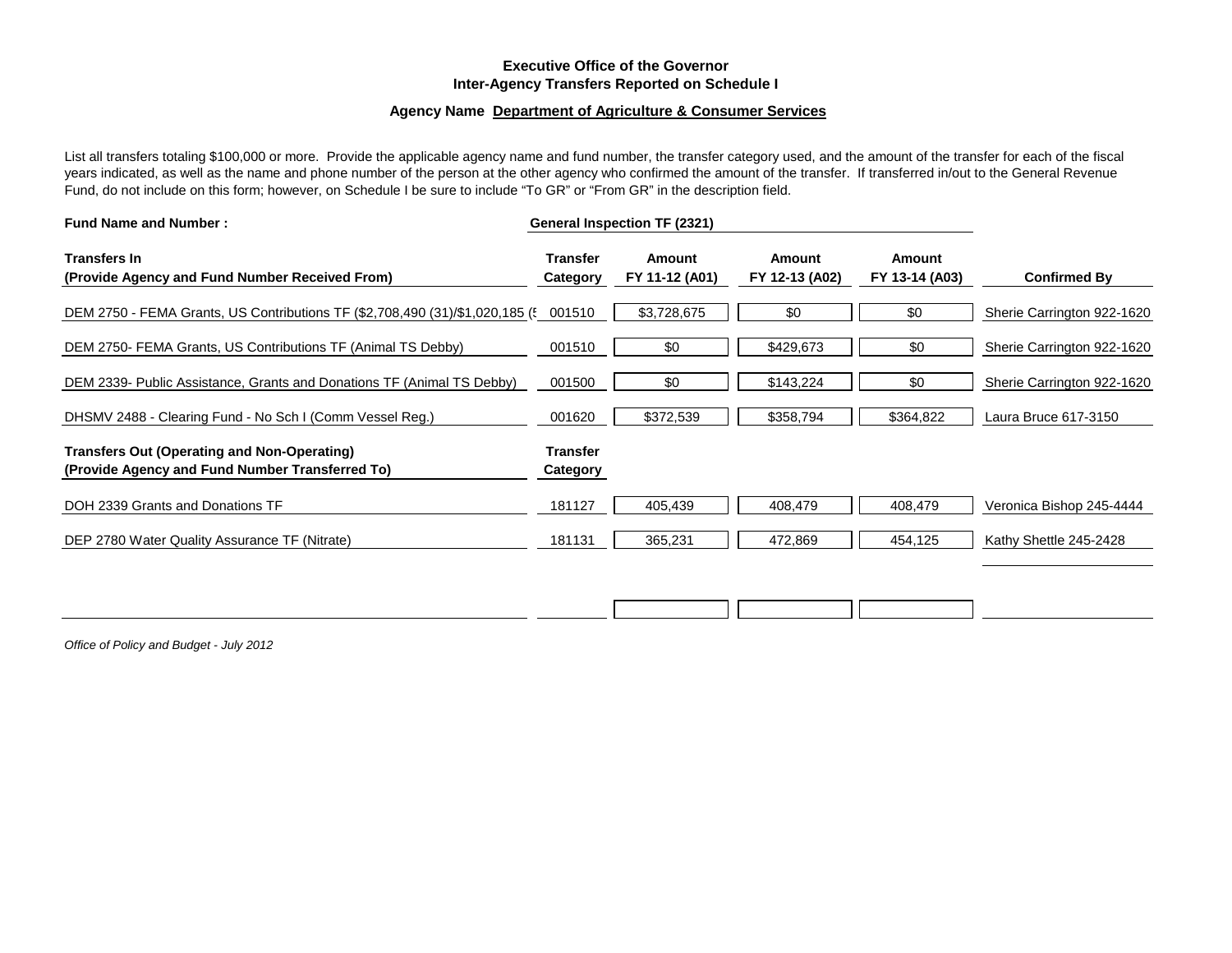#### **Executive Office of the Governor Inter-Agency Transfers Reported on Schedule I**

#### **Agency Name Department of Agriculture & Consumer Services**

List all transfers totaling \$100,000 or more. Provide the applicable agency name and fund number, the transfer category used, and the amount of the transfer for each of the fiscal years indicated, as well as the name and phone number of the person at the other agency who confirmed the amount of the transfer. If transferred in/out to the General Revenue Fund, do not include on this form; however, on Schedule I be sure to include "To GR" or "From GR" in the description field.

| <b>Fund Name and Number:</b><br><b>Transfers In</b><br>(Provide Agency and Fund Number Received From)<br>Category |                             | General Inspection TF (2321) |                                 |                          |                            |
|-------------------------------------------------------------------------------------------------------------------|-----------------------------|------------------------------|---------------------------------|--------------------------|----------------------------|
|                                                                                                                   |                             | Amount<br>FY 11-12 (A01)     | <b>Amount</b><br>FY 12-13 (A02) | Amount<br>FY 13-14 (A03) | <b>Confirmed By</b>        |
| DEM 2750 - FEMA Grants, US Contributions TF (\$2,708,490 (31)/\$1,020,185 (5 001510                               |                             | \$3,728,675                  | \$0                             | \$0                      | Sherie Carrington 922-1620 |
| DEM 2750- FEMA Grants, US Contributions TF (Animal TS Debby)                                                      | 001510                      | \$0                          | \$429,673                       | \$0                      | Sherie Carrington 922-1620 |
| DEM 2339- Public Assistance, Grants and Donations TF (Animal TS Debby)                                            | 001500                      | \$0                          | \$143,224                       | \$0                      | Sherie Carrington 922-1620 |
| DHSMV 2488 - Clearing Fund - No Sch I (Comm Vessel Reg.)                                                          | 001620                      | \$372,539                    | \$358,794                       | \$364,822                | Laura Bruce 617-3150       |
| <b>Transfers Out (Operating and Non-Operating)</b><br>(Provide Agency and Fund Number Transferred To)             | <b>Transfer</b><br>Category |                              |                                 |                          |                            |
| DOH 2339 Grants and Donations TF                                                                                  | 181127                      | 405,439                      | 408,479                         | 408,479                  | Veronica Bishop 245-4444   |
| DEP 2780 Water Quality Assurance TF (Nitrate)                                                                     | 181131                      | 365,231                      | 472,869                         | 454,125                  | Kathy Shettle 245-2428     |
|                                                                                                                   |                             |                              |                                 |                          |                            |
|                                                                                                                   |                             |                              |                                 |                          |                            |

*Office of Policy and Budget - July 2012*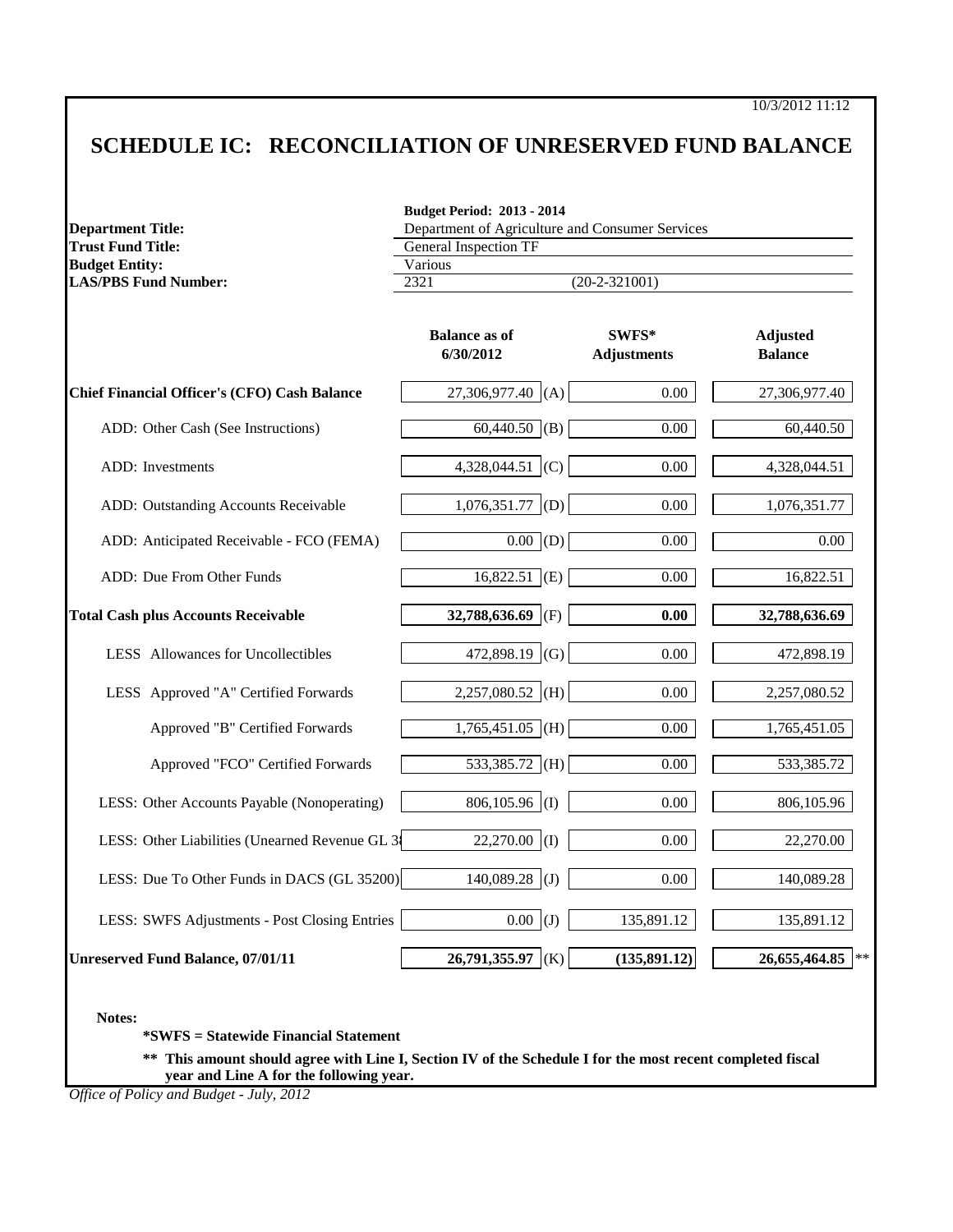# **SCHEDULE IC: RECONCILIATION OF UNRESERVED FUND BALANCE**

| <b>Department Title:</b>                            | <b>Budget Period: 2013 - 2014</b><br>Department of Agriculture and Consumer Services |                             |                                   |  |  |  |
|-----------------------------------------------------|--------------------------------------------------------------------------------------|-----------------------------|-----------------------------------|--|--|--|
| <b>Trust Fund Title:</b>                            | General Inspection TF                                                                |                             |                                   |  |  |  |
| <b>Budget Entity:</b>                               | Various                                                                              |                             |                                   |  |  |  |
| <b>LAS/PBS Fund Number:</b>                         | 2321                                                                                 | $(20-2-321001)$             |                                   |  |  |  |
|                                                     | <b>Balance as of</b><br>6/30/2012                                                    | SWFS*<br><b>Adjustments</b> | <b>Adjusted</b><br><b>Balance</b> |  |  |  |
| <b>Chief Financial Officer's (CFO) Cash Balance</b> | $27,306,977.40$ (A)                                                                  | 0.00                        | 27,306,977.40                     |  |  |  |
| ADD: Other Cash (See Instructions)                  | $60,440.50$ (B)                                                                      | 0.00                        | 60,440.50                         |  |  |  |
| <b>ADD</b> : Investments                            | 4,328,044.51<br>(C)                                                                  | 0.00                        | 4,328,044.51                      |  |  |  |
| ADD: Outstanding Accounts Receivable                | $1,076,351.77$ (D)                                                                   | $0.00\,$                    | 1,076,351.77                      |  |  |  |
| ADD: Anticipated Receivable - FCO (FEMA)            | $0.00$ (D)                                                                           | $0.00\,$                    | 0.00                              |  |  |  |
| ADD: Due From Other Funds                           | $16,822.51$ (E)                                                                      | 0.00                        | 16,822.51                         |  |  |  |
| <b>Total Cash plus Accounts Receivable</b>          | 32,788,636.69<br>(F)                                                                 | 0.00                        | 32,788,636.69                     |  |  |  |
| <b>LESS</b> Allowances for Uncollectibles           | 472,898.19 (G)                                                                       | 0.00                        | 472,898.19                        |  |  |  |
| LESS Approved "A" Certified Forwards                | $2,257,080.52$ (H)                                                                   | 0.00                        | 2,257,080.52                      |  |  |  |
| Approved "B" Certified Forwards                     | $1,765,451.05$ (H)                                                                   | 0.00                        | 1,765,451.05                      |  |  |  |
| Approved "FCO" Certified Forwards                   | $533,385.72$ (H)                                                                     | $0.00\,$                    | 533,385.72                        |  |  |  |
| LESS: Other Accounts Payable (Nonoperating)         | $806,105.96$ (I)                                                                     | 0.00                        | 806,105.96                        |  |  |  |
| LESS: Other Liabilities (Unearned Revenue GL 38     | $22,270.00$ (I)                                                                      | 0.00                        | 22,270.00                         |  |  |  |
| LESS: Due To Other Funds in DACS (GL 35200)         | $140,089.28$ (J)                                                                     | $0.00\,$                    | 140,089.28                        |  |  |  |
| LESS: SWFS Adjustments - Post Closing Entries       | $0.00$ (J)                                                                           | 135,891.12                  | 135,891.12                        |  |  |  |
| <b>Unreserved Fund Balance, 07/01/11</b>            | $26,791,355.97$ (K)                                                                  | (135, 891.12)               | 26,655,464.85<br>$\pm$ :          |  |  |  |

**Notes:**

**\*SWFS = Statewide Financial Statement** 

**\*\* This amount should agree with Line I, Section IV of the Schedule I for the most recent completed fiscal year and Line A for the following year.**

*Office of Policy and Budget - July, 2012*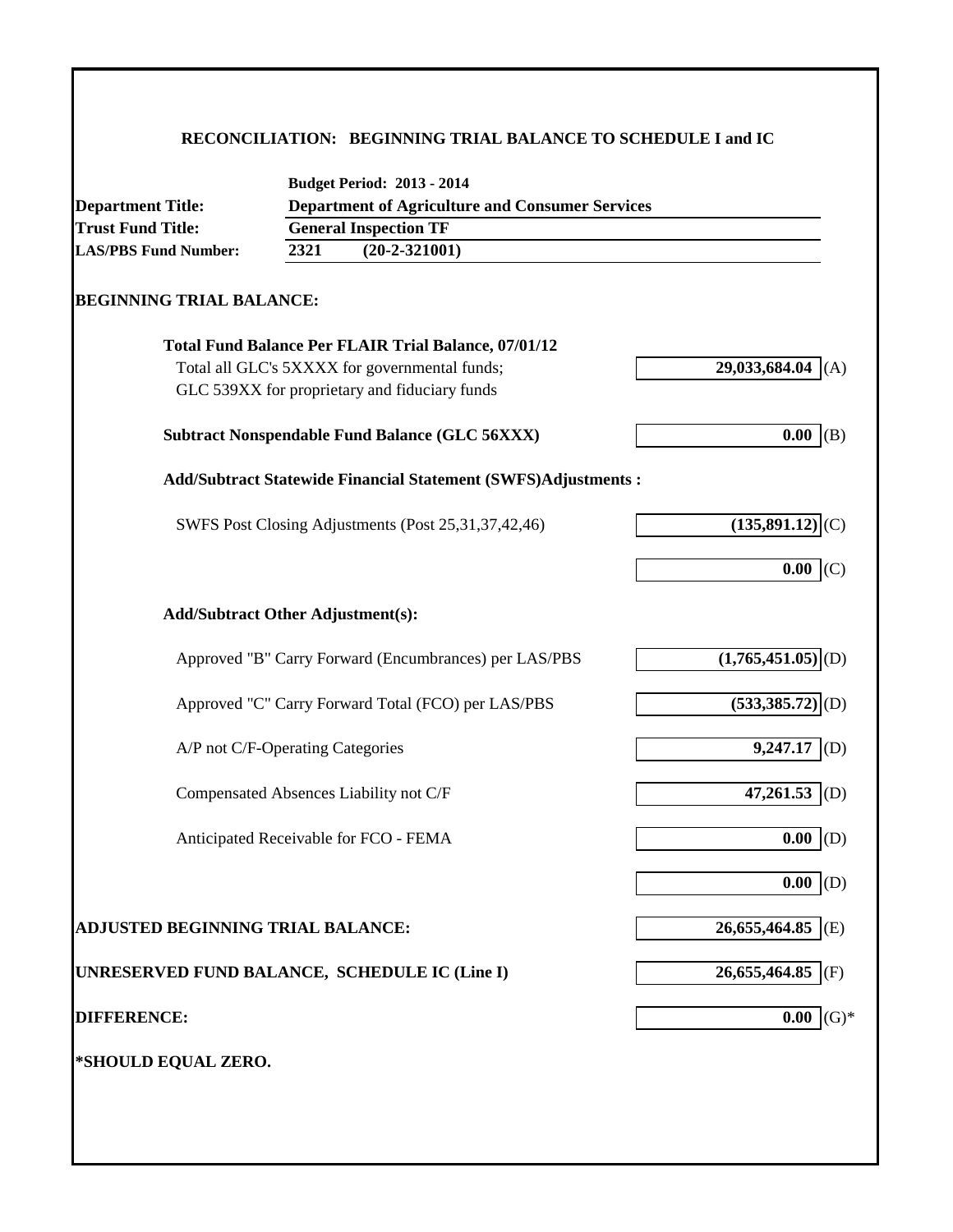### **RECONCILIATION: BEGINNING TRIAL BALANCE TO SCHEDULE I and IC**

| <b>Department Title:</b>                      |      | <b>Department of Agriculture and Consumer Services</b>         |                                 |
|-----------------------------------------------|------|----------------------------------------------------------------|---------------------------------|
| <b>Trust Fund Title:</b>                      |      | <b>General Inspection TF</b>                                   |                                 |
| <b>LAS/PBS Fund Number:</b>                   | 2321 | $(20-2-321001)$                                                |                                 |
| <b>BEGINNING TRIAL BALANCE:</b>               |      |                                                                |                                 |
|                                               |      | <b>Total Fund Balance Per FLAIR Trial Balance, 07/01/12</b>    |                                 |
|                                               |      | Total all GLC's 5XXXX for governmental funds;                  | 29,033,684.04 (A)               |
|                                               |      | GLC 539XX for proprietary and fiduciary funds                  |                                 |
|                                               |      | <b>Subtract Nonspendable Fund Balance (GLC 56XXX)</b>          | 0.00   (B)                      |
|                                               |      | Add/Subtract Statewide Financial Statement (SWFS)Adjustments : |                                 |
|                                               |      | SWFS Post Closing Adjustments (Post 25, 31, 37, 42, 46)        | $(135,891.12)$ <sub>(C)</sub>   |
|                                               |      |                                                                | 0.00<br>(C)                     |
| <b>Add/Subtract Other Adjustment(s):</b>      |      |                                                                |                                 |
|                                               |      | Approved "B" Carry Forward (Encumbrances) per LAS/PBS          | $(1,765,451.05)$ <sub>(D)</sub> |
|                                               |      | Approved "C" Carry Forward Total (FCO) per LAS/PBS             | $(533,385.72)$ <sub>(D)</sub>   |
| A/P not C/F-Operating Categories              |      |                                                                | 9,247.17<br>(D)                 |
|                                               |      | Compensated Absences Liability not C/F                         | 47,261.53 (D)                   |
|                                               |      | Anticipated Receivable for FCO - FEMA                          | 0.00<br>(D)                     |
|                                               |      |                                                                | 0.00<br>(D)                     |
| <b>ADJUSTED BEGINNING TRIAL BALANCE:</b>      |      |                                                                | 26,655,464.85 (E)               |
| UNRESERVED FUND BALANCE, SCHEDULE IC (Line I) |      |                                                                | 26,655,464.85 (F)               |
| <b>DIFFERENCE:</b>                            |      |                                                                | $(G)*$<br>0.00                  |
| *SHOULD EQUAL ZERO.                           |      |                                                                |                                 |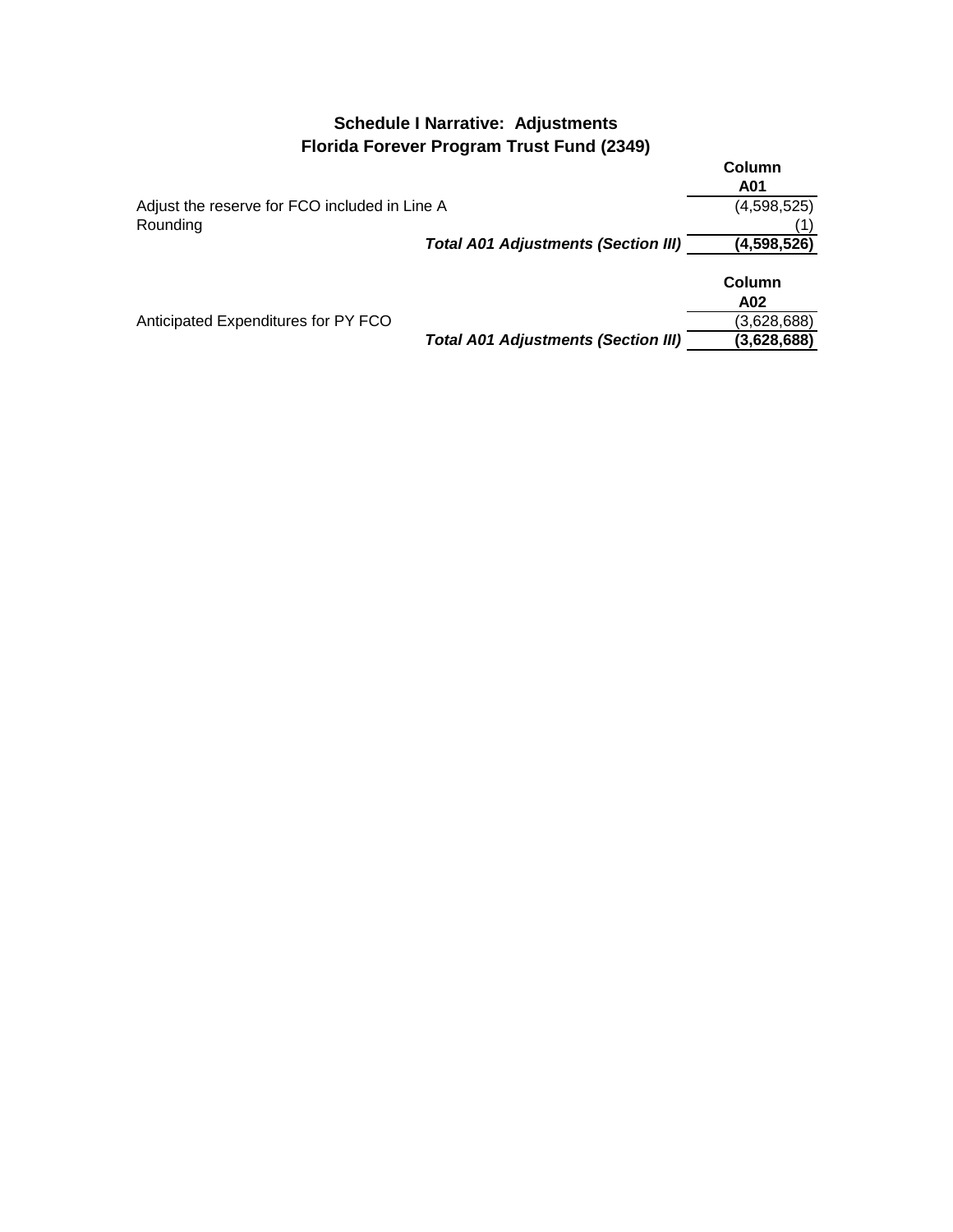### **Schedule I Narrative: Adjustments Florida Forever Program Trust Fund (2349)**

|                                               | Column<br>A01 |
|-----------------------------------------------|---------------|
| Adjust the reserve for FCO included in Line A | (4,598,525)   |
| Rounding                                      |               |
| <b>Total A01 Adjustments (Section III)</b>    | (4,598,526)   |
|                                               | Column<br>A02 |
| Anticipated Expenditures for PY FCO           | (3,628,688)   |

*Total A01 Adjustments (Section III)* **(3,628,688)**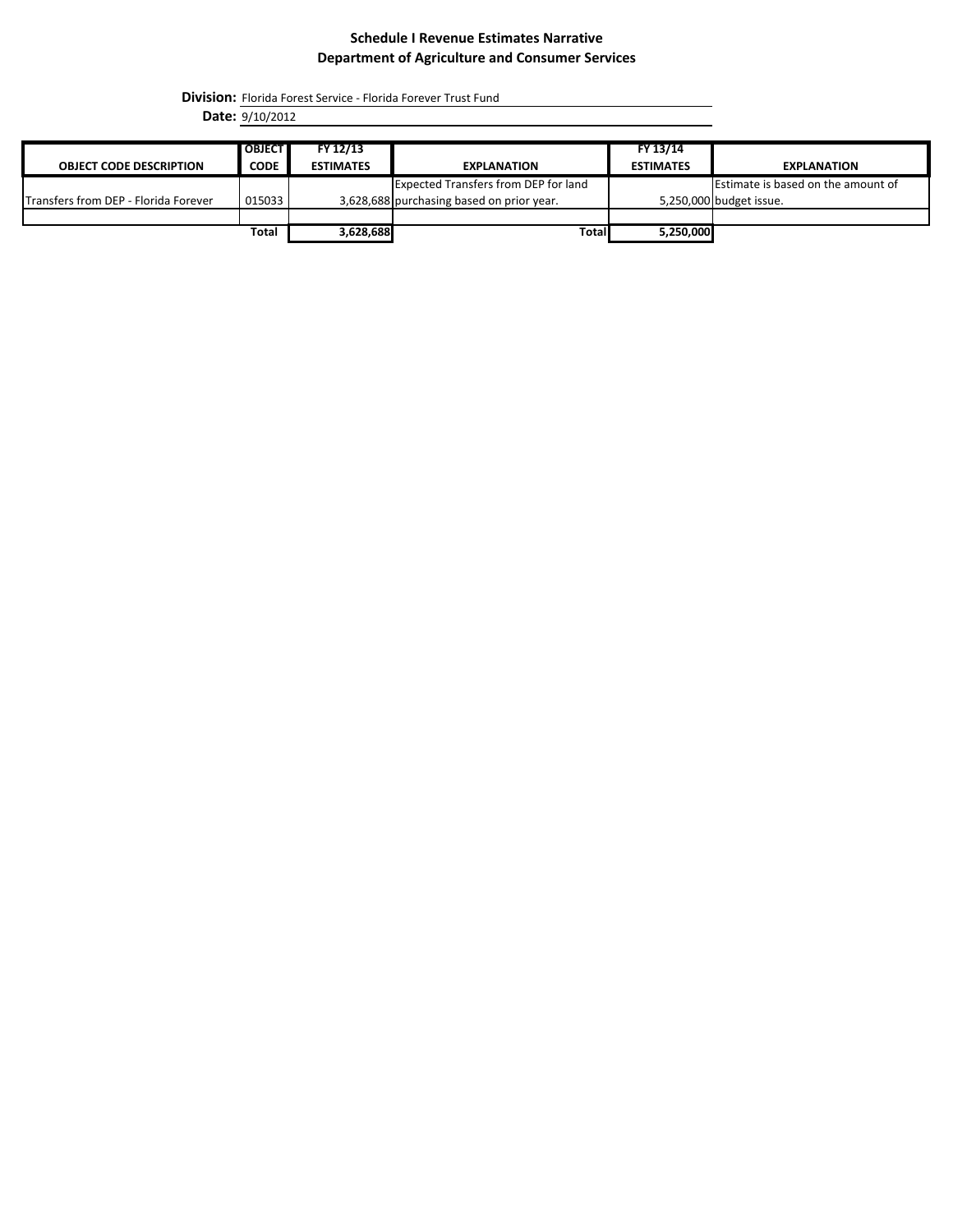**Division:** Florida Forest Service - Florida Forever Trust Fund

**Date:** 9/10/2012

| <b>OBJECT CODE DESCRIPTION</b>       | <b>OBJECT</b><br><b>CODE</b> | FY 12/13<br><b>ESTIMATES</b> | <b>EXPLANATION</b>                          | FY 13/14<br><b>ESTIMATES</b> | <b>EXPLANATION</b>                 |
|--------------------------------------|------------------------------|------------------------------|---------------------------------------------|------------------------------|------------------------------------|
|                                      |                              |                              |                                             |                              |                                    |
|                                      |                              |                              | <b>Expected Transfers from DEP for land</b> |                              | Estimate is based on the amount of |
| Transfers from DEP - Florida Forever | 015033                       |                              | 3,628,688 purchasing based on prior year.   |                              | 5,250,000 budget issue.            |
|                                      |                              |                              |                                             |                              |                                    |
|                                      | Total                        | 3,628,688                    | Total                                       | 5,250,000                    |                                    |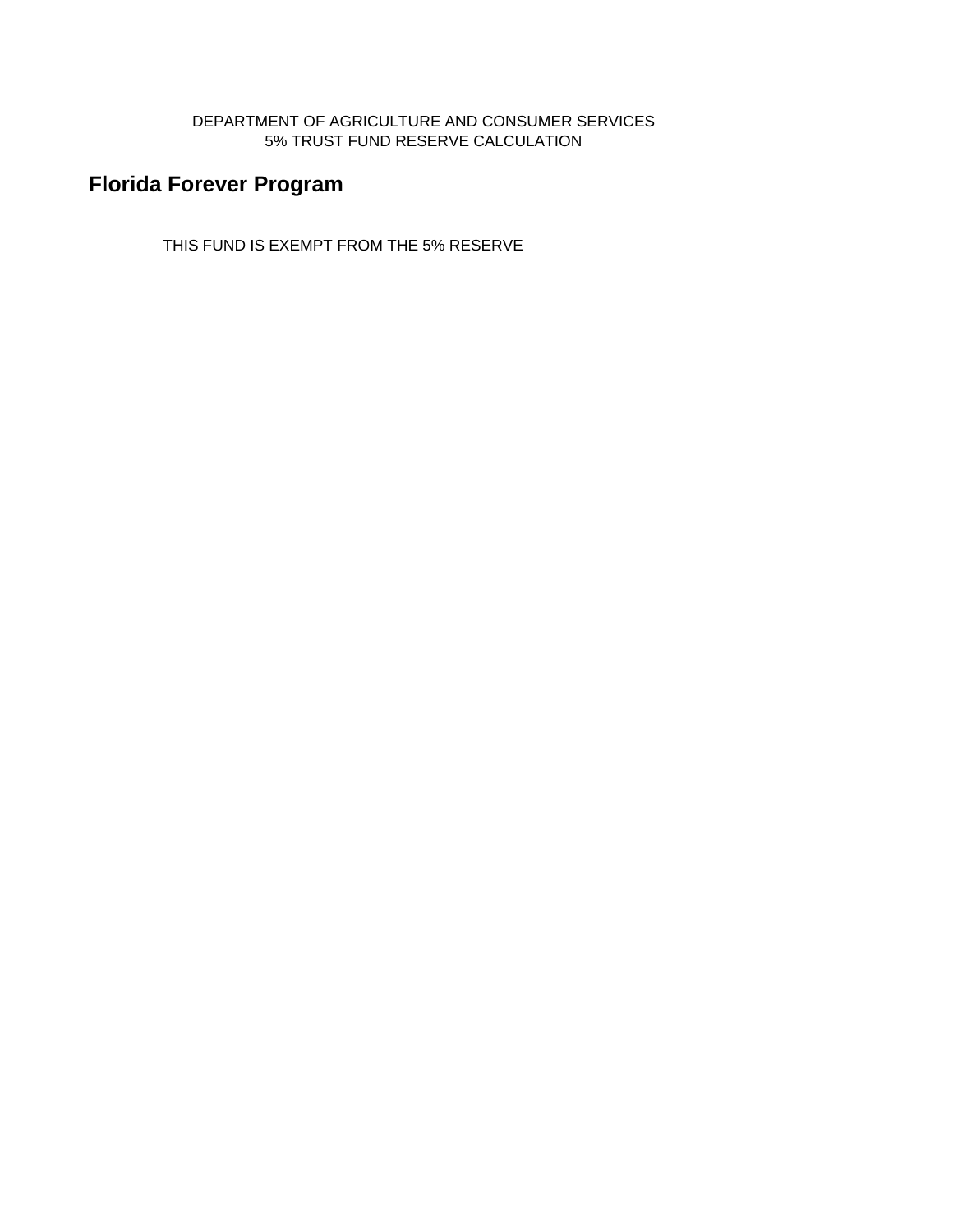### DEPARTMENT OF AGRICULTURE AND CONSUMER SERVICES 5% TRUST FUND RESERVE CALCULATION

# **Florida Forever Program**

THIS FUND IS EXEMPT FROM THE 5% RESERVE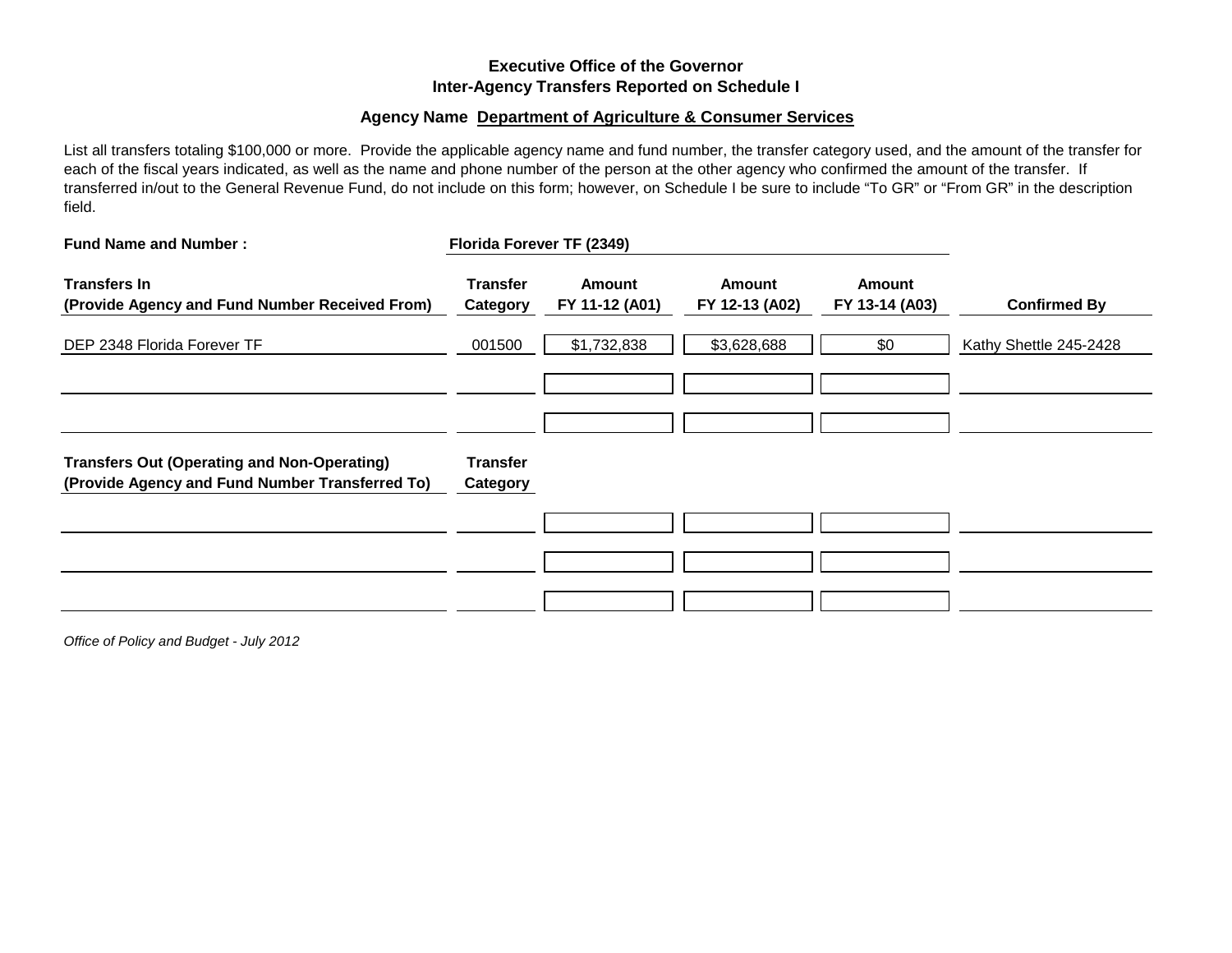### **Executive Office of the Governor Inter-Agency Transfers Reported on Schedule I**

#### **Agency Name Department of Agriculture & Consumer Services**

List all transfers totaling \$100,000 or more. Provide the applicable agency name and fund number, the transfer category used, and the amount of the transfer for each of the fiscal years indicated, as well as the name and phone number of the person at the other agency who confirmed the amount of the transfer. If transferred in/out to the General Revenue Fund, do not include on this form; however, on Schedule I be sure to include "To GR" or "From GR" in the description field.

| <b>Fund Name and Number:</b>                                                                          |                             | Florida Forever TF (2349)       |                                 |                                 |                        |
|-------------------------------------------------------------------------------------------------------|-----------------------------|---------------------------------|---------------------------------|---------------------------------|------------------------|
| <b>Transfers In</b><br>(Provide Agency and Fund Number Received From)                                 | <b>Transfer</b><br>Category | <b>Amount</b><br>FY 11-12 (A01) | <b>Amount</b><br>FY 12-13 (A02) | <b>Amount</b><br>FY 13-14 (A03) | <b>Confirmed By</b>    |
| DEP 2348 Florida Forever TF                                                                           | 001500                      | \$1,732,838                     | \$3,628,688                     | \$0                             | Kathy Shettle 245-2428 |
|                                                                                                       |                             |                                 |                                 |                                 |                        |
|                                                                                                       |                             |                                 |                                 |                                 |                        |
| <b>Transfers Out (Operating and Non-Operating)</b><br>(Provide Agency and Fund Number Transferred To) | <b>Transfer</b><br>Category |                                 |                                 |                                 |                        |
|                                                                                                       |                             |                                 |                                 |                                 |                        |
|                                                                                                       |                             |                                 |                                 |                                 |                        |
|                                                                                                       |                             |                                 |                                 |                                 |                        |

*Office of Policy and Budget - July 2012*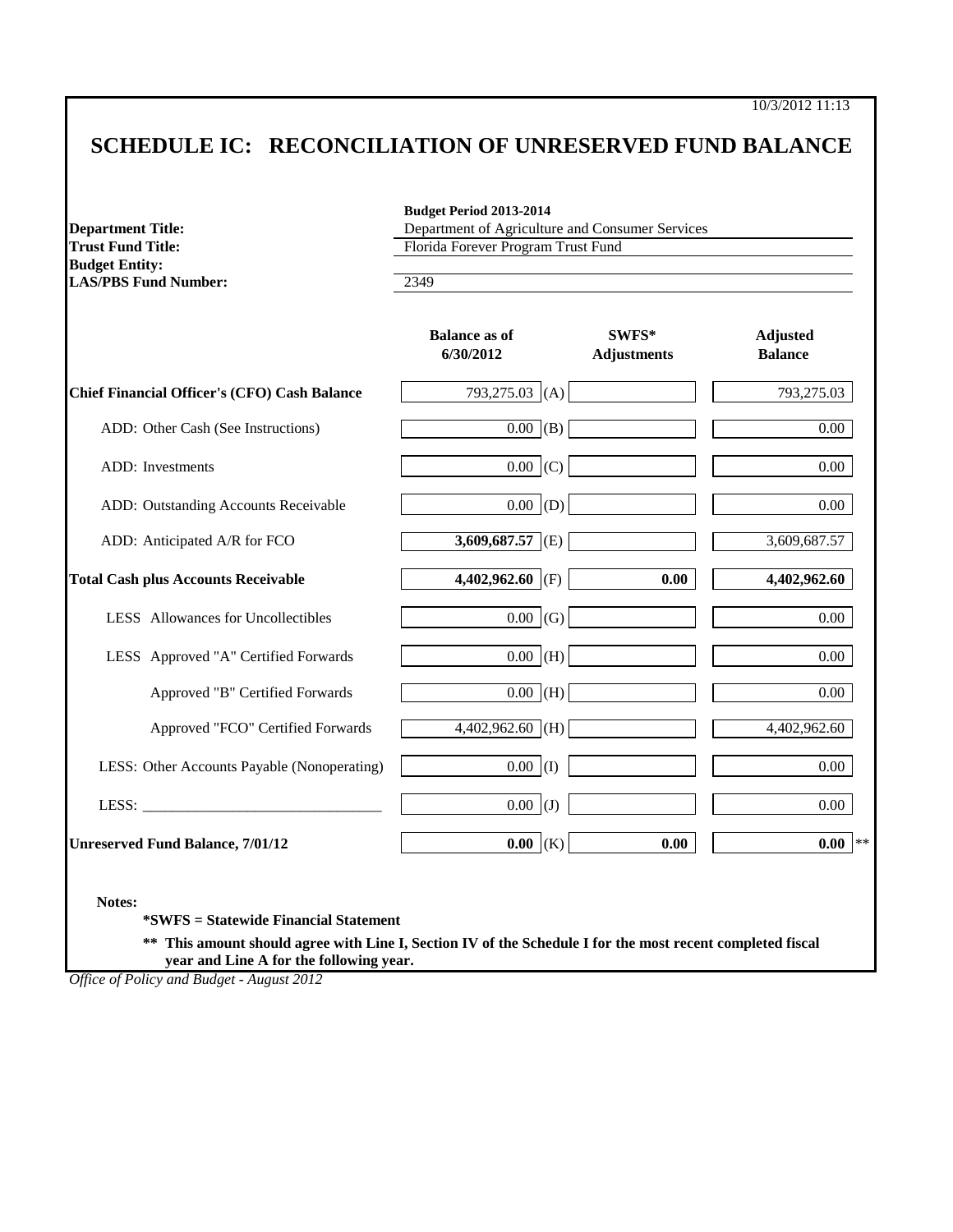10/3/2012 11:13

# **SCHEDULE IC: RECONCILIATION OF UNRESERVED FUND BALANCE**

| <b>Department Title:</b>                                                         | Budget Period 2013-2014<br>Department of Agriculture and Consumer Services<br>Florida Forever Program Trust Fund |                             |                                   |  |
|----------------------------------------------------------------------------------|------------------------------------------------------------------------------------------------------------------|-----------------------------|-----------------------------------|--|
| <b>Trust Fund Title:</b><br><b>Budget Entity:</b><br><b>LAS/PBS Fund Number:</b> | 2349                                                                                                             |                             |                                   |  |
|                                                                                  | <b>Balance as of</b><br>6/30/2012                                                                                | SWFS*<br><b>Adjustments</b> | <b>Adjusted</b><br><b>Balance</b> |  |
| Chief Financial Officer's (CFO) Cash Balance                                     | 793,275.03 (A)                                                                                                   |                             | 793,275.03                        |  |
| ADD: Other Cash (See Instructions)                                               | $\overline{0.00}$ (B)                                                                                            |                             | $\overline{0.00}$                 |  |
| ADD: Investments                                                                 | $0.00$ (C)                                                                                                       |                             | 0.00                              |  |
| ADD: Outstanding Accounts Receivable                                             | 0.00  (D)                                                                                                        |                             | $0.00\,$                          |  |
| ADD: Anticipated A/R for FCO                                                     | $3,609,687.57$ (E)                                                                                               |                             | 3,609,687.57                      |  |
| <b>Total Cash plus Accounts Receivable</b>                                       | 4,402,962.60 (F)                                                                                                 | 0.00                        | 4,402,962.60                      |  |
| LESS Allowances for Uncollectibles                                               | $0.00$ (G)                                                                                                       |                             | 0.00                              |  |
| LESS Approved "A" Certified Forwards                                             | $0.00$ (H)                                                                                                       |                             | $0.00\,$                          |  |
| Approved "B" Certified Forwards                                                  | $0.00$ (H)                                                                                                       |                             | $0.00\,$                          |  |
| Approved "FCO" Certified Forwards                                                | 4,402,962.60 (H)                                                                                                 |                             | 4,402,962.60                      |  |
| LESS: Other Accounts Payable (Nonoperating)                                      | $0.00$ (I)                                                                                                       |                             | 0.00                              |  |
| LESS: $\qquad \qquad$                                                            | $0.00$ (J)                                                                                                       |                             | 0.00                              |  |
| <b>Unreserved Fund Balance, 7/01/12</b>                                          | $0.00$ (K)                                                                                                       | 0.00                        | $0.00$ **                         |  |

 **year and Line A for the following year.**

*Office of Policy and Budget - August 2012*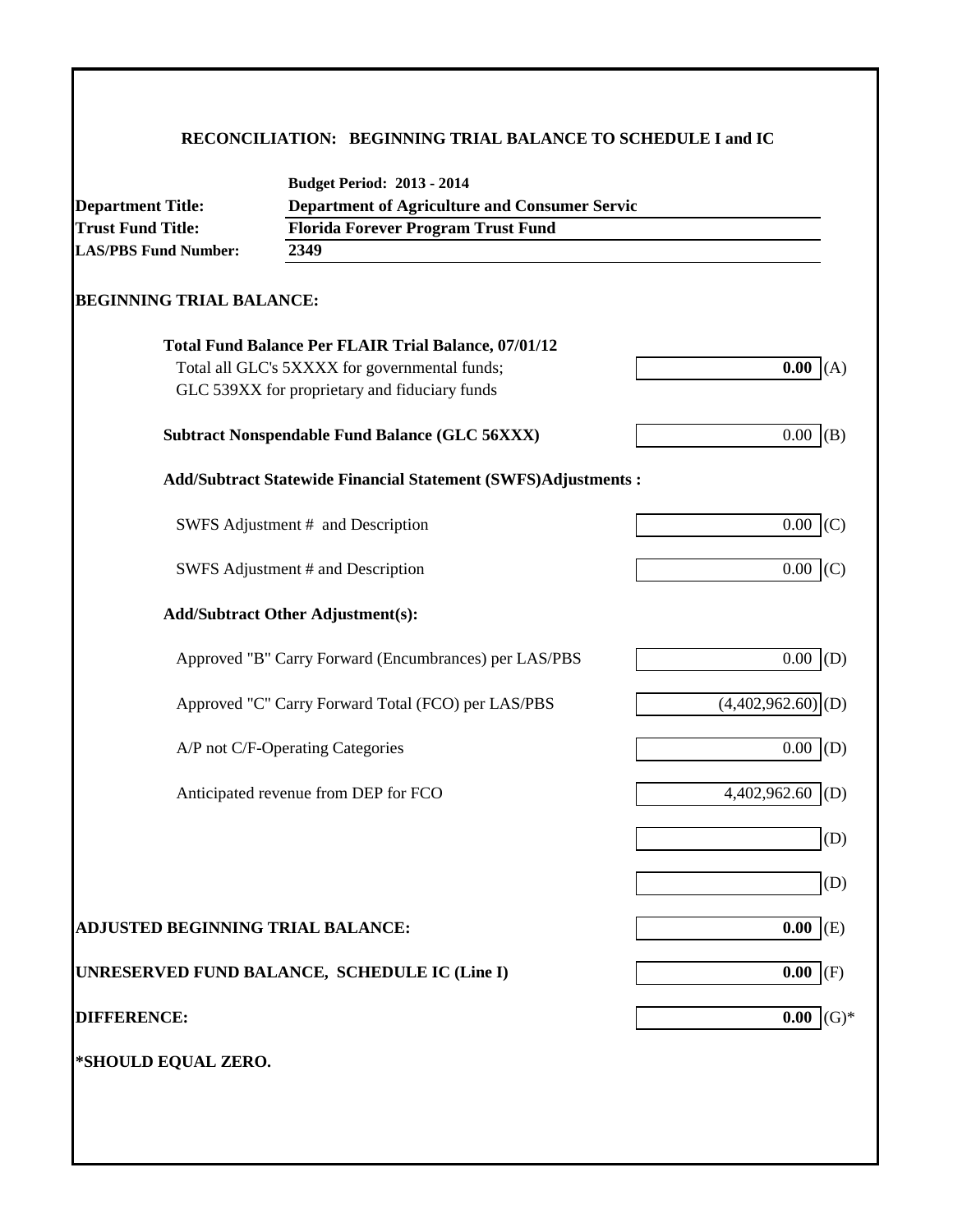### **RECONCILIATION: BEGINNING TRIAL BALANCE TO SCHEDULE I and IC**

| <b>Trust Fund Title:</b>          | <b>Florida Forever Program Trust Fund</b>                                                      | <b>Department of Agriculture and Consumer Servic</b> |  |  |  |  |
|-----------------------------------|------------------------------------------------------------------------------------------------|------------------------------------------------------|--|--|--|--|
| <b>LAS/PBS Fund Number:</b>       | 2349                                                                                           |                                                      |  |  |  |  |
| <b>BEGINNING TRIAL BALANCE:</b>   |                                                                                                |                                                      |  |  |  |  |
|                                   |                                                                                                |                                                      |  |  |  |  |
|                                   | <b>Total Fund Balance Per FLAIR Trial Balance, 07/01/12</b>                                    |                                                      |  |  |  |  |
|                                   | Total all GLC's 5XXXX for governmental funds;<br>GLC 539XX for proprietary and fiduciary funds | 0.00<br>(A)                                          |  |  |  |  |
|                                   |                                                                                                |                                                      |  |  |  |  |
|                                   | <b>Subtract Nonspendable Fund Balance (GLC 56XXX)</b>                                          | $0.00\,$<br>(B)                                      |  |  |  |  |
|                                   | <b>Add/Subtract Statewide Financial Statement (SWFS)Adjustments:</b>                           |                                                      |  |  |  |  |
|                                   | SWFS Adjustment # and Description                                                              | 0.00<br>(C)                                          |  |  |  |  |
|                                   | SWFS Adjustment # and Description                                                              | 0.00<br>(C)                                          |  |  |  |  |
|                                   | <b>Add/Subtract Other Adjustment(s):</b>                                                       |                                                      |  |  |  |  |
|                                   |                                                                                                |                                                      |  |  |  |  |
|                                   | Approved "B" Carry Forward (Encumbrances) per LAS/PBS                                          | $0.00$ (D)                                           |  |  |  |  |
|                                   | Approved "C" Carry Forward Total (FCO) per LAS/PBS                                             | $(4,402,962.60)$ <sub>(D)</sub>                      |  |  |  |  |
|                                   | A/P not C/F-Operating Categories                                                               | 0.00<br>(D)                                          |  |  |  |  |
|                                   | Anticipated revenue from DEP for FCO                                                           | 4,402,962.60<br>(D)                                  |  |  |  |  |
|                                   |                                                                                                |                                                      |  |  |  |  |
|                                   |                                                                                                | (D)                                                  |  |  |  |  |
|                                   |                                                                                                | (D)                                                  |  |  |  |  |
| ADJUSTED BEGINNING TRIAL BALANCE: |                                                                                                | 0.00<br>(E)                                          |  |  |  |  |
|                                   | UNRESERVED FUND BALANCE, SCHEDULE IC (Line I)                                                  | 0.00<br>(F)                                          |  |  |  |  |
| <b>DIFFERENCE:</b>                |                                                                                                | $(G)*$<br>0.00                                       |  |  |  |  |
| *SHOULD EQUAL ZERO.               |                                                                                                |                                                      |  |  |  |  |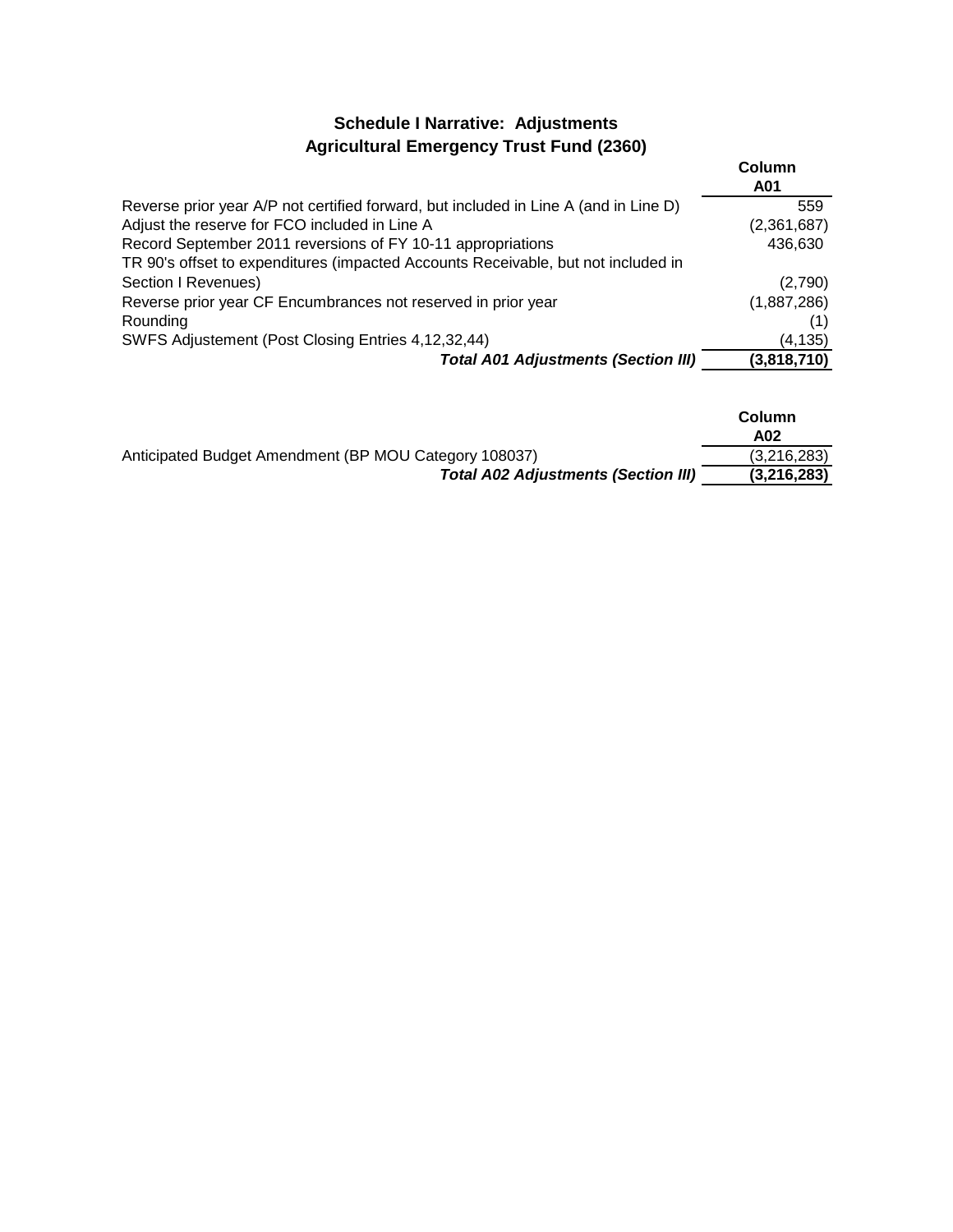## **Schedule I Narrative: Adjustments Agricultural Emergency Trust Fund (2360)**

|                                                                                      | Column<br>A01 |
|--------------------------------------------------------------------------------------|---------------|
| Reverse prior year A/P not certified forward, but included in Line A (and in Line D) | 559           |
| Adjust the reserve for FCO included in Line A                                        | (2,361,687)   |
| Record September 2011 reversions of FY 10-11 appropriations                          | 436,630       |
| TR 90's offset to expenditures (impacted Accounts Receivable, but not included in    |               |
| Section I Revenues)                                                                  | (2,790)       |
| Reverse prior year CF Encumbrances not reserved in prior year                        | (1,887,286)   |
| Rounding                                                                             |               |
| SWFS Adjustement (Post Closing Entries 4,12,32,44)                                   | (4, 135)      |
| <b>Total A01 Adjustments (Section III)</b>                                           | (3,818,710)   |

|                                                       | Column<br>A02 |
|-------------------------------------------------------|---------------|
| Anticipated Budget Amendment (BP MOU Category 108037) | (3,216,283)   |
| <b>Total A02 Adjustments (Section III)</b>            | (3,216,283)   |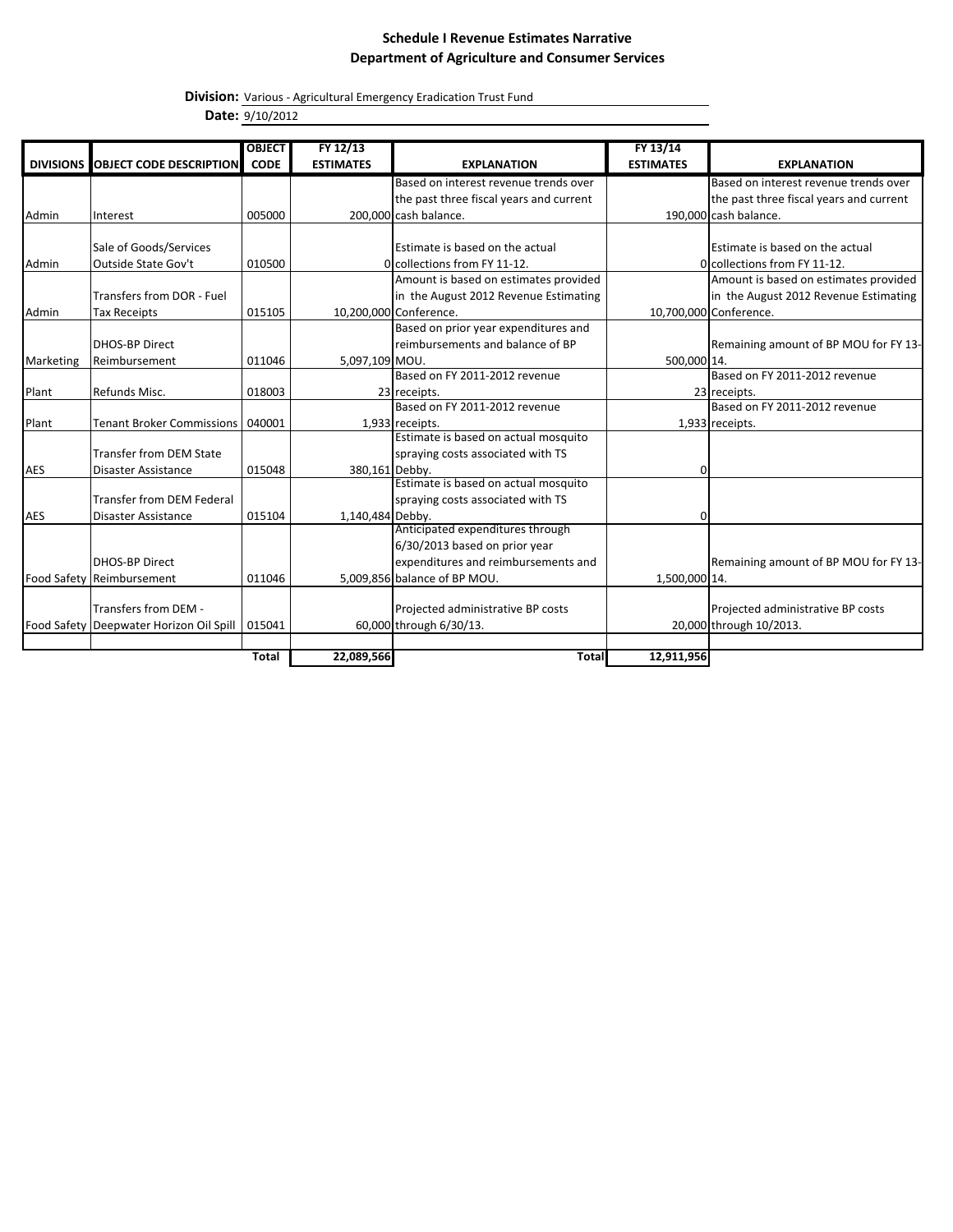**Division:** Various - Agricultural Emergency Eradication Trust Fund **Date:** 9/10/2012

|                  |                                         | <b>OBJECT</b> | FY 12/13         |                                         | FY 13/14         |                                         |
|------------------|-----------------------------------------|---------------|------------------|-----------------------------------------|------------------|-----------------------------------------|
| <b>DIVISIONS</b> | <b>OBJECT CODE DESCRIPTION</b>          | <b>CODE</b>   | <b>ESTIMATES</b> | <b>EXPLANATION</b>                      | <b>ESTIMATES</b> | <b>EXPLANATION</b>                      |
|                  |                                         |               |                  | Based on interest revenue trends over   |                  | Based on interest revenue trends over   |
|                  |                                         |               |                  | the past three fiscal years and current |                  | the past three fiscal years and current |
| Admin            | Interest                                | 005000        |                  | 200,000 cash balance.                   |                  | 190,000 cash balance.                   |
|                  |                                         |               |                  |                                         |                  |                                         |
|                  | Sale of Goods/Services                  |               |                  | Estimate is based on the actual         |                  | Estimate is based on the actual         |
| Admin            | Outside State Gov't                     | 010500        |                  | Olcollections from FY 11-12.            |                  | Ocollections from FY 11-12.             |
|                  |                                         |               |                  | Amount is based on estimates provided   |                  | Amount is based on estimates provided   |
|                  | Transfers from DOR - Fuel               |               |                  | in the August 2012 Revenue Estimating   |                  | in the August 2012 Revenue Estimating   |
| Admin            | <b>Tax Receipts</b>                     | 015105        |                  | 10,200,000 Conference.                  |                  | 10,700,000 Conference.                  |
|                  |                                         |               |                  | Based on prior year expenditures and    |                  |                                         |
|                  | <b>DHOS-BP Direct</b>                   |               |                  | reimbursements and balance of BP        |                  | Remaining amount of BP MOU for FY 13-   |
| Marketing        | Reimbursement                           | 011046        | 5,097,109 MOU.   |                                         | 500,000 14.      |                                         |
|                  |                                         |               |                  | Based on FY 2011-2012 revenue           |                  | Based on FY 2011-2012 revenue           |
| Plant            | Refunds Misc.                           | 018003        |                  | 23 receipts.                            |                  | 23 receipts.                            |
|                  |                                         |               |                  | Based on FY 2011-2012 revenue           |                  | Based on FY 2011-2012 revenue           |
| Plant            | <b>Tenant Broker Commissions</b>        | 040001        |                  | 1,933 receipts.                         |                  | 1,933 receipts.                         |
|                  |                                         |               |                  | Estimate is based on actual mosquito    |                  |                                         |
|                  | Transfer from DEM State                 |               |                  | spraying costs associated with TS       |                  |                                         |
| <b>AES</b>       | Disaster Assistance                     | 015048        | 380,161 Debby.   |                                         | $\Omega$         |                                         |
|                  |                                         |               |                  | Estimate is based on actual mosquito    |                  |                                         |
|                  | Transfer from DEM Federal               |               |                  | spraying costs associated with TS       |                  |                                         |
| <b>AES</b>       | Disaster Assistance                     | 015104        | 1,140,484 Debby. |                                         | 0                |                                         |
|                  |                                         |               |                  | Anticipated expenditures through        |                  |                                         |
|                  |                                         |               |                  | 6/30/2013 based on prior year           |                  |                                         |
|                  | <b>DHOS-BP Direct</b>                   |               |                  | expenditures and reimbursements and     |                  | Remaining amount of BP MOU for FY 13-   |
|                  | Food Safety Reimbursement               | 011046        |                  | 5,009,856 balance of BP MOU.            | 1,500,000 14.    |                                         |
|                  | Transfers from DEM -                    |               |                  |                                         |                  |                                         |
|                  |                                         |               |                  | Projected administrative BP costs       |                  | Projected administrative BP costs       |
|                  | Food Safety Deepwater Horizon Oil Spill | 015041        |                  | 60,000 through 6/30/13.                 |                  | 20,000 through 10/2013.                 |
|                  |                                         | <b>Total</b>  | 22,089,566       | <b>Total</b>                            | 12,911,956       |                                         |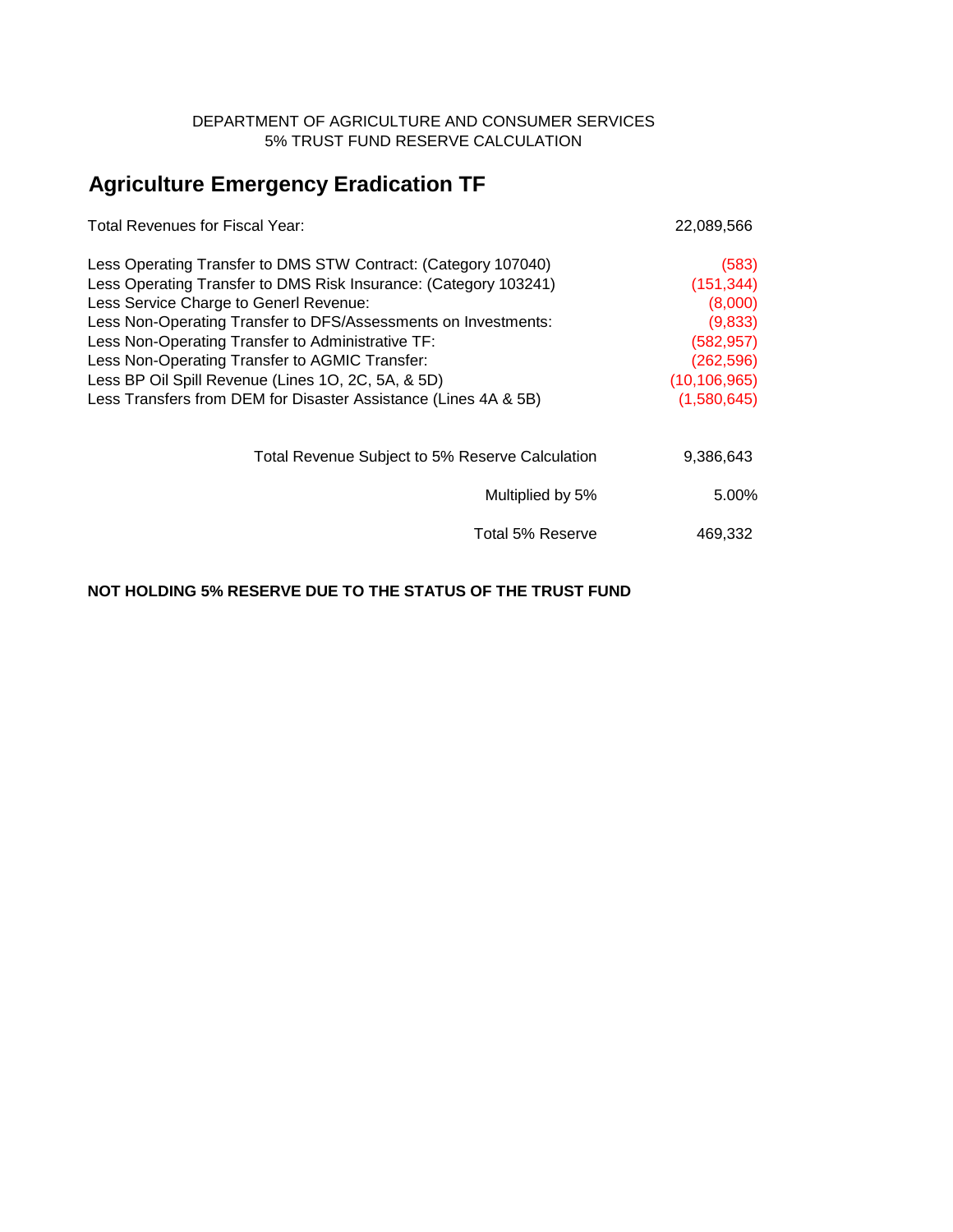### DEPARTMENT OF AGRICULTURE AND CONSUMER SERVICES 5% TRUST FUND RESERVE CALCULATION

# **Agriculture Emergency Eradication TF**

| Total Revenues for Fiscal Year:                                  | 22,089,566     |
|------------------------------------------------------------------|----------------|
| Less Operating Transfer to DMS STW Contract: (Category 107040)   | (583)          |
| Less Operating Transfer to DMS Risk Insurance: (Category 103241) | (151, 344)     |
| Less Service Charge to Generl Revenue:                           | (8,000)        |
| Less Non-Operating Transfer to DFS/Assessments on Investments:   | (9,833)        |
| Less Non-Operating Transfer to Administrative TF:                | (582, 957)     |
| Less Non-Operating Transfer to AGMIC Transfer:                   | (262, 596)     |
| Less BP Oil Spill Revenue (Lines 10, 2C, 5A, & 5D)               | (10, 106, 965) |
| Less Transfers from DEM for Disaster Assistance (Lines 4A & 5B)  | (1,580,645)    |
| Total Revenue Subject to 5% Reserve Calculation                  | 9,386,643      |
| Multiplied by 5%                                                 | 5.00%          |
| Total 5% Reserve                                                 | 469,332        |

### **NOT HOLDING 5% RESERVE DUE TO THE STATUS OF THE TRUST FUND**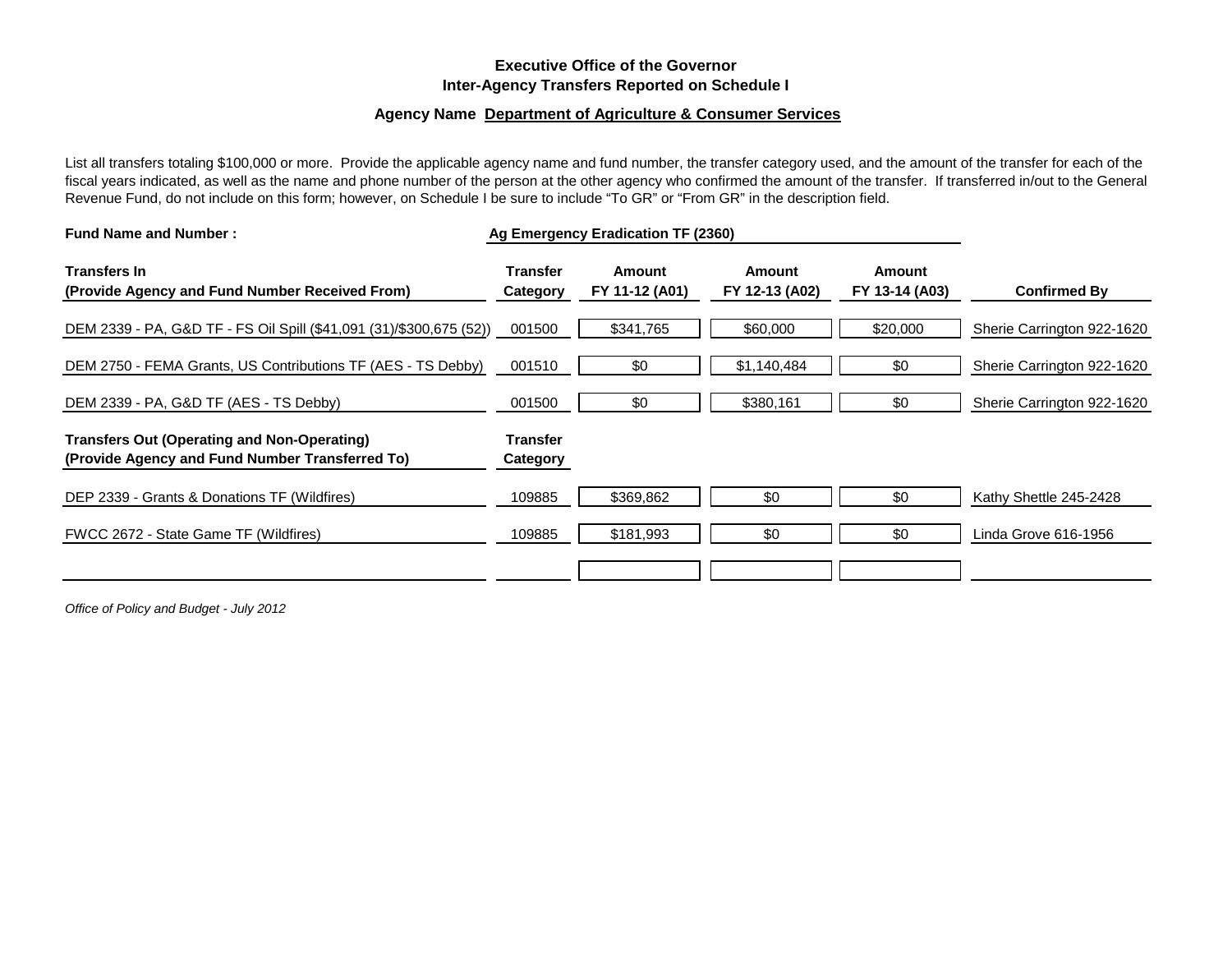### **Executive Office of the Governor Inter-Agency Transfers Reported on Schedule I**

#### **Agency Name Department of Agriculture & Consumer Services**

List all transfers totaling \$100,000 or more. Provide the applicable agency name and fund number, the transfer category used, and the amount of the transfer for each of the fiscal years indicated, as well as the name and phone number of the person at the other agency who confirmed the amount of the transfer. If transferred in/out to the General Revenue Fund, do not include on this form; however, on Schedule I be sure to include "To GR" or "From GR" in the description field.

| <b>Fund Name and Number:</b>                                                                          |                             | Ag Emergency Eradication TF (2360) |                          |                          |                            |
|-------------------------------------------------------------------------------------------------------|-----------------------------|------------------------------------|--------------------------|--------------------------|----------------------------|
| <b>Transfers In</b><br>(Provide Agency and Fund Number Received From)                                 | <b>Transfer</b><br>Category | Amount<br>FY 11-12 (A01)           | Amount<br>FY 12-13 (A02) | Amount<br>FY 13-14 (A03) | <b>Confirmed By</b>        |
| DEM 2339 - PA, G&D TF - FS Oil Spill (\$41,091 (31)/\$300,675 (52))                                   | 001500                      | \$341,765                          | \$60,000                 | \$20,000                 | Sherie Carrington 922-1620 |
| DEM 2750 - FEMA Grants, US Contributions TF (AES - TS Debby)                                          | 001510                      | \$0                                | \$1,140,484              | \$0                      | Sherie Carrington 922-1620 |
| DEM 2339 - PA, G&D TF (AES - TS Debby)                                                                | 001500                      | \$0                                | \$380,161                | \$0                      | Sherie Carrington 922-1620 |
| <b>Transfers Out (Operating and Non-Operating)</b><br>(Provide Agency and Fund Number Transferred To) | <b>Transfer</b><br>Category |                                    |                          |                          |                            |
| DEP 2339 - Grants & Donations TF (Wildfires)                                                          | 109885                      | \$369,862                          | \$0                      | \$0                      | Kathy Shettle 245-2428     |
| FWCC 2672 - State Game TF (Wildfires)                                                                 | 109885                      | \$181,993                          | \$0                      | \$0                      | Linda Grove 616-1956       |
|                                                                                                       |                             |                                    |                          |                          |                            |

*Office of Policy and Budget - July 2012*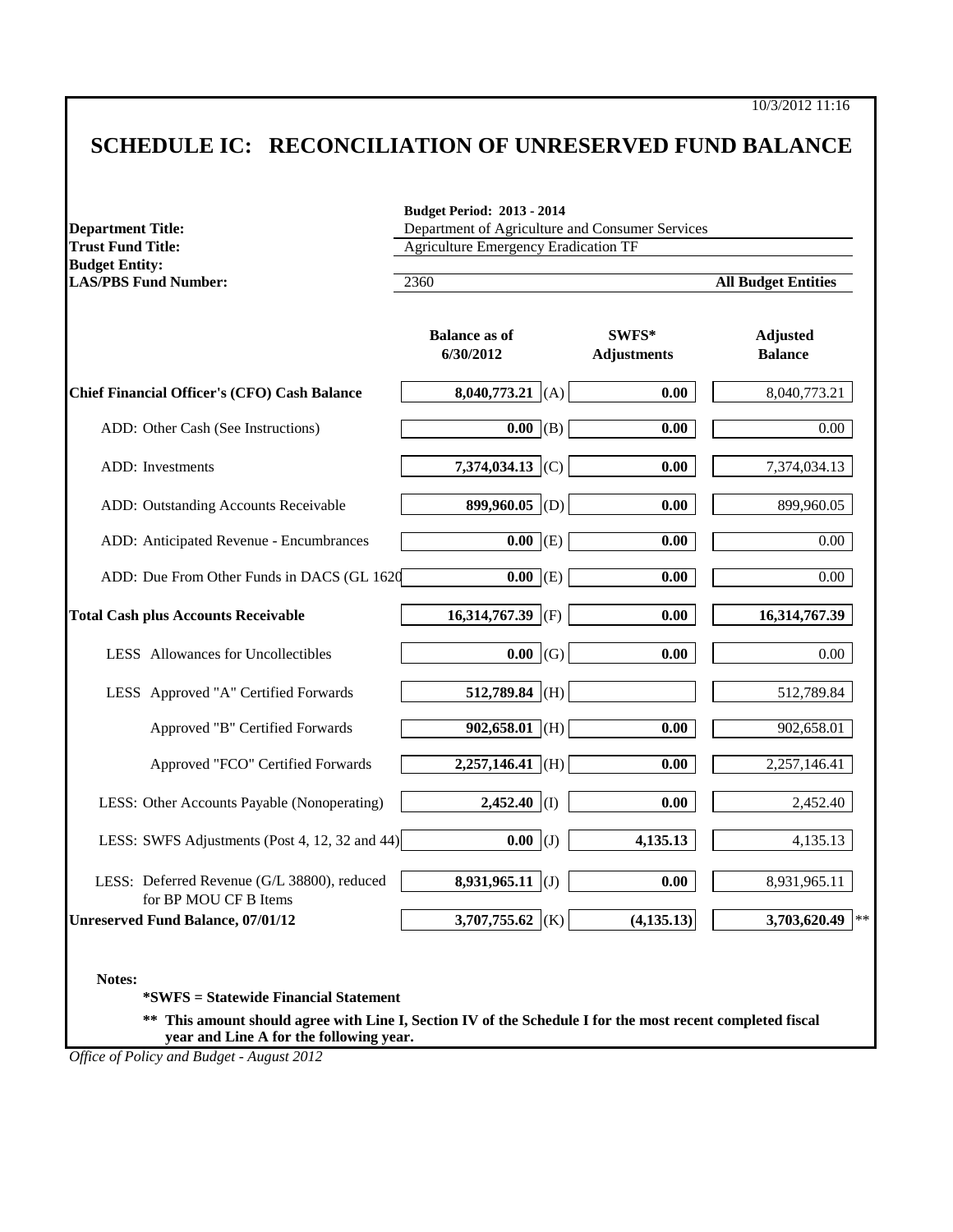10/3/2012 11:16

# **SCHEDULE IC: RECONCILIATION OF UNRESERVED FUND BALANCE**

| <b>Department Title:</b><br><b>Trust Fund Title:</b>                 | Department of Agriculture and Consumer Services<br><b>Agriculture Emergency Eradication TF</b> |                             |                                   |  |  |  |
|----------------------------------------------------------------------|------------------------------------------------------------------------------------------------|-----------------------------|-----------------------------------|--|--|--|
| <b>Budget Entity:</b><br><b>LAS/PBS Fund Number:</b>                 | 2360                                                                                           |                             | <b>All Budget Entities</b>        |  |  |  |
|                                                                      | <b>Balance as of</b><br>6/30/2012                                                              | SWFS*<br><b>Adjustments</b> | <b>Adjusted</b><br><b>Balance</b> |  |  |  |
| <b>Chief Financial Officer's (CFO) Cash Balance</b>                  | 8,040,773.21 (A)                                                                               | 0.00                        | 8,040,773.21                      |  |  |  |
| ADD: Other Cash (See Instructions)                                   | $\overline{0.00}$ (B)                                                                          | 0.00                        | 0.00                              |  |  |  |
| ADD: Investments                                                     | 7,374,034.13 (C)                                                                               | 0.00                        | 7,374,034.13                      |  |  |  |
| ADD: Outstanding Accounts Receivable                                 | 899,960.05 (D)                                                                                 | 0.00                        | 899,960.05                        |  |  |  |
| ADD: Anticipated Revenue - Encumbrances                              | $0.00$ (E)                                                                                     | 0.00                        | 0.00                              |  |  |  |
| ADD: Due From Other Funds in DACS (GL 1620                           | $\overline{0.00}$ (E)                                                                          | 0.00                        | 0.00                              |  |  |  |
| <b>Total Cash plus Accounts Receivable</b>                           | 16,314,767.39<br>(F)                                                                           | 0.00                        | 16,314,767.39                     |  |  |  |
| LESS Allowances for Uncollectibles                                   | $0.00 \mid (G)$                                                                                | 0.00                        | 0.00                              |  |  |  |
| LESS Approved "A" Certified Forwards                                 | 512,789.84 (H)                                                                                 |                             | 512,789.84                        |  |  |  |
| Approved "B" Certified Forwards                                      | $902,658.01$ (H)                                                                               | 0.00                        | 902,658.01                        |  |  |  |
| Approved "FCO" Certified Forwards                                    | $2,257,146.41$ (H)                                                                             | 0.00                        | 2,257,146.41                      |  |  |  |
| LESS: Other Accounts Payable (Nonoperating)                          | $2,452.40$ (I)                                                                                 | 0.00                        | 2,452.40                          |  |  |  |
| LESS: SWFS Adjustments (Post 4, 12, 32 and 44)                       | $0.00$ (J)                                                                                     | 4,135.13                    | 4,135.13                          |  |  |  |
| LESS: Deferred Revenue (G/L 38800), reduced<br>for BP MOU CF B Items | $8,931,965.11$ (J)                                                                             | 0.00                        | 8,931,965.11                      |  |  |  |
| <b>Unreserved Fund Balance, 07/01/12</b>                             | 3,707,755.62 (K)                                                                               | (4, 135.13)                 | 3,703,620.49<br>$\star$ :         |  |  |  |

**\*SWFS = Statewide Financial Statement** 

**\*\* This amount should agree with Line I, Section IV of the Schedule I for the most recent completed fiscal year and Line A for the following year.**

*Office of Policy and Budget - August 2012*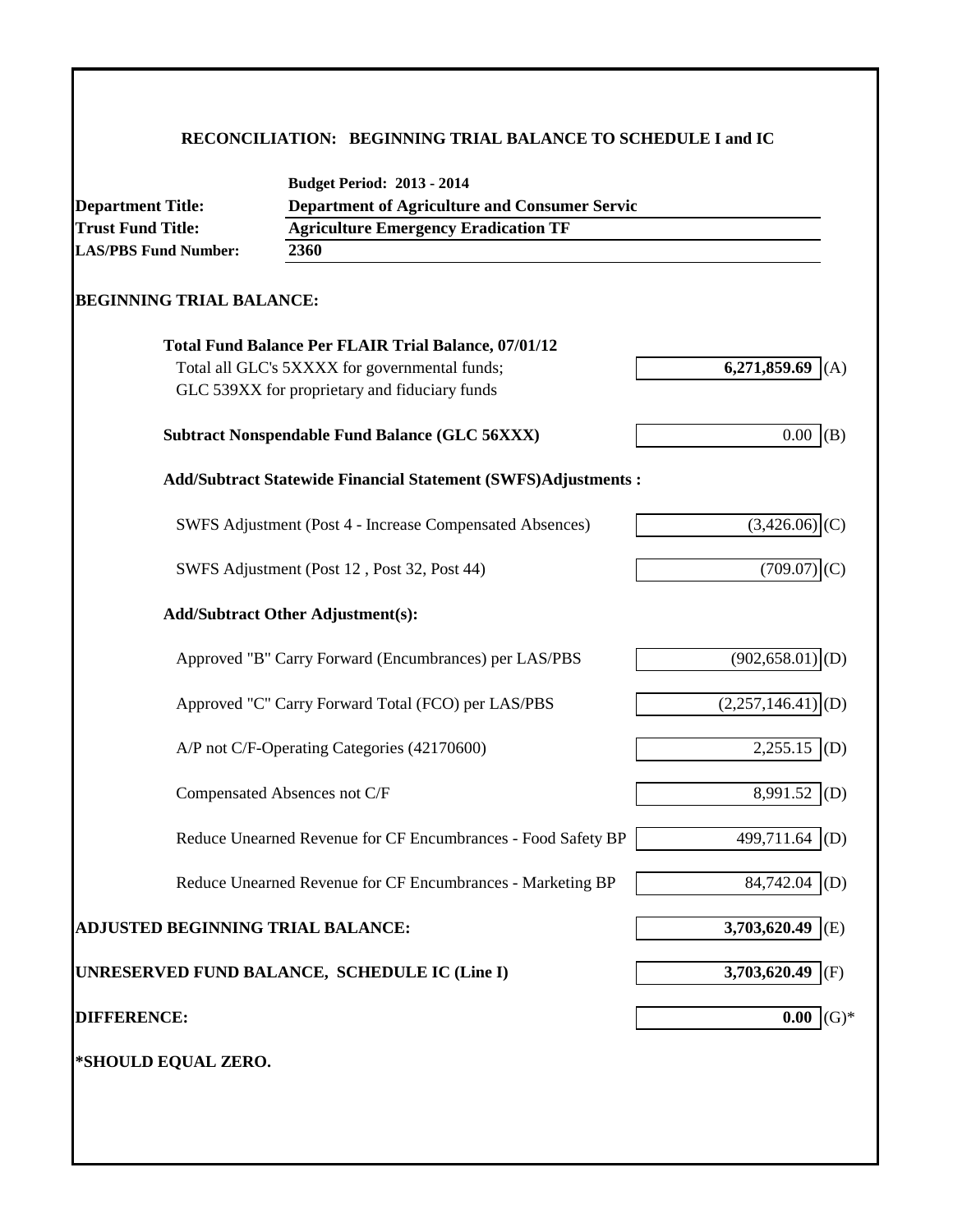### **RECONCILIATION: BEGINNING TRIAL BALANCE TO SCHEDULE I and IC**

| <b>Department Title:</b>                 | <b>Budget Period: 2013 - 2014</b><br><b>Department of Agriculture and Consumer Servic</b> |                                 |
|------------------------------------------|-------------------------------------------------------------------------------------------|---------------------------------|
| <b>Trust Fund Title:</b>                 | <b>Agriculture Emergency Eradication TF</b>                                               |                                 |
| <b>LAS/PBS Fund Number:</b>              | 2360                                                                                      |                                 |
| <b>BEGINNING TRIAL BALANCE:</b>          |                                                                                           |                                 |
|                                          | <b>Total Fund Balance Per FLAIR Trial Balance, 07/01/12</b>                               |                                 |
|                                          | Total all GLC's 5XXXX for governmental funds;                                             | 6,271,859.69                    |
|                                          | GLC 539XX for proprietary and fiduciary funds                                             |                                 |
|                                          | <b>Subtract Nonspendable Fund Balance (GLC 56XXX)</b>                                     | $0.00$ (B)                      |
|                                          | <b>Add/Subtract Statewide Financial Statement (SWFS)Adjustments:</b>                      |                                 |
|                                          | SWFS Adjustment (Post 4 - Increase Compensated Absences)                                  | $(3,426.06)$ (C)                |
|                                          | SWFS Adjustment (Post 12, Post 32, Post 44)                                               | (709.07)                        |
|                                          | <b>Add/Subtract Other Adjustment(s):</b>                                                  |                                 |
|                                          | Approved "B" Carry Forward (Encumbrances) per LAS/PBS                                     | $(902, 658.01)$ <sub>(D)</sub>  |
|                                          | Approved "C" Carry Forward Total (FCO) per LAS/PBS                                        | $(2,257,146.41)$ <sup>(D)</sup> |
|                                          | A/P not C/F-Operating Categories (42170600)                                               | $2,255.15$ (D)                  |
|                                          | Compensated Absences not C/F                                                              | 8,991.52 (D)                    |
|                                          | Reduce Unearned Revenue for CF Encumbrances - Food Safety BP                              | 499,711.64<br>(D)               |
|                                          | Reduce Unearned Revenue for CF Encumbrances - Marketing BP                                | 84,742.04<br>(D)                |
| <b>ADJUSTED BEGINNING TRIAL BALANCE:</b> |                                                                                           | 3,703,620.49 (E)                |
|                                          | UNRESERVED FUND BALANCE, SCHEDULE IC (Line I)                                             | 3,703,620.49<br>(F)             |
| <b>DIFFERENCE:</b>                       |                                                                                           | 0.00<br>$\mathrm{(G)}^*$        |
| *SHOULD EQUAL ZERO.                      |                                                                                           |                                 |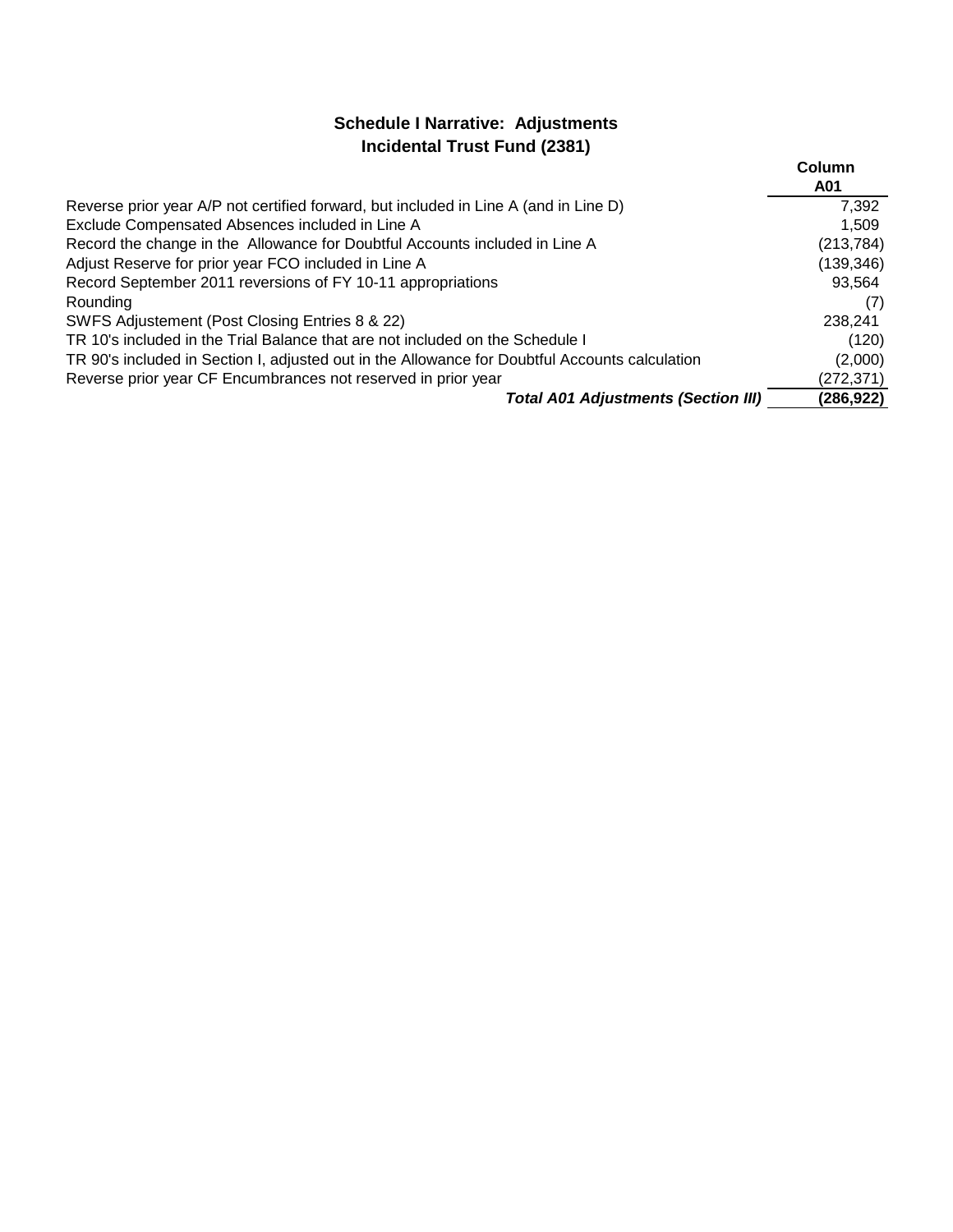## **Schedule I Narrative: Adjustments Incidental Trust Fund (2381)**

|                                                                                                | Column<br>A01 |
|------------------------------------------------------------------------------------------------|---------------|
| Reverse prior year A/P not certified forward, but included in Line A (and in Line D)           | 7,392         |
| Exclude Compensated Absences included in Line A                                                | 1,509         |
| Record the change in the Allowance for Doubtful Accounts included in Line A                    | (213, 784)    |
| Adjust Reserve for prior year FCO included in Line A                                           | (139, 346)    |
| Record September 2011 reversions of FY 10-11 appropriations                                    | 93,564        |
| Rounding                                                                                       | (7)           |
| SWFS Adjustement (Post Closing Entries 8 & 22)                                                 | 238,241       |
| TR 10's included in the Trial Balance that are not included on the Schedule I                  | (120)         |
| TR 90's included in Section I, adjusted out in the Allowance for Doubtful Accounts calculation | (2,000)       |
| Reverse prior year CF Encumbrances not reserved in prior year                                  | (272,371)     |
| <b>Total A01 Adjustments (Section III)</b>                                                     | (286,922)     |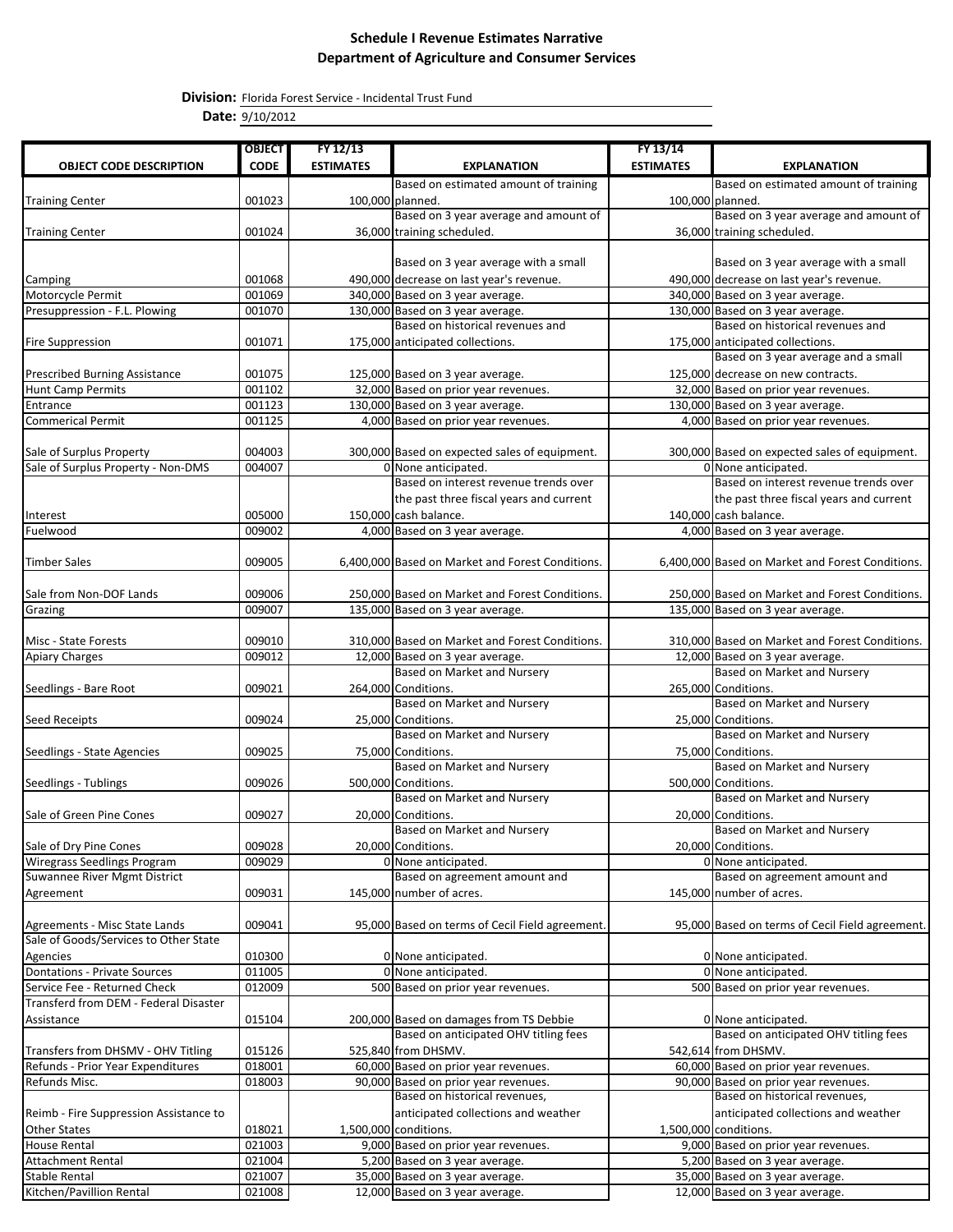**Division:** Florida Forest Service - Incidental Trust Fund

**Date:** 9/10/2012

|                                        | <b>OBJECT</b> | FY 12/13         |                                                  | FY 13/14         |                                                    |
|----------------------------------------|---------------|------------------|--------------------------------------------------|------------------|----------------------------------------------------|
| <b>OBJECT CODE DESCRIPTION</b>         | <b>CODE</b>   | <b>ESTIMATES</b> | <b>EXPLANATION</b>                               | <b>ESTIMATES</b> | <b>EXPLANATION</b>                                 |
|                                        |               |                  | Based on estimated amount of training            |                  | Based on estimated amount of training              |
| <b>Training Center</b>                 | 001023        |                  | 100,000 planned.                                 |                  | 100,000 planned.                                   |
|                                        |               |                  | Based on 3 year average and amount of            |                  | Based on 3 year average and amount of              |
|                                        | 001024        |                  | 36,000 training scheduled.                       |                  | 36,000 training scheduled.                         |
| <b>Training Center</b>                 |               |                  |                                                  |                  |                                                    |
|                                        |               |                  |                                                  |                  |                                                    |
|                                        |               |                  | Based on 3 year average with a small             |                  | Based on 3 year average with a small               |
| Camping                                | 001068        |                  | 490,000 decrease on last year's revenue.         |                  | 490,000 decrease on last year's revenue.           |
| Motorcycle Permit                      | 001069        |                  | 340,000 Based on 3 year average.                 |                  | 340,000 Based on 3 year average.                   |
| Presuppression - F.L. Plowing          | 001070        |                  | 130,000 Based on 3 year average.                 |                  | 130,000 Based on 3 year average.                   |
|                                        |               |                  | Based on historical revenues and                 |                  | Based on historical revenues and                   |
| <b>Fire Suppression</b>                | 001071        |                  | 175,000 anticipated collections.                 |                  | 175,000 anticipated collections.                   |
|                                        |               |                  |                                                  |                  | Based on 3 year average and a small                |
| <b>Prescribed Burning Assistance</b>   | 001075        |                  | 125,000 Based on 3 year average.                 |                  | 125,000 decrease on new contracts.                 |
| <b>Hunt Camp Permits</b>               | 001102        |                  | 32,000 Based on prior year revenues.             |                  | 32,000 Based on prior year revenues.               |
| Entrance                               | 001123        |                  | 130,000 Based on 3 year average.                 |                  | 130,000 Based on 3 year average.                   |
| <b>Commerical Permit</b>               | 001125        |                  | 4,000 Based on prior year revenues.              |                  | 4,000 Based on prior year revenues.                |
|                                        |               |                  |                                                  |                  |                                                    |
| Sale of Surplus Property               | 004003        |                  | 300,000 Based on expected sales of equipment.    |                  | 300,000 Based on expected sales of equipment.      |
| Sale of Surplus Property - Non-DMS     | 004007        |                  | 0 None anticipated.                              |                  | 0 None anticipated.                                |
|                                        |               |                  | Based on interest revenue trends over            |                  | Based on interest revenue trends over              |
|                                        |               |                  | the past three fiscal years and current          |                  | the past three fiscal years and current            |
| Interest                               | 005000        |                  | 150,000 cash balance.                            |                  | 140,000 cash balance.                              |
| Fuelwood                               | 009002        |                  | 4,000 Based on 3 year average.                   |                  | 4,000 Based on 3 year average.                     |
|                                        |               |                  |                                                  |                  |                                                    |
| <b>Timber Sales</b>                    | 009005        |                  | 6,400,000 Based on Market and Forest Conditions. |                  | 6,400,000 Based on Market and Forest Conditions.   |
|                                        |               |                  |                                                  |                  |                                                    |
| Sale from Non-DOF Lands                | 009006        |                  | 250,000 Based on Market and Forest Conditions.   |                  | 250,000 Based on Market and Forest Conditions.     |
| Grazing                                | 009007        |                  | 135,000 Based on 3 year average.                 |                  | 135,000 Based on 3 year average.                   |
|                                        |               |                  |                                                  |                  |                                                    |
| Misc - State Forests                   | 009010        |                  | 310,000 Based on Market and Forest Conditions.   |                  | 310,000 Based on Market and Forest Conditions.     |
| <b>Apiary Charges</b>                  | 009012        |                  | 12,000 Based on 3 year average.                  |                  | 12,000 Based on 3 year average.                    |
|                                        |               |                  | Based on Market and Nursery                      |                  | Based on Market and Nursery                        |
|                                        | 009021        |                  | 264,000 Conditions.                              |                  |                                                    |
| Seedlings - Bare Root                  |               |                  | Based on Market and Nursery                      |                  | 265,000 Conditions.<br>Based on Market and Nursery |
|                                        |               |                  |                                                  |                  |                                                    |
| Seed Receipts                          | 009024        |                  | 25,000 Conditions.                               |                  | 25,000 Conditions.                                 |
|                                        |               |                  | Based on Market and Nursery                      |                  | Based on Market and Nursery                        |
| Seedlings - State Agencies             | 009025        |                  | 75,000 Conditions.                               |                  | 75,000 Conditions.                                 |
|                                        |               |                  | Based on Market and Nursery                      |                  | <b>Based on Market and Nursery</b>                 |
| Seedlings - Tublings                   | 009026        |                  | 500,000 Conditions.                              |                  | 500,000 Conditions.                                |
|                                        |               |                  | Based on Market and Nursery                      |                  | Based on Market and Nursery                        |
| Sale of Green Pine Cones               | 009027        |                  | 20,000 Conditions.                               |                  | 20,000 Conditions.                                 |
|                                        |               |                  | Based on Market and Nursery                      |                  | Based on Market and Nursery                        |
| Sale of Dry Pine Cones                 | 009028        |                  | 20,000 Conditions.                               |                  | 20,000 Conditions.                                 |
| <b>Wiregrass Seedlings Program</b>     | 009029        |                  | 0 None anticipated.                              |                  | 0 None anticipated.                                |
| Suwannee River Mgmt District           |               |                  | Based on agreement amount and                    |                  | Based on agreement amount and                      |
| Agreement                              | 009031        |                  | 145,000 number of acres.                         |                  | 145,000 number of acres.                           |
|                                        |               |                  |                                                  |                  |                                                    |
| Agreements - Misc State Lands          | 009041        |                  | 95,000 Based on terms of Cecil Field agreement.  |                  | 95,000 Based on terms of Cecil Field agreement.    |
| Sale of Goods/Services to Other State  |               |                  |                                                  |                  |                                                    |
| Agencies                               | 010300        |                  | 0 None anticipated.                              |                  | 0 None anticipated.                                |
| <b>Dontations - Private Sources</b>    | 011005        |                  | 0 None anticipated.                              |                  | 0 None anticipated.                                |
| Service Fee - Returned Check           | 012009        |                  | 500 Based on prior year revenues.                |                  | 500 Based on prior year revenues.                  |
| Transferd from DEM - Federal Disaster  |               |                  |                                                  |                  |                                                    |
| Assistance                             | 015104        |                  | 200,000 Based on damages from TS Debbie          |                  | 0 None anticipated.                                |
|                                        |               |                  | Based on anticipated OHV titling fees            |                  | Based on anticipated OHV titling fees              |
| Transfers from DHSMV - OHV Titling     | 015126        |                  | 525,840 from DHSMV.                              |                  | 542,614 from DHSMV.                                |
| Refunds - Prior Year Expenditures      | 018001        |                  | 60,000 Based on prior year revenues.             |                  | 60,000 Based on prior year revenues.               |
| Refunds Misc.                          | 018003        |                  | 90,000 Based on prior year revenues.             |                  | 90,000 Based on prior year revenues.               |
|                                        |               |                  | Based on historical revenues,                    |                  | Based on historical revenues,                      |
| Reimb - Fire Suppression Assistance to |               |                  | anticipated collections and weather              |                  | anticipated collections and weather                |
| Other States                           | 018021        |                  | 1,500,000 conditions.                            |                  | 1,500,000 conditions.                              |
| <b>House Rental</b>                    | 021003        |                  | 9,000 Based on prior year revenues.              |                  | 9,000 Based on prior year revenues.                |
| <b>Attachment Rental</b>               | 021004        |                  | 5,200 Based on 3 year average.                   |                  | 5,200 Based on 3 year average.                     |
| <b>Stable Rental</b>                   | 021007        |                  | 35,000 Based on 3 year average.                  |                  |                                                    |
|                                        |               |                  |                                                  |                  | 35,000 Based on 3 year average.                    |
| Kitchen/Pavillion Rental               | 021008        |                  | 12,000 Based on 3 year average.                  |                  | 12,000 Based on 3 year average.                    |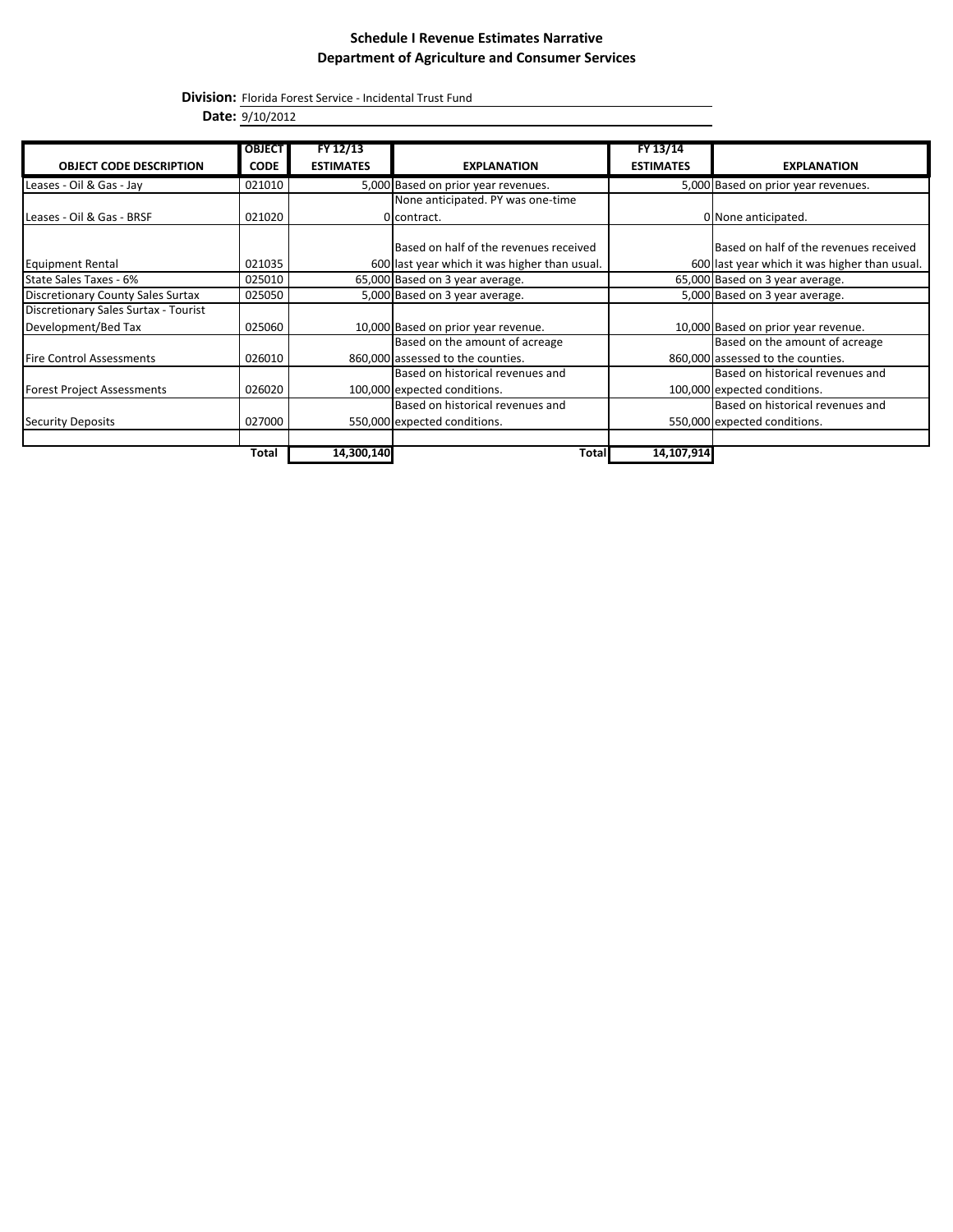**Division:** Florida Forest Service - Incidental Trust Fund

**Date:** 9/10/2012

|                                          | <b>OBJECT</b> | FY 12/13         |                                               | FY 13/14         |                                               |
|------------------------------------------|---------------|------------------|-----------------------------------------------|------------------|-----------------------------------------------|
| <b>OBJECT CODE DESCRIPTION</b>           | <b>CODE</b>   | <b>ESTIMATES</b> | <b>EXPLANATION</b>                            | <b>ESTIMATES</b> | <b>EXPLANATION</b>                            |
|                                          |               |                  |                                               |                  |                                               |
| Leases - Oil & Gas - Jay                 | 021010        |                  | 5,000 Based on prior year revenues.           |                  | 5,000 Based on prior year revenues.           |
|                                          |               |                  | None anticipated. PY was one-time             |                  |                                               |
| Leases - Oil & Gas - BRSF                | 021020        |                  | 0 contract.                                   |                  | 0 None anticipated.                           |
|                                          |               |                  | Based on half of the revenues received        |                  | Based on half of the revenues received        |
| <b>Equipment Rental</b>                  | 021035        |                  | 600 last year which it was higher than usual. |                  | 600 last year which it was higher than usual. |
| State Sales Taxes - 6%                   | 025010        |                  | 65,000 Based on 3 year average.               |                  | 65,000 Based on 3 year average.               |
| <b>Discretionary County Sales Surtax</b> | 025050        |                  | 5,000 Based on 3 year average.                |                  | 5,000 Based on 3 year average.                |
| Discretionary Sales Surtax - Tourist     |               |                  |                                               |                  |                                               |
| Development/Bed Tax                      | 025060        |                  | 10,000 Based on prior year revenue.           |                  | 10,000 Based on prior year revenue.           |
|                                          |               |                  | Based on the amount of acreage                |                  | Based on the amount of acreage                |
| <b>Fire Control Assessments</b>          | 026010        |                  | 860,000 assessed to the counties.             |                  | 860,000 assessed to the counties.             |
|                                          |               |                  | Based on historical revenues and              |                  | Based on historical revenues and              |
| <b>Forest Project Assessments</b>        | 026020        |                  | 100,000 expected conditions.                  |                  | 100,000 expected conditions.                  |
|                                          |               |                  | Based on historical revenues and              |                  | Based on historical revenues and              |
| <b>Security Deposits</b>                 | 027000        |                  | 550,000 expected conditions.                  |                  | 550,000 expected conditions.                  |
|                                          |               |                  |                                               |                  |                                               |
|                                          | <b>Total</b>  | 14,300,140       | Total                                         | 14,107,914       |                                               |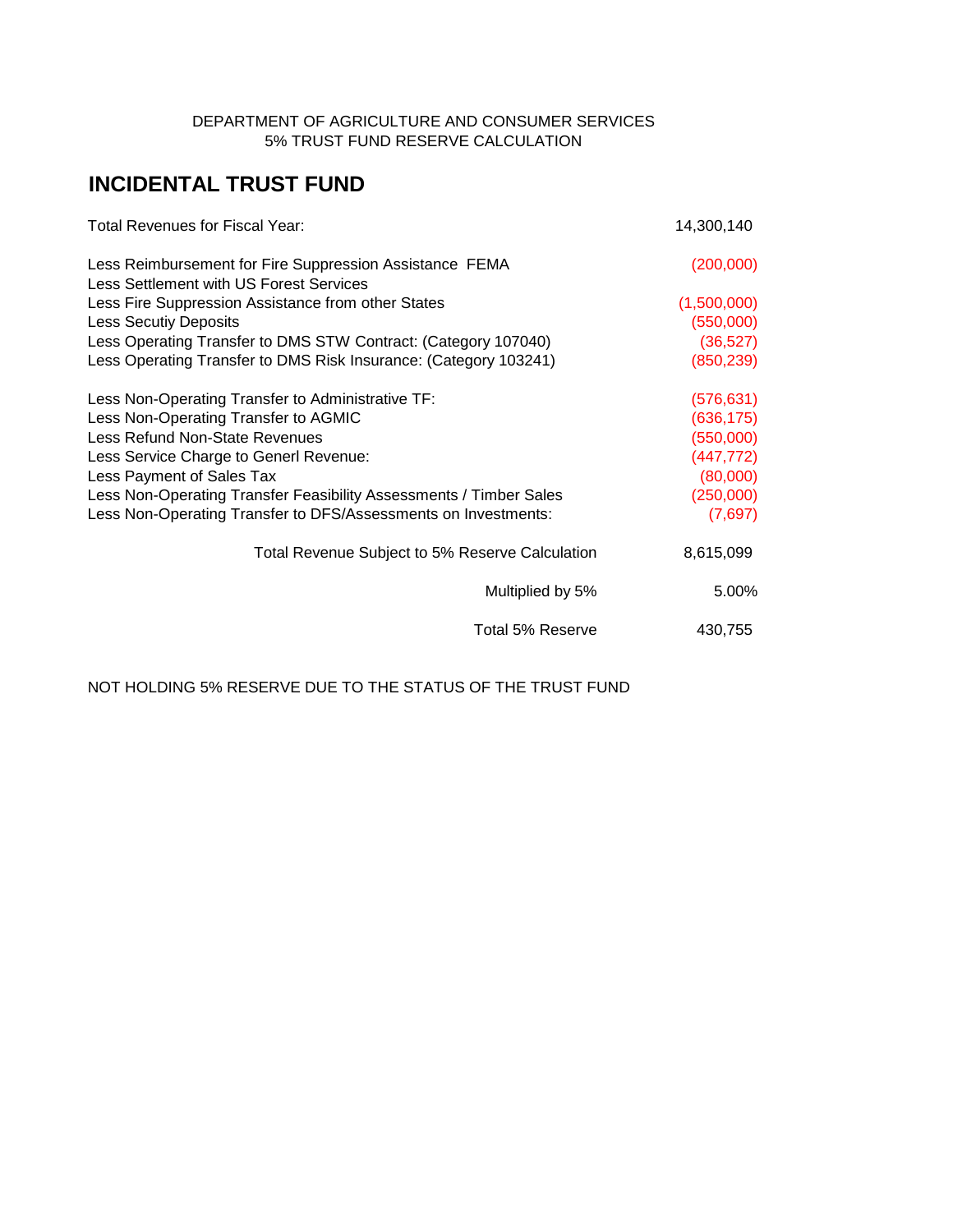### DEPARTMENT OF AGRICULTURE AND CONSUMER SERVICES 5% TRUST FUND RESERVE CALCULATION

# **INCIDENTAL TRUST FUND**

| <b>Total Revenues for Fiscal Year:</b>                                                             | 14,300,140  |
|----------------------------------------------------------------------------------------------------|-------------|
| Less Reimbursement for Fire Suppression Assistance FEMA<br>Less Settlement with US Forest Services | (200,000)   |
| Less Fire Suppression Assistance from other States                                                 | (1,500,000) |
| <b>Less Secutiy Deposits</b>                                                                       | (550,000)   |
| Less Operating Transfer to DMS STW Contract: (Category 107040)                                     | (36, 527)   |
| Less Operating Transfer to DMS Risk Insurance: (Category 103241)                                   | (850, 239)  |
| Less Non-Operating Transfer to Administrative TF:                                                  | (576, 631)  |
| Less Non-Operating Transfer to AGMIC                                                               | (636, 175)  |
| Less Refund Non-State Revenues                                                                     | (550,000)   |
| Less Service Charge to Generl Revenue:                                                             | (447, 772)  |
| Less Payment of Sales Tax                                                                          | (80,000)    |
| Less Non-Operating Transfer Feasibility Assessments / Timber Sales                                 | (250,000)   |
| Less Non-Operating Transfer to DFS/Assessments on Investments:                                     | (7,697)     |
| Total Revenue Subject to 5% Reserve Calculation                                                    | 8,615,099   |
| Multiplied by 5%                                                                                   | 5.00%       |
| Total 5% Reserve                                                                                   | 430,755     |

NOT HOLDING 5% RESERVE DUE TO THE STATUS OF THE TRUST FUND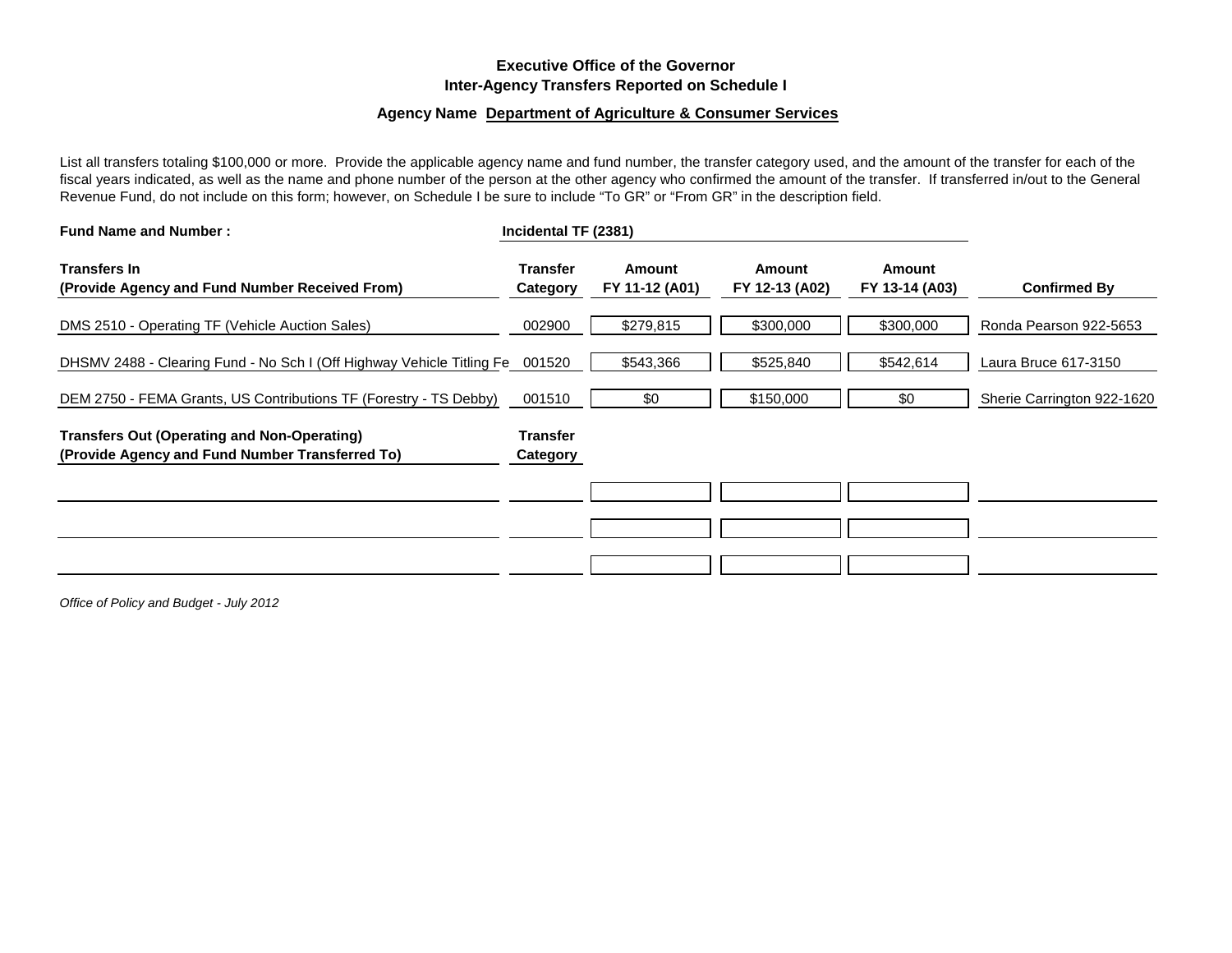### **Executive Office of the Governor Inter-Agency Transfers Reported on Schedule I**

#### **Agency Name Department of Agriculture & Consumer Services**

List all transfers totaling \$100,000 or more. Provide the applicable agency name and fund number, the transfer category used, and the amount of the transfer for each of the fiscal years indicated, as well as the name and phone number of the person at the other agency who confirmed the amount of the transfer. If transferred in/out to the General Revenue Fund, do not include on this form; however, on Schedule I be sure to include "To GR" or "From GR" in the description field.

| <b>Fund Name and Number:</b>                                                                          | Incidental TF (2381)        |                          |                          |                          |                            |
|-------------------------------------------------------------------------------------------------------|-----------------------------|--------------------------|--------------------------|--------------------------|----------------------------|
| <b>Transfers In</b><br>(Provide Agency and Fund Number Received From)                                 | <b>Transfer</b><br>Category | Amount<br>FY 11-12 (A01) | Amount<br>FY 12-13 (A02) | Amount<br>FY 13-14 (A03) | <b>Confirmed By</b>        |
| DMS 2510 - Operating TF (Vehicle Auction Sales)                                                       | 002900                      | \$279,815                | \$300,000                | \$300,000                | Ronda Pearson 922-5653     |
| DHSMV 2488 - Clearing Fund - No Sch I (Off Highway Vehicle Titling Fe 001520                          |                             | \$543,366                | \$525,840                | \$542,614                | Laura Bruce 617-3150       |
| DEM 2750 - FEMA Grants, US Contributions TF (Forestry - TS Debby)                                     | 001510                      | \$0                      | \$150,000                | \$0                      | Sherie Carrington 922-1620 |
| <b>Transfers Out (Operating and Non-Operating)</b><br>(Provide Agency and Fund Number Transferred To) | <b>Transfer</b><br>Category |                          |                          |                          |                            |
|                                                                                                       |                             |                          |                          |                          |                            |
|                                                                                                       |                             |                          |                          |                          |                            |
|                                                                                                       |                             |                          |                          |                          |                            |

*Office of Policy and Budget - July 2012*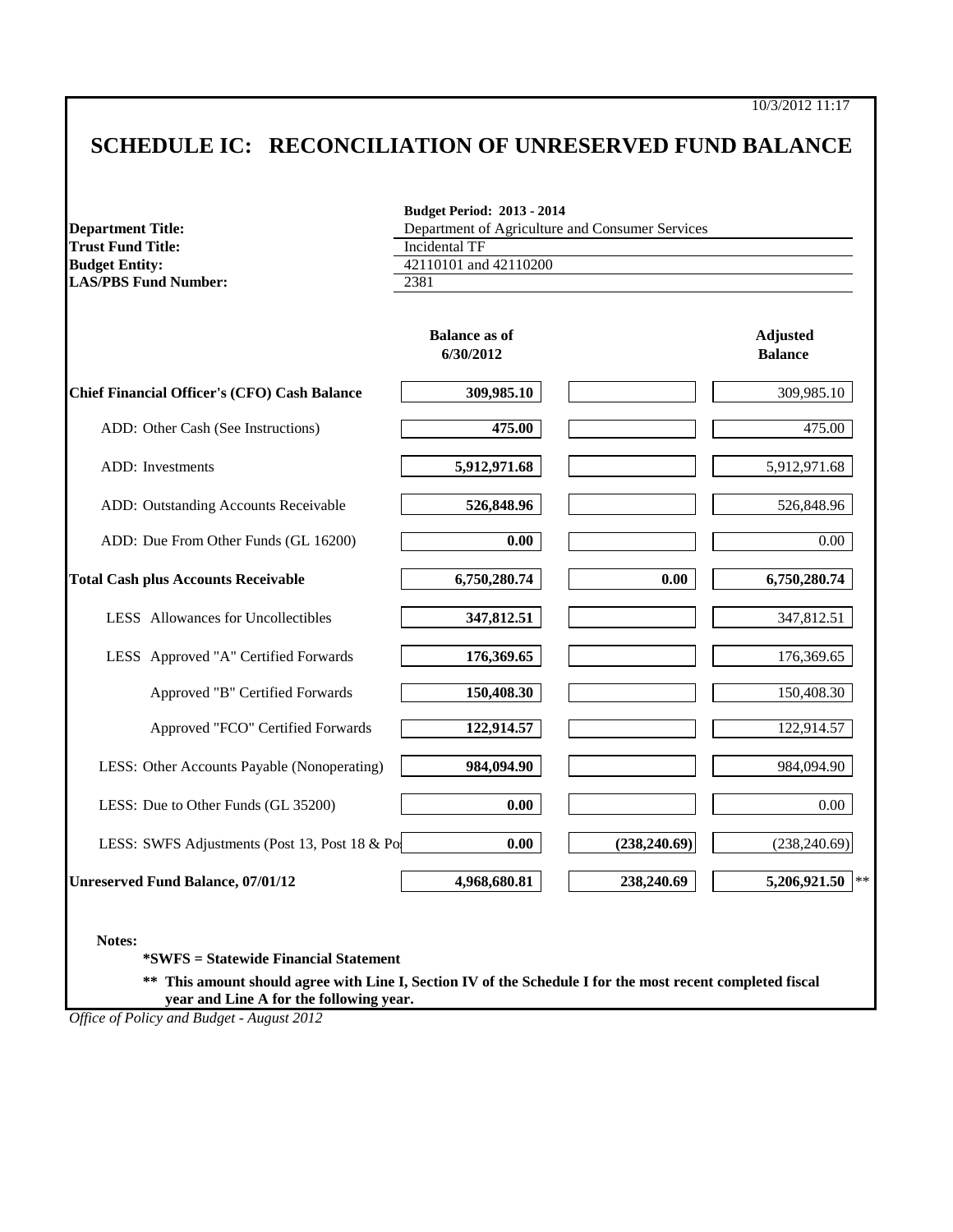# **SCHEDULE IC: RECONCILIATION OF UNRESERVED FUND BALANCE**

| <b>Department Title:</b>                            | <b>Budget Period: 2013 - 2014</b><br>Department of Agriculture and Consumer Services |               |                                   |  |  |
|-----------------------------------------------------|--------------------------------------------------------------------------------------|---------------|-----------------------------------|--|--|
| <b>Trust Fund Title:</b>                            | <b>Incidental TF</b>                                                                 |               |                                   |  |  |
| <b>Budget Entity:</b>                               | 42110101 and 42110200                                                                |               |                                   |  |  |
| <b>LAS/PBS Fund Number:</b>                         | 2381                                                                                 |               |                                   |  |  |
|                                                     | <b>Balance as of</b><br>6/30/2012                                                    |               | <b>Adjusted</b><br><b>Balance</b> |  |  |
| <b>Chief Financial Officer's (CFO) Cash Balance</b> | 309,985.10                                                                           |               | 309,985.10                        |  |  |
| ADD: Other Cash (See Instructions)                  | 475.00                                                                               |               | 475.00                            |  |  |
| ADD: Investments                                    | 5,912,971.68                                                                         |               | 5,912,971.68                      |  |  |
| ADD: Outstanding Accounts Receivable                | 526,848.96                                                                           |               | 526,848.96                        |  |  |
| ADD: Due From Other Funds (GL 16200)                | 0.00                                                                                 |               | 0.00                              |  |  |
| <b>Total Cash plus Accounts Receivable</b>          | 6,750,280.74                                                                         | 0.00          | 6,750,280.74                      |  |  |
| LESS Allowances for Uncollectibles                  | 347,812.51                                                                           |               | 347,812.51                        |  |  |
| LESS Approved "A" Certified Forwards                | 176,369.65                                                                           |               | 176,369.65                        |  |  |
| Approved "B" Certified Forwards                     | 150,408.30                                                                           |               | 150,408.30                        |  |  |
| Approved "FCO" Certified Forwards                   | 122,914.57                                                                           |               | 122,914.57                        |  |  |
| LESS: Other Accounts Payable (Nonoperating)         | 984,094.90                                                                           |               | 984,094.90                        |  |  |
| LESS: Due to Other Funds (GL 35200)                 | 0.00                                                                                 |               | $0.00\,$                          |  |  |
| LESS: SWFS Adjustments (Post 13, Post 18 & Pos      | 0.00                                                                                 | (238, 240.69) | (238, 240.69)                     |  |  |
| <b>Unreserved Fund Balance, 07/01/12</b>            | 4,968,680.81                                                                         | 238,240.69    | $\ast$<br>5,206,921.50            |  |  |

**\*\* This amount should agree with Line I, Section IV of the Schedule I for the most recent completed fiscal year and Line A for the following year.**

*Office of Policy and Budget - August 2012*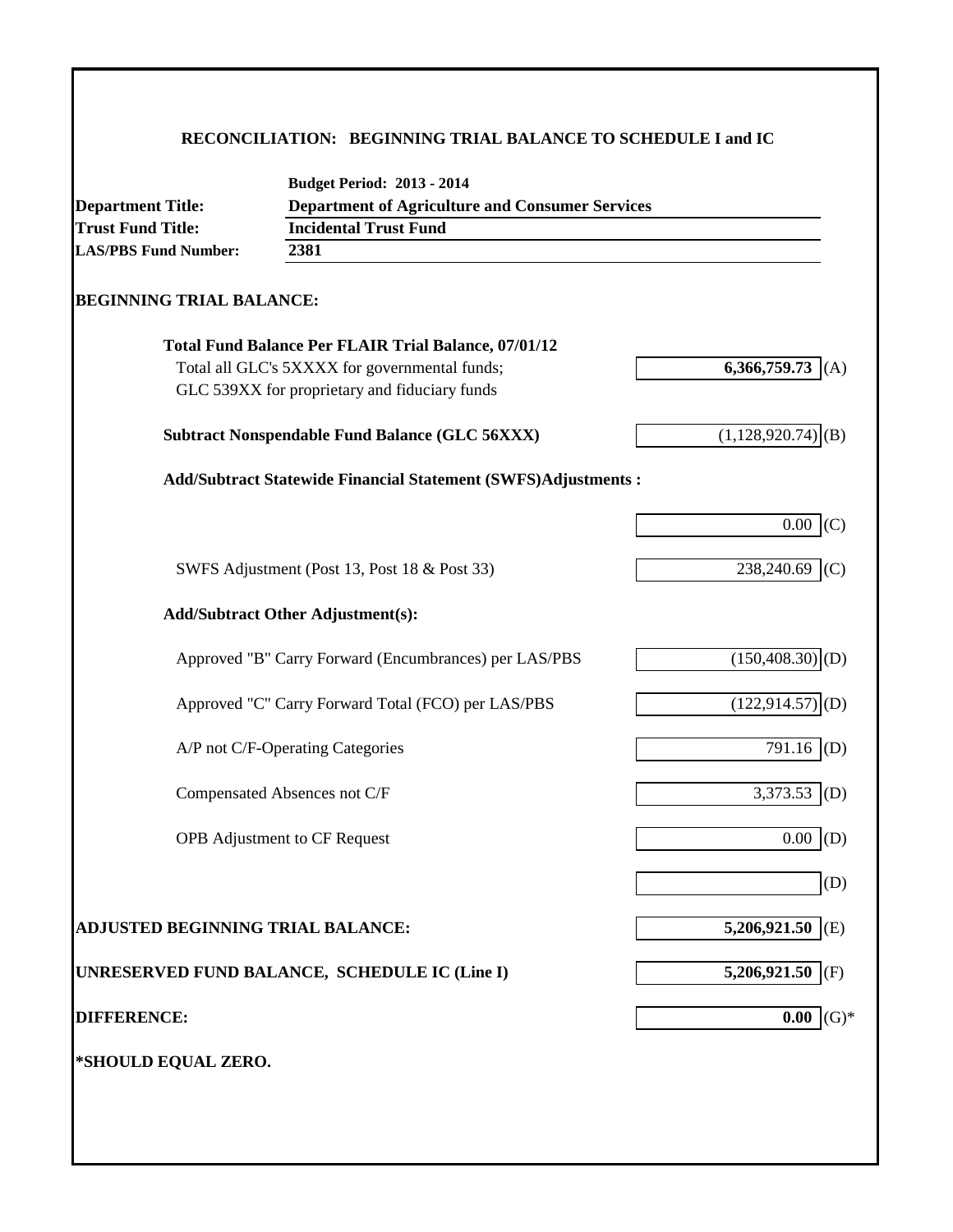### **RECONCILIATION: BEGINNING TRIAL BALANCE TO SCHEDULE I and IC**

| <b>Department Title:</b>                 | <b>Budget Period: 2013 - 2014</b><br><b>Department of Agriculture and Consumer Services</b> |                                 |
|------------------------------------------|---------------------------------------------------------------------------------------------|---------------------------------|
| <b>Trust Fund Title:</b>                 | <b>Incidental Trust Fund</b>                                                                |                                 |
| <b>LAS/PBS Fund Number:</b>              | 2381                                                                                        |                                 |
|                                          |                                                                                             |                                 |
| <b>BEGINNING TRIAL BALANCE:</b>          |                                                                                             |                                 |
|                                          | <b>Total Fund Balance Per FLAIR Trial Balance, 07/01/12</b>                                 |                                 |
|                                          | Total all GLC's 5XXXX for governmental funds;                                               | 6,366,759.73<br>(A)             |
|                                          | GLC 539XX for proprietary and fiduciary funds                                               |                                 |
|                                          | <b>Subtract Nonspendable Fund Balance (GLC 56XXX)</b>                                       | $(1,128,920.74)$ <sup>(B)</sup> |
|                                          | Add/Subtract Statewide Financial Statement (SWFS)Adjustments :                              |                                 |
|                                          |                                                                                             | 0.00<br>(C)                     |
|                                          | SWFS Adjustment (Post 13, Post 18 & Post 33)                                                | 238,240.69<br>(C)               |
|                                          | <b>Add/Subtract Other Adjustment(s):</b>                                                    |                                 |
|                                          | Approved "B" Carry Forward (Encumbrances) per LAS/PBS                                       | $(150, 408.30)$ <sub>(D)</sub>  |
|                                          | Approved "C" Carry Forward Total (FCO) per LAS/PBS                                          | $(122, 914.57)$ <sub>(D)</sub>  |
|                                          | A/P not C/F-Operating Categories                                                            | $791.16$ (D)                    |
|                                          | Compensated Absences not C/F                                                                | 3,373.53<br>(D)                 |
|                                          | <b>OPB</b> Adjustment to CF Request                                                         | (D)<br>0.00                     |
|                                          |                                                                                             | (D)                             |
| <b>ADJUSTED BEGINNING TRIAL BALANCE:</b> |                                                                                             | 5,206,921.50 (E)                |
|                                          | UNRESERVED FUND BALANCE, SCHEDULE IC (Line I)                                               | 5,206,921.50 (F)                |
| <b>DIFFERENCE:</b>                       |                                                                                             | $(G)*$<br>0.00                  |
| *SHOULD EQUAL ZERO.                      |                                                                                             |                                 |
|                                          |                                                                                             |                                 |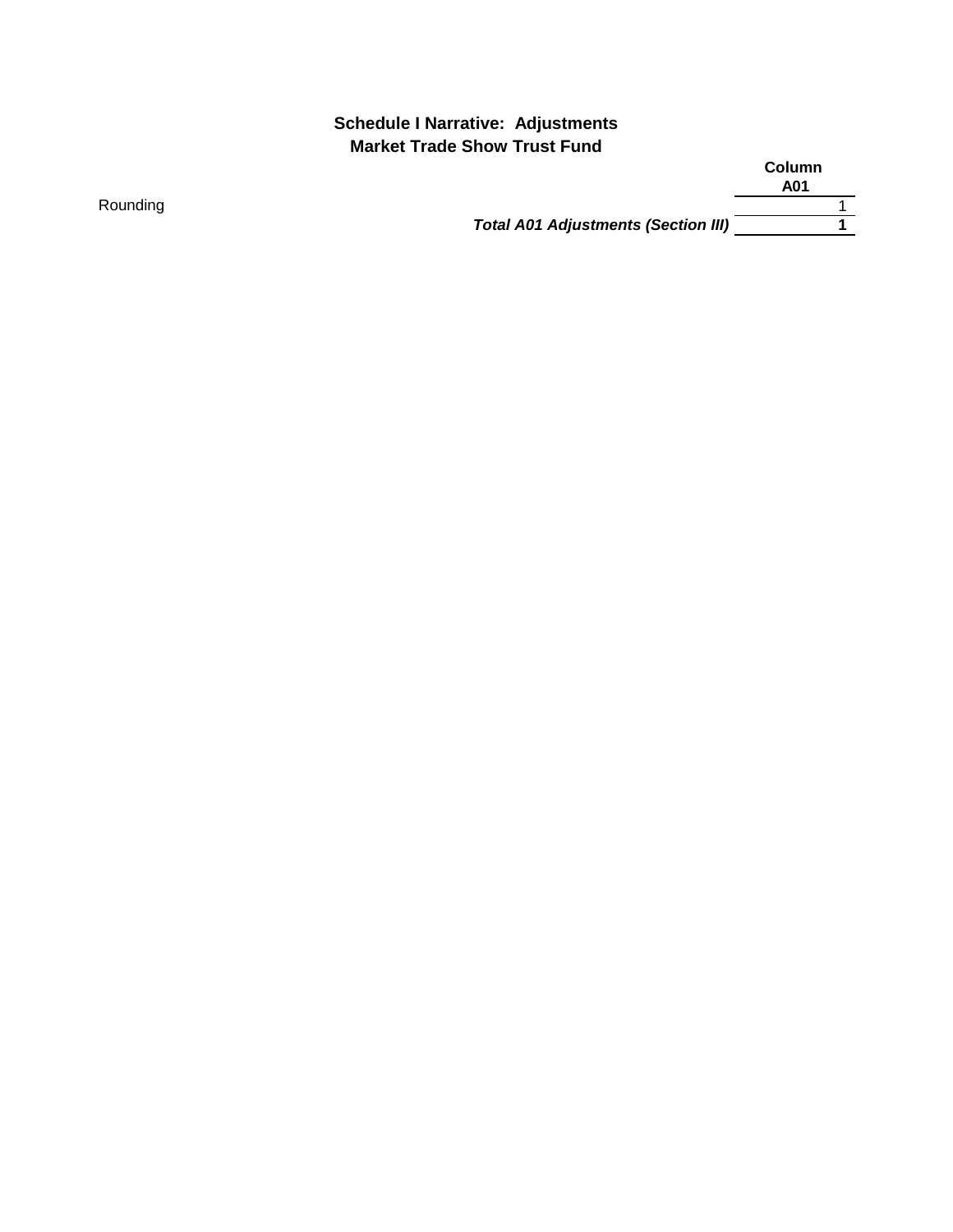### **Schedule I Narrative: Adjustments Market Trade Show Trust Fund**

|                                            | Column<br>A01 |
|--------------------------------------------|---------------|
|                                            |               |
| <b>Total A01 Adjustments (Section III)</b> |               |

Rounding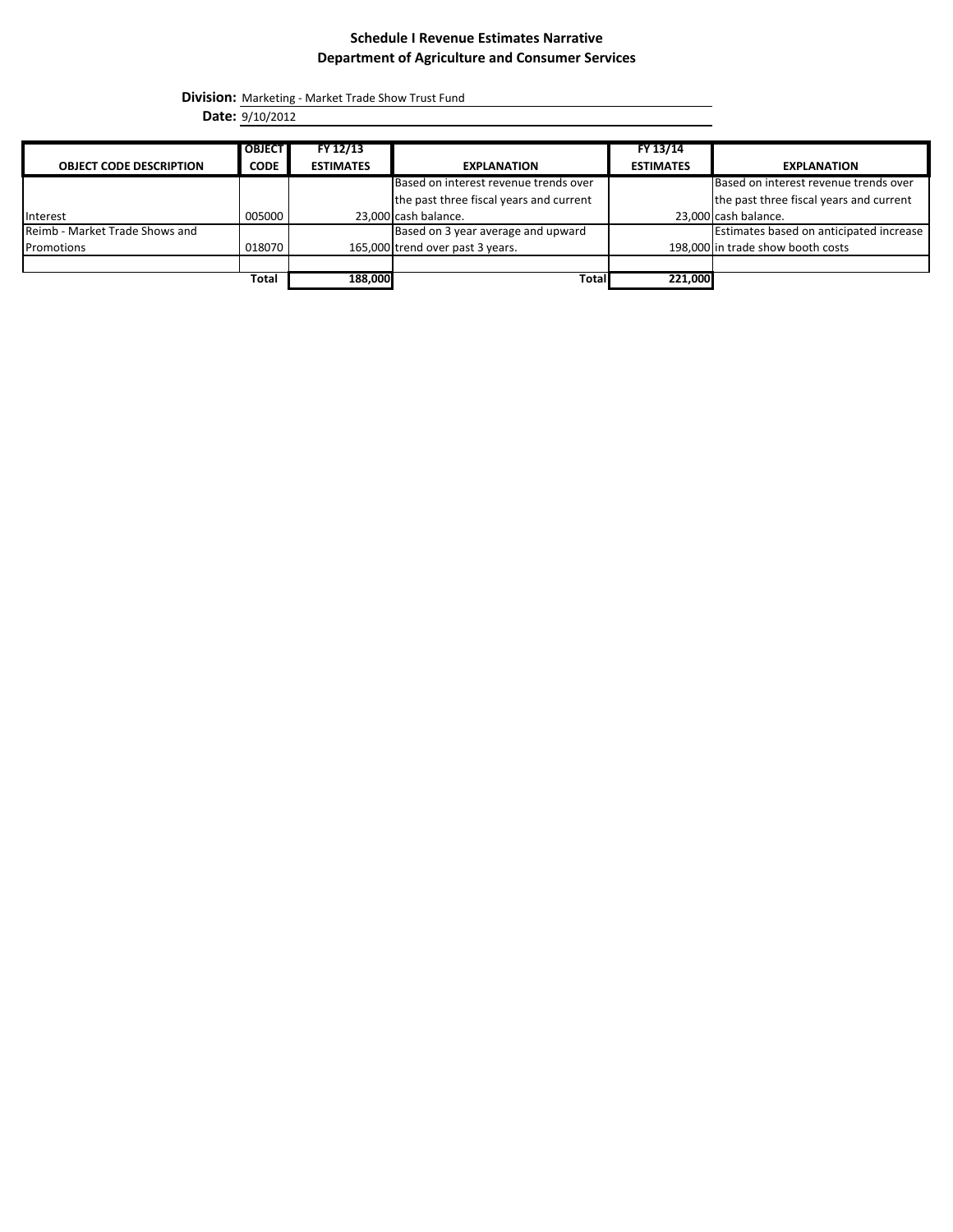#### **Schedule I Revenue Estimates Narrative Department of Agriculture and Consumer Services**

**Division:** Marketing - Market Trade Show Trust Fund

**Date:** 9/10/2012

|                                | <b>OBJECT</b> | FY 12/13         |                                         | FY 13/14         |                                         |
|--------------------------------|---------------|------------------|-----------------------------------------|------------------|-----------------------------------------|
| <b>OBJECT CODE DESCRIPTION</b> | <b>CODE</b>   | <b>ESTIMATES</b> | <b>EXPLANATION</b>                      | <b>ESTIMATES</b> | <b>EXPLANATION</b>                      |
|                                |               |                  | Based on interest revenue trends over   |                  | Based on interest revenue trends over   |
|                                |               |                  | the past three fiscal years and current |                  | the past three fiscal years and current |
| Interest                       | 005000        |                  | 23,000 cash balance.                    |                  | 23,000 cash balance.                    |
| Reimb - Market Trade Shows and |               |                  | Based on 3 year average and upward      |                  | Estimates based on anticipated increase |
| Promotions                     | 018070        |                  | 165,000 trend over past 3 years.        |                  | 198,000 in trade show booth costs       |
|                                |               |                  |                                         |                  |                                         |
|                                | Total         | 188,000          | Total                                   | 221,000          |                                         |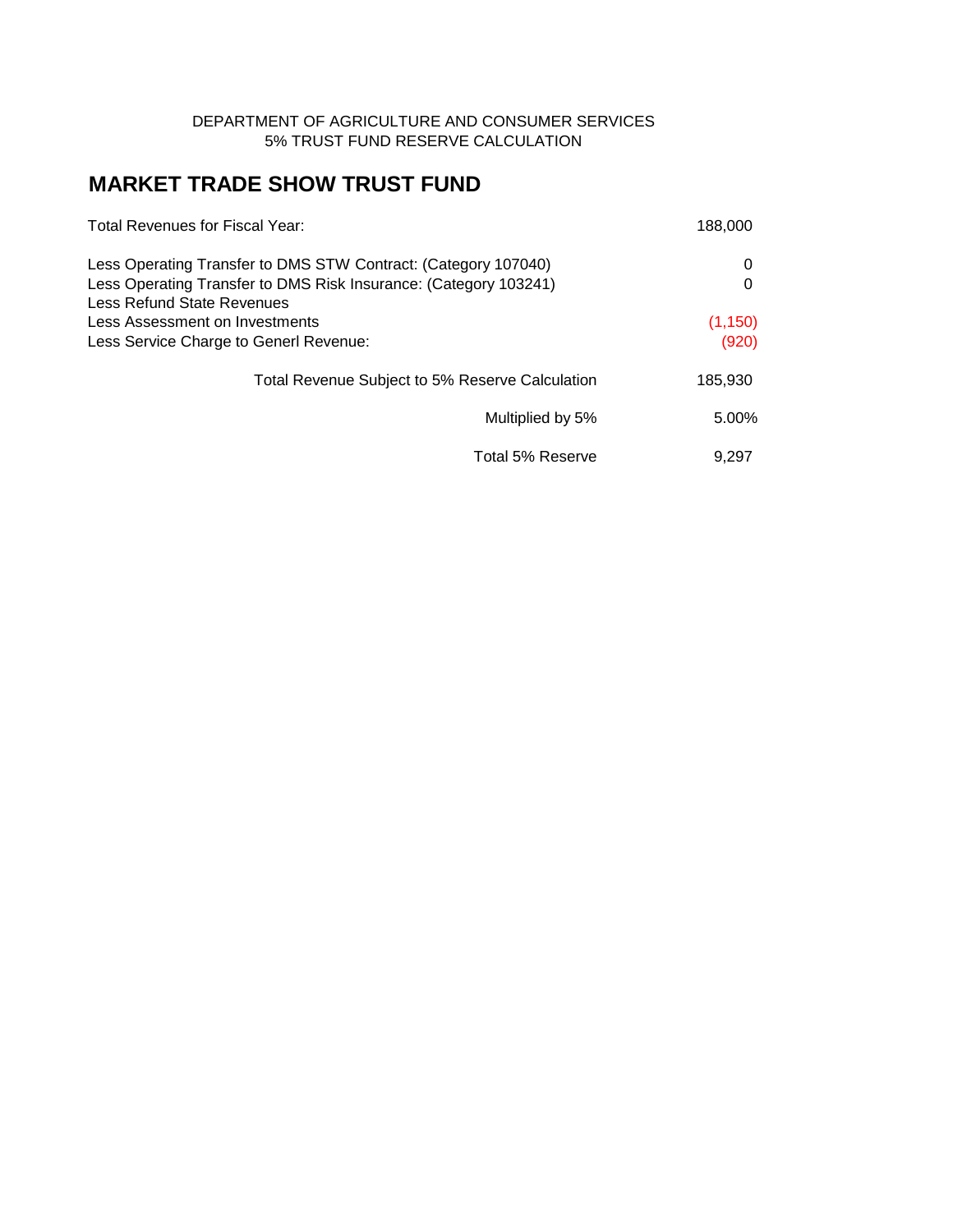#### DEPARTMENT OF AGRICULTURE AND CONSUMER SERVICES 5% TRUST FUND RESERVE CALCULATION

# **MARKET TRADE SHOW TRUST FUND**

| Total Revenues for Fiscal Year:                                                                                                                                  | 188,000  |
|------------------------------------------------------------------------------------------------------------------------------------------------------------------|----------|
| Less Operating Transfer to DMS STW Contract: (Category 107040)<br>Less Operating Transfer to DMS Risk Insurance: (Category 103241)<br>Less Refund State Revenues | 0        |
| Less Assessment on Investments                                                                                                                                   | (1, 150) |
| Less Service Charge to Generl Revenue:                                                                                                                           | (920)    |
| Total Revenue Subject to 5% Reserve Calculation                                                                                                                  | 185,930  |
| Multiplied by 5%                                                                                                                                                 | 5.00%    |
| Total 5% Reserve                                                                                                                                                 | 9.297    |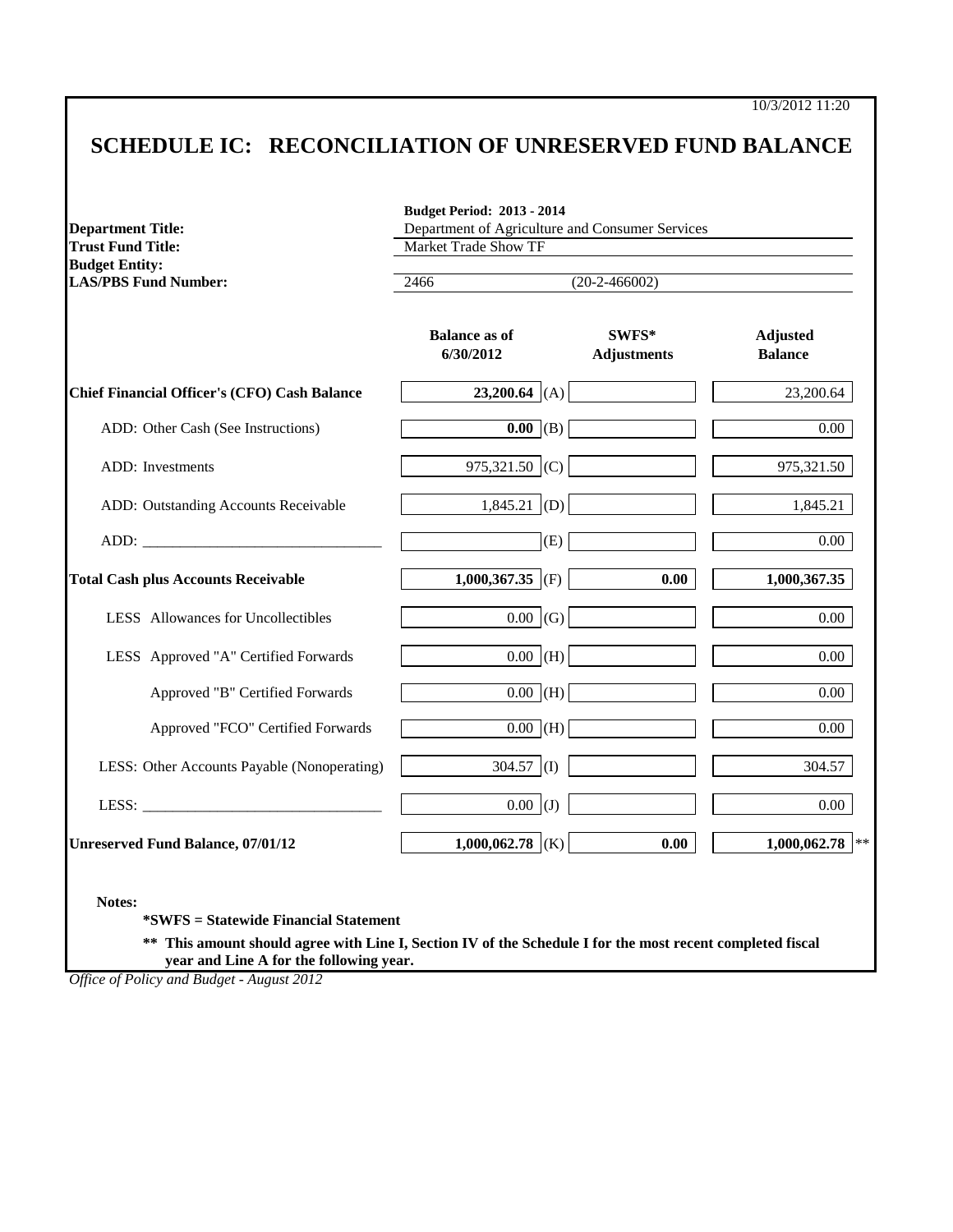10/3/2012 11:20

# **SCHEDULE IC: RECONCILIATION OF UNRESERVED FUND BALANCE**

| <b>Department Title:</b><br><b>Trust Fund Title:</b>                                                                                                                                                                           | Department of Agriculture and Consumer Services<br><b>Market Trade Show TF</b> |                             |                                   |  |  |
|--------------------------------------------------------------------------------------------------------------------------------------------------------------------------------------------------------------------------------|--------------------------------------------------------------------------------|-----------------------------|-----------------------------------|--|--|
| <b>Budget Entity:</b><br><b>LAS/PBS Fund Number:</b>                                                                                                                                                                           | 2466<br>$(20-2-466002)$                                                        |                             |                                   |  |  |
|                                                                                                                                                                                                                                | <b>Balance as of</b><br>6/30/2012                                              | SWFS*<br><b>Adjustments</b> | <b>Adjusted</b><br><b>Balance</b> |  |  |
| <b>Chief Financial Officer's (CFO) Cash Balance</b>                                                                                                                                                                            | 23,200.64 (A)                                                                  |                             | 23,200.64                         |  |  |
| ADD: Other Cash (See Instructions)                                                                                                                                                                                             | $\overline{0.00}$ (B)                                                          |                             | $0.00\,$                          |  |  |
| ADD: Investments                                                                                                                                                                                                               | 975,321.50 (C)                                                                 |                             | 975,321.50                        |  |  |
| ADD: Outstanding Accounts Receivable                                                                                                                                                                                           | $1,845.21$ (D)                                                                 |                             | 1,845.21                          |  |  |
| ADD: The contract of the contract of the contract of the contract of the contract of the contract of the contract of the contract of the contract of the contract of the contract of the contract of the contract of the contr | (E)                                                                            |                             | $0.00\,$                          |  |  |
| <b>Total Cash plus Accounts Receivable</b>                                                                                                                                                                                     | 1,000,367.35 (F)                                                               | 0.00                        | 1,000,367.35                      |  |  |
| LESS Allowances for Uncollectibles                                                                                                                                                                                             | $0.00 \mid (G)$                                                                |                             | $0.00\,$                          |  |  |
| LESS Approved "A" Certified Forwards                                                                                                                                                                                           | $0.00$ (H)                                                                     |                             | $0.00\,$                          |  |  |
| Approved "B" Certified Forwards                                                                                                                                                                                                | $\overline{0.00}$ (H)                                                          |                             | 0.00                              |  |  |
| Approved "FCO" Certified Forwards                                                                                                                                                                                              | $0.00$ (H)                                                                     |                             | $0.00\,$                          |  |  |
| LESS: Other Accounts Payable (Nonoperating)                                                                                                                                                                                    | $304.57$ (I)                                                                   |                             | 304.57                            |  |  |
|                                                                                                                                                                                                                                | $0.00$ (J)                                                                     |                             | $0.00\,$                          |  |  |
| <b>Unreserved Fund Balance, 07/01/12</b>                                                                                                                                                                                       | 1,000,062.78 (K)                                                               | 0.00                        | $1,000,062.78$ **                 |  |  |

**\*\* This amount should agree with Line I, Section IV of the Schedule I for the most recent completed fiscal year and Line A for the following year.**

*Office of Policy and Budget - August 2012*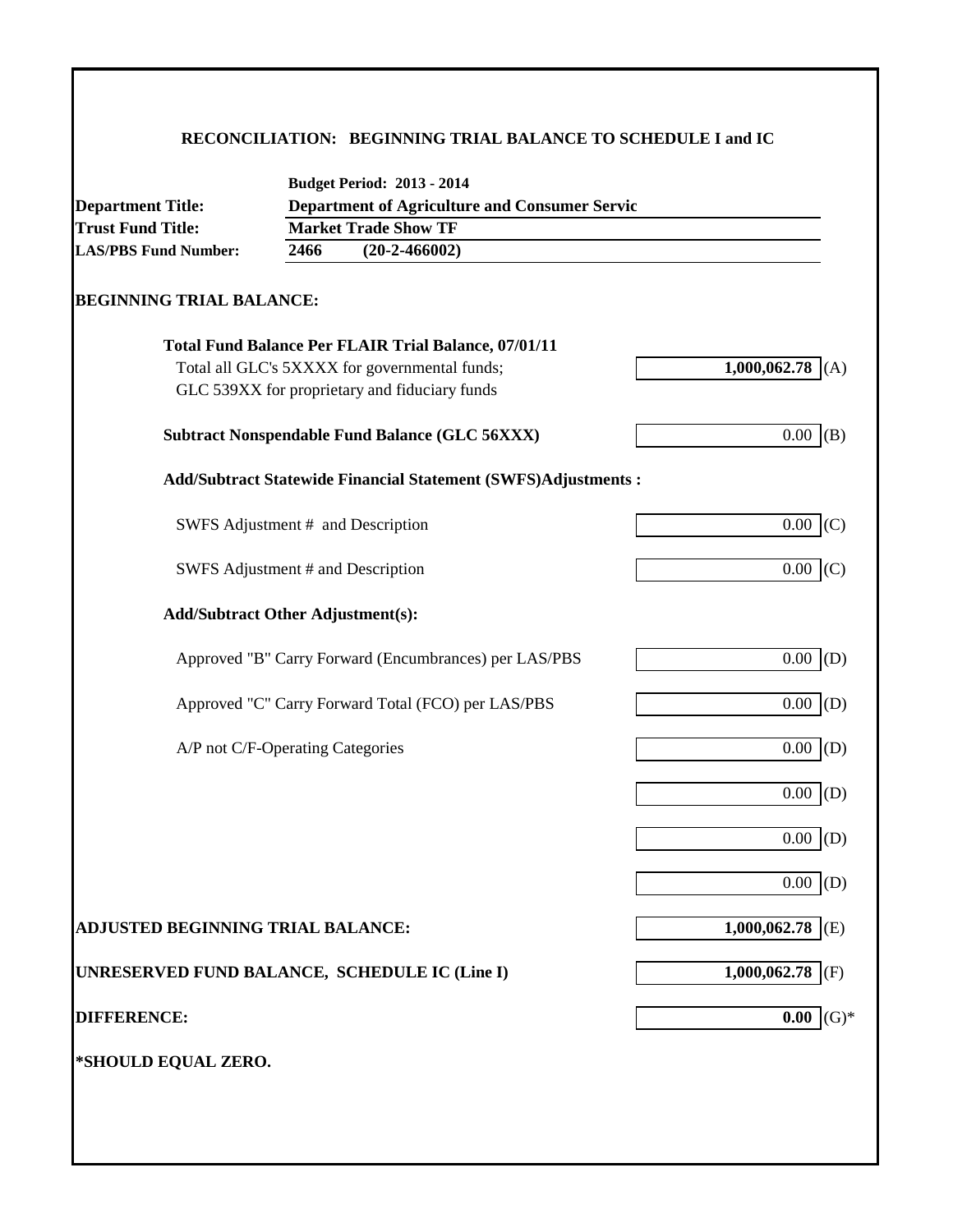### **RECONCILIATION: BEGINNING TRIAL BALANCE TO SCHEDULE I and IC**

| <b>Department Title:</b>                      |      | <b>Department of Agriculture and Consumer Servic</b>                 |                     |  |  |  |
|-----------------------------------------------|------|----------------------------------------------------------------------|---------------------|--|--|--|
| <b>Trust Fund Title:</b>                      |      | <b>Market Trade Show TF</b>                                          |                     |  |  |  |
| <b>LAS/PBS Fund Number:</b>                   | 2466 | $(20-2-466002)$                                                      |                     |  |  |  |
| <b>BEGINNING TRIAL BALANCE:</b>               |      |                                                                      |                     |  |  |  |
|                                               |      | <b>Total Fund Balance Per FLAIR Trial Balance, 07/01/11</b>          |                     |  |  |  |
|                                               |      | Total all GLC's 5XXXX for governmental funds;                        | 1,000,062.78<br>(A) |  |  |  |
|                                               |      | GLC 539XX for proprietary and fiduciary funds                        |                     |  |  |  |
|                                               |      | <b>Subtract Nonspendable Fund Balance (GLC 56XXX)</b>                | $0.00$ (B)          |  |  |  |
|                                               |      | <b>Add/Subtract Statewide Financial Statement (SWFS)Adjustments:</b> |                     |  |  |  |
|                                               |      | SWFS Adjustment # and Description                                    | $0.00$ (C)          |  |  |  |
| SWFS Adjustment # and Description             |      |                                                                      | $0.00$ (C)          |  |  |  |
| <b>Add/Subtract Other Adjustment(s):</b>      |      |                                                                      |                     |  |  |  |
|                                               |      | Approved "B" Carry Forward (Encumbrances) per LAS/PBS                | $0.00$ (D)          |  |  |  |
|                                               |      | Approved "C" Carry Forward Total (FCO) per LAS/PBS                   | $0.00$ (D)          |  |  |  |
| A/P not C/F-Operating Categories              |      |                                                                      | $0.00$ (D)          |  |  |  |
|                                               |      |                                                                      | $0.00$ (D)          |  |  |  |
|                                               |      |                                                                      | 0.00<br>(D)         |  |  |  |
|                                               |      |                                                                      | $0.00$ (D)          |  |  |  |
| <b>ADJUSTED BEGINNING TRIAL BALANCE:</b>      |      |                                                                      | 1,000,062.78 (E)    |  |  |  |
| UNRESERVED FUND BALANCE, SCHEDULE IC (Line I) |      |                                                                      | 1,000,062.78 (F)    |  |  |  |
| <b>DIFFERENCE:</b>                            |      |                                                                      | $(G)*$<br>0.00      |  |  |  |
| *SHOULD EQUAL ZERO.                           |      |                                                                      |                     |  |  |  |
|                                               |      |                                                                      |                     |  |  |  |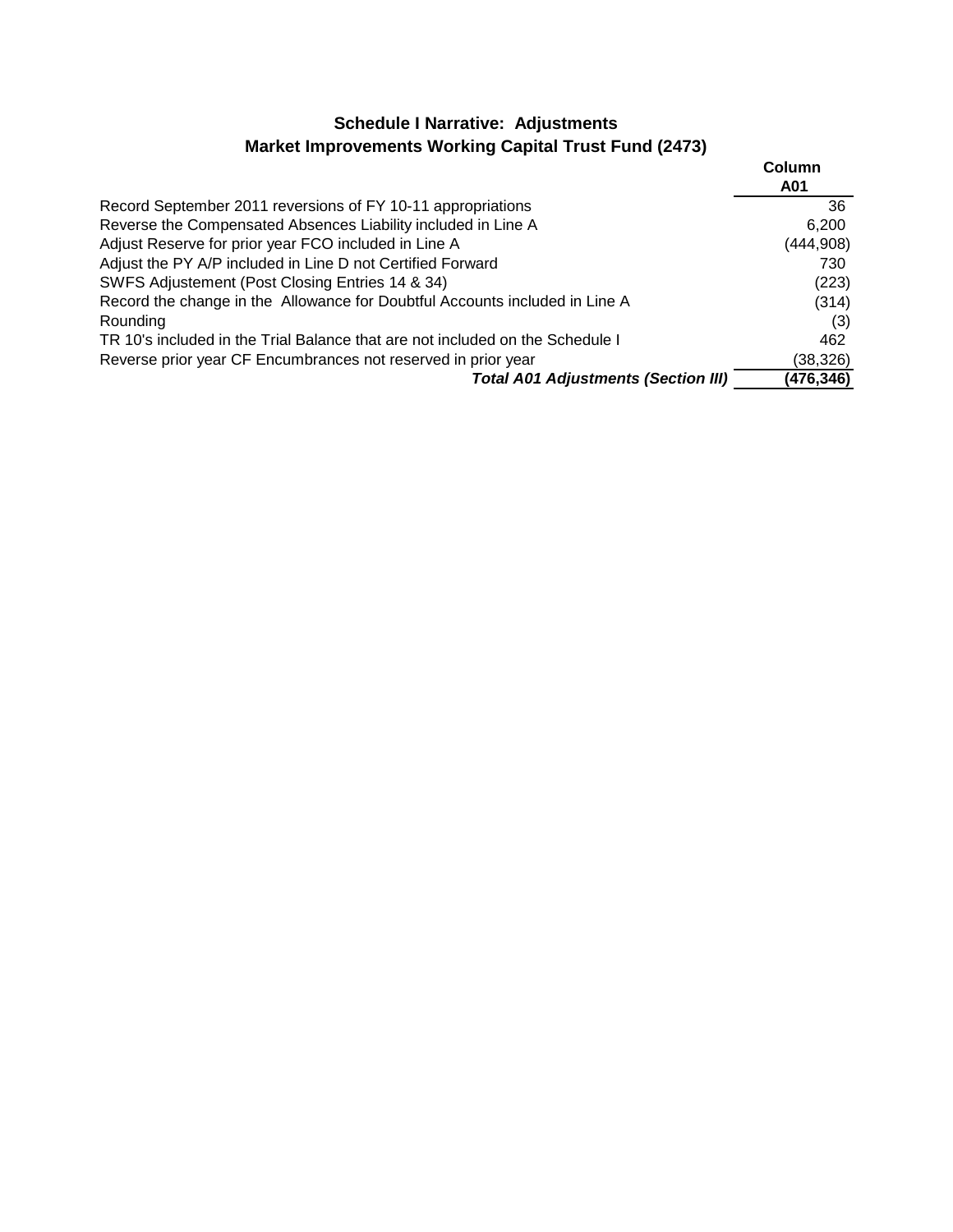## **Schedule I Narrative: Adjustments Market Improvements Working Capital Trust Fund (2473)**

|                                                                               | Column<br>A01 |
|-------------------------------------------------------------------------------|---------------|
| Record September 2011 reversions of FY 10-11 appropriations                   | 36            |
| Reverse the Compensated Absences Liability included in Line A                 | 6.200         |
| Adjust Reserve for prior year FCO included in Line A                          | (444,908)     |
| Adjust the PY A/P included in Line D not Certified Forward                    | 730           |
| SWFS Adjustement (Post Closing Entries 14 & 34)                               | (223)         |
| Record the change in the Allowance for Doubtful Accounts included in Line A   | (314)         |
| Rounding                                                                      | (3)           |
| TR 10's included in the Trial Balance that are not included on the Schedule I | 462           |
| Reverse prior year CF Encumbrances not reserved in prior year                 | (38,326)      |
| <b>Total A01 Adjustments (Section III)</b>                                    | (476,346)     |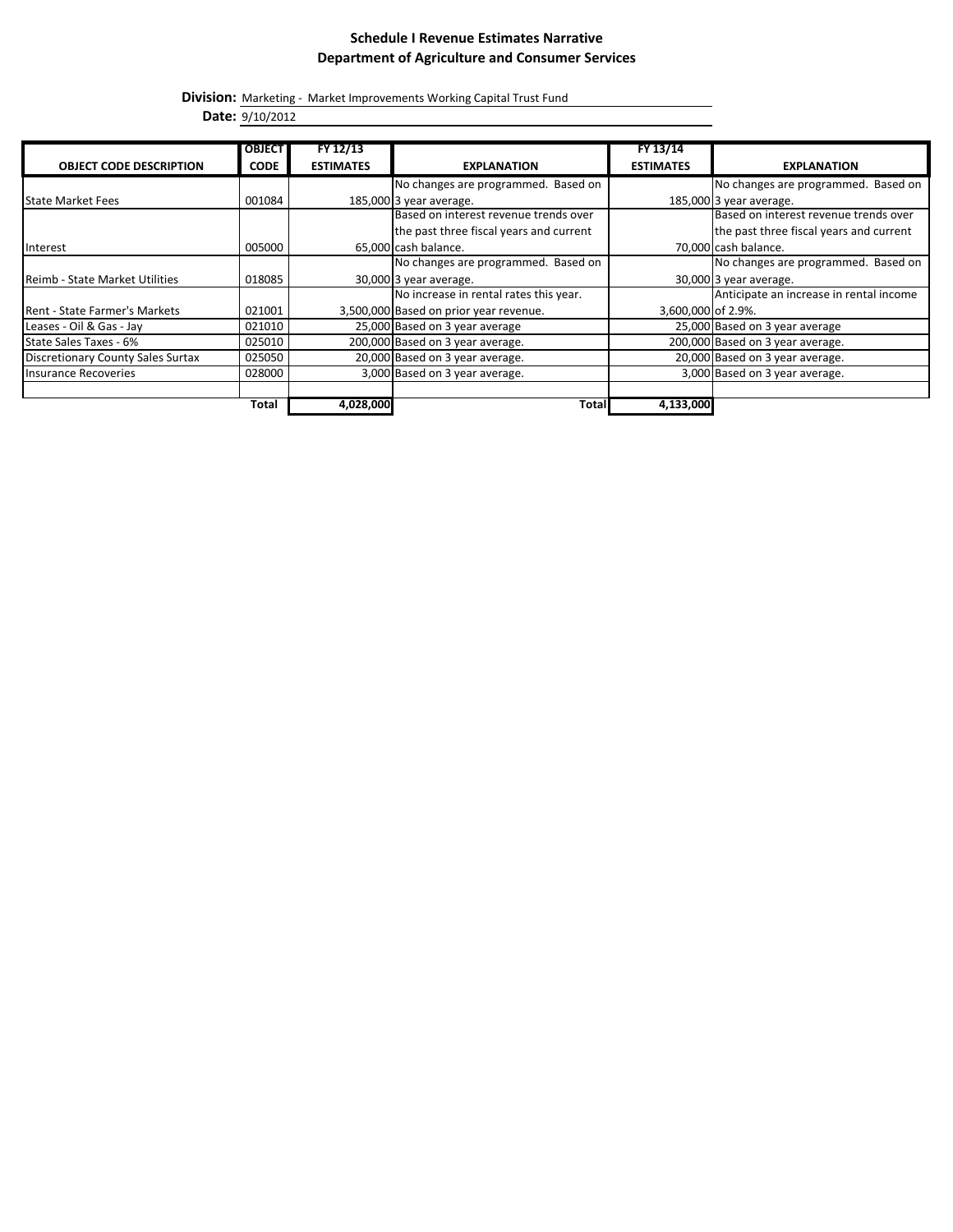#### **Schedule I Revenue Estimates Narrative Department of Agriculture and Consumer Services**

**Division:** Marketing - Market Improvements Working Capital Trust Fund

**Date:** 9/10/2012

| <b>OBJECT CODE DESCRIPTION</b>           | <b>OBJECT</b><br><b>CODE</b> | FY 12/13<br><b>ESTIMATES</b> | <b>EXPLANATION</b>                      | FY 13/14<br><b>ESTIMATES</b> | <b>EXPLANATION</b>                      |
|------------------------------------------|------------------------------|------------------------------|-----------------------------------------|------------------------------|-----------------------------------------|
|                                          |                              |                              | No changes are programmed. Based on     |                              | No changes are programmed. Based on     |
| <b>State Market Fees</b>                 | 001084                       |                              | 185,000 3 year average.                 |                              | 185,000 3 year average.                 |
|                                          |                              |                              | Based on interest revenue trends over   |                              | Based on interest revenue trends over   |
|                                          |                              |                              | the past three fiscal years and current |                              | the past three fiscal years and current |
| Interest                                 | 005000                       |                              | 65,000 cash balance.                    |                              | 70,000 cash balance.                    |
|                                          |                              |                              | No changes are programmed. Based on     |                              | No changes are programmed. Based on     |
| Reimb - State Market Utilities           | 018085                       |                              | 30,000 3 year average.                  |                              | 30,000 3 year average.                  |
|                                          |                              |                              | No increase in rental rates this year.  |                              | Anticipate an increase in rental income |
| <b>Rent - State Farmer's Markets</b>     | 021001                       |                              | 3,500,000 Based on prior year revenue.  | 3,600,000 of 2.9%.           |                                         |
| Leases - Oil & Gas - Jay                 | 021010                       |                              | 25,000 Based on 3 year average          |                              | 25,000 Based on 3 year average          |
| State Sales Taxes - 6%                   | 025010                       |                              | 200,000 Based on 3 year average.        |                              | 200,000 Based on 3 year average.        |
| <b>Discretionary County Sales Surtax</b> | 025050                       |                              | 20,000 Based on 3 year average.         |                              | 20,000 Based on 3 year average.         |
| Insurance Recoveries                     | 028000                       |                              | 3,000 Based on 3 year average.          |                              | 3,000 Based on 3 year average.          |
|                                          | Total                        | 4,028,000                    | <b>Total</b>                            | 4,133,000                    |                                         |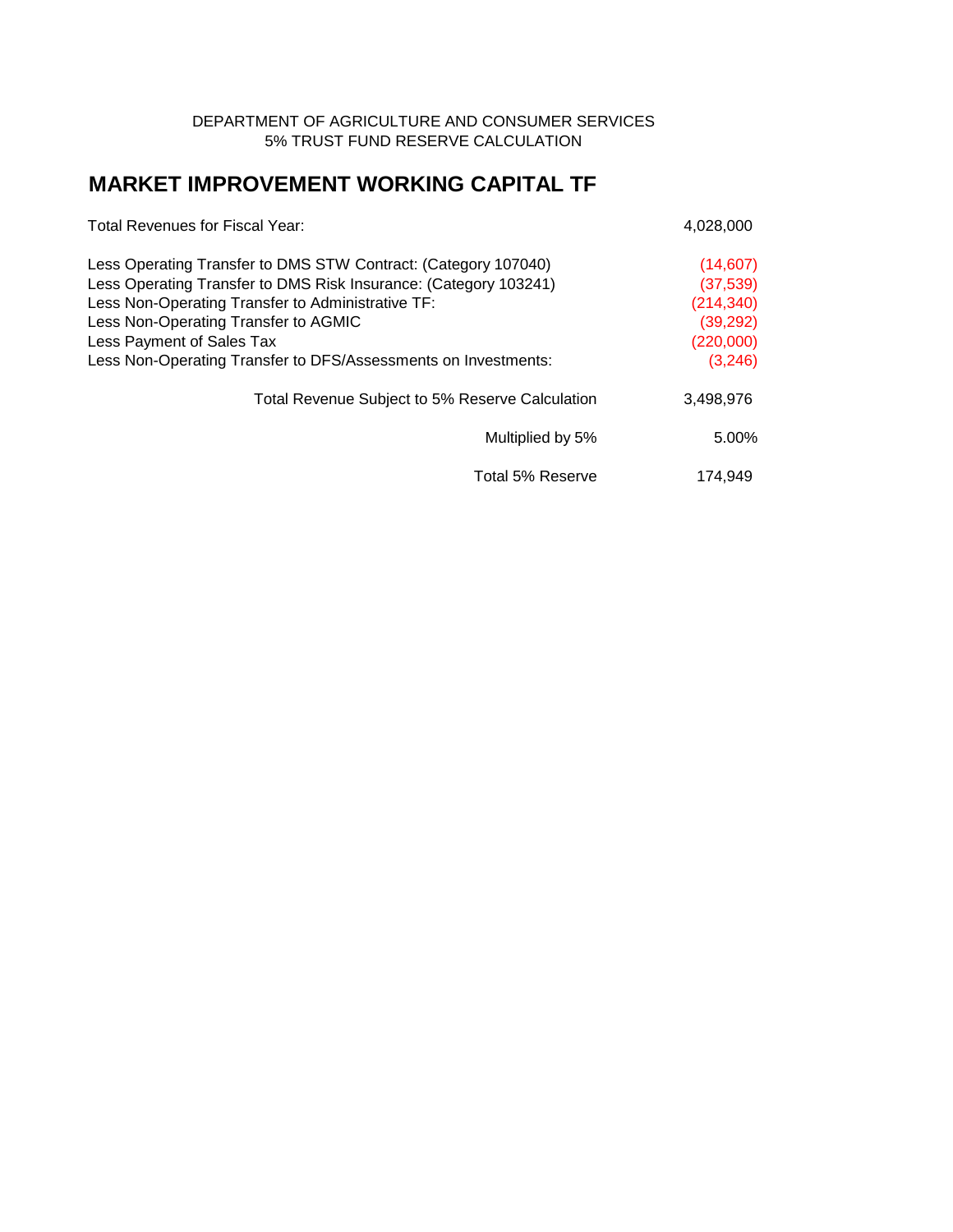#### DEPARTMENT OF AGRICULTURE AND CONSUMER SERVICES 5% TRUST FUND RESERVE CALCULATION

# **MARKET IMPROVEMENT WORKING CAPITAL TF**

| Total Revenues for Fiscal Year:                                  | 4,028,000  |
|------------------------------------------------------------------|------------|
| Less Operating Transfer to DMS STW Contract: (Category 107040)   | (14, 607)  |
| Less Operating Transfer to DMS Risk Insurance: (Category 103241) | (37, 539)  |
| Less Non-Operating Transfer to Administrative TF:                | (214, 340) |
| Less Non-Operating Transfer to AGMIC                             | (39, 292)  |
| Less Payment of Sales Tax                                        | (220,000)  |
| Less Non-Operating Transfer to DFS/Assessments on Investments:   | (3,246)    |
| Total Revenue Subject to 5% Reserve Calculation                  | 3,498,976  |
| Multiplied by 5%                                                 | 5.00%      |
| Total 5% Reserve                                                 | 174.949    |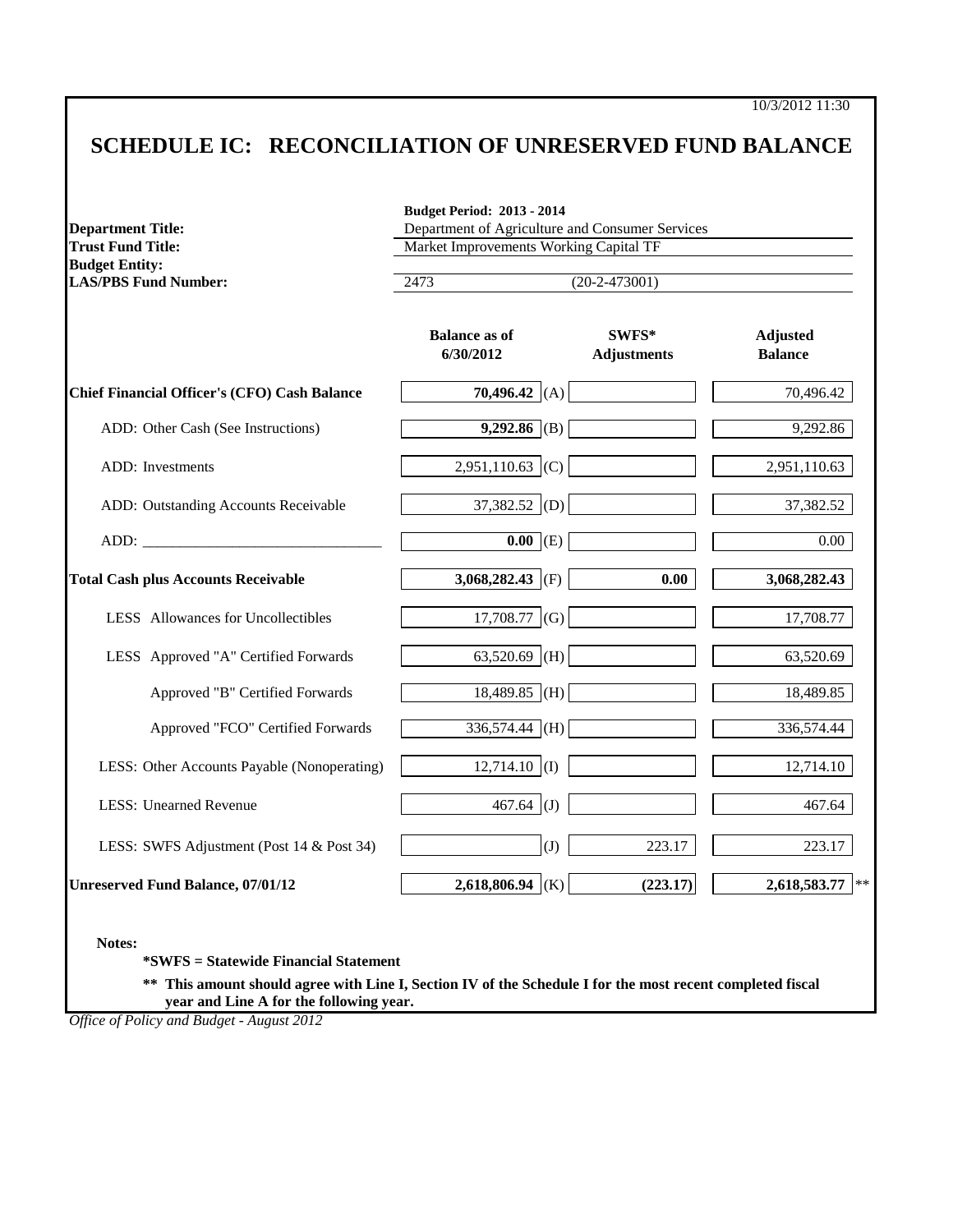10/3/2012 11:30

# **SCHEDULE IC: RECONCILIATION OF UNRESERVED FUND BALANCE**

| <b>Trust Fund Title:</b>                             | Market Improvements Working Capital TF |                             |                                   |  |  |
|------------------------------------------------------|----------------------------------------|-----------------------------|-----------------------------------|--|--|
| <b>Budget Entity:</b><br><b>LAS/PBS Fund Number:</b> | 2473                                   | $(20-2-473001)$             |                                   |  |  |
|                                                      | <b>Balance as of</b><br>6/30/2012      | SWFS*<br><b>Adjustments</b> | <b>Adjusted</b><br><b>Balance</b> |  |  |
| <b>Chief Financial Officer's (CFO) Cash Balance</b>  | 70,496.42 (A)                          |                             | 70,496.42                         |  |  |
| ADD: Other Cash (See Instructions)                   | 9,292.86 (B)                           |                             | 9,292.86                          |  |  |
| <b>ADD</b> : Investments                             | $2,951,110.63$ (C)                     |                             | 2,951,110.63                      |  |  |
| ADD: Outstanding Accounts Receivable                 | $37,382.52$ (D)                        |                             | 37,382.52                         |  |  |
| ADD:                                                 | $\overline{0.00}$<br>(E)               |                             | $0.00\,$                          |  |  |
| <b>Total Cash plus Accounts Receivable</b>           | 3,068,282.43 (F)                       | 0.00                        | 3,068,282.43                      |  |  |
| LESS Allowances for Uncollectibles                   | 17,708.77<br>(G)                       |                             | 17,708.77                         |  |  |
| LESS Approved "A" Certified Forwards                 | (H)<br>63,520.69                       |                             | 63,520.69                         |  |  |
| Approved "B" Certified Forwards                      | $18,489.85$ (H)                        |                             | 18,489.85                         |  |  |
| Approved "FCO" Certified Forwards                    | 336,574.44 (H)                         |                             | 336,574.44                        |  |  |
| LESS: Other Accounts Payable (Nonoperating)          | $12,714.10$ (I)                        |                             | 12,714.10                         |  |  |
| <b>LESS: Unearned Revenue</b>                        | 467.64<br>(J)                          |                             | 467.64                            |  |  |
| LESS: SWFS Adjustment (Post 14 & Post 34)            | (J)                                    | 223.17                      | 223.17                            |  |  |
| <b>Unreserved Fund Balance, 07/01/12</b>             | 2,618,806.94 (K)                       | (223.17)                    | 2,618,583.77<br>$\ast$ $\ast$     |  |  |

**\*\* This amount should agree with Line I, Section IV of the Schedule I for the most recent completed fiscal year and Line A for the following year.**

*Office of Policy and Budget - August 2012*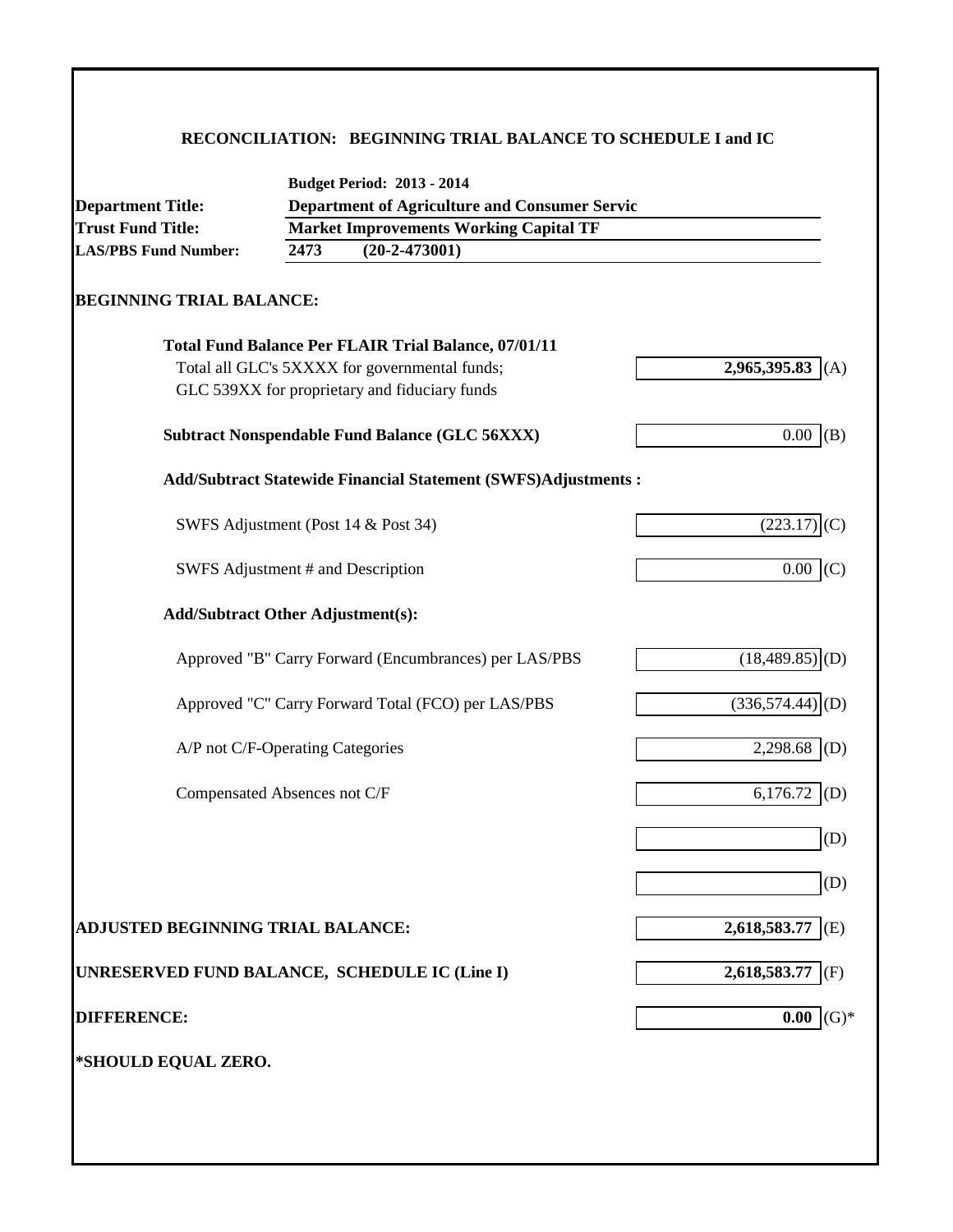### **RECONCILIATION: BEGINNING TRIAL BALANCE TO SCHEDULE I and IC**

|                                                      | <b>Budget Period: 2013 - 2014</b>                                    |                                               |  |  |  |  |
|------------------------------------------------------|----------------------------------------------------------------------|-----------------------------------------------|--|--|--|--|
| <b>Department Title:</b><br><b>Trust Fund Title:</b> | <b>Department of Agriculture and Consumer Servic</b>                 |                                               |  |  |  |  |
| <b>LAS/PBS Fund Number:</b>                          | 2473<br>$(20-2-473001)$                                              | <b>Market Improvements Working Capital TF</b> |  |  |  |  |
|                                                      |                                                                      |                                               |  |  |  |  |
| <b>BEGINNING TRIAL BALANCE:</b>                      |                                                                      |                                               |  |  |  |  |
|                                                      | <b>Total Fund Balance Per FLAIR Trial Balance, 07/01/11</b>          |                                               |  |  |  |  |
|                                                      | Total all GLC's 5XXXX for governmental funds;                        | 2,965,395.83 (A)                              |  |  |  |  |
|                                                      | GLC 539XX for proprietary and fiduciary funds                        |                                               |  |  |  |  |
|                                                      | <b>Subtract Nonspendable Fund Balance (GLC 56XXX)</b>                | 0.00<br>(B)                                   |  |  |  |  |
|                                                      | <b>Add/Subtract Statewide Financial Statement (SWFS)Adjustments:</b> |                                               |  |  |  |  |
|                                                      | SWFS Adjustment (Post 14 & Post 34)                                  | (223.17)<br>(C)                               |  |  |  |  |
|                                                      | SWFS Adjustment # and Description                                    | $0.00$ (C)                                    |  |  |  |  |
|                                                      | <b>Add/Subtract Other Adjustment(s):</b>                             |                                               |  |  |  |  |
|                                                      | Approved "B" Carry Forward (Encumbrances) per LAS/PBS                | $(18,489.85)$ <sub>(D)</sub>                  |  |  |  |  |
|                                                      | Approved "C" Carry Forward Total (FCO) per LAS/PBS                   | $(336,574.44)$ <sub>(D)</sub>                 |  |  |  |  |
|                                                      | A/P not C/F-Operating Categories                                     | 2,298.68<br>(D)                               |  |  |  |  |
|                                                      | Compensated Absences not C/F                                         | 6,176.72<br>(D)                               |  |  |  |  |
|                                                      |                                                                      | (D)                                           |  |  |  |  |
|                                                      |                                                                      | (D)                                           |  |  |  |  |
| <b>ADJUSTED BEGINNING TRIAL BALANCE:</b>             |                                                                      | 2,618,583.77<br>(E)                           |  |  |  |  |
|                                                      | UNRESERVED FUND BALANCE, SCHEDULE IC (Line I)                        | 2,618,583.77<br>(F)                           |  |  |  |  |
| <b>DIFFERENCE:</b>                                   |                                                                      | $(G)*$<br>0.00                                |  |  |  |  |
| *SHOULD EQUAL ZERO.                                  |                                                                      |                                               |  |  |  |  |
|                                                      |                                                                      |                                               |  |  |  |  |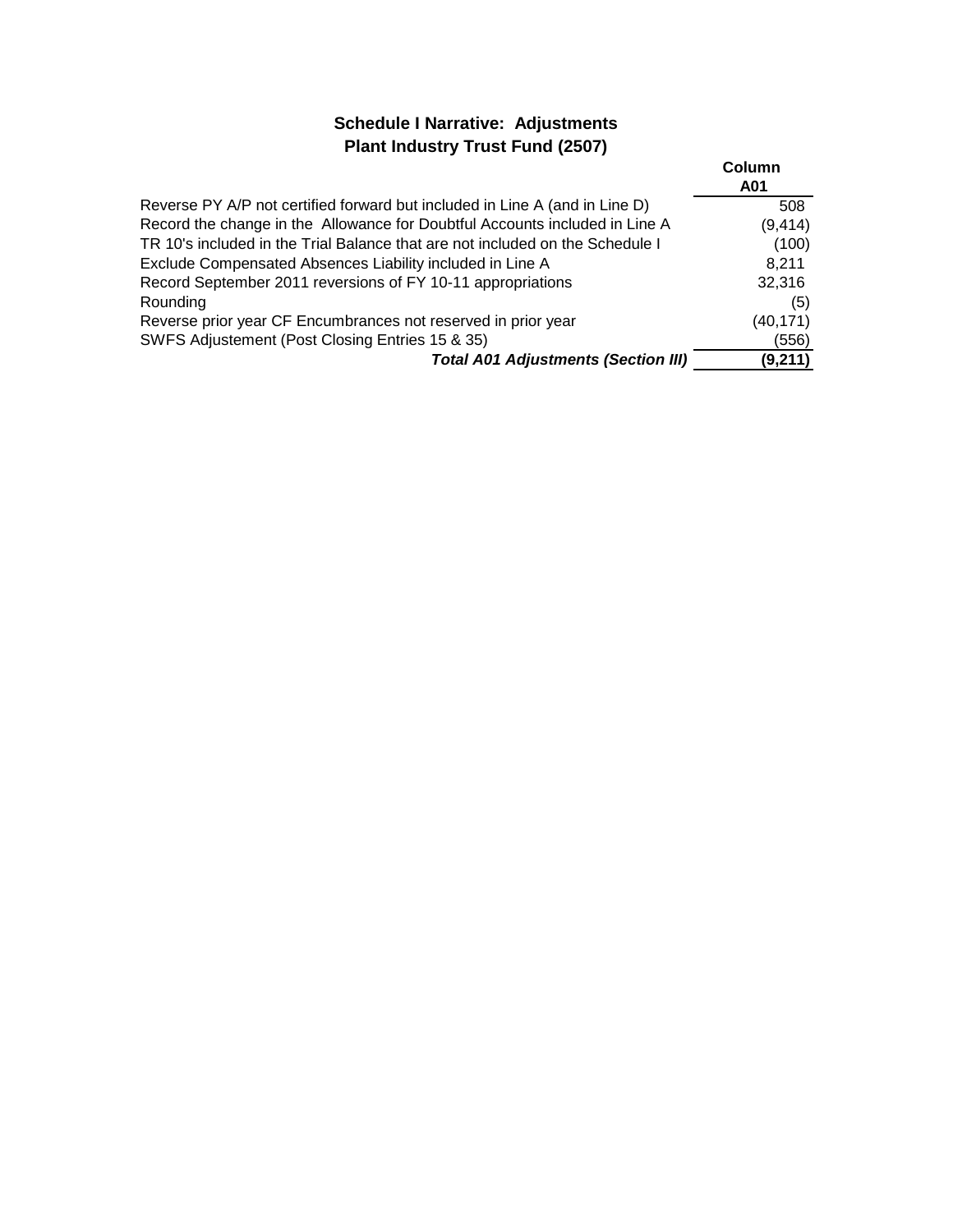## **Schedule I Narrative: Adjustments Plant Industry Trust Fund (2507)**

|                                                                               | Column<br>A01 |
|-------------------------------------------------------------------------------|---------------|
| Reverse PY A/P not certified forward but included in Line A (and in Line D)   | 508           |
| Record the change in the Allowance for Doubtful Accounts included in Line A   | (9, 414)      |
| TR 10's included in the Trial Balance that are not included on the Schedule I | (100)         |
| Exclude Compensated Absences Liability included in Line A                     | 8,211         |
| Record September 2011 reversions of FY 10-11 appropriations                   | 32,316        |
| Rounding                                                                      | (5)           |
| Reverse prior year CF Encumbrances not reserved in prior year                 | (40, 171)     |
| SWFS Adjustement (Post Closing Entries 15 & 35)                               | (556)         |
| <b>Total A01 Adjustments (Section III)</b>                                    | (9,211)       |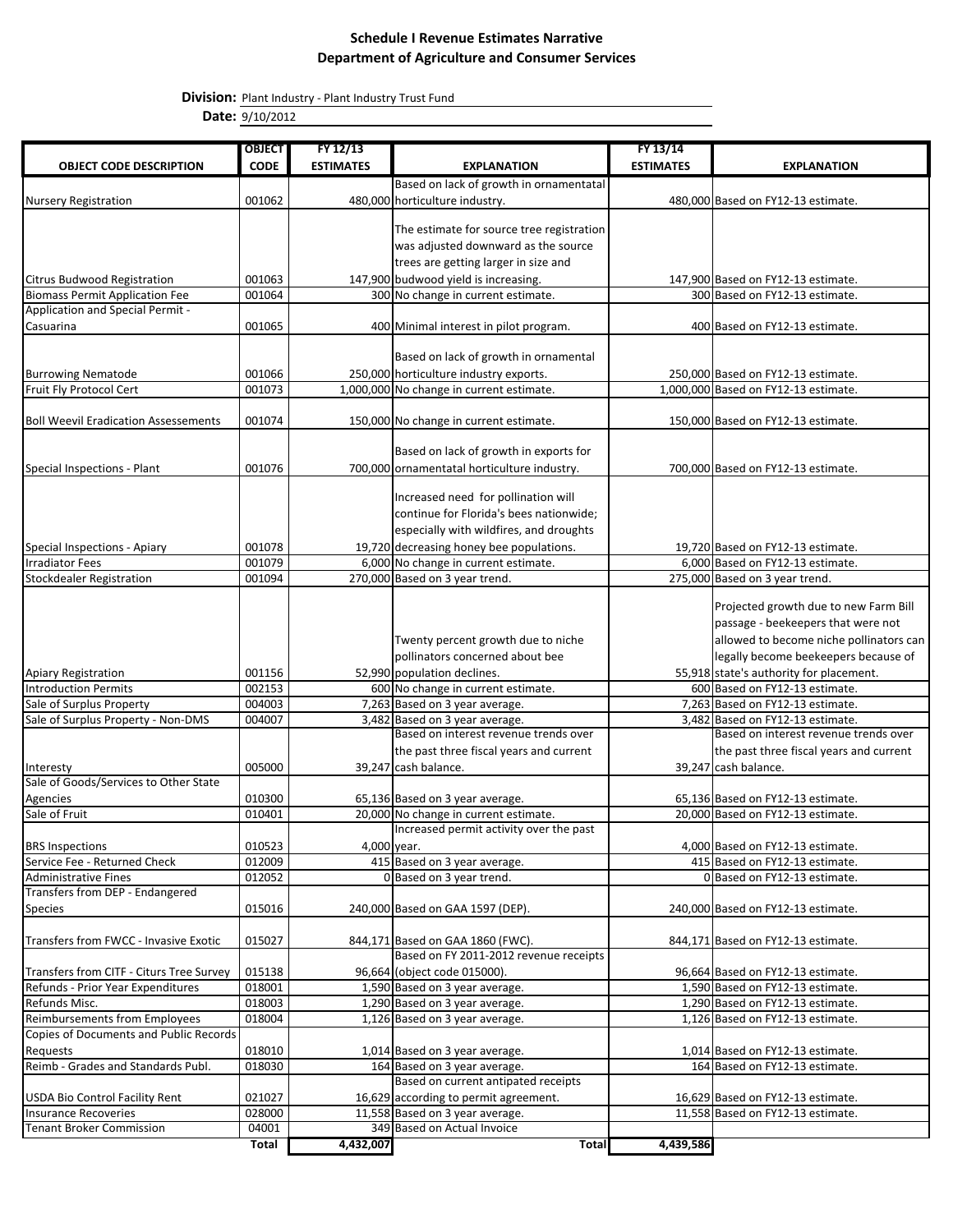#### **Schedule I Revenue Estimates Narrative Department of Agriculture and Consumer Services**

**Division:** Plant Industry - Plant Industry Trust Fund

**Date:** 9/10/2012

|                                                                | <b>OBJECT</b>    | FY 12/13         |                                                                                                                           | FY 13/14         |                                                                                                                                                                                                           |
|----------------------------------------------------------------|------------------|------------------|---------------------------------------------------------------------------------------------------------------------------|------------------|-----------------------------------------------------------------------------------------------------------------------------------------------------------------------------------------------------------|
| <b>OBJECT CODE DESCRIPTION</b>                                 | <b>CODE</b>      | <b>ESTIMATES</b> | <b>EXPLANATION</b>                                                                                                        | <b>ESTIMATES</b> | <b>EXPLANATION</b>                                                                                                                                                                                        |
| <b>Nursery Registration</b>                                    | 001062           |                  | Based on lack of growth in ornamentatal<br>480,000 horticulture industry.                                                 |                  | 480,000 Based on FY12-13 estimate.                                                                                                                                                                        |
|                                                                |                  |                  | The estimate for source tree registration<br>was adjusted downward as the source<br>trees are getting larger in size and  |                  |                                                                                                                                                                                                           |
| Citrus Budwood Registration                                    | 001063           |                  | 147,900 budwood yield is increasing.                                                                                      |                  | 147,900 Based on FY12-13 estimate.                                                                                                                                                                        |
| <b>Biomass Permit Application Fee</b>                          | 001064           |                  | 300 No change in current estimate.                                                                                        |                  | 300 Based on FY12-13 estimate.                                                                                                                                                                            |
| <b>Application and Special Permit -</b>                        |                  |                  |                                                                                                                           |                  |                                                                                                                                                                                                           |
| Casuarina                                                      | 001065           |                  | 400 Minimal interest in pilot program.                                                                                    |                  | 400 Based on FY12-13 estimate.                                                                                                                                                                            |
| <b>Burrowing Nematode</b>                                      | 001066           |                  | Based on lack of growth in ornamental<br>250,000 horticulture industry exports.                                           |                  | 250,000 Based on FY12-13 estimate.                                                                                                                                                                        |
| Fruit Fly Protocol Cert                                        | 001073           |                  | 1,000,000 No change in current estimate.                                                                                  |                  | 1,000,000 Based on FY12-13 estimate.                                                                                                                                                                      |
| <b>Boll Weevil Eradication Assessements</b>                    | 001074           |                  | 150,000 No change in current estimate.                                                                                    |                  | 150,000 Based on FY12-13 estimate.                                                                                                                                                                        |
| Special Inspections - Plant                                    | 001076           |                  | Based on lack of growth in exports for<br>700,000 ornamentatal horticulture industry.                                     |                  | 700,000 Based on FY12-13 estimate.                                                                                                                                                                        |
|                                                                |                  |                  | Increased need for pollination will<br>continue for Florida's bees nationwide;<br>especially with wildfires, and droughts |                  |                                                                                                                                                                                                           |
| Special Inspections - Apiary<br><b>Irradiator Fees</b>         | 001078           |                  | 19,720 decreasing honey bee populations.                                                                                  |                  | 19,720 Based on FY12-13 estimate.                                                                                                                                                                         |
| <b>Stockdealer Registration</b>                                | 001079<br>001094 |                  | 6,000 No change in current estimate.<br>270,000 Based on 3 year trend.                                                    |                  | 6,000 Based on FY12-13 estimate.<br>275,000 Based on 3 year trend.                                                                                                                                        |
|                                                                |                  |                  |                                                                                                                           |                  |                                                                                                                                                                                                           |
| <b>Apiary Registration</b>                                     | 001156           |                  | Twenty percent growth due to niche<br>pollinators concerned about bee<br>52,990 population declines.                      |                  | Projected growth due to new Farm Bill<br>passage - beekeepers that were not<br>allowed to become niche pollinators can<br>legally become beekeepers because of<br>55,918 state's authority for placement. |
| <b>Introduction Permits</b>                                    | 002153           |                  | 600 No change in current estimate.                                                                                        |                  | 600 Based on FY12-13 estimate.                                                                                                                                                                            |
| Sale of Surplus Property                                       | 004003           |                  | 7,263 Based on 3 year average.                                                                                            |                  | 7,263 Based on FY12-13 estimate.                                                                                                                                                                          |
| Sale of Surplus Property - Non-DMS                             | 004007           |                  | 3,482 Based on 3 year average.                                                                                            |                  | 3,482 Based on FY12-13 estimate.                                                                                                                                                                          |
|                                                                |                  |                  | Based on interest revenue trends over<br>the past three fiscal years and current                                          |                  | Based on interest revenue trends over<br>the past three fiscal years and current                                                                                                                          |
| Interesty                                                      | 005000           |                  | 39,247 cash balance.                                                                                                      |                  | 39,247 cash balance.                                                                                                                                                                                      |
| Sale of Goods/Services to Other State                          |                  |                  |                                                                                                                           |                  |                                                                                                                                                                                                           |
| Agencies<br>Sale of Fruit                                      | 010300<br>010401 |                  | 65,136 Based on 3 year average.<br>20,000 No change in current estimate.                                                  |                  | 65,136 Based on FY12-13 estimate.<br>20,000 Based on FY12-13 estimate.                                                                                                                                    |
|                                                                |                  |                  | Increased permit activity over the past                                                                                   |                  |                                                                                                                                                                                                           |
| <b>BRS</b> Inspections                                         | 010523           | 4,000 year.      |                                                                                                                           |                  | 4,000 Based on FY12-13 estimate.                                                                                                                                                                          |
| Service Fee - Returned Check                                   | 012009           |                  | 415 Based on 3 year average.                                                                                              |                  | 415 Based on FY12-13 estimate.                                                                                                                                                                            |
| <b>Administrative Fines</b>                                    | 012052           |                  | 0 Based on 3 year trend.                                                                                                  |                  | 0 Based on FY12-13 estimate.                                                                                                                                                                              |
| Transfers from DEP - Endangered<br><b>Species</b>              | 015016           |                  | 240,000 Based on GAA 1597 (DEP).                                                                                          |                  | 240,000 Based on FY12-13 estimate.                                                                                                                                                                        |
| Transfers from FWCC - Invasive Exotic                          | 015027           |                  | 844,171 Based on GAA 1860 (FWC).                                                                                          |                  | 844,171 Based on FY12-13 estimate.                                                                                                                                                                        |
| Transfers from CITF - Citurs Tree Survey                       | 015138           |                  | Based on FY 2011-2012 revenue receipts<br>96,664 (object code 015000).                                                    |                  | 96,664 Based on FY12-13 estimate.                                                                                                                                                                         |
| Refunds - Prior Year Expenditures                              | 018001           |                  | 1,590 Based on 3 year average.                                                                                            |                  | 1,590 Based on FY12-13 estimate.                                                                                                                                                                          |
| Refunds Misc.                                                  | 018003           |                  | 1,290 Based on 3 year average.                                                                                            |                  | 1,290 Based on FY12-13 estimate.                                                                                                                                                                          |
| Reimbursements from Employees                                  | 018004           |                  | 1,126 Based on 3 year average.                                                                                            |                  | 1,126 Based on FY12-13 estimate.                                                                                                                                                                          |
| Copies of Documents and Public Records<br>Requests             | 018010           |                  | 1,014 Based on 3 year average.                                                                                            |                  | 1,014 Based on FY12-13 estimate.                                                                                                                                                                          |
| Reimb - Grades and Standards Publ.                             | 018030           |                  | 164 Based on 3 year average.                                                                                              |                  | 164 Based on FY12-13 estimate.                                                                                                                                                                            |
|                                                                |                  |                  | Based on current antipated receipts                                                                                       |                  |                                                                                                                                                                                                           |
| <b>USDA Bio Control Facility Rent</b>                          | 021027           |                  | 16,629 according to permit agreement.                                                                                     |                  | 16,629 Based on FY12-13 estimate.                                                                                                                                                                         |
| <b>Insurance Recoveries</b><br><b>Tenant Broker Commission</b> | 028000<br>04001  |                  | 11,558 Based on 3 year average.<br>349 Based on Actual Invoice                                                            |                  | 11,558 Based on FY12-13 estimate.                                                                                                                                                                         |
|                                                                | Total            | 4,432,007        | <b>Total</b>                                                                                                              | 4,439,586        |                                                                                                                                                                                                           |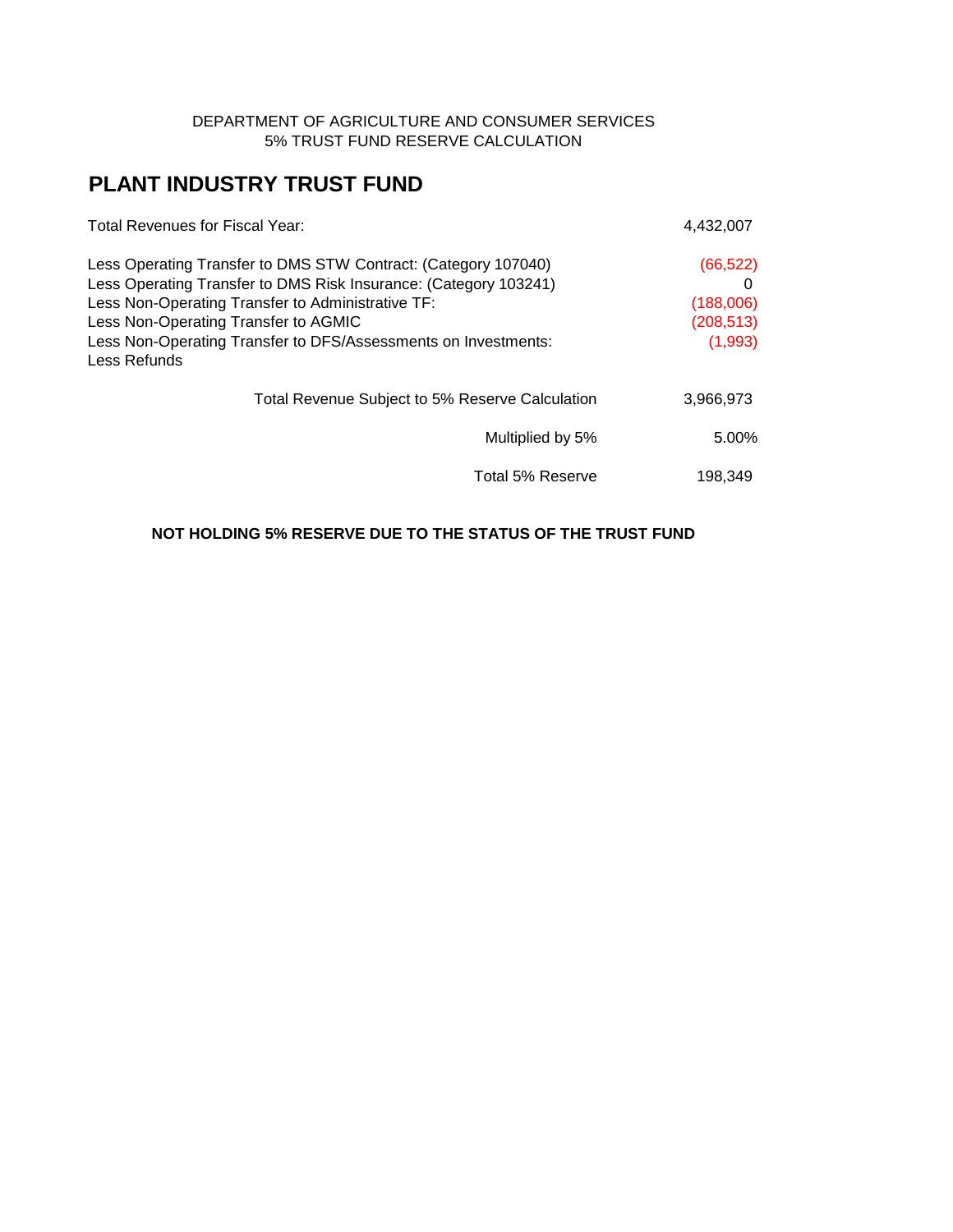#### DEPARTMENT OF AGRICULTURE AND CONSUMER SERVICES 5% TRUST FUND RESERVE CALCULATION

# **PLANT INDUSTRY TRUST FUND**

| Total Revenues for Fiscal Year:                                  | 4.432.007  |
|------------------------------------------------------------------|------------|
| Less Operating Transfer to DMS STW Contract: (Category 107040)   | (66, 522)  |
| Less Operating Transfer to DMS Risk Insurance: (Category 103241) | 0          |
| Less Non-Operating Transfer to Administrative TF:                | (188,006)  |
| Less Non-Operating Transfer to AGMIC                             | (208, 513) |
| Less Non-Operating Transfer to DFS/Assessments on Investments:   | (1,993)    |
| Less Refunds                                                     |            |
| Total Revenue Subject to 5% Reserve Calculation                  | 3,966,973  |
| Multiplied by 5%                                                 | $5.00\%$   |
| Total 5% Reserve                                                 | 198.349    |

#### **NOT HOLDING 5% RESERVE DUE TO THE STATUS OF THE TRUST FUND**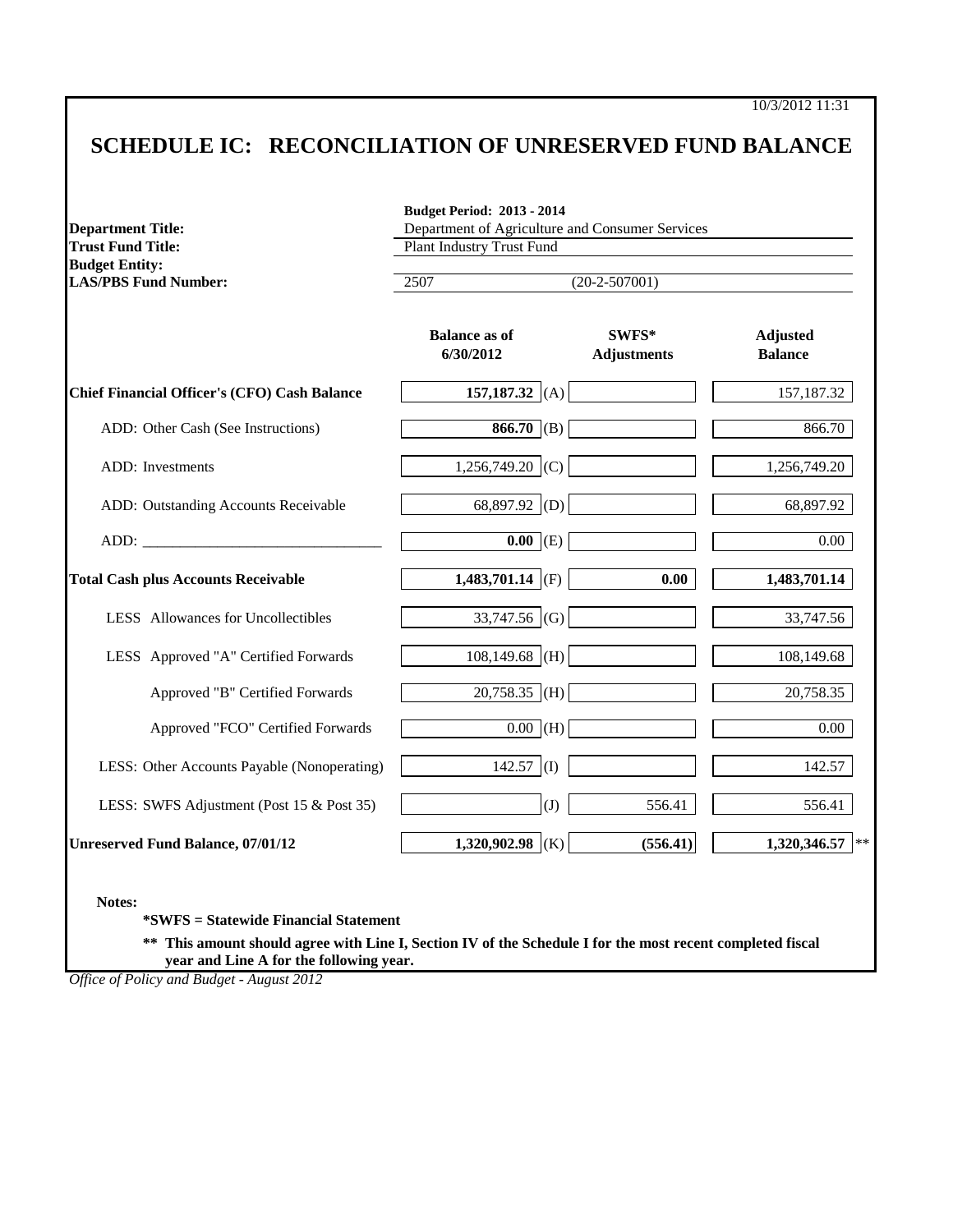10/3/2012 11:31

## **SCHEDULE IC: RECONCILIATION OF UNRESERVED FUND BALANCE**

| <b>Department Title:</b><br><b>Trust Fund Title:</b> | Department of Agriculture and Consumer Services<br><b>Plant Industry Trust Fund</b> |                             |                                   |  |
|------------------------------------------------------|-------------------------------------------------------------------------------------|-----------------------------|-----------------------------------|--|
| <b>Budget Entity:</b><br><b>LAS/PBS Fund Number:</b> | 2507                                                                                | $(20-2-507001)$             |                                   |  |
|                                                      | <b>Balance as of</b><br>6/30/2012                                                   | SWFS*<br><b>Adjustments</b> | <b>Adjusted</b><br><b>Balance</b> |  |
| <b>Chief Financial Officer's (CFO) Cash Balance</b>  | 157,187.32 (A)                                                                      |                             | 157,187.32                        |  |
| ADD: Other Cash (See Instructions)                   | 866.70 (B)                                                                          |                             | 866.70                            |  |
| <b>ADD</b> : Investments                             | 1,256,749.20 (C)                                                                    |                             | 1,256,749.20                      |  |
| ADD: Outstanding Accounts Receivable                 | 68,897.92 (D)                                                                       |                             | 68,897.92                         |  |
|                                                      | $\overline{0.00}$ (E)                                                               |                             | 0.00                              |  |
| <b>Total Cash plus Accounts Receivable</b>           | 1,483,701.14 (F)                                                                    | 0.00                        | 1,483,701.14                      |  |
| LESS Allowances for Uncollectibles                   | 33,747.56 (G)                                                                       |                             | 33,747.56                         |  |
| LESS Approved "A" Certified Forwards                 | $108,149.68$ (H)                                                                    |                             | 108,149.68                        |  |
| Approved "B" Certified Forwards                      | $20,758.35$ (H)                                                                     |                             | 20,758.35                         |  |
| Approved "FCO" Certified Forwards                    | $0.00$ (H)                                                                          |                             | 0.00                              |  |
| LESS: Other Accounts Payable (Nonoperating)          | 142.57 (I)                                                                          |                             | 142.57                            |  |
| LESS: SWFS Adjustment (Post 15 & Post 35)            | (J)                                                                                 | 556.41                      | 556.41                            |  |
| <b>Unreserved Fund Balance, 07/01/12</b>             | 1,320,902.98 (K)                                                                    | (556.41)                    | 1,320,346.57                      |  |

**Notes:**

**\*SWFS = Statewide Financial Statement** 

**\*\* This amount should agree with Line I, Section IV of the Schedule I for the most recent completed fiscal year and Line A for the following year.**

*Office of Policy and Budget - August 2012*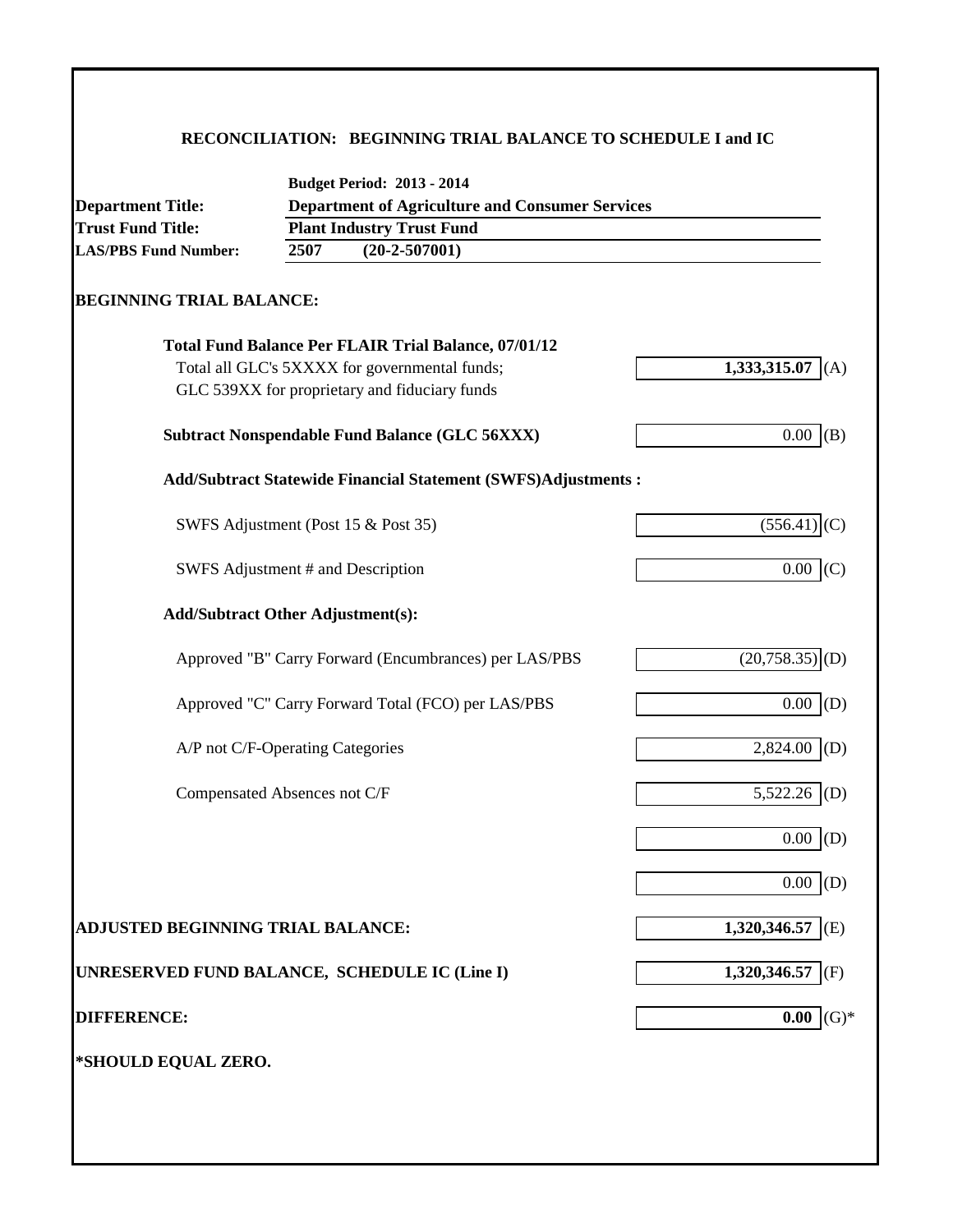### **RECONCILIATION: BEGINNING TRIAL BALANCE TO SCHEDULE I and IC**

| <b>Department Title:</b>                      | <b>Department of Agriculture and Consumer Services</b> |                                                                      |                              |  |  |
|-----------------------------------------------|--------------------------------------------------------|----------------------------------------------------------------------|------------------------------|--|--|
| <b>Trust Fund Title:</b>                      | <b>Plant Industry Trust Fund</b>                       |                                                                      |                              |  |  |
| <b>LAS/PBS Fund Number:</b>                   | 2507                                                   | $(20-2-507001)$                                                      |                              |  |  |
| <b>BEGINNING TRIAL BALANCE:</b>               |                                                        |                                                                      |                              |  |  |
|                                               |                                                        | <b>Total Fund Balance Per FLAIR Trial Balance, 07/01/12</b>          |                              |  |  |
|                                               |                                                        | Total all GLC's 5XXXX for governmental funds;                        | 1,333,315.07<br>(A)          |  |  |
|                                               |                                                        | GLC 539XX for proprietary and fiduciary funds                        |                              |  |  |
|                                               |                                                        | <b>Subtract Nonspendable Fund Balance (GLC 56XXX)</b>                | 0.00<br>(B)                  |  |  |
|                                               |                                                        | <b>Add/Subtract Statewide Financial Statement (SWFS)Adjustments:</b> |                              |  |  |
|                                               |                                                        | SWFS Adjustment (Post 15 & Post 35)                                  | (556.41)                     |  |  |
| SWFS Adjustment # and Description             |                                                        |                                                                      | 0.00<br>(C)                  |  |  |
| <b>Add/Subtract Other Adjustment(s):</b>      |                                                        |                                                                      |                              |  |  |
|                                               |                                                        | Approved "B" Carry Forward (Encumbrances) per LAS/PBS                | $(20,758.35)$ <sub>(D)</sub> |  |  |
|                                               |                                                        | Approved "C" Carry Forward Total (FCO) per LAS/PBS                   | $0.00\,$<br>(D)              |  |  |
| A/P not C/F-Operating Categories              |                                                        |                                                                      | 2,824.00<br>(D)              |  |  |
| Compensated Absences not C/F                  |                                                        |                                                                      | 5,522.26<br>(D)              |  |  |
|                                               |                                                        |                                                                      | 0.00<br>(D)                  |  |  |
|                                               |                                                        |                                                                      | 0.00<br>(D)                  |  |  |
| ADJUSTED BEGINNING TRIAL BALANCE:             |                                                        |                                                                      | 1,320,346.57<br>(E)          |  |  |
| UNRESERVED FUND BALANCE, SCHEDULE IC (Line I) |                                                        |                                                                      | 1,320,346.57 (F)             |  |  |
| <b>DIFFERENCE:</b>                            |                                                        |                                                                      | $(G)*$<br>0.00               |  |  |
| *SHOULD EQUAL ZERO.                           |                                                        |                                                                      |                              |  |  |
|                                               |                                                        |                                                                      |                              |  |  |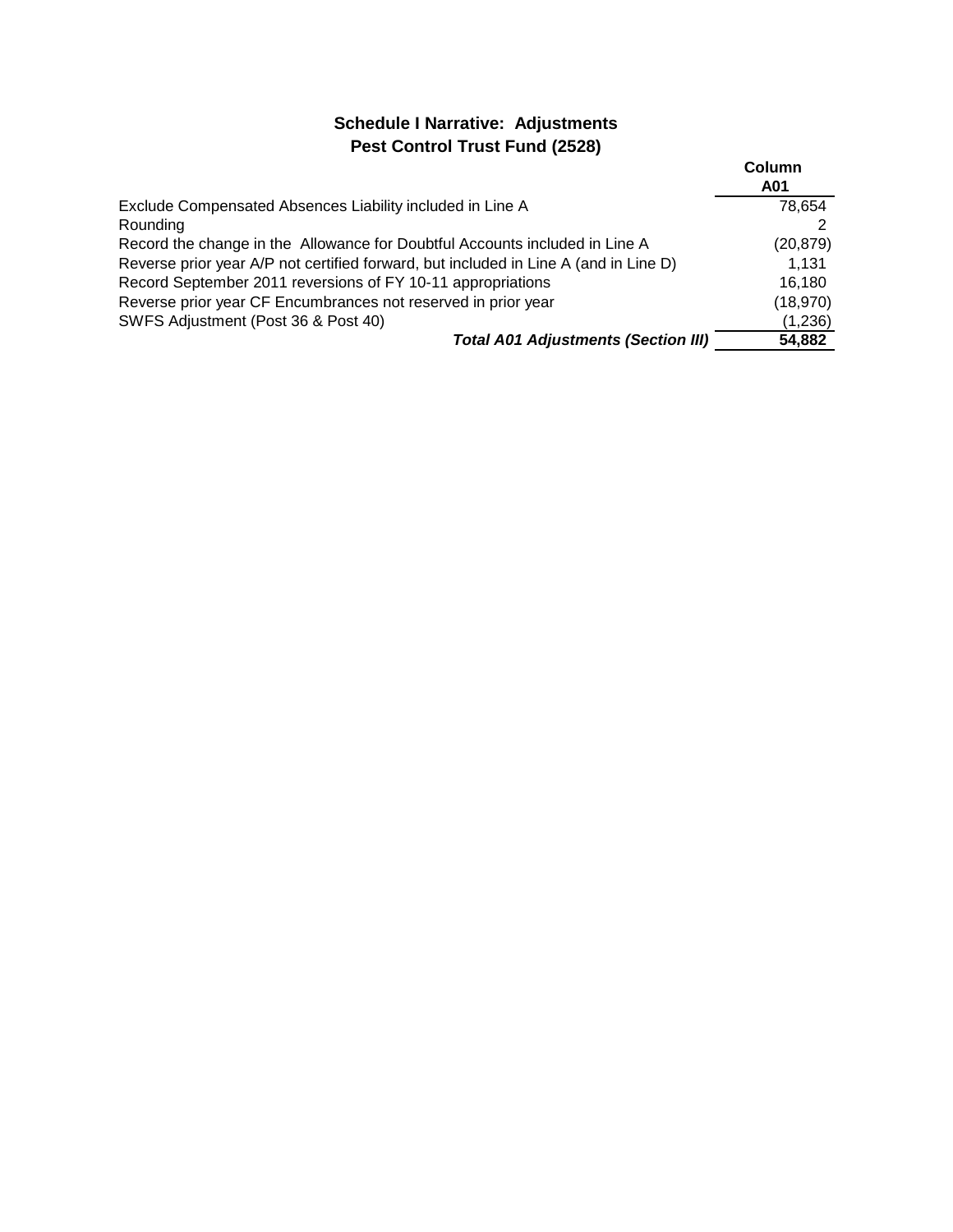### **Schedule I Narrative: Adjustments Pest Control Trust Fund (2528)**

|                                                                                      | Column<br>A01 |
|--------------------------------------------------------------------------------------|---------------|
| Exclude Compensated Absences Liability included in Line A                            | 78.654        |
| Rounding                                                                             |               |
| Record the change in the Allowance for Doubtful Accounts included in Line A          | (20, 879)     |
| Reverse prior year A/P not certified forward, but included in Line A (and in Line D) | 1.131         |
| Record September 2011 reversions of FY 10-11 appropriations                          | 16,180        |
| Reverse prior year CF Encumbrances not reserved in prior year                        | (18,970)      |
| SWFS Adjustment (Post 36 & Post 40)                                                  | (1,236)       |
| <b>Total A01 Adjustments (Section III)</b>                                           | 54,882        |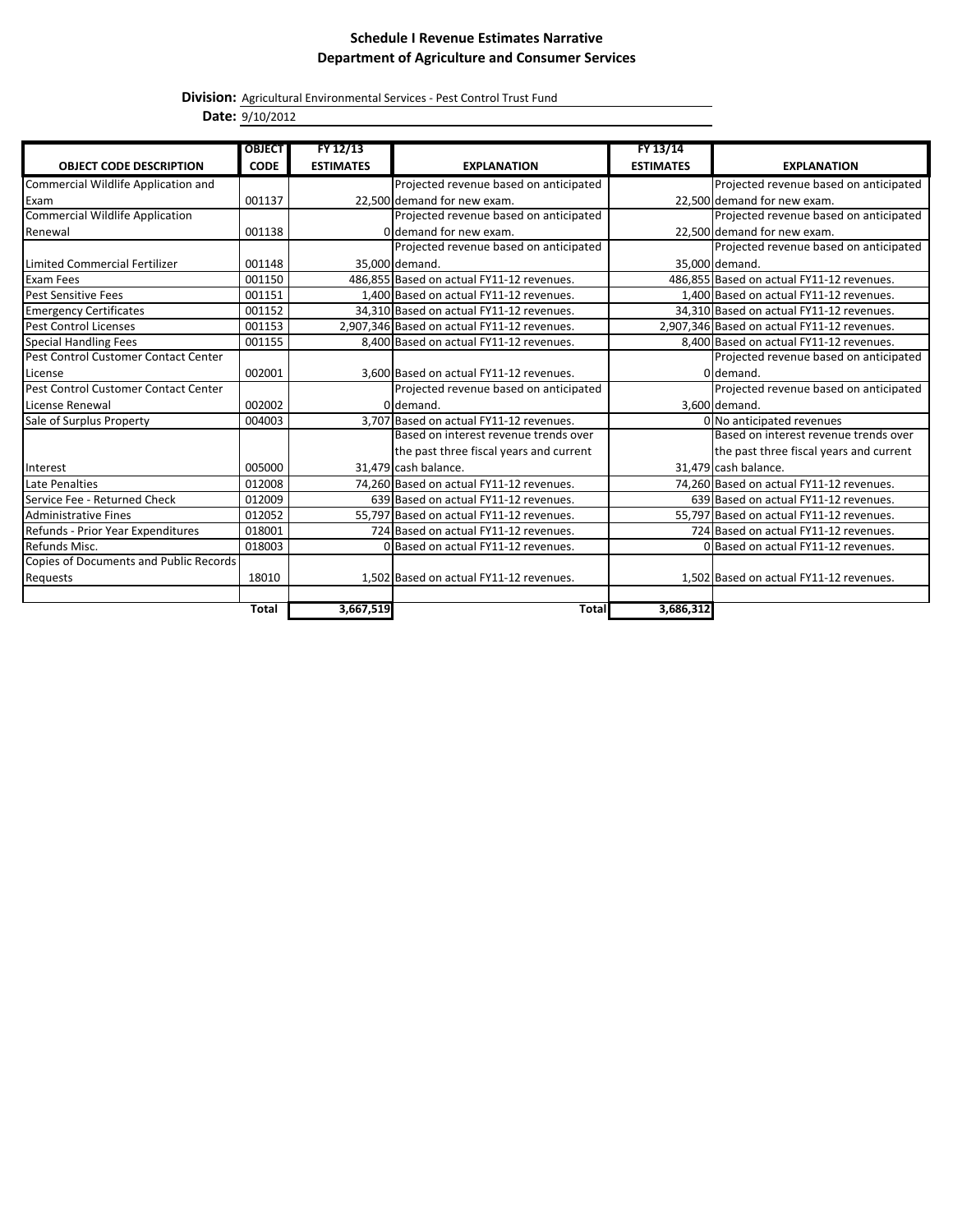#### **Schedule I Revenue Estimates Narrative Department of Agriculture and Consumer Services**

**Division:** Agricultural Environmental Services - Pest Control Trust Fund

**Date:** 9/10/2012

|                                        | <b>OBJECT</b> | FY 12/13         |                                             | FY 13/14         |                                             |
|----------------------------------------|---------------|------------------|---------------------------------------------|------------------|---------------------------------------------|
| <b>OBJECT CODE DESCRIPTION</b>         | <b>CODE</b>   | <b>ESTIMATES</b> | <b>EXPLANATION</b>                          | <b>ESTIMATES</b> | <b>EXPLANATION</b>                          |
| Commercial Wildlife Application and    |               |                  | Projected revenue based on anticipated      |                  | Projected revenue based on anticipated      |
| Exam                                   | 001137        |                  | 22,500 demand for new exam.                 |                  | 22,500 demand for new exam.                 |
| Commercial Wildlife Application        |               |                  | Projected revenue based on anticipated      |                  | Projected revenue based on anticipated      |
| Renewal                                | 001138        |                  | O demand for new exam.                      |                  | 22,500 demand for new exam.                 |
|                                        |               |                  | Projected revenue based on anticipated      |                  | Projected revenue based on anticipated      |
| Limited Commercial Fertilizer          | 001148        |                  | 35.000 demand.                              |                  | 35.000 demand.                              |
| Exam Fees                              | 001150        |                  | 486,855 Based on actual FY11-12 revenues.   |                  | 486,855 Based on actual FY11-12 revenues.   |
| <b>Pest Sensitive Fees</b>             | 001151        |                  | 1.400 Based on actual FY11-12 revenues.     |                  | 1.400 Based on actual FY11-12 revenues.     |
| <b>Emergency Certificates</b>          | 001152        |                  | 34,310 Based on actual FY11-12 revenues.    |                  | 34,310 Based on actual FY11-12 revenues.    |
| <b>Pest Control Licenses</b>           | 001153        |                  | 2,907,346 Based on actual FY11-12 revenues. |                  | 2,907,346 Based on actual FY11-12 revenues. |
| <b>Special Handling Fees</b>           | 001155        |                  | 8,400 Based on actual FY11-12 revenues.     |                  | 8,400 Based on actual FY11-12 revenues.     |
| Pest Control Customer Contact Center   |               |                  |                                             |                  | Projected revenue based on anticipated      |
| License                                | 002001        |                  | 3,600 Based on actual FY11-12 revenues.     |                  | 0 demand.                                   |
| Pest Control Customer Contact Center   |               |                  | Projected revenue based on anticipated      |                  | Projected revenue based on anticipated      |
| License Renewal                        | 002002        |                  | Oldemand.                                   |                  | 3.600 demand.                               |
| Sale of Surplus Property               | 004003        |                  | 3.707 Based on actual FY11-12 revenues.     |                  | 0 No anticipated revenues                   |
|                                        |               |                  | Based on interest revenue trends over       |                  | Based on interest revenue trends over       |
|                                        |               |                  | the past three fiscal years and current     |                  | the past three fiscal years and current     |
| Interest                               | 005000        |                  | 31,479 cash balance.                        |                  | 31,479 cash balance.                        |
| Late Penalties                         | 012008        |                  | 74,260 Based on actual FY11-12 revenues.    |                  | 74,260 Based on actual FY11-12 revenues.    |
| Service Fee - Returned Check           | 012009        |                  | 639 Based on actual FY11-12 revenues.       |                  | 639 Based on actual FY11-12 revenues.       |
| <b>Administrative Fines</b>            | 012052        |                  | 55,797 Based on actual FY11-12 revenues.    |                  | 55,797 Based on actual FY11-12 revenues.    |
| Refunds - Prior Year Expenditures      | 018001        |                  | 724 Based on actual FY11-12 revenues.       |                  | 724 Based on actual FY11-12 revenues.       |
| Refunds Misc.                          | 018003        |                  | O Based on actual FY11-12 revenues.         |                  | O Based on actual FY11-12 revenues.         |
| Copies of Documents and Public Records |               |                  |                                             |                  |                                             |
| Requests                               | 18010         |                  | 1,502 Based on actual FY11-12 revenues.     |                  | 1,502 Based on actual FY11-12 revenues.     |
|                                        |               |                  |                                             |                  |                                             |
|                                        | <b>Total</b>  | 3,667,519        | <b>Total</b>                                | 3,686,312        |                                             |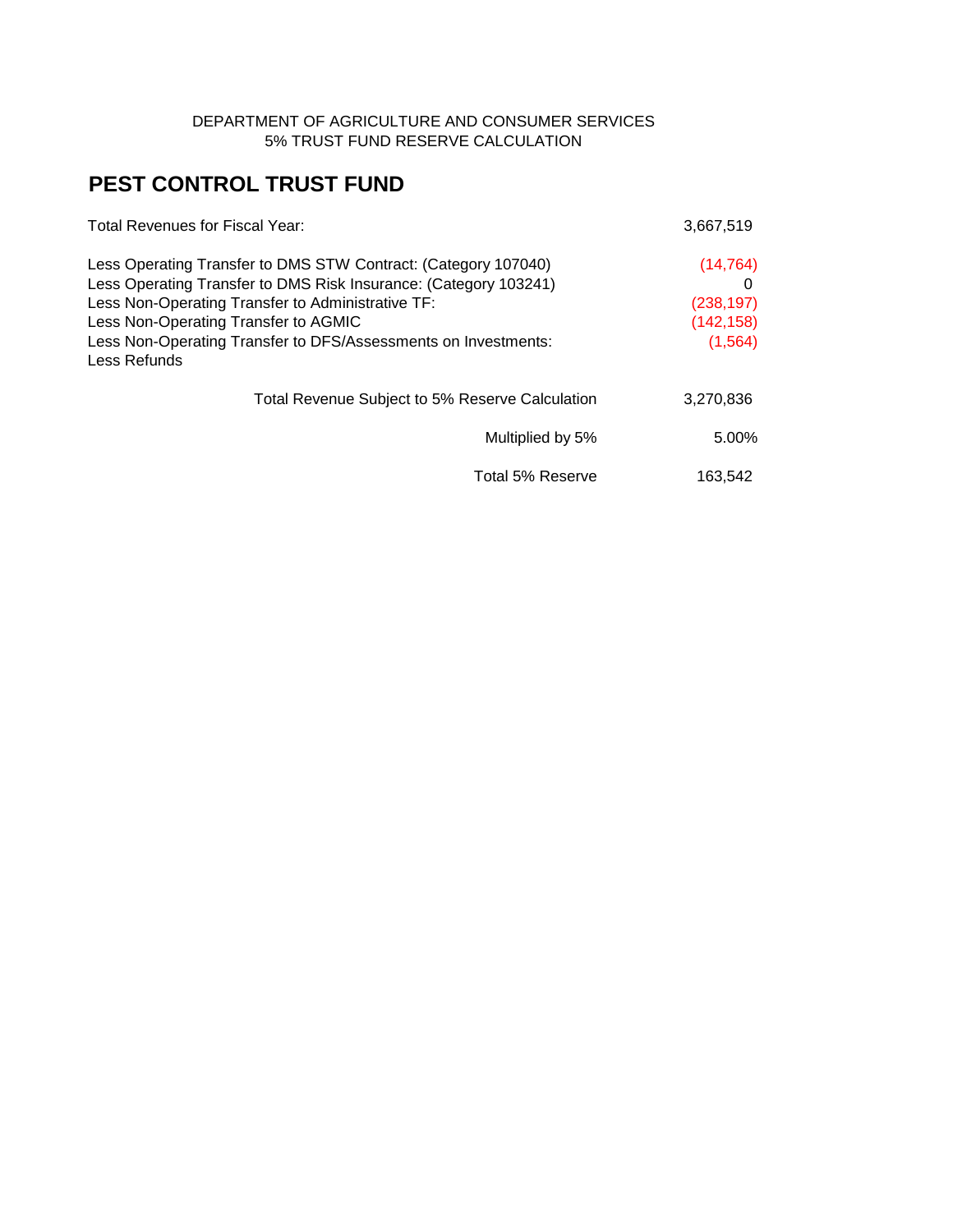#### DEPARTMENT OF AGRICULTURE AND CONSUMER SERVICES 5% TRUST FUND RESERVE CALCULATION

# **PEST CONTROL TRUST FUND**

| Total Revenues for Fiscal Year:                                  | 3,667,519  |
|------------------------------------------------------------------|------------|
| Less Operating Transfer to DMS STW Contract: (Category 107040)   | (14, 764)  |
| Less Operating Transfer to DMS Risk Insurance: (Category 103241) |            |
| Less Non-Operating Transfer to Administrative TF:                | (238, 197) |
| Less Non-Operating Transfer to AGMIC                             | (142, 158) |
| Less Non-Operating Transfer to DFS/Assessments on Investments:   | (1, 564)   |
| Less Refunds                                                     |            |
| Total Revenue Subject to 5% Reserve Calculation                  | 3,270,836  |
| Multiplied by 5%                                                 | 5.00%      |
| Total 5% Reserve                                                 | 163.542    |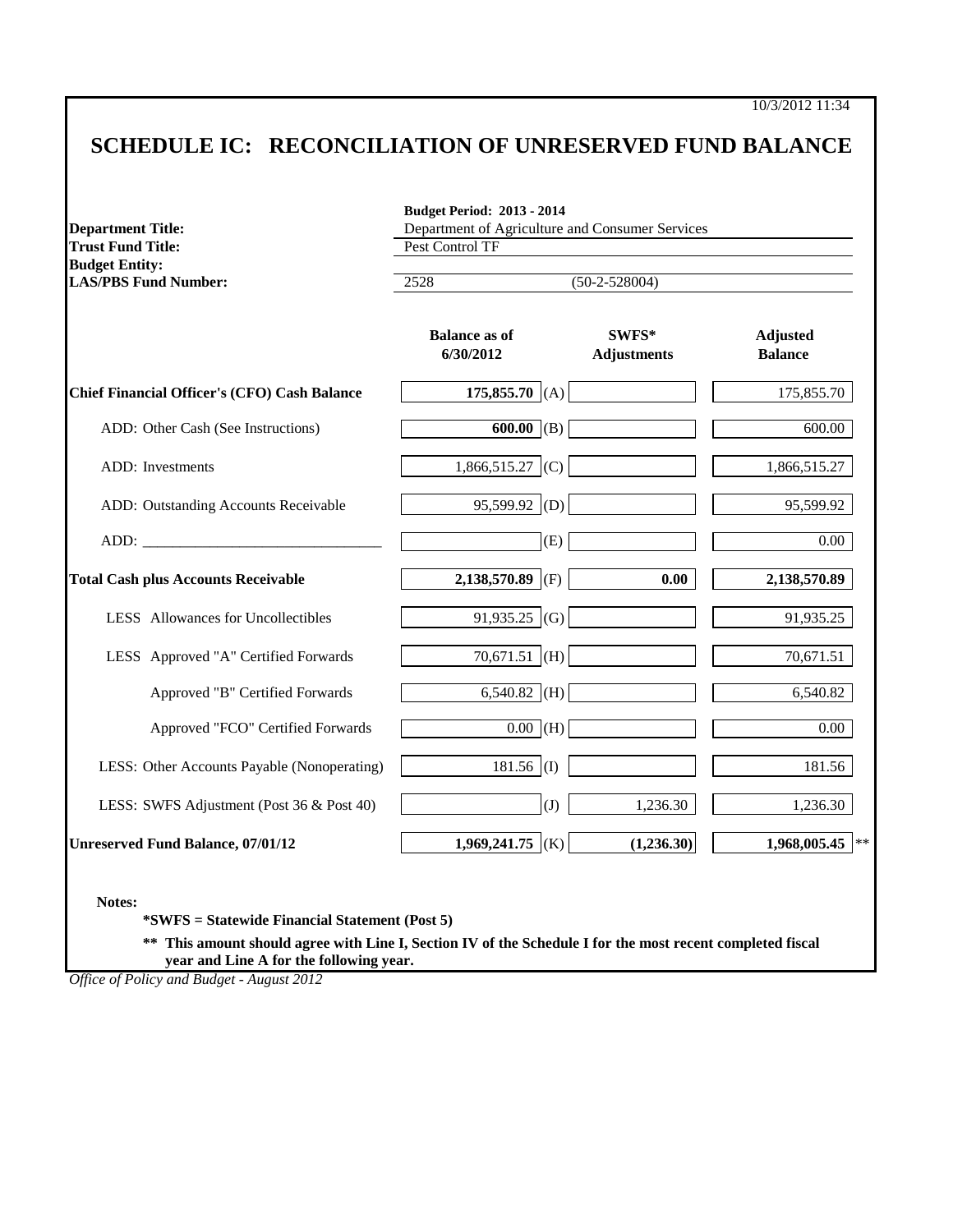## **SCHEDULE IC: RECONCILIATION OF UNRESERVED FUND BALANCE**

| <b>Department Title:</b><br><b>Trust Fund Title:</b> | Department of Agriculture and Consumer Services<br>Pest Control TF |                             |                                   |  |
|------------------------------------------------------|--------------------------------------------------------------------|-----------------------------|-----------------------------------|--|
| <b>Budget Entity:</b><br><b>LAS/PBS Fund Number:</b> | 2528<br>$(50-2-528004)$                                            |                             |                                   |  |
|                                                      | <b>Balance as of</b><br>6/30/2012                                  | SWFS*<br><b>Adjustments</b> | <b>Adjusted</b><br><b>Balance</b> |  |
| <b>Chief Financial Officer's (CFO) Cash Balance</b>  | 175,855.70 (A)                                                     |                             | 175,855.70                        |  |
| ADD: Other Cash (See Instructions)                   | $\overline{600.00}$ (B)                                            |                             | 600.00                            |  |
| <b>ADD</b> : Investments                             | $1,866,515.27$ (C)                                                 |                             | 1,866,515.27                      |  |
| ADD: Outstanding Accounts Receivable                 | $95,599.92$ (D)                                                    |                             | 95,599.92                         |  |
|                                                      | (E)                                                                |                             | 0.00                              |  |
| <b>Total Cash plus Accounts Receivable</b>           | 2,138,570.89 (F)                                                   | 0.00                        | 2,138,570.89                      |  |
| LESS Allowances for Uncollectibles                   | 91,935.25 (G)                                                      |                             | 91,935.25                         |  |
| LESS Approved "A" Certified Forwards                 | $70,671.51$ (H)                                                    |                             | 70,671.51                         |  |
| Approved "B" Certified Forwards                      | $6,540.82$ (H)                                                     |                             | 6,540.82                          |  |
| Approved "FCO" Certified Forwards                    | $0.00$ (H)                                                         |                             | 0.00                              |  |
| LESS: Other Accounts Payable (Nonoperating)          | $181.56$ (I)                                                       |                             | 181.56                            |  |
| LESS: SWFS Adjustment (Post 36 & Post 40)            | (J)                                                                | 1,236.30                    | 1,236.30                          |  |
| <b>Unreserved Fund Balance, 07/01/12</b>             | 1,969,241.75 (K)                                                   | (1,236.30)                  | 1,968,005.45                      |  |

**Notes:**

**\*SWFS = Statewide Financial Statement (Post 5)**

**\*\* This amount should agree with Line I, Section IV of the Schedule I for the most recent completed fiscal year and Line A for the following year.**

*Office of Policy and Budget - August 2012*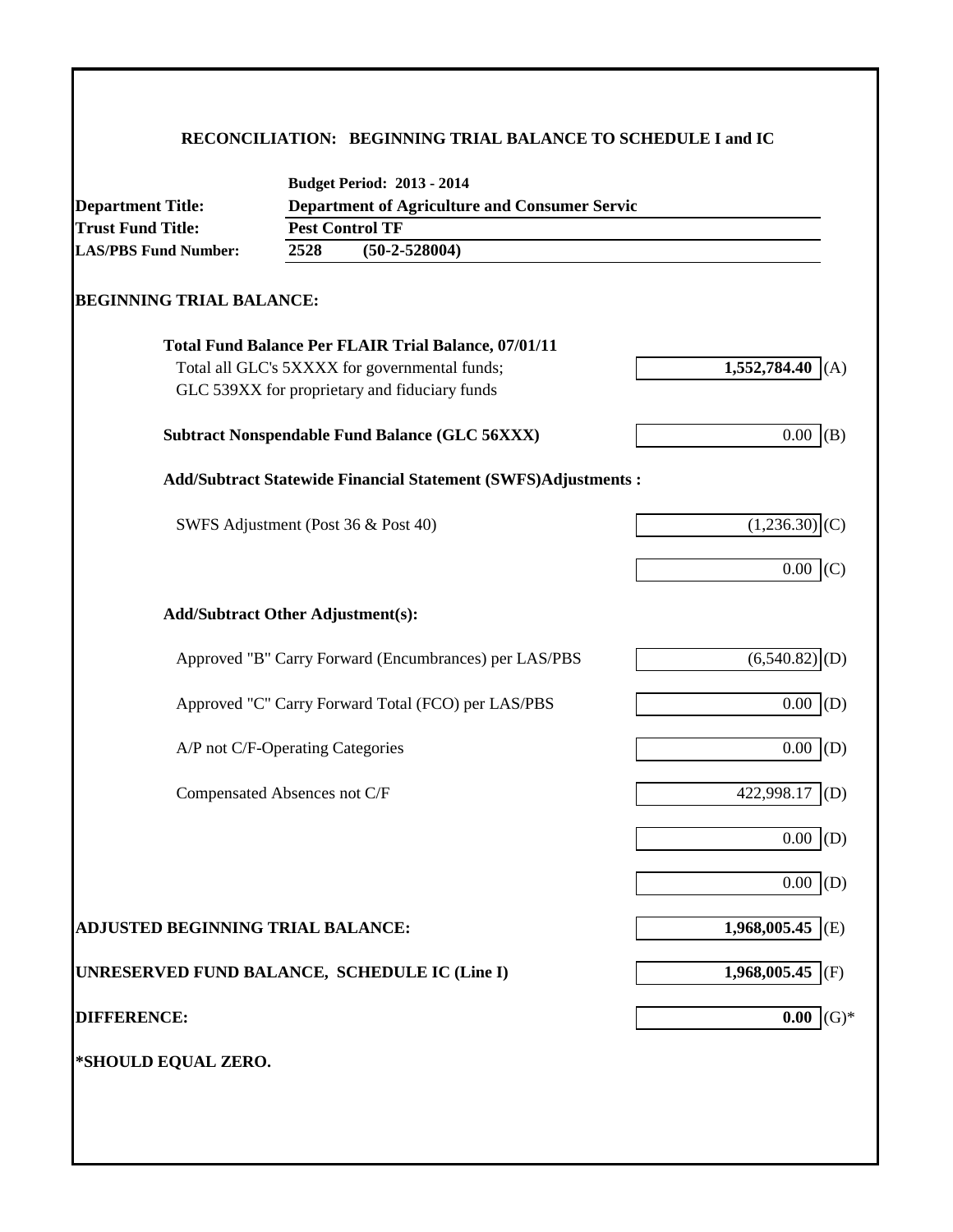### **RECONCILIATION: BEGINNING TRIAL BALANCE TO SCHEDULE I and IC**

| Department of Agriculture and Consumer Servic<br><b>Department Title:</b> |      |                                                                      |                             |  |  |  |  |
|---------------------------------------------------------------------------|------|----------------------------------------------------------------------|-----------------------------|--|--|--|--|
| <b>Trust Fund Title:</b>                                                  |      | <b>Pest Control TF</b>                                               |                             |  |  |  |  |
| <b>LAS/PBS Fund Number:</b>                                               | 2528 | $(50-2-528004)$                                                      |                             |  |  |  |  |
| <b>BEGINNING TRIAL BALANCE:</b>                                           |      |                                                                      |                             |  |  |  |  |
|                                                                           |      | <b>Total Fund Balance Per FLAIR Trial Balance, 07/01/11</b>          |                             |  |  |  |  |
|                                                                           |      | Total all GLC's 5XXXX for governmental funds;                        | 1,552,784.40<br>(A)         |  |  |  |  |
|                                                                           |      | GLC 539XX for proprietary and fiduciary funds                        |                             |  |  |  |  |
|                                                                           |      | <b>Subtract Nonspendable Fund Balance (GLC 56XXX)</b>                | 0.00<br>(B)                 |  |  |  |  |
|                                                                           |      | <b>Add/Subtract Statewide Financial Statement (SWFS)Adjustments:</b> |                             |  |  |  |  |
|                                                                           |      | SWFS Adjustment (Post 36 & Post 40)                                  | (1,236.30)                  |  |  |  |  |
|                                                                           |      |                                                                      | 0.00<br>(C)                 |  |  |  |  |
| <b>Add/Subtract Other Adjustment(s):</b>                                  |      |                                                                      |                             |  |  |  |  |
|                                                                           |      | Approved "B" Carry Forward (Encumbrances) per LAS/PBS                | $(6,540.82)$ <sub>(D)</sub> |  |  |  |  |
|                                                                           |      | Approved "C" Carry Forward Total (FCO) per LAS/PBS                   | 0.00<br>(D)                 |  |  |  |  |
| A/P not C/F-Operating Categories                                          |      |                                                                      | 0.00<br>(D)                 |  |  |  |  |
| Compensated Absences not C/F                                              |      |                                                                      | 422,998.17<br>(D)           |  |  |  |  |
|                                                                           |      |                                                                      | 0.00<br>(D)                 |  |  |  |  |
|                                                                           |      |                                                                      | $0.00\,$<br>(D)             |  |  |  |  |
| <b>ADJUSTED BEGINNING TRIAL BALANCE:</b>                                  |      |                                                                      | 1,968,005.45 (E)            |  |  |  |  |
| UNRESERVED FUND BALANCE, SCHEDULE IC (Line I)                             |      |                                                                      | 1,968,005.45 (F)            |  |  |  |  |
| <b>DIFFERENCE:</b>                                                        |      |                                                                      | $(G)*$<br>0.00              |  |  |  |  |
| *SHOULD EQUAL ZERO.                                                       |      |                                                                      |                             |  |  |  |  |
|                                                                           |      |                                                                      |                             |  |  |  |  |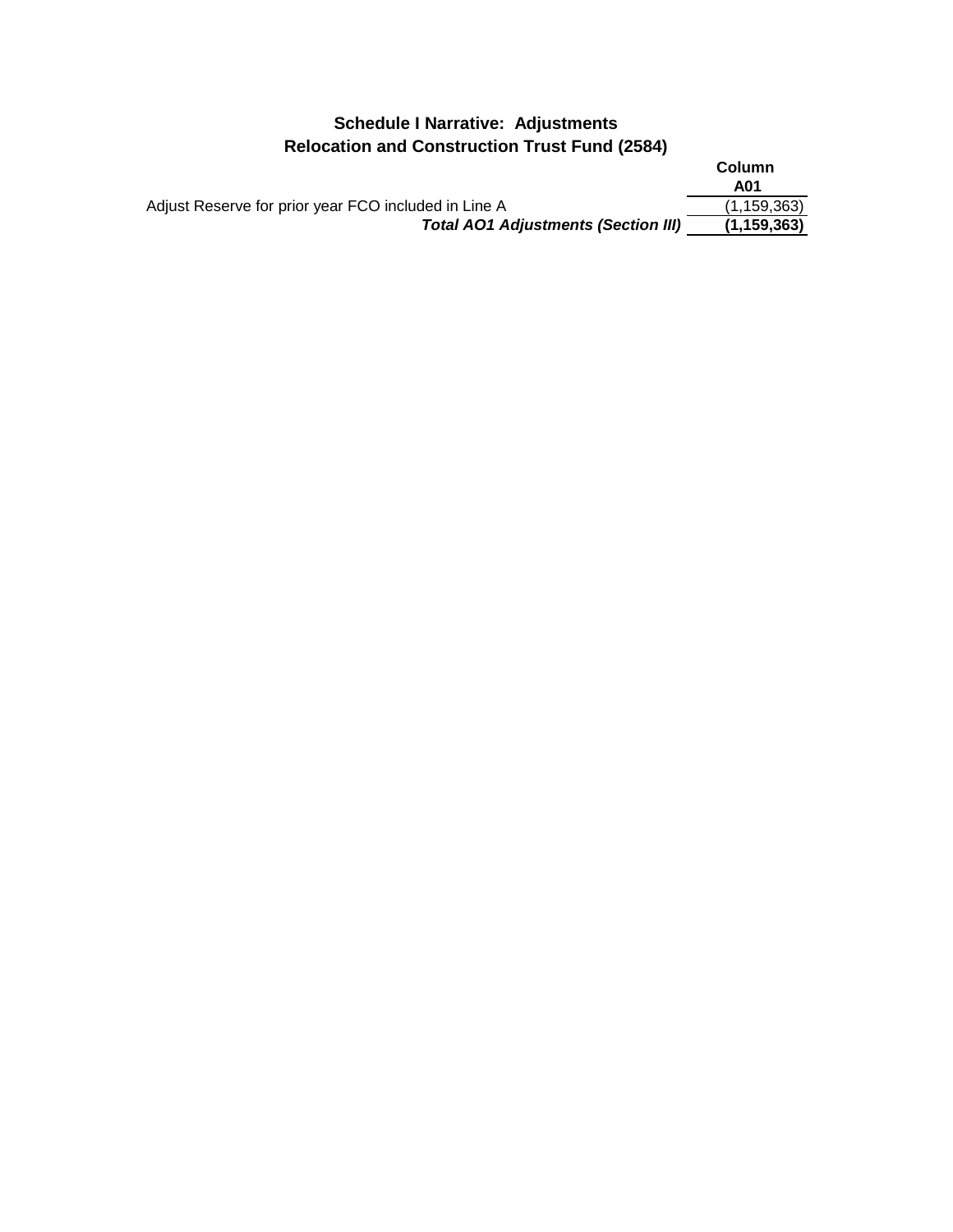## **Schedule I Narrative: Adjustments Relocation and Construction Trust Fund (2584)**

|                                                      | Column        |
|------------------------------------------------------|---------------|
|                                                      | A01           |
| Adjust Reserve for prior year FCO included in Line A | (1, 159, 363) |
| <b>Total AO1 Adjustments (Section III)</b>           | (1, 159, 363) |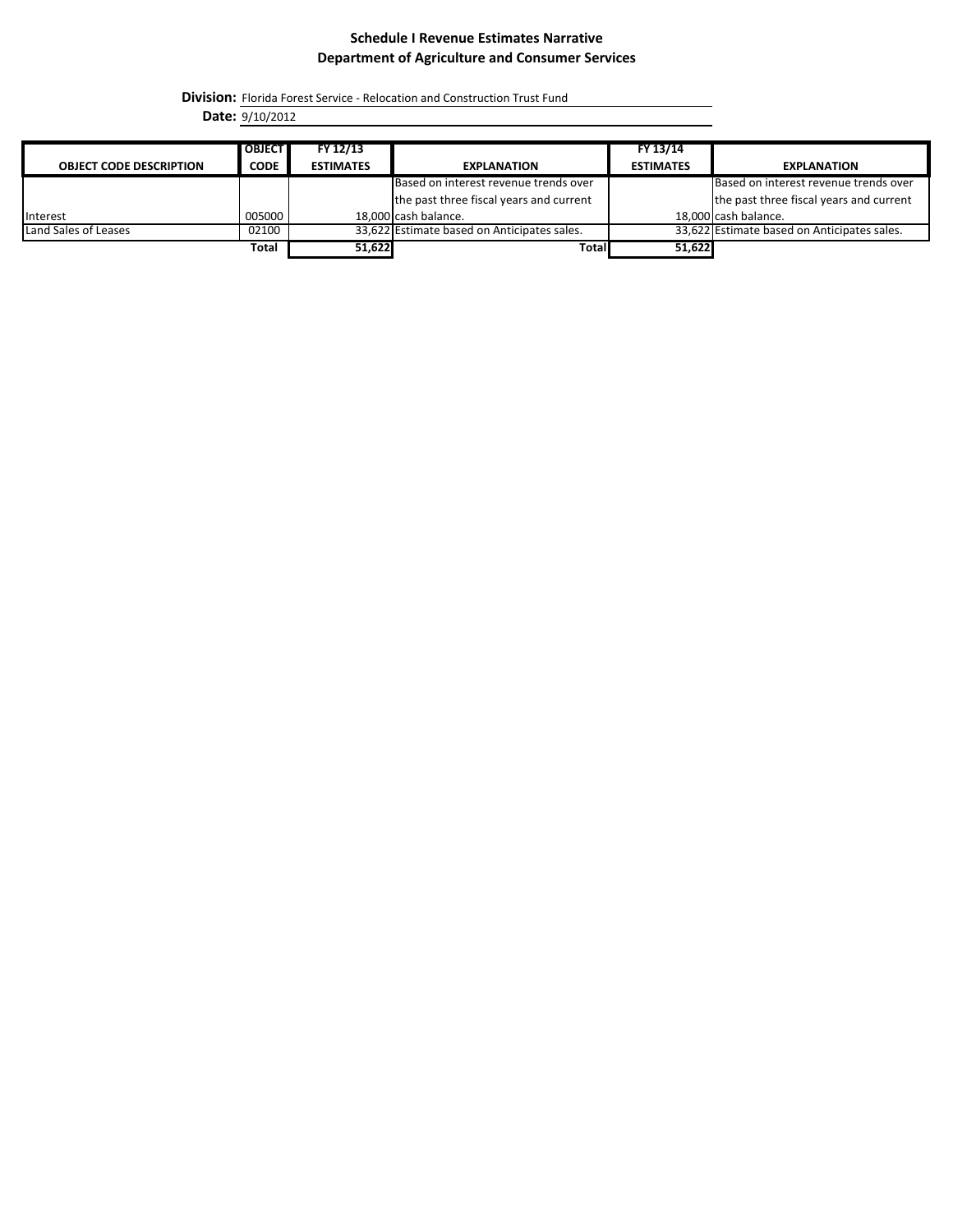#### **Schedule I Revenue Estimates Narrative Department of Agriculture and Consumer Services**

**Division:** Florida Forest Service - Relocation and Construction Trust Fund

**Date:** 9/10/2012

|                                | <b>OBJECT</b> | FY 12/13         |                                             | FY 13/14         |                                             |
|--------------------------------|---------------|------------------|---------------------------------------------|------------------|---------------------------------------------|
| <b>OBJECT CODE DESCRIPTION</b> | <b>CODE</b>   | <b>ESTIMATES</b> | <b>EXPLANATION</b>                          | <b>ESTIMATES</b> | <b>EXPLANATION</b>                          |
|                                |               |                  | Based on interest revenue trends over       |                  | Based on interest revenue trends over       |
|                                |               |                  | the past three fiscal years and current     |                  | the past three fiscal years and current     |
| Interest                       | 005000        |                  | 18.000 cash balance.                        |                  | 18,000 cash balance.                        |
| Land Sales of Leases           | 02100         |                  | 33,622 Estimate based on Anticipates sales. |                  | 33,622 Estimate based on Anticipates sales. |
|                                | <b>Total</b>  | 51,622           | <b>Total</b>                                | 51,622           |                                             |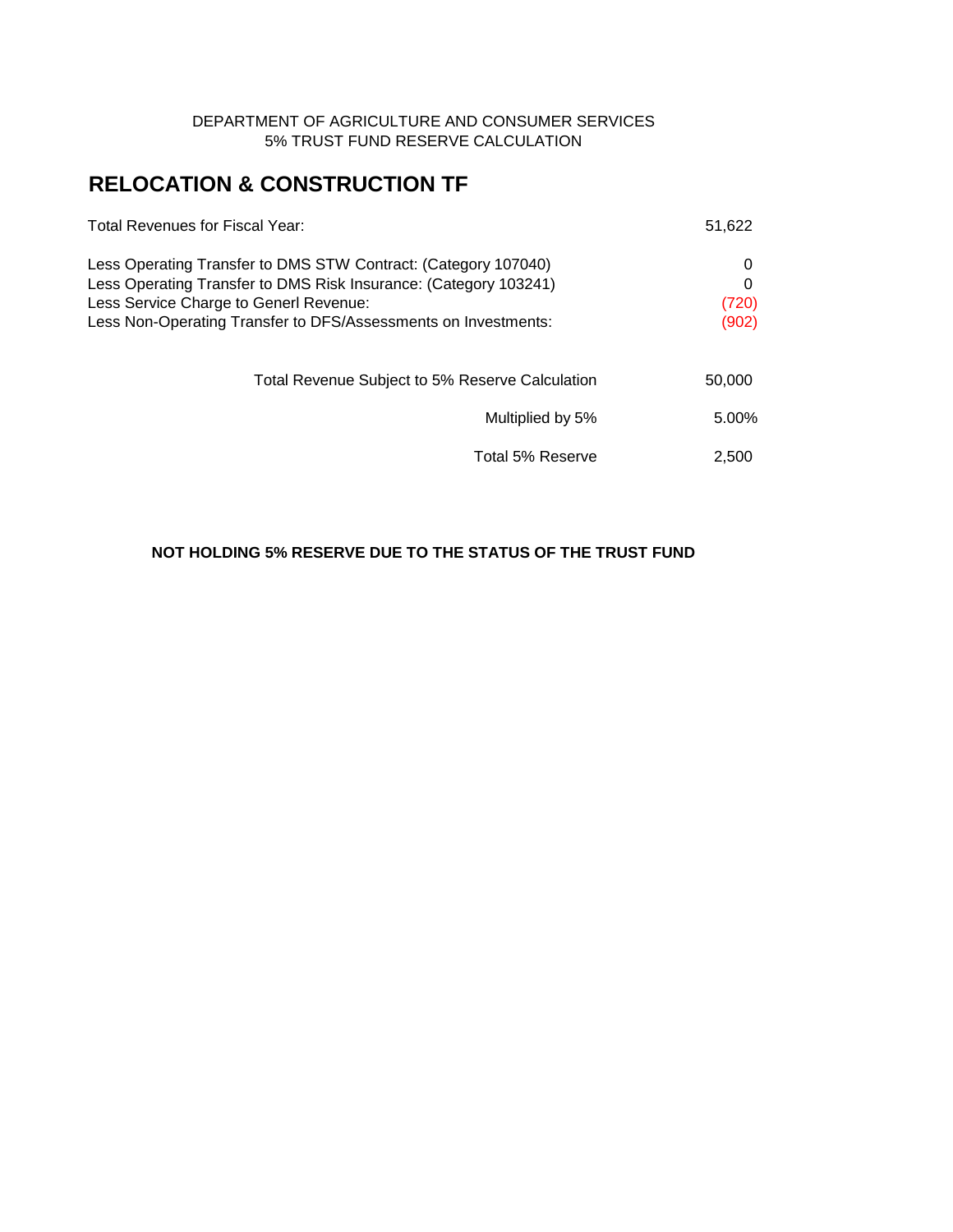#### DEPARTMENT OF AGRICULTURE AND CONSUMER SERVICES 5% TRUST FUND RESERVE CALCULATION

# **RELOCATION & CONSTRUCTION TF**

| <b>Total Revenues for Fiscal Year:</b>                                                                                                                                                                                                         | 51,622                   |
|------------------------------------------------------------------------------------------------------------------------------------------------------------------------------------------------------------------------------------------------|--------------------------|
| Less Operating Transfer to DMS STW Contract: (Category 107040)<br>Less Operating Transfer to DMS Risk Insurance: (Category 103241)<br>Less Service Charge to Generl Revenue:<br>Less Non-Operating Transfer to DFS/Assessments on Investments: | O<br>O<br>(720)<br>(902) |
| Total Revenue Subject to 5% Reserve Calculation                                                                                                                                                                                                | 50,000                   |
| Multiplied by 5%                                                                                                                                                                                                                               | 5.00%                    |
| Total 5% Reserve                                                                                                                                                                                                                               | 2,500                    |

#### **NOT HOLDING 5% RESERVE DUE TO THE STATUS OF THE TRUST FUND**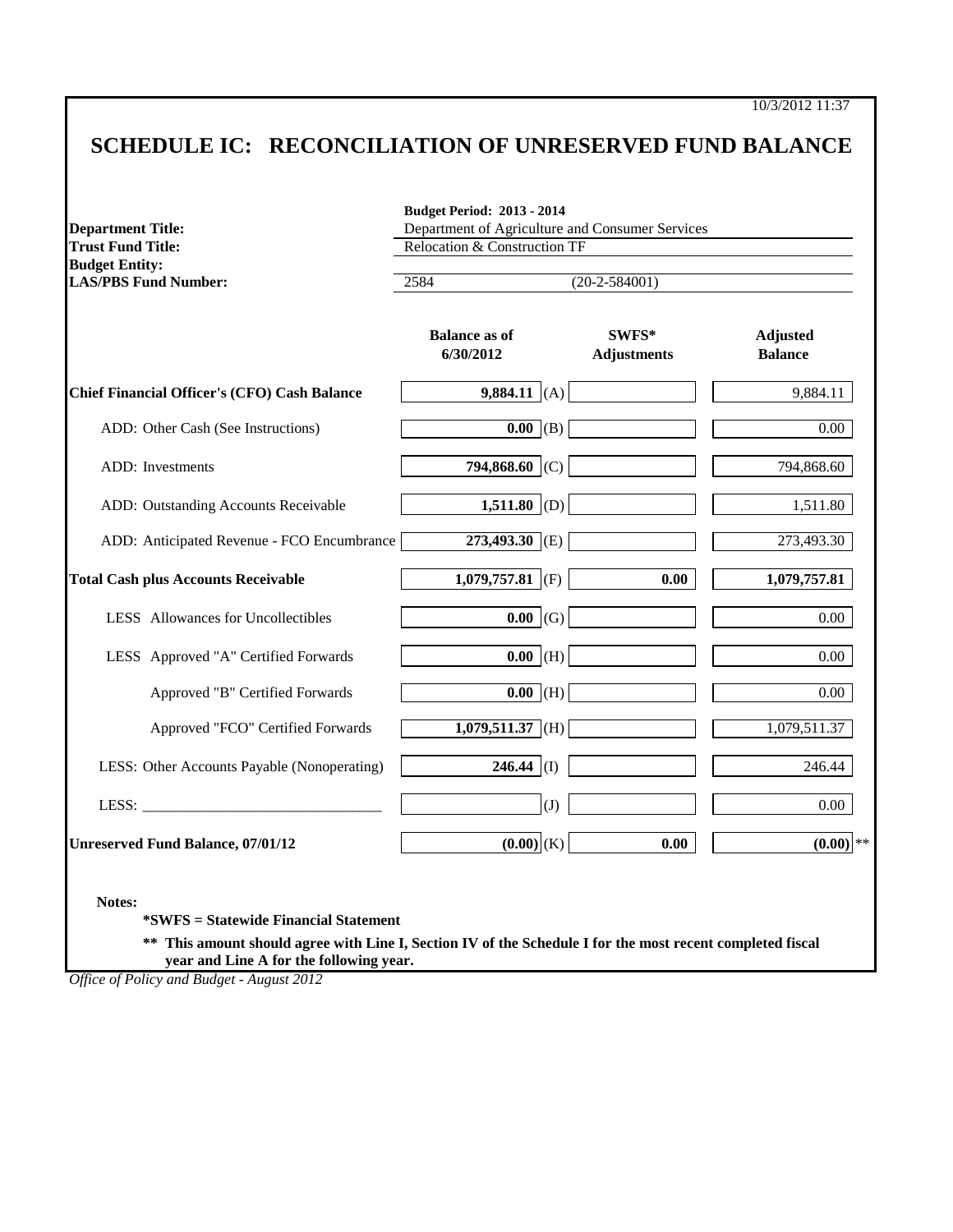10/3/2012 11:37

# **SCHEDULE IC: RECONCILIATION OF UNRESERVED FUND BALANCE**

| <b>Department Title:</b><br><b>Trust Fund Title:</b> | Department of Agriculture and Consumer Services<br>Relocation & Construction TF |                             |                                   |  |
|------------------------------------------------------|---------------------------------------------------------------------------------|-----------------------------|-----------------------------------|--|
| <b>Budget Entity:</b><br><b>LAS/PBS Fund Number:</b> | 2584<br>$(20-2-584001)$                                                         |                             |                                   |  |
|                                                      | <b>Balance as of</b><br>6/30/2012                                               | SWFS*<br><b>Adjustments</b> | <b>Adjusted</b><br><b>Balance</b> |  |
| <b>Chief Financial Officer's (CFO) Cash Balance</b>  | 9,884.11 (A)                                                                    |                             | 9,884.11                          |  |
| ADD: Other Cash (See Instructions)                   | $\overline{0.00}$ (B)                                                           |                             | 0.00                              |  |
| <b>ADD</b> : Investments                             | 794,868.60 (C)                                                                  |                             | 794,868.60                        |  |
| ADD: Outstanding Accounts Receivable                 | 1,511.80 (D)                                                                    |                             | 1,511.80                          |  |
| ADD: Anticipated Revenue - FCO Encumbrance           | 273,493.30 (E)                                                                  |                             | 273,493.30                        |  |
| <b>Total Cash plus Accounts Receivable</b>           | 1,079,757.81 (F)                                                                | 0.00                        | 1,079,757.81                      |  |
| LESS Allowances for Uncollectibles                   | $0.00 \mid (G)$                                                                 |                             | 0.00                              |  |
| LESS Approved "A" Certified Forwards                 | $0.00$ (H)                                                                      |                             | 0.00                              |  |
| Approved "B" Certified Forwards                      | $\overline{0.00}$ (H)                                                           |                             | $0.00\,$                          |  |
| Approved "FCO" Certified Forwards                    | $\overline{1,079,511.37}$ (H)                                                   |                             | 1,079,511.37                      |  |
| LESS: Other Accounts Payable (Nonoperating)          | $246.44$ (I)                                                                    |                             | 246.44                            |  |
|                                                      | (J)                                                                             |                             | 0.00                              |  |
| <b>Unreserved Fund Balance, 07/01/12</b>             | $(0.00)$ (K)                                                                    | 0.00                        | $(0.00)$ **                       |  |

**\*\* This amount should agree with Line I, Section IV of the Schedule I for the most recent completed fiscal year and Line A for the following year.**

*Office of Policy and Budget - August 2012*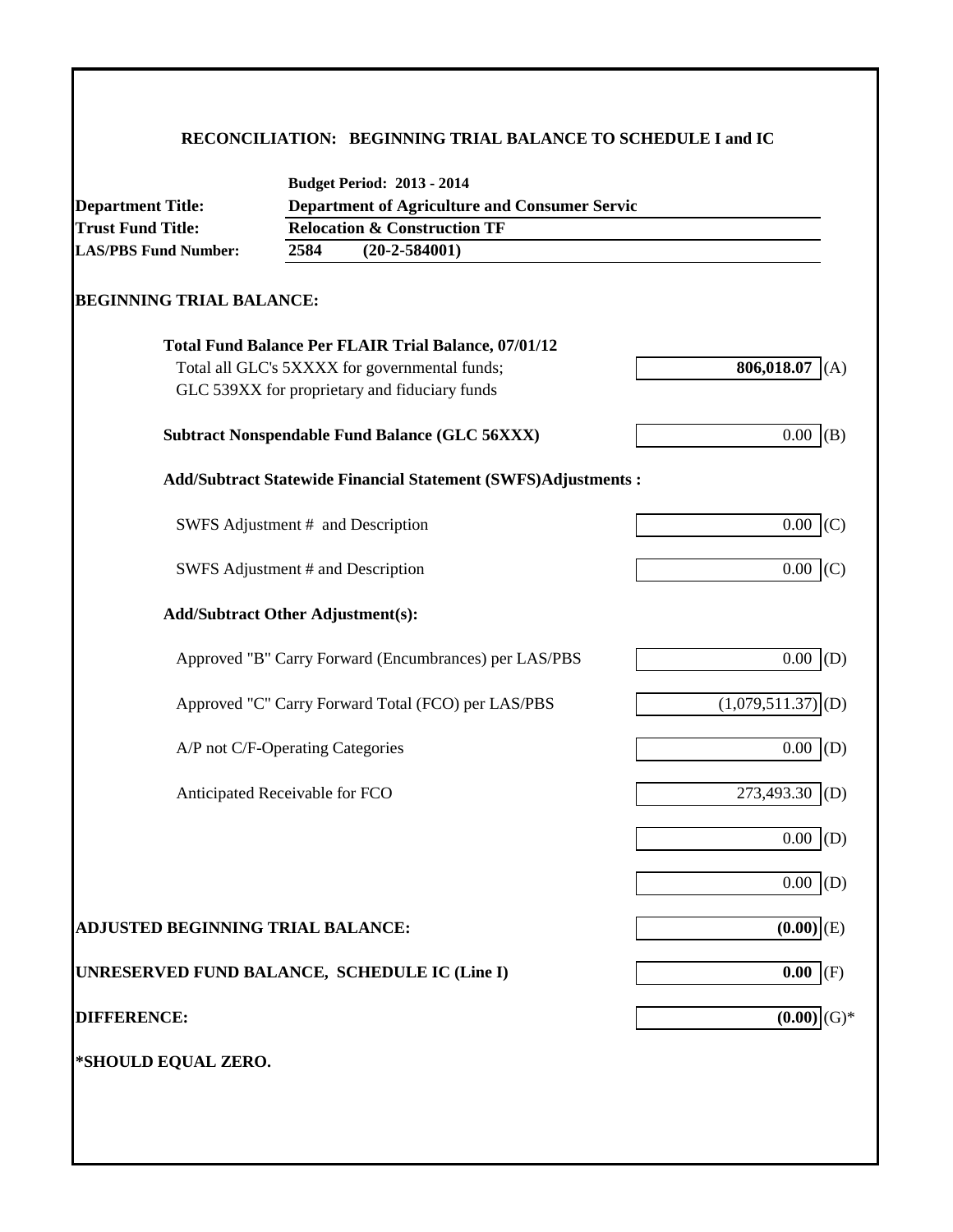### **RECONCILIATION: BEGINNING TRIAL BALANCE TO SCHEDULE I and IC**

| <b>Department Title:</b>                      |      | <b>Department of Agriculture and Consumer Servic</b>           |                                            |
|-----------------------------------------------|------|----------------------------------------------------------------|--------------------------------------------|
| <b>Trust Fund Title:</b>                      |      | <b>Relocation &amp; Construction TF</b>                        |                                            |
| <b>LAS/PBS Fund Number:</b>                   | 2584 | $(20-2-584001)$                                                |                                            |
| <b>BEGINNING TRIAL BALANCE:</b>               |      |                                                                |                                            |
|                                               |      | <b>Total Fund Balance Per FLAIR Trial Balance, 07/01/12</b>    |                                            |
|                                               |      | Total all GLC's 5XXXX for governmental funds;                  | 806,018.07 (A)                             |
|                                               |      | GLC 539XX for proprietary and fiduciary funds                  |                                            |
|                                               |      | <b>Subtract Nonspendable Fund Balance (GLC 56XXX)</b>          | $0.00$ (B)                                 |
|                                               |      | Add/Subtract Statewide Financial Statement (SWFS)Adjustments : |                                            |
|                                               |      | SWFS Adjustment # and Description                              | $0.00$ (C)                                 |
| SWFS Adjustment # and Description             |      |                                                                | $0.00$ (C)                                 |
| <b>Add/Subtract Other Adjustment(s):</b>      |      |                                                                |                                            |
|                                               |      | Approved "B" Carry Forward (Encumbrances) per LAS/PBS          | $0.00$ (D)                                 |
|                                               |      | Approved "C" Carry Forward Total (FCO) per LAS/PBS             | $(1,079,511.\overline{37})$ <sub>(D)</sub> |
| A/P not C/F-Operating Categories              |      |                                                                | $0.00$ (D)                                 |
| Anticipated Receivable for FCO                |      |                                                                | $273,493.30$ (D)                           |
|                                               |      |                                                                | (D)<br>0.00                                |
|                                               |      |                                                                | $0.00$ (D)                                 |
| ADJUSTED BEGINNING TRIAL BALANCE:             |      |                                                                | $(0.00)$ <sub>(E)</sub>                    |
| UNRESERVED FUND BALANCE, SCHEDULE IC (Line I) |      |                                                                | $0.00$ (F)                                 |
| <b>DIFFERENCE:</b>                            |      |                                                                | (0.00)                                     |
| *SHOULD EQUAL ZERO.                           |      |                                                                |                                            |
|                                               |      |                                                                |                                            |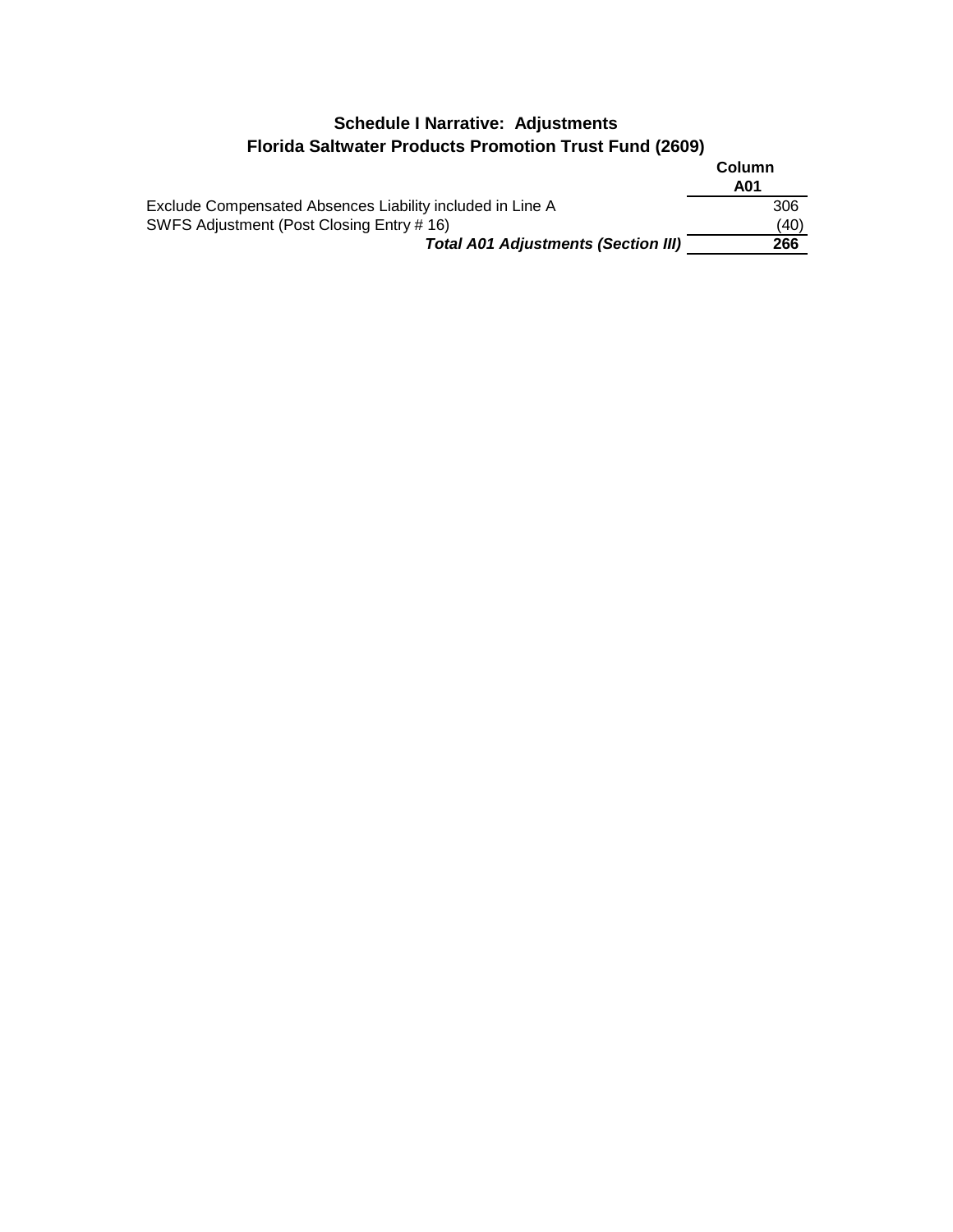## **Schedule I Narrative: Adjustments Florida Saltwater Products Promotion Trust Fund (2609)**

|                                                           | Column |
|-----------------------------------------------------------|--------|
|                                                           | A01    |
| Exclude Compensated Absences Liability included in Line A | 306    |
| SWFS Adjustment (Post Closing Entry # 16)                 | (40)   |
| <b>Total A01 Adjustments (Section III)</b>                | 266    |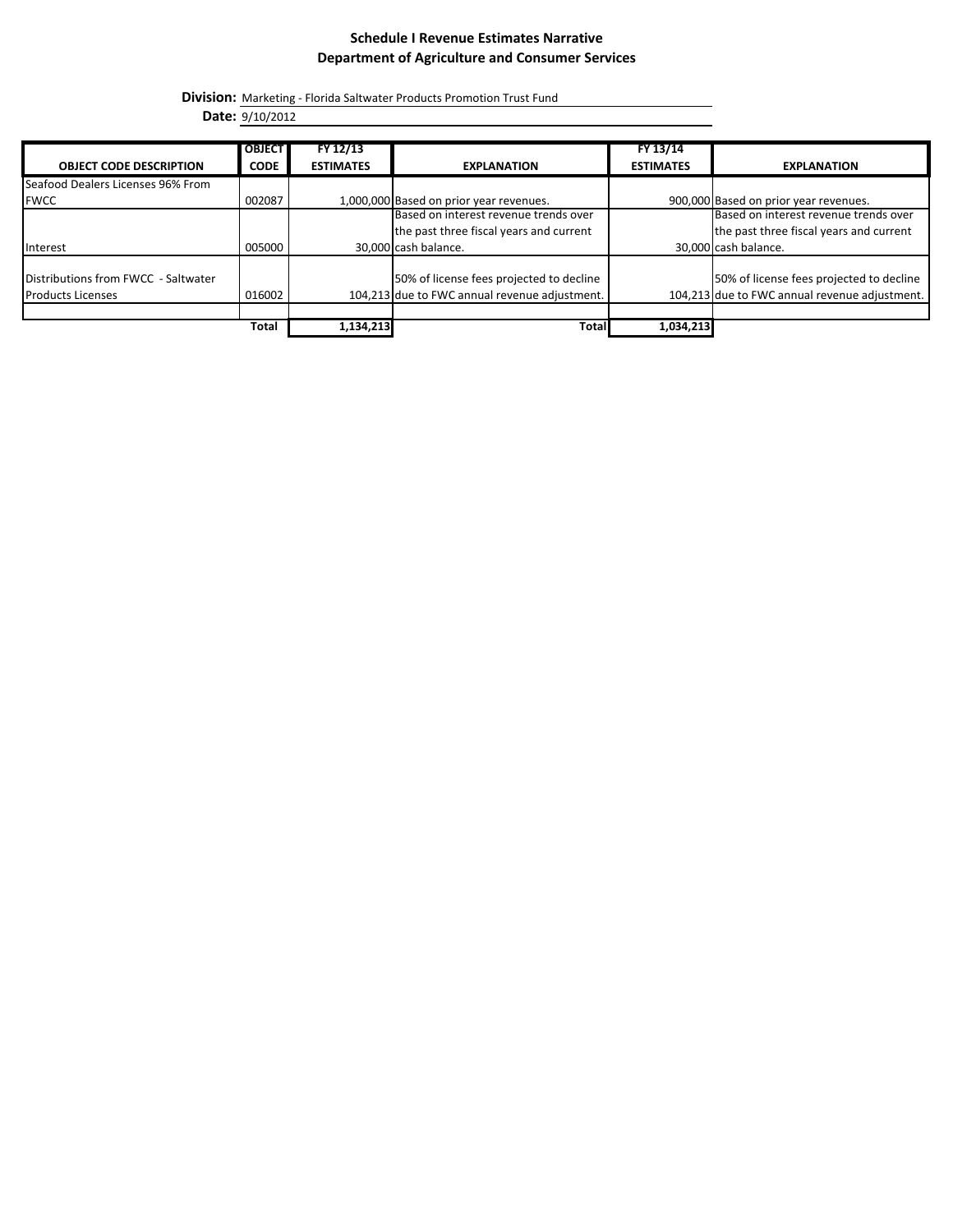#### **Schedule I Revenue Estimates Narrative Department of Agriculture and Consumer Services**

**Division:** Marketing - Florida Saltwater Products Promotion Trust Fund

**Date:** 9/10/2012

|                                     | <b>OBJECT</b> | FY 12/13         |                                               | FY 13/14         |                                               |
|-------------------------------------|---------------|------------------|-----------------------------------------------|------------------|-----------------------------------------------|
| <b>OBJECT CODE DESCRIPTION</b>      | <b>CODE</b>   | <b>ESTIMATES</b> | <b>EXPLANATION</b>                            | <b>ESTIMATES</b> | <b>EXPLANATION</b>                            |
| Seafood Dealers Licenses 96% From   |               |                  |                                               |                  |                                               |
| <b>FWCC</b>                         | 002087        |                  | 1,000,000 Based on prior year revenues.       |                  | 900,000 Based on prior year revenues.         |
|                                     |               |                  | Based on interest revenue trends over         |                  | Based on interest revenue trends over         |
|                                     |               |                  | the past three fiscal years and current       |                  | the past three fiscal years and current       |
| Interest                            | 005000        |                  | 30,000 cash balance.                          |                  | 30,000 cash balance.                          |
| Distributions from FWCC - Saltwater |               |                  | 50% of license fees projected to decline      |                  | 50% of license fees projected to decline      |
| <b>Products Licenses</b>            | 016002        |                  | 104,213 due to FWC annual revenue adjustment. |                  | 104,213 due to FWC annual revenue adjustment. |
|                                     |               |                  |                                               |                  |                                               |
|                                     | Total         | 1,134,213        | Total                                         | 1,034,213        |                                               |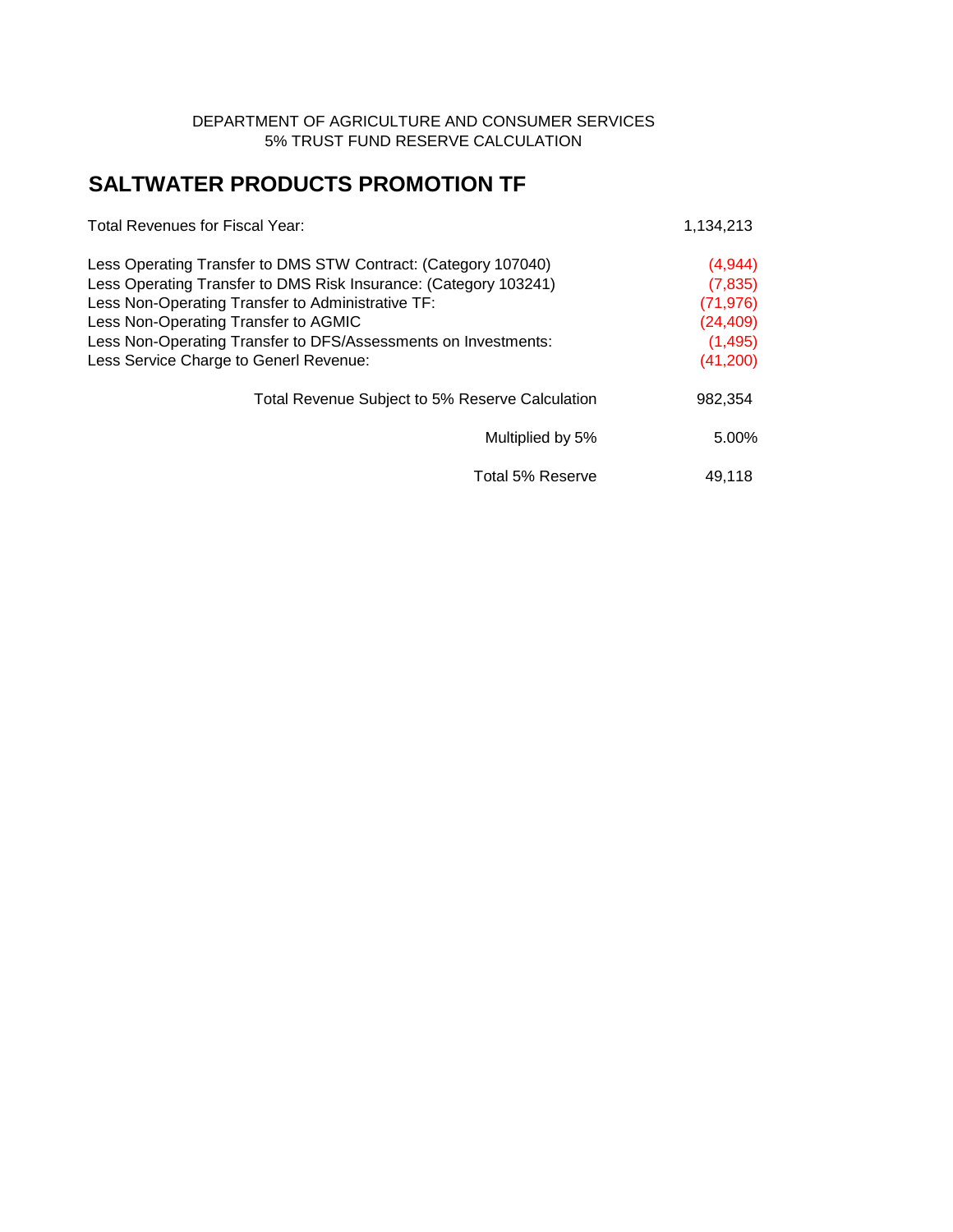#### DEPARTMENT OF AGRICULTURE AND CONSUMER SERVICES 5% TRUST FUND RESERVE CALCULATION

# **SALTWATER PRODUCTS PROMOTION TF**

| <b>Total Revenues for Fiscal Year:</b>                           | 1,134,213 |
|------------------------------------------------------------------|-----------|
| Less Operating Transfer to DMS STW Contract: (Category 107040)   | (4,944)   |
| Less Operating Transfer to DMS Risk Insurance: (Category 103241) | (7, 835)  |
| Less Non-Operating Transfer to Administrative TF:                | (71, 976) |
| Less Non-Operating Transfer to AGMIC                             | (24, 409) |
| Less Non-Operating Transfer to DFS/Assessments on Investments:   | (1, 495)  |
| Less Service Charge to Generl Revenue:                           | (41,200)  |
| Total Revenue Subject to 5% Reserve Calculation                  | 982,354   |
| Multiplied by 5%                                                 | 5.00%     |
| Total 5% Reserve                                                 | 49.118    |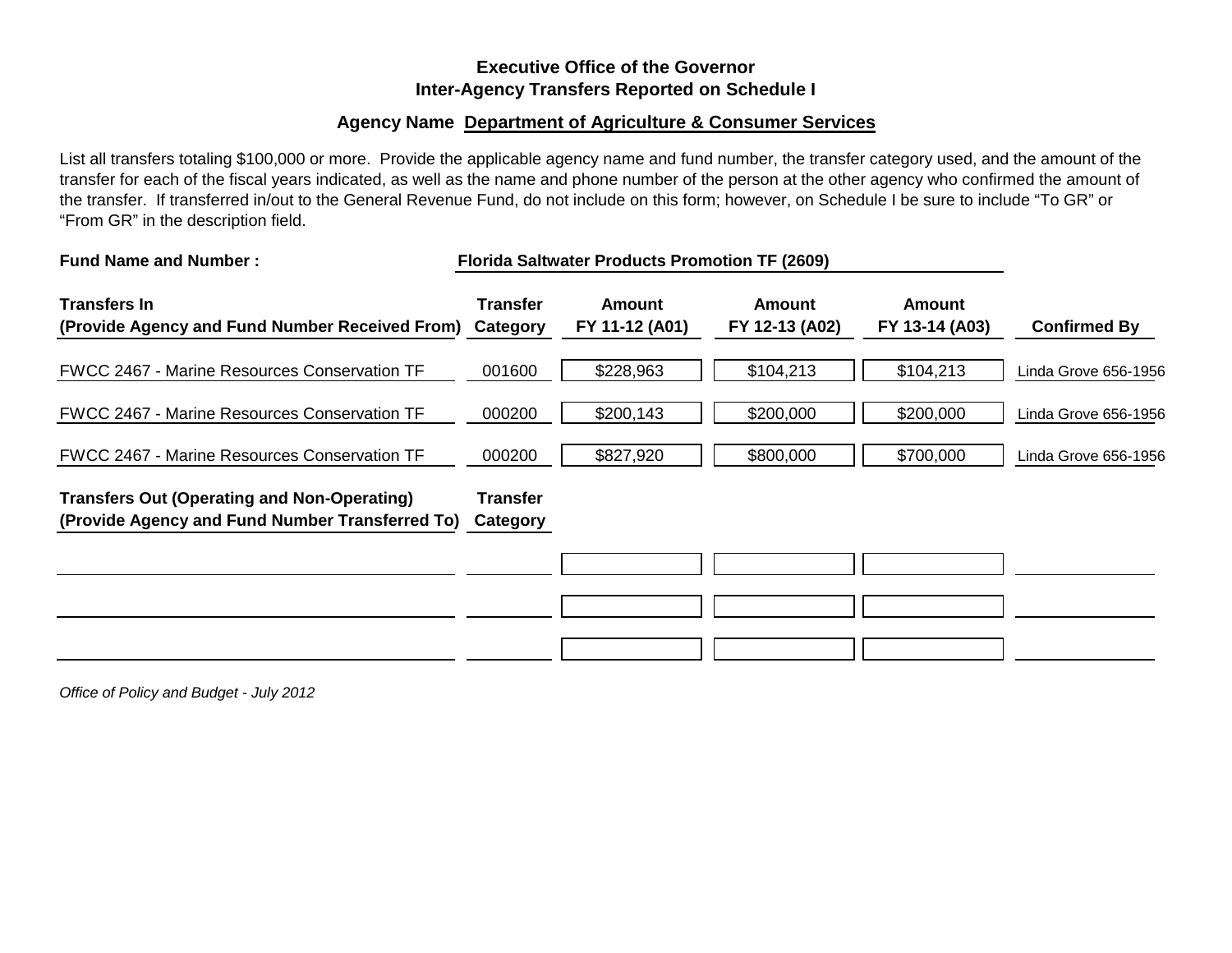### **Executive Office of the Governor Inter-Agency Transfers Reported on Schedule I**

### **Agency Name Department of Agriculture & Consumer Services**

List all transfers totaling \$100,000 or more. Provide the applicable agency name and fund number, the transfer category used, and the amount of the transfer for each of the fiscal years indicated, as well as the name and phone number of the person at the other agency who confirmed the amount of the transfer. If transferred in/out to the General Revenue Fund, do not include on this form; however, on Schedule I be sure to include "To GR" or "From GR" in the description field.

| <b>Fund Name and Number:</b>                                                                          |                             | <b>Florida Saltwater Products Promotion TF (2609)</b> |                                 |                                 |                      |
|-------------------------------------------------------------------------------------------------------|-----------------------------|-------------------------------------------------------|---------------------------------|---------------------------------|----------------------|
| <b>Transfers In</b><br>(Provide Agency and Fund Number Received From) Category                        | <b>Transfer</b>             | Amount<br>FY 11-12 (A01)                              | <b>Amount</b><br>FY 12-13 (A02) | <b>Amount</b><br>FY 13-14 (A03) | <b>Confirmed By</b>  |
| <b>FWCC 2467 - Marine Resources Conservation TF</b>                                                   | 001600                      | \$228,963                                             | \$104,213                       | \$104,213                       | Linda Grove 656-1956 |
| <b>FWCC 2467 - Marine Resources Conservation TF</b>                                                   | 000200                      | \$200,143                                             | \$200,000                       | \$200,000                       | Linda Grove 656-1956 |
| <b>FWCC 2467 - Marine Resources Conservation TF</b>                                                   | 000200                      | \$827,920                                             | \$800,000                       | \$700,000                       | Linda Grove 656-1956 |
| <b>Transfers Out (Operating and Non-Operating)</b><br>(Provide Agency and Fund Number Transferred To) | <b>Transfer</b><br>Category |                                                       |                                 |                                 |                      |
|                                                                                                       |                             |                                                       |                                 |                                 |                      |
|                                                                                                       |                             |                                                       |                                 |                                 |                      |
|                                                                                                       |                             |                                                       |                                 |                                 |                      |

*Office of Policy and Budget - July 2012*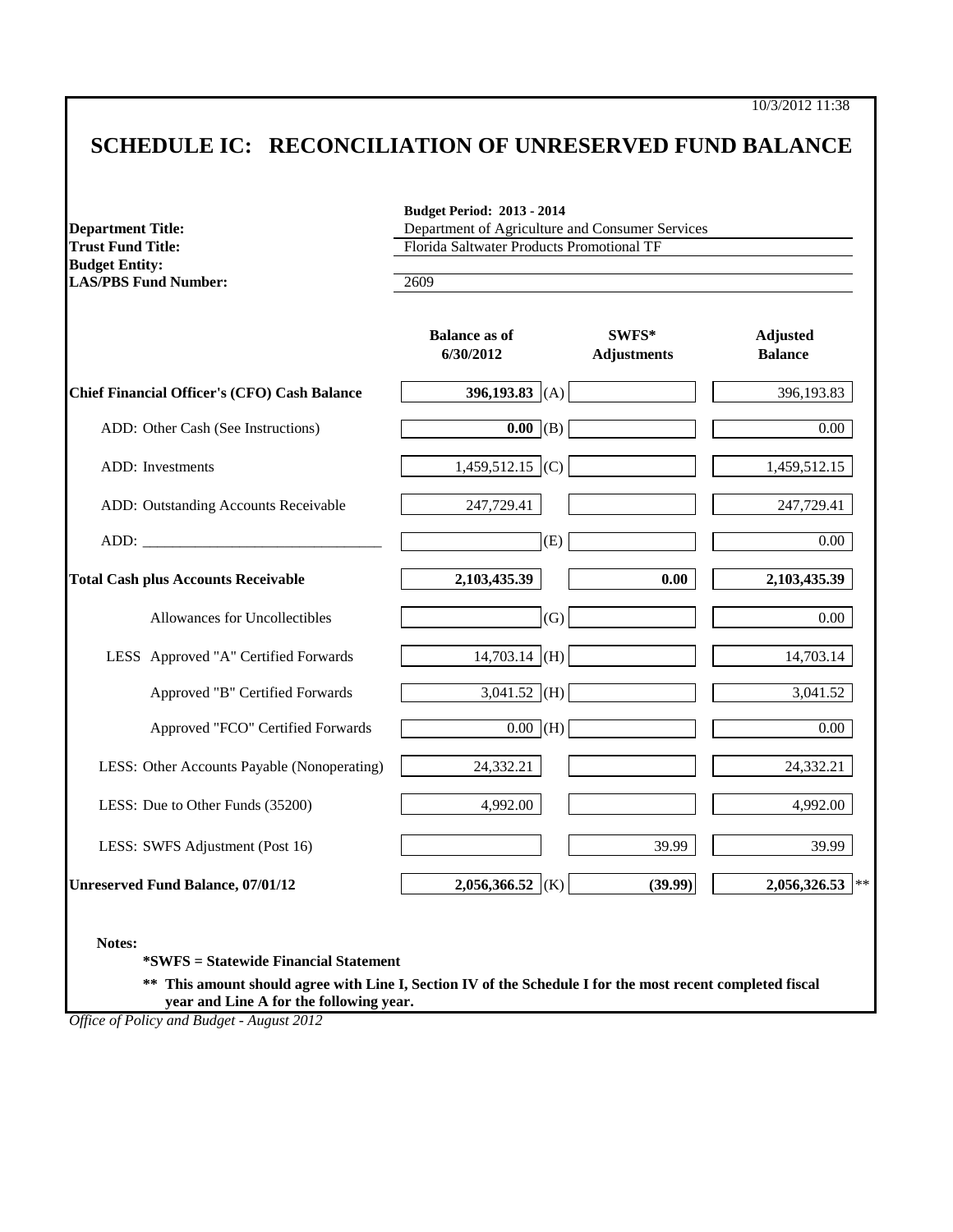10/3/2012 11:38

# **SCHEDULE IC: RECONCILIATION OF UNRESERVED FUND BALANCE**

| <b>Trust Fund Title:</b>                                                                                                                                                                                                       | Department of Agriculture and Consumer Services<br>Florida Saltwater Products Promotional TF |                             |                                   |  |  |
|--------------------------------------------------------------------------------------------------------------------------------------------------------------------------------------------------------------------------------|----------------------------------------------------------------------------------------------|-----------------------------|-----------------------------------|--|--|
| <b>Budget Entity:</b><br><b>LAS/PBS Fund Number:</b>                                                                                                                                                                           | 2609                                                                                         |                             |                                   |  |  |
|                                                                                                                                                                                                                                | <b>Balance as of</b><br>6/30/2012                                                            | SWFS*<br><b>Adjustments</b> | <b>Adjusted</b><br><b>Balance</b> |  |  |
| <b>Chief Financial Officer's (CFO) Cash Balance</b>                                                                                                                                                                            | 396,193.83 (A)                                                                               |                             | 396,193.83                        |  |  |
| ADD: Other Cash (See Instructions)                                                                                                                                                                                             | $\overline{0.00}$ (B)                                                                        |                             | $\overline{0.00}$                 |  |  |
| <b>ADD</b> : Investments                                                                                                                                                                                                       | $1,459,512.15$ (C)                                                                           |                             | 1,459,512.15                      |  |  |
| ADD: Outstanding Accounts Receivable                                                                                                                                                                                           | 247,729.41                                                                                   |                             | 247,729.41                        |  |  |
| ADD: The contract of the contract of the contract of the contract of the contract of the contract of the contract of the contract of the contract of the contract of the contract of the contract of the contract of the contr | (E)                                                                                          |                             | $0.00\,$                          |  |  |
| <b>Total Cash plus Accounts Receivable</b>                                                                                                                                                                                     | 2,103,435.39                                                                                 | 0.00                        | 2,103,435.39                      |  |  |
| Allowances for Uncollectibles                                                                                                                                                                                                  | (G)                                                                                          |                             | 0.00                              |  |  |
| LESS Approved "A" Certified Forwards                                                                                                                                                                                           | $14,703.14$ (H)                                                                              |                             | 14,703.14                         |  |  |
| Approved "B" Certified Forwards                                                                                                                                                                                                | $3,041.52$ (H)                                                                               |                             | 3,041.52                          |  |  |
| Approved "FCO" Certified Forwards                                                                                                                                                                                              | $0.00$ (H)                                                                                   |                             | 0.00                              |  |  |
| LESS: Other Accounts Payable (Nonoperating)                                                                                                                                                                                    | 24,332.21                                                                                    |                             | 24,332.21                         |  |  |
| LESS: Due to Other Funds (35200)                                                                                                                                                                                               | 4,992.00                                                                                     |                             | 4,992.00                          |  |  |
| LESS: SWFS Adjustment (Post 16)                                                                                                                                                                                                |                                                                                              | 39.99                       | 39.99                             |  |  |
| <b>Unreserved Fund Balance, 07/01/12</b>                                                                                                                                                                                       | 2,056,366.52 (K)                                                                             | (39.99)                     | $2,056,326.53$ **                 |  |  |

**\*\* This amount should agree with Line I, Section IV of the Schedule I for the most recent completed fiscal year and Line A for the following year.**

*Office of Policy and Budget - August 2012*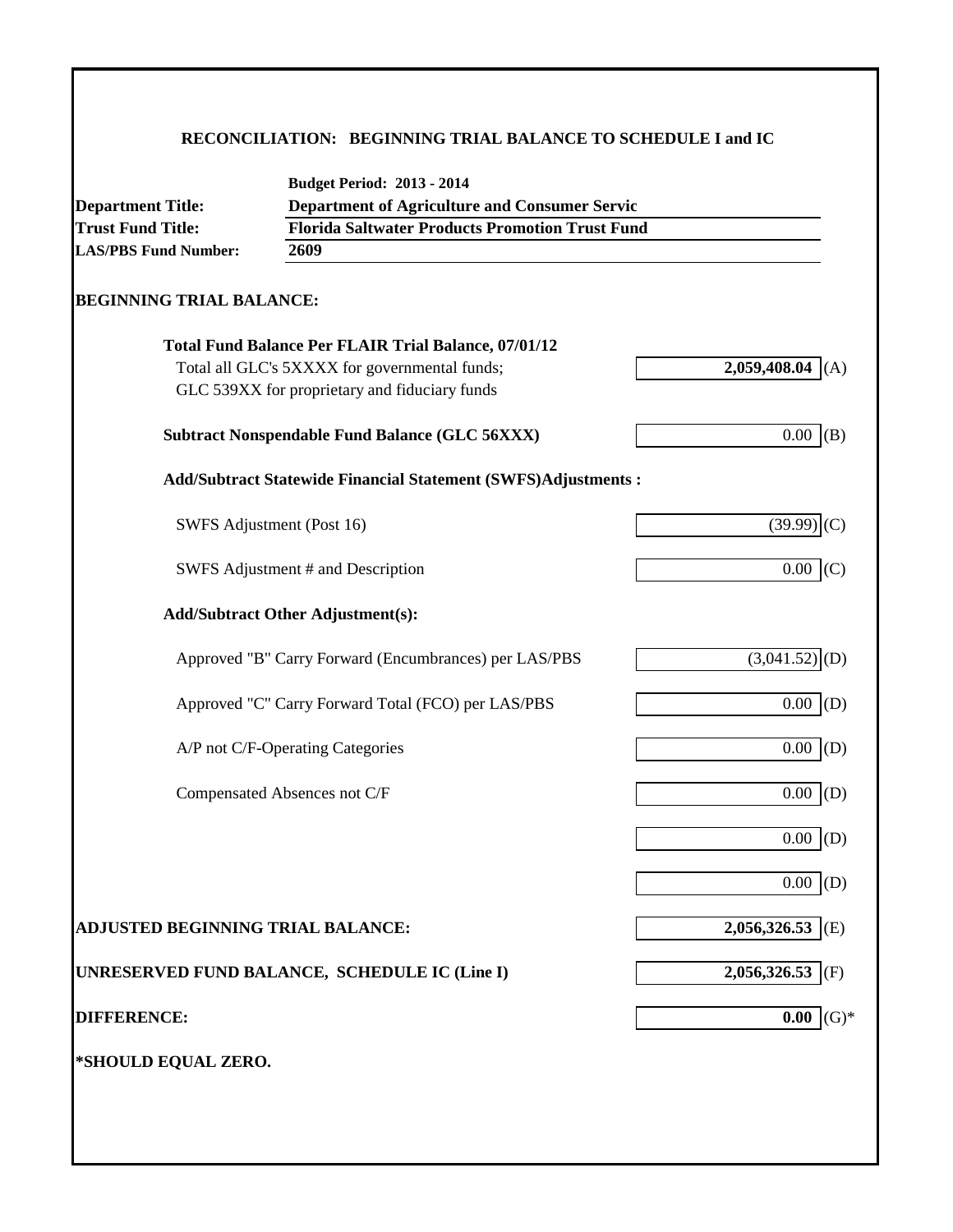### **RECONCILIATION: BEGINNING TRIAL BALANCE TO SCHEDULE I and IC**

|                                   | <b>Budget Period: 2013 - 2014</b>                                    |                   |  |  |  |  |
|-----------------------------------|----------------------------------------------------------------------|-------------------|--|--|--|--|
| <b>Department Title:</b>          | <b>Department of Agriculture and Consumer Servic</b>                 |                   |  |  |  |  |
| <b>Trust Fund Title:</b>          | <b>Florida Saltwater Products Promotion Trust Fund</b><br>2609       |                   |  |  |  |  |
| <b>LAS/PBS Fund Number:</b>       |                                                                      |                   |  |  |  |  |
| <b>BEGINNING TRIAL BALANCE:</b>   |                                                                      |                   |  |  |  |  |
|                                   | <b>Total Fund Balance Per FLAIR Trial Balance, 07/01/12</b>          |                   |  |  |  |  |
|                                   | Total all GLC's 5XXXX for governmental funds;                        | 2,059,408.04      |  |  |  |  |
|                                   | GLC 539XX for proprietary and fiduciary funds                        |                   |  |  |  |  |
|                                   | <b>Subtract Nonspendable Fund Balance (GLC 56XXX)</b>                | 0.00<br>(B)       |  |  |  |  |
|                                   | <b>Add/Subtract Statewide Financial Statement (SWFS)Adjustments:</b> |                   |  |  |  |  |
|                                   | SWFS Adjustment (Post 16)                                            | (39.99)<br>I(C)   |  |  |  |  |
|                                   | SWFS Adjustment # and Description                                    | $0.00$ (C)        |  |  |  |  |
|                                   | <b>Add/Subtract Other Adjustment(s):</b>                             |                   |  |  |  |  |
|                                   | Approved "B" Carry Forward (Encumbrances) per LAS/PBS                | (3,041.52)<br>(D) |  |  |  |  |
|                                   | Approved "C" Carry Forward Total (FCO) per LAS/PBS                   | $0.00$ (D)        |  |  |  |  |
|                                   | A/P not C/F-Operating Categories                                     | $0.00$ (D)        |  |  |  |  |
|                                   | Compensated Absences not C/F                                         | $0.00$ (D)        |  |  |  |  |
|                                   |                                                                      | 0.00<br>(D)       |  |  |  |  |
|                                   |                                                                      | 0.00<br>(D)       |  |  |  |  |
| ADJUSTED BEGINNING TRIAL BALANCE: |                                                                      | 2,056,326.53 (E)  |  |  |  |  |
|                                   | UNRESERVED FUND BALANCE, SCHEDULE IC (Line I)                        | 2,056,326.53 (F)  |  |  |  |  |
| <b>DIFFERENCE:</b>                |                                                                      | $(G)$ *<br>0.00   |  |  |  |  |
|                                   |                                                                      |                   |  |  |  |  |
| *SHOULD EQUAL ZERO.               |                                                                      |                   |  |  |  |  |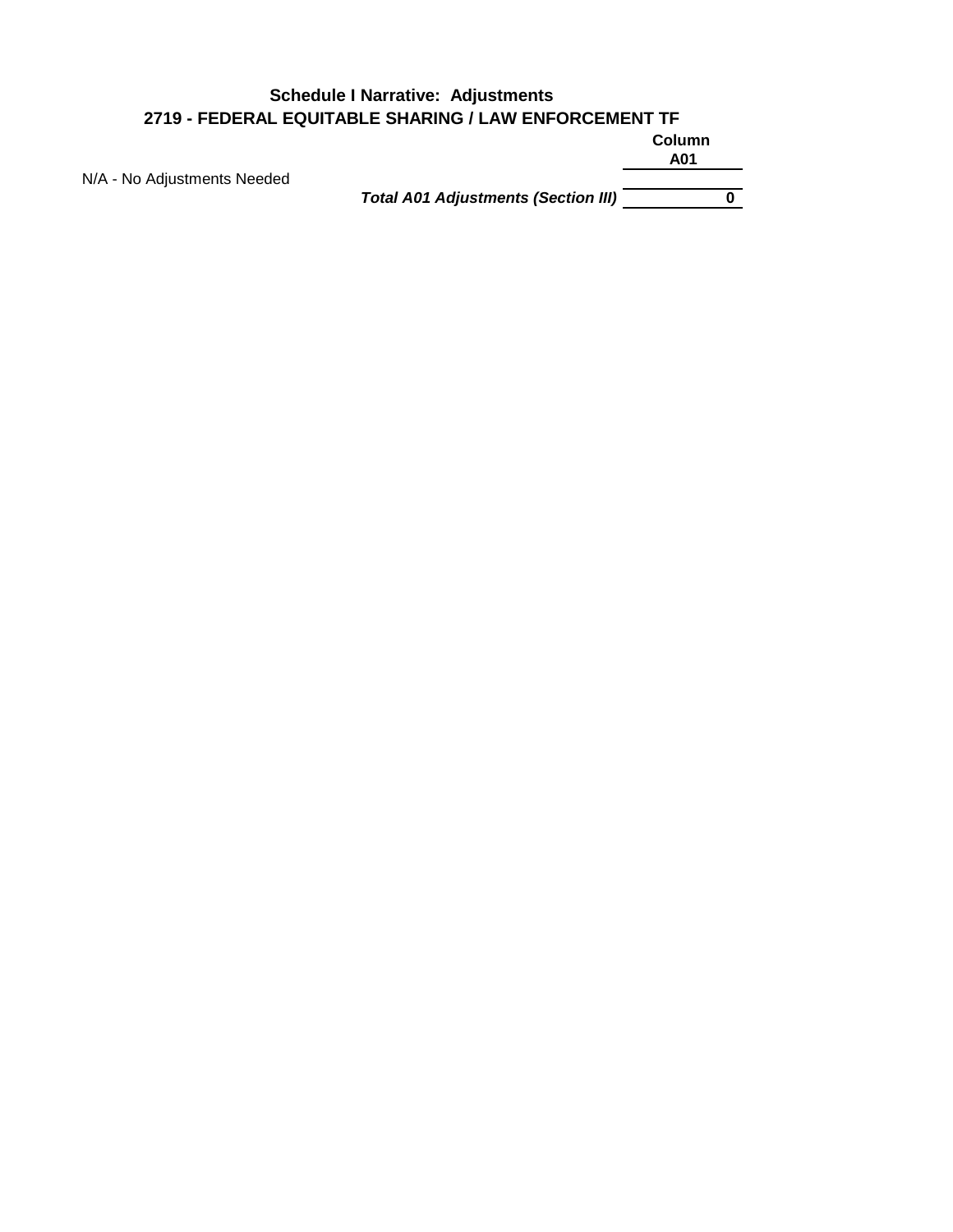#### **Column A01 Schedule I Narrative: Adjustments 2719 - FEDERAL EQUITABLE SHARING / LAW ENFORCEMENT TF**

N/A - No Adjustments Needed

*Total A01 Adjustments (Section III)* **0**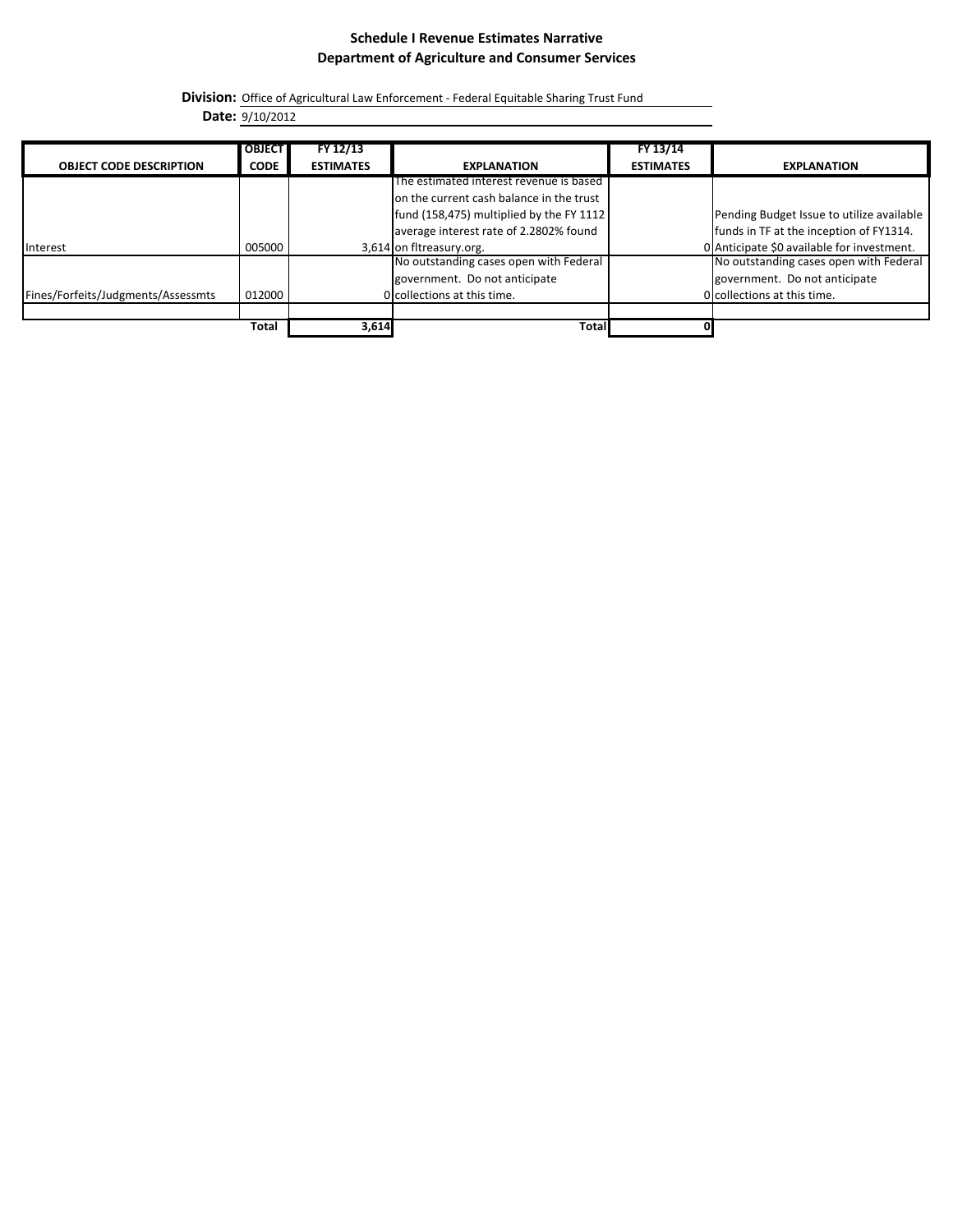#### **Schedule I Revenue Estimates Narrative Department of Agriculture and Consumer Services**

**Division:** Office of Agricultural Law Enforcement - Federal Equitable Sharing Trust Fund

**Date:** 9/10/2012

|                                    | <b>OBJECT</b> | FY 12/13         |                                          | FY 13/14         |                                            |
|------------------------------------|---------------|------------------|------------------------------------------|------------------|--------------------------------------------|
| <b>OBJECT CODE DESCRIPTION</b>     | <b>CODE</b>   | <b>ESTIMATES</b> | <b>EXPLANATION</b>                       | <b>ESTIMATES</b> | <b>EXPLANATION</b>                         |
|                                    |               |                  | The estimated interest revenue is based  |                  |                                            |
|                                    |               |                  | on the current cash balance in the trust |                  |                                            |
|                                    |               |                  | fund (158,475) multiplied by the FY 1112 |                  | Pending Budget Issue to utilize available  |
|                                    |               |                  | average interest rate of 2.2802% found   |                  | funds in TF at the inception of FY1314.    |
| <b>Interest</b>                    | 005000        |                  | 3,614 on fitreasury.org.                 |                  | 0 Anticipate \$0 available for investment. |
|                                    |               |                  | No outstanding cases open with Federal   |                  | No outstanding cases open with Federal     |
|                                    |               |                  | government. Do not anticipate            |                  | government. Do not anticipate              |
| Fines/Forfeits/Judgments/Assessmts | 012000        |                  | Occollections at this time.              |                  | O collections at this time.                |
|                                    |               |                  |                                          |                  |                                            |
|                                    | Total         | 3,614            | Total                                    |                  |                                            |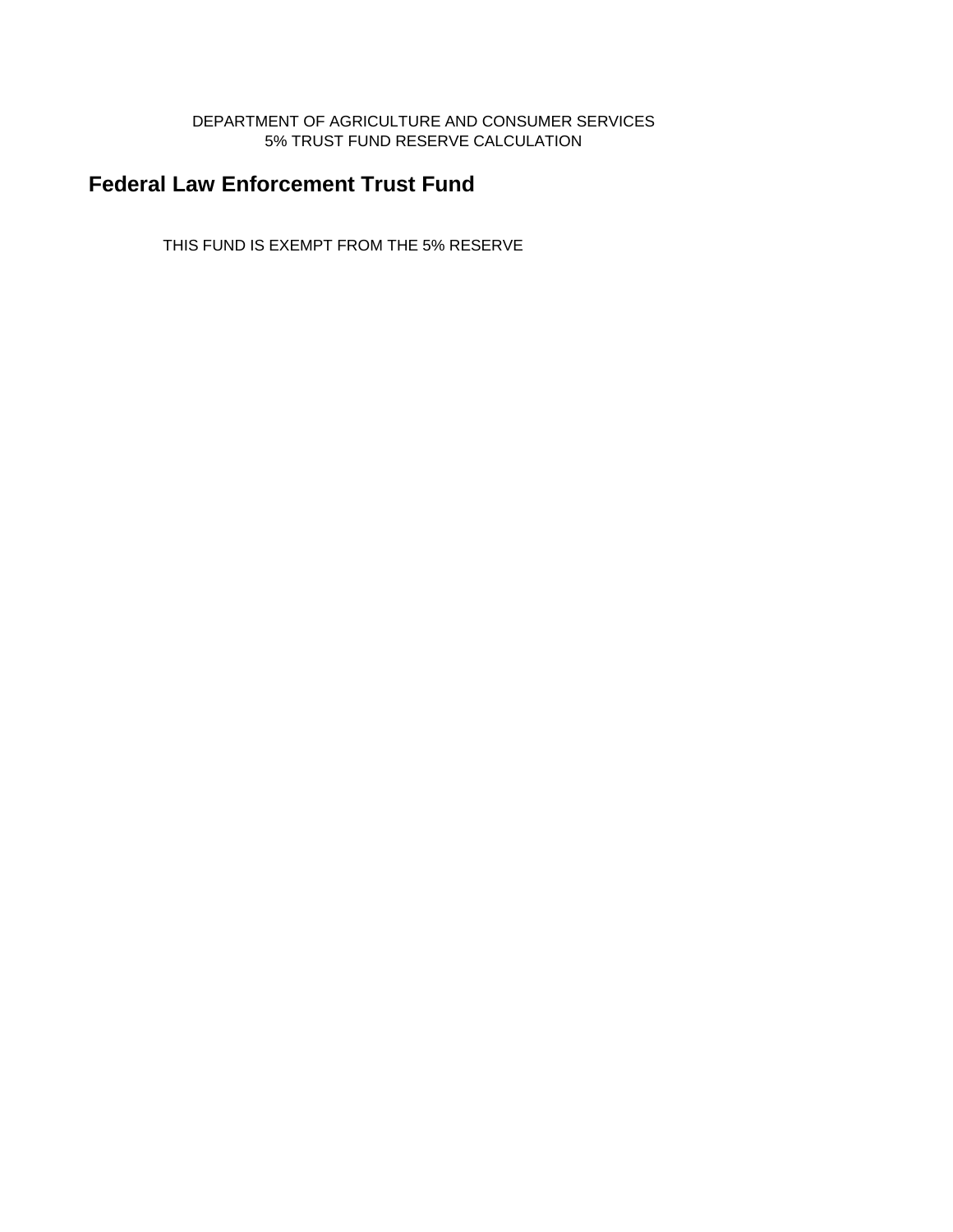#### DEPARTMENT OF AGRICULTURE AND CONSUMER SERVICES 5% TRUST FUND RESERVE CALCULATION

# **Federal Law Enforcement Trust Fund**

THIS FUND IS EXEMPT FROM THE 5% RESERVE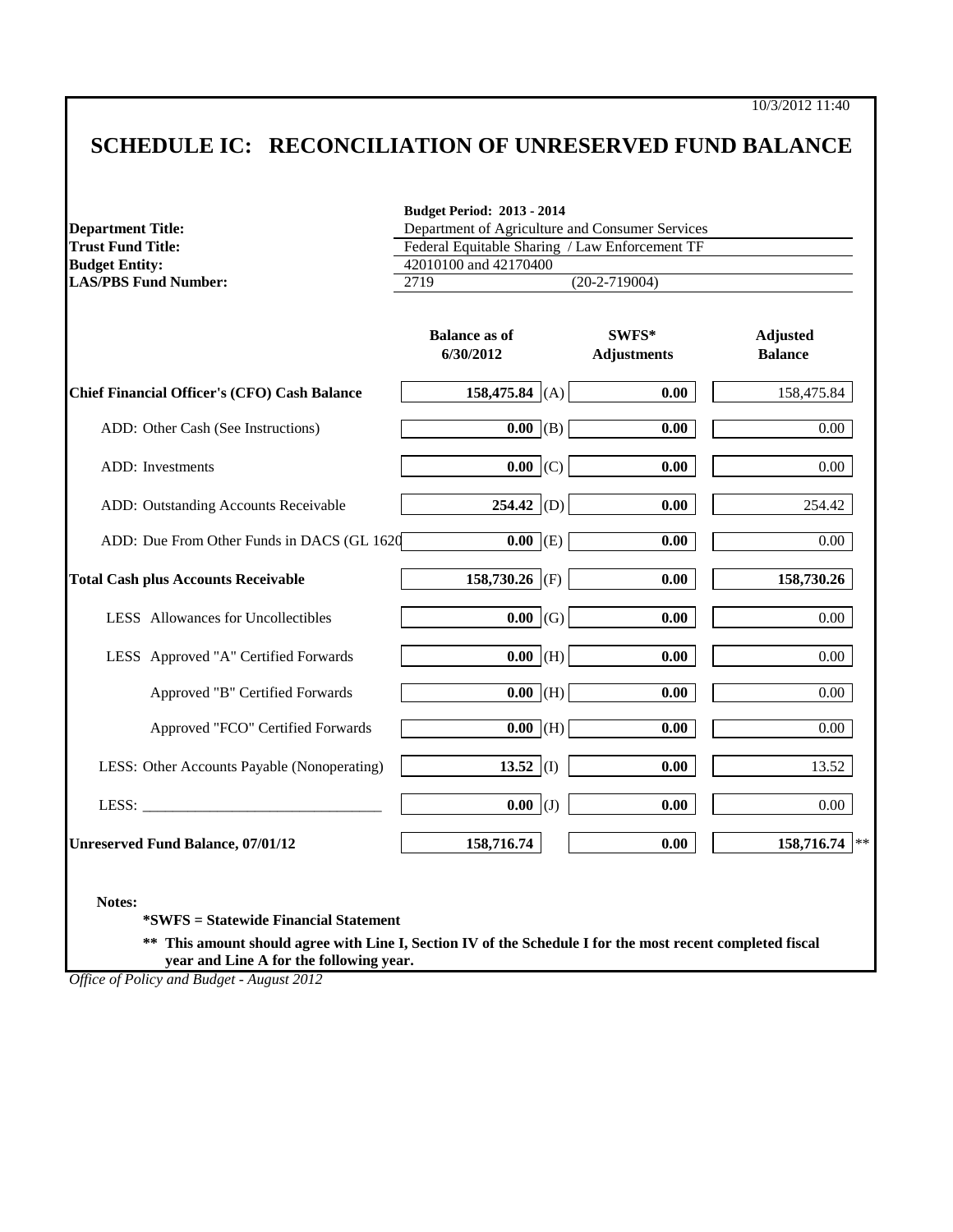## **SCHEDULE IC: RECONCILIATION OF UNRESERVED FUND BALANCE**

|                                                                                                                                                                                                                                | <b>Budget Period: 2013 - 2014</b>               |                             |                                   |  |  |
|--------------------------------------------------------------------------------------------------------------------------------------------------------------------------------------------------------------------------------|-------------------------------------------------|-----------------------------|-----------------------------------|--|--|
| <b>Department Title:</b>                                                                                                                                                                                                       | Department of Agriculture and Consumer Services |                             |                                   |  |  |
| <b>Trust Fund Title:</b>                                                                                                                                                                                                       | Federal Equitable Sharing / Law Enforcement TF  |                             |                                   |  |  |
| <b>Budget Entity:</b><br><b>LAS/PBS Fund Number:</b>                                                                                                                                                                           | 42010100 and 42170400                           |                             |                                   |  |  |
|                                                                                                                                                                                                                                | 2719                                            | $(20-2-719004)$             |                                   |  |  |
|                                                                                                                                                                                                                                | <b>Balance as of</b><br>6/30/2012               | SWFS*<br><b>Adjustments</b> | <b>Adjusted</b><br><b>Balance</b> |  |  |
| Chief Financial Officer's (CFO) Cash Balance                                                                                                                                                                                   | 158,475.84 (A)                                  | 0.00                        | 158,475.84                        |  |  |
| ADD: Other Cash (See Instructions)                                                                                                                                                                                             | $\overline{0.00}$ (B)                           | 0.00                        | 0.00                              |  |  |
| <b>ADD</b> : Investments                                                                                                                                                                                                       | $0.00$ (C)                                      | 0.00                        | $0.00\,$                          |  |  |
| ADD: Outstanding Accounts Receivable                                                                                                                                                                                           | $254.42$ (D)                                    | 0.00                        | 254.42                            |  |  |
| ADD: Due From Other Funds in DACS (GL 1620                                                                                                                                                                                     | $\overline{0.00}$ (E)                           | 0.00                        | 0.00                              |  |  |
| <b>Total Cash plus Accounts Receivable</b>                                                                                                                                                                                     | 158,730.26 (F)                                  | 0.00                        | 158,730.26                        |  |  |
| LESS Allowances for Uncollectibles                                                                                                                                                                                             | $0.00 \, (G)$                                   | 0.00                        | 0.00                              |  |  |
| LESS Approved "A" Certified Forwards                                                                                                                                                                                           | $0.00$ (H)                                      | 0.00                        | 0.00                              |  |  |
| Approved "B" Certified Forwards                                                                                                                                                                                                | $\overline{0.00}$ (H)                           | 0.00                        | 0.00                              |  |  |
| Approved "FCO" Certified Forwards                                                                                                                                                                                              | $0.00$ (H)                                      | 0.00                        | 0.00                              |  |  |
| LESS: Other Accounts Payable (Nonoperating)                                                                                                                                                                                    | 13.52 $(I)$                                     | 0.00                        | 13.52                             |  |  |
| LESS: The contract of the contract of the contract of the contract of the contract of the contract of the contract of the contract of the contract of the contract of the contract of the contract of the contract of the cont | $0.00$ (J)                                      | 0.00                        | 0.00                              |  |  |
| <b>Unreserved Fund Balance, 07/01/12</b>                                                                                                                                                                                       | 158,716.74                                      | 0.00                        | 158,716.74<br>$\ast\ast$          |  |  |

**\*SWFS = Statewide Financial Statement** 

**\*\* This amount should agree with Line I, Section IV of the Schedule I for the most recent completed fiscal year and Line A for the following year.**

*Office of Policy and Budget - August 2012*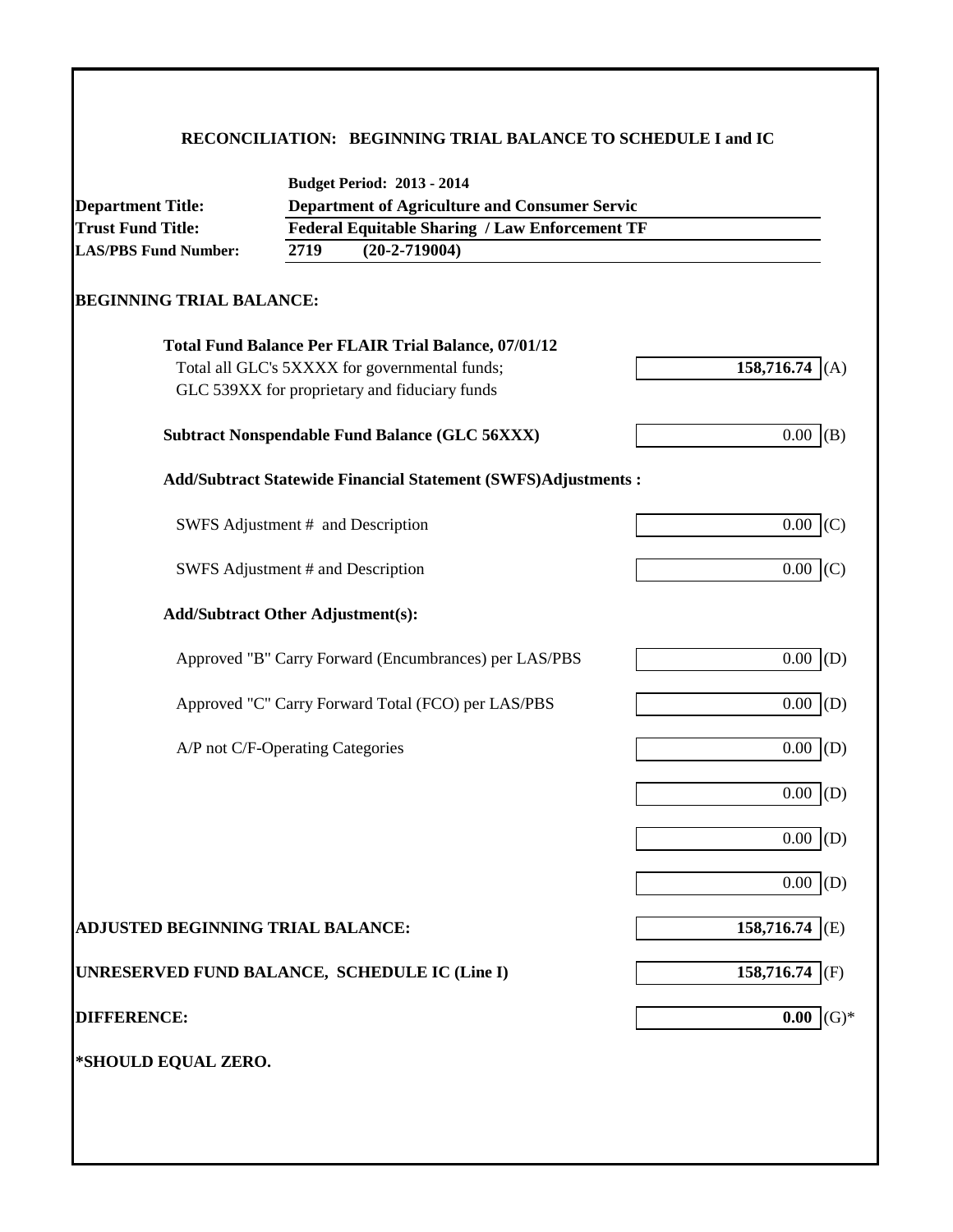### **RECONCILIATION: BEGINNING TRIAL BALANCE TO SCHEDULE I and IC**

| <b>Department Title:</b>                      |                                                       | <b>Department of Agriculture and Consumer Servic</b>                 |                |  |  |  |
|-----------------------------------------------|-------------------------------------------------------|----------------------------------------------------------------------|----------------|--|--|--|
| <b>Trust Fund Title:</b>                      | <b>Federal Equitable Sharing / Law Enforcement TF</b> |                                                                      |                |  |  |  |
| <b>LAS/PBS Fund Number:</b>                   | 2719                                                  | $(20-2-719004)$                                                      |                |  |  |  |
| <b>BEGINNING TRIAL BALANCE:</b>               |                                                       |                                                                      |                |  |  |  |
|                                               |                                                       | <b>Total Fund Balance Per FLAIR Trial Balance, 07/01/12</b>          |                |  |  |  |
|                                               |                                                       | Total all GLC's 5XXXX for governmental funds;                        | 158,716.74 (A) |  |  |  |
|                                               |                                                       | GLC 539XX for proprietary and fiduciary funds                        |                |  |  |  |
|                                               |                                                       | <b>Subtract Nonspendable Fund Balance (GLC 56XXX)</b>                | $0.00$ (B)     |  |  |  |
|                                               |                                                       | <b>Add/Subtract Statewide Financial Statement (SWFS)Adjustments:</b> |                |  |  |  |
|                                               |                                                       | SWFS Adjustment # and Description                                    | $0.00$ (C)     |  |  |  |
| SWFS Adjustment # and Description             |                                                       |                                                                      | $0.00$ (C)     |  |  |  |
| <b>Add/Subtract Other Adjustment(s):</b>      |                                                       |                                                                      |                |  |  |  |
|                                               |                                                       | Approved "B" Carry Forward (Encumbrances) per LAS/PBS                | $0.00$ (D)     |  |  |  |
|                                               |                                                       | Approved "C" Carry Forward Total (FCO) per LAS/PBS                   | 0.00<br>(D)    |  |  |  |
| A/P not C/F-Operating Categories              |                                                       |                                                                      | 0.00<br>(D)    |  |  |  |
|                                               |                                                       |                                                                      | $0.00$ (D)     |  |  |  |
|                                               |                                                       |                                                                      | 0.00<br>(D)    |  |  |  |
|                                               |                                                       |                                                                      | 0.00<br>(D)    |  |  |  |
| <b>ADJUSTED BEGINNING TRIAL BALANCE:</b>      |                                                       |                                                                      | 158,716.74 (E) |  |  |  |
| UNRESERVED FUND BALANCE, SCHEDULE IC (Line I) |                                                       |                                                                      | 158,716.74 (F) |  |  |  |
| <b>DIFFERENCE:</b>                            |                                                       |                                                                      | $(G)*$<br>0.00 |  |  |  |
| *SHOULD EQUAL ZERO.                           |                                                       |                                                                      |                |  |  |  |
|                                               |                                                       |                                                                      |                |  |  |  |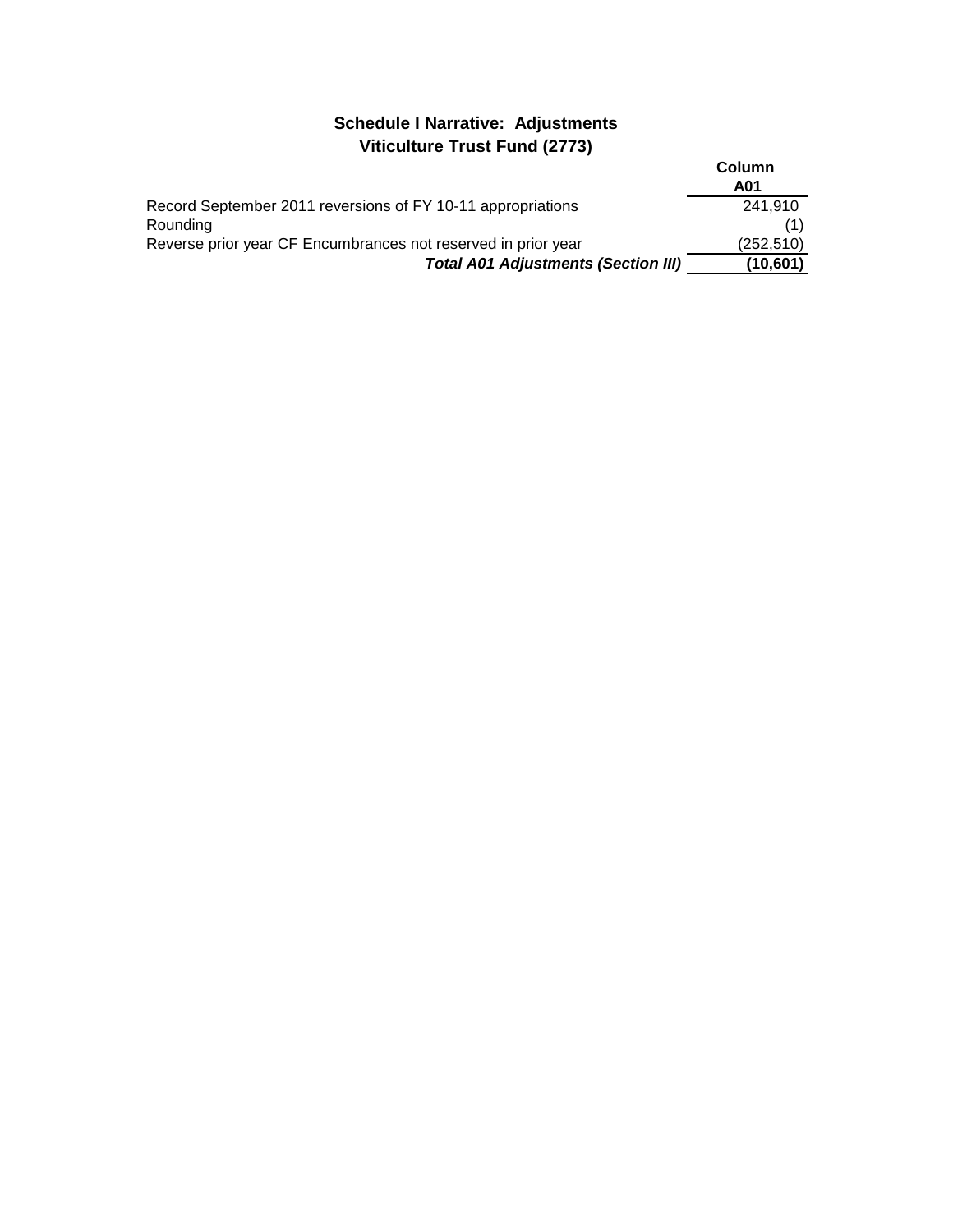### **Schedule I Narrative: Adjustments Viticulture Trust Fund (2773)**

|                                                               | Column     |
|---------------------------------------------------------------|------------|
|                                                               | A01        |
| Record September 2011 reversions of FY 10-11 appropriations   | 241,910    |
| Rounding                                                      |            |
| Reverse prior year CF Encumbrances not reserved in prior year | (252, 510) |
| <b>Total A01 Adjustments (Section III)</b>                    | (10,601)   |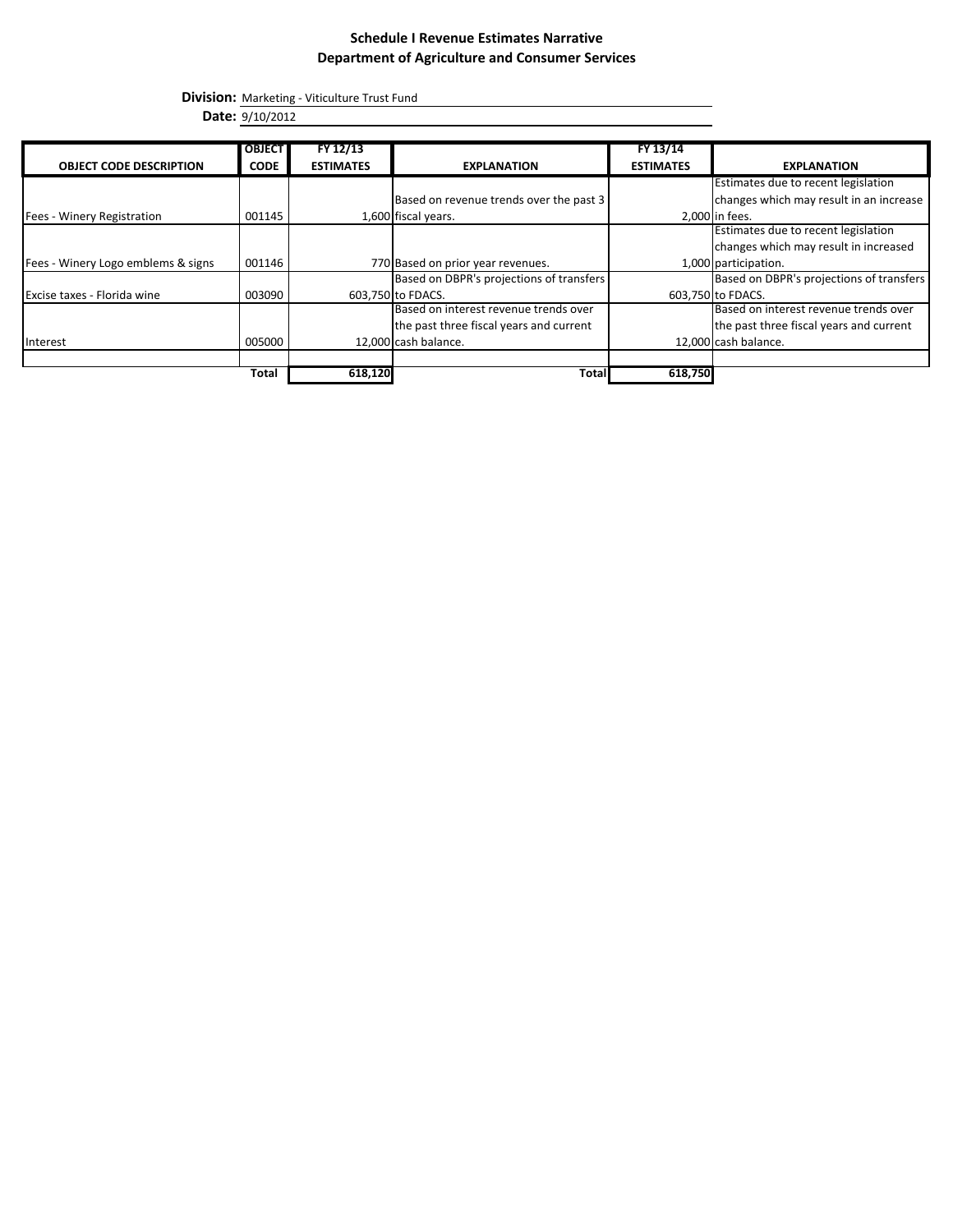### **Schedule I Revenue Estimates Narrative Department of Agriculture and Consumer Services**

**Division:** Marketing - Viticulture Trust Fund

**Date:** 9/10/2012

|                                    | <b>OBJECT</b> | FY 12/13         |                                          | FY 13/14         |                                          |
|------------------------------------|---------------|------------------|------------------------------------------|------------------|------------------------------------------|
| <b>OBJECT CODE DESCRIPTION</b>     | <b>CODE</b>   | <b>ESTIMATES</b> | <b>EXPLANATION</b>                       | <b>ESTIMATES</b> | <b>EXPLANATION</b>                       |
|                                    |               |                  |                                          |                  | Estimates due to recent legislation      |
|                                    |               |                  | Based on revenue trends over the past 3  |                  | changes which may result in an increase  |
| Fees - Winery Registration         | 001145        |                  | 1,600 fiscal years.                      |                  | 2,000 in fees.                           |
|                                    |               |                  |                                          |                  | Estimates due to recent legislation      |
|                                    |               |                  |                                          |                  | changes which may result in increased    |
| Fees - Winery Logo emblems & signs | 001146        |                  | 770 Based on prior year revenues.        |                  | 1,000 participation.                     |
|                                    |               |                  | Based on DBPR's projections of transfers |                  | Based on DBPR's projections of transfers |
| Excise taxes - Florida wine        | 003090        |                  | 603,750 to FDACS.                        |                  | 603,750 to FDACS.                        |
|                                    |               |                  | Based on interest revenue trends over    |                  | Based on interest revenue trends over    |
|                                    |               |                  | the past three fiscal years and current  |                  | the past three fiscal years and current  |
| Interest                           | 005000        |                  | 12,000 cash balance.                     |                  | 12,000 cash balance.                     |
|                                    |               |                  |                                          |                  |                                          |
|                                    | Total         | 618,120          | <b>Total</b>                             | 618,750          |                                          |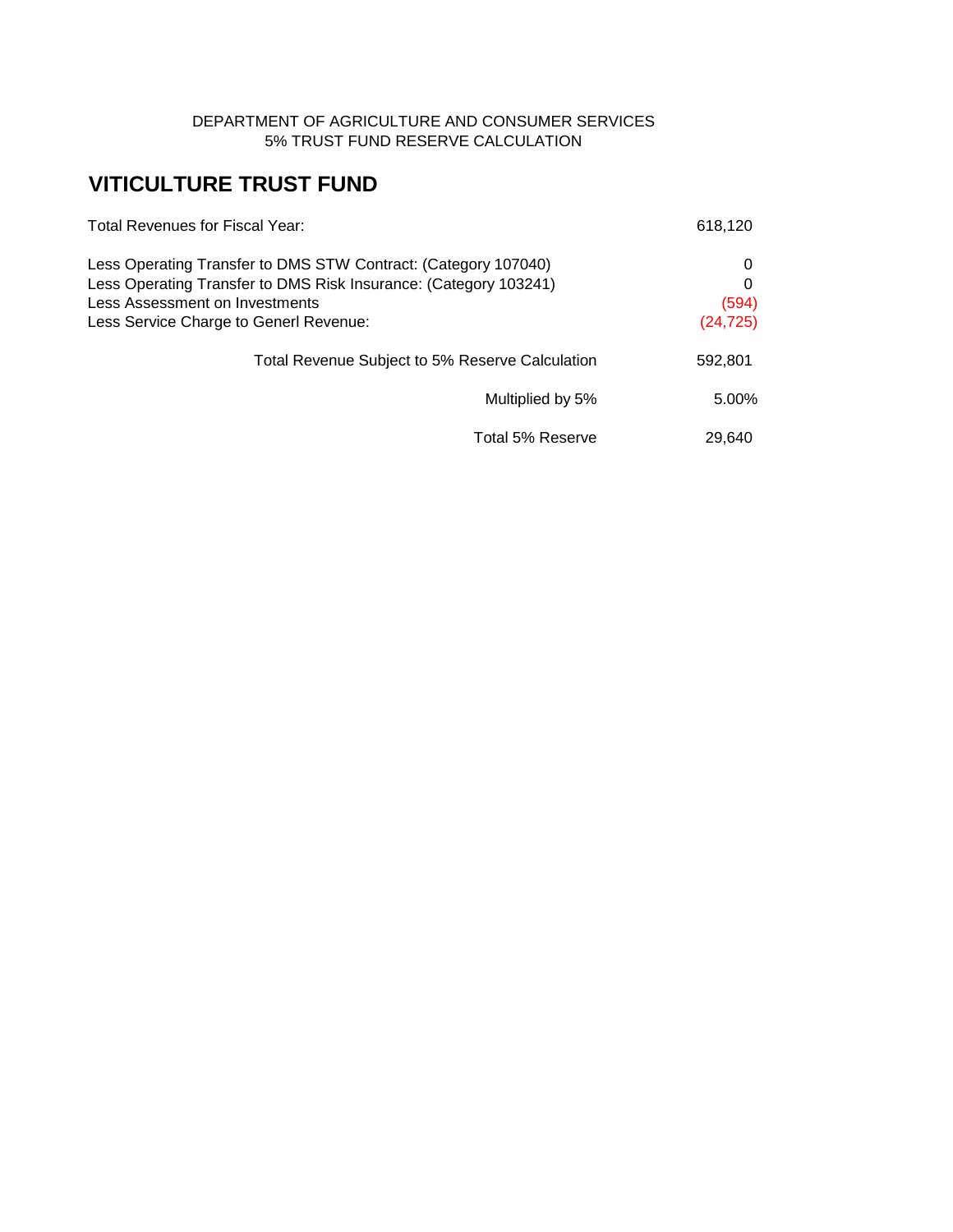### DEPARTMENT OF AGRICULTURE AND CONSUMER SERVICES 5% TRUST FUND RESERVE CALCULATION

# **VITICULTURE TRUST FUND**

| <b>Total Revenues for Fiscal Year:</b>                                                                                                                                                                         | 618,120                      |
|----------------------------------------------------------------------------------------------------------------------------------------------------------------------------------------------------------------|------------------------------|
| Less Operating Transfer to DMS STW Contract: (Category 107040)<br>Less Operating Transfer to DMS Risk Insurance: (Category 103241)<br>Less Assessment on Investments<br>Less Service Charge to Generl Revenue: | 0<br>0<br>(594)<br>(24, 725) |
| Total Revenue Subject to 5% Reserve Calculation                                                                                                                                                                | 592,801                      |
| Multiplied by 5%                                                                                                                                                                                               | 5.00%                        |
| Total 5% Reserve                                                                                                                                                                                               | 29.640                       |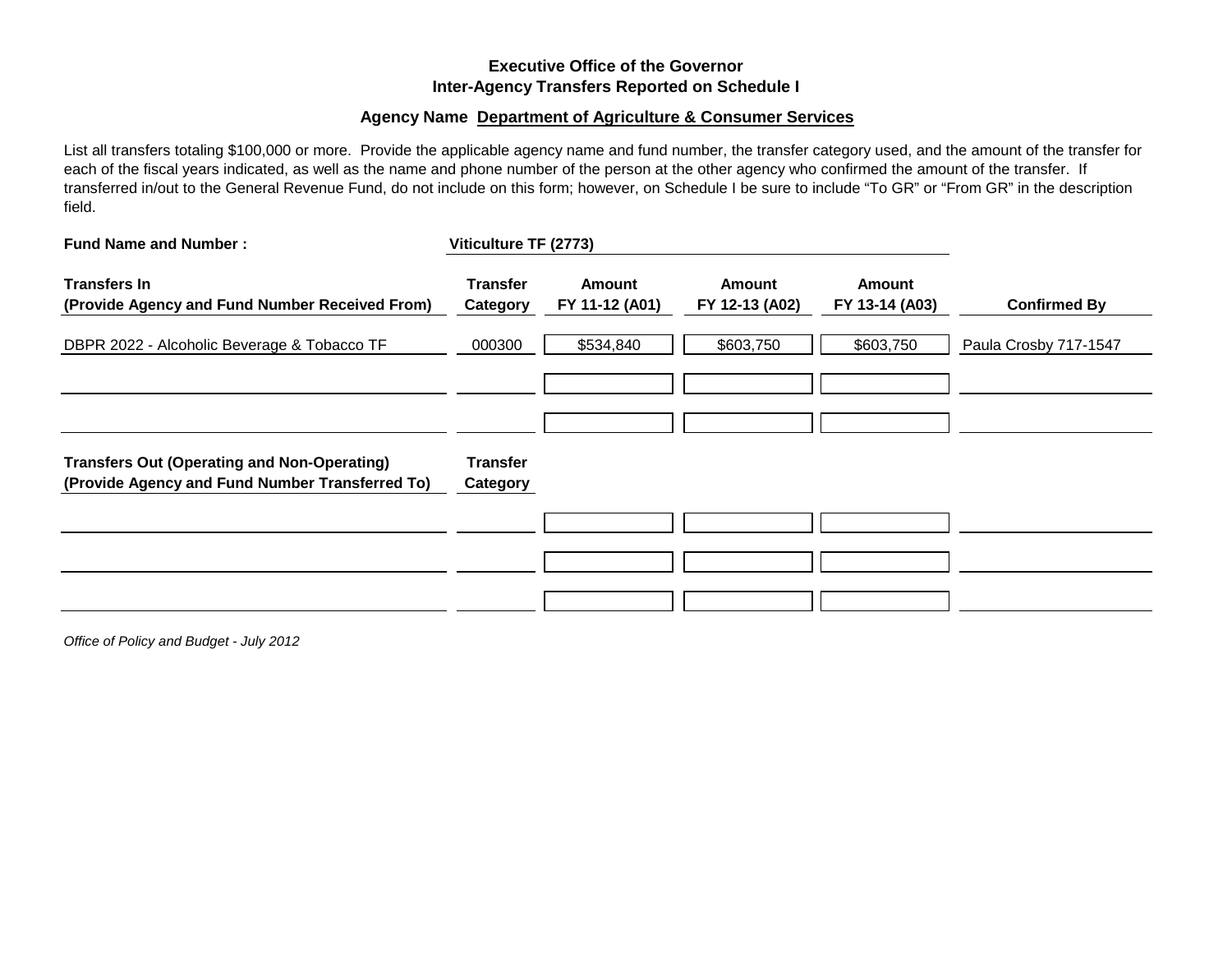### **Executive Office of the Governor Inter-Agency Transfers Reported on Schedule I**

#### **Agency Name Department of Agriculture & Consumer Services**

List all transfers totaling \$100,000 or more. Provide the applicable agency name and fund number, the transfer category used, and the amount of the transfer for each of the fiscal years indicated, as well as the name and phone number of the person at the other agency who confirmed the amount of the transfer. If transferred in/out to the General Revenue Fund, do not include on this form; however, on Schedule I be sure to include "To GR" or "From GR" in the description field.

| <b>Fund Name and Number:</b>                                                                          | Viticulture TF (2773)       |                          |                          |                                 |                       |
|-------------------------------------------------------------------------------------------------------|-----------------------------|--------------------------|--------------------------|---------------------------------|-----------------------|
| <b>Transfers In</b><br>(Provide Agency and Fund Number Received From)                                 | <b>Transfer</b><br>Category | Amount<br>FY 11-12 (A01) | Amount<br>FY 12-13 (A02) | <b>Amount</b><br>FY 13-14 (A03) | <b>Confirmed By</b>   |
| DBPR 2022 - Alcoholic Beverage & Tobacco TF                                                           | 000300                      | \$534,840                | \$603,750                | \$603,750                       | Paula Crosby 717-1547 |
|                                                                                                       |                             |                          |                          |                                 |                       |
|                                                                                                       |                             |                          |                          |                                 |                       |
| <b>Transfers Out (Operating and Non-Operating)</b><br>(Provide Agency and Fund Number Transferred To) | <b>Transfer</b><br>Category |                          |                          |                                 |                       |
|                                                                                                       |                             |                          |                          |                                 |                       |
|                                                                                                       |                             |                          |                          |                                 |                       |
|                                                                                                       |                             |                          |                          |                                 |                       |

*Office of Policy and Budget - July 2012*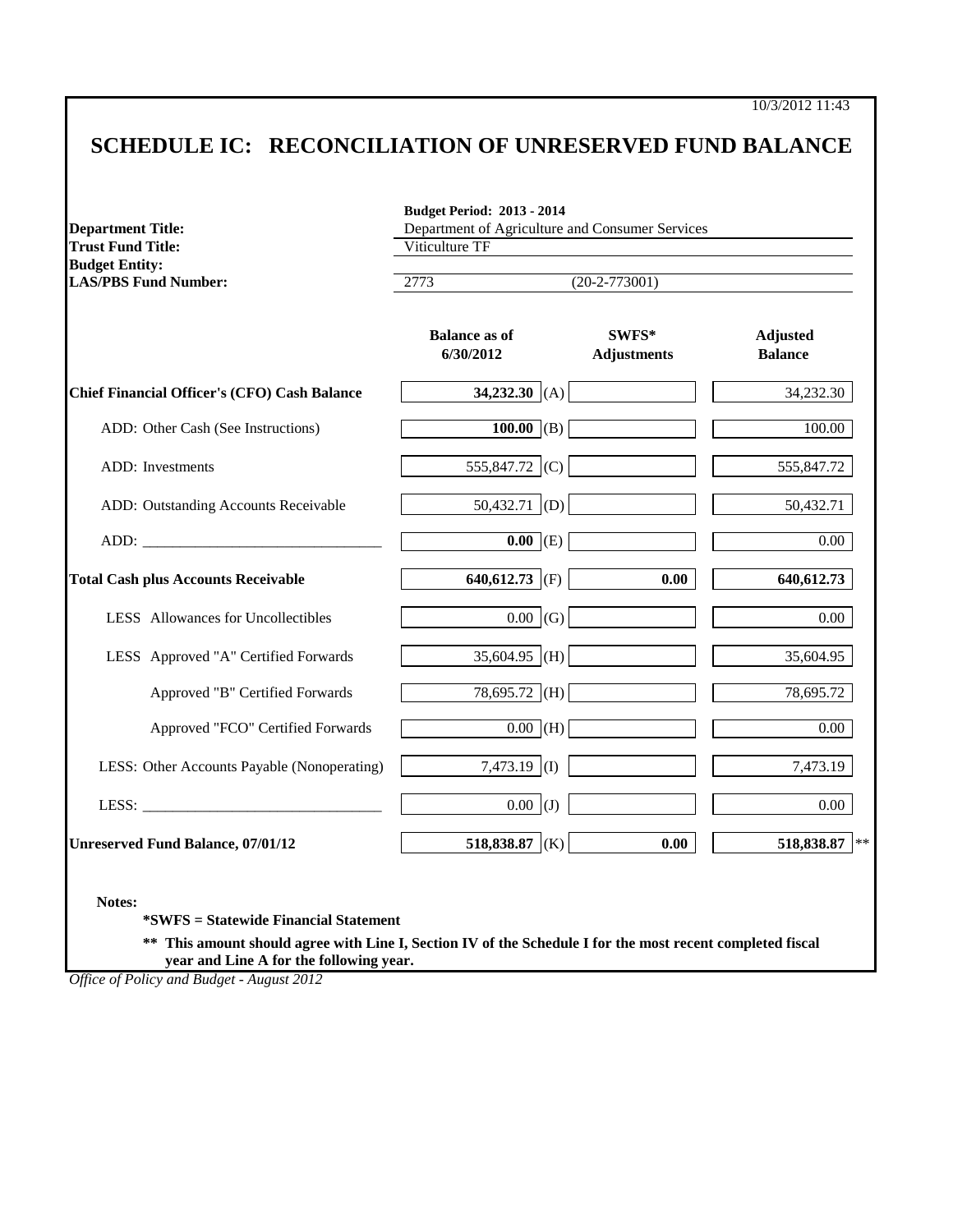## **SCHEDULE IC: RECONCILIATION OF UNRESERVED FUND BALANCE**

| <b>Trust Fund Title:</b>                             | Department of Agriculture and Consumer Services<br>Viticulture TF |                             |                                   |  |  |
|------------------------------------------------------|-------------------------------------------------------------------|-----------------------------|-----------------------------------|--|--|
| <b>Budget Entity:</b><br><b>LAS/PBS Fund Number:</b> | 2773<br>$(20-2-773001)$                                           |                             |                                   |  |  |
|                                                      | <b>Balance as of</b><br>6/30/2012                                 | SWFS*<br><b>Adjustments</b> | <b>Adjusted</b><br><b>Balance</b> |  |  |
| <b>Chief Financial Officer's (CFO) Cash Balance</b>  | 34,232.30 (A)                                                     |                             | 34,232.30                         |  |  |
| ADD: Other Cash (See Instructions)                   | $100.00$ (B)                                                      |                             | 100.00                            |  |  |
| ADD: Investments                                     | 555,847.72 (C)                                                    |                             | 555,847.72                        |  |  |
| ADD: Outstanding Accounts Receivable                 | $50,432.71$ (D)                                                   |                             | 50,432.71                         |  |  |
|                                                      | $\overline{0.00}$ (E)                                             |                             | 0.00                              |  |  |
| <b>Total Cash plus Accounts Receivable</b>           | 640,612.73 (F)                                                    | 0.00                        | 640, 612. 73                      |  |  |
| LESS Allowances for Uncollectibles                   | $0.00$ (G)                                                        |                             | 0.00                              |  |  |
| LESS Approved "A" Certified Forwards                 | 35,604.95 (H)                                                     |                             | 35,604.95                         |  |  |
| Approved "B" Certified Forwards                      | $78,695.72$ (H)                                                   |                             | 78,695.72                         |  |  |
| Approved "FCO" Certified Forwards                    | $\overline{0.00}$ (H)                                             |                             | 0.00                              |  |  |
| LESS: Other Accounts Payable (Nonoperating)          | 7,473.19 (I)                                                      |                             | 7,473.19                          |  |  |
| LESS: $\qquad \qquad$                                | $0.00$ (J)                                                        |                             | 0.00                              |  |  |
| <b>Unreserved Fund Balance, 07/01/12</b>             | 518,838.87 (K)                                                    | 0.00                        | 518,838.87                        |  |  |

**\*\* This amount should agree with Line I, Section IV of the Schedule I for the most recent completed fiscal year and Line A for the following year.**

*Office of Policy and Budget - August 2012*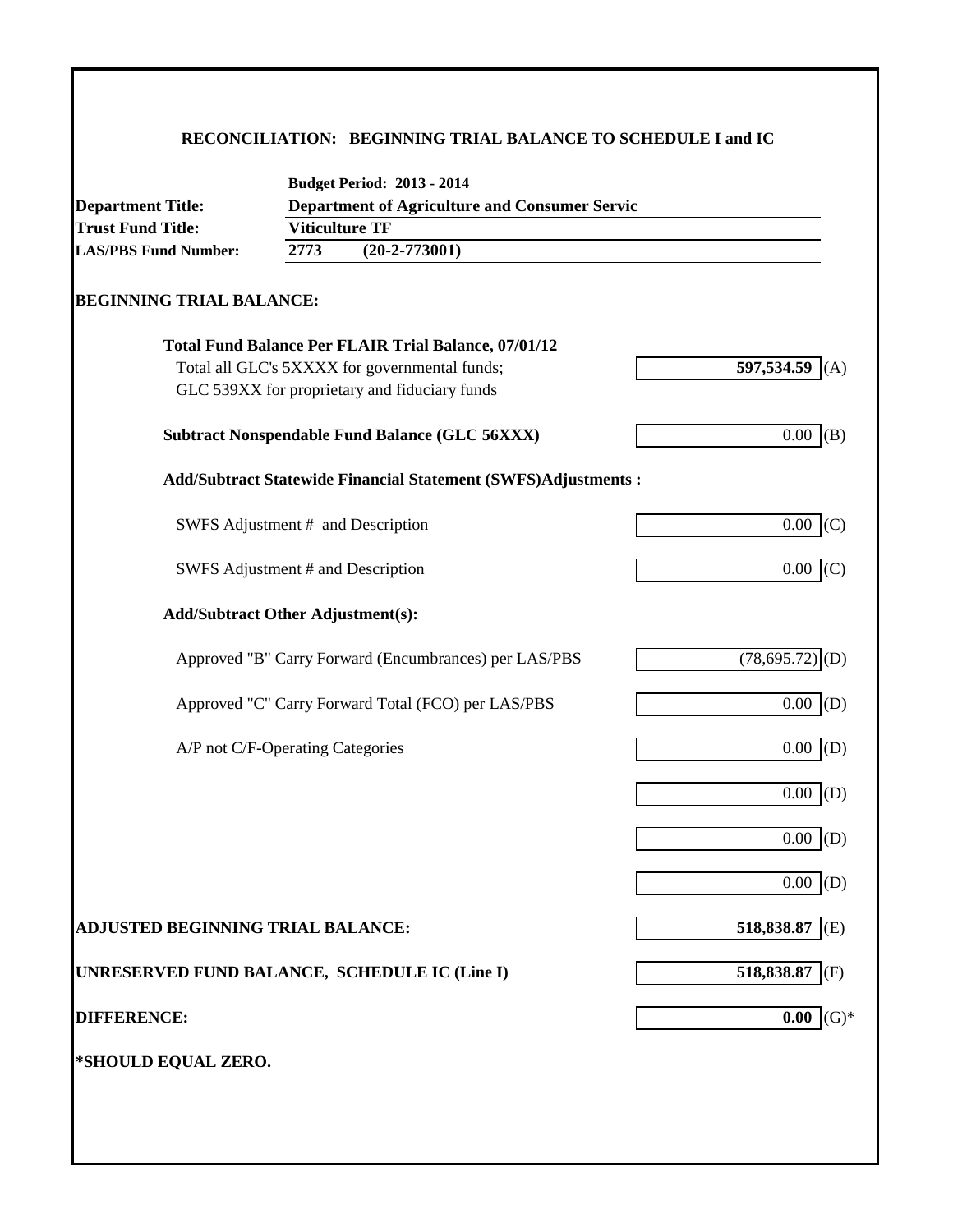## **RECONCILIATION: BEGINNING TRIAL BALANCE TO SCHEDULE I and IC**

| <b>Department Title:</b>                      |                         | <b>Department of Agriculture and Consumer Servic</b>                 |                     |  |
|-----------------------------------------------|-------------------------|----------------------------------------------------------------------|---------------------|--|
| <b>Trust Fund Title:</b>                      | <b>Viticulture TF</b>   |                                                                      |                     |  |
| <b>LAS/PBS Fund Number:</b>                   | 2773<br>$(20-2-773001)$ |                                                                      |                     |  |
| <b>BEGINNING TRIAL BALANCE:</b>               |                         |                                                                      |                     |  |
|                                               |                         | <b>Total Fund Balance Per FLAIR Trial Balance, 07/01/12</b>          |                     |  |
|                                               |                         | Total all GLC's 5XXXX for governmental funds;                        | 597,534.59<br>(A)   |  |
|                                               |                         | GLC 539XX for proprietary and fiduciary funds                        |                     |  |
|                                               |                         | <b>Subtract Nonspendable Fund Balance (GLC 56XXX)</b>                | $0.00$ (B)          |  |
|                                               |                         | <b>Add/Subtract Statewide Financial Statement (SWFS)Adjustments:</b> |                     |  |
|                                               |                         | SWFS Adjustment # and Description                                    | $0.00$ (C)          |  |
| SWFS Adjustment # and Description             |                         |                                                                      | 0.00<br>(C)         |  |
| <b>Add/Subtract Other Adjustment(s):</b>      |                         |                                                                      |                     |  |
|                                               |                         | Approved "B" Carry Forward (Encumbrances) per LAS/PBS                | (78, 695.72)<br>(D) |  |
|                                               |                         | Approved "C" Carry Forward Total (FCO) per LAS/PBS                   | 0.00<br>(D)         |  |
| A/P not C/F-Operating Categories              |                         |                                                                      | $0.00$ (D)          |  |
|                                               |                         |                                                                      | $0.00\,$<br>(D)     |  |
|                                               |                         |                                                                      | 0.00<br>(D)         |  |
|                                               |                         |                                                                      | 0.00<br>(D)         |  |
| ADJUSTED BEGINNING TRIAL BALANCE:             |                         |                                                                      | 518,838.87<br>(E)   |  |
| UNRESERVED FUND BALANCE, SCHEDULE IC (Line I) |                         |                                                                      | 518,838.87<br>(F)   |  |
| <b>DIFFERENCE:</b>                            |                         |                                                                      | $(G)*$<br>0.00      |  |
| *SHOULD EQUAL ZERO.                           |                         |                                                                      |                     |  |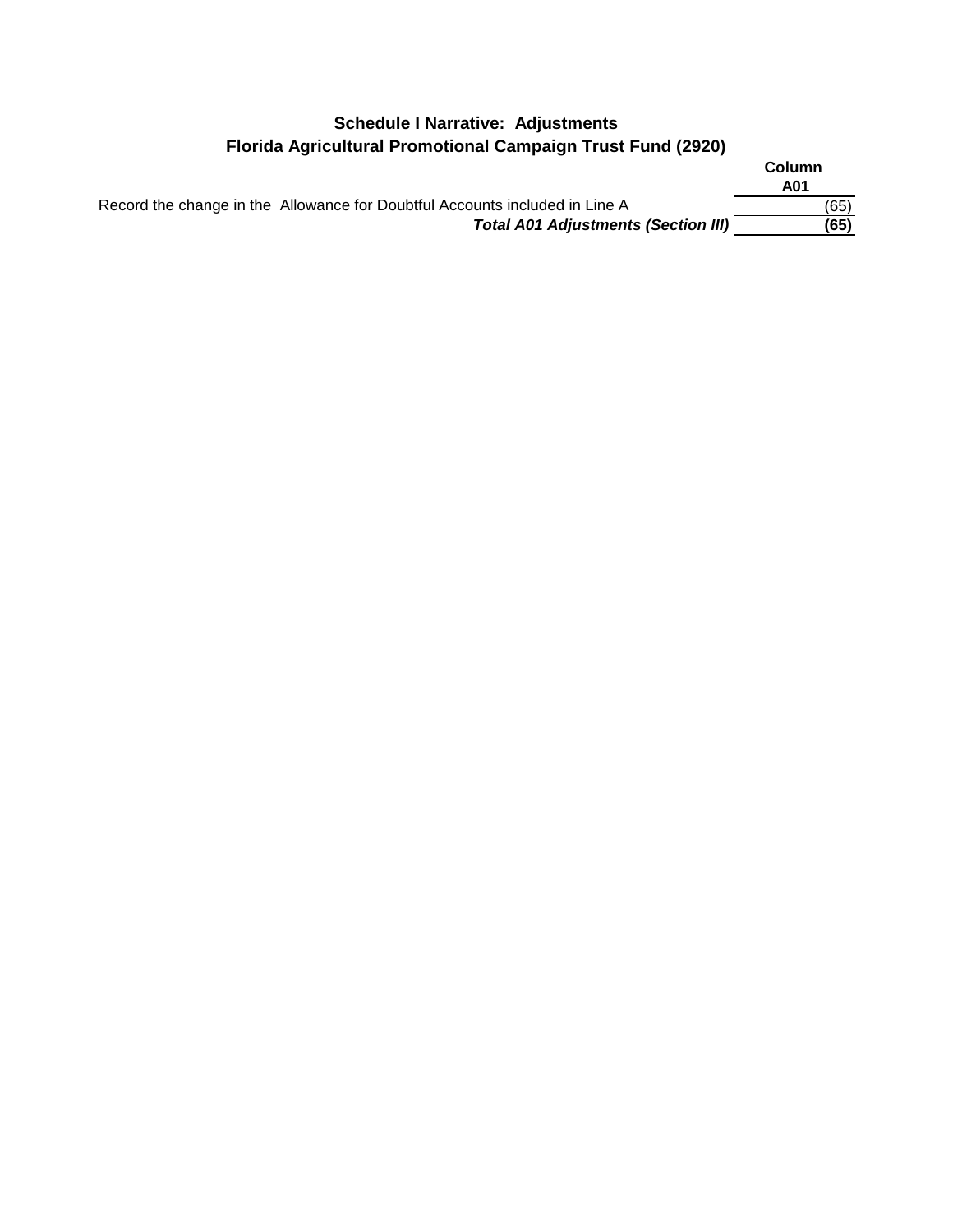## **Schedule I Narrative: Adjustments Florida Agricultural Promotional Campaign Trust Fund (2920)**

|                                                                             | Column<br>A01 |
|-----------------------------------------------------------------------------|---------------|
| Record the change in the Allowance for Doubtful Accounts included in Line A | (65)          |
| <b>Total A01 Adjustments (Section III)</b>                                  | (65)          |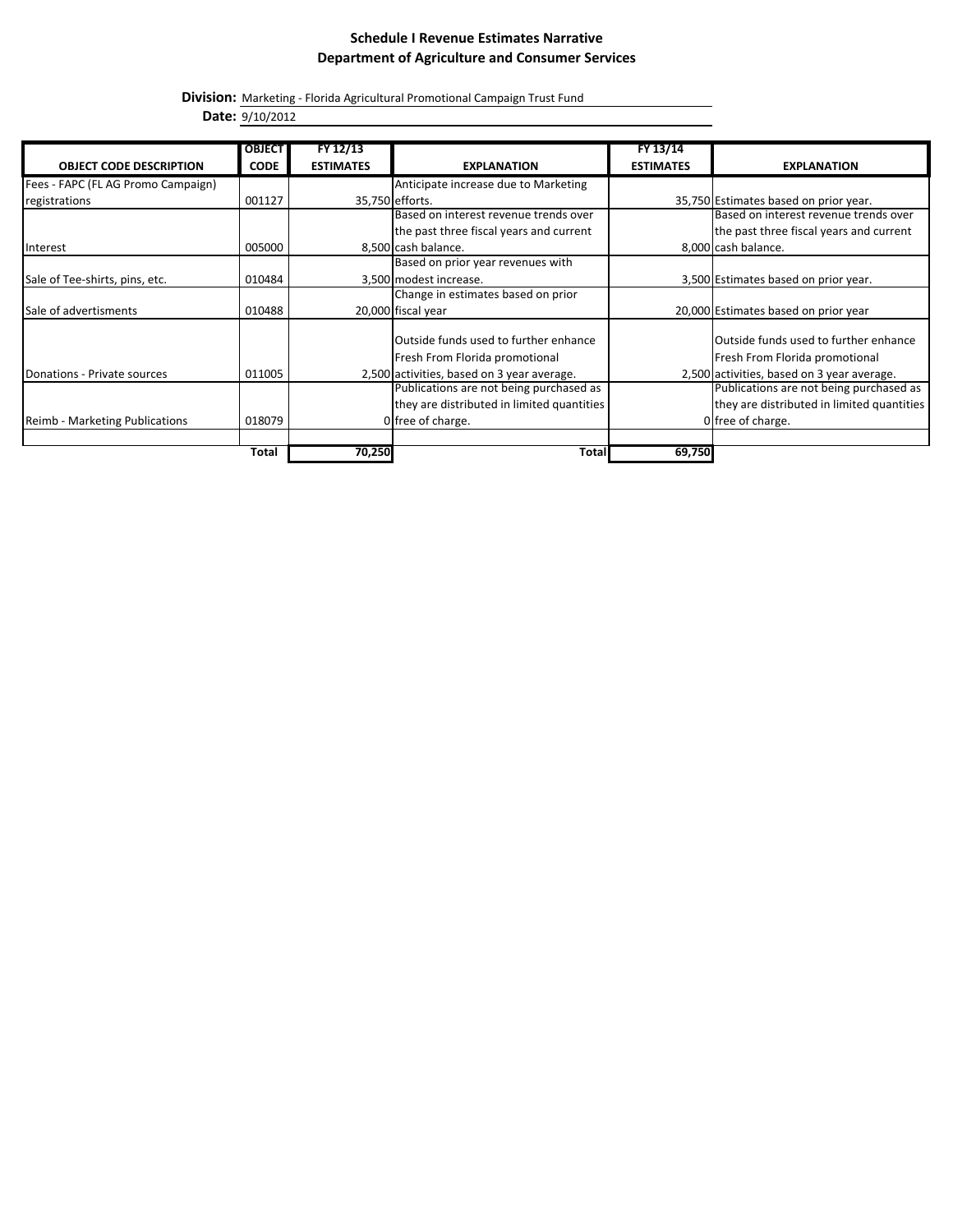#### **Schedule I Revenue Estimates Narrative Department of Agriculture and Consumer Services**

**Division:** Marketing - Florida Agricultural Promotional Campaign Trust Fund

**Date:** 9/10/2012

|                                    | <b>OBJECT</b> | FY 12/13         |                                            | FY 13/14         |                                              |
|------------------------------------|---------------|------------------|--------------------------------------------|------------------|----------------------------------------------|
| <b>OBJECT CODE DESCRIPTION</b>     | <b>CODE</b>   | <b>ESTIMATES</b> | <b>EXPLANATION</b>                         | <b>ESTIMATES</b> | <b>EXPLANATION</b>                           |
| Fees - FAPC (FL AG Promo Campaign) |               |                  | Anticipate increase due to Marketing       |                  |                                              |
| registrations                      | 001127        |                  | 35,750 efforts.                            |                  | 35,750 Estimates based on prior year.        |
|                                    |               |                  | Based on interest revenue trends over      |                  | Based on interest revenue trends over        |
|                                    |               |                  | the past three fiscal years and current    |                  | the past three fiscal years and current      |
| Interest                           | 005000        |                  | 8,500 cash balance.                        |                  | 8,000 cash balance.                          |
|                                    |               |                  | Based on prior year revenues with          |                  |                                              |
| Sale of Tee-shirts, pins, etc.     | 010484        |                  | 3,500 modest increase.                     |                  | 3,500 Estimates based on prior year.         |
|                                    |               |                  | Change in estimates based on prior         |                  |                                              |
| Sale of advertisments              | 010488        |                  | 20,000 fiscal year                         |                  | 20,000 Estimates based on prior year         |
|                                    |               |                  |                                            |                  |                                              |
|                                    |               |                  | Outside funds used to further enhance      |                  | <b>Outside funds used to further enhance</b> |
|                                    |               |                  | Fresh From Florida promotional             |                  | Fresh From Florida promotional               |
| Donations - Private sources        | 011005        |                  | 2,500 activities, based on 3 year average. |                  | 2,500 activities, based on 3 year average.   |
|                                    |               |                  | Publications are not being purchased as    |                  | Publications are not being purchased as      |
|                                    |               |                  | they are distributed in limited quantities |                  | they are distributed in limited quantities   |
| Reimb - Marketing Publications     | 018079        |                  | 0 free of charge.                          |                  | 0 free of charge.                            |
|                                    |               |                  |                                            |                  |                                              |
|                                    | Total         | 70,250           | Total                                      | 69,750           |                                              |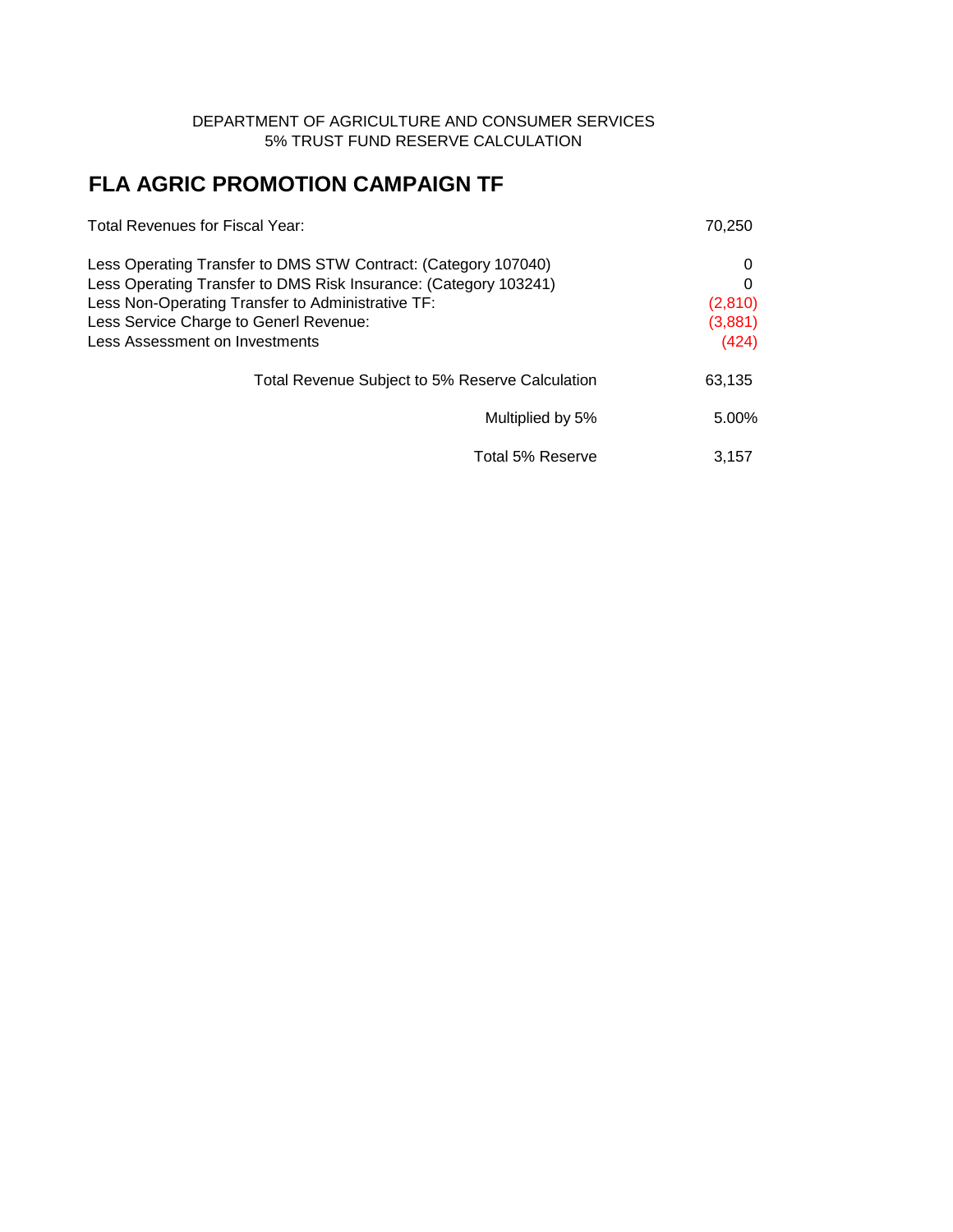### DEPARTMENT OF AGRICULTURE AND CONSUMER SERVICES 5% TRUST FUND RESERVE CALCULATION

# **FLA AGRIC PROMOTION CAMPAIGN TF**

| Total Revenues for Fiscal Year:                                                                                                                                                         | 70,250           |
|-----------------------------------------------------------------------------------------------------------------------------------------------------------------------------------------|------------------|
| Less Operating Transfer to DMS STW Contract: (Category 107040)<br>Less Operating Transfer to DMS Risk Insurance: (Category 103241)<br>Less Non-Operating Transfer to Administrative TF: | 0<br>(2,810)     |
| Less Service Charge to Generl Revenue:<br>Less Assessment on Investments                                                                                                                | (3,881)<br>(424) |
|                                                                                                                                                                                         |                  |
| Total Revenue Subject to 5% Reserve Calculation                                                                                                                                         | 63.135           |
| Multiplied by 5%                                                                                                                                                                        | 5.00%            |
| Total 5% Reserve                                                                                                                                                                        | 3.157            |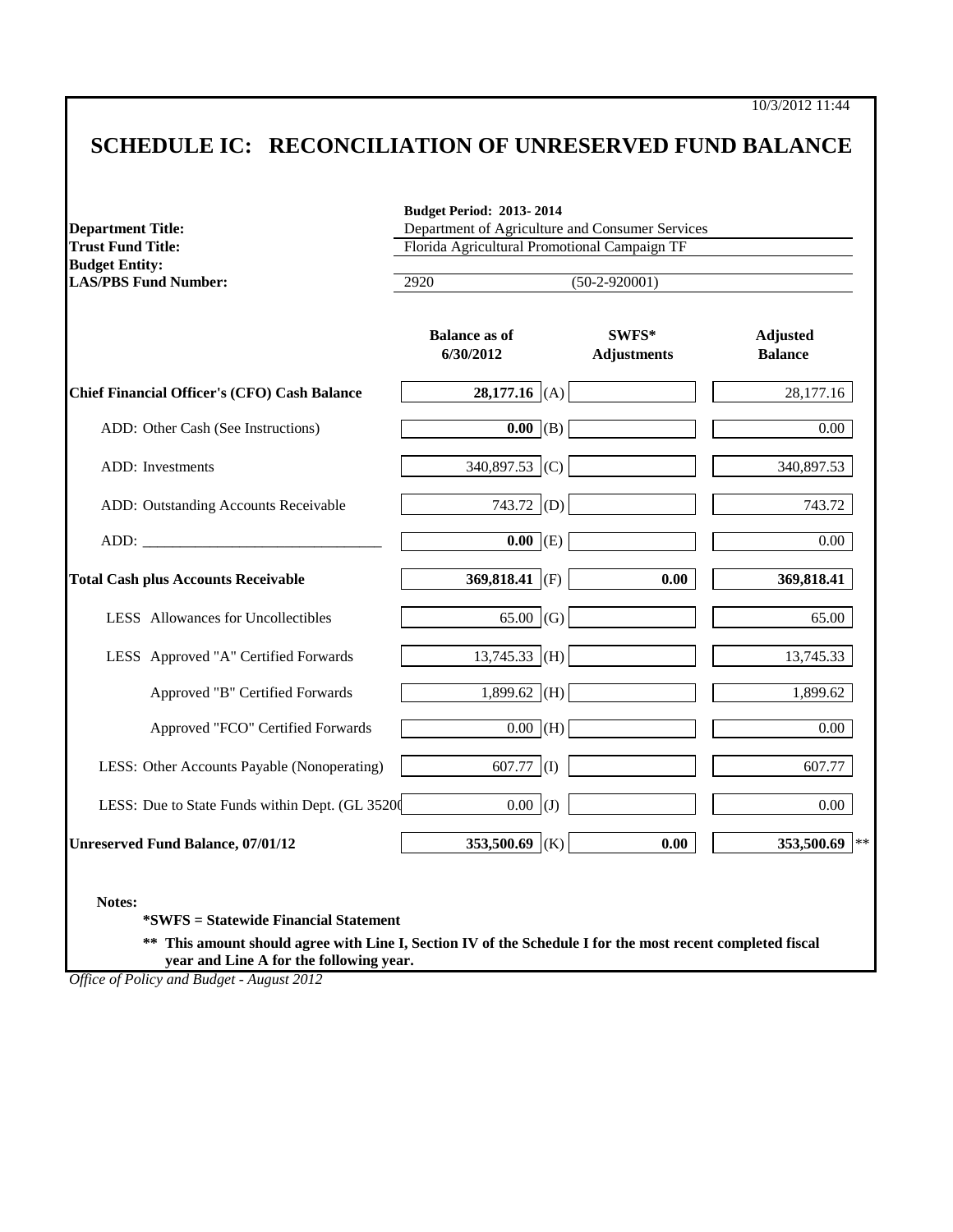10/3/2012 11:44

## **SCHEDULE IC: RECONCILIATION OF UNRESERVED FUND BALANCE**

| <b>Department Title:</b><br><b>Trust Fund Title:</b> | Department of Agriculture and Consumer Services<br>Florida Agricultural Promotional Campaign TF |                             |                                   |  |  |
|------------------------------------------------------|-------------------------------------------------------------------------------------------------|-----------------------------|-----------------------------------|--|--|
| <b>Budget Entity:</b><br><b>LAS/PBS Fund Number:</b> | 2920                                                                                            | $(50-2-920001)$             |                                   |  |  |
|                                                      | <b>Balance</b> as of<br>6/30/2012                                                               | SWFS*<br><b>Adjustments</b> | <b>Adjusted</b><br><b>Balance</b> |  |  |
| <b>Chief Financial Officer's (CFO) Cash Balance</b>  | 28,177.16 (A)                                                                                   |                             | 28,177.16                         |  |  |
| ADD: Other Cash (See Instructions)                   | $\overline{0.00}$ (B)                                                                           |                             | 0.00                              |  |  |
| ADD: Investments                                     | 340,897.53 (C)                                                                                  |                             | 340,897.53                        |  |  |
| ADD: Outstanding Accounts Receivable                 | 743.72 (D)                                                                                      |                             | 743.72                            |  |  |
|                                                      | $\overline{0.00}$ (E)                                                                           |                             | 0.00                              |  |  |
| <b>Total Cash plus Accounts Receivable</b>           | 369,818.41 (F)                                                                                  | 0.00                        | 369,818.41                        |  |  |
| LESS Allowances for Uncollectibles                   | 65.00 (G)                                                                                       |                             | 65.00                             |  |  |
| LESS Approved "A" Certified Forwards                 | $13,745.33$ (H)                                                                                 |                             | 13,745.33                         |  |  |
| Approved "B" Certified Forwards                      | 1,899.62 (H)                                                                                    |                             | 1,899.62                          |  |  |
| Approved "FCO" Certified Forwards                    | $\overline{0.00}$ (H)                                                                           |                             | 0.00                              |  |  |
| LESS: Other Accounts Payable (Nonoperating)          | (1)<br>607.77                                                                                   |                             | 607.77                            |  |  |
| LESS: Due to State Funds within Dept. (GL 35200      | $0.00$ (J)                                                                                      |                             | 0.00                              |  |  |
| <b>Unreserved Fund Balance, 07/01/12</b>             | 353,500.69 (K)                                                                                  | 0.00                        | 353,500.69<br>$\star$ :           |  |  |

**\*SWFS = Statewide Financial Statement** 

**\*\* This amount should agree with Line I, Section IV of the Schedule I for the most recent completed fiscal year and Line A for the following year.**

*Office of Policy and Budget - August 2012*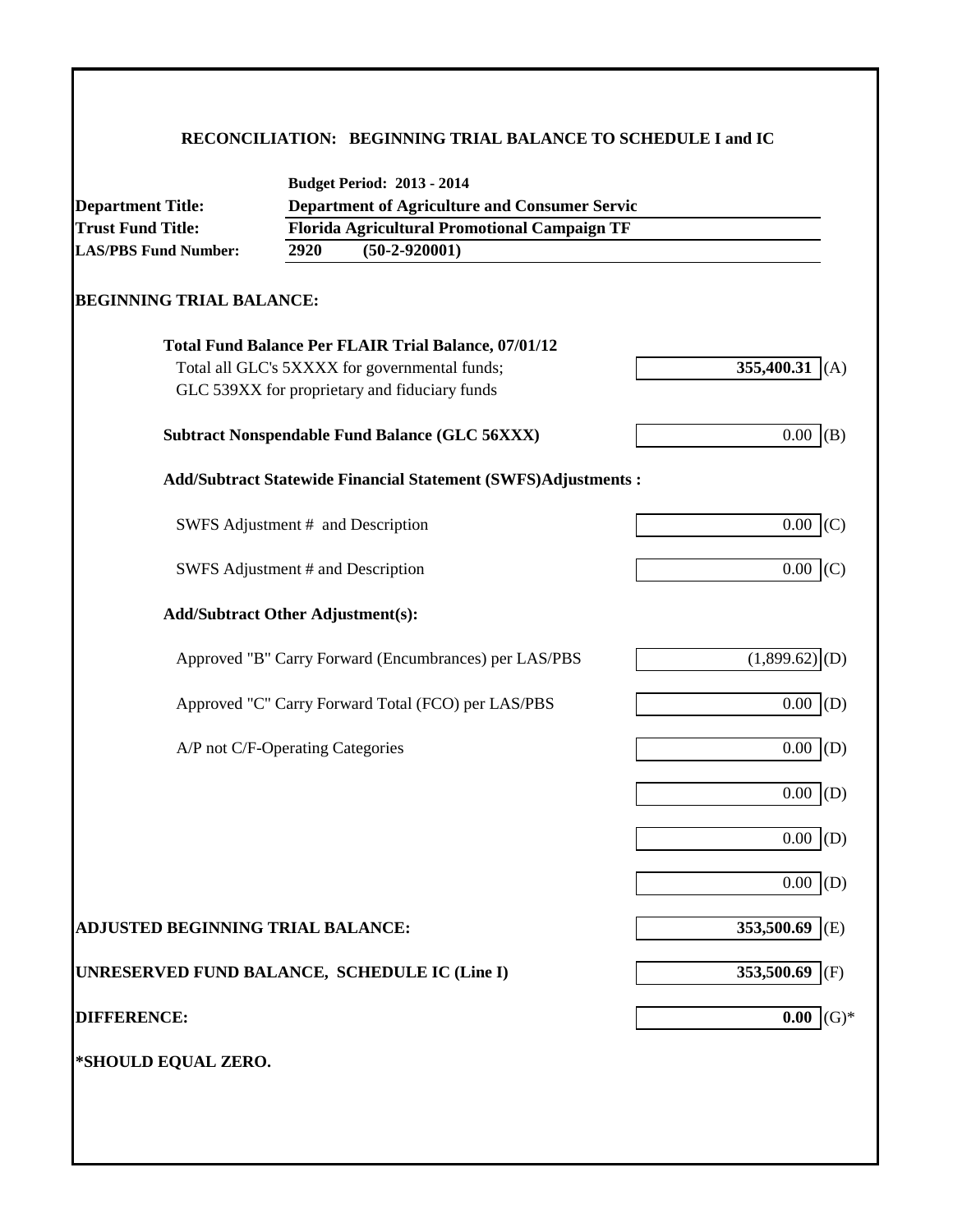## **RECONCILIATION: BEGINNING TRIAL BALANCE TO SCHEDULE I and IC**

| <b>Department Title:</b>                      |      | <b>Budget Period: 2013 - 2014</b><br><b>Department of Agriculture and Consumer Servic</b> |                             |
|-----------------------------------------------|------|-------------------------------------------------------------------------------------------|-----------------------------|
| <b>Trust Fund Title:</b>                      |      | Florida Agricultural Promotional Campaign TF                                              |                             |
| <b>LAS/PBS Fund Number:</b>                   | 2920 | $(50-2-920001)$                                                                           |                             |
| <b>BEGINNING TRIAL BALANCE:</b>               |      |                                                                                           |                             |
|                                               |      | <b>Total Fund Balance Per FLAIR Trial Balance, 07/01/12</b>                               |                             |
|                                               |      | Total all GLC's 5XXXX for governmental funds;                                             | 355,400.31 (A)              |
|                                               |      | GLC 539XX for proprietary and fiduciary funds                                             |                             |
|                                               |      | <b>Subtract Nonspendable Fund Balance (GLC 56XXX)</b>                                     | 0.00<br>(B)                 |
|                                               |      | <b>Add/Subtract Statewide Financial Statement (SWFS)Adjustments:</b>                      |                             |
| SWFS Adjustment # and Description             |      |                                                                                           | 0.00<br>(C)                 |
| SWFS Adjustment # and Description             |      |                                                                                           | $0.00$ (C)                  |
| <b>Add/Subtract Other Adjustment(s):</b>      |      |                                                                                           |                             |
|                                               |      | Approved "B" Carry Forward (Encumbrances) per LAS/PBS                                     | $(1,899.62)$ <sup>(D)</sup> |
|                                               |      | Approved "C" Carry Forward Total (FCO) per LAS/PBS                                        | 0.00<br>(D)                 |
| A/P not C/F-Operating Categories              |      |                                                                                           | 0.00<br>(D)                 |
|                                               |      |                                                                                           | $0.00$ (D)                  |
|                                               |      |                                                                                           | 0.00<br>(D)                 |
|                                               |      |                                                                                           | 0.00<br>(D)                 |
| ADJUSTED BEGINNING TRIAL BALANCE:             |      |                                                                                           | 353,500.69 (E)              |
| UNRESERVED FUND BALANCE, SCHEDULE IC (Line I) |      |                                                                                           | 353,500.69 (F)              |
| <b>DIFFERENCE:</b>                            |      |                                                                                           | $(G)*$<br>0.00              |
| *SHOULD EQUAL ZERO.                           |      |                                                                                           |                             |
|                                               |      |                                                                                           |                             |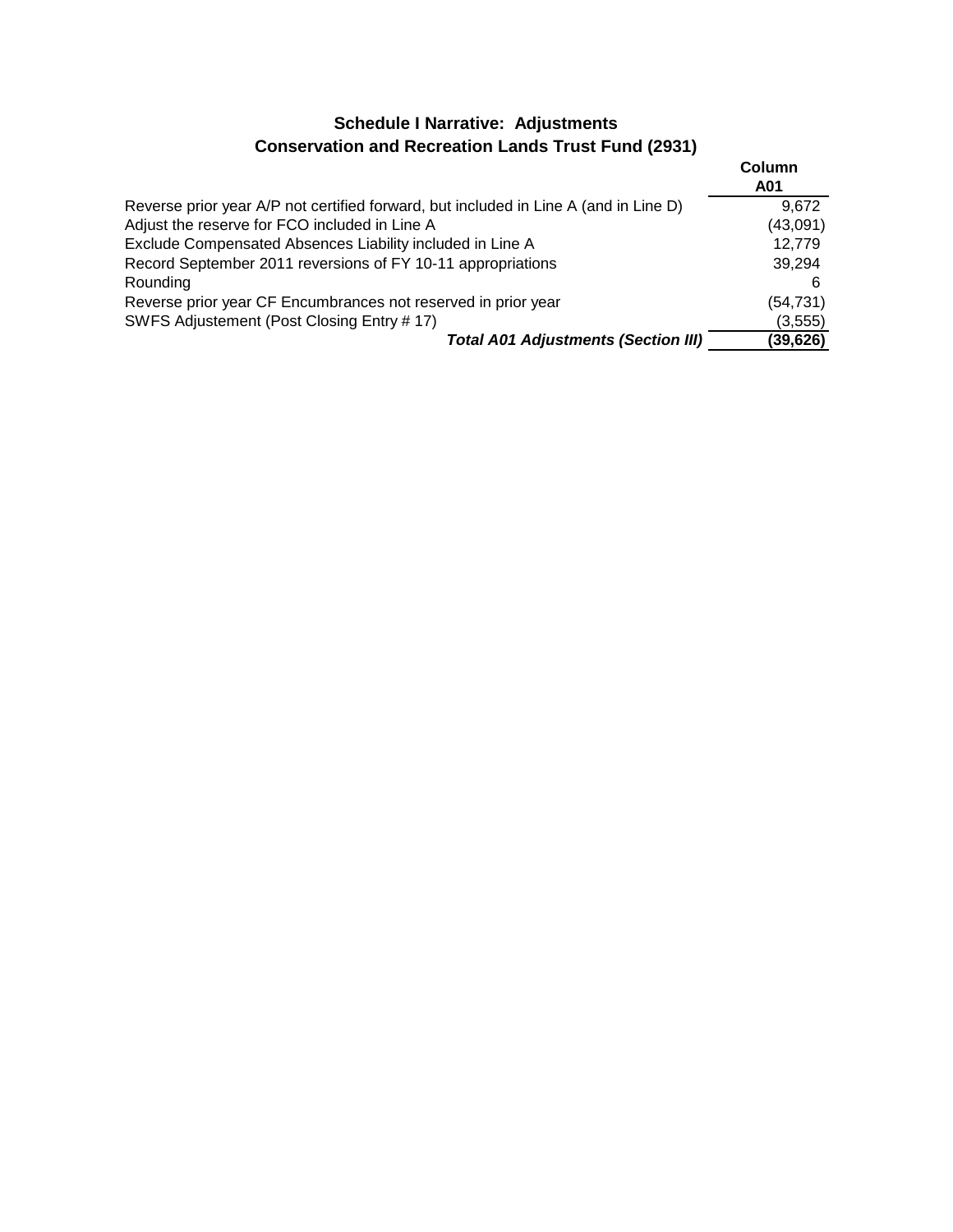## **Schedule I Narrative: Adjustments Conservation and Recreation Lands Trust Fund (2931)**

|                                                                                      | Column<br>A01 |
|--------------------------------------------------------------------------------------|---------------|
| Reverse prior year A/P not certified forward, but included in Line A (and in Line D) | 9.672         |
| Adjust the reserve for FCO included in Line A                                        | (43,091)      |
| Exclude Compensated Absences Liability included in Line A                            | 12,779        |
| Record September 2011 reversions of FY 10-11 appropriations                          | 39,294        |
| Rounding                                                                             |               |
| Reverse prior year CF Encumbrances not reserved in prior year                        | (54, 731)     |
| SWFS Adjustement (Post Closing Entry # 17)                                           | (3,555)       |
| <b>Total A01 Adjustments (Section III)</b>                                           | (39, 626)     |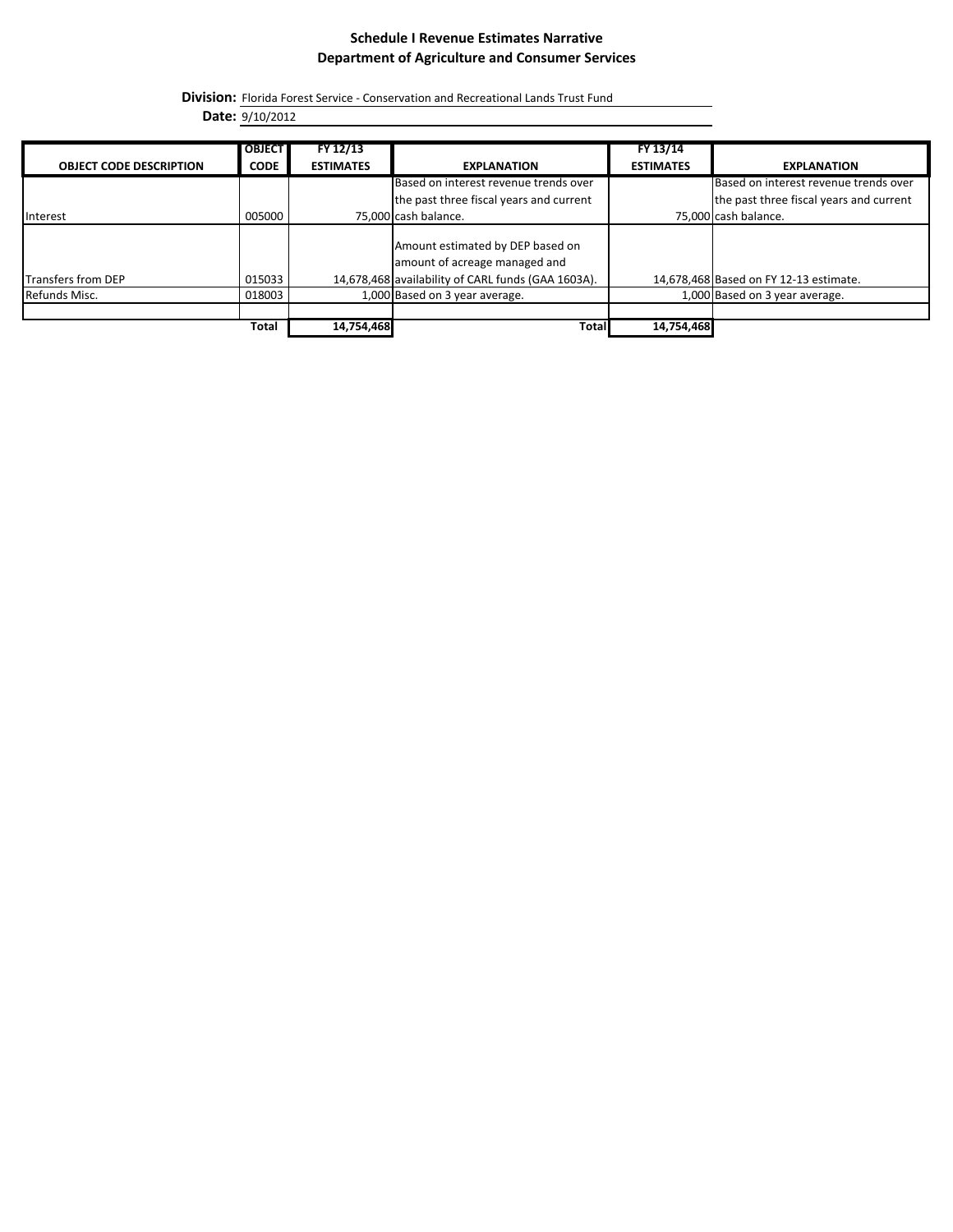### **Schedule I Revenue Estimates Narrative Department of Agriculture and Consumer Services**

**Division:** Florida Forest Service - Conservation and Recreational Lands Trust Fund

**Date:** 9/10/2012

|                                | <b>OBJECT</b> | FY 12/13         |                                                                                                                         | FY 13/14         |                                         |
|--------------------------------|---------------|------------------|-------------------------------------------------------------------------------------------------------------------------|------------------|-----------------------------------------|
| <b>OBJECT CODE DESCRIPTION</b> | <b>CODE</b>   | <b>ESTIMATES</b> | <b>EXPLANATION</b>                                                                                                      | <b>ESTIMATES</b> | <b>EXPLANATION</b>                      |
|                                |               |                  | Based on interest revenue trends over                                                                                   |                  | Based on interest revenue trends over   |
|                                |               |                  | the past three fiscal years and current                                                                                 |                  | the past three fiscal years and current |
| Interest                       | 005000        |                  | 75,000 cash balance.                                                                                                    |                  | 75,000 cash balance.                    |
| <b>Transfers from DEP</b>      | 015033        |                  | Amount estimated by DEP based on<br>amount of acreage managed and<br>14,678,468 availability of CARL funds (GAA 1603A). |                  | 14,678,468 Based on FY 12-13 estimate.  |
| Refunds Misc.                  | 018003        |                  | 1,000 Based on 3 year average.                                                                                          |                  | 1,000 Based on 3 year average.          |
|                                |               |                  |                                                                                                                         |                  |                                         |
|                                | Total         | 14,754,468       | <b>Total</b>                                                                                                            | 14,754,468       |                                         |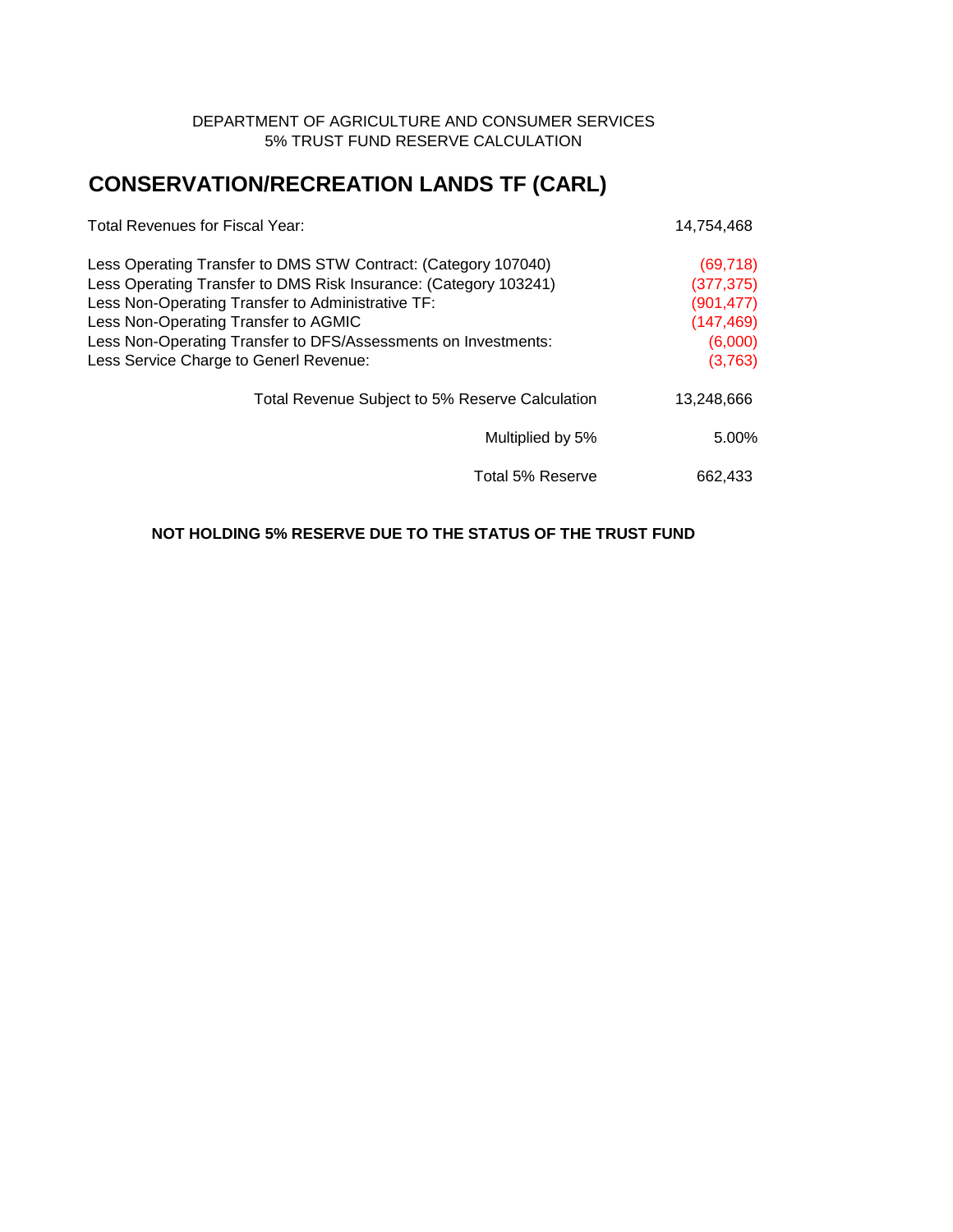### DEPARTMENT OF AGRICULTURE AND CONSUMER SERVICES 5% TRUST FUND RESERVE CALCULATION

# **CONSERVATION/RECREATION LANDS TF (CARL)**

| Total Revenues for Fiscal Year:                                  | 14,754,468 |  |
|------------------------------------------------------------------|------------|--|
| Less Operating Transfer to DMS STW Contract: (Category 107040)   | (69, 718)  |  |
| Less Operating Transfer to DMS Risk Insurance: (Category 103241) | (377, 375) |  |
| Less Non-Operating Transfer to Administrative TF:                | (901, 477) |  |
| Less Non-Operating Transfer to AGMIC                             | (147, 469) |  |
| Less Non-Operating Transfer to DFS/Assessments on Investments:   | (6,000)    |  |
| Less Service Charge to Generl Revenue:                           | (3,763)    |  |
| Total Revenue Subject to 5% Reserve Calculation                  | 13,248,666 |  |
| Multiplied by 5%                                                 | 5.00%      |  |
| Total 5% Reserve                                                 | 662,433    |  |

### **NOT HOLDING 5% RESERVE DUE TO THE STATUS OF THE TRUST FUND**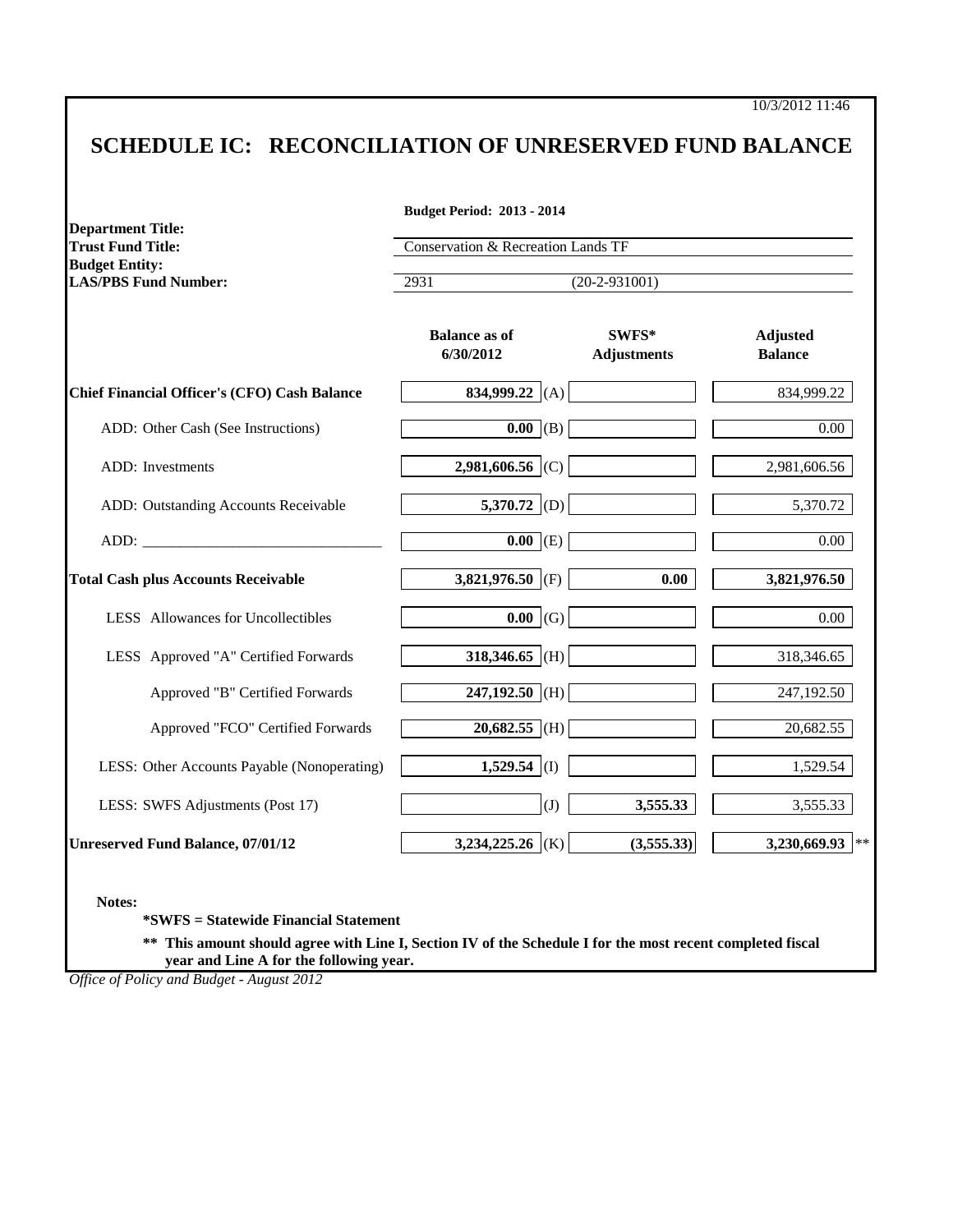## **SCHEDULE IC: RECONCILIATION OF UNRESERVED FUND BALANCE**

| <b>Department Title:</b><br><b>Trust Fund Title:</b>                                                                                                                                                                           | Conservation & Recreation Lands TF<br>$(20-2-931001)$<br>2931 |                             |                                   |
|--------------------------------------------------------------------------------------------------------------------------------------------------------------------------------------------------------------------------------|---------------------------------------------------------------|-----------------------------|-----------------------------------|
| <b>Budget Entity:</b><br><b>LAS/PBS Fund Number:</b>                                                                                                                                                                           |                                                               |                             |                                   |
|                                                                                                                                                                                                                                | <b>Balance as of</b><br>6/30/2012                             | SWFS*<br><b>Adjustments</b> | <b>Adjusted</b><br><b>Balance</b> |
| <b>Chief Financial Officer's (CFO) Cash Balance</b>                                                                                                                                                                            | 834,999.22 (A)                                                |                             | 834,999.22                        |
| ADD: Other Cash (See Instructions)                                                                                                                                                                                             | $\overline{0.00}$ (B)                                         |                             | 0.00                              |
| ADD: Investments                                                                                                                                                                                                               | 2,981,606.56 (C)                                              |                             | 2,981,606.56                      |
| ADD: Outstanding Accounts Receivable                                                                                                                                                                                           | 5,370.72 (D)                                                  |                             | 5,370.72                          |
| ADD: The contract of the contract of the contract of the contract of the contract of the contract of the contract of the contract of the contract of the contract of the contract of the contract of the contract of the contr | $\overline{0.00}$ (E)                                         |                             | 0.00                              |
| <b>Total Cash plus Accounts Receivable</b>                                                                                                                                                                                     | 3,821,976.50 (F)                                              | 0.00                        | 3,821,976.50                      |
| LESS Allowances for Uncollectibles                                                                                                                                                                                             | 0.00<br>(G)                                                   |                             | 0.00                              |
| LESS Approved "A" Certified Forwards                                                                                                                                                                                           | 318,346.65 (H)                                                |                             | 318,346.65                        |
| Approved "B" Certified Forwards                                                                                                                                                                                                | $247,192.50$ (H)                                              |                             | 247,192.50                        |
| Approved "FCO" Certified Forwards                                                                                                                                                                                              | $20,682.55$ (H)                                               |                             | 20,682.55                         |
| LESS: Other Accounts Payable (Nonoperating)                                                                                                                                                                                    | 1,529.54 (I)                                                  |                             | 1,529.54                          |
| LESS: SWFS Adjustments (Post 17)                                                                                                                                                                                               | (J)                                                           | 3,555.33                    | 3,555.33                          |
| <b>Unreserved Fund Balance, 07/01/12</b>                                                                                                                                                                                       | 3,234,225.26 (K)                                              | (3,555.33)                  | 3,230,669.93                      |

**Notes:**

**\*SWFS = Statewide Financial Statement** 

**\*\* This amount should agree with Line I, Section IV of the Schedule I for the most recent completed fiscal year and Line A for the following year.**

*Office of Policy and Budget - August 2012*